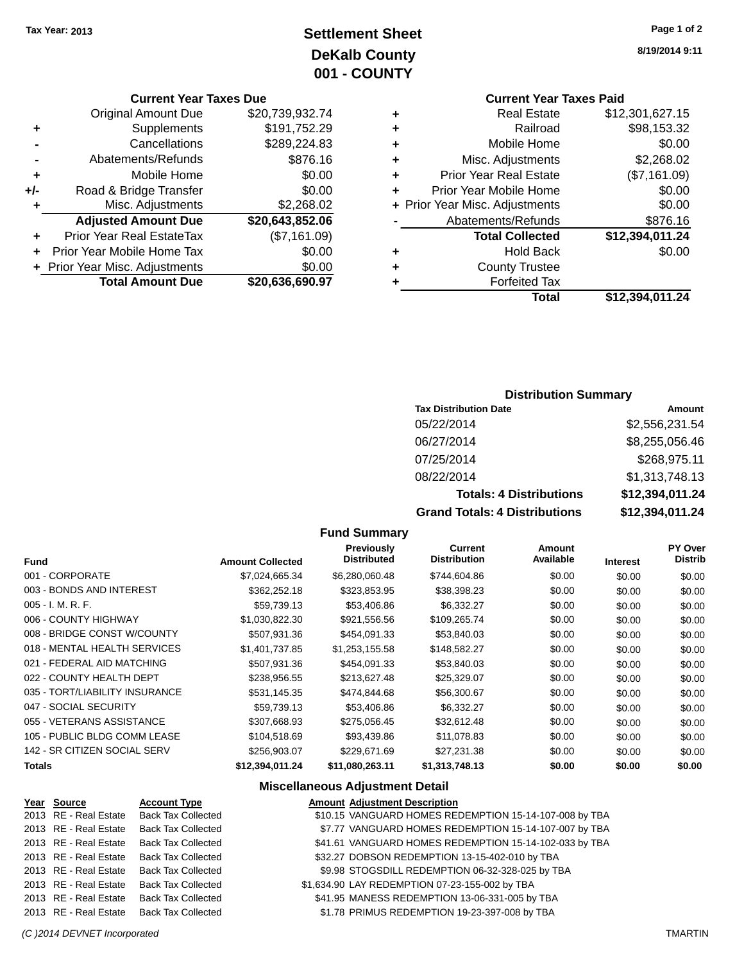# **Settlement Sheet Tax Year: 2013 Page 1 of 2 DeKalb County 001 - COUNTY**

#### **Current Year Taxes Due**

|       | <b>Original Amount Due</b>     | \$20,739,932.74 |
|-------|--------------------------------|-----------------|
| ٠     | Supplements                    | \$191,752.29    |
|       | Cancellations                  | \$289,224.83    |
|       | Abatements/Refunds             | \$876.16        |
| ٠     | Mobile Home                    | \$0.00          |
| $+/-$ | Road & Bridge Transfer         | \$0.00          |
| ٠     | Misc. Adjustments              | \$2,268.02      |
|       | <b>Adjusted Amount Due</b>     | \$20,643,852.06 |
| ÷     | Prior Year Real EstateTax      | (\$7,161.09)    |
|       | Prior Year Mobile Home Tax     | \$0.00          |
|       | + Prior Year Misc. Adjustments | \$0.00          |
|       | <b>Total Amount Due</b>        | \$20,636,690.97 |
|       |                                |                 |

**8/19/2014 9:11**

# **Current Year Taxes Paid +** Real Estate \$12,301,627.15

|   | Total                          | \$12,394,011.24 |
|---|--------------------------------|-----------------|
|   | <b>Forfeited Tax</b>           |                 |
| ٠ | <b>County Trustee</b>          |                 |
|   | <b>Hold Back</b>               | \$0.00          |
|   | <b>Total Collected</b>         | \$12,394,011.24 |
|   | Abatements/Refunds             | \$876.16        |
|   | + Prior Year Misc. Adjustments | \$0.00          |
| ٠ | Prior Year Mobile Home         | \$0.00          |
| ٠ | <b>Prior Year Real Estate</b>  | (\$7,161.09)    |
| ٠ | Misc. Adjustments              | \$2,268.02      |
| ÷ | Mobile Home                    | \$0.00          |
| ٠ | Railroad                       | \$98,153.32     |
|   |                                |                 |

### **Distribution Summary**

| <b>Tax Distribution Date</b>         | Amount          |
|--------------------------------------|-----------------|
| 05/22/2014                           | \$2,556,231.54  |
| 06/27/2014                           | \$8,255,056.46  |
| 07/25/2014                           | \$268,975.11    |
| 08/22/2014                           | \$1,313,748.13  |
| <b>Totals: 4 Distributions</b>       | \$12,394,011.24 |
| <b>Grand Totals: 4 Distributions</b> | \$12,394,011.24 |

#### **Fund Summary**

| <b>Fund</b>                    | <b>Amount Collected</b> | <b>Previously</b><br><b>Distributed</b> | Current<br><b>Distribution</b> | Amount<br>Available | <b>Interest</b> | PY Over<br><b>Distrib</b> |
|--------------------------------|-------------------------|-----------------------------------------|--------------------------------|---------------------|-----------------|---------------------------|
| 001 - CORPORATE                | \$7,024,665.34          | \$6,280,060.48                          | \$744,604.86                   | \$0.00              | \$0.00          | \$0.00                    |
| 003 - BONDS AND INTEREST       | \$362,252.18            | \$323,853.95                            | \$38,398.23                    | \$0.00              | \$0.00          | \$0.00                    |
| $005 - I. M. R. F.$            | \$59,739.13             | \$53,406.86                             | \$6,332.27                     | \$0.00              | \$0.00          | \$0.00                    |
| 006 - COUNTY HIGHWAY           | \$1,030,822.30          | \$921,556.56                            | \$109,265.74                   | \$0.00              | \$0.00          | \$0.00                    |
| 008 - BRIDGE CONST W/COUNTY    | \$507.931.36            | \$454.091.33                            | \$53,840.03                    | \$0.00              | \$0.00          | \$0.00                    |
| 018 - MENTAL HEALTH SERVICES   | \$1.401.737.85          | \$1,253,155.58                          | \$148,582.27                   | \$0.00              | \$0.00          | \$0.00                    |
| 021 - FEDERAL AID MATCHING     | \$507.931.36            | \$454,091.33                            | \$53,840.03                    | \$0.00              | \$0.00          | \$0.00                    |
| 022 - COUNTY HEALTH DEPT       | \$238,956.55            | \$213,627.48                            | \$25,329.07                    | \$0.00              | \$0.00          | \$0.00                    |
| 035 - TORT/LIABILITY INSURANCE | \$531,145.35            | \$474,844.68                            | \$56,300.67                    | \$0.00              | \$0.00          | \$0.00                    |
| 047 - SOCIAL SECURITY          | \$59,739.13             | \$53,406.86                             | \$6,332.27                     | \$0.00              | \$0.00          | \$0.00                    |
| 055 - VETERANS ASSISTANCE      | \$307.668.93            | \$275.056.45                            | \$32.612.48                    | \$0.00              | \$0.00          | \$0.00                    |
| 105 - PUBLIC BLDG COMM LEASE   | \$104,518.69            | \$93,439.86                             | \$11,078.83                    | \$0.00              | \$0.00          | \$0.00                    |
| 142 - SR CITIZEN SOCIAL SERV   | \$256,903.07            | \$229.671.69                            | \$27,231.38                    | \$0.00              | \$0.00          | \$0.00                    |
| Totals                         | \$12,394,011.24         | \$11,080,263.11                         | \$1,313,748.13                 | \$0.00              | \$0.00          | \$0.00                    |

#### **Miscellaneous Adjustment Detail**

#### **Year Source Account Type Amount Adjustment Description** \$10.15 VANGUARD HOMES REDEMPTION 15-14-107-008 by TBA 2013 RE - Real Estate Back Tax Collected \$7.77 VANGUARD HOMES REDEMPTION 15-14-107-007 by TBA 2013 RE - Real Estate Back Tax Collected \$41.61 VANGUARD HOMES REDEMPTION 15-14-102-033 by TBA 2013 RE - Real Estate Back Tax Collected \$32.27 DOBSON REDEMPTION 13-15-402-010 by TBA 2013 RE - Real Estate Back Tax Collected \$9.98 STOGSDILL REDEMPTION 06-32-328-025 by TBA 2013 RE - Real Estate Back Tax Collected \$1,634.90 LAY REDEMPTION 07-23-155-002 by TBA 2013 RE - Real Estate Back Tax Collected \$41.95 MANESS REDEMPTION 13-06-331-005 by TBA 2013 RE - Real Estate Back Tax Collected \$1.78 PRIMUS REDEMPTION 19-23-397-008 by TBA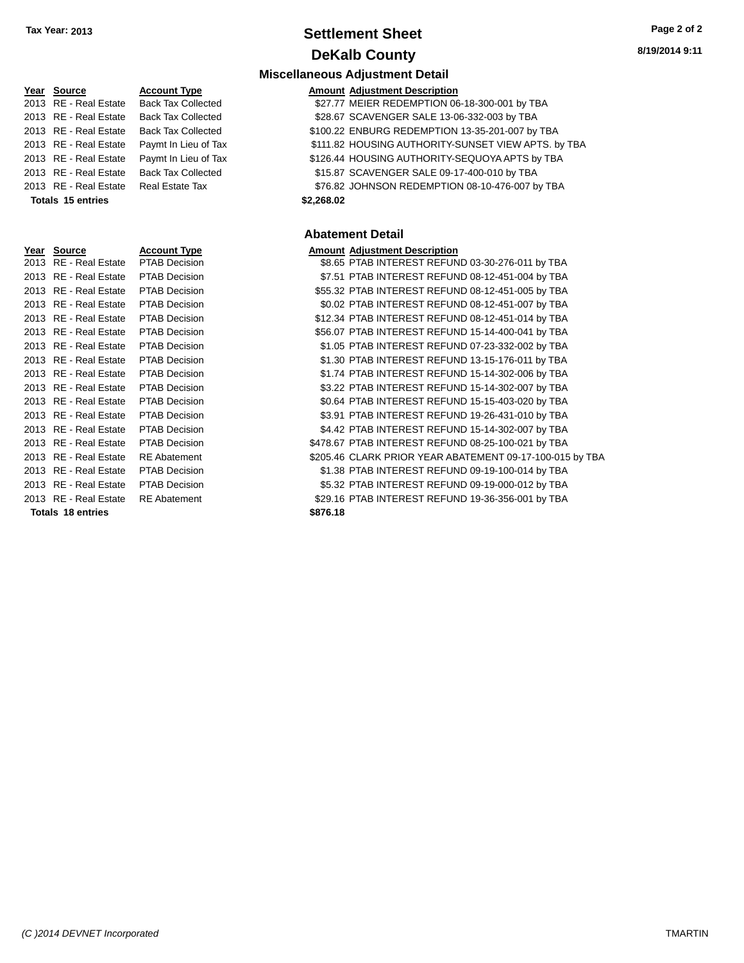# **Settlement Sheet Tax Year: 2013 Page 2 of 2 DeKalb County**

**8/19/2014 9:11**

## **Miscellaneous Adjustment Detail**

| Year Source              | <b>Account Type</b>       | <b>Amount Adjustment Description</b>                |
|--------------------------|---------------------------|-----------------------------------------------------|
| 2013 RE - Real Estate    | <b>Back Tax Collected</b> | \$27.77 MEIER REDEMPTION 06-18-300-001 by TBA       |
| 2013 RE - Real Estate    | <b>Back Tax Collected</b> | \$28.67 SCAVENGER SALE 13-06-332-003 by TBA         |
| 2013 RE - Real Estate    | <b>Back Tax Collected</b> | \$100.22 ENBURG REDEMPTION 13-35-201-007 by TBA     |
| 2013 RE - Real Estate    | Paymt In Lieu of Tax      | \$111.82 HOUSING AUTHORITY-SUNSET VIEW APTS. by TBA |
| 2013 RE - Real Estate    | Paymt In Lieu of Tax      | \$126.44 HOUSING AUTHORITY-SEQUOYA APTS by TBA      |
| 2013 RE - Real Estate    | <b>Back Tax Collected</b> | \$15.87 SCAVENGER SALE 09-17-400-010 by TBA         |
| 2013 RE - Real Estate    | Real Estate Tax           | \$76.82 JOHNSON REDEMPTION 08-10-476-007 by TBA     |
| <b>Totals 15 entries</b> |                           | \$2,268.02                                          |

### **Abatement Detail**

| Year Source | <b>Account Type</b> | <b>Amount Adiustment Description</b> |
|-------------|---------------------|--------------------------------------|
|             |                     |                                      |

| <b>IGAI JUULUE</b>       | ACCOUNT TYPE         | Allioulit Aujustilient Description                       |
|--------------------------|----------------------|----------------------------------------------------------|
| 2013 RE - Real Estate    | <b>PTAB Decision</b> | \$8.65 PTAB INTEREST REFUND 03-30-276-011 by TBA         |
| 2013 RE - Real Estate    | <b>PTAB Decision</b> | \$7.51 PTAB INTEREST REFUND 08-12-451-004 by TBA         |
| 2013 RE - Real Estate    | <b>PTAB Decision</b> | \$55.32 PTAB INTEREST REFUND 08-12-451-005 by TBA        |
| 2013 RE - Real Estate    | <b>PTAB Decision</b> | \$0.02 PTAB INTEREST REFUND 08-12-451-007 by TBA         |
| 2013 RE - Real Estate    | <b>PTAB Decision</b> | \$12.34 PTAB INTEREST REFUND 08-12-451-014 by TBA        |
| 2013 RE - Real Estate    | <b>PTAB Decision</b> | \$56.07 PTAB INTEREST REFUND 15-14-400-041 by TBA        |
| 2013 RE - Real Estate    | <b>PTAB Decision</b> | \$1.05 PTAB INTEREST REFUND 07-23-332-002 by TBA         |
| 2013 RE - Real Estate    | <b>PTAB Decision</b> | \$1.30 PTAB INTEREST REFUND 13-15-176-011 by TBA         |
| 2013 RE - Real Estate    | <b>PTAB Decision</b> | \$1.74 PTAB INTEREST REFUND 15-14-302-006 by TBA         |
| 2013 RE - Real Estate    | <b>PTAB Decision</b> | \$3.22 PTAB INTEREST REFUND 15-14-302-007 by TBA         |
| 2013 RE - Real Estate    | <b>PTAB Decision</b> | \$0.64 PTAB INTEREST REFUND 15-15-403-020 by TBA         |
| 2013 RE - Real Estate    | <b>PTAB Decision</b> | \$3.91 PTAB INTEREST REFUND 19-26-431-010 by TBA         |
| 2013 RE - Real Estate    | <b>PTAB Decision</b> | \$4.42 PTAB INTEREST REFUND 15-14-302-007 by TBA         |
| 2013 RE - Real Estate    | <b>PTAB Decision</b> | \$478.67 PTAB INTEREST REFUND 08-25-100-021 by TBA       |
| 2013 RE - Real Estate    | <b>RE</b> Abatement  | \$205.46 CLARK PRIOR YEAR ABATEMENT 09-17-100-015 by TBA |
| 2013 RE - Real Estate    | <b>PTAB Decision</b> | \$1.38 PTAB INTEREST REFUND 09-19-100-014 by TBA         |
| 2013 RE - Real Estate    | <b>PTAB Decision</b> | \$5.32 PTAB INTEREST REFUND 09-19-000-012 by TBA         |
| 2013 RE - Real Estate    | <b>RE</b> Abatement  | \$29.16 PTAB INTEREST REFUND 19-36-356-001 by TBA        |
| <b>Totals 18 entries</b> |                      | \$876.18                                                 |

| 2013         | <b>RE</b> - Real Estate              | Back Tax Coll                |
|--------------|--------------------------------------|------------------------------|
| 2013         | <b>RE</b> - Real Estate              | Paymt In Lieu                |
| 2013         | <b>RE</b> - Real Estate              | Paymt In Lieu                |
| 2013         | RE - Real Estate                     | <b>Back Tax Colle</b>        |
| 2013         | RE - Real Estate                     | Real Estate Ta               |
|              | <b>Totals 15 entries</b>             |                              |
|              |                                      |                              |
|              |                                      |                              |
|              |                                      |                              |
|              |                                      |                              |
| Year         | <b>Source</b>                        | <u>Account Type</u>          |
| 2013         | <b>RE</b> - Real Estate              | PTAB Decisio                 |
| 2013         | <b>RE</b> - Real Estate              | PTAB Decisio                 |
| 2013         | RE - Real Estate                     | PTAB Decisio                 |
| 2013         | RE - Real Estate                     | PTAB Decisio                 |
| 2013         | RE - Real Estate                     | PTAB Decisio                 |
| 2013         | RE - Real Estate                     | PTAB Decisio                 |
| 2013<br>2013 | RE - Real Estate<br>RE - Real Estate | PTAB Decisio<br>PTAB Decisio |

| 2013 | RE - Real Estate        | PTAB Decis        |
|------|-------------------------|-------------------|
| 2013 | RE - Real Estate        | PTAB Decis        |
| 2013 | <b>RE</b> - Real Estate | <b>PTAB Decis</b> |
| 2013 | RE - Real Estate        | PTAB Decis        |
| 2013 | RE - Real Estate        | <b>PTAB Decis</b> |
| 2013 | RE - Real Estate        | <b>PTAB Decis</b> |
| 2013 | RE - Real Estate        | <b>PTAB Decis</b> |
| 2013 | RE - Real Estate        | <b>PTAB Decis</b> |
| 2013 | RE - Real Estate        | PTAB Decis        |
| 2013 | <b>RE</b> - Real Estate | PTAB Decis        |
| 2013 | RE - Real Estate        | PTAB Decis        |
| 2013 | RE - Real Estate        | PTAB Decis        |
| 2013 | RE - Real Estate        | PTAB Decis        |
| 2013 | RE - Real Estate        | <b>PTAB Decis</b> |
| 2013 | <b>RE</b> - Real Estate | <b>RE</b> Abateme |
| 2013 | RE - Real Estate        | PTAB Decis        |
| 2013 | RE - Real Estate        | <b>PTAB Decis</b> |
| 2013 | RE - Real Estate        | <b>RE</b> Abateme |
|      |                         |                   |

**Totals 18 entries \$**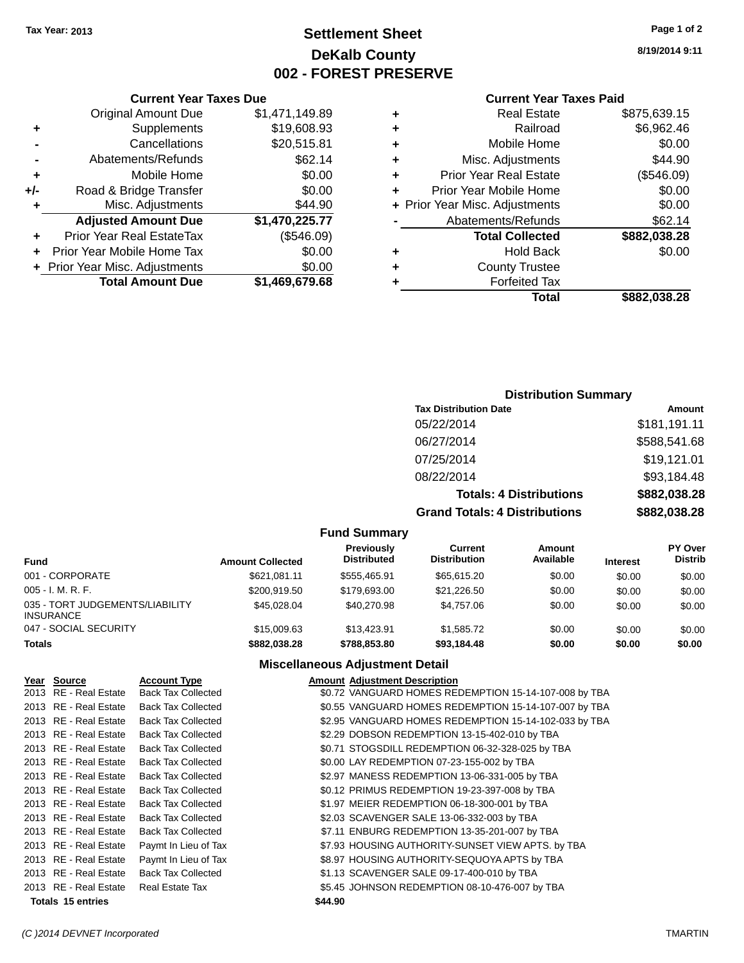# **Settlement Sheet Tax Year: 2013 Page 1 of 2 DeKalb County 002 - FOREST PRESERVE**

**8/19/2014 9:11**

### **Current Year Taxes Paid**

| <b>Real Estate</b>     | \$875,639.15                   |
|------------------------|--------------------------------|
| Railroad               | \$6,962.46                     |
| Mobile Home            | \$0.00                         |
| Misc. Adjustments      | \$44.90                        |
| Prior Year Real Estate | (\$546.09)                     |
| Prior Year Mobile Home | \$0.00                         |
|                        | \$0.00                         |
| Abatements/Refunds     | \$62.14                        |
| <b>Total Collected</b> | \$882,038.28                   |
| Hold Back              | \$0.00                         |
| <b>County Trustee</b>  |                                |
| <b>Forfeited Tax</b>   |                                |
| Total                  | \$882.038.28                   |
|                        | + Prior Year Misc. Adjustments |

|     | <b>Current Year Taxes Due</b>  |                |
|-----|--------------------------------|----------------|
|     | <b>Original Amount Due</b>     | \$1,471,149.89 |
| ٠   | Supplements                    | \$19,608.93    |
|     | Cancellations                  | \$20,515.81    |
|     | Abatements/Refunds             | \$62.14        |
| ٠   | Mobile Home                    | \$0.00         |
| +/- | Road & Bridge Transfer         | \$0.00         |
| ٠   | Misc. Adjustments              | \$44.90        |
|     | <b>Adjusted Amount Due</b>     | \$1,470,225.77 |
|     | Prior Year Real EstateTax      | (\$546.09)     |
|     | Prior Year Mobile Home Tax     | \$0.00         |
|     | + Prior Year Misc. Adjustments | \$0.00         |
|     | <b>Total Amount Due</b>        | \$1,469,679.68 |

## **Distribution Summary**

| <b>Tax Distribution Date</b>         | Amount       |
|--------------------------------------|--------------|
| 05/22/2014                           | \$181,191.11 |
| 06/27/2014                           | \$588,541.68 |
| 07/25/2014                           | \$19,121.01  |
| 08/22/2014                           | \$93,184.48  |
| <b>Totals: 4 Distributions</b>       | \$882,038.28 |
| <b>Grand Totals: 4 Distributions</b> | \$882,038.28 |

### **Fund Summary**

| <b>Fund</b>                                         | <b>Amount Collected</b> | Previously<br><b>Distributed</b> | Current<br><b>Distribution</b> | Amount<br>Available | <b>Interest</b> | <b>PY Over</b><br><b>Distrib</b> |
|-----------------------------------------------------|-------------------------|----------------------------------|--------------------------------|---------------------|-----------------|----------------------------------|
| 001 - CORPORATE                                     | \$621.081.11            | \$555.465.91                     | \$65,615.20                    | \$0.00              | \$0.00          | \$0.00                           |
| $005 - I. M. R. F.$                                 | \$200,919.50            | \$179,693,00                     | \$21,226.50                    | \$0.00              | \$0.00          | \$0.00                           |
| 035 - TORT JUDGEMENTS/LIABILITY<br><b>INSURANCE</b> | \$45,028,04             | \$40,270.98                      | \$4.757.06                     | \$0.00              | \$0.00          | \$0.00                           |
| 047 - SOCIAL SECURITY                               | \$15,009.63             | \$13.423.91                      | \$1.585.72                     | \$0.00              | \$0.00          | \$0.00                           |
| <b>Totals</b>                                       | \$882.038.28            | \$788,853,80                     | \$93,184.48                    | \$0.00              | \$0.00          | \$0.00                           |

# **Miscellaneous Adjustment Detail**

| Year Source              | <b>Account Type</b>       |         | <b>Amount Adjustment Description</b>                  |
|--------------------------|---------------------------|---------|-------------------------------------------------------|
| 2013 RE - Real Estate    | <b>Back Tax Collected</b> |         | \$0.72 VANGUARD HOMES REDEMPTION 15-14-107-008 by TBA |
| 2013 RE - Real Estate    | <b>Back Tax Collected</b> |         | \$0.55 VANGUARD HOMES REDEMPTION 15-14-107-007 by TBA |
| 2013 RE - Real Estate    | <b>Back Tax Collected</b> |         | \$2.95 VANGUARD HOMES REDEMPTION 15-14-102-033 by TBA |
| 2013 RE - Real Estate    | <b>Back Tax Collected</b> |         | \$2.29 DOBSON REDEMPTION 13-15-402-010 by TBA         |
| 2013 RE - Real Estate    | <b>Back Tax Collected</b> |         | \$0.71 STOGSDILL REDEMPTION 06-32-328-025 by TBA      |
| 2013 RE - Real Estate    | <b>Back Tax Collected</b> |         | \$0.00 LAY REDEMPTION 07-23-155-002 by TBA            |
| 2013 RE - Real Estate    | <b>Back Tax Collected</b> |         | \$2.97 MANESS REDEMPTION 13-06-331-005 by TBA         |
| 2013 RE - Real Estate    | <b>Back Tax Collected</b> |         | \$0.12 PRIMUS REDEMPTION 19-23-397-008 by TBA         |
| 2013 RE - Real Estate    | <b>Back Tax Collected</b> |         | \$1.97 MEIER REDEMPTION 06-18-300-001 by TBA          |
| 2013 RE - Real Estate    | <b>Back Tax Collected</b> |         | \$2.03 SCAVENGER SALE 13-06-332-003 by TBA            |
| 2013 RE - Real Estate    | <b>Back Tax Collected</b> |         | \$7.11 ENBURG REDEMPTION 13-35-201-007 by TBA         |
| 2013 RE - Real Estate    | Paymt In Lieu of Tax      |         | \$7.93 HOUSING AUTHORITY-SUNSET VIEW APTS. by TBA     |
| 2013 RE - Real Estate    | Paymt In Lieu of Tax      |         | \$8.97 HOUSING AUTHORITY-SEQUOYA APTS by TBA          |
| 2013 RE - Real Estate    | <b>Back Tax Collected</b> |         | \$1.13 SCAVENGER SALE 09-17-400-010 by TBA            |
| 2013 RE - Real Estate    | <b>Real Estate Tax</b>    |         | \$5.45 JOHNSON REDEMPTION 08-10-476-007 by TBA        |
| <b>Totals 15 entries</b> |                           | \$44.90 |                                                       |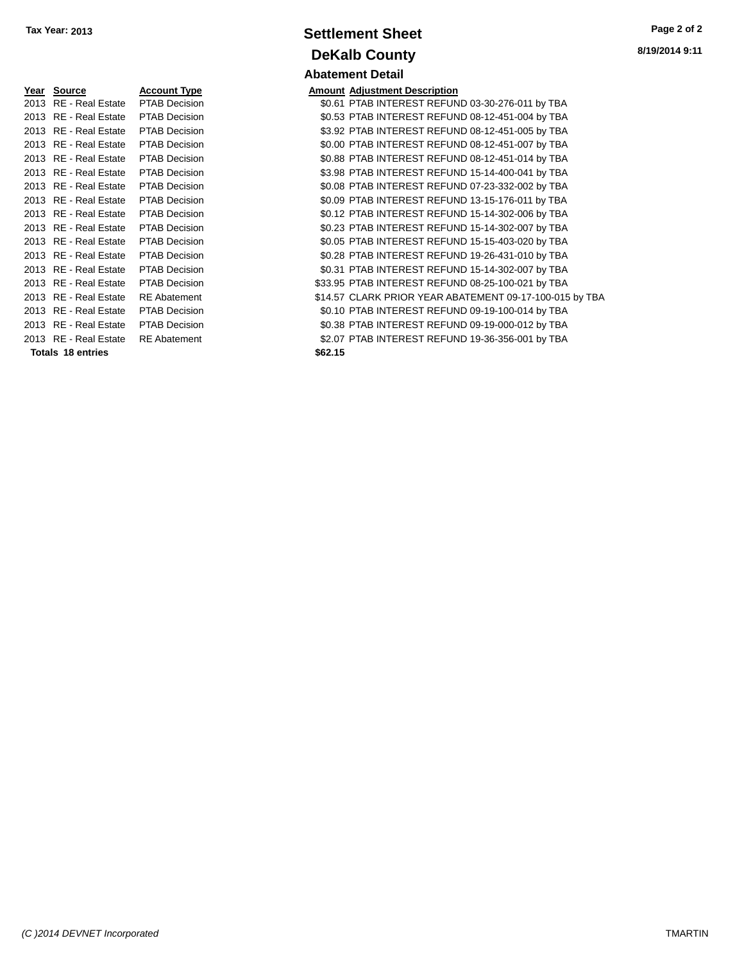| Year Source Account Type            |                      |         | <b>Amount Adjustment Description</b> |
|-------------------------------------|----------------------|---------|--------------------------------------|
| 2013 RE - Real Estate PTAB Decision |                      |         | \$0.61 PTAB INTEREST REFUN           |
| 2013 RE - Real Estate PTAB Decision |                      |         | \$0.53 PTAB INTEREST REFUN           |
| 2013 RE - Real Estate PTAB Decision |                      |         | \$3.92 PTAB INTEREST REFUN           |
| 2013 RE - Real Estate               | <b>PTAB Decision</b> |         | \$0.00 PTAB INTEREST REFUN           |
| 2013 RE - Real Estate               | <b>PTAB Decision</b> |         | \$0.88 PTAB INTEREST REFUN           |
| 2013 RE - Real Estate               | <b>PTAB Decision</b> |         | \$3.98 PTAB INTEREST REFUN           |
| 2013 RE - Real Estate               | <b>PTAB Decision</b> |         | \$0.08 PTAB INTEREST REFUN           |
| 2013 RE - Real Estate               | <b>PTAB Decision</b> |         | \$0.09 PTAB INTEREST REFUN           |
| 2013 RE - Real Estate               | <b>PTAB Decision</b> |         | \$0.12 PTAB INTEREST REFUN           |
| 2013 RE - Real Estate PTAB Decision |                      |         | \$0.23 PTAB INTEREST REFUN           |
| 2013 RE - Real Estate               | <b>PTAB Decision</b> |         | \$0.05 PTAB INTEREST REFUN           |
| 2013 RE - Real Estate               | <b>PTAB Decision</b> |         | \$0.28 PTAB INTEREST REFUN           |
| 2013 RE - Real Estate               | <b>PTAB Decision</b> |         | \$0.31 PTAB INTEREST REFUN           |
| 2013 RE - Real Estate               | <b>PTAB Decision</b> |         | \$33.95 PTAB INTEREST REFUN          |
| 2013 RE - Real Estate               | <b>RE</b> Abatement  |         | \$14.57 CLARK PRIOR YEAR AB          |
| 2013 RE - Real Estate               | <b>PTAB Decision</b> |         | \$0.10 PTAB INTEREST REFUN           |
| 2013 RE - Real Estate               | <b>PTAB Decision</b> |         | \$0.38 PTAB INTEREST REFUN           |
| 2013 RE - Real Estate               | <b>RE</b> Abatement  |         | \$2.07 PTAB INTEREST REFUN           |
| Totals 18 entries                   |                      | \$62.15 |                                      |
|                                     |                      |         |                                      |

# **Settlement Sheet Tax Year: 2013 Page 2 of 2 DeKalb County Abatement Detail**

| Year Source              | <b>Account Type</b>  | <b>Amount Adjustment Description</b>                    |
|--------------------------|----------------------|---------------------------------------------------------|
| 2013 RE - Real Estate    | PTAB Decision        | \$0.61 PTAB INTEREST REFUND 03-30-276-011 by TBA        |
| 2013 RE - Real Estate    | PTAB Decision        | \$0.53 PTAB INTEREST REFUND 08-12-451-004 by TBA        |
| 2013 RE - Real Estate    | <b>PTAB Decision</b> | \$3.92 PTAB INTEREST REFUND 08-12-451-005 by TBA        |
| 2013 RE - Real Estate    | <b>PTAB Decision</b> | \$0.00 PTAB INTEREST REFUND 08-12-451-007 by TBA        |
| 2013 RE - Real Estate    | <b>PTAB Decision</b> | \$0.88 PTAB INTEREST REFUND 08-12-451-014 by TBA        |
| 2013 RE - Real Estate    | <b>PTAB Decision</b> | \$3.98 PTAB INTEREST REFUND 15-14-400-041 by TBA        |
| 2013 RE - Real Estate    | <b>PTAB Decision</b> | \$0.08 PTAB INTEREST REFUND 07-23-332-002 by TBA        |
| 2013 RE - Real Estate    | <b>PTAB Decision</b> | \$0.09 PTAB INTEREST REFUND 13-15-176-011 by TBA        |
| 2013 RE - Real Estate    | <b>PTAB Decision</b> | \$0.12 PTAB INTEREST REFUND 15-14-302-006 by TBA        |
| 2013 RE - Real Estate    | <b>PTAB Decision</b> | \$0.23 PTAB INTEREST REFUND 15-14-302-007 by TBA        |
| 2013 RE - Real Estate    | <b>PTAB Decision</b> | \$0.05 PTAB INTEREST REFUND 15-15-403-020 by TBA        |
| 2013 RE - Real Estate    | <b>PTAB Decision</b> | \$0.28 PTAB INTEREST REFUND 19-26-431-010 by TBA        |
| 2013 RE - Real Estate    | <b>PTAB Decision</b> | \$0.31 PTAB INTEREST REFUND 15-14-302-007 by TBA        |
| 2013 RE - Real Estate    | PTAB Decision        | \$33.95 PTAB INTEREST REFUND 08-25-100-021 by TBA       |
| 2013 RE - Real Estate    | <b>RE</b> Abatement  | \$14.57 CLARK PRIOR YEAR ABATEMENT 09-17-100-015 by TBA |
| 2013 RE - Real Estate    | <b>PTAB Decision</b> | \$0.10 PTAB INTEREST REFUND 09-19-100-014 by TBA        |
| 2013 RE - Real Estate    | <b>PTAB Decision</b> | \$0.38 PTAB INTEREST REFUND 09-19-000-012 by TBA        |
| 2013 RE - Real Estate    | <b>RE</b> Abatement  | \$2.07 PTAB INTEREST REFUND 19-36-356-001 by TBA        |
| <b>Totals 18 entries</b> |                      | \$62.15                                                 |
|                          |                      |                                                         |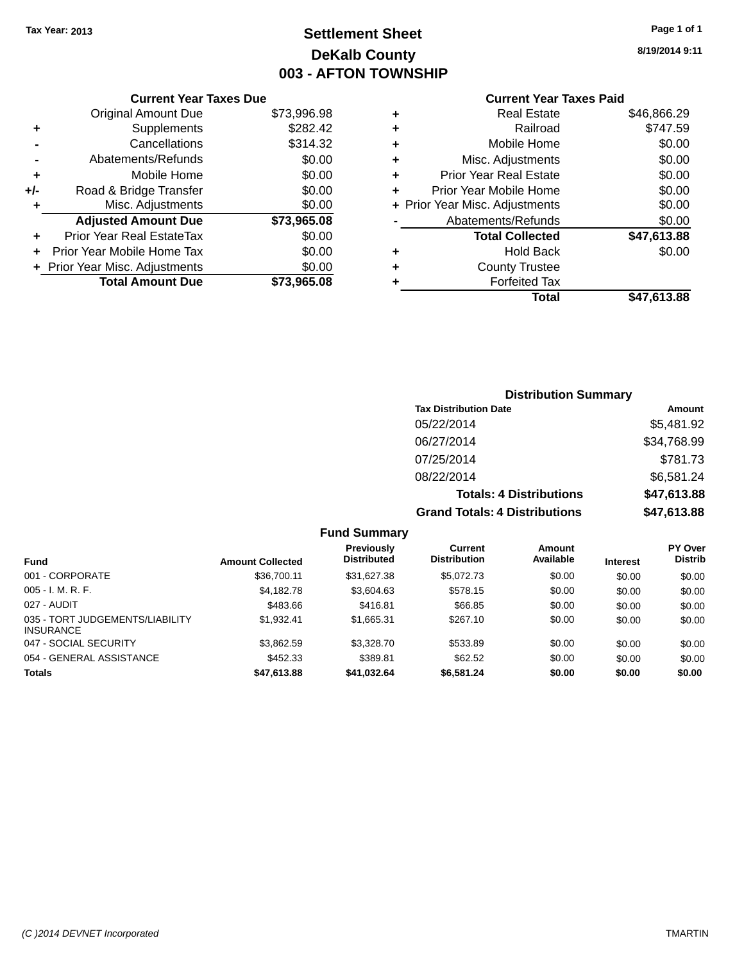# **Settlement Sheet Tax Year: 2013 Page 1 of 1 DeKalb County 003 - AFTON TOWNSHIP**

**8/19/2014 9:11**

|     | <b>Current Year Taxes Due</b>  |             |
|-----|--------------------------------|-------------|
|     | Original Amount Due            | \$73,996.98 |
| ٠   | Supplements                    | \$282.42    |
|     | Cancellations                  | \$314.32    |
|     | Abatements/Refunds             | \$0.00      |
| ٠   | Mobile Home                    | \$0.00      |
| +/- | Road & Bridge Transfer         | \$0.00      |
| ٠   | Misc. Adjustments              | \$0.00      |
|     | <b>Adjusted Amount Due</b>     | \$73,965.08 |
| ٠   | Prior Year Real EstateTax      | \$0.00      |
| ÷   | Prior Year Mobile Home Tax     | \$0.00      |
|     | + Prior Year Misc. Adjustments | \$0.00      |
|     | <b>Total Amount Due</b>        | \$73,965.08 |
|     |                                |             |

### **Current Year Taxes Paid +** Real Estate \$46,866.29 **+** Railroad \$747.59 **+** Mobile Home \$0.00 **+** Misc. Adjustments \$0.00 **+** Prior Year Real Estate \$0.00 **+** Prior Year Mobile Home \$0.00

|                      | Total                          | \$47,613.88 |
|----------------------|--------------------------------|-------------|
| ÷                    | <b>Forfeited Tax</b>           |             |
|                      | <b>County Trustee</b>          |             |
| $\ddot{\phantom{1}}$ | <b>Hold Back</b>               | \$0.00      |
|                      | <b>Total Collected</b>         | \$47,613.88 |
|                      | Abatements/Refunds             | \$0.00      |
|                      | + Prior Year Misc. Adjustments | \$0.00      |

# **Distribution Summary Tax Distribution Date Amount** 05/22/2014 \$5,481.92 06/27/2014 \$34,768.99 07/25/2014 \$781.73 08/22/2014 \$6,581.24 **Totals: 4 Distributions \$47,613.88 Grand Totals: 4 Distributions \$47,613.88**

#### **Fund Summary Fund Interest Amount Collected Distributed PY Over Distrib Amount Available Current Distribution Previously** 001 - CORPORATE \$36,700.11 \$31,627.38 \$5,072.73 \$0.00 \$0.00 \$0.00 005 - I. M. R. F. \$4,182.78 \$3,604.63 \$578.15 \$0.00 \$0.00 \$0.00 027 - AUDIT \$483.66 \$416.81 \$66.85 \$0.00 \$0.00 \$0.00 035 - TORT JUDGEMENTS/LIABILITY INSURANCE \$1,932.41 \$1,665.31 \$267.10 \$0.00 \$0.00 \$0.00 047 - SOCIAL SECURITY 63,362.59 \$3,328.70 \$533.89 \$0.00 \$0.00 \$0.00 \$0.00 054 - GENERAL ASSISTANCE \$452.33 \$389.81 \$62.52 \$0.00 \$0.00 \$0.00 **Totals \$47,613.88 \$41,032.64 \$6,581.24 \$0.00 \$0.00 \$0.00**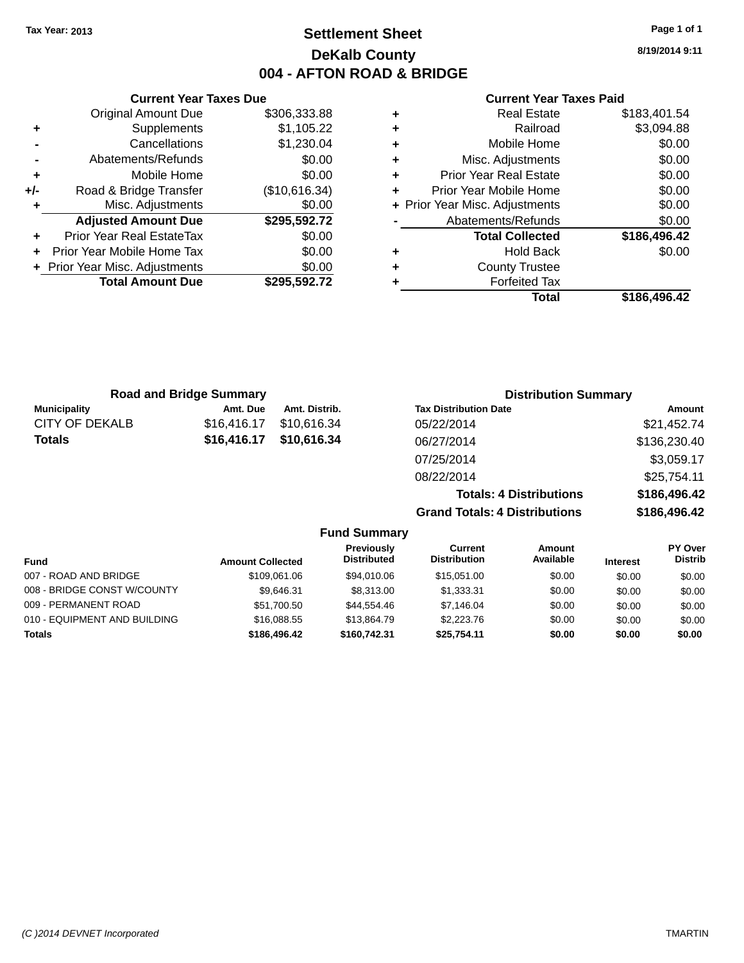# **Settlement Sheet Tax Year: 2013 Page 1 of 1 DeKalb County 004 - AFTON ROAD & BRIDGE**

**Current Year Taxes Due** Original Amount Due \$306,333.88 **+** Supplements \$1,105.22 **-** Cancellations \$1,230.04 **-** Abatements/Refunds \$0.00 **+** Mobile Home \$0.00 **+/-** Road & Bridge Transfer (\$10,616.34) **+** Misc. Adjustments \$0.00 **Adjusted Amount Due \$295,592.72 +** Prior Year Real EstateTax \$0.00 **+** Prior Year Mobile Home Tax \$0.00 **+** Prior Year Misc. Adjustments  $$0.00$ **Total Amount Due \$295,592.72**

### **Current Year Taxes Paid**

| ٠ | <b>Real Estate</b>             | \$183,401.54 |
|---|--------------------------------|--------------|
| ٠ | Railroad                       | \$3,094.88   |
| ٠ | Mobile Home                    | \$0.00       |
| ٠ | Misc. Adjustments              | \$0.00       |
| ٠ | <b>Prior Year Real Estate</b>  | \$0.00       |
| ٠ | Prior Year Mobile Home         | \$0.00       |
|   | + Prior Year Misc. Adjustments | \$0.00       |
|   | Abatements/Refunds             | \$0.00       |
|   | <b>Total Collected</b>         | \$186,496.42 |
| ٠ | <b>Hold Back</b>               | \$0.00       |
| ٠ | <b>County Trustee</b>          |              |
| ٠ | <b>Forfeited Tax</b>           |              |
|   | Total                          | \$186,496.42 |
|   |                                |              |

**Totals: 4 Distributions \$186,496.42**

**Grand Totals: 4 Distributions \$186,496.42**

| <b>Road and Bridge Summary</b> |             | <b>Distribution Summary</b> |                              |              |
|--------------------------------|-------------|-----------------------------|------------------------------|--------------|
| <b>Municipality</b>            | Amt. Due    | Amt. Distrib.               | <b>Tax Distribution Date</b> | Amount       |
| CITY OF DEKALB                 | \$16.416.17 | \$10,616.34                 | 05/22/2014                   | \$21,452.74  |
| <b>Totals</b>                  | \$16,416.17 | \$10,616.34                 | 06/27/2014                   | \$136,230.40 |
|                                |             |                             | 07/25/2014                   | \$3,059.17   |
|                                |             |                             | 08/22/2014                   | \$25,754.11  |

**Fund Summary Fund Interest Amount Collected Distributed PY Over Distrib Amount Available Current Distribution Previously** 007 - ROAD AND BRIDGE \$109,061.06 \$109,061.06 \$94,010.06 \$15,051.00 \$0.00 \$0.00 \$0.00 008 - BRIDGE CONST W/COUNTY  $$9,646.31$   $$8,313.00$   $$1,333.31$   $$0.00$   $$0.00$   $$0.00$ 009 - PERMANENT ROAD \$1,700.50 \$44,554.46 \$7,146.04 \$0.00 \$0.00 \$0.00 010 - EQUIPMENT AND BUILDING \$16,088.55 \$13,864.79 \$2,223.76 \$0.00 \$0.00 \$0.00 **Totals \$186,496.42 \$160,742.31 \$25,754.11 \$0.00 \$0.00 \$0.00**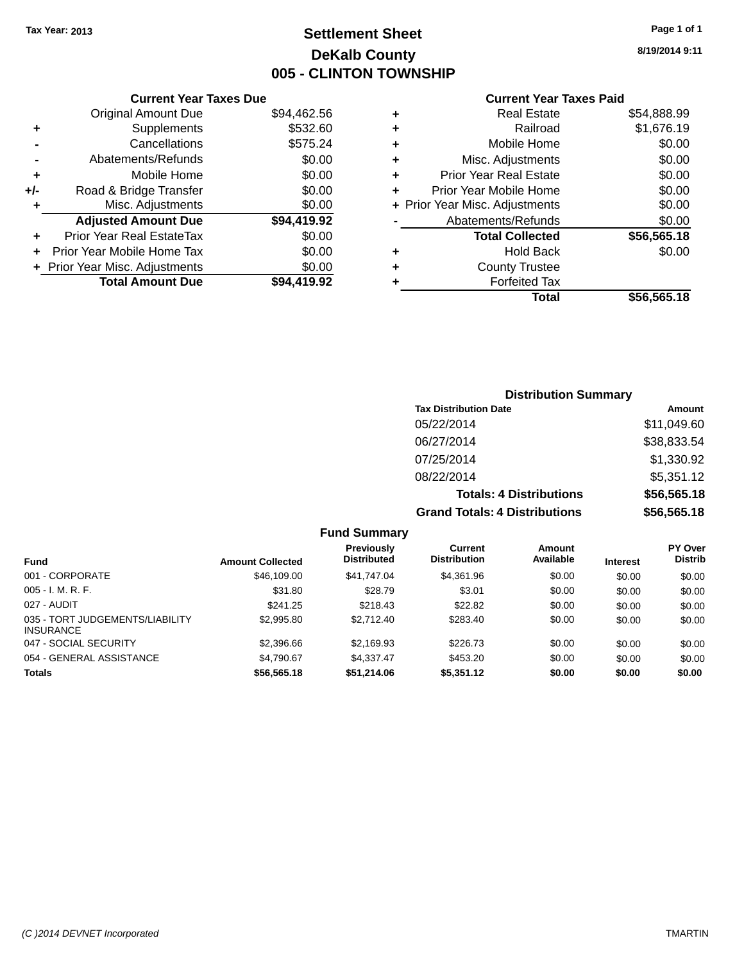# **Settlement Sheet Tax Year: 2013 Page 1 of 1 DeKalb County 005 - CLINTON TOWNSHIP**

**8/19/2014 9:11**

| <b>Current Year Taxes Paid</b> |  |  |  |
|--------------------------------|--|--|--|
|--------------------------------|--|--|--|

|     | <b>Current Year Taxes Due</b>  |             |
|-----|--------------------------------|-------------|
|     | <b>Original Amount Due</b>     | \$94,462.56 |
| ٠   | Supplements                    | \$532.60    |
|     | Cancellations                  | \$575.24    |
|     | Abatements/Refunds             | \$0.00      |
| ٠   | Mobile Home                    | \$0.00      |
| +/- | Road & Bridge Transfer         | \$0.00      |
| ٠   | Misc. Adjustments              | \$0.00      |
|     | <b>Adjusted Amount Due</b>     | \$94,419.92 |
| ٠   | Prior Year Real EstateTax      | \$0.00      |
|     | Prior Year Mobile Home Tax     | \$0.00      |
|     | + Prior Year Misc. Adjustments | \$0.00      |
|     | <b>Total Amount Due</b>        | \$94.419.92 |
|     |                                |             |

|   | <b>Real Estate</b>             | \$54,888.99 |
|---|--------------------------------|-------------|
| ٠ | Railroad                       | \$1,676.19  |
| ٠ | Mobile Home                    | \$0.00      |
| ٠ | Misc. Adjustments              | \$0.00      |
| ٠ | <b>Prior Year Real Estate</b>  | \$0.00      |
| ÷ | Prior Year Mobile Home         | \$0.00      |
|   | + Prior Year Misc. Adjustments | \$0.00      |
|   | Abatements/Refunds             | \$0.00      |
|   | <b>Total Collected</b>         | \$56,565.18 |
| ٠ | Hold Back                      | \$0.00      |
| ٠ | <b>County Trustee</b>          |             |
| ٠ | <b>Forfeited Tax</b>           |             |
|   | Total                          | \$56,565.18 |
|   |                                |             |

| <b>Distribution Summary</b>          |             |
|--------------------------------------|-------------|
| <b>Tax Distribution Date</b>         | Amount      |
| 05/22/2014                           | \$11,049.60 |
| 06/27/2014                           | \$38,833.54 |
| 07/25/2014                           | \$1,330.92  |
| 08/22/2014                           | \$5,351.12  |
| <b>Totals: 4 Distributions</b>       | \$56,565.18 |
| <b>Grand Totals: 4 Distributions</b> | \$56,565.18 |

| <b>Fund</b>                                         | <b>Amount Collected</b> | <b>Previously</b><br><b>Distributed</b> | Current<br><b>Distribution</b> | Amount<br>Available | <b>Interest</b> | <b>PY Over</b><br><b>Distrib</b> |
|-----------------------------------------------------|-------------------------|-----------------------------------------|--------------------------------|---------------------|-----------------|----------------------------------|
| 001 - CORPORATE                                     | \$46,109.00             | \$41.747.04                             | \$4.361.96                     | \$0.00              | \$0.00          | \$0.00                           |
| $005 - I. M. R. F.$                                 | \$31.80                 | \$28.79                                 | \$3.01                         | \$0.00              | \$0.00          | \$0.00                           |
| 027 - AUDIT                                         | \$241.25                | \$218.43                                | \$22.82                        | \$0.00              | \$0.00          | \$0.00                           |
| 035 - TORT JUDGEMENTS/LIABILITY<br><b>INSURANCE</b> | \$2,995.80              | \$2,712.40                              | \$283.40                       | \$0.00              | \$0.00          | \$0.00                           |
| 047 - SOCIAL SECURITY                               | \$2,396.66              | \$2,169.93                              | \$226.73                       | \$0.00              | \$0.00          | \$0.00                           |
| 054 - GENERAL ASSISTANCE                            | \$4,790.67              | \$4.337.47                              | \$453.20                       | \$0.00              | \$0.00          | \$0.00                           |
| <b>Totals</b>                                       | \$56,565.18             | \$51,214.06                             | \$5,351.12                     | \$0.00              | \$0.00          | \$0.00                           |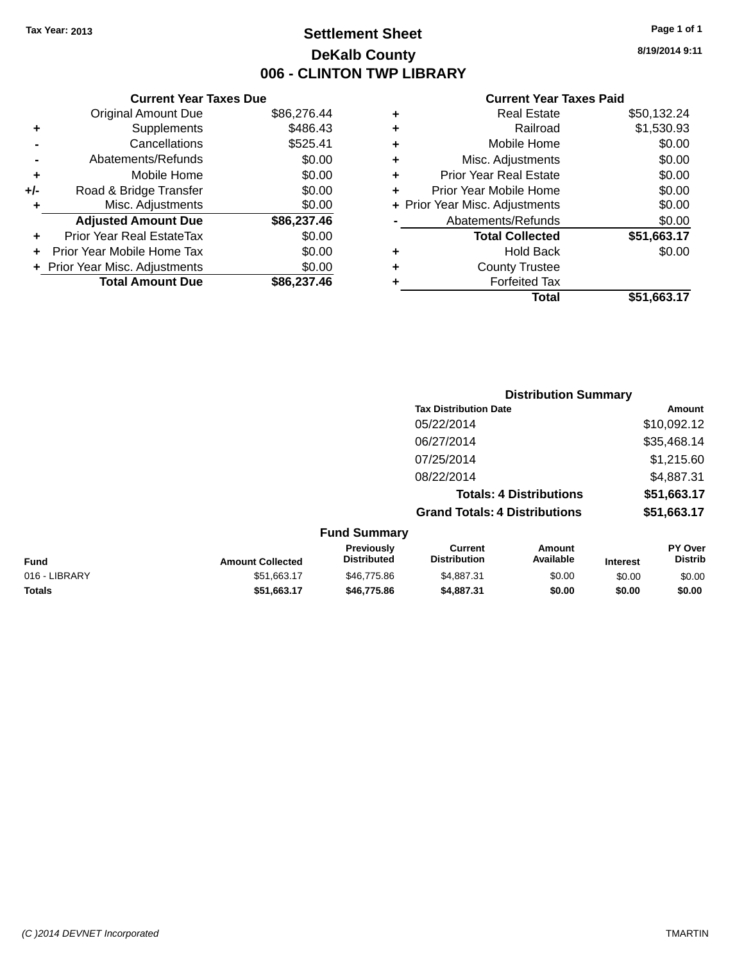# **Settlement Sheet Tax Year: 2013 Page 1 of 1 DeKalb County 006 - CLINTON TWP LIBRARY**

**8/19/2014 9:11**

### **Current Year Taxes Paid**

| \$525.41<br>\$0.00<br>\$0.00<br>\$0.00<br>\$0.00<br>\$86,237.46<br>\$0.00<br>\$0.00<br>\$0.00<br>\$86,237.46 |
|--------------------------------------------------------------------------------------------------------------|

|   | <b>Real Estate</b>             | \$50,132.24 |
|---|--------------------------------|-------------|
| ٠ | Railroad                       | \$1,530.93  |
| ٠ | Mobile Home                    | \$0.00      |
| ٠ | Misc. Adjustments              | \$0.00      |
| ٠ | <b>Prior Year Real Estate</b>  | \$0.00      |
| ٠ | Prior Year Mobile Home         | \$0.00      |
|   | + Prior Year Misc. Adjustments | \$0.00      |
|   | Abatements/Refunds             | \$0.00      |
|   | <b>Total Collected</b>         | \$51,663.17 |
| ٠ | <b>Hold Back</b>               | \$0.00      |
|   | <b>County Trustee</b>          |             |
| ٠ | <b>Forfeited Tax</b>           |             |
|   | Total                          | \$51,663.17 |
|   |                                |             |

|               |                         |                                  | <b>Distribution Summary</b>           |                                |                 |                           |
|---------------|-------------------------|----------------------------------|---------------------------------------|--------------------------------|-----------------|---------------------------|
|               |                         |                                  | <b>Tax Distribution Date</b>          |                                |                 | Amount                    |
|               |                         |                                  | 05/22/2014                            |                                |                 | \$10,092.12               |
|               |                         |                                  | 06/27/2014                            |                                | \$35,468.14     |                           |
|               |                         |                                  | 07/25/2014                            |                                | \$1,215.60      |                           |
|               |                         |                                  | 08/22/2014                            |                                | \$4,887.31      |                           |
|               |                         |                                  |                                       | <b>Totals: 4 Distributions</b> |                 | \$51,663.17               |
|               |                         |                                  | <b>Grand Totals: 4 Distributions</b>  |                                |                 | \$51,663.17               |
|               |                         | <b>Fund Summary</b>              |                                       |                                |                 |                           |
| <b>Fund</b>   | <b>Amount Collected</b> | Previously<br><b>Distributed</b> | <b>Current</b><br><b>Distribution</b> | <b>Amount</b><br>Available     | <b>Interest</b> | PY Over<br><b>Distrib</b> |
| 016 - LIBRARY | \$51,663.17             | \$46,775.86                      | \$4.887.31                            | \$0.00                         | \$0.00          | \$0.00                    |

**Totals \$51,663.17 \$46,775.86 \$4,887.31 \$0.00 \$0.00 \$0.00**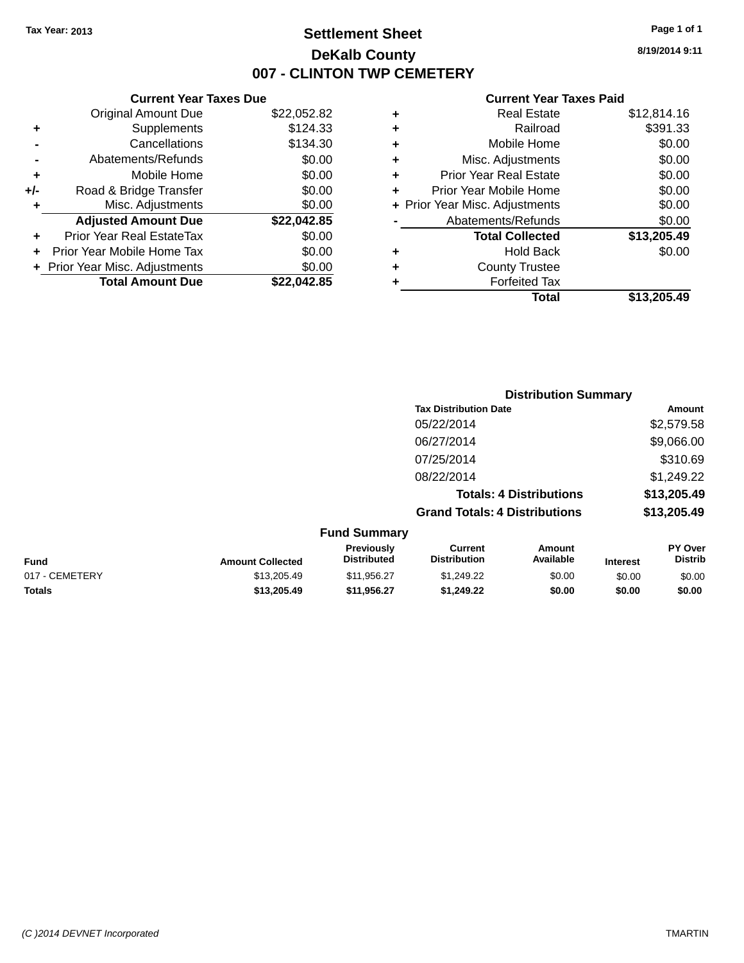# **Settlement Sheet Tax Year: 2013 Page 1 of 1 DeKalb County 007 - CLINTON TWP CEMETERY**

**8/19/2014 9:11**

|     | <b>Current Year Taxes Due</b>  |             |  |  |  |  |  |
|-----|--------------------------------|-------------|--|--|--|--|--|
|     | <b>Original Amount Due</b>     | \$22,052.82 |  |  |  |  |  |
| ٠   | Supplements                    | \$124.33    |  |  |  |  |  |
|     | Cancellations                  | \$134.30    |  |  |  |  |  |
|     | Abatements/Refunds             | \$0.00      |  |  |  |  |  |
| ٠   | Mobile Home                    | \$0.00      |  |  |  |  |  |
| +/- | Road & Bridge Transfer         | \$0.00      |  |  |  |  |  |
| ٠   | Misc. Adjustments              | \$0.00      |  |  |  |  |  |
|     | <b>Adjusted Amount Due</b>     | \$22,042.85 |  |  |  |  |  |
|     | Prior Year Real EstateTax      | \$0.00      |  |  |  |  |  |
|     | Prior Year Mobile Home Tax     | \$0.00      |  |  |  |  |  |
|     | + Prior Year Misc. Adjustments | \$0.00      |  |  |  |  |  |
|     | <b>Total Amount Due</b>        | \$22.042.85 |  |  |  |  |  |
|     |                                |             |  |  |  |  |  |

|   | <b>Real Estate</b>             | \$12,814.16 |
|---|--------------------------------|-------------|
| ٠ | Railroad                       | \$391.33    |
| ٠ | Mobile Home                    | \$0.00      |
| ٠ | Misc. Adjustments              | \$0.00      |
| ٠ | <b>Prior Year Real Estate</b>  | \$0.00      |
| ٠ | Prior Year Mobile Home         | \$0.00      |
|   | + Prior Year Misc. Adjustments | \$0.00      |
|   | Abatements/Refunds             | \$0.00      |
|   | <b>Total Collected</b>         | \$13,205.49 |
| ٠ | <b>Hold Back</b>               | \$0.00      |
| ٠ | <b>County Trustee</b>          |             |
|   | <b>Forfeited Tax</b>           |             |
|   | Total                          | \$13,205,49 |
|   |                                |             |

|                     |                                      | <b>Distribution Summary</b>    |                |
|---------------------|--------------------------------------|--------------------------------|----------------|
|                     | <b>Tax Distribution Date</b>         |                                | Amount         |
|                     | 05/22/2014                           |                                | \$2,579.58     |
|                     | 06/27/2014                           |                                | \$9,066.00     |
|                     | 07/25/2014                           |                                | \$310.69       |
|                     | 08/22/2014                           |                                | \$1,249.22     |
|                     |                                      | <b>Totals: 4 Distributions</b> | \$13,205.49    |
|                     | <b>Grand Totals: 4 Distributions</b> |                                | \$13,205.49    |
| <b>Fund Summary</b> |                                      |                                |                |
| Previously          | Current                              | Amount                         | <b>PY Over</b> |

| Fund           | <b>Amount Collected</b> | <b>Previously</b><br><b>Distributed</b> | Current<br><b>Distribution</b> | Amount<br>Available | <b>Interest</b> | PY Over<br>Distrib |
|----------------|-------------------------|-----------------------------------------|--------------------------------|---------------------|-----------------|--------------------|
| 017 - CEMETERY | \$13,205.49             | \$11.956.27                             | \$1,249.22                     | \$0.00              | \$0.00          | \$0.00             |
| <b>Totals</b>  | \$13,205,49             | \$11.956.27                             | \$1.249.22                     | \$0.00              | \$0.00          | \$0.00             |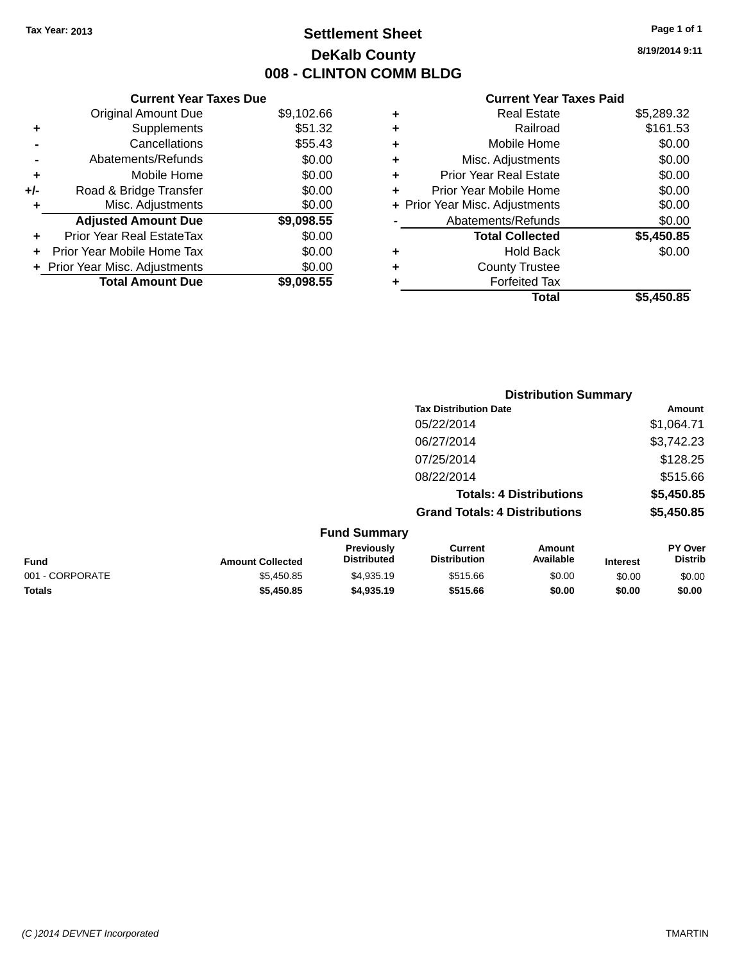# **Settlement Sheet Tax Year: 2013 Page 1 of 1 DeKalb County 008 - CLINTON COMM BLDG**

**8/19/2014 9:11**

|     | <b>Current Year Taxes Due</b>  |            |
|-----|--------------------------------|------------|
|     | <b>Original Amount Due</b>     | \$9,102.66 |
| ٠   | Supplements                    | \$51.32    |
|     | Cancellations                  | \$55.43    |
|     | Abatements/Refunds             | \$0.00     |
| ٠   | Mobile Home                    | \$0.00     |
| +/- | Road & Bridge Transfer         | \$0.00     |
| ٠   | Misc. Adjustments              | \$0.00     |
|     | <b>Adjusted Amount Due</b>     | \$9,098.55 |
| ÷   | Prior Year Real EstateTax      | \$0.00     |
| ÷   | Prior Year Mobile Home Tax     | \$0.00     |
|     | + Prior Year Misc. Adjustments | \$0.00     |
|     | <b>Total Amount Due</b>        | \$9,098.55 |

|   | Real Estate                    | \$5,289.32 |
|---|--------------------------------|------------|
| ٠ | Railroad                       | \$161.53   |
| ٠ | Mobile Home                    | \$0.00     |
| ٠ | Misc. Adjustments              | \$0.00     |
| ٠ | <b>Prior Year Real Estate</b>  | \$0.00     |
| ÷ | Prior Year Mobile Home         | \$0.00     |
|   | + Prior Year Misc. Adjustments | \$0.00     |
|   | Abatements/Refunds             | \$0.00     |
|   | <b>Total Collected</b>         | \$5,450.85 |
| ٠ | Hold Back                      | \$0.00     |
|   | <b>County Trustee</b>          |            |
| ٠ | <b>Forfeited Tax</b>           |            |
|   | Total                          | \$5,450.85 |
|   |                                |            |

|                 |                         |                                  | <b>Distribution Summary</b>           |                                |                 |                           |
|-----------------|-------------------------|----------------------------------|---------------------------------------|--------------------------------|-----------------|---------------------------|
|                 |                         |                                  | <b>Tax Distribution Date</b>          |                                |                 | Amount                    |
|                 |                         |                                  | 05/22/2014                            |                                |                 | \$1,064.71                |
|                 |                         |                                  | 06/27/2014                            |                                |                 | \$3,742.23                |
|                 |                         |                                  | 07/25/2014                            |                                |                 | \$128.25                  |
|                 |                         |                                  | 08/22/2014                            |                                |                 | \$515.66                  |
|                 |                         |                                  |                                       | <b>Totals: 4 Distributions</b> |                 | \$5,450.85                |
|                 |                         |                                  | <b>Grand Totals: 4 Distributions</b>  |                                |                 | \$5,450.85                |
|                 |                         | <b>Fund Summary</b>              |                                       |                                |                 |                           |
| <b>Fund</b>     | <b>Amount Collected</b> | Previously<br><b>Distributed</b> | <b>Current</b><br><b>Distribution</b> | Amount<br>Available            | <b>Interest</b> | PY Over<br><b>Distrib</b> |
| 001 - CORPORATE | \$5,450.85              | \$4,935.19                       | \$515.66                              | \$0.00                         | \$0.00          | \$0.00                    |
| <b>Totals</b>   | \$5,450.85              | \$4,935.19                       | \$515.66                              | \$0.00                         | \$0.00          | \$0.00                    |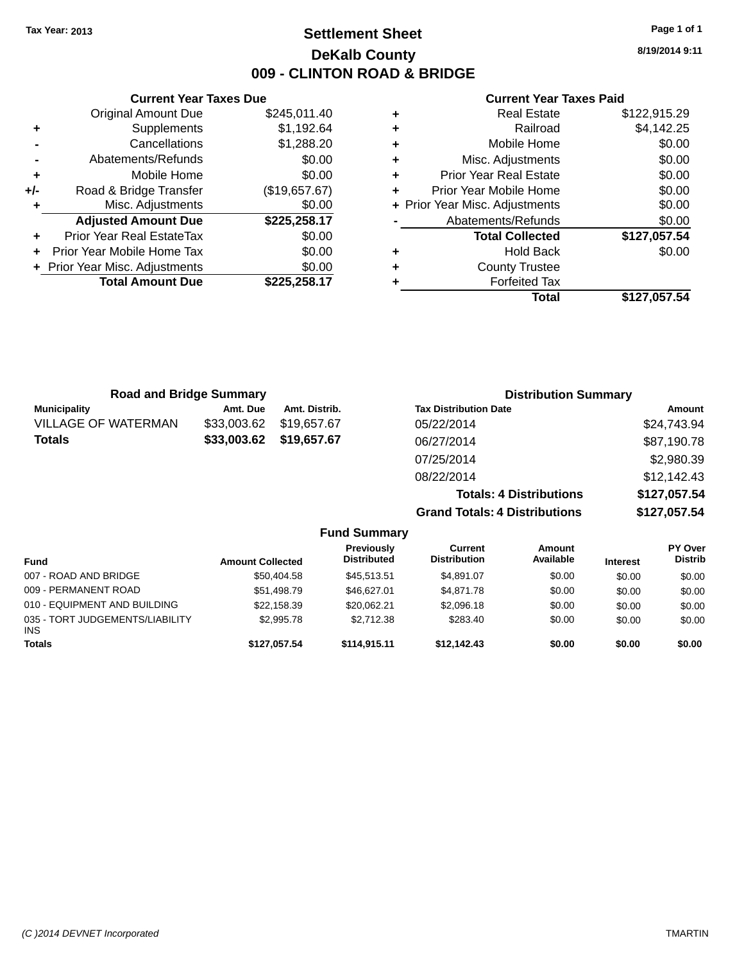# **Settlement Sheet Tax Year: 2013 Page 1 of 1 DeKalb County 009 - CLINTON ROAD & BRIDGE**

**8/19/2014 9:11**

|     | <b>Current Year Taxes Due</b>              |               |  |  |  |  |  |
|-----|--------------------------------------------|---------------|--|--|--|--|--|
|     | \$245,011.40<br><b>Original Amount Due</b> |               |  |  |  |  |  |
| ٠   | Supplements                                | \$1,192.64    |  |  |  |  |  |
|     | Cancellations                              | \$1,288.20    |  |  |  |  |  |
|     | Abatements/Refunds                         | \$0.00        |  |  |  |  |  |
| ٠   | \$0.00<br>Mobile Home                      |               |  |  |  |  |  |
| +/- | Road & Bridge Transfer                     | (\$19,657.67) |  |  |  |  |  |
|     | Misc. Adjustments                          | \$0.00        |  |  |  |  |  |
|     | <b>Adjusted Amount Due</b>                 | \$225,258.17  |  |  |  |  |  |
| ٠   | Prior Year Real EstateTax                  | \$0.00        |  |  |  |  |  |
|     | Prior Year Mobile Home Tax                 | \$0.00        |  |  |  |  |  |
|     | + Prior Year Misc. Adjustments             | \$0.00        |  |  |  |  |  |
|     | <b>Total Amount Due</b>                    | \$225,258.17  |  |  |  |  |  |
|     |                                            |               |  |  |  |  |  |

|   | <b>Real Estate</b>             | \$122,915.29 |
|---|--------------------------------|--------------|
| ٠ | Railroad                       | \$4,142.25   |
| ÷ | Mobile Home                    | \$0.00       |
| ٠ | Misc. Adjustments              | \$0.00       |
| ٠ | <b>Prior Year Real Estate</b>  | \$0.00       |
| ÷ | Prior Year Mobile Home         | \$0.00       |
|   | + Prior Year Misc. Adjustments | \$0.00       |
|   | Abatements/Refunds             | \$0.00       |
|   | <b>Total Collected</b>         | \$127,057.54 |
| ٠ | <b>Hold Back</b>               | \$0.00       |
| ٠ | <b>County Trustee</b>          |              |
|   | <b>Forfeited Tax</b>           |              |
|   | Total                          | \$127,057.54 |

| <b>Road and Bridge Summary</b> |             |               | <b>Distribution Summary</b>          |              |  |
|--------------------------------|-------------|---------------|--------------------------------------|--------------|--|
| <b>Municipality</b>            | Amt. Due    | Amt. Distrib. | <b>Tax Distribution Date</b>         | Amount       |  |
| <b>VILLAGE OF WATERMAN</b>     | \$33,003.62 | \$19.657.67   | 05/22/2014                           | \$24,743.94  |  |
| <b>Totals</b>                  | \$33,003.62 | \$19,657.67   | 06/27/2014                           | \$87,190.78  |  |
|                                |             |               | 07/25/2014                           | \$2,980.39   |  |
|                                |             |               | 08/22/2014                           | \$12,142.43  |  |
|                                |             |               | <b>Totals: 4 Distributions</b>       | \$127,057.54 |  |
|                                |             |               | <b>Grand Totals: 4 Distributions</b> | \$127,057.54 |  |

|                                         |                         | <b>Fund Summary</b>              |                                       |                     |                 |                                  |
|-----------------------------------------|-------------------------|----------------------------------|---------------------------------------|---------------------|-----------------|----------------------------------|
| <b>Fund</b>                             | <b>Amount Collected</b> | Previously<br><b>Distributed</b> | <b>Current</b><br><b>Distribution</b> | Amount<br>Available | <b>Interest</b> | <b>PY Over</b><br><b>Distrib</b> |
| 007 - ROAD AND BRIDGE                   | \$50.404.58             | \$45,513,51                      | \$4.891.07                            | \$0.00              | \$0.00          | \$0.00                           |
| 009 - PERMANENT ROAD                    | \$51,498.79             | \$46,627,01                      | \$4.871.78                            | \$0.00              | \$0.00          | \$0.00                           |
| 010 - EQUIPMENT AND BUILDING            | \$22,158.39             | \$20.062.21                      | \$2,096.18                            | \$0.00              | \$0.00          | \$0.00                           |
| 035 - TORT JUDGEMENTS/LIABILITY<br>INS. | \$2,995.78              | \$2,712.38                       | \$283.40                              | \$0.00              | \$0.00          | \$0.00                           |
| <b>Totals</b>                           | \$127.057.54            | \$114,915.11                     | \$12.142.43                           | \$0.00              | \$0.00          | \$0.00                           |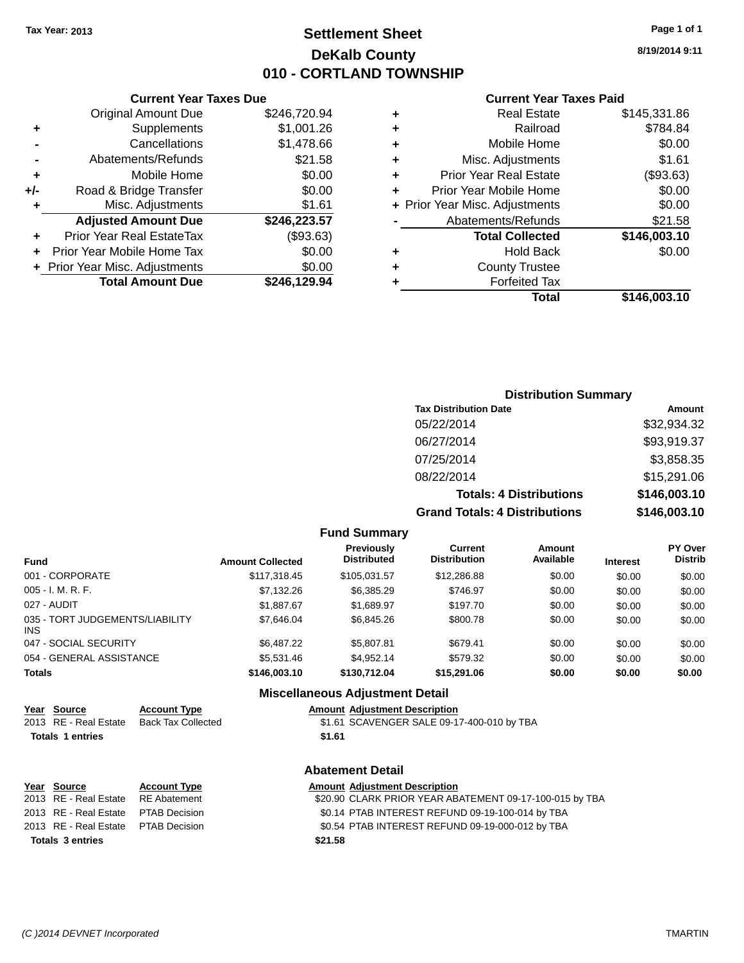# **Settlement Sheet Tax Year: 2013 Page 1 of 1 DeKalb County 010 - CORTLAND TOWNSHIP**

**8/19/2014 9:11**

### **Current Year Taxes Paid**

| ٠ | Total                                         | \$146,003.10 |
|---|-----------------------------------------------|--------------|
| ٠ | <b>County Trustee</b><br><b>Forfeited Tax</b> |              |
| ٠ |                                               |              |
|   | <b>Hold Back</b>                              | \$0.00       |
|   | <b>Total Collected</b>                        | \$146,003.10 |
|   | Abatements/Refunds                            | \$21.58      |
|   | + Prior Year Misc. Adjustments                | \$0.00       |
| ٠ | Prior Year Mobile Home                        | \$0.00       |
| ٠ | <b>Prior Year Real Estate</b>                 | (\$93.63)    |
| ٠ | Misc. Adjustments                             | \$1.61       |
| ٠ | Mobile Home                                   | \$0.00       |
| ٠ | Railroad                                      | \$784.84     |
| ٠ | <b>Real Estate</b>                            | \$145,331.86 |
|   |                                               |              |

|     | <b>Current Year Taxes Due</b>  |              |
|-----|--------------------------------|--------------|
|     | <b>Original Amount Due</b>     | \$246,720.94 |
| ٠   | Supplements                    | \$1,001.26   |
|     | Cancellations                  | \$1,478.66   |
|     | Abatements/Refunds             | \$21.58      |
| ٠   | Mobile Home                    | \$0.00       |
| +/- | Road & Bridge Transfer         | \$0.00       |
| ٠   | Misc. Adjustments              | \$1.61       |
|     | <b>Adjusted Amount Due</b>     | \$246,223.57 |
|     | Prior Year Real EstateTax      | (\$93.63)    |
|     | Prior Year Mobile Home Tax     | \$0.00       |
|     | + Prior Year Misc. Adjustments | \$0.00       |
|     | <b>Total Amount Due</b>        | \$246.129.94 |

| <b>Distribution Summary</b>          |              |  |  |  |
|--------------------------------------|--------------|--|--|--|
| <b>Tax Distribution Date</b>         | Amount       |  |  |  |
| 05/22/2014                           | \$32,934.32  |  |  |  |
| 06/27/2014                           | \$93,919.37  |  |  |  |
| 07/25/2014                           | \$3,858.35   |  |  |  |
| 08/22/2014                           | \$15,291.06  |  |  |  |
| <b>Totals: 4 Distributions</b>       | \$146,003.10 |  |  |  |
| <b>Grand Totals: 4 Distributions</b> | \$146,003.10 |  |  |  |

### **Fund Summary**

| <b>Fund</b>                            | <b>Amount Collected</b> | <b>Previously</b><br><b>Distributed</b> | Current<br><b>Distribution</b> | Amount<br>Available | <b>Interest</b> | <b>PY Over</b><br><b>Distrib</b> |
|----------------------------------------|-------------------------|-----------------------------------------|--------------------------------|---------------------|-----------------|----------------------------------|
| 001 - CORPORATE                        | \$117,318.45            | \$105.031.57                            | \$12,286.88                    | \$0.00              | \$0.00          | \$0.00                           |
| 005 - I. M. R. F.                      | \$7,132.26              | \$6,385.29                              | \$746.97                       | \$0.00              | \$0.00          | \$0.00                           |
| 027 - AUDIT                            | \$1.887.67              | \$1.689.97                              | \$197.70                       | \$0.00              | \$0.00          | \$0.00                           |
| 035 - TORT JUDGEMENTS/LIABILITY<br>INS | \$7,646.04              | \$6,845.26                              | \$800.78                       | \$0.00              | \$0.00          | \$0.00                           |
| 047 - SOCIAL SECURITY                  | \$6,487.22              | \$5,807.81                              | \$679.41                       | \$0.00              | \$0.00          | \$0.00                           |
| 054 - GENERAL ASSISTANCE               | \$5,531.46              | \$4.952.14                              | \$579.32                       | \$0.00              | \$0.00          | \$0.00                           |
| <b>Totals</b>                          | \$146,003.10            | \$130,712.04                            | \$15,291.06                    | \$0.00              | \$0.00          | \$0.00                           |

### **Miscellaneous Adjustment Detail**

| Year Source           | <b>Account Type</b> |        | <b>Amount Adiustment Description</b>       |
|-----------------------|---------------------|--------|--------------------------------------------|
| 2013 RE - Real Estate | Back Tax Collected  |        | \$1.61 SCAVENGER SALE 09-17-400-010 by TBA |
| Totals 1 entries      |                     | \$1.61 |                                            |

|             |                         |                                     | <b>Abatement Detail</b>                                 |
|-------------|-------------------------|-------------------------------------|---------------------------------------------------------|
| Year Source |                         | <b>Account Type</b>                 | <b>Amount Adjustment Description</b>                    |
|             |                         | 2013 RE - Real Estate RE Abatement  | \$20.90 CLARK PRIOR YEAR ABATEMENT 09-17-100-015 by TBA |
|             | 2013 RE - Real Estate   | PTAB Decision                       | \$0.14 PTAB INTEREST REFUND 09-19-100-014 by TBA        |
|             |                         | 2013 RE - Real Estate PTAB Decision | \$0.54 PTAB INTEREST REFUND 09-19-000-012 by TBA        |
|             | <b>Totals 3 entries</b> |                                     | \$21.58                                                 |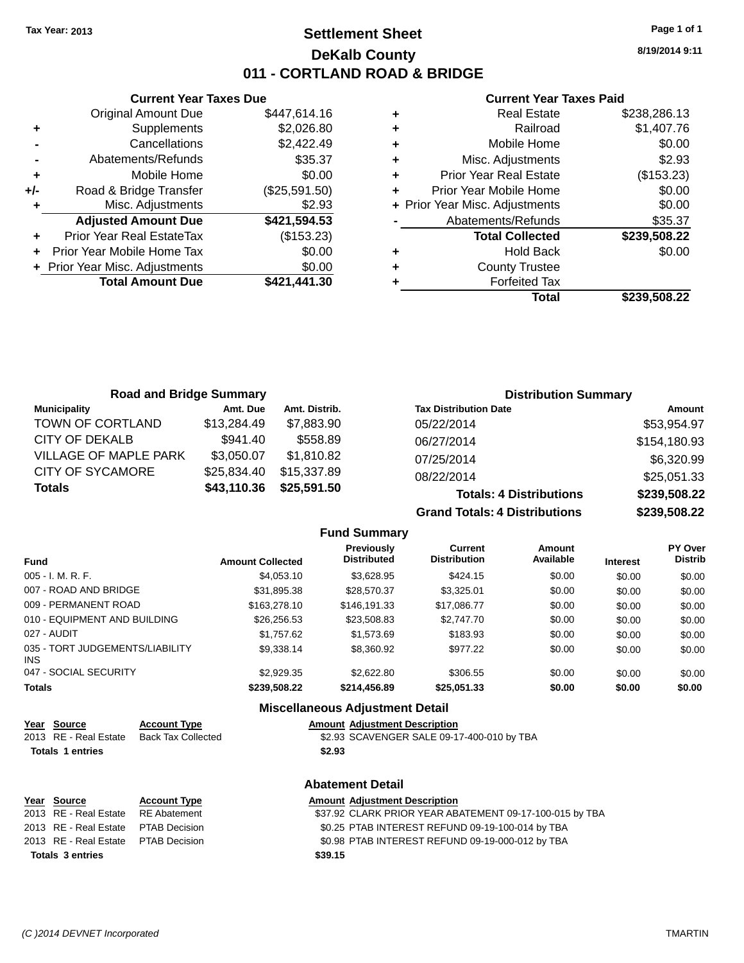# **Settlement Sheet Tax Year: 2013 Page 1 of 1 DeKalb County 011 - CORTLAND ROAD & BRIDGE**

**8/19/2014 9:11**

### **Current Year Taxes Paid**

|     | <b>Current Year Taxes Due</b>  |               |
|-----|--------------------------------|---------------|
|     | <b>Original Amount Due</b>     | \$447,614.16  |
| ٠   | Supplements                    | \$2,026.80    |
|     | Cancellations                  | \$2,422.49    |
|     | Abatements/Refunds             | \$35.37       |
| ٠   | Mobile Home                    | \$0.00        |
| +/- | Road & Bridge Transfer         | (\$25,591.50) |
| ٠   | Misc. Adjustments              | \$2.93        |
|     | <b>Adjusted Amount Due</b>     | \$421,594.53  |
| ٠   | Prior Year Real EstateTax      | (\$153.23)    |
|     | Prior Year Mobile Home Tax     | \$0.00        |
|     | + Prior Year Misc. Adjustments | \$0.00        |
|     | <b>Total Amount Due</b>        | \$421,441.30  |
|     |                                |               |

|   | <b>Real Estate</b>             | \$238,286.13 |
|---|--------------------------------|--------------|
| ٠ | Railroad                       | \$1,407.76   |
| ٠ | Mobile Home                    | \$0.00       |
| ٠ | Misc. Adjustments              | \$2.93       |
| ٠ | <b>Prior Year Real Estate</b>  | (\$153.23)   |
| ٠ | Prior Year Mobile Home         | \$0.00       |
|   | + Prior Year Misc. Adjustments | \$0.00       |
|   | Abatements/Refunds             | \$35.37      |
|   | <b>Total Collected</b>         | \$239,508.22 |
| ٠ | <b>Hold Back</b>               | \$0.00       |
| ٠ | <b>County Trustee</b>          |              |
| ٠ | <b>Forfeited Tax</b>           |              |
|   | Total                          | \$239,508.22 |
|   |                                |              |

| <b>Road and Bridge Summary</b> |             |               | <b>Distribution Summary</b>    |              |  |
|--------------------------------|-------------|---------------|--------------------------------|--------------|--|
| <b>Municipality</b>            | Amt. Due    | Amt. Distrib. | <b>Tax Distribution Date</b>   | Amount       |  |
| TOWN OF CORTLAND               | \$13,284.49 | \$7,883.90    | 05/22/2014                     | \$53,954.97  |  |
| CITY OF DEKALB                 | \$941.40    | \$558.89      | 06/27/2014                     | \$154,180.93 |  |
| <b>VILLAGE OF MAPLE PARK</b>   | \$3,050.07  | \$1,810.82    | 07/25/2014                     | \$6,320.99   |  |
| CITY OF SYCAMORE               | \$25,834.40 | \$15,337.89   | 08/22/2014                     | \$25,051.33  |  |
| <b>Totals</b>                  | \$43,110.36 | \$25,591.50   | <b>Totals: 4 Distributions</b> | \$239,508.22 |  |

**Grand Totals: 4 Distributions \$239,508.22**

|                                         |                         |                                         | Gianu Tulais.  + Distributiblis |                     |                 | <b>PLUJ,JUU.</b>                 |
|-----------------------------------------|-------------------------|-----------------------------------------|---------------------------------|---------------------|-----------------|----------------------------------|
|                                         |                         | <b>Fund Summary</b>                     |                                 |                     |                 |                                  |
| <b>Fund</b>                             | <b>Amount Collected</b> | <b>Previously</b><br><b>Distributed</b> | Current<br><b>Distribution</b>  | Amount<br>Available | <b>Interest</b> | <b>PY Over</b><br><b>Distrib</b> |
| $005 - I. M. R. F.$                     | \$4.053.10              | \$3,628.95                              | \$424.15                        | \$0.00              | \$0.00          | \$0.00                           |
| 007 - ROAD AND BRIDGE                   | \$31.895.38             | \$28,570.37                             | \$3.325.01                      | \$0.00              | \$0.00          | \$0.00                           |
| 009 - PERMANENT ROAD                    | \$163,278.10            | \$146.191.33                            | \$17.086.77                     | \$0.00              | \$0.00          | \$0.00                           |
| 010 - EQUIPMENT AND BUILDING            | \$26,256.53             | \$23.508.83                             | \$2,747.70                      | \$0.00              | \$0.00          | \$0.00                           |
| 027 - AUDIT                             | \$1.757.62              | \$1,573.69                              | \$183.93                        | \$0.00              | \$0.00          | \$0.00                           |
| 035 - TORT JUDGEMENTS/LIABILITY<br>INS. | \$9,338.14              | \$8,360.92                              | \$977.22                        | \$0.00              | \$0.00          | \$0.00                           |
| 047 - SOCIAL SECURITY                   | \$2,929.35              | \$2,622.80                              | \$306.55                        | \$0.00              | \$0.00          | \$0.00                           |
| <b>Totals</b>                           | \$239,508.22            | \$214,456.89                            | \$25.051.33                     | \$0.00              | \$0.00          | \$0.00                           |

|                         | <b>Miscellaneous Adjustment Detail</b> |                                            |  |  |  |
|-------------------------|----------------------------------------|--------------------------------------------|--|--|--|
| Year Source             | <b>Account Type</b>                    | <b>Amount Adjustment Description</b>       |  |  |  |
| 2013 RE - Real Estate   | <b>Back Tax Collected</b>              | \$2.93 SCAVENGER SALE 09-17-400-010 by TBA |  |  |  |
| <b>Totals 1 entries</b> |                                        | \$2.93                                     |  |  |  |
|                         |                                        | <b>Abatement Detail</b>                    |  |  |  |

#### **Miscellaneous Adjustment Detail Amount Adiustment Description**

|        | ANDUNIN AGNOSINGIN POSONIDION       |
|--------|-------------------------------------|
|        | \$2.93 SCAVENGER SALE 09-17-400-010 |
| \$2.93 |                                     |

| Year Source                         | <b>Account Type</b> |         | <b>Amount Adjustment Description</b> |
|-------------------------------------|---------------------|---------|--------------------------------------|
|                                     |                     |         |                                      |
| 2013 RE - Real Estate RE Abatement  |                     |         | \$37.92 CLARK PRIOR YEAR AB          |
| 2013 RE - Real Estate PTAB Decision |                     |         | \$0.25 PTAB INTEREST REFUN           |
| 2013 RE - Real Estate PTAB Decision |                     |         | \$0.98 PTAB INTEREST REFUN           |
| <b>Totals 3 entries</b>             |                     | \$39.15 |                                      |

| <u>rear source</u>                   | ACCOUNT TYPE  | Allioulit Aujustinent Description                       |
|--------------------------------------|---------------|---------------------------------------------------------|
| 2013 RE - Real Estate                | RE Abatement  | \$37.92 CLARK PRIOR YEAR ABATEMENT 09-17-100-015 by TBA |
| 2013 RE - Real Estate                | PTAB Decision | \$0.25 PTAB INTEREST REFUND 09-19-100-014 by TBA        |
| 2013 RE - Real Estate  PTAB Decision |               | \$0.98 PTAB INTEREST REFUND 09-19-000-012 by TBA        |
|                                      |               |                                                         |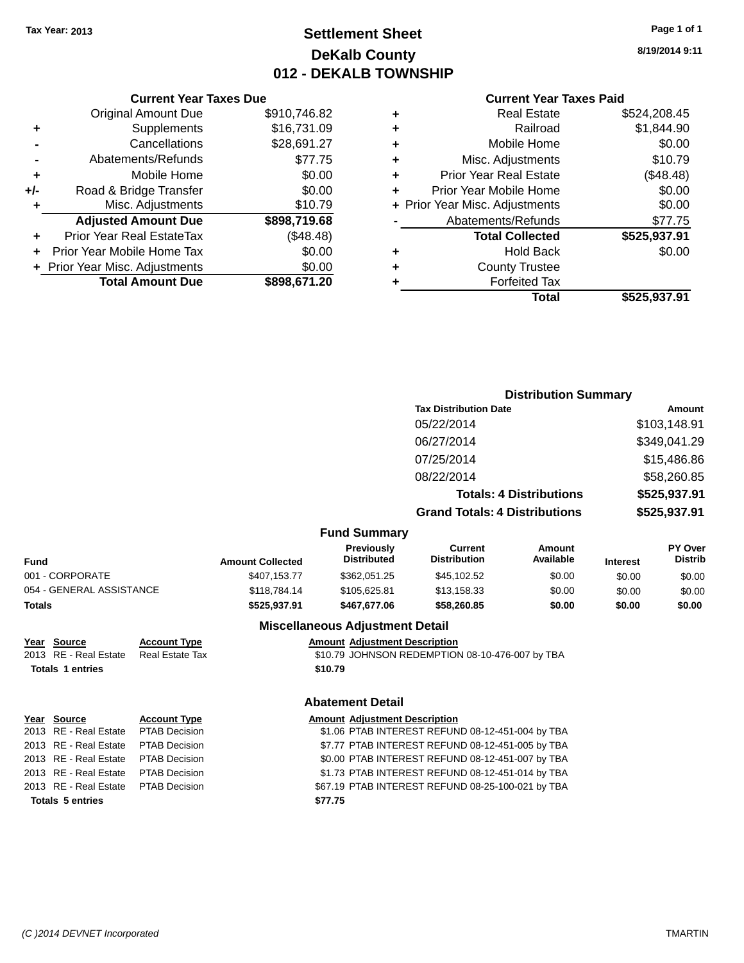# **Settlement Sheet Tax Year: 2013 Page 1 of 1 DeKalb County 012 - DEKALB TOWNSHIP**

**8/19/2014 9:11**

|       | <b>Current Year Taxes Due</b>    |              |
|-------|----------------------------------|--------------|
|       | <b>Original Amount Due</b>       | \$910,746.82 |
| ٠     | Supplements                      | \$16,731.09  |
|       | Cancellations                    | \$28,691.27  |
|       | Abatements/Refunds               | \$77.75      |
| ÷     | Mobile Home                      | \$0.00       |
| $+/-$ | Road & Bridge Transfer           | \$0.00       |
| ٠     | Misc. Adjustments                | \$10.79      |
|       | <b>Adjusted Amount Due</b>       | \$898,719.68 |
|       | <b>Prior Year Real EstateTax</b> | (\$48.48)    |
|       | Prior Year Mobile Home Tax       | \$0.00       |
|       | + Prior Year Misc. Adjustments   | \$0.00       |
|       | <b>Total Amount Due</b>          | \$898,671.20 |
|       |                                  |              |

#### **Current Year Taxes Paid**

|   | Total                          | \$525,937.91 |
|---|--------------------------------|--------------|
| ٠ | <b>Forfeited Tax</b>           |              |
| ٠ | <b>County Trustee</b>          |              |
| ٠ | <b>Hold Back</b>               | \$0.00       |
|   | <b>Total Collected</b>         | \$525,937.91 |
|   | Abatements/Refunds             | \$77.75      |
|   | + Prior Year Misc. Adjustments | \$0.00       |
| ٠ | Prior Year Mobile Home         | \$0.00       |
| ٠ | <b>Prior Year Real Estate</b>  | (\$48.48)    |
| ٠ | Misc. Adjustments              | \$10.79      |
| ٠ | Mobile Home                    | \$0.00       |
| ÷ | Railroad                       | \$1,844.90   |
| ٠ | <b>Real Estate</b>             | \$524,208.45 |

#### **Distribution Summary Tax Distribution Date Amount** 05/22/2014 \$103,148.91 06/27/2014 \$349,041.29 07/25/2014 \$15,486.86 08/22/2014 \$58,260.85 **Totals: 4 Distributions \$525,937.91 Grand Totals: 4 Distributions \$525,937.91 Fund Summary Fund Interest Amount Collected Distributed PY Over Distrib Amount Available Current Distribution Previously** 001 - CORPORATE \$407,153.77 \$362,051.25 \$45,102.52 \$0.00 \$0.00 \$0.00 054 - GENERAL ASSISTANCE \$118,784.14 \$105,625.81 \$13,158.33 \$0.00 \$0.00 \$0.00 **Totals \$525,937.91 \$467,677.06 \$58,260.85 \$0.00 \$0.00 \$0.00 Miscellaneous Adjustment Detail Year Source Account Type Amount Adjustment Description** 2013 RE - Real Estate Real Estate Tax \$10.79 JOHNSON REDEMPTION 08-10-476-007 by TBA **Totals 1 entries \$10.79 Abatement Detail**

| Year Source                         | <b>Account Type</b>  | <b>Amount Adjustment Description</b>              |
|-------------------------------------|----------------------|---------------------------------------------------|
|                                     |                      |                                                   |
| 2013 RE - Real Estate               | <b>PTAB Decision</b> | \$1.06 PTAB INTEREST REFUND 08-12-451-004 by TBA  |
| 2013 RE - Real Estate PTAB Decision |                      | \$7.77 PTAB INTEREST REFUND 08-12-451-005 by TBA  |
| 2013 RE - Real Estate PTAB Decision |                      | \$0.00 PTAB INTEREST REFUND 08-12-451-007 by TBA  |
| 2013 RE - Real Estate               | <b>PTAB Decision</b> | \$1.73 PTAB INTEREST REFUND 08-12-451-014 by TBA  |
| 2013 RE - Real Estate PTAB Decision |                      | \$67.19 PTAB INTEREST REFUND 08-25-100-021 by TBA |
| <b>Totals 5 entries</b>             |                      | \$77.75                                           |
|                                     |                      |                                                   |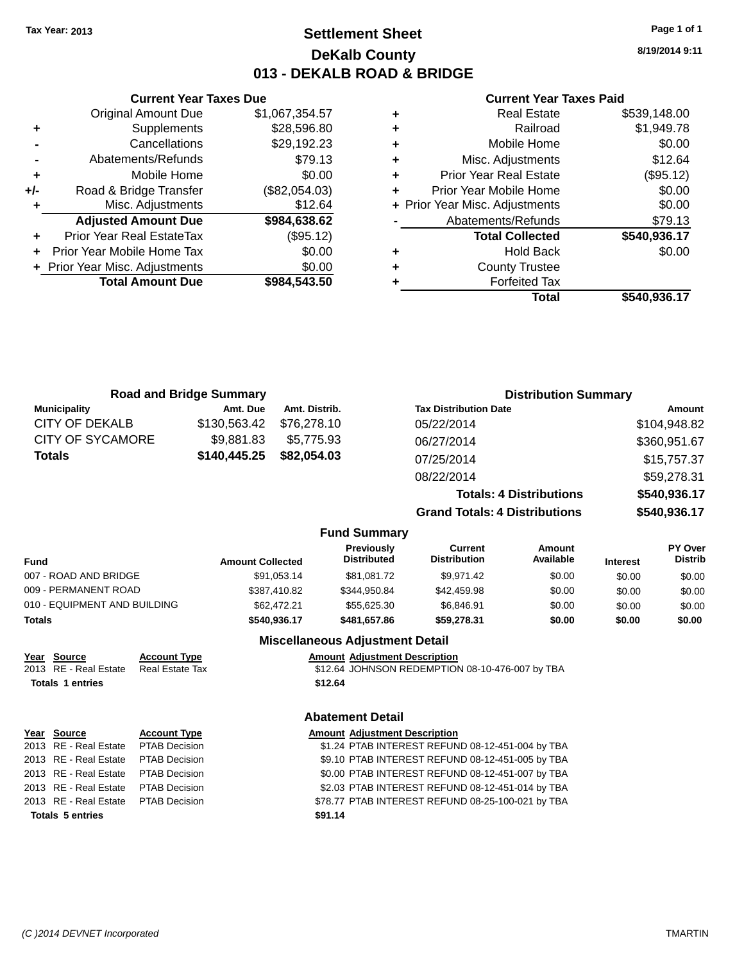**Current Year Taxes Due** Original Amount Due \$1,067,354.57

**Adjusted Amount Due \$984,638.62**

**Total Amount Due \$984,543.50**

**+** Supplements \$28,596.80 **-** Cancellations \$29,192.23 **-** Abatements/Refunds \$79.13 **+** Mobile Home \$0.00 **+/-** Road & Bridge Transfer (\$82,054.03) **+** Misc. Adjustments \$12.64

**+** Prior Year Real EstateTax (\$95.12) **+** Prior Year Mobile Home Tax \$0.00 **+ Prior Year Misc. Adjustments**  $$0.00$ 

# **Settlement Sheet Tax Year: 2013 Page 1 of 1 DeKalb County 013 - DEKALB ROAD & BRIDGE**

**8/19/2014 9:11**

|   | <b>Real Estate</b>             | \$539,148.00 |
|---|--------------------------------|--------------|
| ٠ | Railroad                       | \$1,949.78   |
| ٠ | Mobile Home                    | \$0.00       |
| ٠ | Misc. Adjustments              | \$12.64      |
| ٠ | <b>Prior Year Real Estate</b>  | (\$95.12)    |
| ÷ | Prior Year Mobile Home         | \$0.00       |
|   | + Prior Year Misc. Adjustments | \$0.00       |
|   | Abatements/Refunds             | \$79.13      |
|   | <b>Total Collected</b>         | \$540,936.17 |
| ٠ | <b>Hold Back</b>               | \$0.00       |
| ٠ | <b>County Trustee</b>          |              |
|   | <b>Forfeited Tax</b>           |              |
|   | Total                          | \$540,936.17 |
|   |                                |              |

|                              | <b>Road and Bridge Summary</b> |                         |               |                                        |                                                   | <b>Distribution Summary</b>    |                 |                           |
|------------------------------|--------------------------------|-------------------------|---------------|----------------------------------------|---------------------------------------------------|--------------------------------|-----------------|---------------------------|
| <b>Municipality</b>          |                                | Amt. Due                | Amt. Distrib. |                                        | <b>Tax Distribution Date</b>                      |                                |                 | <b>Amount</b>             |
| CITY OF DEKALB               |                                | \$130,563.42            | \$76,278.10   |                                        | 05/22/2014                                        |                                |                 | \$104,948.82              |
| <b>CITY OF SYCAMORE</b>      |                                | \$9,881.83              | \$5,775.93    |                                        | 06/27/2014                                        |                                |                 | \$360,951.67              |
| <b>Totals</b>                |                                | \$140,445.25            | \$82,054.03   |                                        | 07/25/2014                                        |                                |                 | \$15,757.37               |
|                              |                                |                         |               |                                        | 08/22/2014                                        |                                |                 | \$59,278.31               |
|                              |                                |                         |               |                                        |                                                   |                                |                 |                           |
|                              |                                |                         |               |                                        |                                                   | <b>Totals: 4 Distributions</b> |                 | \$540,936.17              |
|                              |                                |                         |               |                                        | <b>Grand Totals: 4 Distributions</b>              |                                |                 | \$540,936.17              |
|                              |                                |                         |               | <b>Fund Summary</b>                    |                                                   |                                |                 |                           |
| Fund                         |                                | <b>Amount Collected</b> |               | Previously<br><b>Distributed</b>       | <b>Current</b><br><b>Distribution</b>             | <b>Amount</b><br>Available     | <b>Interest</b> | PY Over<br><b>Distrib</b> |
| 007 - ROAD AND BRIDGE        |                                |                         | \$91,053.14   | \$81,081.72                            | \$9,971.42                                        | \$0.00                         | \$0.00          | \$0.00                    |
| 009 - PERMANENT ROAD         |                                |                         | \$387,410.82  | \$344,950.84                           | \$42,459.98                                       | \$0.00                         | \$0.00          | \$0.00                    |
| 010 - EQUIPMENT AND BUILDING |                                |                         | \$62,472.21   | \$55,625.30                            | \$6,846.91                                        | \$0.00                         | \$0.00          | \$0.00                    |
| <b>Totals</b>                |                                |                         | \$540,936.17  | \$481,657.86                           | \$59,278.31                                       | \$0.00                         | \$0.00          | \$0.00                    |
|                              |                                |                         |               | <b>Miscellaneous Adjustment Detail</b> |                                                   |                                |                 |                           |
| Year Source                  | <b>Account Type</b>            |                         |               | <b>Amount Adjustment Description</b>   |                                                   |                                |                 |                           |
| 2013 RE - Real Estate        | <b>Real Estate Tax</b>         |                         |               |                                        | \$12.64 JOHNSON REDEMPTION 08-10-476-007 by TBA   |                                |                 |                           |
| <b>Totals 1 entries</b>      |                                |                         | \$12.64       |                                        |                                                   |                                |                 |                           |
|                              |                                |                         |               | <b>Abatement Detail</b>                |                                                   |                                |                 |                           |
| Year Source                  | <b>Account Type</b>            |                         |               | <b>Amount Adjustment Description</b>   |                                                   |                                |                 |                           |
| 2013 RE - Real Estate        | <b>PTAB Decision</b>           |                         |               |                                        | \$1.24 PTAB INTEREST REFUND 08-12-451-004 by TBA  |                                |                 |                           |
| 2013 RE - Real Estate        | <b>PTAB Decision</b>           |                         |               |                                        | \$9.10 PTAB INTEREST REFUND 08-12-451-005 by TBA  |                                |                 |                           |
| 2013 RE - Real Estate        | PTAB Decision                  |                         |               |                                        | \$0.00 PTAB INTEREST REFUND 08-12-451-007 by TBA  |                                |                 |                           |
| 2013 RE - Real Estate        | <b>PTAB Decision</b>           |                         |               |                                        | \$2.03 PTAB INTEREST REFUND 08-12-451-014 by TBA  |                                |                 |                           |
| 2013 RE - Real Estate        | <b>PTAB Decision</b>           |                         |               |                                        | \$78.77 PTAB INTEREST REFUND 08-25-100-021 by TBA |                                |                 |                           |
| <b>Totals 5 entries</b>      |                                |                         | \$91.14       |                                        |                                                   |                                |                 |                           |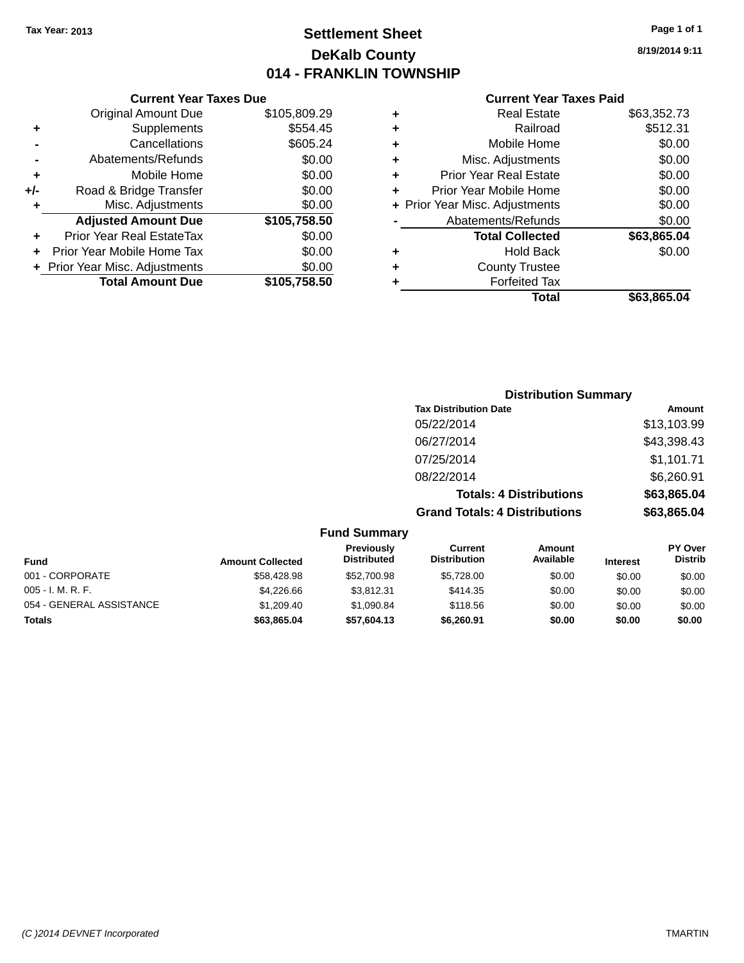# **Settlement Sheet Tax Year: 2013 Page 1 of 1 DeKalb County 014 - FRANKLIN TOWNSHIP**

**8/19/2014 9:11**

|     | <b>Current Year Taxes Due</b>  |              |
|-----|--------------------------------|--------------|
|     | <b>Original Amount Due</b>     | \$105,809.29 |
| ٠   | Supplements                    | \$554.45     |
|     | Cancellations                  | \$605.24     |
|     | Abatements/Refunds             | \$0.00       |
| ٠   | Mobile Home                    | \$0.00       |
| +/- | Road & Bridge Transfer         | \$0.00       |
| ٠   | Misc. Adjustments              | \$0.00       |
|     | <b>Adjusted Amount Due</b>     | \$105,758.50 |
| ÷   | Prior Year Real EstateTax      | \$0.00       |
| ÷   | Prior Year Mobile Home Tax     | \$0.00       |
|     | + Prior Year Misc. Adjustments | \$0.00       |
|     | <b>Total Amount Due</b>        | \$105,758.50 |
|     |                                |              |

|   | <b>Real Estate</b>             | \$63,352.73 |
|---|--------------------------------|-------------|
| ٠ | Railroad                       | \$512.31    |
| ٠ | Mobile Home                    | \$0.00      |
| ٠ | Misc. Adjustments              | \$0.00      |
| ٠ | <b>Prior Year Real Estate</b>  | \$0.00      |
|   | Prior Year Mobile Home         | \$0.00      |
|   | + Prior Year Misc. Adjustments | \$0.00      |
|   | Abatements/Refunds             | \$0.00      |
|   | <b>Total Collected</b>         | \$63,865.04 |
| ٠ | Hold Back                      | \$0.00      |
|   | <b>County Trustee</b>          |             |
| ٠ | <b>Forfeited Tax</b>           |             |
|   | Total                          | \$63,865.04 |
|   |                                |             |

|                     | <b>Distribution Summary</b>          |             |
|---------------------|--------------------------------------|-------------|
|                     | <b>Tax Distribution Date</b>         | Amount      |
|                     | 05/22/2014                           | \$13,103.99 |
|                     | 06/27/2014                           | \$43,398.43 |
|                     | 07/25/2014                           | \$1,101.71  |
|                     | 08/22/2014                           | \$6,260.91  |
|                     | <b>Totals: 4 Distributions</b>       | \$63,865.04 |
|                     | <b>Grand Totals: 4 Distributions</b> | \$63,865.04 |
| <b>Fund Summary</b> |                                      |             |

| <b>Fund</b>              | <b>Amount Collected</b> | <b>Previously</b><br><b>Distributed</b> | Current<br><b>Distribution</b> | Amount<br>Available | <b>Interest</b> | <b>PY Over</b><br><b>Distrib</b> |
|--------------------------|-------------------------|-----------------------------------------|--------------------------------|---------------------|-----------------|----------------------------------|
| 001 - CORPORATE          | \$58,428.98             | \$52,700.98                             | \$5.728.00                     | \$0.00              | \$0.00          | \$0.00                           |
| $005 - I. M. R. F.$      | \$4,226,66              | \$3.812.31                              | \$414.35                       | \$0.00              | \$0.00          | \$0.00                           |
| 054 - GENERAL ASSISTANCE | \$1,209.40              | \$1,090.84                              | \$118.56                       | \$0.00              | \$0.00          | \$0.00                           |
| <b>Totals</b>            | \$63,865,04             | \$57,604.13                             | \$6,260.91                     | \$0.00              | \$0.00          | \$0.00                           |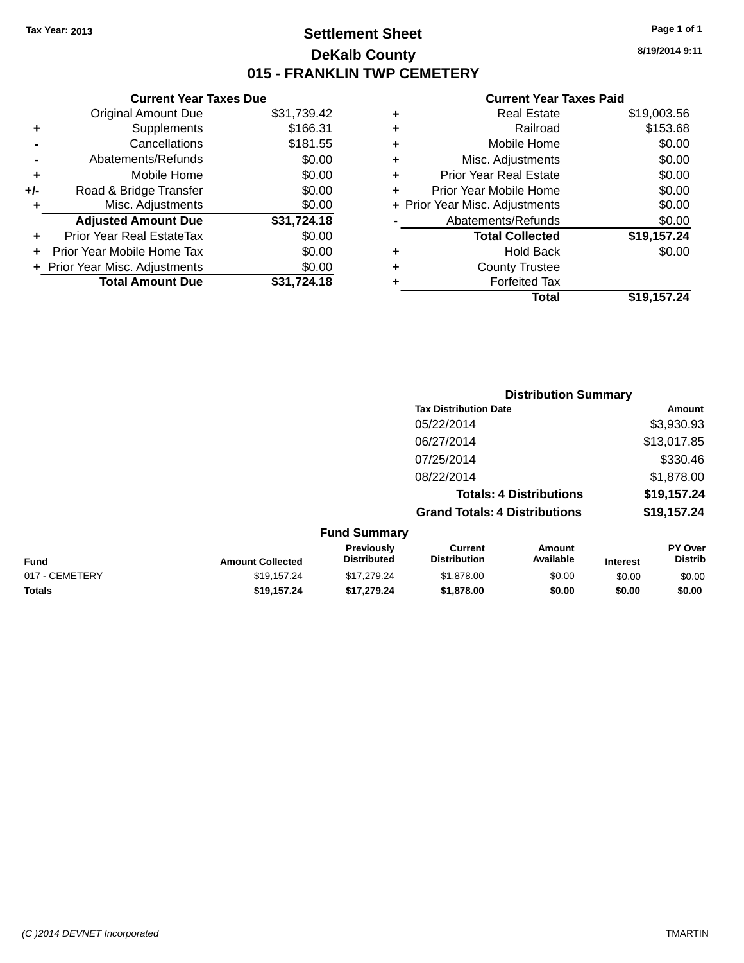# **Settlement Sheet Tax Year: 2013 Page 1 of 1 DeKalb County 015 - FRANKLIN TWP CEMETERY**

**8/19/2014 9:11**

|     | <b>Current Year Taxes Due</b>  |             |
|-----|--------------------------------|-------------|
|     | <b>Original Amount Due</b>     | \$31,739.42 |
| ٠   | Supplements                    | \$166.31    |
|     | Cancellations                  | \$181.55    |
|     | Abatements/Refunds             | \$0.00      |
| ٠   | Mobile Home                    | \$0.00      |
| +/- | Road & Bridge Transfer         | \$0.00      |
| ٠   | Misc. Adjustments              | \$0.00      |
|     | <b>Adjusted Amount Due</b>     | \$31,724.18 |
|     | Prior Year Real EstateTax      | \$0.00      |
|     | Prior Year Mobile Home Tax     | \$0.00      |
|     | + Prior Year Misc. Adjustments | \$0.00      |
|     | <b>Total Amount Due</b>        | \$31.724.18 |
|     |                                |             |

|   | <b>Real Estate</b>             | \$19,003.56 |
|---|--------------------------------|-------------|
| ٠ | Railroad                       | \$153.68    |
| ٠ | Mobile Home                    | \$0.00      |
| ٠ | Misc. Adjustments              | \$0.00      |
| ٠ | <b>Prior Year Real Estate</b>  | \$0.00      |
| ÷ | Prior Year Mobile Home         | \$0.00      |
|   | + Prior Year Misc. Adjustments | \$0.00      |
|   | Abatements/Refunds             | \$0.00      |
|   | <b>Total Collected</b>         | \$19,157.24 |
| ٠ | Hold Back                      | \$0.00      |
| ٠ | <b>County Trustee</b>          |             |
| ٠ | <b>Forfeited Tax</b>           |             |
|   | Total                          | \$19,157.24 |
|   |                                |             |

| <b>Distribution Summary</b>          |             |
|--------------------------------------|-------------|
| <b>Tax Distribution Date</b>         | Amount      |
| 05/22/2014                           | \$3,930.93  |
| 06/27/2014                           | \$13,017.85 |
| 07/25/2014                           | \$330.46    |
| 08/22/2014                           | \$1,878.00  |
| <b>Totals: 4 Distributions</b>       | \$19,157.24 |
| <b>Grand Totals: 4 Distributions</b> | \$19,157.24 |
| <b>Fund Summary</b>                  |             |

| Fund           | <b>Amount Collected</b> | <b>Previously</b><br><b>Distributed</b> | Current<br><b>Distribution</b> | Amount<br>Available | <b>Interest</b> | <b>PY Over</b><br><b>Distrib</b> |
|----------------|-------------------------|-----------------------------------------|--------------------------------|---------------------|-----------------|----------------------------------|
| 017 - CEMETERY | \$19.157.24             | \$17.279.24                             | \$1,878,00                     | \$0.00              | \$0.00          | \$0.00                           |
| Totals         | \$19.157.24             | \$17.279.24                             | \$1,878,00                     | \$0.00              | \$0.00          | \$0.00                           |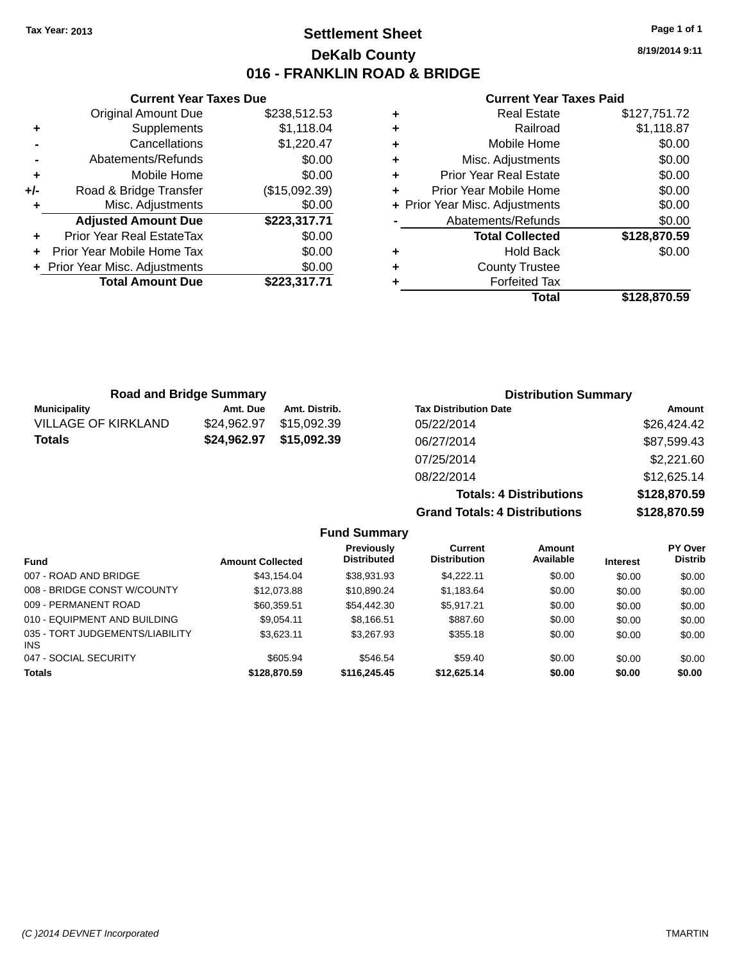**Original Amount Due** 

**Adjusted Amount Due** 

**Total Amount Due** 

**+** Supplements **-** Cancellations **-** Abatements/Refunds **+** Mobile Home **+/-** Road & Bridge Transfer **+** Misc. Adjustments

**+** Prior Year Real EstateTax \$0.00 **+** Prior Year Mobile Home Tax **+** Prior Year Misc. Adjustments

# **Settlement Sheet Tax Year: 2013 Page 1 of 1 DeKalb County 016 - FRANKLIN ROAD & BRIDGE**

**8/19/2014 9:11**

### **Current Year Taxes Paid**

| <b>Current Year Taxes Due</b> |               |   | <b>Current Year Taxes</b>      |  |
|-------------------------------|---------------|---|--------------------------------|--|
| ıl Amount Due                 | \$238,512.53  | ٠ | <b>Real Estate</b>             |  |
| Supplements                   | \$1,118.04    | ÷ | Railroad                       |  |
| Cancellations                 | \$1,220.47    | ÷ | Mobile Home                    |  |
| ents/Refunds                  | \$0.00        | ٠ | Misc. Adjustments              |  |
| Mobile Home                   | \$0.00        | ٠ | <b>Prior Year Real Estate</b>  |  |
| ridge Transfer                | (\$15,092.39) | ÷ | Prior Year Mobile Home         |  |
| . Adjustments                 | \$0.00        |   | + Prior Year Misc. Adjustments |  |
| <b>Amount Due</b>             | \$223,317.71  |   | Abatements/Refunds             |  |
| eal EstateTax:                | \$0.00        |   | <b>Total Collected</b>         |  |
| pile Home Tax                 | \$0.00        | ٠ | <b>Hold Back</b>               |  |
| . Adjustments                 | \$0.00        | ٠ | <b>County Trustee</b>          |  |
| <b>Amount Due</b>             | \$223,317.71  | ٠ | <b>Forfeited Tax</b>           |  |
|                               |               |   | Total                          |  |

|   | Total                          | \$128,870.59 |
|---|--------------------------------|--------------|
|   | <b>Forfeited Tax</b>           |              |
| ÷ | <b>County Trustee</b>          |              |
|   | <b>Hold Back</b>               | \$0.00       |
|   | <b>Total Collected</b>         | \$128,870.59 |
|   | Abatements/Refunds             | \$0.00       |
|   | + Prior Year Misc. Adjustments | \$0.00       |
| ÷ | Prior Year Mobile Home         | \$0.00       |
| ÷ | Prior Year Real Estate         | \$0.00       |
| ÷ | Misc. Adjustments              | \$0.00       |
| ÷ | Mobile Home                    | \$0.00       |
| ÷ | Railroad                       | \$1,118.87   |
| ÷ | <b>Real Estate</b>             | \$127,751.72 |

**Totals: 4 Distributions \$128,870.59**

**Grand Totals: 4 Distributions \$128,870.59**

| <b>Road and Bridge Summary</b> |             |               | <b>Distribution Summary</b>  |             |
|--------------------------------|-------------|---------------|------------------------------|-------------|
| <b>Municipality</b>            | Amt. Due    | Amt. Distrib. | <b>Tax Distribution Date</b> | Amount      |
| <b>VILLAGE OF KIRKLAND</b>     | \$24,962.97 | \$15,092.39   | 05/22/2014                   | \$26,424.42 |
| <b>Totals</b>                  | \$24,962.97 | \$15,092.39   | 06/27/2014                   | \$87,599.43 |
|                                |             |               | 07/25/2014                   | \$2,221.60  |
|                                |             |               | 08/22/2014                   | \$12,625.14 |

**Fund Summary Fund Interest Amount Collected Distributed PY Over Distrib Amount Available Current Distribution Previously** 007 - ROAD AND BRIDGE 60.00 \$43,154.04 \$38,931.93 \$4,222.11 \$0.00 \$0.00 \$0.00 \$0.00 008 - BRIDGE CONST W/COUNTY  $$12,073.88$   $$10,890.24$   $$1,183.64$   $$0.00$   $$0.00$   $$0.00$ 009 - PERMANENT ROAD \$60,359.51 \$54,442.30 \$5,917.21 \$0.00 \$0.00 \$0.00 010 - EQUIPMENT AND BUILDING \$9,054.11 \$8,166.51 \$887.60 \$0.00 \$0.00 \$0.00 \$0.00 035 - TORT JUDGEMENTS/LIABILITY \$3,623.11 \$3,267.93 \$355.18 \$0.00 \$0.00 \$0.00 047 - SOCIAL SECURITY \$605.94 \$546.54 \$59.40 \$0.00 \$0.00 \$0.00 \$0.00 **Totals \$128,870.59 \$116,245.45 \$12,625.14 \$0.00 \$0.00 \$0.00**

INS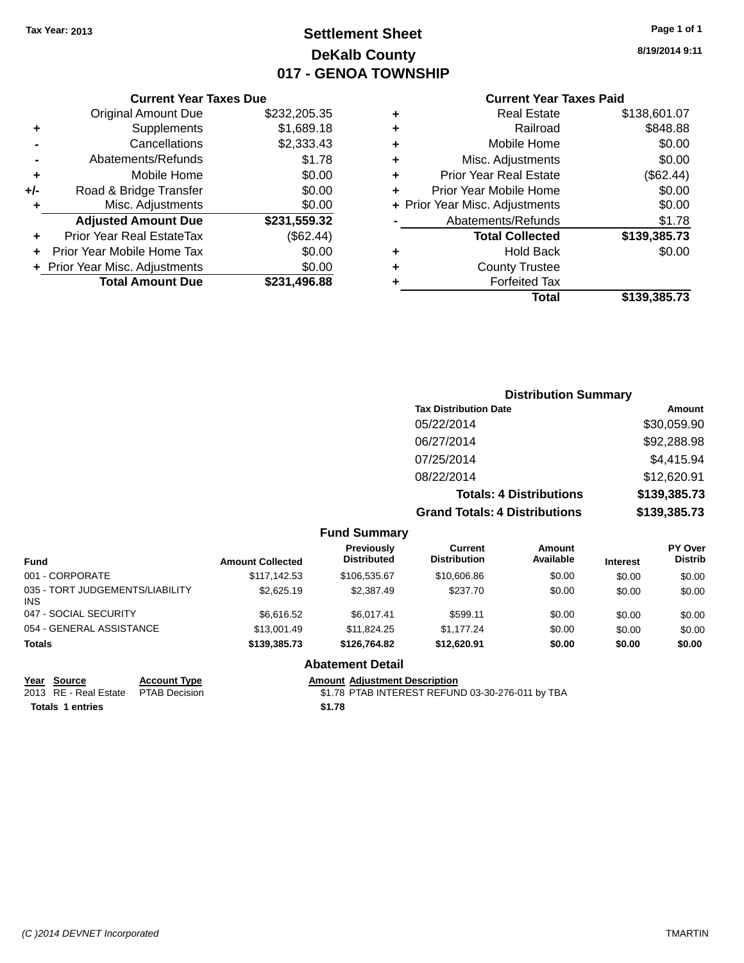# **Settlement Sheet Tax Year: 2013 Page 1 of 1 DeKalb County 017 - GENOA TOWNSHIP**

**8/19/2014 9:11**

| <b>Current Year Taxes Paid</b> |  |
|--------------------------------|--|
|                                |  |

|     | <b>Current Year Taxes Due</b>  |              |
|-----|--------------------------------|--------------|
|     | <b>Original Amount Due</b>     | \$232,205.35 |
| ٠   | Supplements                    | \$1,689.18   |
|     | Cancellations                  | \$2,333.43   |
|     | Abatements/Refunds             | \$1.78       |
| ٠   | Mobile Home                    | \$0.00       |
| +/- | Road & Bridge Transfer         | \$0.00       |
| ٠   | Misc. Adjustments              | \$0.00       |
|     | <b>Adjusted Amount Due</b>     | \$231,559.32 |
| ÷   | Prior Year Real EstateTax      | (\$62.44)    |
|     | Prior Year Mobile Home Tax     | \$0.00       |
|     | + Prior Year Misc. Adjustments | \$0.00       |
|     | <b>Total Amount Due</b>        | \$231,496.88 |

|   | <b>Real Estate</b>             | \$138,601.07 |
|---|--------------------------------|--------------|
| ٠ | Railroad                       | \$848.88     |
| ٠ | Mobile Home                    | \$0.00       |
| ٠ | Misc. Adjustments              | \$0.00       |
| ٠ | <b>Prior Year Real Estate</b>  | (\$62.44)    |
| ÷ | Prior Year Mobile Home         | \$0.00       |
|   | + Prior Year Misc. Adjustments | \$0.00       |
|   | Abatements/Refunds             | \$1.78       |
|   | <b>Total Collected</b>         | \$139,385.73 |
| ٠ | <b>Hold Back</b>               | \$0.00       |
| ٠ | <b>County Trustee</b>          |              |
| ٠ | <b>Forfeited Tax</b>           |              |
|   | Total                          | \$139,385.73 |
|   |                                |              |

| <b>Distribution Summary</b>          |              |
|--------------------------------------|--------------|
| <b>Tax Distribution Date</b>         | Amount       |
| 05/22/2014                           | \$30,059.90  |
| 06/27/2014                           | \$92,288.98  |
| 07/25/2014                           | \$4,415.94   |
| 08/22/2014                           | \$12,620.91  |
| <b>Totals: 4 Distributions</b>       | \$139,385.73 |
| <b>Grand Totals: 4 Distributions</b> | \$139,385.73 |

|                                               |                         | <b>Fund Summary</b>              |                                       |                     |                 |                                  |
|-----------------------------------------------|-------------------------|----------------------------------|---------------------------------------|---------------------|-----------------|----------------------------------|
| <b>Fund</b>                                   | <b>Amount Collected</b> | Previously<br><b>Distributed</b> | <b>Current</b><br><b>Distribution</b> | Amount<br>Available | <b>Interest</b> | <b>PY Over</b><br><b>Distrib</b> |
| 001 - CORPORATE                               | \$117,142.53            | \$106,535.67                     | \$10,606.86                           | \$0.00              | \$0.00          | \$0.00                           |
| 035 - TORT JUDGEMENTS/LIABILITY<br><b>INS</b> | \$2,625.19              | \$2,387.49                       | \$237.70                              | \$0.00              | \$0.00          | \$0.00                           |
| 047 - SOCIAL SECURITY                         | \$6.616.52              | \$6.017.41                       | \$599.11                              | \$0.00              | \$0.00          | \$0.00                           |
| 054 - GENERAL ASSISTANCE                      | \$13,001.49             | \$11,824.25                      | \$1,177.24                            | \$0.00              | \$0.00          | \$0.00                           |
| <b>Totals</b>                                 | \$139,385.73            | \$126,764.82                     | \$12,620.91                           | \$0.00              | \$0.00          | \$0.00                           |
|                                               |                         | <b>Abatement Detail</b>          |                                       |                     |                 |                                  |

| Year Source           |
|-----------------------|
| 2013 RE - Real Estate |

**Totals 1 entries \$1.78**

**Account Type**<br> **PTAB Decision**<br> **FTAB INTEREST REFUN** \$1.78 PTAB INTEREST REFUND 03-30-276-011 by TBA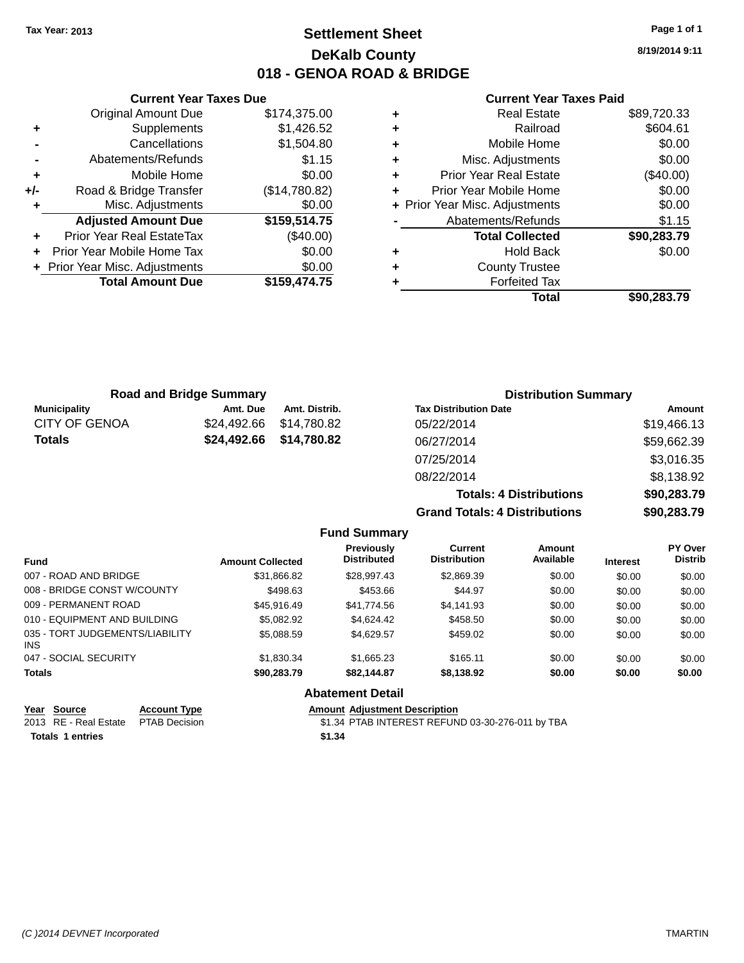# **Settlement Sheet Tax Year: 2013 Page 1 of 1 DeKalb County 018 - GENOA ROAD & BRIDGE**

**8/19/2014 9:11**

### **Current Year Taxes Paid**

|     | <b>Current Year Taxes Due</b>  |               |
|-----|--------------------------------|---------------|
|     | <b>Original Amount Due</b>     | \$174,375.00  |
| ٠   | Supplements                    | \$1,426.52    |
|     | Cancellations                  | \$1,504.80    |
|     | Abatements/Refunds             | \$1.15        |
| ٠   | Mobile Home                    | \$0.00        |
| +/- | Road & Bridge Transfer         | (\$14,780.82) |
|     | Misc. Adjustments              | \$0.00        |
|     | <b>Adjusted Amount Due</b>     | \$159,514.75  |
|     | Prior Year Real EstateTax      | $(\$40.00)$   |
|     | Prior Year Mobile Home Tax     | \$0.00        |
|     | + Prior Year Misc. Adjustments | \$0.00        |
|     | <b>Total Amount Due</b>        | \$159,474.75  |
|     |                                |               |

| ٠ | <b>Real Estate</b>             | \$89,720.33 |
|---|--------------------------------|-------------|
| ÷ | Railroad                       | \$604.61    |
| ٠ | Mobile Home                    | \$0.00      |
| ٠ | Misc. Adjustments              | \$0.00      |
| ٠ | <b>Prior Year Real Estate</b>  | (\$40.00)   |
| ÷ | Prior Year Mobile Home         | \$0.00      |
|   | + Prior Year Misc. Adjustments | \$0.00      |
|   | Abatements/Refunds             | \$1.15      |
|   | <b>Total Collected</b>         | \$90,283.79 |
| ٠ | <b>Hold Back</b>               | \$0.00      |
| ٠ | <b>County Trustee</b>          |             |
| ٠ | <b>Forfeited Tax</b>           |             |
|   | Total                          | \$90,283.79 |
|   |                                |             |

| <b>Road and Bridge Summary</b> |                         |               | <b>Distribution Summary</b>  |             |  |
|--------------------------------|-------------------------|---------------|------------------------------|-------------|--|
| <b>Municipality</b>            | Amt. Due                | Amt. Distrib. | <b>Tax Distribution Date</b> | Amount      |  |
| <b>CITY OF GENOA</b>           | \$24.492.66             | \$14,780.82   | 05/22/2014                   | \$19,466.13 |  |
| <b>Totals</b>                  | \$24,492.66 \$14,780.82 |               | 06/27/2014                   | \$59,662.39 |  |
|                                |                         |               | 07/25/2014                   | \$3,016.35  |  |
|                                |                         |               | 08/22/2014                   | \$8,138.92  |  |

**Totals: 4 Distributions \$90,283.79 Grand Totals: 4 Distributions \$90,283.79**

|                                         |              |                         | <b>Fund Summary</b>              |                                |                     |                 |                                  |
|-----------------------------------------|--------------|-------------------------|----------------------------------|--------------------------------|---------------------|-----------------|----------------------------------|
| <b>Fund</b>                             |              | <b>Amount Collected</b> | Previously<br><b>Distributed</b> | Current<br><b>Distribution</b> | Amount<br>Available | <b>Interest</b> | <b>PY Over</b><br><b>Distrib</b> |
| 007 - ROAD AND BRIDGE                   |              | \$31,866.82             | \$28,997.43                      | \$2,869.39                     | \$0.00              | \$0.00          | \$0.00                           |
| 008 - BRIDGE CONST W/COUNTY             |              | \$498.63                | \$453.66                         | \$44.97                        | \$0.00              | \$0.00          | \$0.00                           |
| 009 - PERMANENT ROAD                    |              | \$45.916.49             | \$41.774.56                      | \$4.141.93                     | \$0.00              | \$0.00          | \$0.00                           |
| 010 - EQUIPMENT AND BUILDING            |              | \$5,082.92              | \$4.624.42                       | \$458.50                       | \$0.00              | \$0.00          | \$0.00                           |
| 035 - TORT JUDGEMENTS/LIABILITY<br>INS. |              | \$5.088.59              | \$4,629.57                       | \$459.02                       | \$0.00              | \$0.00          | \$0.00                           |
| 047 - SOCIAL SECURITY                   |              | \$1.830.34              | \$1,665.23                       | \$165.11                       | \$0.00              | \$0.00          | \$0.00                           |
| <b>Totals</b>                           |              | \$90.283.79             | \$82.144.87                      | \$8.138.92                     | \$0.00              | \$0.00          | \$0.00                           |
|                                         |              |                         | <b>Abatement Detail</b>          |                                |                     |                 |                                  |
| Voor Cource                             | Account Type |                         | Amount Adjustment Description    |                                |                     |                 |                                  |

| rear Source                         | <b>ACCOUNT IVDE</b> | Amount Adiustment Description                    |
|-------------------------------------|---------------------|--------------------------------------------------|
| 2013 RE - Real Estate PTAB Decision |                     | \$1.34 PTAB INTEREST REFUND 03-30-276-011 by TBA |
| <b>Totals 1 entries</b>             |                     | \$1.34                                           |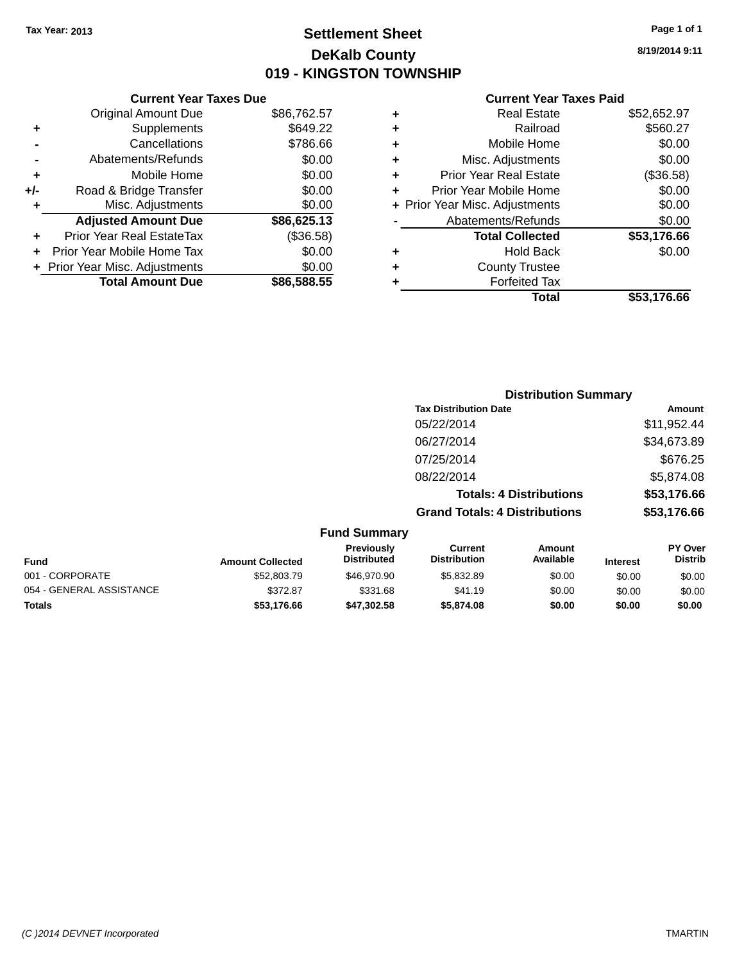# **Settlement Sheet Tax Year: 2013 Page 1 of 1 DeKalb County 019 - KINGSTON TOWNSHIP**

**8/19/2014 9:11**

| <b>Current Year Taxes Due</b> |             |
|-------------------------------|-------------|
| <b>Original Amount Due</b>    | \$86,762.57 |
| Supplements                   | \$649.22    |
| Cancellations                 | \$786.66    |
| Abatements/Refunds            | \$0.00      |
| Mobile Home                   | \$0.00      |
| Road & Bridge Transfer        | \$0.00      |
| Misc. Adjustments             | \$0.00      |
| <b>Adjusted Amount Due</b>    | \$86,625.13 |
| Prior Year Real EstateTax     | (\$36.58)   |
| Prior Year Mobile Home Tax    | \$0.00      |
| Prior Year Misc. Adjustments  | \$0.00      |
| <b>Total Amount Due</b>       | \$86,588.55 |
|                               |             |

|   | <b>Real Estate</b>             | \$52,652.97 |
|---|--------------------------------|-------------|
| ٠ | Railroad                       | \$560.27    |
| ٠ | Mobile Home                    | \$0.00      |
| ٠ | Misc. Adjustments              | \$0.00      |
| ٠ | <b>Prior Year Real Estate</b>  | (\$36.58)   |
| ÷ | Prior Year Mobile Home         | \$0.00      |
|   | + Prior Year Misc. Adjustments | \$0.00      |
|   | Abatements/Refunds             | \$0.00      |
|   | <b>Total Collected</b>         | \$53,176.66 |
| ٠ | Hold Back                      | \$0.00      |
|   | <b>County Trustee</b>          |             |
| ٠ | <b>Forfeited Tax</b>           |             |
|   | Total                          | \$53,176.66 |
|   |                                |             |

|                     | <b>Distribution Summary</b>          |                                |                |
|---------------------|--------------------------------------|--------------------------------|----------------|
|                     | <b>Tax Distribution Date</b>         |                                | Amount         |
|                     | 05/22/2014                           |                                | \$11,952.44    |
|                     | 06/27/2014                           |                                | \$34,673.89    |
|                     | 07/25/2014                           |                                | \$676.25       |
|                     | 08/22/2014                           |                                | \$5,874.08     |
|                     |                                      | <b>Totals: 4 Distributions</b> | \$53,176.66    |
|                     | <b>Grand Totals: 4 Distributions</b> |                                | \$53,176.66    |
| <b>Fund Summary</b> |                                      |                                |                |
| Previously          | Current                              | Amount                         | <b>PY Over</b> |

| <b>Amount Collected</b> | <b>Previously</b><br><b>Distributed</b> | Current<br><b>Distribution</b> | Amount<br>Available | <b>Interest</b> | <b>PY Over</b><br><b>Distrib</b> |
|-------------------------|-----------------------------------------|--------------------------------|---------------------|-----------------|----------------------------------|
| \$52,803.79             | \$46,970.90                             | \$5,832.89                     | \$0.00              | \$0.00          | \$0.00                           |
| \$372.87                | \$331.68                                | \$41.19                        | \$0.00              | \$0.00          | \$0.00                           |
| \$53,176.66             | \$47.302.58                             | \$5,874.08                     | \$0.00              | \$0.00          | \$0.00                           |
|                         |                                         |                                |                     |                 |                                  |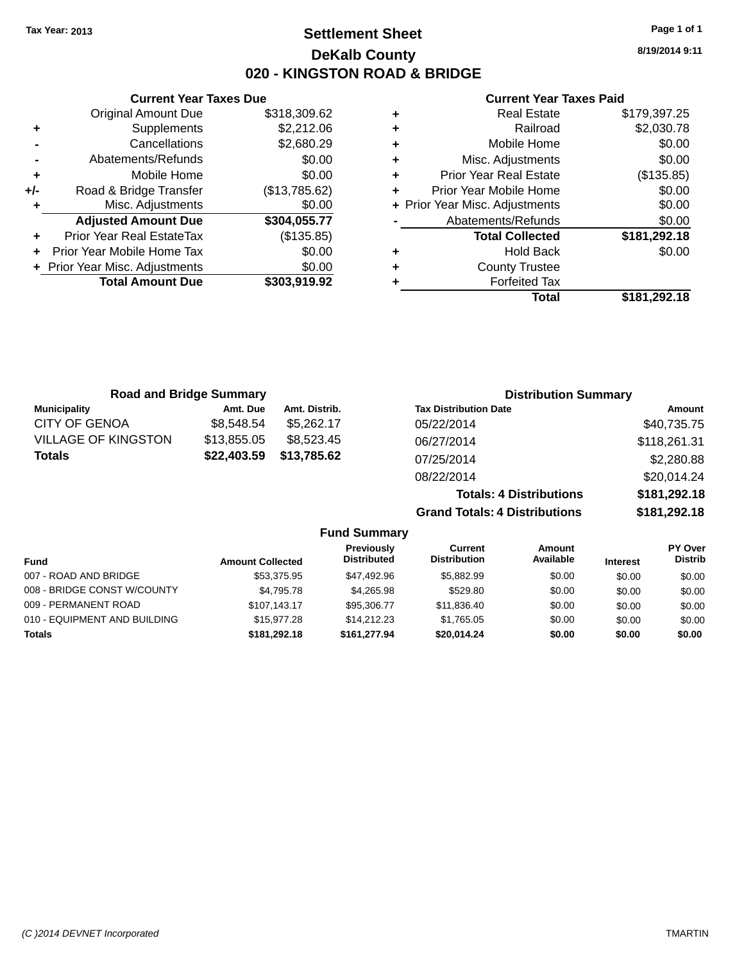**Current Year Taxes Due**

# **Settlement Sheet Tax Year: 2013 Page 1 of 1 DeKalb County 020 - KINGSTON ROAD & BRIDGE**

**8/19/2014 9:11**

#### **Current Year Taxes Paid**

|                                  |                                |   | Total                         | \$181,292.18                   |
|----------------------------------|--------------------------------|---|-------------------------------|--------------------------------|
| <b>Total Amount Due</b>          | \$303,919.92                   |   | <b>Forfeited Tax</b>          |                                |
|                                  | \$0.00                         | ٠ | <b>County Trustee</b>         |                                |
| Prior Year Mobile Home Tax       | \$0.00                         | ٠ | <b>Hold Back</b>              | \$0.00                         |
| <b>Prior Year Real EstateTax</b> | (\$135.85)                     |   | <b>Total Collected</b>        | \$181,292.18                   |
| <b>Adjusted Amount Due</b>       | \$304,055.77                   |   | Abatements/Refunds            | \$0.00                         |
| Misc. Adjustments                | \$0.00                         |   |                               | \$0.00                         |
| Road & Bridge Transfer           | (\$13,785.62)                  |   | Prior Year Mobile Home        | \$0.00                         |
| Mobile Home                      | \$0.00                         | ٠ | <b>Prior Year Real Estate</b> | (\$135.85)                     |
| Abatements/Refunds               | \$0.00                         | ÷ | Misc. Adjustments             | \$0.00                         |
| Cancellations                    | \$2,680.29                     | ٠ | Mobile Home                   | \$0.00                         |
| Supplements                      | \$2,212.06                     | ٠ | Railroad                      | \$2,030.78                     |
| <b>Original Amount Due</b>       | \$318,309.62                   | ٠ | <b>Real Estate</b>            | \$179,397.25                   |
|                                  | + Prior Year Misc. Adjustments |   |                               | + Prior Year Misc. Adjustments |

|                            | <b>Road and Bridge Summary</b> |               | <b>Distribution Summary</b>    |               |
|----------------------------|--------------------------------|---------------|--------------------------------|---------------|
| <b>Municipality</b>        | Amt. Due                       | Amt. Distrib. | <b>Tax Distribution Date</b>   | <b>Amount</b> |
| CITY OF GENOA              | \$8,548.54                     | \$5,262.17    | 05/22/2014                     | \$40,735.75   |
| <b>VILLAGE OF KINGSTON</b> | \$13,855.05                    | \$8,523.45    | 06/27/2014                     | \$118,261.31  |
| Totals                     | \$22,403.59                    | \$13,785.62   | 07/25/2014                     | \$2,280.88    |
|                            |                                |               | 08/22/2014                     | \$20,014.24   |
|                            |                                |               | <b>Totals: 4 Distributions</b> | \$181,292.18  |

**Grand Totals: 4 Distributions \$181,292.18**

|                              |                         | <b>Fund Summary</b>              |                                |                     |                 |                                  |
|------------------------------|-------------------------|----------------------------------|--------------------------------|---------------------|-----------------|----------------------------------|
| <b>Fund</b>                  | <b>Amount Collected</b> | Previously<br><b>Distributed</b> | Current<br><b>Distribution</b> | Amount<br>Available | <b>Interest</b> | <b>PY Over</b><br><b>Distrib</b> |
| 007 - ROAD AND BRIDGE        | \$53,375.95             | \$47.492.96                      | \$5.882.99                     | \$0.00              | \$0.00          | \$0.00                           |
| 008 - BRIDGE CONST W/COUNTY  | \$4.795.78              | \$4.265.98                       | \$529.80                       | \$0.00              | \$0.00          | \$0.00                           |
| 009 - PERMANENT ROAD         | \$107.143.17            | \$95,306,77                      | \$11.836.40                    | \$0.00              | \$0.00          | \$0.00                           |
| 010 - EQUIPMENT AND BUILDING | \$15,977.28             | \$14,212,23                      | \$1.765.05                     | \$0.00              | \$0.00          | \$0.00                           |
| <b>Totals</b>                | \$181.292.18            | \$161.277.94                     | \$20,014.24                    | \$0.00              | \$0.00          | \$0.00                           |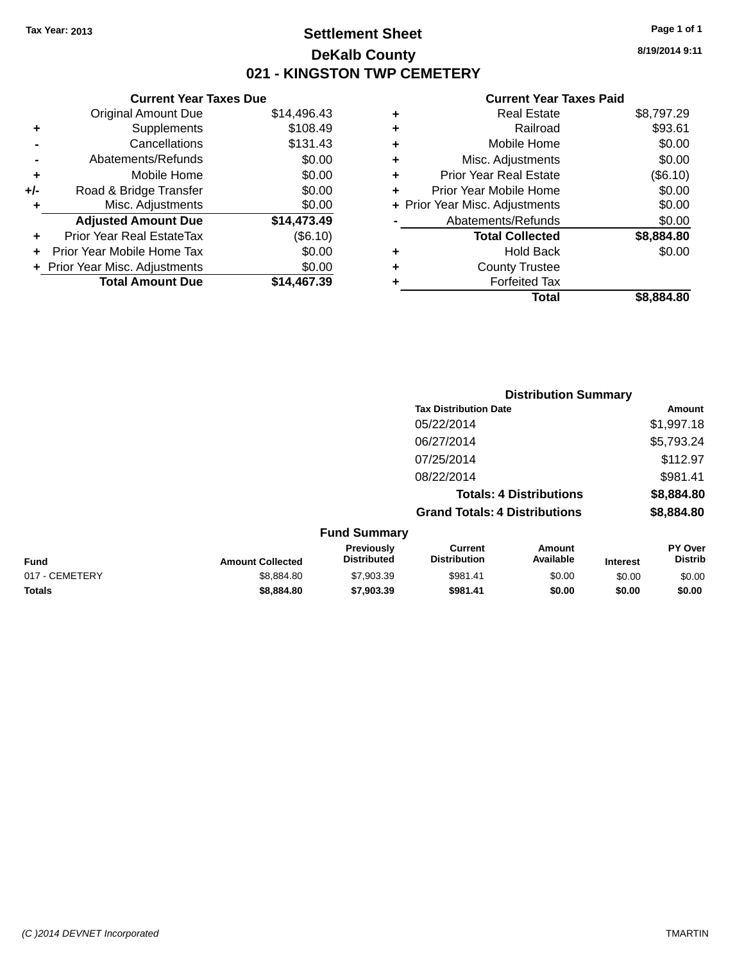# **Settlement Sheet Tax Year: 2013 Page 1 of 1 DeKalb County 021 - KINGSTON TWP CEMETERY**

**Current Year Taxes Due** Original Amount Due \$14,496.43 **+** Supplements \$108.49 **-** Cancellations \$131.43 **-** Abatements/Refunds \$0.00 **+** Mobile Home \$0.00 **+/-** Road & Bridge Transfer \$0.00 **+** Misc. Adjustments \$0.00 **Adjusted Amount Due \$14,473.49 +** Prior Year Real EstateTax (\$6.10) **+** Prior Year Mobile Home Tax \$0.00 **+** Prior Year Misc. Adjustments \$0.00<br> **19.00** Total Amount Due \$14,467.39 **Total Amount Due** 

#### **Current Year Taxes Paid**

|   | <b>Real Estate</b>             | \$8,797.29 |
|---|--------------------------------|------------|
| ٠ | Railroad                       | \$93.61    |
| ٠ | Mobile Home                    | \$0.00     |
| ٠ | Misc. Adjustments              | \$0.00     |
| ٠ | <b>Prior Year Real Estate</b>  | (\$6.10)   |
| ٠ | Prior Year Mobile Home         | \$0.00     |
|   | + Prior Year Misc. Adjustments | \$0.00     |
|   | Abatements/Refunds             | \$0.00     |
|   | <b>Total Collected</b>         | \$8,884.80 |
| ٠ | <b>Hold Back</b>               | \$0.00     |
| ٠ | <b>County Trustee</b>          |            |
|   | <b>Forfeited Tax</b>           |            |
|   | Total                          | \$8,884.80 |
|   |                                |            |

|                |                         |                                  |                                       | <b>Distribution Summary</b>    |                 |                                  |
|----------------|-------------------------|----------------------------------|---------------------------------------|--------------------------------|-----------------|----------------------------------|
|                |                         |                                  | <b>Tax Distribution Date</b>          |                                |                 | <b>Amount</b>                    |
|                |                         |                                  | 05/22/2014                            |                                |                 | \$1,997.18                       |
|                |                         |                                  | 06/27/2014                            |                                |                 | \$5,793.24                       |
|                |                         |                                  | 07/25/2014                            |                                |                 | \$112.97                         |
|                |                         |                                  | 08/22/2014                            |                                |                 | \$981.41                         |
|                |                         |                                  |                                       | <b>Totals: 4 Distributions</b> |                 | \$8,884.80                       |
|                |                         |                                  | <b>Grand Totals: 4 Distributions</b>  |                                |                 | \$8,884.80                       |
|                |                         | <b>Fund Summary</b>              |                                       |                                |                 |                                  |
| Fund           | <b>Amount Collected</b> | Previously<br><b>Distributed</b> | <b>Current</b><br><b>Distribution</b> | Amount<br>Available            | <b>Interest</b> | <b>PY Over</b><br><b>Distrib</b> |
| 017 - CEMETERY | \$8,884.80              | \$7,903.39                       | \$981.41                              | \$0.00                         | \$0.00          | \$0.00                           |
|                |                         |                                  |                                       |                                |                 |                                  |

**Totals \$8,884.80 \$7,903.39 \$981.41 \$0.00 \$0.00 \$0.00**

**8/19/2014 9:11**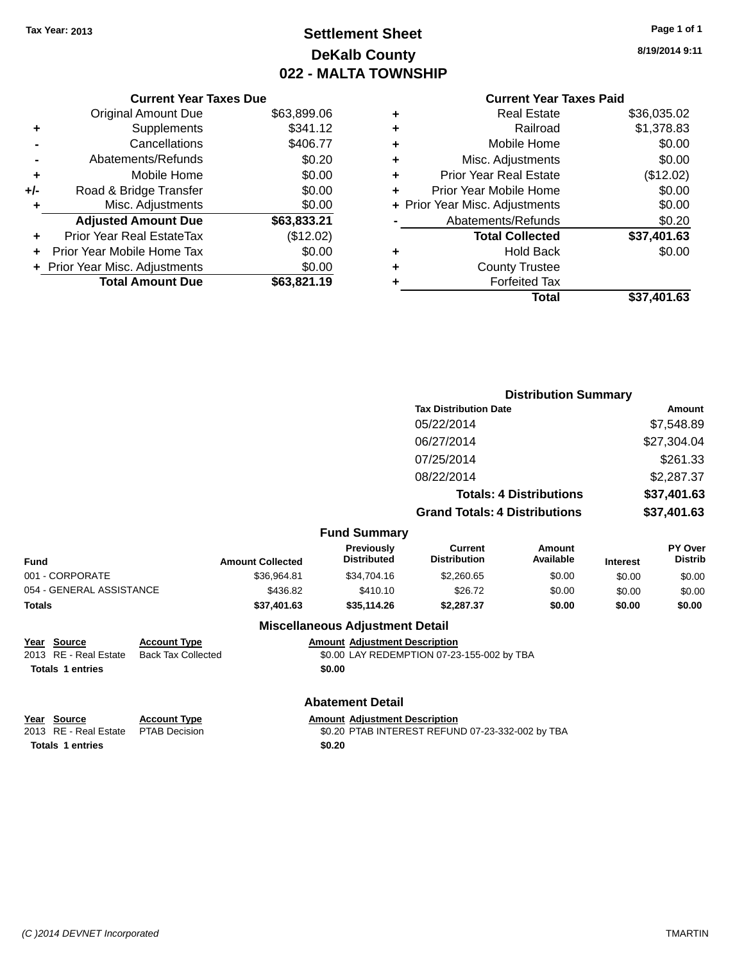# **Settlement Sheet Tax Year: 2013 Page 1 of 1 DeKalb County 022 - MALTA TOWNSHIP**

**8/19/2014 9:11**

|     | <b>Current Year Taxes Due</b>  |             |
|-----|--------------------------------|-------------|
|     | <b>Original Amount Due</b>     | \$63,899.06 |
| ÷   | Supplements                    | \$341.12    |
|     | Cancellations                  | \$406.77    |
|     | Abatements/Refunds             | \$0.20      |
| ٠   | Mobile Home                    | \$0.00      |
| +/- | Road & Bridge Transfer         | \$0.00      |
| ٠   | Misc. Adjustments              | \$0.00      |
|     | <b>Adjusted Amount Due</b>     | \$63,833.21 |
|     | Prior Year Real EstateTax      | (\$12.02)   |
|     | Prior Year Mobile Home Tax     | \$0.00      |
|     | + Prior Year Misc. Adjustments | \$0.00      |
|     | <b>Total Amount Due</b>        | \$63,821.19 |
|     |                                |             |

### **Current Year Taxes Paid +** Real Estate \$36,035.02 **+** Railroad \$1,378.83 **+** Mobile Home \$0.00 **+** Misc. Adjustments \$0.00

|   | <b>Prior Year Real Estate</b>  | (\$12.02)   |
|---|--------------------------------|-------------|
|   |                                |             |
| ÷ | Prior Year Mobile Home         | \$0.00      |
|   | + Prior Year Misc. Adjustments | \$0.00      |
|   | Abatements/Refunds             | \$0.20      |
|   | <b>Total Collected</b>         | \$37,401.63 |
|   |                                |             |
|   | <b>Hold Back</b>               | \$0.00      |
| ٠ | <b>County Trustee</b>          |             |
|   | <b>Forfeited Tax</b>           |             |

#### **Distribution Summary Tax Distribution Date Amount** 05/22/2014 \$7,548.89 06/27/2014 \$27,304.04 07/25/2014 \$261.33 08/22/2014 \$2,287.37 **Totals: 4 Distributions \$37,401.63 Grand Totals: 4 Distributions \$37,401.63 Fund Summary Fund Interest Amount Collected Distributed PY Over Distrib Amount Available Current Distribution Previously** 001 - CORPORATE \$36,964.81 \$34,704.16 \$2,260.65 \$0.00 \$0.00 \$0.00 054 - GENERAL ASSISTANCE \$436.82 \$2410.10 \$26.72 \$0.00 \$0.00 \$0.00 **Totals \$37,401.63 \$35,114.26 \$2,287.37 \$0.00 \$0.00 \$0.00 Miscellaneous Adjustment Detail**

**Year** Source **Account Type Account Type Amount Adjustment Description** 2013 RE - Real Estate Back Tax Collected \$0.00 LAY REDEMPTION 07-23-155-002 by TBA **Totals 1 entries \$0.00** 

**Totals 1 entries \$0.20**

# **Abatement Detail**

**Year** Source **Account Type A**ccount **A**ppe **Amount** Adjustment Description

2013 RE - Real Estate PTAB Decision \$0.20 PTAB INTEREST REFUND 07-23-332-002 by TBA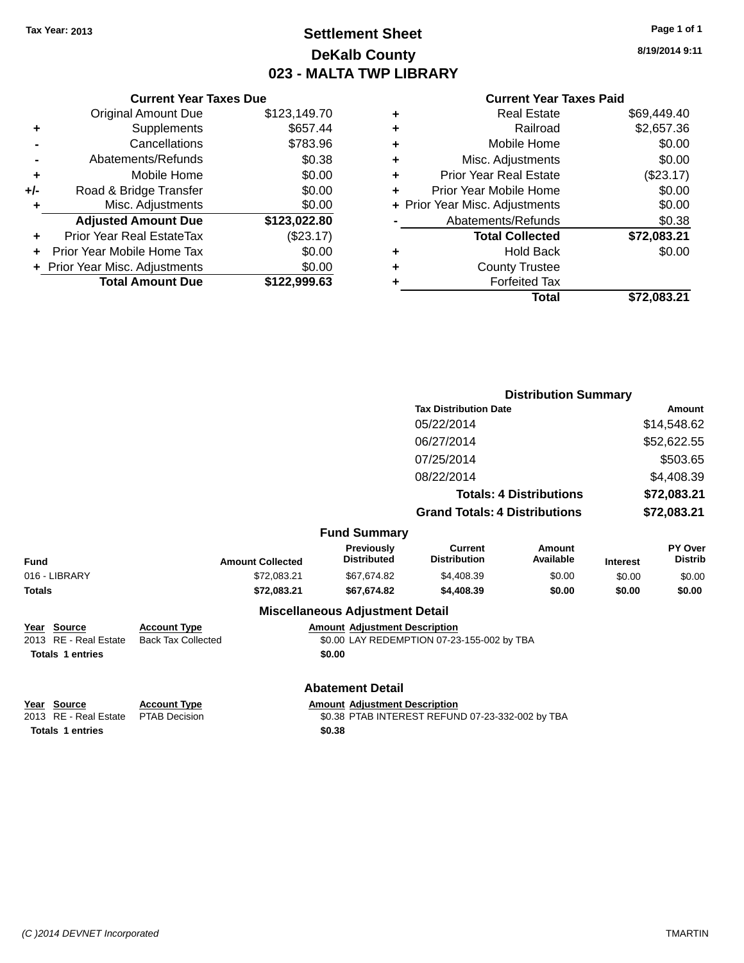# **Settlement Sheet Tax Year: 2013 Page 1 of 1 DeKalb County 023 - MALTA TWP LIBRARY**

**8/19/2014 9:11**

### **Current Year Taxes Paid**

|       | <b>Current Year Taxes Due</b>    |              |
|-------|----------------------------------|--------------|
|       | <b>Original Amount Due</b>       | \$123,149.70 |
| ٠     | Supplements                      | \$657.44     |
|       | Cancellations                    | \$783.96     |
|       | Abatements/Refunds               | \$0.38       |
| ٠     | Mobile Home                      | \$0.00       |
| $+/-$ | Road & Bridge Transfer           | \$0.00       |
| ÷     | Misc. Adjustments                | \$0.00       |
|       | <b>Adjusted Amount Due</b>       | \$123,022.80 |
| ٠     | <b>Prior Year Real EstateTax</b> | (\$23.17)    |
|       | Prior Year Mobile Home Tax       | \$0.00       |
|       | + Prior Year Misc. Adjustments   | \$0.00       |
|       | <b>Total Amount Due</b>          | \$122,999.63 |
|       |                                  |              |

|   | <b>Real Estate</b>             | \$69.449.40 |
|---|--------------------------------|-------------|
| ٠ | Railroad                       | \$2,657.36  |
| ٠ | Mobile Home                    | \$0.00      |
| ٠ | Misc. Adjustments              | \$0.00      |
| ٠ | <b>Prior Year Real Estate</b>  | $(\$23.17)$ |
| ٠ | Prior Year Mobile Home         | \$0.00      |
|   | + Prior Year Misc. Adjustments | \$0.00      |
|   | Abatements/Refunds             | \$0.38      |
|   | <b>Total Collected</b>         | \$72,083.21 |
| ٠ | <b>Hold Back</b>               | \$0.00      |
| ٠ | <b>County Trustee</b>          |             |
| ٠ | <b>Forfeited Tax</b>           |             |
|   | Total                          | \$72,083.21 |
|   |                                |             |

|                                                                 |                                                  |                                                | <b>Distribution Summary</b>                |                                |                 |                           |
|-----------------------------------------------------------------|--------------------------------------------------|------------------------------------------------|--------------------------------------------|--------------------------------|-----------------|---------------------------|
|                                                                 |                                                  |                                                | <b>Tax Distribution Date</b>               |                                | Amount          |                           |
|                                                                 |                                                  |                                                | 05/22/2014                                 |                                | \$14,548.62     |                           |
|                                                                 | 06/27/2014                                       |                                                | \$52,622.55                                |                                |                 |                           |
|                                                                 |                                                  |                                                | 07/25/2014                                 |                                |                 | \$503.65                  |
|                                                                 |                                                  |                                                | 08/22/2014                                 |                                |                 | \$4,408.39                |
|                                                                 |                                                  |                                                |                                            | <b>Totals: 4 Distributions</b> |                 | \$72,083.21               |
|                                                                 |                                                  |                                                | <b>Grand Totals: 4 Distributions</b>       |                                | \$72,083.21     |                           |
|                                                                 |                                                  | <b>Fund Summary</b>                            |                                            |                                |                 |                           |
| <b>Fund</b>                                                     | <b>Amount Collected</b>                          | <b>Previously</b><br><b>Distributed</b>        | <b>Current</b><br><b>Distribution</b>      | Amount<br>Available            | <b>Interest</b> | PY Over<br><b>Distrib</b> |
| 016 - LIBRARY                                                   | \$72,083.21                                      | \$67,674.82                                    | \$4,408.39                                 | \$0.00                         | \$0.00          | \$0.00                    |
| <b>Totals</b>                                                   | \$72,083.21                                      | \$67,674.82                                    | \$4,408.39                                 | \$0.00                         | \$0.00          | \$0.00                    |
|                                                                 |                                                  | <b>Miscellaneous Adjustment Detail</b>         |                                            |                                |                 |                           |
| Year Source<br>2013 RE - Real Estate<br><b>Totals 1 entries</b> | <b>Account Type</b><br><b>Back Tax Collected</b> | <b>Amount Adjustment Description</b><br>\$0.00 | \$0.00 LAY REDEMPTION 07-23-155-002 by TBA |                                |                 |                           |
|                                                                 |                                                  | <b>Abatement Detail</b>                        |                                            |                                |                 |                           |
| Year Source                                                     | <b>Account Type</b>                              | <b>Amount Adjustment Description</b>           |                                            |                                |                 |                           |

**Totals 1 entries \$0.38**

2013 RE - Real Estate PTAB Decision \$0.38 PTAB INTEREST REFUND 07-23-332-002 by TBA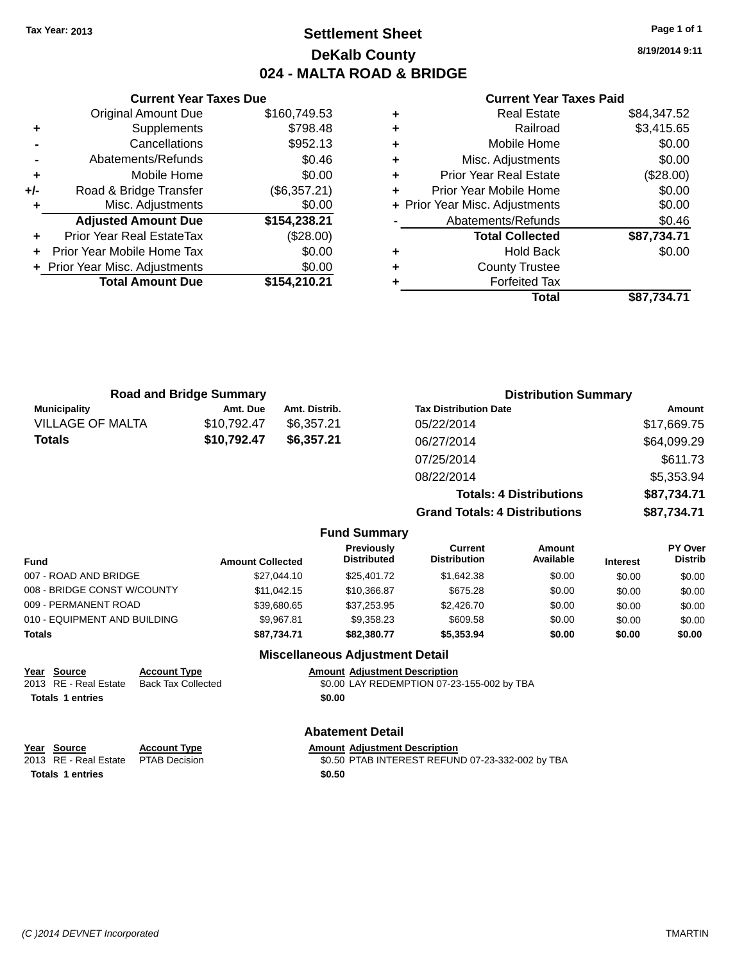# **Settlement Sheet Tax Year: 2013 Page 1 of 1 DeKalb County 024 - MALTA ROAD & BRIDGE**

**8/19/2014 9:11**

### **Current Year Taxes Paid**

|     | <b>Current Year Taxes Due</b>    |              |  |
|-----|----------------------------------|--------------|--|
|     | <b>Original Amount Due</b>       | \$160,749.53 |  |
| ٠   | Supplements                      | \$798.48     |  |
|     | Cancellations                    | \$952.13     |  |
|     | Abatements/Refunds               | \$0.46       |  |
| ٠   | Mobile Home                      |              |  |
| +/- | Road & Bridge Transfer           | (\$6,357.21) |  |
|     | Misc. Adjustments                | \$0.00       |  |
|     | <b>Adjusted Amount Due</b>       | \$154,238.21 |  |
|     | <b>Prior Year Real EstateTax</b> | (\$28.00)    |  |
|     | Prior Year Mobile Home Tax       | \$0.00       |  |
|     | + Prior Year Misc. Adjustments   | \$0.00       |  |
|     | <b>Total Amount Due</b>          | \$154,210.21 |  |
|     |                                  |              |  |

|   | <b>Real Estate</b>             | \$84,347.52 |
|---|--------------------------------|-------------|
| ٠ | Railroad                       | \$3,415.65  |
| ٠ | Mobile Home                    | \$0.00      |
| ٠ | Misc. Adjustments              | \$0.00      |
| ٠ | <b>Prior Year Real Estate</b>  | (\$28.00)   |
| ÷ | Prior Year Mobile Home         | \$0.00      |
|   | + Prior Year Misc. Adjustments | \$0.00      |
|   | Abatements/Refunds             | \$0.46      |
|   | <b>Total Collected</b>         | \$87,734.71 |
| ٠ | <b>Hold Back</b>               | \$0.00      |
| ٠ | <b>County Trustee</b>          |             |
|   | <b>Forfeited Tax</b>           |             |
|   | Total                          | \$87,734.71 |
|   |                                |             |

| <b>Road and Bridge Summary</b> |             |               | <b>Distribution Summary</b>          |             |  |
|--------------------------------|-------------|---------------|--------------------------------------|-------------|--|
| <b>Municipality</b>            | Amt. Due    | Amt. Distrib. | <b>Tax Distribution Date</b>         | Amount      |  |
| <b>VILLAGE OF MALTA</b>        | \$10,792.47 | \$6.357.21    | 05/22/2014                           | \$17,669.75 |  |
| <b>Totals</b>                  | \$10,792.47 | \$6,357.21    | 06/27/2014                           | \$64,099.29 |  |
|                                |             |               | 07/25/2014                           | \$611.73    |  |
|                                |             |               | 08/22/2014                           | \$5,353.94  |  |
|                                |             |               | <b>Totals: 4 Distributions</b>       | \$87,734.71 |  |
|                                |             |               | <b>Grand Totals: 4 Distributions</b> | \$87,734.71 |  |

|  | <b>Fund Summary</b> |
|--|---------------------|
|--|---------------------|

| <b>Fund</b>                  | <b>Amount Collected</b> | <b>Previously</b><br><b>Distributed</b> | Current<br><b>Distribution</b> | Amount<br>Available | <b>Interest</b> | <b>PY Over</b><br><b>Distrib</b> |
|------------------------------|-------------------------|-----------------------------------------|--------------------------------|---------------------|-----------------|----------------------------------|
| 007 - ROAD AND BRIDGE        | \$27.044.10             | \$25,401.72                             | \$1.642.38                     | \$0.00              | \$0.00          | \$0.00                           |
| 008 - BRIDGE CONST W/COUNTY  | \$11.042.15             | \$10.366.87                             | \$675.28                       | \$0.00              | \$0.00          | \$0.00                           |
| 009 - PERMANENT ROAD         | \$39,680,65             | \$37,253.95                             | \$2,426.70                     | \$0.00              | \$0.00          | \$0.00                           |
| 010 - EQUIPMENT AND BUILDING | \$9.967.81              | \$9.358.23                              | \$609.58                       | \$0.00              | \$0.00          | \$0.00                           |
| Totals                       | \$87.734.71             | \$82,380,77                             | \$5,353,94                     | \$0.00              | \$0.00          | \$0.00                           |

### **Miscellaneous Adjustment Detail**

|                         | Year Source           | <b>Account Type</b>       | <b>Amount Adiustment Description</b>       |
|-------------------------|-----------------------|---------------------------|--------------------------------------------|
|                         | 2013 RE - Real Estate | <b>Back Tax Collected</b> | \$0.00 LAY REDEMPTION 07-23-155-002 by TBA |
| <b>Totals 1 entries</b> |                       |                           | \$0.00                                     |

### **Abatement Detail**

|                         | Year Source           | <b>Account Type</b> |        | <b>Amount Adiustment Description</b>             |
|-------------------------|-----------------------|---------------------|--------|--------------------------------------------------|
|                         | 2013 RE - Real Estate | PTAB Decision       |        | \$0.50 PTAB INTEREST REFUND 07-23-332-002 by TBA |
| <b>Totals 1 entries</b> |                       |                     | \$0.50 |                                                  |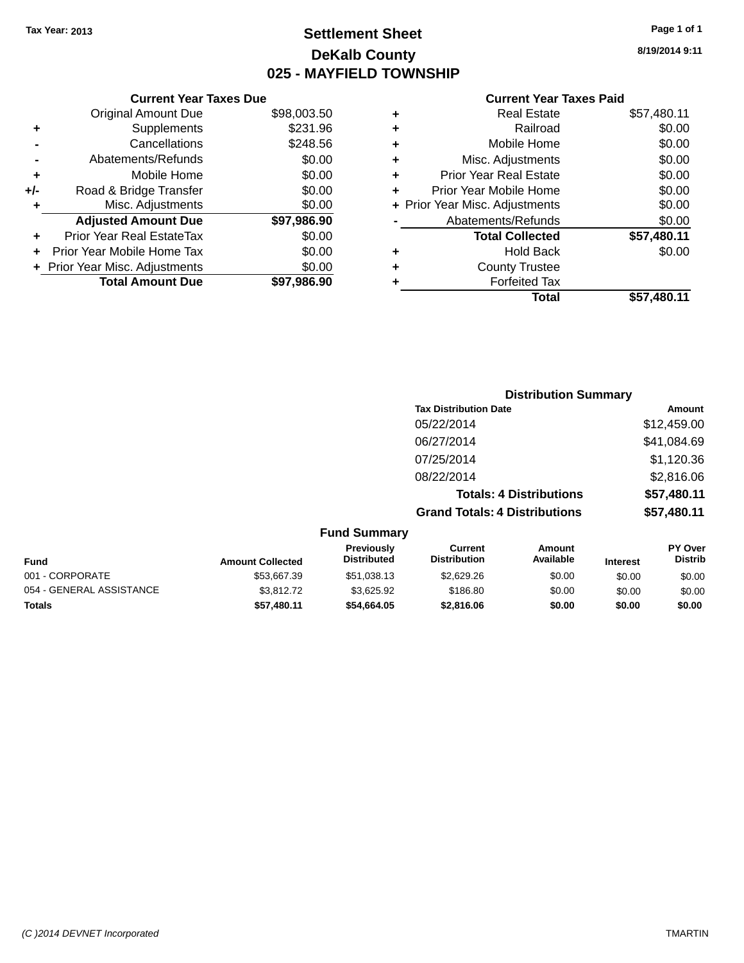# **Settlement Sheet Tax Year: 2013 Page 1 of 1 DeKalb County 025 - MAYFIELD TOWNSHIP**

**8/19/2014 9:11**

|     | <b>Current Year Taxes Due</b> |             |  |  |  |
|-----|-------------------------------|-------------|--|--|--|
|     | <b>Original Amount Due</b>    | \$98,003.50 |  |  |  |
| ٠   | Supplements                   | \$231.96    |  |  |  |
|     | Cancellations                 | \$248.56    |  |  |  |
|     | Abatements/Refunds            | \$0.00      |  |  |  |
| ٠   | Mobile Home                   | \$0.00      |  |  |  |
| +/- | Road & Bridge Transfer        | \$0.00      |  |  |  |
| ٠   | Misc. Adjustments             | \$0.00      |  |  |  |
|     | <b>Adjusted Amount Due</b>    | \$97,986.90 |  |  |  |
| ٠   | Prior Year Real EstateTax     | \$0.00      |  |  |  |
| ÷   | Prior Year Mobile Home Tax    | \$0.00      |  |  |  |
|     | Prior Year Misc. Adjustments  | \$0.00      |  |  |  |
|     | <b>Total Amount Due</b>       | \$97.986.90 |  |  |  |
|     |                               |             |  |  |  |

|   | <b>Real Estate</b>             | \$57,480.11 |
|---|--------------------------------|-------------|
| ٠ | Railroad                       | \$0.00      |
| ٠ | Mobile Home                    | \$0.00      |
| ٠ | Misc. Adjustments              | \$0.00      |
| ٠ | <b>Prior Year Real Estate</b>  | \$0.00      |
| ÷ | Prior Year Mobile Home         | \$0.00      |
|   | + Prior Year Misc. Adjustments | \$0.00      |
|   | Abatements/Refunds             | \$0.00      |
|   | <b>Total Collected</b>         | \$57,480.11 |
| ٠ | <b>Hold Back</b>               | \$0.00      |
| ٠ | <b>County Trustee</b>          |             |
| ٠ | <b>Forfeited Tax</b>           |             |
|   | Total                          | \$57,480.11 |
|   |                                |             |

|                     |                                      | <b>Distribution Summary</b>    |                |
|---------------------|--------------------------------------|--------------------------------|----------------|
|                     | <b>Tax Distribution Date</b>         |                                | Amount         |
|                     | 05/22/2014                           |                                | \$12,459.00    |
|                     | 06/27/2014                           |                                | \$41,084.69    |
|                     | 07/25/2014                           |                                | \$1,120.36     |
|                     | 08/22/2014                           |                                | \$2,816.06     |
|                     |                                      | <b>Totals: 4 Distributions</b> | \$57,480.11    |
|                     | <b>Grand Totals: 4 Distributions</b> |                                | \$57,480.11    |
| <b>Fund Summary</b> |                                      |                                |                |
| <b>Previously</b>   | Current                              | Amount                         | <b>PY Over</b> |

| <b>Fund</b>              | <b>Amount Collected</b> | <b>Previously</b><br><b>Distributed</b> | Current<br><b>Distribution</b> | Amount<br>Available | <b>Interest</b> | <b>PY Over</b><br><b>Distrib</b> |
|--------------------------|-------------------------|-----------------------------------------|--------------------------------|---------------------|-----------------|----------------------------------|
| 001 - CORPORATE          | \$53.667.39             | \$51,038.13                             | \$2,629.26                     | \$0.00              | \$0.00          | \$0.00                           |
| 054 - GENERAL ASSISTANCE | \$3,812.72              | \$3.625.92                              | \$186.80                       | \$0.00              | \$0.00          | \$0.00                           |
| <b>Totals</b>            | \$57.480.11             | \$54,664.05                             | \$2,816,06                     | \$0.00              | \$0.00          | \$0.00                           |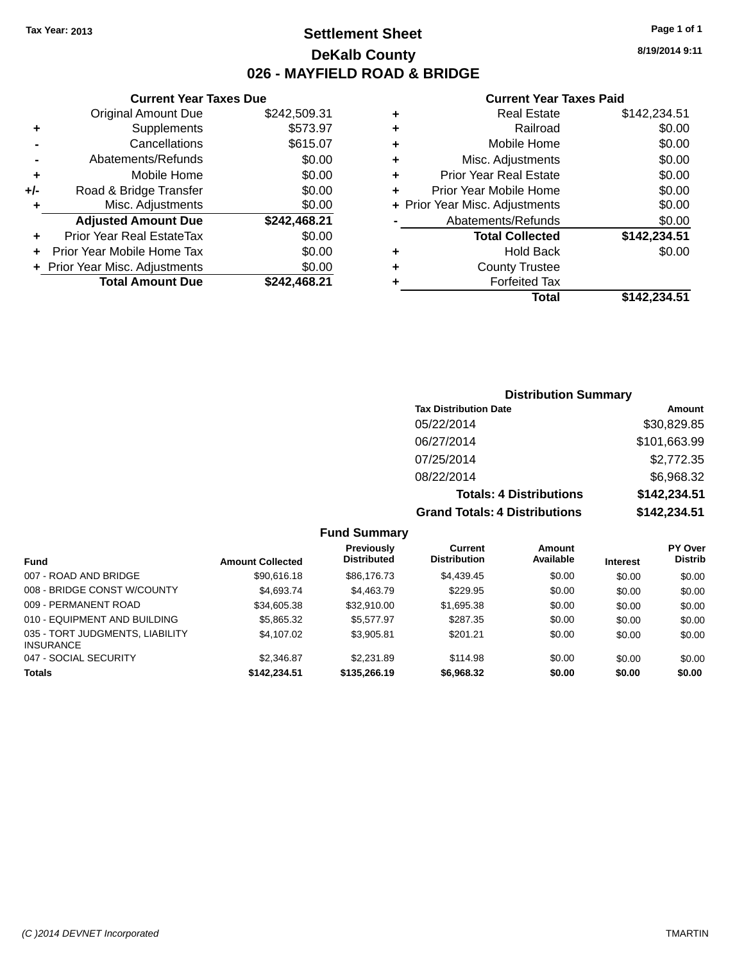# **Settlement Sheet Tax Year: 2013 Page 1 of 1 DeKalb County 026 - MAYFIELD ROAD & BRIDGE**

**Current Year Taxes Due**

|       | <b>Original Amount Due</b>       | \$242,509.31 |
|-------|----------------------------------|--------------|
| ٠     | Supplements                      | \$573.97     |
|       | Cancellations                    | \$615.07     |
|       | Abatements/Refunds               | \$0.00       |
| ٠     | Mobile Home                      | \$0.00       |
| $+/-$ | Road & Bridge Transfer           | \$0.00       |
| ٠     | Misc. Adjustments                | \$0.00       |
|       | <b>Adjusted Amount Due</b>       | \$242,468.21 |
| ÷     | <b>Prior Year Real EstateTax</b> | \$0.00       |
|       | Prior Year Mobile Home Tax       | \$0.00       |
|       | + Prior Year Misc. Adjustments   | \$0.00       |
|       | <b>Total Amount Due</b>          | \$242,468.21 |
|       |                                  |              |

#### **Current Year Taxes Paid**

|   | <b>Real Estate</b>             | \$142,234.51 |
|---|--------------------------------|--------------|
| ٠ | Railroad                       | \$0.00       |
| ٠ | Mobile Home                    | \$0.00       |
| ٠ | Misc. Adjustments              | \$0.00       |
| ٠ | <b>Prior Year Real Estate</b>  | \$0.00       |
| ٠ | Prior Year Mobile Home         | \$0.00       |
|   | + Prior Year Misc. Adjustments | \$0.00       |
|   | Abatements/Refunds             | \$0.00       |
|   | <b>Total Collected</b>         | \$142.234.51 |
| ٠ | <b>Hold Back</b>               | \$0.00       |
| ٠ | <b>County Trustee</b>          |              |
| ٠ | <b>Forfeited Tax</b>           |              |
|   | Total                          | \$142,234.51 |
|   |                                |              |

# **Distribution Summary Tax Distribution Date Amount** 05/22/2014 \$30,829.85 06/27/2014 \$101,663.99 07/25/2014 \$2,772.35 08/22/2014 \$6,968.32 **Totals: 4 Distributions \$142,234.51 Grand Totals: 4 Distributions \$142,234.51**

|                                                     |                         | Previously         | Current             | Amount    |                 | <b>PY Over</b> |
|-----------------------------------------------------|-------------------------|--------------------|---------------------|-----------|-----------------|----------------|
| Fund                                                | <b>Amount Collected</b> | <b>Distributed</b> | <b>Distribution</b> | Available | <b>Interest</b> | <b>Distrib</b> |
| 007 - ROAD AND BRIDGE                               | \$90,616.18             | \$86,176,73        | \$4,439.45          | \$0.00    | \$0.00          | \$0.00         |
| 008 - BRIDGE CONST W/COUNTY                         | \$4,693.74              | \$4,463.79         | \$229.95            | \$0.00    | \$0.00          | \$0.00         |
| 009 - PERMANENT ROAD                                | \$34,605.38             | \$32,910.00        | \$1,695.38          | \$0.00    | \$0.00          | \$0.00         |
| 010 - EQUIPMENT AND BUILDING                        | \$5,865.32              | \$5,577.97         | \$287.35            | \$0.00    | \$0.00          | \$0.00         |
| 035 - TORT JUDGMENTS, LIABILITY<br><b>INSURANCE</b> | \$4,107.02              | \$3.905.81         | \$201.21            | \$0.00    | \$0.00          | \$0.00         |
| 047 - SOCIAL SECURITY                               | \$2.346.87              | \$2,231.89         | \$114.98            | \$0.00    | \$0.00          | \$0.00         |
| <b>Totals</b>                                       | \$142,234.51            | \$135,266.19       | \$6,968.32          | \$0.00    | \$0.00          | \$0.00         |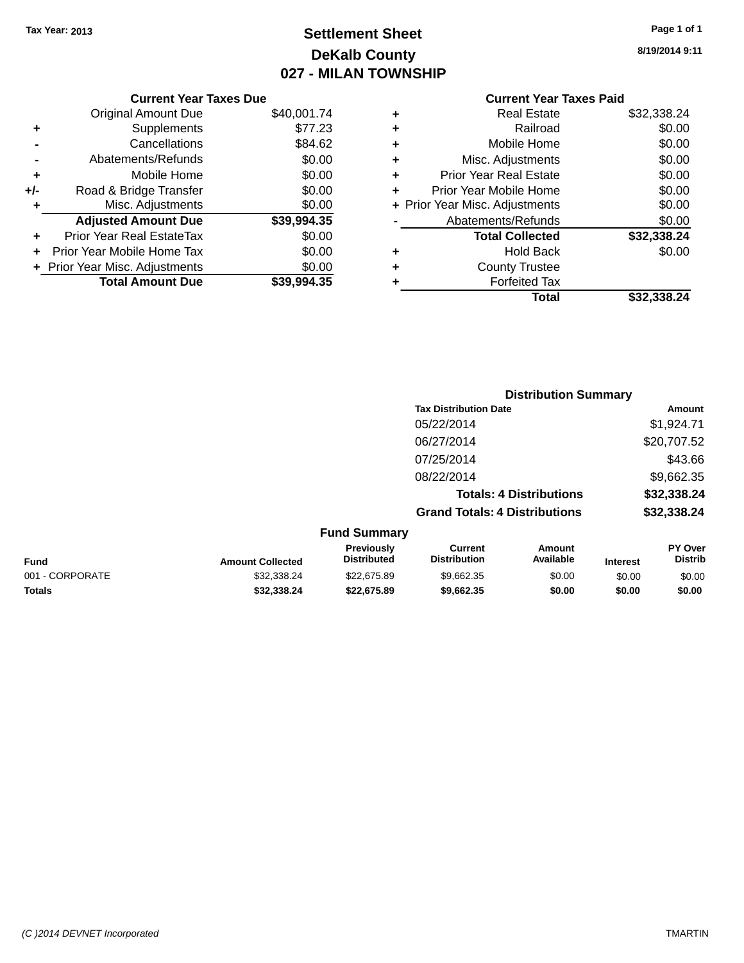# **Settlement Sheet Tax Year: 2013 Page 1 of 1 DeKalb County 027 - MILAN TOWNSHIP**

**8/19/2014 9:11**

|       | <b>Current Year Taxes Due</b>  |             |
|-------|--------------------------------|-------------|
|       | <b>Original Amount Due</b>     | \$40,001.74 |
| ٠     | Supplements                    | \$77.23     |
|       | Cancellations                  | \$84.62     |
|       | Abatements/Refunds             | \$0.00      |
| ٠     | Mobile Home                    | \$0.00      |
| $+/-$ | Road & Bridge Transfer         | \$0.00      |
|       | Misc. Adjustments              | \$0.00      |
|       | <b>Adjusted Amount Due</b>     | \$39,994.35 |
| ٠     | Prior Year Real EstateTax      | \$0.00      |
|       | Prior Year Mobile Home Tax     | \$0.00      |
|       | + Prior Year Misc. Adjustments | \$0.00      |
|       | <b>Total Amount Due</b>        | \$39,994.35 |
|       |                                |             |

|   | Total                          | \$32,338,24 |
|---|--------------------------------|-------------|
| ٠ | <b>Forfeited Tax</b>           |             |
| ٠ | <b>County Trustee</b>          |             |
| ٠ | <b>Hold Back</b>               | \$0.00      |
|   | <b>Total Collected</b>         | \$32,338.24 |
|   | Abatements/Refunds             | \$0.00      |
|   | + Prior Year Misc. Adjustments | \$0.00      |
| ٠ | Prior Year Mobile Home         | \$0.00      |
| ÷ | <b>Prior Year Real Estate</b>  | \$0.00      |
| ٠ | Misc. Adjustments              | \$0.00      |
| ÷ | Mobile Home                    | \$0.00      |
| ٠ | Railroad                       | \$0.00      |
| ٠ | <b>Real Estate</b>             | \$32,338.24 |
|   |                                |             |

|                 |                         |                                  | <b>Distribution Summary</b>           |                                |                 |                           |
|-----------------|-------------------------|----------------------------------|---------------------------------------|--------------------------------|-----------------|---------------------------|
|                 |                         |                                  | <b>Tax Distribution Date</b>          |                                |                 | Amount                    |
|                 |                         |                                  | 05/22/2014                            |                                |                 | \$1,924.71                |
|                 |                         |                                  | 06/27/2014                            |                                |                 | \$20,707.52               |
|                 |                         |                                  | 07/25/2014                            |                                |                 | \$43.66                   |
|                 |                         |                                  | 08/22/2014                            |                                |                 | \$9,662.35                |
|                 |                         |                                  |                                       | <b>Totals: 4 Distributions</b> |                 | \$32,338.24               |
|                 |                         |                                  | <b>Grand Totals: 4 Distributions</b>  |                                |                 | \$32,338.24               |
|                 |                         | <b>Fund Summary</b>              |                                       |                                |                 |                           |
| <b>Fund</b>     | <b>Amount Collected</b> | Previously<br><b>Distributed</b> | <b>Current</b><br><b>Distribution</b> | Amount<br>Available            | <b>Interest</b> | PY Over<br><b>Distrib</b> |
| 001 - CORPORATE | \$32,338.24             | \$22,675.89                      | \$9,662.35                            | \$0.00                         | \$0.00          | \$0.00                    |
| <b>Totals</b>   | \$32,338,24             | \$22,675.89                      | \$9,662.35                            | \$0.00                         | \$0.00          | \$0.00                    |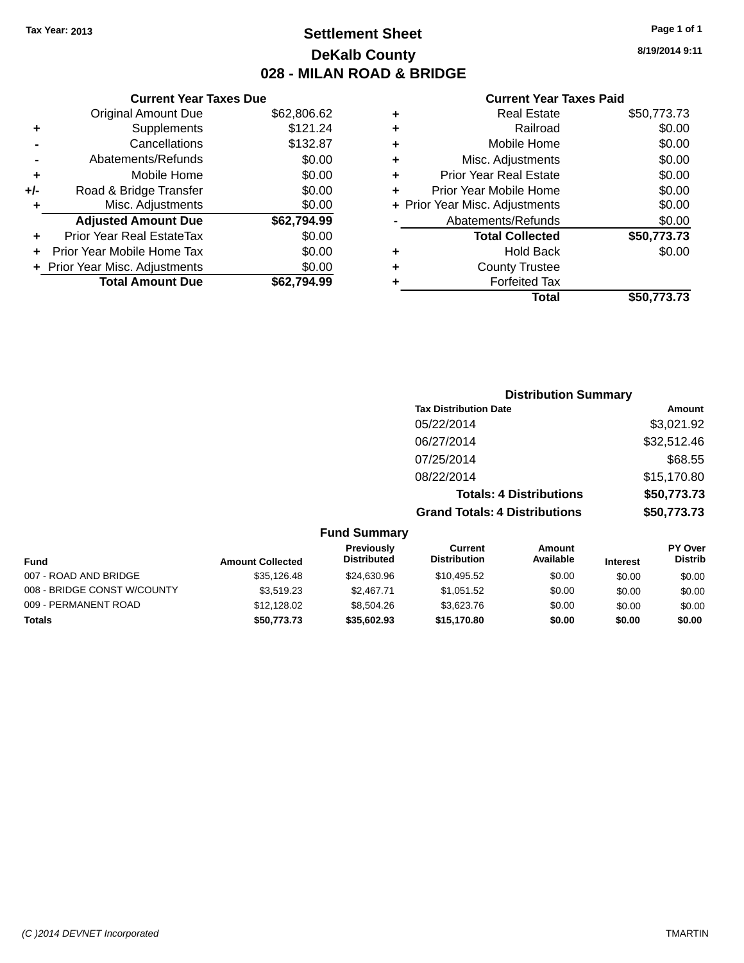# **Settlement Sheet Tax Year: 2013 Page 1 of 1 DeKalb County 028 - MILAN ROAD & BRIDGE**

**8/19/2014 9:11**

|     | <b>Current Year Taxes Due</b>  |             |
|-----|--------------------------------|-------------|
|     | <b>Original Amount Due</b>     | \$62,806.62 |
| ٠   | Supplements                    | \$121.24    |
|     | Cancellations                  | \$132.87    |
|     | Abatements/Refunds             | \$0.00      |
| ٠   | Mobile Home                    | \$0.00      |
| +/- | Road & Bridge Transfer         | \$0.00      |
|     | Misc. Adjustments              | \$0.00      |
|     | <b>Adjusted Amount Due</b>     | \$62,794.99 |
| ٠   | Prior Year Real EstateTax      | \$0.00      |
|     | Prior Year Mobile Home Tax     | \$0.00      |
|     | + Prior Year Misc. Adjustments | \$0.00      |
|     | <b>Total Amount Due</b>        | \$62.794.99 |
|     |                                |             |

|   | <b>Real Estate</b>             | \$50,773.73 |
|---|--------------------------------|-------------|
| ٠ | Railroad                       | \$0.00      |
| ٠ | Mobile Home                    | \$0.00      |
| ٠ | Misc. Adjustments              | \$0.00      |
| ٠ | <b>Prior Year Real Estate</b>  | \$0.00      |
| ÷ | Prior Year Mobile Home         | \$0.00      |
|   | + Prior Year Misc. Adjustments | \$0.00      |
|   | Abatements/Refunds             | \$0.00      |
|   | <b>Total Collected</b>         | \$50,773.73 |
| ٠ | <b>Hold Back</b>               | \$0.00      |
| ٠ | <b>County Trustee</b>          |             |
|   | <b>Forfeited Tax</b>           |             |
|   | Total                          | \$50,773,73 |
|   |                                |             |

| <b>Distribution Summary</b>          |             |
|--------------------------------------|-------------|
| <b>Tax Distribution Date</b>         | Amount      |
| 05/22/2014                           | \$3,021.92  |
| 06/27/2014                           | \$32,512.46 |
| 07/25/2014                           | \$68.55     |
| 08/22/2014                           | \$15,170.80 |
| <b>Totals: 4 Distributions</b>       | \$50,773.73 |
| <b>Grand Totals: 4 Distributions</b> | \$50,773.73 |

|  | <b>Fund Summary</b> |
|--|---------------------|
|--|---------------------|

| <b>Fund</b>                 | <b>Amount Collected</b> | <b>Previously</b><br><b>Distributed</b> | Current<br><b>Distribution</b> | Amount<br>Available | <b>Interest</b> | <b>PY Over</b><br><b>Distrib</b> |
|-----------------------------|-------------------------|-----------------------------------------|--------------------------------|---------------------|-----------------|----------------------------------|
| 007 - ROAD AND BRIDGE       | \$35,126,48             | \$24,630.96                             | \$10,495.52                    | \$0.00              | \$0.00          | \$0.00                           |
| 008 - BRIDGE CONST W/COUNTY | \$3.519.23              | \$2.467.71                              | \$1.051.52                     | \$0.00              | \$0.00          | \$0.00                           |
| 009 - PERMANENT ROAD        | \$12,128,02             | \$8,504.26                              | \$3.623.76                     | \$0.00              | \$0.00          | \$0.00                           |
| Totals                      | \$50,773.73             | \$35,602.93                             | \$15,170.80                    | \$0.00              | \$0.00          | \$0.00                           |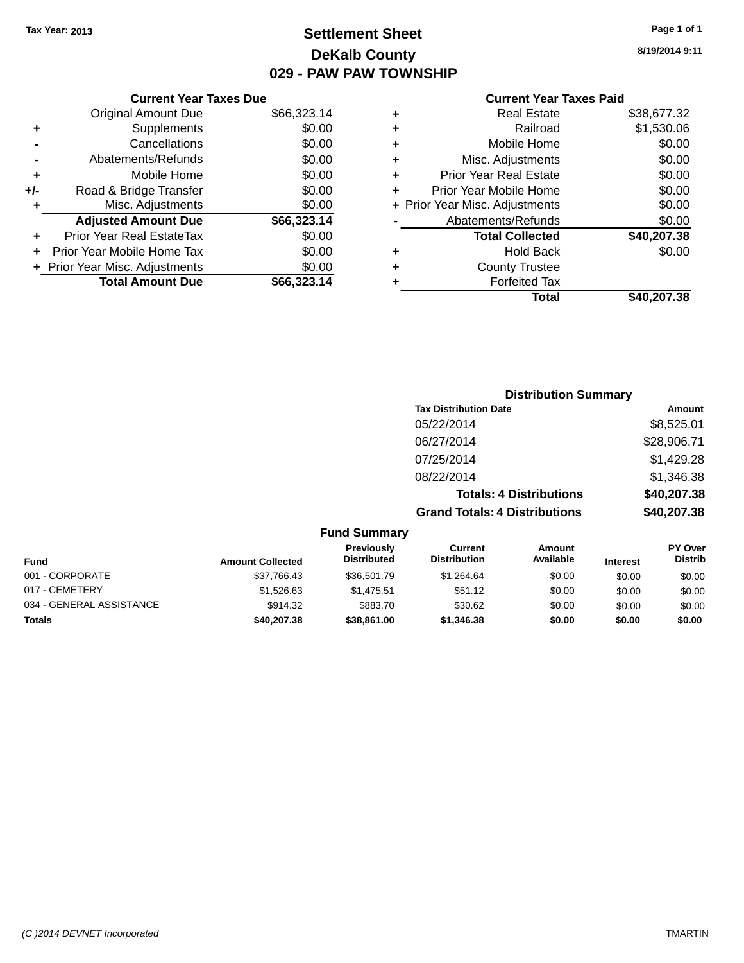# **Settlement Sheet Tax Year: 2013 Page 1 of 1 DeKalb County 029 - PAW PAW TOWNSHIP**

# **Current Year Taxes Due**

|     | <b>Original Amount Due</b>     | \$66,323.14 |
|-----|--------------------------------|-------------|
| ٠   | Supplements                    | \$0.00      |
|     | Cancellations                  | \$0.00      |
|     | Abatements/Refunds             | \$0.00      |
| ÷   | Mobile Home                    | \$0.00      |
| +/- | Road & Bridge Transfer         | \$0.00      |
| ٠   | Misc. Adjustments              | \$0.00      |
|     | <b>Adjusted Amount Due</b>     | \$66,323.14 |
| ٠   | Prior Year Real EstateTax      | \$0.00      |
|     | Prior Year Mobile Home Tax     | \$0.00      |
|     | + Prior Year Misc. Adjustments | \$0.00      |
|     | <b>Total Amount Due</b>        | \$66,323.14 |

### **Current Year Taxes Paid**

| ٠ | <b>Real Estate</b>             | \$38,677.32 |
|---|--------------------------------|-------------|
| ٠ | Railroad                       | \$1,530.06  |
| ٠ | Mobile Home                    | \$0.00      |
| ٠ | Misc. Adjustments              | \$0.00      |
| ٠ | <b>Prior Year Real Estate</b>  | \$0.00      |
| ٠ | Prior Year Mobile Home         | \$0.00      |
|   | + Prior Year Misc. Adjustments | \$0.00      |
|   | Abatements/Refunds             | \$0.00      |
|   | <b>Total Collected</b>         | \$40,207.38 |
| ٠ | <b>Hold Back</b>               | \$0.00      |
| ٠ | <b>County Trustee</b>          |             |
| ٠ | <b>Forfeited Tax</b>           |             |
|   | Total                          | \$40.207.38 |
|   |                                |             |

# **Distribution Summary Tax Distribution Date Amount** 05/22/2014 \$8,525.01 06/27/2014 \$28,906.71 07/25/2014 \$1,429.28 08/22/2014 \$1,346.38 **Totals: 4 Distributions \$40,207.38 Grand Totals: 4 Distributions \$40,207.38**

| <b>Fund</b>              | <b>Amount Collected</b> | <b>Previously</b><br><b>Distributed</b> | Current<br><b>Distribution</b> | Amount<br>Available | <b>Interest</b> | <b>PY Over</b><br><b>Distrib</b> |
|--------------------------|-------------------------|-----------------------------------------|--------------------------------|---------------------|-----------------|----------------------------------|
| 001 - CORPORATE          | \$37,766.43             | \$36,501.79                             | \$1.264.64                     | \$0.00              | \$0.00          | \$0.00                           |
| 017 - CEMETERY           | \$1,526,63              | \$1.475.51                              | \$51.12                        | \$0.00              | \$0.00          | \$0.00                           |
| 034 - GENERAL ASSISTANCE | \$914.32                | \$883.70                                | \$30.62                        | \$0.00              | \$0.00          | \$0.00                           |
| <b>Totals</b>            | \$40,207.38             | \$38,861.00                             | \$1,346,38                     | \$0.00              | \$0.00          | \$0.00                           |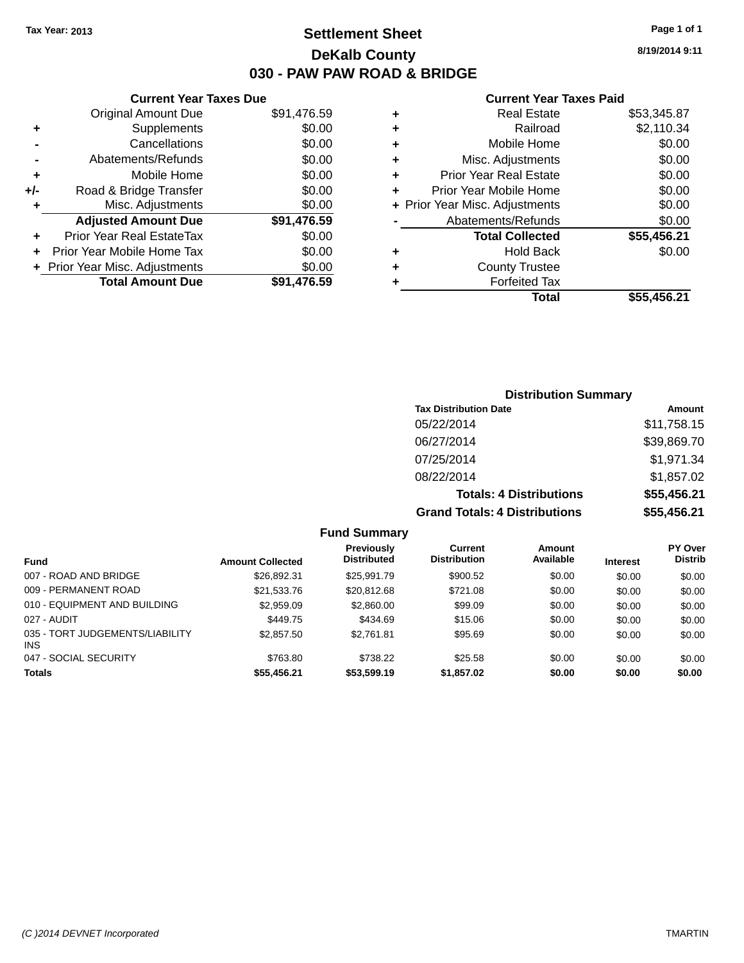# **Settlement Sheet Tax Year: 2013 Page 1 of 1 DeKalb County 030 - PAW PAW ROAD & BRIDGE**

**8/19/2014 9:11**

### **Current Year Taxes Paid**

|       | <b>Original Amount Due</b>     | \$91,476.59 |
|-------|--------------------------------|-------------|
|       | Supplements                    | \$0.00      |
|       | Cancellations                  | \$0.00      |
|       | Abatements/Refunds             | \$0.00      |
| ٠     | Mobile Home                    | \$0.00      |
| $+/-$ | Road & Bridge Transfer         | \$0.00      |
| ٠     | Misc. Adjustments              | \$0.00      |
|       | <b>Adjusted Amount Due</b>     | \$91,476.59 |
|       | Prior Year Real EstateTax      | \$0.00      |
|       | Prior Year Mobile Home Tax     | \$0.00      |
|       | + Prior Year Misc. Adjustments | \$0.00      |
|       | <b>Total Amount Due</b>        | \$91,476.59 |
|       |                                |             |

**Current Year Taxes Due**

| ٠ | <b>Real Estate</b>             | \$53,345.87 |
|---|--------------------------------|-------------|
| ٠ | Railroad                       | \$2,110.34  |
| ٠ | Mobile Home                    | \$0.00      |
| ٠ | Misc. Adjustments              | \$0.00      |
| ٠ | <b>Prior Year Real Estate</b>  | \$0.00      |
| ÷ | Prior Year Mobile Home         | \$0.00      |
|   | + Prior Year Misc. Adjustments | \$0.00      |
|   | Abatements/Refunds             | \$0.00      |
|   | <b>Total Collected</b>         | \$55,456.21 |
| ٠ | <b>Hold Back</b>               | \$0.00      |
| ٠ | <b>County Trustee</b>          |             |
| ٠ | <b>Forfeited Tax</b>           |             |
|   | Total                          | \$55,456.21 |
|   |                                |             |

# **Distribution Summary Tax Distribution Date Amount** 05/22/2014 \$11,758.15 06/27/2014 \$39,869.70 07/25/2014 \$1,971.34 08/22/2014 \$1,857.02 **Totals: 4 Distributions \$55,456.21 Grand Totals: 4 Distributions \$55,456.21**

| <b>Fund</b>                                   | <b>Amount Collected</b> | Previously<br><b>Distributed</b> | Current<br><b>Distribution</b> | Amount<br>Available | <b>Interest</b> | <b>PY Over</b><br><b>Distrib</b> |
|-----------------------------------------------|-------------------------|----------------------------------|--------------------------------|---------------------|-----------------|----------------------------------|
| 007 - ROAD AND BRIDGE                         | \$26,892.31             | \$25.991.79                      | \$900.52                       | \$0.00              | \$0.00          | \$0.00                           |
| 009 - PERMANENT ROAD                          | \$21,533.76             | \$20,812.68                      | \$721.08                       | \$0.00              | \$0.00          | \$0.00                           |
| 010 - EQUIPMENT AND BUILDING                  | \$2,959.09              | \$2,860.00                       | \$99.09                        | \$0.00              | \$0.00          | \$0.00                           |
| 027 - AUDIT                                   | \$449.75                | \$434.69                         | \$15.06                        | \$0.00              | \$0.00          | \$0.00                           |
| 035 - TORT JUDGEMENTS/LIABILITY<br><b>INS</b> | \$2,857.50              | \$2.761.81                       | \$95.69                        | \$0.00              | \$0.00          | \$0.00                           |
| 047 - SOCIAL SECURITY                         | \$763.80                | \$738.22                         | \$25.58                        | \$0.00              | \$0.00          | \$0.00                           |
| <b>Totals</b>                                 | \$55,456.21             | \$53,599.19                      | \$1,857.02                     | \$0.00              | \$0.00          | \$0.00                           |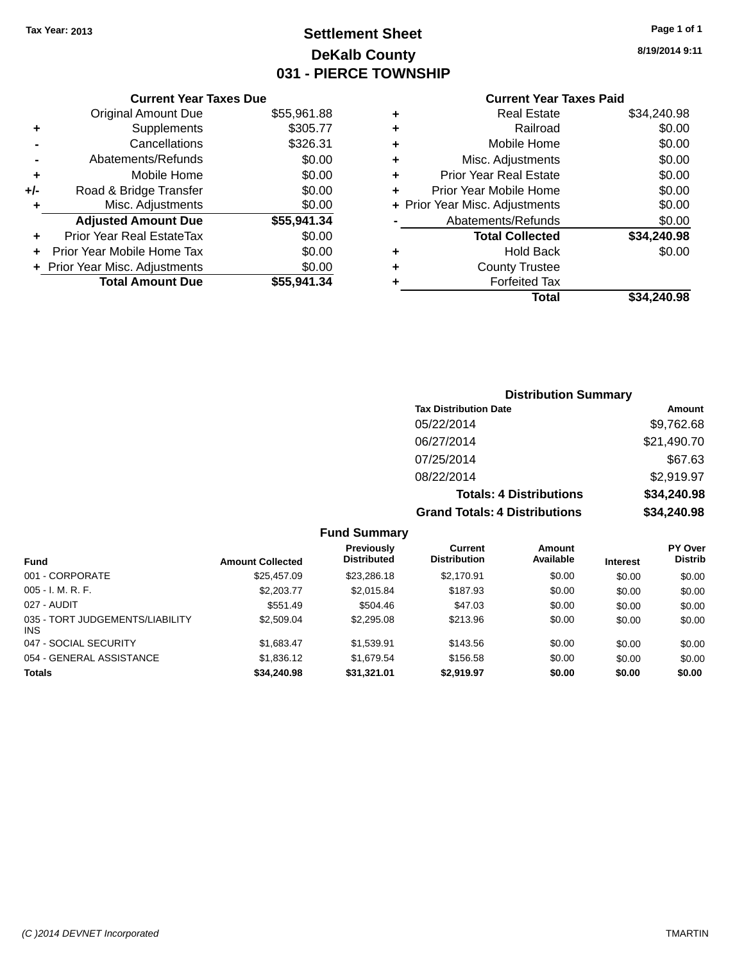# **Settlement Sheet Tax Year: 2013 Page 1 of 1 DeKalb County 031 - PIERCE TOWNSHIP**

**8/19/2014 9:11**

# **Current Year Taxes Paid**

|     | <b>Current Year Taxes Due</b>  |             |
|-----|--------------------------------|-------------|
|     | <b>Original Amount Due</b>     | \$55,961.88 |
| ٠   | Supplements                    | \$305.77    |
|     | Cancellations                  | \$326.31    |
|     | Abatements/Refunds             | \$0.00      |
| ٠   | Mobile Home                    | \$0.00      |
| +/- | Road & Bridge Transfer         | \$0.00      |
|     | Misc. Adjustments              | \$0.00      |
|     | <b>Adjusted Amount Due</b>     | \$55,941.34 |
| ٠   | Prior Year Real EstateTax      | \$0.00      |
|     | Prior Year Mobile Home Tax     | \$0.00      |
|     | + Prior Year Misc. Adjustments | \$0.00      |
|     | <b>Total Amount Due</b>        | \$55,941.34 |
|     |                                |             |

| ٠ | <b>Real Estate</b>             | \$34,240.98 |
|---|--------------------------------|-------------|
| ٠ | Railroad                       | \$0.00      |
| ٠ | Mobile Home                    | \$0.00      |
| ٠ | Misc. Adjustments              | \$0.00      |
| ٠ | <b>Prior Year Real Estate</b>  | \$0.00      |
| ÷ | Prior Year Mobile Home         | \$0.00      |
|   | + Prior Year Misc. Adjustments | \$0.00      |
|   | Abatements/Refunds             | \$0.00      |
|   | <b>Total Collected</b>         | \$34,240.98 |
| ٠ | <b>Hold Back</b>               | \$0.00      |
|   | <b>County Trustee</b>          |             |
| ٠ | <b>Forfeited Tax</b>           |             |
|   | Total                          | \$34,240.98 |
|   |                                |             |

# **Distribution Summary Tax Distribution Date Amount** 05/22/2014 \$9,762.68 06/27/2014 \$21,490.70 07/25/2014 \$67.63 08/22/2014 \$2,919.97 **Totals: 4 Distributions \$34,240.98 Grand Totals: 4 Distributions \$34,240.98**

| <b>Fund</b>                             | <b>Amount Collected</b> | Previously<br><b>Distributed</b> | Current<br><b>Distribution</b> | Amount<br>Available | <b>Interest</b> | <b>PY Over</b><br><b>Distrib</b> |
|-----------------------------------------|-------------------------|----------------------------------|--------------------------------|---------------------|-----------------|----------------------------------|
| 001 - CORPORATE                         | \$25.457.09             | \$23,286.18                      | \$2.170.91                     | \$0.00              | \$0.00          | \$0.00                           |
| $005 - I. M. R. F.$                     | \$2,203.77              | \$2.015.84                       | \$187.93                       | \$0.00              | \$0.00          | \$0.00                           |
| 027 - AUDIT                             | \$551.49                | \$504.46                         | \$47.03                        | \$0.00              | \$0.00          | \$0.00                           |
| 035 - TORT JUDGEMENTS/LIABILITY<br>INS. | \$2,509.04              | \$2,295.08                       | \$213.96                       | \$0.00              | \$0.00          | \$0.00                           |
| 047 - SOCIAL SECURITY                   | \$1.683.47              | \$1,539.91                       | \$143.56                       | \$0.00              | \$0.00          | \$0.00                           |
| 054 - GENERAL ASSISTANCE                | \$1,836.12              | \$1.679.54                       | \$156.58                       | \$0.00              | \$0.00          | \$0.00                           |
| <b>Totals</b>                           | \$34,240.98             | \$31.321.01                      | \$2.919.97                     | \$0.00              | \$0.00          | \$0.00                           |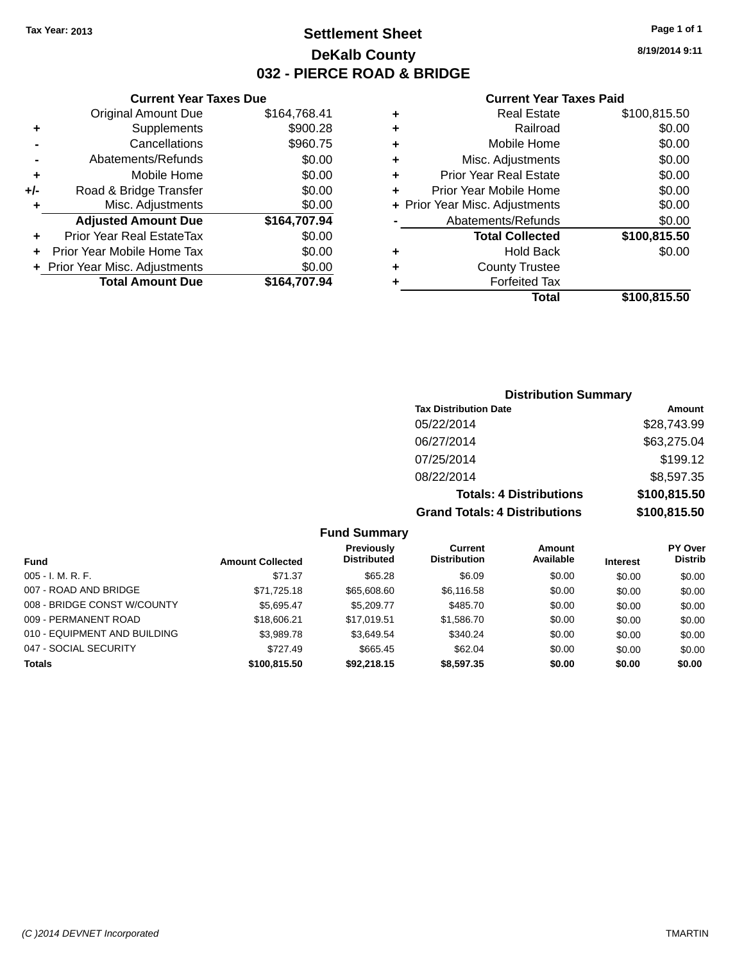# **Settlement Sheet Tax Year: 2013 Page 1 of 1 DeKalb County 032 - PIERCE ROAD & BRIDGE**

**8/19/2014 9:11**

### **Current Year Taxes Paid**

| <b>Current Year Taxes Due</b>  |              |
|--------------------------------|--------------|
| <b>Original Amount Due</b>     | \$164,768.41 |
| Supplements                    | \$900.28     |
| Cancellations                  | \$960.75     |
| Abatements/Refunds             | \$0.00       |
| Mobile Home                    | \$0.00       |
| Road & Bridge Transfer         | \$0.00       |
| Misc. Adjustments              | \$0.00       |
| <b>Adjusted Amount Due</b>     | \$164,707.94 |
| Prior Year Real EstateTax      | \$0.00       |
| Prior Year Mobile Home Tax     | \$0.00       |
| + Prior Year Misc. Adjustments | \$0.00       |
| <b>Total Amount Due</b>        | \$164,707.94 |
|                                |              |

# **Distribution Summary**

| <b>Tax Distribution Date</b>         | Amount       |
|--------------------------------------|--------------|
| 05/22/2014                           | \$28,743.99  |
| 06/27/2014                           | \$63,275.04  |
| 07/25/2014                           | \$199.12     |
| 08/22/2014                           | \$8,597.35   |
| <b>Totals: 4 Distributions</b>       | \$100,815.50 |
| <b>Grand Totals: 4 Distributions</b> | \$100,815.50 |

|                              |                         | <b>Previously</b>  | Current             | <b>Amount</b> |                 | <b>PY Over</b> |
|------------------------------|-------------------------|--------------------|---------------------|---------------|-----------------|----------------|
| Fund                         | <b>Amount Collected</b> | <b>Distributed</b> | <b>Distribution</b> | Available     | <b>Interest</b> | <b>Distrib</b> |
| $005 - I. M. R. F.$          | \$71.37                 | \$65.28            | \$6.09              | \$0.00        | \$0.00          | \$0.00         |
| 007 - ROAD AND BRIDGE        | \$71.725.18             | \$65,608.60        | \$6,116.58          | \$0.00        | \$0.00          | \$0.00         |
| 008 - BRIDGE CONST W/COUNTY  | \$5.695.47              | \$5,209.77         | \$485.70            | \$0.00        | \$0.00          | \$0.00         |
| 009 - PERMANENT ROAD         | \$18,606.21             | \$17.019.51        | \$1,586.70          | \$0.00        | \$0.00          | \$0.00         |
| 010 - EQUIPMENT AND BUILDING | \$3,989.78              | \$3,649.54         | \$340.24            | \$0.00        | \$0.00          | \$0.00         |
| 047 - SOCIAL SECURITY        | \$727.49                | \$665.45           | \$62.04             | \$0.00        | \$0.00          | \$0.00         |
| <b>Totals</b>                | \$100,815.50            | \$92.218.15        | \$8,597,35          | \$0.00        | \$0.00          | \$0.00         |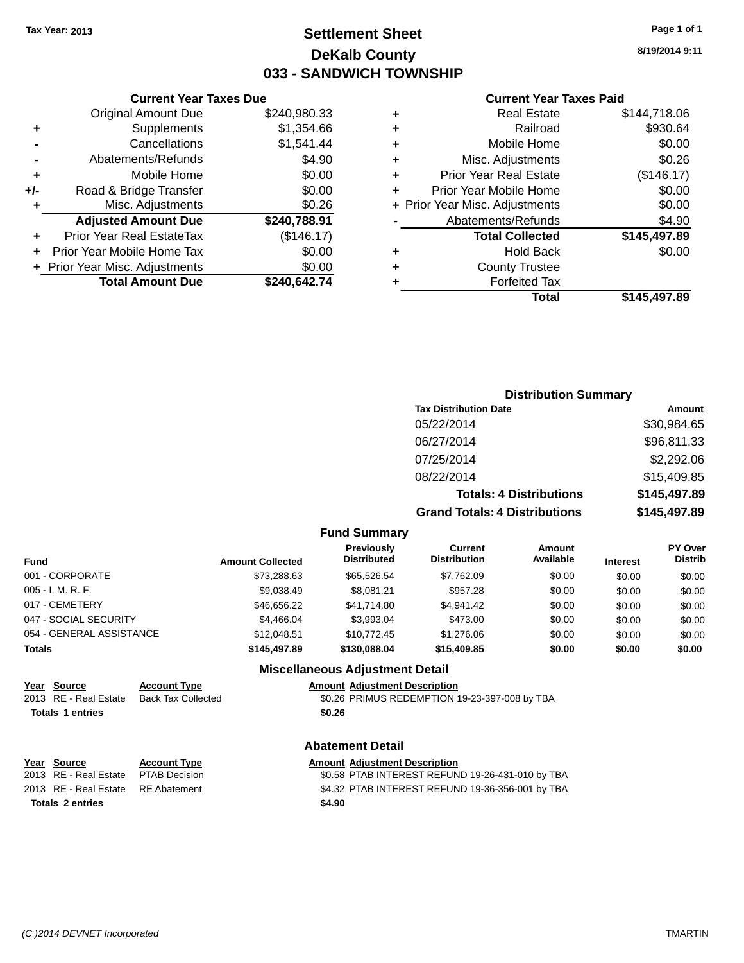# **Settlement Sheet Tax Year: 2013 Page 1 of 1 DeKalb County 033 - SANDWICH TOWNSHIP**

**8/19/2014 9:11**

### **Current Year Taxes Paid**

|     | <b>Current Year Taxes Due</b>    |              |  |  |
|-----|----------------------------------|--------------|--|--|
|     | <b>Original Amount Due</b>       | \$240,980.33 |  |  |
| ٠   | Supplements                      | \$1,354.66   |  |  |
|     | Cancellations                    | \$1,541.44   |  |  |
|     | Abatements/Refunds               | \$4.90       |  |  |
| ٠   | \$0.00<br>Mobile Home            |              |  |  |
| +/- | \$0.00<br>Road & Bridge Transfer |              |  |  |
| ٠   | Misc. Adjustments                | \$0.26       |  |  |
|     | <b>Adjusted Amount Due</b>       | \$240,788.91 |  |  |
| ٠   | <b>Prior Year Real EstateTax</b> | (\$146.17)   |  |  |
|     | Prior Year Mobile Home Tax       | \$0.00       |  |  |
|     | + Prior Year Misc. Adjustments   | \$0.00       |  |  |
|     | <b>Total Amount Due</b>          | \$240,642.74 |  |  |
|     |                                  |              |  |  |

| ٠ | <b>Real Estate</b>             | \$144,718.06 |
|---|--------------------------------|--------------|
| ٠ | Railroad                       | \$930.64     |
| ٠ | Mobile Home                    | \$0.00       |
| ٠ | Misc. Adjustments              | \$0.26       |
| ٠ | <b>Prior Year Real Estate</b>  | (\$146.17)   |
| ٠ | Prior Year Mobile Home         | \$0.00       |
|   | + Prior Year Misc. Adjustments | \$0.00       |
|   | Abatements/Refunds             | \$4.90       |
|   | <b>Total Collected</b>         | \$145,497.89 |
| ٠ | <b>Hold Back</b>               | \$0.00       |
| ٠ | <b>County Trustee</b>          |              |
| ٠ | <b>Forfeited Tax</b>           |              |
|   | Total                          | \$145,497.89 |
|   |                                |              |

# **Distribution Summary Tax Distribution Date Amount** 05/22/2014 \$30,984.65 06/27/2014 \$96,811.33 07/25/2014 \$2,292.06 08/22/2014 \$15,409.85 **Totals: 4 Distributions \$145,497.89 Grand Totals: 4 Distributions \$145,497.89**

#### **Fund Summary**

| <b>Amount Collected</b> | Previously<br><b>Distributed</b> | Current<br><b>Distribution</b> | Amount<br>Available | <b>Interest</b> | <b>PY Over</b><br><b>Distrib</b> |
|-------------------------|----------------------------------|--------------------------------|---------------------|-----------------|----------------------------------|
| \$73.288.63             | \$65.526.54                      | \$7.762.09                     | \$0.00              | \$0.00          | \$0.00                           |
| \$9.038.49              | \$8,081.21                       | \$957.28                       | \$0.00              | \$0.00          | \$0.00                           |
| \$46,656,22             | \$41.714.80                      | \$4.941.42                     | \$0.00              | \$0.00          | \$0.00                           |
| \$4.466.04              | \$3.993.04                       | \$473.00                       | \$0.00              | \$0.00          | \$0.00                           |
| \$12,048.51             | \$10,772,45                      | \$1,276.06                     | \$0.00              | \$0.00          | \$0.00                           |
| \$145,497.89            | \$130,088,04                     | \$15,409.85                    | \$0.00              | \$0.00          | \$0.00                           |
|                         |                                  |                                |                     |                 |                                  |

### **Miscellaneous Adjustment Detail**

# **Year Source Account Type Amount Adjustment Description**

\$0.26 PRIMUS REDEMPTION 19-23-397-008 by TBA **Totals 1 entries \$0.26**

#### **Abatement Detail**

#### **Year Source Account Type Amount Adjustment Description**<br>2013 RE - Real Estate PTAB Decision **Amount SC** SO PTAB INTEREST REFUN \$0.58 PTAB INTEREST REFUND 19-26-431-010 by TBA 2013 RE - Real Estate RE Abatement \$4.32 PTAB INTEREST REFUND 19-36-356-001 by TBA **Totals 2 entries \$4.90**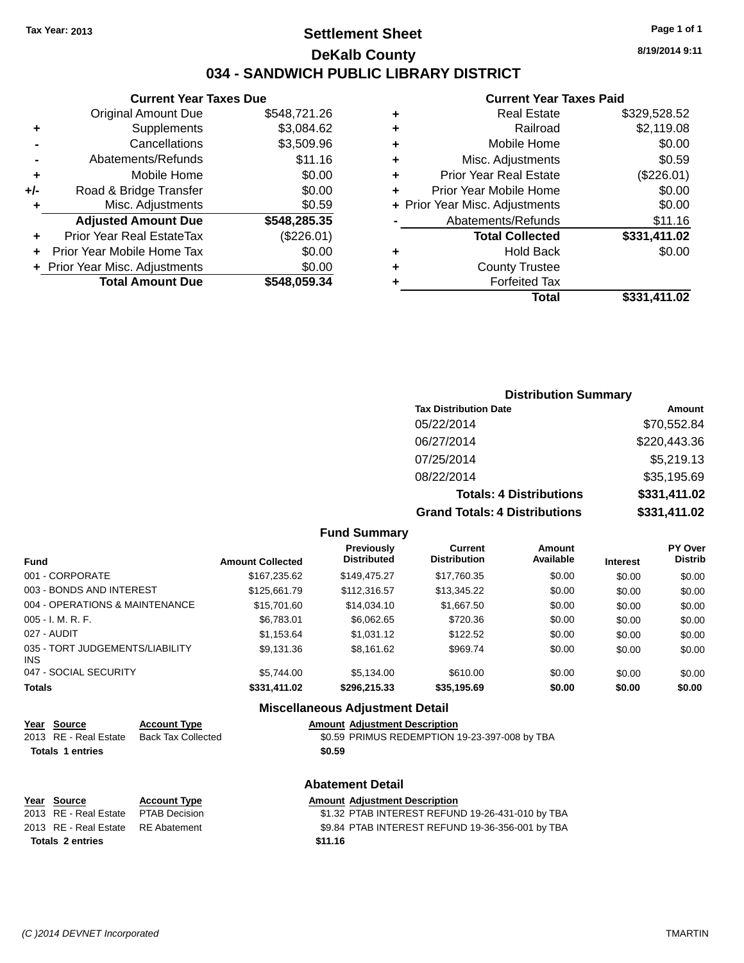# **Settlement Sheet Tax Year: 2013 Page 1 of 1 DeKalb County 034 - SANDWICH PUBLIC LIBRARY DISTRICT**

**8/19/2014 9:11**

# **Current Year Taxes Paid**

|     | <b>Current Year Taxes Due</b>    |              |  |
|-----|----------------------------------|--------------|--|
|     | <b>Original Amount Due</b>       | \$548,721.26 |  |
| ٠   | Supplements                      | \$3,084.62   |  |
|     | Cancellations                    | \$3,509.96   |  |
|     | Abatements/Refunds               |              |  |
| ÷   | Mobile Home                      |              |  |
| +/- | \$0.00<br>Road & Bridge Transfer |              |  |
| ٠   | Misc. Adjustments                | \$0.59       |  |
|     | <b>Adjusted Amount Due</b>       | \$548,285.35 |  |
| ٠   | Prior Year Real EstateTax        | (\$226.01)   |  |
|     | Prior Year Mobile Home Tax       | \$0.00       |  |
|     | + Prior Year Misc. Adjustments   | \$0.00       |  |
|     | <b>Total Amount Due</b>          | \$548.059.34 |  |
|     |                                  |              |  |

|   | <b>UUITUIL IUAI TAAUS LAIU</b> |              |
|---|--------------------------------|--------------|
|   | <b>Real Estate</b>             | \$329,528.52 |
| ٠ | Railroad                       | \$2,119.08   |
| ٠ | Mobile Home                    | \$0.00       |
|   | Misc. Adjustments              | \$0.59       |
| ٠ | <b>Prior Year Real Estate</b>  | (\$226.01)   |
| ٠ | Prior Year Mobile Home         | \$0.00       |
|   | + Prior Year Misc. Adjustments | \$0.00       |
|   | Abatements/Refunds             | \$11.16      |
|   | <b>Total Collected</b>         | \$331,411.02 |
| ٠ | <b>Hold Back</b>               | \$0.00       |
|   | <b>County Trustee</b>          |              |
|   | <b>Forfeited Tax</b>           |              |
|   | Total                          | \$331,411.02 |
|   |                                |              |

# **Distribution Summary Tax Distribution Date Amount** 05/22/2014 \$70,552.84 06/27/2014 \$220,443.36 07/25/2014 \$5,219.13 08/22/2014 \$35,195.69 **Totals: 4 Distributions \$331,411.02 Grand Totals: 4 Distributions \$331,411.02**

#### **Fund Summary**

| <b>Fund</b>                             | <b>Amount Collected</b> | <b>Previously</b><br><b>Distributed</b> | <b>Current</b><br><b>Distribution</b> | Amount<br>Available | <b>Interest</b> | <b>PY Over</b><br><b>Distrib</b> |
|-----------------------------------------|-------------------------|-----------------------------------------|---------------------------------------|---------------------|-----------------|----------------------------------|
| 001 - CORPORATE                         | \$167,235.62            | \$149,475.27                            | \$17,760.35                           | \$0.00              | \$0.00          | \$0.00                           |
| 003 - BONDS AND INTEREST                | \$125,661.79            | \$112,316.57                            | \$13,345.22                           | \$0.00              | \$0.00          | \$0.00                           |
| 004 - OPERATIONS & MAINTENANCE          | \$15,701.60             | \$14.034.10                             | \$1,667.50                            | \$0.00              | \$0.00          | \$0.00                           |
| $005 - I. M. R. F.$                     | \$6,783.01              | \$6,062.65                              | \$720.36                              | \$0.00              | \$0.00          | \$0.00                           |
| 027 - AUDIT                             | \$1,153.64              | \$1.031.12                              | \$122.52                              | \$0.00              | \$0.00          | \$0.00                           |
| 035 - TORT JUDGEMENTS/LIABILITY<br>INS. | \$9,131.36              | \$8,161.62                              | \$969.74                              | \$0.00              | \$0.00          | \$0.00                           |
| 047 - SOCIAL SECURITY                   | \$5.744.00              | \$5,134.00                              | \$610.00                              | \$0.00              | \$0.00          | \$0.00                           |
| <b>Totals</b>                           | \$331,411.02            | \$296,215.33                            | \$35,195.69                           | \$0.00              | \$0.00          | \$0.00                           |

### **Miscellaneous Adjustment Detail Year Source Account Type Amount Adjustment Description** \$0.59 PRIMUS REDEMPTION 19-23-397-008 by TBA **Totals 1 entries \$0.59 Abatement Detail Year** Source **Account Type Account Type Amount Adjustment Description** 2013 RE - Real Estate PTAB Decision \$1.32 PTAB INTEREST REFUND 19-26-431-010 by TBA 2013 RE - Real Estate RE Abatement \$9.84 PTAB INTEREST REFUND 19-36-356-001 by TBA **Totals 2 entries \$11.16**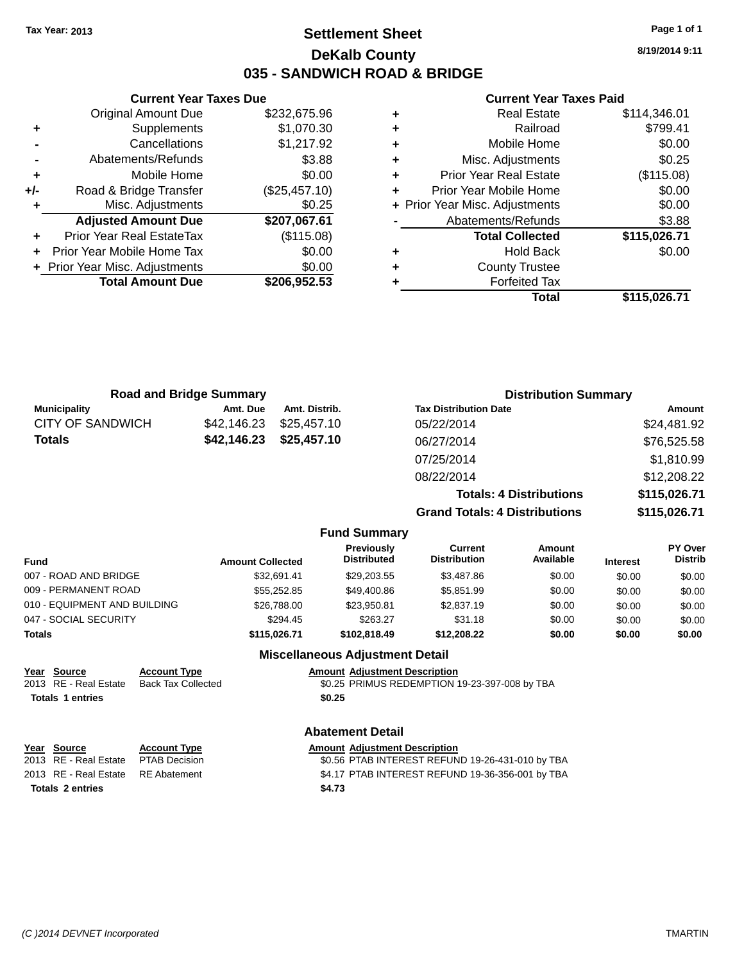### **Settlement Sheet Tax Year: 2013 Page 1 of 1 DeKalb County 035 - SANDWICH ROAD & BRIDGE**

**8/19/2014 9:11**

#### **Current Year Taxes Paid**

|     | <b>Current Year Taxes Due</b>  |               |
|-----|--------------------------------|---------------|
|     | <b>Original Amount Due</b>     | \$232,675.96  |
| ٠   | Supplements                    | \$1,070.30    |
|     | Cancellations                  | \$1,217.92    |
|     | Abatements/Refunds             | \$3.88        |
| ٠   | Mobile Home                    | \$0.00        |
| +/- | Road & Bridge Transfer         | (\$25,457.10) |
| ٠   | Misc. Adjustments              | \$0.25        |
|     | <b>Adjusted Amount Due</b>     | \$207,067.61  |
|     | Prior Year Real EstateTax      | (\$115.08)    |
|     | Prior Year Mobile Home Tax     | \$0.00        |
|     | + Prior Year Misc. Adjustments | \$0.00        |
|     | <b>Total Amount Due</b>        | \$206,952.53  |
|     |                                |               |

|   | Total                          | \$115,026.71 |
|---|--------------------------------|--------------|
| ٠ | <b>Forfeited Tax</b>           |              |
| ٠ | <b>County Trustee</b>          |              |
| ٠ | <b>Hold Back</b>               | \$0.00       |
|   | <b>Total Collected</b>         | \$115,026.71 |
|   | Abatements/Refunds             | \$3.88       |
|   | + Prior Year Misc. Adjustments | \$0.00       |
| ٠ | Prior Year Mobile Home         | \$0.00       |
| ٠ | <b>Prior Year Real Estate</b>  | (\$115.08)   |
| ٠ | Misc. Adjustments              | \$0.25       |
| ٠ | Mobile Home                    | \$0.00       |
| ÷ | Railroad                       | \$799.41     |
| ٠ | <b>Real Estate</b>             | \$114,346.01 |

|                         | <b>Road and Bridge Summary</b> |                                  |                                       | <b>Distribution Summary</b>          |                 |                           |
|-------------------------|--------------------------------|----------------------------------|---------------------------------------|--------------------------------------|-----------------|---------------------------|
| <b>Municipality</b>     | Amt. Due                       | Amt. Distrib.                    | <b>Tax Distribution Date</b>          |                                      |                 | Amount                    |
| <b>CITY OF SANDWICH</b> | \$42,146.23                    | \$25,457.10                      | 05/22/2014                            |                                      |                 | \$24,481.92               |
| <b>Totals</b>           | \$42,146.23                    | \$25,457.10                      | 06/27/2014                            |                                      |                 | \$76,525.58               |
|                         |                                |                                  | 07/25/2014                            |                                      |                 | \$1,810.99                |
|                         |                                |                                  | 08/22/2014                            |                                      |                 | \$12,208.22               |
|                         |                                |                                  |                                       | <b>Totals: 4 Distributions</b>       |                 | \$115,026.71              |
|                         |                                |                                  |                                       | <b>Grand Totals: 4 Distributions</b> |                 | \$115,026.71              |
|                         |                                | <b>Fund Summary</b>              |                                       |                                      |                 |                           |
| und                     | <b>Amount Collected</b>        | Previously<br><b>Distributed</b> | <b>Current</b><br><b>Distribution</b> | Amount<br>Available                  | <b>Interest</b> | PY Over<br><b>Distrib</b> |
|                         |                                |                                  |                                       |                                      |                 |                           |

| Fund                         | <b>Amount Collected</b> | <b>Distributed</b> | <b>Distribution</b> | Available | <b>Interest</b> | <b>Distrib</b> |
|------------------------------|-------------------------|--------------------|---------------------|-----------|-----------------|----------------|
| 007 - ROAD AND BRIDGE        | \$32.691.41             | \$29,203.55        | \$3,487.86          | \$0.00    | \$0.00          | \$0.00         |
| 009 - PERMANENT ROAD         | \$55,252,85             | \$49.400.86        | \$5.851.99          | \$0.00    | \$0.00          | \$0.00         |
| 010 - EQUIPMENT AND BUILDING | \$26,788.00             | \$23.950.81        | \$2,837.19          | \$0.00    | \$0.00          | \$0.00         |
| 047 - SOCIAL SECURITY        | \$294.45                | \$263.27           | \$31.18             | \$0.00    | \$0.00          | \$0.00         |
| Totals                       | \$115.026.71            | \$102,818,49       | \$12,208,22         | \$0.00    | \$0.00          | \$0.00         |
|                              |                         |                    |                     |           |                 |                |

### **Miscellaneous Adjustment Detail**

| Year Source             | <b>Account Type</b> |        | <b>Amount Adjustment Description</b>          |
|-------------------------|---------------------|--------|-----------------------------------------------|
| 2013 RE - Real Estate   | Back Tax Collected  |        | \$0.25 PRIMUS REDEMPTION 19-23-397-008 by TBA |
| <b>Totals 1 entries</b> |                     | \$0.25 |                                               |
|                         |                     |        |                                               |

### **Abatement Detail**

| <u>Year Source</u>                 | <b>Account Type</b> | <b>Amount Adiustment Description</b>             |
|------------------------------------|---------------------|--------------------------------------------------|
| 2013 RE - Real Estate              | PTAB Decision       | \$0.56 PTAB INTEREST REFUND 19-26-431-010 by TBA |
| 2013 RE - Real Estate RE Abatement |                     | \$4.17 PTAB INTEREST REFUND 19-36-356-001 by TBA |
| <b>Totals 2 entries</b>            |                     | \$4.73                                           |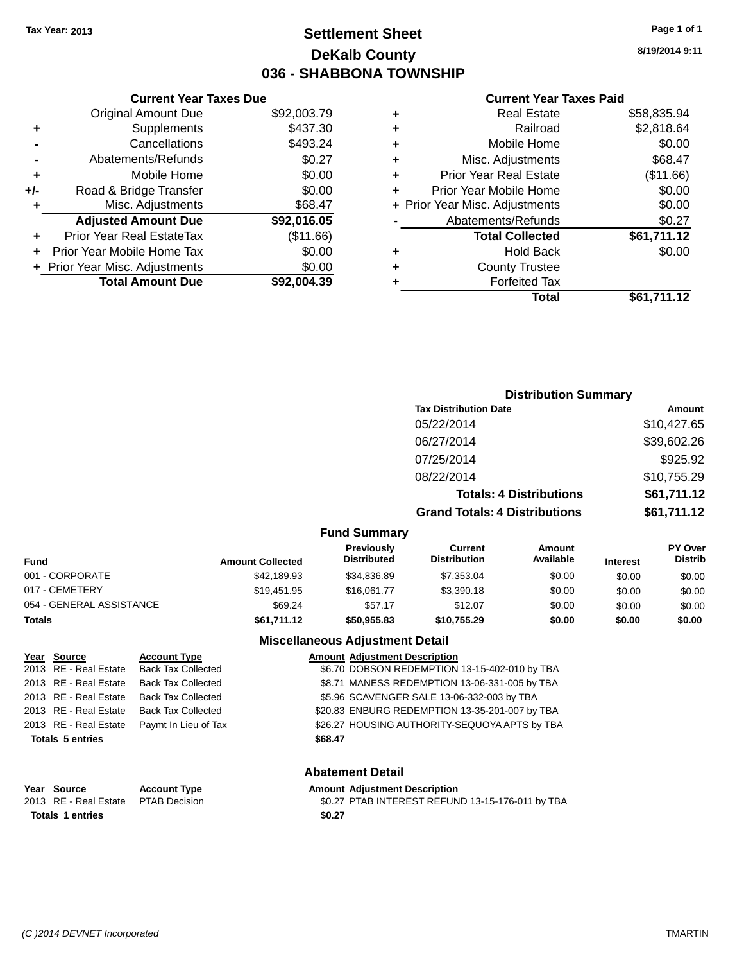### **Settlement Sheet Tax Year: 2013 Page 1 of 1 DeKalb County 036 - SHABBONA TOWNSHIP**

**8/19/2014 9:11**

#### **Current Year Taxes Paid**

| <b>Current Year Taxes Due</b> |                                |
|-------------------------------|--------------------------------|
| <b>Original Amount Due</b>    | \$92,003.79                    |
| Supplements                   | \$437.30                       |
| Cancellations                 | \$493.24                       |
| Abatements/Refunds            | \$0.27                         |
| Mobile Home                   | \$0.00                         |
| Road & Bridge Transfer        | \$0.00                         |
| Misc. Adjustments             | \$68.47                        |
| <b>Adjusted Amount Due</b>    | \$92,016.05                    |
| Prior Year Real EstateTax     | (\$11.66)                      |
| Prior Year Mobile Home Tax    | \$0.00                         |
|                               | \$0.00                         |
| <b>Total Amount Due</b>       | \$92,004.39                    |
|                               | + Prior Year Misc. Adjustments |

|   | <b>Real Estate</b>             | \$58,835.94 |
|---|--------------------------------|-------------|
| ٠ | Railroad                       | \$2,818.64  |
| ٠ | Mobile Home                    | \$0.00      |
| ٠ | Misc. Adjustments              | \$68.47     |
| ٠ | <b>Prior Year Real Estate</b>  | (\$11.66)   |
|   | Prior Year Mobile Home         | \$0.00      |
|   | + Prior Year Misc. Adjustments | \$0.00      |
|   | Abatements/Refunds             | \$0.27      |
|   | <b>Total Collected</b>         | \$61,711.12 |
| ٠ | Hold Back                      | \$0.00      |
|   | <b>County Trustee</b>          |             |
| ٠ | <b>Forfeited Tax</b>           |             |
|   | Total                          | \$61,711.12 |
|   |                                |             |

#### **Distribution Summary Tax Distribution Date Amount** 05/22/2014 \$10,427.65 06/27/2014 \$39,602.26 07/25/2014 \$925.92 08/22/2014 \$10,755.29 **Totals: 4 Distributions \$61,711.12 Grand Totals: 4 Distributions \$61,711.12 Fund Summary PY Over Amount Current Previously**

| <b>Amount Collected</b> | <b>Previously</b><br><b>Distributed</b> | Current<br><b>Distribution</b> | Amount<br>Available | <b>Interest</b> | <b>PY Over</b><br><b>Distrib</b> |
|-------------------------|-----------------------------------------|--------------------------------|---------------------|-----------------|----------------------------------|
| \$42,189.93             | \$34.836.89                             | \$7.353.04                     | \$0.00              | \$0.00          | \$0.00                           |
| \$19.451.95             | \$16.061.77                             | \$3,390.18                     | \$0.00              | \$0.00          | \$0.00                           |
| \$69.24                 | \$57.17                                 | \$12.07                        | \$0.00              | \$0.00          | \$0.00                           |
| \$61,711.12             | \$50.955.83                             | \$10.755.29                    | \$0.00              | \$0.00          | \$0.00                           |
|                         |                                         |                                |                     |                 |                                  |

### **Miscellaneous Adjustment Detail**

| Year Source             | <b>Account Type</b>       |         | <b>Amount Adjustment Description</b>           |
|-------------------------|---------------------------|---------|------------------------------------------------|
| 2013 RE - Real Estate   | <b>Back Tax Collected</b> |         | \$6.70 DOBSON REDEMPTION 13-15-402-010 by TBA  |
| 2013 RE - Real Estate   | <b>Back Tax Collected</b> |         | \$8.71 MANESS REDEMPTION 13-06-331-005 by TBA  |
| 2013 RE - Real Estate   | <b>Back Tax Collected</b> |         | \$5.96 SCAVENGER SALE 13-06-332-003 by TBA     |
| 2013 RE - Real Estate   | <b>Back Tax Collected</b> |         | \$20.83 ENBURG REDEMPTION 13-35-201-007 by TBA |
| 2013 RE - Real Estate   | Paymt In Lieu of Tax      |         | \$26.27 HOUSING AUTHORITY-SEQUOYA APTS by TBA  |
| <b>Totals 5 entries</b> |                           | \$68.47 |                                                |
|                         |                           |         |                                                |

#### **Abatement Detail**

# **Year Source Account Type Amount Adjustment Description**<br>2013 RE - Real Estate PTAB Decision **Amount 1988** 1982 PTAB INTEREST REFUN

\$0.27 PTAB INTEREST REFUND 13-15-176-011 by TBA **Totals 1 entries \$0.27**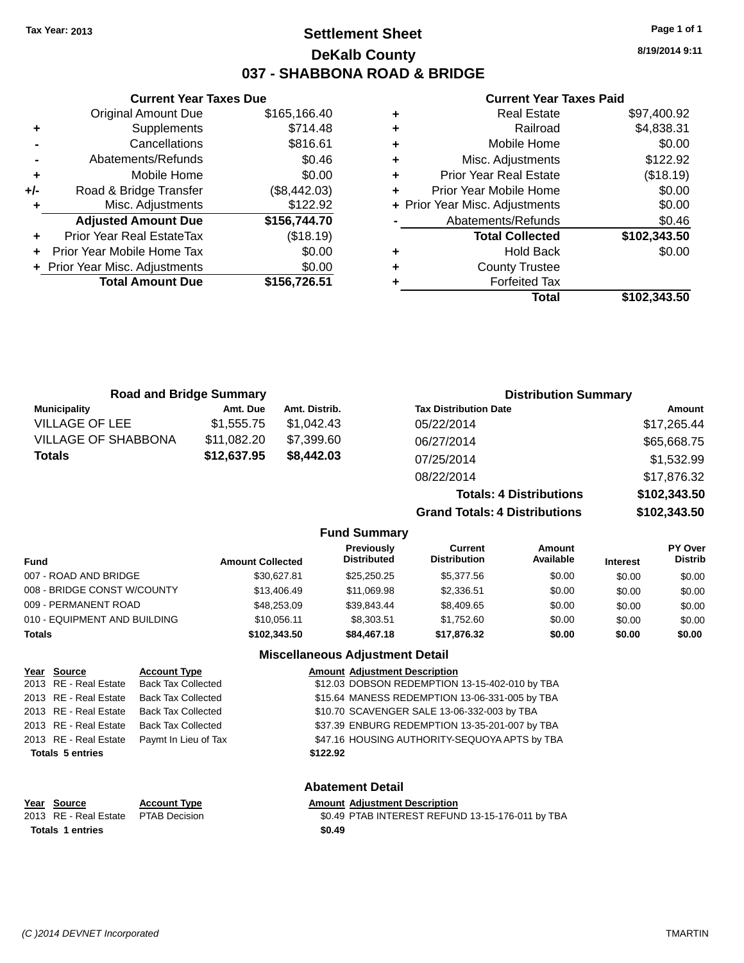### **Settlement Sheet Tax Year: 2013 Page 1 of 1 DeKalb County 037 - SHABBONA ROAD & BRIDGE**

**8/19/2014 9:11**

#### **Current Year Taxes Paid**

|     | <b>Original Amount Due</b>     | \$165,166.40 |   |
|-----|--------------------------------|--------------|---|
| ٠   | Supplements                    | \$714.48     |   |
|     | Cancellations                  | \$816.61     |   |
|     | Abatements/Refunds             | \$0.46       |   |
|     | Mobile Home                    | \$0.00       |   |
| +/- | Road & Bridge Transfer         | (\$8,442.03) |   |
|     | Misc. Adjustments              | \$122.92     |   |
|     | <b>Adjusted Amount Due</b>     | \$156,744.70 |   |
|     | Prior Year Real EstateTax      | (\$18.19)    |   |
| ÷   | Prior Year Mobile Home Tax     | \$0.00       | ٠ |
|     | + Prior Year Misc. Adjustments | \$0.00       |   |
|     | <b>Total Amount Due</b>        | \$156,726.51 |   |
|     |                                |              |   |

**Current Year Taxes Due**

| ٠ | <b>Real Estate</b>             | \$97,400.92  |
|---|--------------------------------|--------------|
| ٠ | Railroad                       | \$4,838.31   |
| ÷ | Mobile Home                    | \$0.00       |
| ٠ | Misc. Adjustments              | \$122.92     |
| ٠ | <b>Prior Year Real Estate</b>  | (\$18.19)    |
| ٠ | Prior Year Mobile Home         | \$0.00       |
|   | + Prior Year Misc. Adjustments | \$0.00       |
|   | Abatements/Refunds             | \$0.46       |
|   | <b>Total Collected</b>         | \$102,343.50 |
| ٠ | <b>Hold Back</b>               | \$0.00       |
| ٠ | <b>County Trustee</b>          |              |
| ٠ | <b>Forfeited Tax</b>           |              |
|   | Total                          | \$102,343.50 |
|   |                                |              |

| <b>Road and Bridge Summary</b> |             |               | <b>Distribution Summary</b>          |              |
|--------------------------------|-------------|---------------|--------------------------------------|--------------|
| <b>Municipality</b>            | Amt. Due    | Amt. Distrib. | <b>Tax Distribution Date</b>         | Amount       |
| <b>VILLAGE OF LEE</b>          | \$1,555.75  | \$1.042.43    | 05/22/2014                           | \$17,265.44  |
| <b>VILLAGE OF SHABBONA</b>     | \$11,082.20 | \$7,399.60    | 06/27/2014                           | \$65,668.75  |
| <b>Totals</b>                  | \$12,637.95 | \$8,442.03    | 07/25/2014                           | \$1,532.99   |
|                                |             |               | 08/22/2014                           | \$17,876.32  |
|                                |             |               | <b>Totals: 4 Distributions</b>       | \$102,343.50 |
|                                |             |               | <b>Grand Totals: 4 Distributions</b> | \$102,343.50 |

### **Fund Summary**

| Fund                         | <b>Amount Collected</b> | <b>Previously</b><br><b>Distributed</b> | Current<br><b>Distribution</b> | Amount<br>Available | <b>Interest</b> | <b>PY Over</b><br><b>Distrib</b> |
|------------------------------|-------------------------|-----------------------------------------|--------------------------------|---------------------|-----------------|----------------------------------|
| 007 - ROAD AND BRIDGE        | \$30.627.81             | \$25.250.25                             | \$5,377,56                     | \$0.00              | \$0.00          | \$0.00                           |
| 008 - BRIDGE CONST W/COUNTY  | \$13,406.49             | \$11.069.98                             | \$2.336.51                     | \$0.00              | \$0.00          | \$0.00                           |
| 009 - PERMANENT ROAD         | \$48,253.09             | \$39.843.44                             | \$8,409.65                     | \$0.00              | \$0.00          | \$0.00                           |
| 010 - EQUIPMENT AND BUILDING | \$10,056.11             | \$8,303.51                              | \$1.752.60                     | \$0.00              | \$0.00          | \$0.00                           |
| Totals                       | \$102.343.50            | \$84,467.18                             | \$17,876.32                    | \$0.00              | \$0.00          | \$0.00                           |

#### **Miscellaneous Adjustment Detail**

**Abatement Detail**

| Year Source             | <b>Account Type</b>       | <b>Amount Adjustment Description</b>           |
|-------------------------|---------------------------|------------------------------------------------|
| 2013 RE - Real Estate   | <b>Back Tax Collected</b> | \$12.03 DOBSON REDEMPTION 13-15-402-010 by TBA |
| 2013 RE - Real Estate   | <b>Back Tax Collected</b> | \$15.64 MANESS REDEMPTION 13-06-331-005 by TBA |
| 2013 RE - Real Estate   | <b>Back Tax Collected</b> | \$10.70 SCAVENGER SALE 13-06-332-003 by TBA    |
| 2013 RE - Real Estate   | <b>Back Tax Collected</b> | \$37.39 ENBURG REDEMPTION 13-35-201-007 by TBA |
| 2013 RE - Real Estate   | Paymt In Lieu of Tax      | \$47.16 HOUSING AUTHORITY-SEQUOYA APTS by TBA  |
| <b>Totals 5 entries</b> |                           | \$122.92                                       |
|                         |                           |                                                |

#### **Year Source Account Type**<br>
2013 RE - Real Estate PTAB Decision **Amount Adjustment Description**<br>
\$0.49 PTAB INTEREST REFUN  $$0.49$  PTAB INTEREST REFUND 13-15-176-011 by TBA **Totals 1 entries \$0.49**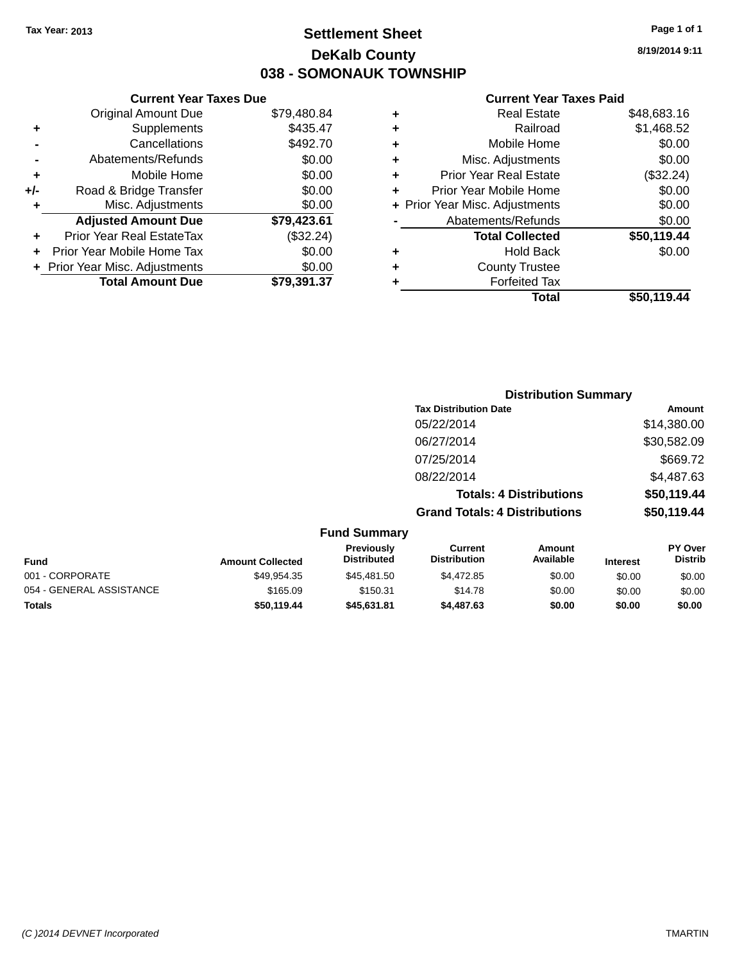### **Settlement Sheet Tax Year: 2013 Page 1 of 1 DeKalb County 038 - SOMONAUK TOWNSHIP**

**8/19/2014 9:11**

#### **Current Year Taxes Paid**

| <b>Current Year Taxes Due</b>  |             |
|--------------------------------|-------------|
| <b>Original Amount Due</b>     | \$79,480.84 |
| Supplements                    | \$435.47    |
| Cancellations                  | \$492.70    |
| Abatements/Refunds             | \$0.00      |
| Mobile Home                    | \$0.00      |
| Road & Bridge Transfer         | \$0.00      |
| Misc. Adjustments              | \$0.00      |
| <b>Adjusted Amount Due</b>     | \$79,423.61 |
| Prior Year Real EstateTax      | (\$32.24)   |
| Prior Year Mobile Home Tax     | \$0.00      |
| + Prior Year Misc. Adjustments | \$0.00      |
| <b>Total Amount Due</b>        | \$79.391.37 |
|                                |             |

| ٠ | <b>Real Estate</b>             | \$48,683.16 |
|---|--------------------------------|-------------|
| ٠ | Railroad                       | \$1,468.52  |
| ٠ | Mobile Home                    | \$0.00      |
| ٠ | Misc. Adjustments              | \$0.00      |
| ٠ | <b>Prior Year Real Estate</b>  | (\$32.24)   |
| ÷ | Prior Year Mobile Home         | \$0.00      |
|   | + Prior Year Misc. Adjustments | \$0.00      |
|   | Abatements/Refunds             | \$0.00      |
|   | <b>Total Collected</b>         | \$50,119.44 |
| ٠ | <b>Hold Back</b>               | \$0.00      |
| ٠ | <b>County Trustee</b>          |             |
| ٠ | <b>Forfeited Tax</b>           |             |
|   | Total                          | \$50,119.44 |
|   |                                |             |

|                          |                         |                                  |                                       | <b>Distribution Summary</b>    |                 |                           |
|--------------------------|-------------------------|----------------------------------|---------------------------------------|--------------------------------|-----------------|---------------------------|
|                          |                         |                                  | <b>Tax Distribution Date</b>          |                                |                 | Amount                    |
|                          |                         |                                  | 05/22/2014                            |                                |                 | \$14,380.00               |
|                          |                         |                                  | 06/27/2014                            |                                |                 | \$30,582.09               |
|                          |                         |                                  | 07/25/2014                            |                                |                 | \$669.72                  |
|                          |                         |                                  | 08/22/2014                            |                                |                 | \$4,487.63                |
|                          |                         |                                  |                                       | <b>Totals: 4 Distributions</b> |                 | \$50,119.44               |
|                          |                         |                                  | <b>Grand Totals: 4 Distributions</b>  |                                |                 | \$50,119.44               |
|                          |                         | <b>Fund Summary</b>              |                                       |                                |                 |                           |
| <b>Fund</b>              | <b>Amount Collected</b> | Previously<br><b>Distributed</b> | <b>Current</b><br><b>Distribution</b> | Amount<br>Available            | <b>Interest</b> | PY Over<br><b>Distrib</b> |
| 001 - CORPORATE          | \$49,954.35             | \$45,481.50                      | \$4,472.85                            | \$0.00                         | \$0.00          | \$0.00                    |
| 054 - GENERAL ASSISTANCE | \$165.09                | \$150.31                         | \$14.78                               | \$0.00                         | \$0.00          | \$0.00                    |

**Totals \$50,119.44 \$45,631.81 \$4,487.63 \$0.00 \$0.00 \$0.00**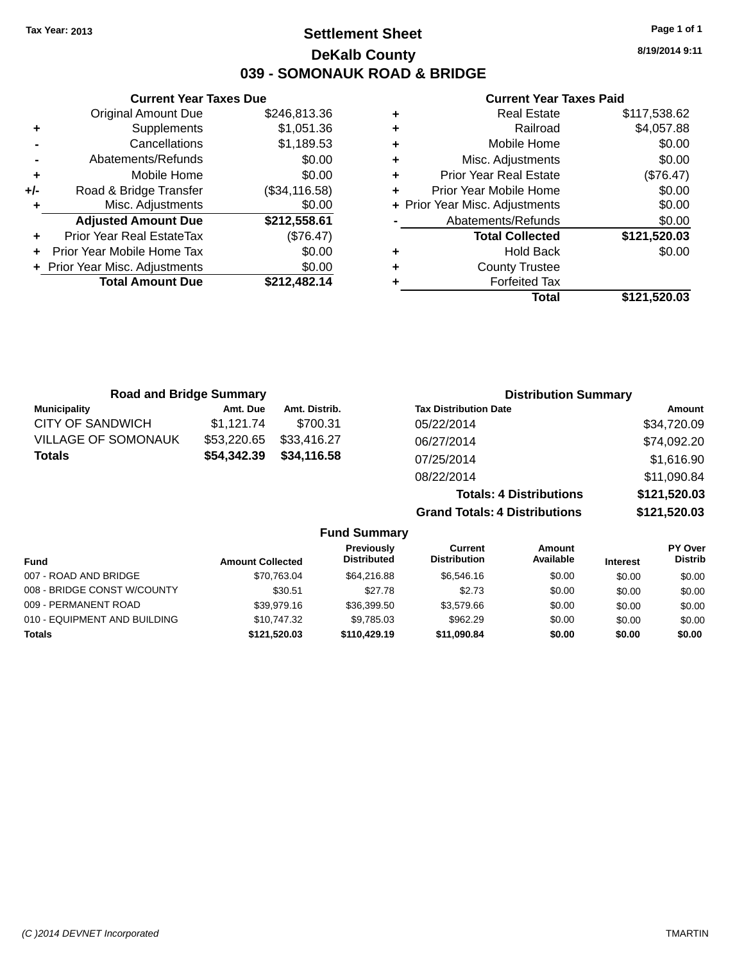### **Settlement Sheet Tax Year: 2013 Page 1 of 1 DeKalb County 039 - SOMONAUK ROAD & BRIDGE**

**8/19/2014 9:11**

#### **Current Year Taxes Paid**

|     | <b>Current Year Taxes Due</b>  |                |  |
|-----|--------------------------------|----------------|--|
|     | <b>Original Amount Due</b>     | \$246,813.36   |  |
| ٠   | Supplements                    | \$1,051.36     |  |
|     | Cancellations                  | \$1,189.53     |  |
|     | Abatements/Refunds             | \$0.00         |  |
|     | Mobile Home                    | \$0.00         |  |
| +/- | Road & Bridge Transfer         | (\$34, 116.58) |  |
| ٠   | Misc. Adjustments              | \$0.00         |  |
|     | <b>Adjusted Amount Due</b>     | \$212,558.61   |  |
|     | Prior Year Real EstateTax      | (\$76.47)      |  |
|     | Prior Year Mobile Home Tax     | \$0.00         |  |
|     | + Prior Year Misc. Adjustments | \$0.00         |  |
|     | <b>Total Amount Due</b>        | \$212,482.14   |  |
|     |                                |                |  |

| ٠ | <b>Real Estate</b>             | \$117,538.62 |
|---|--------------------------------|--------------|
| ٠ | Railroad                       | \$4,057.88   |
| ٠ | Mobile Home                    | \$0.00       |
| ٠ | Misc. Adjustments              | \$0.00       |
| ٠ | <b>Prior Year Real Estate</b>  | (\$76.47)    |
| ٠ | Prior Year Mobile Home         | \$0.00       |
|   | + Prior Year Misc. Adjustments | \$0.00       |
|   | Abatements/Refunds             | \$0.00       |
|   | <b>Total Collected</b>         | \$121,520.03 |
| ٠ | <b>Hold Back</b>               | \$0.00       |
| ٠ | <b>County Trustee</b>          |              |
| ٠ | <b>Forfeited Tax</b>           |              |
|   | Total                          | \$121,520.03 |
|   |                                |              |

| <b>Road and Bridge Summary</b> |             |               | <b>Distribution Summary</b>    |              |
|--------------------------------|-------------|---------------|--------------------------------|--------------|
| <b>Municipality</b>            | Amt. Due    | Amt. Distrib. | <b>Tax Distribution Date</b>   | Amount       |
| <b>CITY OF SANDWICH</b>        | \$1,121.74  | \$700.31      | 05/22/2014                     | \$34,720.09  |
| <b>VILLAGE OF SOMONAUK</b>     | \$53,220.65 | \$33,416.27   | 06/27/2014                     | \$74,092.20  |
| <b>Totals</b>                  | \$54,342.39 | \$34,116.58   | 07/25/2014                     | \$1,616.90   |
|                                |             |               | 08/22/2014                     | \$11,090.84  |
|                                |             |               | <b>Totals: 4 Distributions</b> | \$121,520.03 |

**Grand Totals: 4 Distributions \$121,520.03 Fund Summary Fund Interest Amount Collected Distributed PY Over Distrib Amount Available Current Distribution Previously** 007 - ROAD AND BRIDGE \$70,763.04 \$64,216.88 \$6,546.16 \$0.00 \$0.00 \$0.00 \$0.00 008 - BRIDGE CONST W/COUNTY 630.51 \$27.78 \$2.73 \$0.00 \$0.00 \$0.00 \$0.00 009 - PERMANENT ROAD \$39,979.16 \$36,399.50 \$3,579.66 \$0.00 \$0.00 \$0.00 \$0.00 010 - EQUIPMENT AND BUILDING \$10,747.32 \$9,785.03 \$962.29 \$0.00 \$0.00 \$0.00 \$0.00

**Totals \$121,520.03 \$110,429.19 \$11,090.84 \$0.00 \$0.00 \$0.00**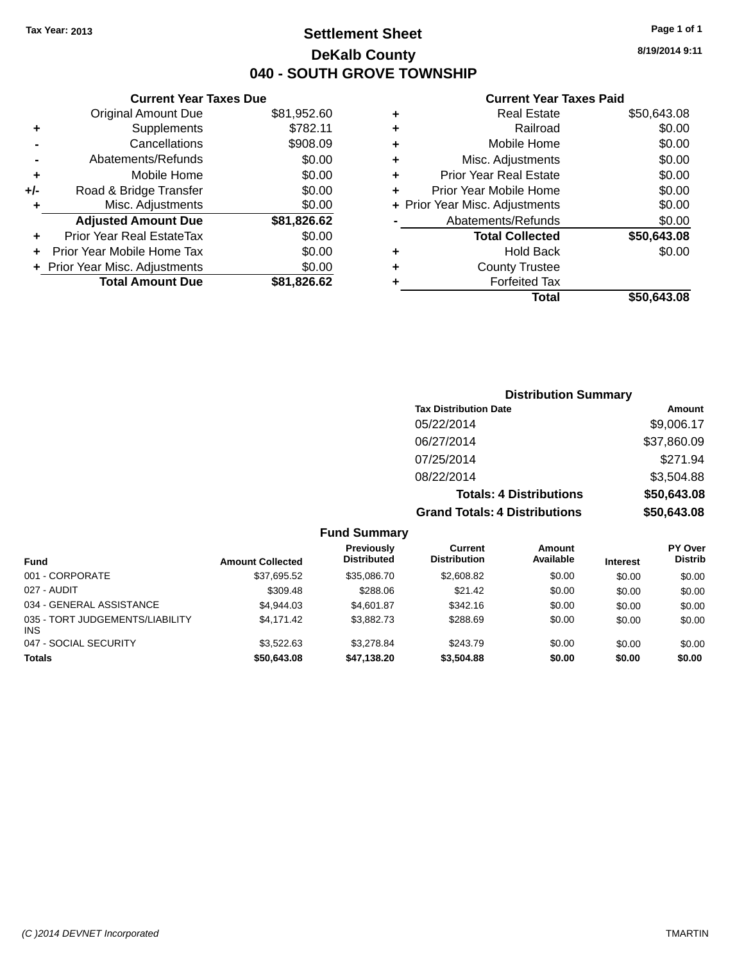### **Settlement Sheet Tax Year: 2013 Page 1 of 1 DeKalb County 040 - SOUTH GROVE TOWNSHIP**

**8/19/2014 9:11**

#### **Current Year Taxes Paid**

# **Distribution Summary Tax Distribution Date Amount** 05/22/2014 \$9,006.17 06/27/2014 \$37,860.09 07/25/2014 \$271.94

**Totals: 4 Distributions \$50,643.08 Grand Totals: 4 Distributions \$50,643.08**

08/22/2014 \$3,504.88

|                                        |                         | <b>Fund Summary</b>                     |                                |                            |                 |                                  |
|----------------------------------------|-------------------------|-----------------------------------------|--------------------------------|----------------------------|-----------------|----------------------------------|
| <b>Fund</b>                            | <b>Amount Collected</b> | <b>Previously</b><br><b>Distributed</b> | Current<br><b>Distribution</b> | <b>Amount</b><br>Available | <b>Interest</b> | <b>PY Over</b><br><b>Distrib</b> |
| 001 - CORPORATE                        | \$37,695.52             | \$35,086.70                             | \$2,608.82                     | \$0.00                     | \$0.00          | \$0.00                           |
| 027 - AUDIT                            | \$309.48                | \$288.06                                | \$21.42                        | \$0.00                     | \$0.00          | \$0.00                           |
| 034 - GENERAL ASSISTANCE               | \$4.944.03              | \$4,601.87                              | \$342.16                       | \$0.00                     | \$0.00          | \$0.00                           |
| 035 - TORT JUDGEMENTS/LIABILITY<br>INS | \$4.171.42              | \$3,882.73                              | \$288.69                       | \$0.00                     | \$0.00          | \$0.00                           |
| 047 - SOCIAL SECURITY                  | \$3.522.63              | \$3,278.84                              | \$243.79                       | \$0.00                     | \$0.00          | \$0.00                           |
| <b>Totals</b>                          | \$50,643.08             | \$47,138.20                             | \$3,504.88                     | \$0.00                     | \$0.00          | \$0.00                           |

|     | <b>Current Year Taxes Due</b>    |             |
|-----|----------------------------------|-------------|
|     | Original Amount Due              | \$81,952.60 |
| ٠   | Supplements                      | \$782.11    |
|     | Cancellations                    | \$908.09    |
|     | Abatements/Refunds               | \$0.00      |
| ٠   | Mobile Home                      | \$0.00      |
| +/- | Road & Bridge Transfer           | \$0.00      |
| ٠   | Misc. Adjustments                | \$0.00      |
|     | <b>Adjusted Amount Due</b>       | \$81,826.62 |
| ٠   | <b>Prior Year Real EstateTax</b> | \$0.00      |
| ÷   | Prior Year Mobile Home Tax       | \$0.00      |
|     | + Prior Year Misc. Adjustments   | \$0.00      |
|     | <b>Total Amount Due</b>          | \$81.826.62 |
|     |                                  |             |

**INS**<br>047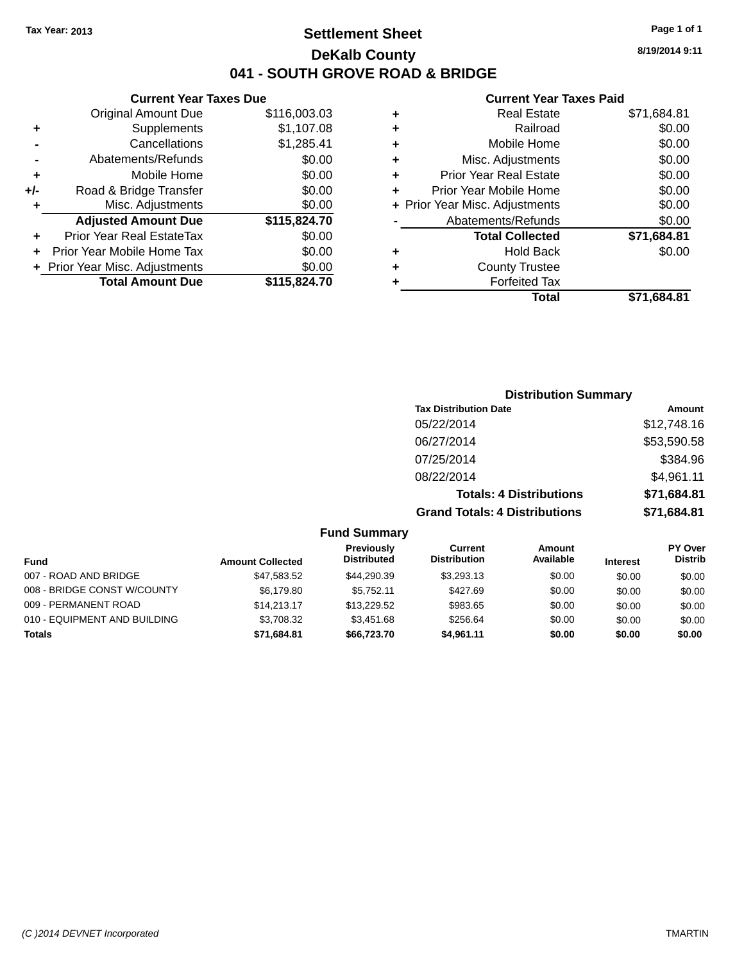### **Settlement Sheet Tax Year: 2013 Page 1 of 1 DeKalb County 041 - SOUTH GROVE ROAD & BRIDGE**

**8/19/2014 9:11**

### **Current Year Taxes Paid**

|     | <b>Current Year Taxes Due</b>  |              |  |  |
|-----|--------------------------------|--------------|--|--|
|     | Original Amount Due            | \$116,003.03 |  |  |
| ٠   | Supplements                    | \$1,107.08   |  |  |
|     | Cancellations                  | \$1,285.41   |  |  |
|     | Abatements/Refunds             | \$0.00       |  |  |
| ٠   | Mobile Home                    | \$0.00       |  |  |
| +/- | Road & Bridge Transfer         | \$0.00       |  |  |
| ٠   | Misc. Adjustments              | \$0.00       |  |  |
|     | <b>Adjusted Amount Due</b>     | \$115,824.70 |  |  |
| ٠   | Prior Year Real EstateTax      | \$0.00       |  |  |
| ٠   | Prior Year Mobile Home Tax     | \$0.00       |  |  |
|     | + Prior Year Misc. Adjustments | \$0.00       |  |  |
|     | <b>Total Amount Due</b>        | \$115,824.70 |  |  |
|     |                                |              |  |  |

|   | <b>Real Estate</b>             | \$71,684.81 |
|---|--------------------------------|-------------|
| ٠ | Railroad                       | \$0.00      |
| ٠ | Mobile Home                    | \$0.00      |
| ٠ | Misc. Adjustments              | \$0.00      |
| ٠ | <b>Prior Year Real Estate</b>  | \$0.00      |
| ÷ | Prior Year Mobile Home         | \$0.00      |
|   | + Prior Year Misc. Adjustments | \$0.00      |
|   | Abatements/Refunds             | \$0.00      |
|   | <b>Total Collected</b>         | \$71.684.81 |
| ٠ | Hold Back                      | \$0.00      |
| ٠ | <b>County Trustee</b>          |             |
| ٠ | <b>Forfeited Tax</b>           |             |
|   | Total                          | \$71.684.81 |
|   |                                |             |

| <b>Distribution Summary</b>          |             |
|--------------------------------------|-------------|
| <b>Tax Distribution Date</b>         | Amount      |
| 05/22/2014                           | \$12,748.16 |
| 06/27/2014                           | \$53,590.58 |
| 07/25/2014                           | \$384.96    |
| 08/22/2014                           | \$4,961.11  |
| <b>Totals: 4 Distributions</b>       | \$71,684.81 |
| <b>Grand Totals: 4 Distributions</b> | \$71,684.81 |

#### **Fund Summary**

| <b>Fund</b>                  | <b>Amount Collected</b> | Previously<br><b>Distributed</b> | Current<br><b>Distribution</b> | Amount<br>Available | <b>Interest</b> | <b>PY Over</b><br><b>Distrib</b> |
|------------------------------|-------------------------|----------------------------------|--------------------------------|---------------------|-----------------|----------------------------------|
|                              |                         |                                  |                                |                     |                 |                                  |
| 007 - ROAD AND BRIDGE        | \$47.583.52             | \$44.290.39                      | \$3,293.13                     | \$0.00              | \$0.00          | \$0.00                           |
| 008 - BRIDGE CONST W/COUNTY  | \$6.179.80              | \$5.752.11                       | \$427.69                       | \$0.00              | \$0.00          | \$0.00                           |
| 009 - PERMANENT ROAD         | \$14,213,17             | \$13,229.52                      | \$983.65                       | \$0.00              | \$0.00          | \$0.00                           |
| 010 - EQUIPMENT AND BUILDING | \$3,708.32              | \$3.451.68                       | \$256.64                       | \$0.00              | \$0.00          | \$0.00                           |
| <b>Totals</b>                | \$71,684.81             | \$66.723.70                      | \$4.961.11                     | \$0.00              | \$0.00          | \$0.00                           |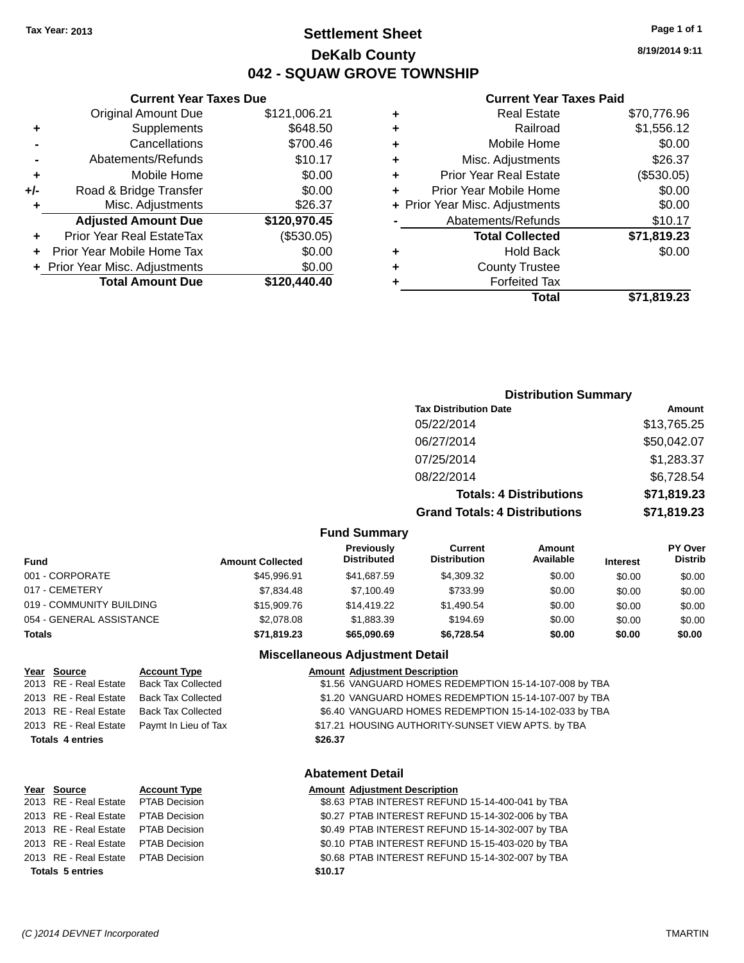### **Settlement Sheet Tax Year: 2013 Page 1 of 1 DeKalb County 042 - SQUAW GROVE TOWNSHIP**

**8/19/2014 9:11**

#### **Current Year Taxes Paid**

|     | <b>Original Amount Due</b>       | \$121,006.21 |
|-----|----------------------------------|--------------|
| ٠   | Supplements                      | \$648.50     |
|     | Cancellations                    | \$700.46     |
|     | Abatements/Refunds               | \$10.17      |
| ٠   | Mobile Home                      | \$0.00       |
| +/- | Road & Bridge Transfer           | \$0.00       |
| ٠   | Misc. Adjustments                | \$26.37      |
|     | <b>Adjusted Amount Due</b>       | \$120,970.45 |
| ٠   | <b>Prior Year Real EstateTax</b> | (\$530.05)   |
| ٠   | Prior Year Mobile Home Tax       | \$0.00       |
|     | + Prior Year Misc. Adjustments   | \$0.00       |
|     | <b>Total Amount Due</b>          | \$120,440.40 |
|     |                                  |              |

**Current Year Taxes Due**

|   | <b>Real Estate</b>             | \$70,776.96 |
|---|--------------------------------|-------------|
| ٠ | Railroad                       | \$1,556.12  |
| ٠ | Mobile Home                    | \$0.00      |
| ٠ | Misc. Adjustments              | \$26.37     |
| ٠ | <b>Prior Year Real Estate</b>  | (\$530.05)  |
| ÷ | Prior Year Mobile Home         | \$0.00      |
|   | + Prior Year Misc. Adjustments | \$0.00      |
|   | Abatements/Refunds             | \$10.17     |
|   | <b>Total Collected</b>         | \$71,819.23 |
| ٠ | <b>Hold Back</b>               | \$0.00      |
| ٠ | <b>County Trustee</b>          |             |
|   | <b>Forfeited Tax</b>           |             |
|   | Total                          | \$71.819.23 |
|   |                                |             |

### **Distribution Summary Tax Distribution Date Amount** 05/22/2014 \$13,765.25 06/27/2014 \$50,042.07 07/25/2014 \$1,283.37 08/22/2014 \$6,728.54 **Totals: 4 Distributions \$71,819.23 Grand Totals: 4 Distributions \$71,819.23**

#### **Fund Summary**

| Fund                     | <b>Amount Collected</b> | <b>Previously</b><br><b>Distributed</b> | Current<br><b>Distribution</b> | Amount<br>Available | <b>Interest</b> | <b>PY Over</b><br><b>Distrib</b> |
|--------------------------|-------------------------|-----------------------------------------|--------------------------------|---------------------|-----------------|----------------------------------|
| 001 - CORPORATE          | \$45,996.91             | \$41.687.59                             | \$4.309.32                     | \$0.00              | \$0.00          | \$0.00                           |
| 017 - CEMETERY           | \$7.834.48              | \$7,100.49                              | \$733.99                       | \$0.00              | \$0.00          | \$0.00                           |
| 019 - COMMUNITY BUILDING | \$15,909.76             | \$14,419.22                             | \$1.490.54                     | \$0.00              | \$0.00          | \$0.00                           |
| 054 - GENERAL ASSISTANCE | \$2,078.08              | \$1,883.39                              | \$194.69                       | \$0.00              | \$0.00          | \$0.00                           |
| Totals                   | \$71,819.23             | \$65,090.69                             | \$6.728.54                     | \$0.00              | \$0.00          | \$0.00                           |

#### **Miscellaneous Adjustment Detail**

| <u>Year Source</u>      | <b>Account Type</b>       |         | <b>Amount Adjustment Description</b>                  |
|-------------------------|---------------------------|---------|-------------------------------------------------------|
| 2013 RE - Real Estate   | <b>Back Tax Collected</b> |         | \$1.56 VANGUARD HOMES REDEMPTION 15-14-107-008 by TBA |
| 2013 RE - Real Estate   | <b>Back Tax Collected</b> |         | \$1.20 VANGUARD HOMES REDEMPTION 15-14-107-007 by TBA |
| 2013 RE - Real Estate   | <b>Back Tax Collected</b> |         | \$6.40 VANGUARD HOMES REDEMPTION 15-14-102-033 by TBA |
| 2013 RE - Real Estate   | Paymt In Lieu of Tax      |         | \$17.21 HOUSING AUTHORITY-SUNSET VIEW APTS. by TBA    |
| <b>Totals 4 entries</b> |                           | \$26.37 |                                                       |
|                         |                           |         |                                                       |

#### **Abatement Detail**

| Year Source                          | <b>Account Type</b> |         | <b>Amount Adjustment Description</b>             |
|--------------------------------------|---------------------|---------|--------------------------------------------------|
| 2013 RE - Real Estate  PTAB Decision |                     |         | \$8.63 PTAB INTEREST REFUND 15-14-400-041 by TBA |
| 2013 RE - Real Estate  PTAB Decision |                     |         | \$0.27 PTAB INTEREST REFUND 15-14-302-006 by TBA |
| 2013 RE - Real Estate PTAB Decision  |                     |         | \$0.49 PTAB INTEREST REFUND 15-14-302-007 by TBA |
| 2013 RE - Real Estate PTAB Decision  |                     |         | \$0.10 PTAB INTEREST REFUND 15-15-403-020 by TBA |
| 2013 RE - Real Estate PTAB Decision  |                     |         | \$0.68 PTAB INTEREST REFUND 15-14-302-007 by TBA |
| <b>Totals 5 entries</b>              |                     | \$10.17 |                                                  |
|                                      |                     |         |                                                  |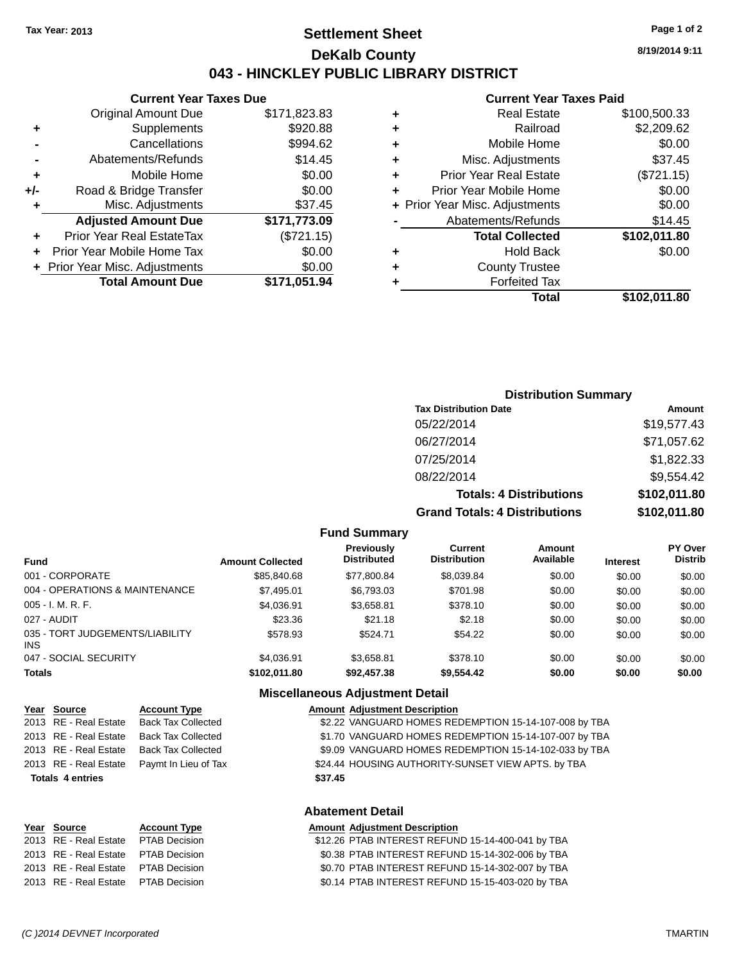### **Settlement Sheet Tax Year: 2013 Page 1 of 2 DeKalb County 043 - HINCKLEY PUBLIC LIBRARY DISTRICT**

**8/19/2014 9:11**

#### **Current Year Taxes Paid**

| <b>Current Year Taxes Due</b>  |              |  |  |
|--------------------------------|--------------|--|--|
| <b>Original Amount Due</b>     | \$171,823.83 |  |  |
| Supplements                    | \$920.88     |  |  |
| Cancellations                  | \$994.62     |  |  |
| Abatements/Refunds             | \$14.45      |  |  |
| Mobile Home                    | \$0.00       |  |  |
| Road & Bridge Transfer         | \$0.00       |  |  |
| Misc. Adjustments              | \$37.45      |  |  |
| <b>Adjusted Amount Due</b>     | \$171,773.09 |  |  |
| Prior Year Real EstateTax      | (\$721.15)   |  |  |
| Prior Year Mobile Home Tax     | \$0.00       |  |  |
| + Prior Year Misc. Adjustments | \$0.00       |  |  |
| <b>Total Amount Due</b>        | \$171.051.94 |  |  |
|                                |              |  |  |

|   | <b>Real Estate</b>             | \$100,500.33 |
|---|--------------------------------|--------------|
| ٠ | Railroad                       | \$2,209.62   |
| ٠ | Mobile Home                    | \$0.00       |
| ٠ | Misc. Adjustments              | \$37.45      |
| ٠ | <b>Prior Year Real Estate</b>  | (\$721.15)   |
| ٠ | Prior Year Mobile Home         | \$0.00       |
|   | + Prior Year Misc. Adjustments | \$0.00       |
|   | Abatements/Refunds             | \$14.45      |
|   | <b>Total Collected</b>         | \$102,011.80 |
| ٠ | Hold Back                      | \$0.00       |
| ٠ | <b>County Trustee</b>          |              |
| ٠ | <b>Forfeited Tax</b>           |              |
|   | Total                          | \$102,011.80 |
|   |                                |              |

### **Distribution Summary**

| <b>Tax Distribution Date</b>         | Amount       |
|--------------------------------------|--------------|
| 05/22/2014                           | \$19,577.43  |
| 06/27/2014                           | \$71,057.62  |
| 07/25/2014                           | \$1,822.33   |
| 08/22/2014                           | \$9,554.42   |
| <b>Totals: 4 Distributions</b>       | \$102,011.80 |
| <b>Grand Totals: 4 Distributions</b> | \$102,011.80 |

#### **Fund Summary**

| <b>Fund</b>                            | <b>Amount Collected</b> | Previously<br><b>Distributed</b> | Current<br><b>Distribution</b> | Amount<br>Available | <b>Interest</b> | <b>PY Over</b><br><b>Distrib</b> |
|----------------------------------------|-------------------------|----------------------------------|--------------------------------|---------------------|-----------------|----------------------------------|
| 001 - CORPORATE                        | \$85,840,68             | \$77.800.84                      | \$8,039.84                     | \$0.00              | \$0.00          | \$0.00                           |
| 004 - OPERATIONS & MAINTENANCE         | \$7,495.01              | \$6,793,03                       | \$701.98                       | \$0.00              | \$0.00          | \$0.00                           |
| 005 - I. M. R. F.                      | \$4,036.91              | \$3,658.81                       | \$378.10                       | \$0.00              | \$0.00          | \$0.00                           |
| 027 - AUDIT                            | \$23.36                 | \$21.18                          | \$2.18                         | \$0.00              | \$0.00          | \$0.00                           |
| 035 - TORT JUDGEMENTS/LIABILITY<br>INS | \$578.93                | \$524.71                         | \$54.22                        | \$0.00              | \$0.00          | \$0.00                           |
| 047 - SOCIAL SECURITY                  | \$4.036.91              | \$3.658.81                       | \$378.10                       | \$0.00              | \$0.00          | \$0.00                           |
| <b>Totals</b>                          | \$102.011.80            | \$92,457.38                      | \$9,554.42                     | \$0.00              | \$0.00          | \$0.00                           |

### **Miscellaneous Adjustment Detail**

| Year Source             | <b>Account Type</b>       | <b>Amount Adjustment Description</b>                  |
|-------------------------|---------------------------|-------------------------------------------------------|
| 2013 RE - Real Estate   | <b>Back Tax Collected</b> | \$2.22 VANGUARD HOMES REDEMPTION 15-14-107-008 by TBA |
| 2013 RE - Real Estate   | <b>Back Tax Collected</b> | \$1.70 VANGUARD HOMES REDEMPTION 15-14-107-007 by TBA |
| 2013 RE - Real Estate   | <b>Back Tax Collected</b> | \$9.09 VANGUARD HOMES REDEMPTION 15-14-102-033 by TBA |
| 2013 RE - Real Estate   | Paymt In Lieu of Tax      | \$24.44 HOUSING AUTHORITY-SUNSET VIEW APTS. by TBA    |
| <b>Totals 4 entries</b> |                           | \$37.45                                               |
|                         |                           | <b>Abatement Detail</b>                               |
| Voor Cource             | Account Type              | Amount Adjustment Description                         |

| rear source                         | ACCOUNT TYPE | Alliount Aujustment Description                   |
|-------------------------------------|--------------|---------------------------------------------------|
| 2013 RE - Real Estate PTAB Decision |              | \$12.26 PTAB INTEREST REFUND 15-14-400-041 by TBA |
| 2013 RE - Real Estate PTAB Decision |              | \$0.38 PTAB INTEREST REFUND 15-14-302-006 by TBA  |
| 2013 RE - Real Estate PTAB Decision |              | \$0.70 PTAB INTEREST REFUND 15-14-302-007 by TBA  |
| 2013 RE - Real Estate PTAB Decision |              | \$0.14 PTAB INTEREST REFUND 15-15-403-020 by TBA  |
|                                     |              |                                                   |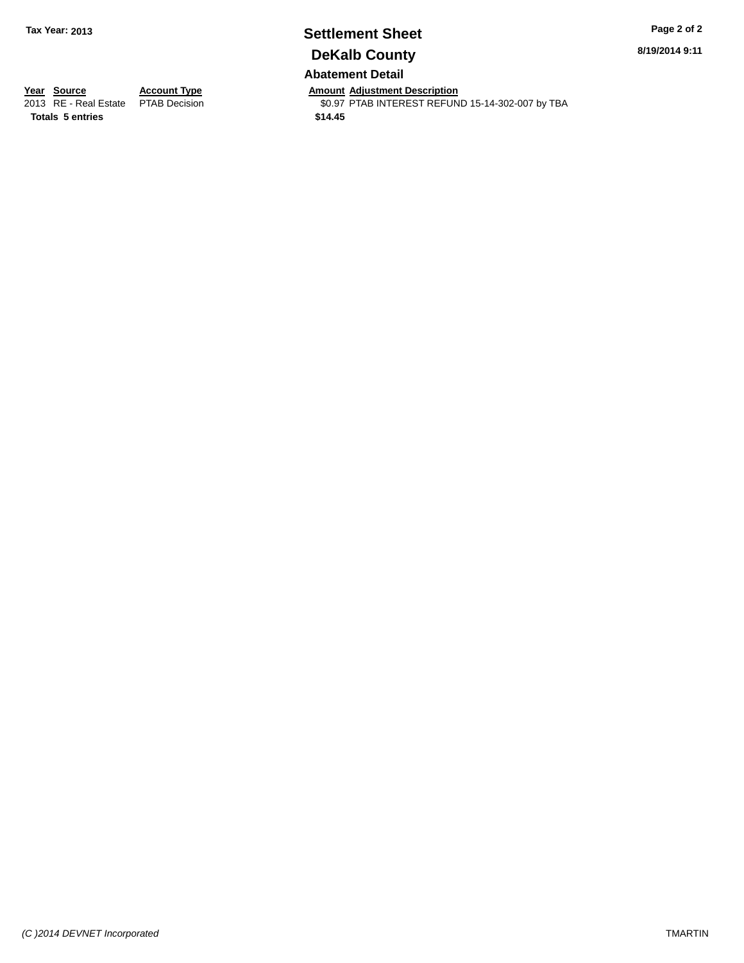# **Settlement Sheet Tax Year: 2013 Page 2 of 2 DeKalb County**

**8/19/2014 9:11**

### **Abatement Detail**

**Totals 5 entries \$14.45**

**Year Source Account Type Anneurs Amount Adjustment Description**<br>
2013 RE - Real Estate PTAB Decision **Amount Adjustment Description** \$0.97 PTAB INTEREST REFUND 15-14-302-007 by TBA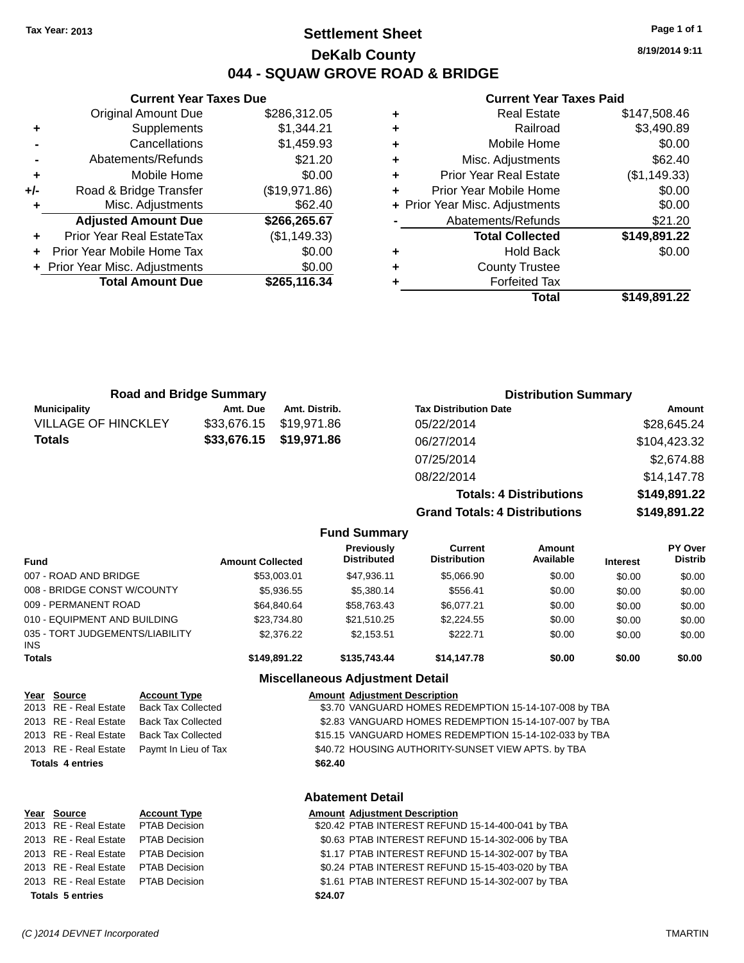### **Settlement Sheet Tax Year: 2013 Page 1 of 1 DeKalb County 044 - SQUAW GROVE ROAD & BRIDGE**

**Current Year Taxes Due** Original Amount Due \$286,312.05 **+** Supplements \$1,344.21 **-** Cancellations \$1,459.93 **-** Abatements/Refunds \$21.20 **+** Mobile Home \$0.00 **+/-** Road & Bridge Transfer (\$19,971.86) **+** Misc. Adjustments \$62.40 **Adjusted Amount Due \$266,265.67 +** Prior Year Real EstateTax (\$1,149.33) **+** Prior Year Mobile Home Tax \$0.00 **+ Prior Year Misc. Adjustments**  $$0.00$ 

**Total Amount Due \$265,116.34**

#### **Current Year Taxes Paid**

|   | <b>Real Estate</b>             | \$147,508.46 |
|---|--------------------------------|--------------|
| ٠ | Railroad                       | \$3,490.89   |
| ٠ | Mobile Home                    | \$0.00       |
| ٠ | Misc. Adjustments              | \$62.40      |
| ٠ | <b>Prior Year Real Estate</b>  | (\$1,149.33) |
|   | Prior Year Mobile Home         | \$0.00       |
|   | + Prior Year Misc. Adjustments | \$0.00       |
|   | Abatements/Refunds             | \$21.20      |
|   | <b>Total Collected</b>         | \$149,891.22 |
| ٠ | <b>Hold Back</b>               | \$0.00       |
| ٠ | <b>County Trustee</b>          |              |
|   | <b>Forfeited Tax</b>           |              |
|   | Total                          | \$149,891.22 |
|   |                                |              |

| <b>Road and Bridge Summary</b> |             |                         | <b>Distribution Summary</b>  |              |
|--------------------------------|-------------|-------------------------|------------------------------|--------------|
| <b>Municipality</b>            | Amt. Due    | Amt. Distrib.           | <b>Tax Distribution Date</b> | Amount       |
| <b>VILLAGE OF HINCKLEY</b>     | \$33.676.15 | \$19.971.86             | 05/22/2014                   | \$28,645.24  |
| <b>Totals</b>                  |             | \$33,676.15 \$19,971.86 | 06/27/2014                   | \$104,423.32 |
|                                |             |                         | 07/25/2014                   | \$2,674.88   |
|                                |             |                         |                              | .            |

08/22/2014 \$14,147.78 **Totals: 4 Distributions \$149,891.22 Grand Totals: 4 Distributions \$149,891.22 Fund Summary**

| <b>Fund</b>                             | <b>Amount Collected</b> | Previously<br><b>Distributed</b> | Current<br><b>Distribution</b> | <b>Amount</b><br>Available | <b>Interest</b> | <b>PY Over</b><br><b>Distrib</b> |
|-----------------------------------------|-------------------------|----------------------------------|--------------------------------|----------------------------|-----------------|----------------------------------|
| 007 - ROAD AND BRIDGE                   | \$53,003.01             | \$47.936.11                      | \$5,066.90                     | \$0.00                     | \$0.00          | \$0.00                           |
| 008 - BRIDGE CONST W/COUNTY             | \$5,936.55              | \$5,380.14                       | \$556.41                       | \$0.00                     | \$0.00          | \$0.00                           |
| 009 - PERMANENT ROAD                    | \$64,840,64             | \$58,763.43                      | \$6,077.21                     | \$0.00                     | \$0.00          | \$0.00                           |
| 010 - EQUIPMENT AND BUILDING            | \$23,734.80             | \$21,510.25                      | \$2,224.55                     | \$0.00                     | \$0.00          | \$0.00                           |
| 035 - TORT JUDGEMENTS/LIABILITY<br>INS. | \$2,376.22              | \$2.153.51                       | \$222.71                       | \$0.00                     | \$0.00          | \$0.00                           |
| Totals                                  | \$149.891.22            | \$135,743,44                     | \$14,147.78                    | \$0.00                     | \$0.00          | \$0.00                           |

### **Miscellaneous Adjustment Detail**

| 2013 RE - Real Estate<br><b>Back Tax Collected</b> |                                                                                                                         |
|----------------------------------------------------|-------------------------------------------------------------------------------------------------------------------------|
|                                                    | \$3.70 VANGUARD HOMES REDEMPTION 15-14-107-008 by TBA                                                                   |
| <b>Back Tax Collected</b>                          | \$2.83 VANGUARD HOMES REDEMPTION 15-14-107-007 by TBA                                                                   |
| Back Tax Collected                                 | \$15.15 VANGUARD HOMES REDEMPTION 15-14-102-033 by TBA                                                                  |
|                                                    | \$40.72 HOUSING AUTHORITY-SUNSET VIEW APTS. by TBA                                                                      |
|                                                    | \$62.40                                                                                                                 |
|                                                    |                                                                                                                         |
|                                                    | 2013 RE - Real Estate<br>2013 RE - Real Estate<br>2013 RE - Real Estate Paymt In Lieu of Tax<br><b>Totals 4 entries</b> |

| Year Source                         | <b>Account Type</b> |         | <b>Amount Adjustment Description</b>              |
|-------------------------------------|---------------------|---------|---------------------------------------------------|
| 2013 RE - Real Estate PTAB Decision |                     |         | \$20.42 PTAB INTEREST REFUND 15-14-400-041 by TBA |
| 2013 RE - Real Estate PTAB Decision |                     |         | \$0.63 PTAB INTEREST REFUND 15-14-302-006 by TBA  |
| 2013 RE - Real Estate PTAB Decision |                     |         | \$1.17 PTAB INTEREST REFUND 15-14-302-007 by TBA  |
| 2013 RE - Real Estate PTAB Decision |                     |         | \$0.24 PTAB INTEREST REFUND 15-15-403-020 by TBA  |
| 2013 RE - Real Estate PTAB Decision |                     |         | \$1.61 PTAB INTEREST REFUND 15-14-302-007 by TBA  |
| <b>Totals 5 entries</b>             |                     | \$24.07 |                                                   |
|                                     |                     |         |                                                   |

**8/19/2014 9:11**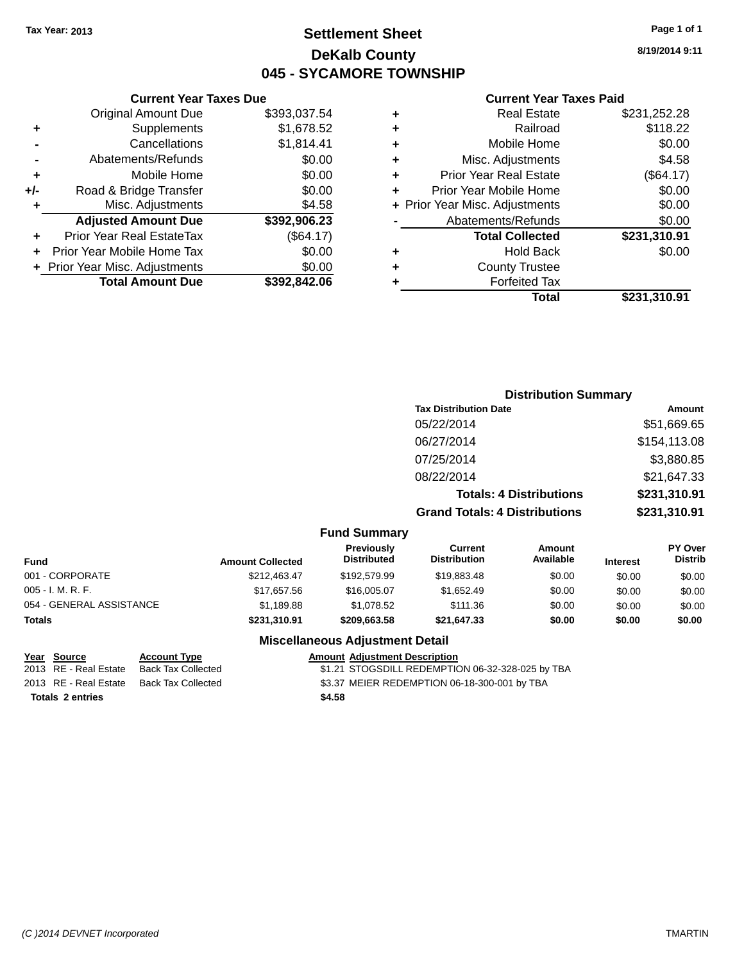### **Settlement Sheet Tax Year: 2013 Page 1 of 1 DeKalb County 045 - SYCAMORE TOWNSHIP**

**8/19/2014 9:11**

#### **Current Year Taxes Paid**

|     | <b>Current Year Taxes Due</b>  |              |
|-----|--------------------------------|--------------|
|     | <b>Original Amount Due</b>     | \$393,037.54 |
| ٠   | Supplements                    | \$1,678.52   |
|     | Cancellations                  | \$1,814.41   |
|     | Abatements/Refunds             | \$0.00       |
| ٠   | Mobile Home                    | \$0.00       |
| +/- | Road & Bridge Transfer         | \$0.00       |
| ٠   | Misc. Adjustments              | \$4.58       |
|     | <b>Adjusted Amount Due</b>     | \$392,906.23 |
| ٠   | Prior Year Real EstateTax      | (\$64.17)    |
|     | Prior Year Mobile Home Tax     | \$0.00       |
|     | + Prior Year Misc. Adjustments | \$0.00       |
|     | <b>Total Amount Due</b>        | \$392,842.06 |
|     |                                |              |

|   | <b>Real Estate</b>             | \$231,252.28 |
|---|--------------------------------|--------------|
| ٠ | Railroad                       | \$118.22     |
| ٠ | Mobile Home                    | \$0.00       |
| ٠ | Misc. Adjustments              | \$4.58       |
| ٠ | <b>Prior Year Real Estate</b>  | (\$64.17)    |
| ÷ | Prior Year Mobile Home         | \$0.00       |
|   | + Prior Year Misc. Adjustments | \$0.00       |
|   | Abatements/Refunds             | \$0.00       |
|   | <b>Total Collected</b>         | \$231,310.91 |
| ٠ | Hold Back                      | \$0.00       |
|   | <b>County Trustee</b>          |              |
| ٠ | <b>Forfeited Tax</b>           |              |
|   | Total                          | \$231,310.91 |
|   |                                |              |

### **Distribution Summary Tax Distribution Date Amount** 05/22/2014 \$51,669.65 06/27/2014 \$154,113.08 07/25/2014 \$3,880.85 08/22/2014 \$21,647.33 **Totals: 4 Distributions \$231,310.91 Grand Totals: 4 Distributions \$231,310.91**

#### **Fund Summary**

| Fund                     | <b>Amount Collected</b> | <b>Previously</b><br><b>Distributed</b> | Current<br><b>Distribution</b> | Amount<br>Available | <b>Interest</b> | <b>PY Over</b><br><b>Distrib</b> |
|--------------------------|-------------------------|-----------------------------------------|--------------------------------|---------------------|-----------------|----------------------------------|
| 001 - CORPORATE          | \$212.463.47            | \$192,579.99                            | \$19,883,48                    | \$0.00              | \$0.00          | \$0.00                           |
| 005 - I. M. R. F.        | \$17,657.56             | \$16,005.07                             | \$1.652.49                     | \$0.00              | \$0.00          | \$0.00                           |
| 054 - GENERAL ASSISTANCE | \$1.189.88              | \$1.078.52                              | \$111.36                       | \$0.00              | \$0.00          | \$0.00                           |
| Totals                   | \$231,310.91            | \$209.663.58                            | \$21,647.33                    | \$0.00              | \$0.00          | \$0.00                           |

### **Miscellaneous Adjustment Detail**

**Totals 2 entries \$4.58**

**Year Source Account Type Amount Adjustment Description** \$1.21 STOGSDILL REDEMPTION 06-32-328-025 by TBA 2013 RE - Real Estate Back Tax Collected \$3.37 MEIER REDEMPTION 06-18-300-001 by TBA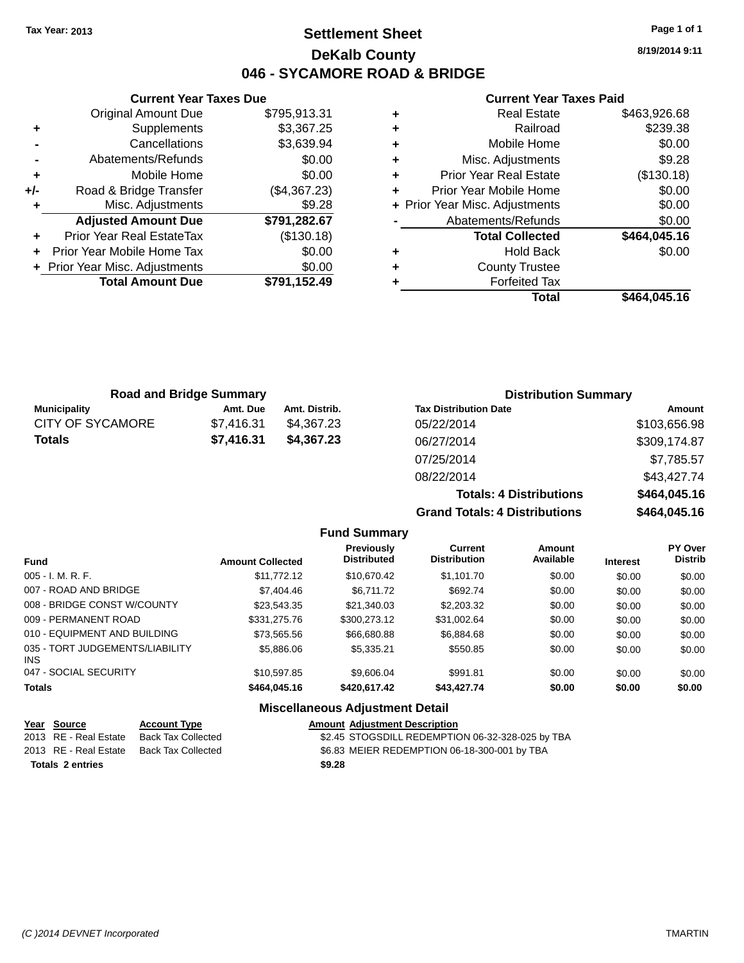### **Settlement Sheet Tax Year: 2013 Page 1 of 1 DeKalb County 046 - SYCAMORE ROAD & BRIDGE**

**8/19/2014 9:11**

#### **Current Year Taxes Paid**

|     | <b>Current Year Taxes Due</b>  |              |  |
|-----|--------------------------------|--------------|--|
|     | <b>Original Amount Due</b>     | \$795,913.31 |  |
| ٠   | Supplements                    | \$3,367.25   |  |
|     | Cancellations                  | \$3,639.94   |  |
|     | Abatements/Refunds             | \$0.00       |  |
| ٠   | Mobile Home                    | \$0.00       |  |
| +/- | Road & Bridge Transfer         | (\$4,367.23) |  |
| ٠   | Misc. Adjustments              | \$9.28       |  |
|     | <b>Adjusted Amount Due</b>     | \$791,282.67 |  |
| ٠   | Prior Year Real EstateTax      | (\$130.18)   |  |
|     | Prior Year Mobile Home Tax     | \$0.00       |  |
|     | + Prior Year Misc. Adjustments | \$0.00       |  |
|     | <b>Total Amount Due</b>        | \$791,152.49 |  |
|     |                                |              |  |

| ٠ | <b>Real Estate</b>             | \$463,926.68 |
|---|--------------------------------|--------------|
| ٠ | Railroad                       | \$239.38     |
| ÷ | Mobile Home                    | \$0.00       |
| ٠ | Misc. Adjustments              | \$9.28       |
| ٠ | <b>Prior Year Real Estate</b>  | (\$130.18)   |
| ٠ | Prior Year Mobile Home         | \$0.00       |
|   | + Prior Year Misc. Adjustments | \$0.00       |
|   | Abatements/Refunds             | \$0.00       |
|   | <b>Total Collected</b>         | \$464,045.16 |
| ٠ | Hold Back                      | \$0.00       |
| ٠ | <b>County Trustee</b>          |              |
| ٠ | <b>Forfeited Tax</b>           |              |
|   | Total                          | \$464,045.16 |
|   |                                |              |

**Totals: 4 Distributions \$464,045.16**

**Grand Totals: 4 Distributions \$464,045.16**

| <b>Road and Bridge Summary</b> |            |               | <b>Distribution Summary</b>  |              |  |
|--------------------------------|------------|---------------|------------------------------|--------------|--|
| <b>Municipality</b>            | Amt. Due   | Amt. Distrib. | <b>Tax Distribution Date</b> | Amount       |  |
| <b>CITY OF SYCAMORE</b>        | \$7.416.31 | \$4.367.23    | 05/22/2014                   | \$103,656.98 |  |
| Totals                         | \$7.416.31 | \$4,367.23    | 06/27/2014                   | \$309,174.87 |  |
|                                |            |               | 07/25/2014                   | \$7,785.57   |  |
|                                |            |               | 08/22/2014                   | \$43,427.74  |  |

|                                         |                         | <b>Fund Summary</b>                     |                                       |                            |                 |                                  |
|-----------------------------------------|-------------------------|-----------------------------------------|---------------------------------------|----------------------------|-----------------|----------------------------------|
| <b>Fund</b>                             | <b>Amount Collected</b> | <b>Previously</b><br><b>Distributed</b> | <b>Current</b><br><b>Distribution</b> | <b>Amount</b><br>Available | <b>Interest</b> | <b>PY Over</b><br><b>Distrib</b> |
| $005 - I. M. R. F.$                     | \$11.772.12             | \$10.670.42                             | \$1.101.70                            | \$0.00                     | \$0.00          | \$0.00                           |
| 007 - ROAD AND BRIDGE                   | \$7,404.46              | \$6.711.72                              | \$692.74                              | \$0.00                     | \$0.00          | \$0.00                           |
| 008 - BRIDGE CONST W/COUNTY             | \$23,543.35             | \$21,340.03                             | \$2,203.32                            | \$0.00                     | \$0.00          | \$0.00                           |
| 009 - PERMANENT ROAD                    | \$331,275.76            | \$300,273.12                            | \$31.002.64                           | \$0.00                     | \$0.00          | \$0.00                           |
| 010 - EQUIPMENT AND BUILDING            | \$73.565.56             | \$66,680.88                             | \$6,884.68                            | \$0.00                     | \$0.00          | \$0.00                           |
| 035 - TORT JUDGEMENTS/LIABILITY<br>INS. | \$5,886,06              | \$5,335.21                              | \$550.85                              | \$0.00                     | \$0.00          | \$0.00                           |
| 047 - SOCIAL SECURITY                   | \$10.597.85             | \$9,606.04                              | \$991.81                              | \$0.00                     | \$0.00          | \$0.00                           |
| <b>Totals</b>                           | \$464,045.16            | \$420,617.42                            | \$43,427.74                           | \$0.00                     | \$0.00          | \$0.00                           |

#### **Miscellaneous Adjustment Detail**

| Year Source           | <b>Account Type</b> |        | <b>Amount Adjustment Description</b>             |
|-----------------------|---------------------|--------|--------------------------------------------------|
| 2013 RE - Real Estate | Back Tax Collected  |        | \$2.45 STOGSDILL REDEMPTION 06-32-328-025 by TBA |
| 2013 RE - Real Estate | Back Tax Collected  |        | \$6.83 MEIER REDEMPTION 06-18-300-001 by TBA     |
| Totals 2 entries      |                     | \$9.28 |                                                  |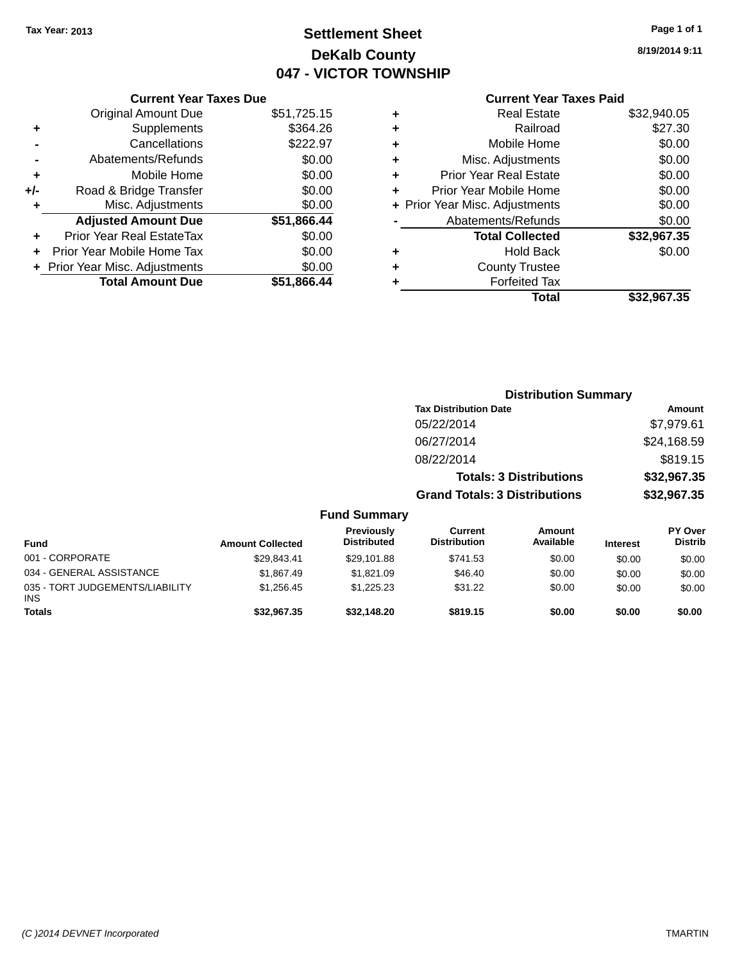## **Settlement Sheet Tax Year: 2013 Page 1 of 1 DeKalb County 047 - VICTOR TOWNSHIP**

**8/19/2014 9:11**

| <b>Current Year Taxes Paid</b> |  |
|--------------------------------|--|
| <b>Real Estate</b>             |  |

|     | <b>Current Year Taxes Due</b>  |             |
|-----|--------------------------------|-------------|
|     | <b>Original Amount Due</b>     | \$51,725.15 |
| ٠   | Supplements                    | \$364.26    |
|     | Cancellations                  | \$222.97    |
|     | Abatements/Refunds             | \$0.00      |
| ٠   | Mobile Home                    | \$0.00      |
| +/- | Road & Bridge Transfer         | \$0.00      |
|     | Misc. Adjustments              | \$0.00      |
|     | <b>Adjusted Amount Due</b>     | \$51,866.44 |
|     | Prior Year Real EstateTax      | \$0.00      |
|     | Prior Year Mobile Home Tax     | \$0.00      |
|     | + Prior Year Misc. Adjustments | \$0.00      |
|     | <b>Total Amount Due</b>        | \$51.866.44 |
|     |                                |             |

| ٠ | <b>Real Estate</b>             | \$32,940.05 |
|---|--------------------------------|-------------|
| ٠ | Railroad                       | \$27.30     |
| ٠ | Mobile Home                    | \$0.00      |
| ٠ | Misc. Adjustments              | \$0.00      |
| ٠ | <b>Prior Year Real Estate</b>  | \$0.00      |
| ÷ | Prior Year Mobile Home         | \$0.00      |
|   | + Prior Year Misc. Adjustments | \$0.00      |
|   | Abatements/Refunds             | \$0.00      |
|   | <b>Total Collected</b>         | \$32,967.35 |
| ٠ | Hold Back                      | \$0.00      |
| ٠ | <b>County Trustee</b>          |             |
| ٠ | <b>Forfeited Tax</b>           |             |
|   | Total                          | \$32,967.35 |
|   |                                |             |

|                                         |                         |                                  |                                       | <b>Distribution Summary</b>    |                 |                                  |
|-----------------------------------------|-------------------------|----------------------------------|---------------------------------------|--------------------------------|-----------------|----------------------------------|
|                                         |                         |                                  | <b>Tax Distribution Date</b>          |                                |                 | Amount                           |
|                                         |                         |                                  | 05/22/2014                            |                                |                 | \$7,979.61                       |
|                                         |                         |                                  | 06/27/2014                            |                                |                 | \$24,168.59                      |
|                                         |                         |                                  | 08/22/2014                            |                                |                 | \$819.15                         |
|                                         |                         |                                  |                                       | <b>Totals: 3 Distributions</b> |                 | \$32,967.35                      |
|                                         |                         |                                  | <b>Grand Totals: 3 Distributions</b>  |                                |                 | \$32,967.35                      |
|                                         |                         | <b>Fund Summary</b>              |                                       |                                |                 |                                  |
| <b>Fund</b>                             | <b>Amount Collected</b> | Previously<br><b>Distributed</b> | <b>Current</b><br><b>Distribution</b> | Amount<br>Available            | <b>Interest</b> | <b>PY Over</b><br><b>Distrib</b> |
| 001 - CORPORATE                         | \$29,843.41             | \$29,101.88                      | \$741.53                              | \$0.00                         | \$0.00          | \$0.00                           |
| 034 - GENERAL ASSISTANCE                | \$1,867.49              | \$1,821.09                       | \$46.40                               | \$0.00                         | \$0.00          | \$0.00                           |
| 035 - TORT JUDGEMENTS/LIABILITY<br>INS. | \$1,256.45              | \$1,225.23                       | \$31.22                               | \$0.00                         | \$0.00          | \$0.00                           |
| Totals                                  | \$32,967.35             | \$32,148.20                      | \$819.15                              | \$0.00                         | \$0.00          | \$0.00                           |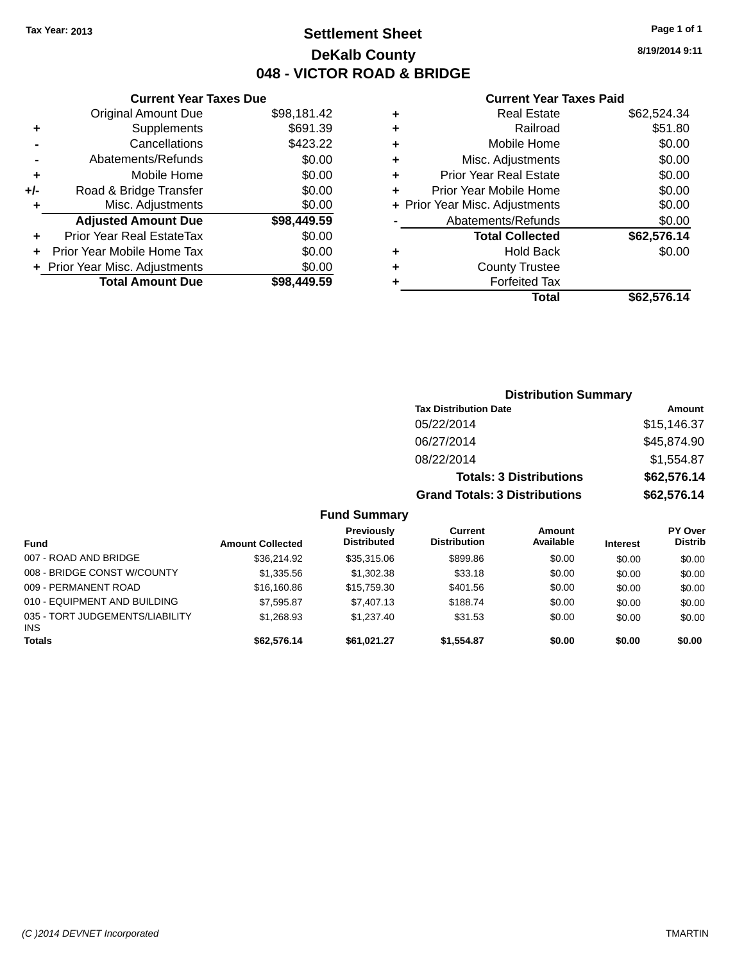### **Settlement Sheet Tax Year: 2013 Page 1 of 1 DeKalb County 048 - VICTOR ROAD & BRIDGE**

**8/19/2014 9:11**

#### **Current Year Taxes Paid**

|     | <b>Current Year Taxes Due</b>  |             |
|-----|--------------------------------|-------------|
|     | <b>Original Amount Due</b>     | \$98,181.42 |
| ٠   | Supplements                    | \$691.39    |
|     | Cancellations                  | \$423.22    |
|     | Abatements/Refunds             | \$0.00      |
| ٠   | Mobile Home                    | \$0.00      |
| +/- | Road & Bridge Transfer         | \$0.00      |
| ٠   | Misc. Adjustments              | \$0.00      |
|     | <b>Adjusted Amount Due</b>     | \$98,449.59 |
| ٠   | Prior Year Real EstateTax      | \$0.00      |
|     | Prior Year Mobile Home Tax     | \$0.00      |
|     | + Prior Year Misc. Adjustments | \$0.00      |
|     | <b>Total Amount Due</b>        | \$98.449.59 |
|     |                                |             |

| ٠ | <b>Real Estate</b>             | \$62,524.34 |
|---|--------------------------------|-------------|
| ٠ | Railroad                       | \$51.80     |
| ٠ | Mobile Home                    | \$0.00      |
| ٠ | Misc. Adjustments              | \$0.00      |
| ٠ | <b>Prior Year Real Estate</b>  | \$0.00      |
| ٠ | Prior Year Mobile Home         | \$0.00      |
|   | + Prior Year Misc. Adjustments | \$0.00      |
|   | Abatements/Refunds             | \$0.00      |
|   | <b>Total Collected</b>         | \$62,576.14 |
| ٠ | <b>Hold Back</b>               | \$0.00      |
|   | <b>County Trustee</b>          |             |
| ٠ | <b>Forfeited Tax</b>           |             |
|   | Total                          | \$62,576.14 |
|   |                                |             |

|                     |                                      | <b>Distribution Summary</b>    |                |
|---------------------|--------------------------------------|--------------------------------|----------------|
|                     | <b>Tax Distribution Date</b>         |                                | Amount         |
|                     | 05/22/2014                           |                                | \$15,146.37    |
|                     | 06/27/2014                           |                                | \$45,874.90    |
|                     | 08/22/2014                           |                                | \$1,554.87     |
|                     |                                      | <b>Totals: 3 Distributions</b> | \$62,576.14    |
|                     | <b>Grand Totals: 3 Distributions</b> |                                | \$62,576.14    |
| <b>Fund Summary</b> |                                      |                                |                |
| <b>Previously</b>   | Current                              | Amount                         | <b>PY Over</b> |
|                     | .                                    | .                              | ---            |

| <b>Fund</b>                                   | <b>Amount Collected</b> | <b>Previously</b><br><b>Distributed</b> | Current<br><b>Distribution</b> | Amount<br>Available | <b>Interest</b> | PY Over<br><b>Distrib</b> |
|-----------------------------------------------|-------------------------|-----------------------------------------|--------------------------------|---------------------|-----------------|---------------------------|
| 007 - ROAD AND BRIDGE                         | \$36,214.92             | \$35,315,06                             | \$899.86                       | \$0.00              | \$0.00          | \$0.00                    |
| 008 - BRIDGE CONST W/COUNTY                   | \$1,335.56              | \$1.302.38                              | \$33.18                        | \$0.00              | \$0.00          | \$0.00                    |
| 009 - PERMANENT ROAD                          | \$16,160.86             | \$15,759.30                             | \$401.56                       | \$0.00              | \$0.00          | \$0.00                    |
| 010 - EQUIPMENT AND BUILDING                  | \$7.595.87              | \$7,407.13                              | \$188.74                       | \$0.00              | \$0.00          | \$0.00                    |
| 035 - TORT JUDGEMENTS/LIABILITY<br><b>INS</b> | \$1.268.93              | \$1.237.40                              | \$31.53                        | \$0.00              | \$0.00          | \$0.00                    |
| <b>Totals</b>                                 | \$62,576.14             | \$61.021.27                             | \$1.554.87                     | \$0.00              | \$0.00          | \$0.00                    |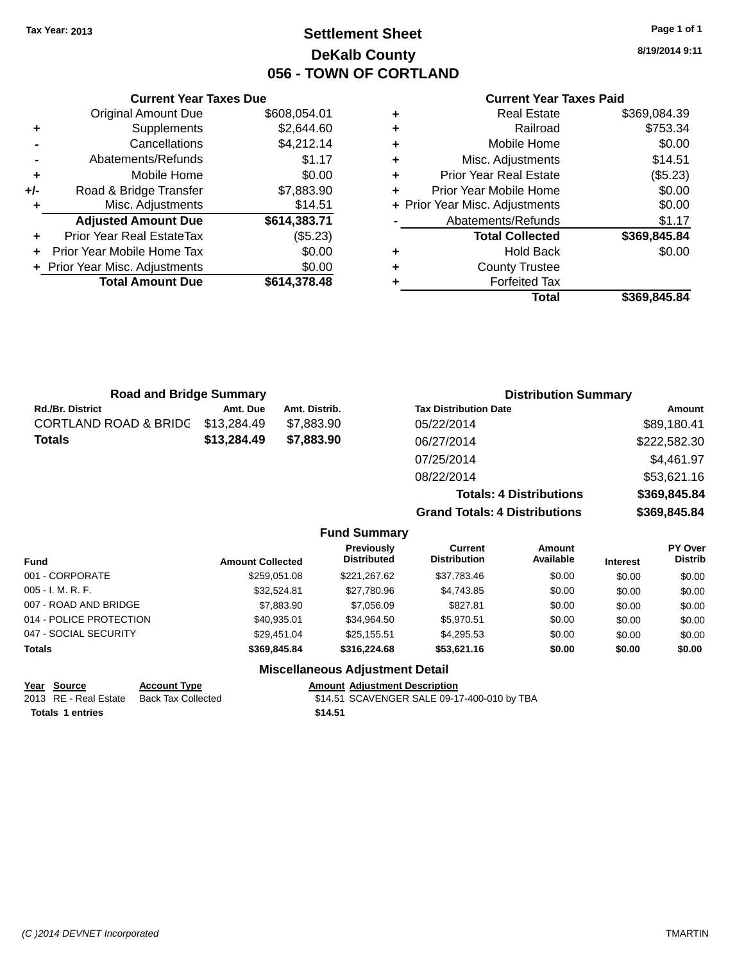**Current Year Taxes Due** Original Amount Due \$608,054.01

**Adjusted Amount Due \$614,383.71**

**Total Amount Due \$614,378.48**

**+** Supplements \$2,644.60 **-** Cancellations \$4,212.14 **-** Abatements/Refunds \$1.17 **+** Mobile Home \$0.00 **+/-** Road & Bridge Transfer \$7,883.90 **+** Misc. Adjustments \$14.51

**+** Prior Year Real EstateTax (\$5.23) **+** Prior Year Mobile Home Tax \$0.00 **+ Prior Year Misc. Adjustments**  $$0.00$ 

### **Settlement Sheet Tax Year: 2013 Page 1 of 1 DeKalb County 056 - TOWN OF CORTLAND**

**8/19/2014 9:11**

#### **Current Year Taxes Paid**

|   | <b>Real Estate</b>             | \$369,084.39 |
|---|--------------------------------|--------------|
| ٠ | Railroad                       | \$753.34     |
| ٠ | Mobile Home                    | \$0.00       |
| ٠ | Misc. Adjustments              | \$14.51      |
| ٠ | <b>Prior Year Real Estate</b>  | (\$5.23)     |
|   | Prior Year Mobile Home         | \$0.00       |
|   | + Prior Year Misc. Adjustments | \$0.00       |
|   | Abatements/Refunds             | \$1.17       |
|   | <b>Total Collected</b>         | \$369,845.84 |
| ٠ | <b>Hold Back</b>               | \$0.00       |
| ٠ | <b>County Trustee</b>          |              |
|   | <b>Forfeited Tax</b>           |              |
|   | Total                          | \$369.845.84 |
|   |                                |              |

| <b>Road and Bridge Summary</b> |             |               | <b>Distribution Summary</b>          |              |
|--------------------------------|-------------|---------------|--------------------------------------|--------------|
| Rd./Br. District               | Amt. Due    | Amt. Distrib. | <b>Tax Distribution Date</b>         | Amount       |
| CORTLAND ROAD & BRIDG          | \$13,284.49 | \$7,883.90    | 05/22/2014                           | \$89,180.41  |
| Totals                         | \$13,284.49 | \$7,883.90    | 06/27/2014                           | \$222,582.30 |
|                                |             |               | 07/25/2014                           | \$4,461.97   |
|                                |             |               | 08/22/2014                           | \$53,621.16  |
|                                |             |               | <b>Totals: 4 Distributions</b>       | \$369,845.84 |
|                                |             |               | <b>Grand Totals: 4 Distributions</b> | \$369,845.84 |

|                         |                     |                         | <b>Fund Summary</b>                     |                                |                            |                 |                                  |
|-------------------------|---------------------|-------------------------|-----------------------------------------|--------------------------------|----------------------------|-----------------|----------------------------------|
| <b>Fund</b>             |                     | <b>Amount Collected</b> | <b>Previously</b><br><b>Distributed</b> | Current<br><b>Distribution</b> | <b>Amount</b><br>Available | <b>Interest</b> | <b>PY Over</b><br><b>Distrib</b> |
| 001 - CORPORATE         |                     | \$259.051.08            | \$221.267.62                            | \$37,783.46                    | \$0.00                     | \$0.00          | \$0.00                           |
| $005 - I. M. R. F.$     |                     | \$32.524.81             | \$27,780.96                             | \$4,743.85                     | \$0.00                     | \$0.00          | \$0.00                           |
| 007 - ROAD AND BRIDGE   |                     | \$7,883.90              | \$7,056.09                              | \$827.81                       | \$0.00                     | \$0.00          | \$0.00                           |
| 014 - POLICE PROTECTION |                     | \$40,935.01             | \$34.964.50                             | \$5,970.51                     | \$0.00                     | \$0.00          | \$0.00                           |
| 047 - SOCIAL SECURITY   |                     | \$29.451.04             | \$25,155.51                             | \$4,295.53                     | \$0.00                     | \$0.00          | \$0.00                           |
| <b>Totals</b>           |                     | \$369,845.84            | \$316,224.68                            | \$53,621.16                    | \$0.00                     | \$0.00          | \$0.00                           |
|                         |                     |                         | <b>Miscellaneous Adjustment Detail</b>  |                                |                            |                 |                                  |
| Year Source             | <b>Account Type</b> |                         | <b>Amount Adjustment Description</b>    |                                |                            |                 |                                  |

| <b>TUGH OVUIVU</b>      | AGGANIL IVNG                             | AND MILL AGROUNDED DESCRIPTION              |
|-------------------------|------------------------------------------|---------------------------------------------|
|                         | 2013 RE - Real Estate Back Tax Collected | \$14.51 SCAVENGER SALE 09-17-400-010 by TBA |
| <b>Totals 1 entries</b> |                                          | \$14.51                                     |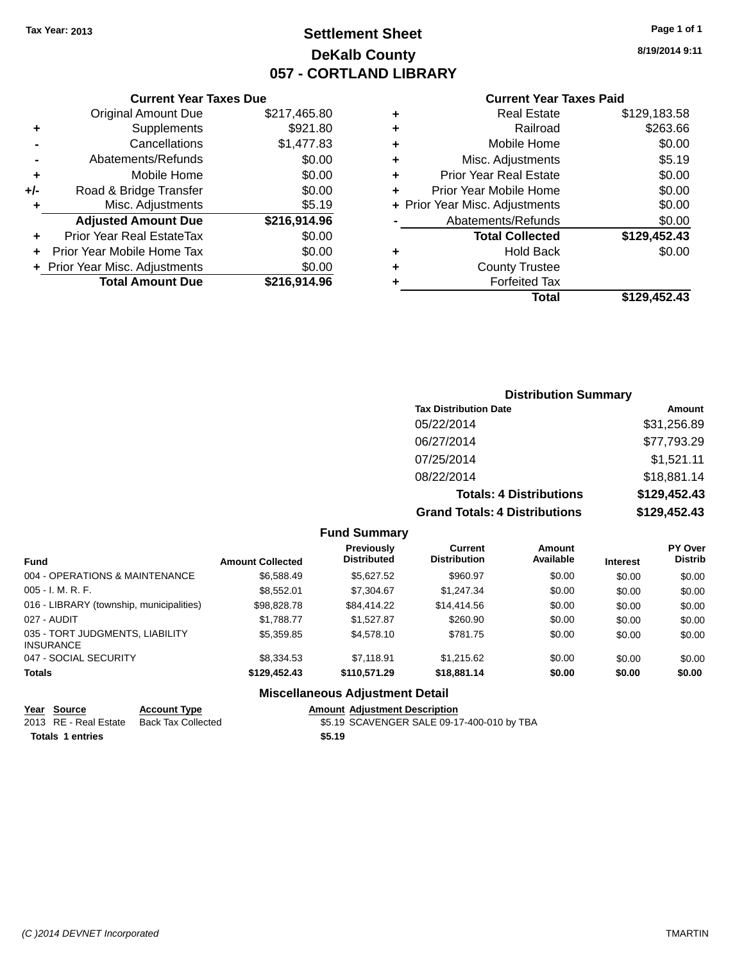### **Settlement Sheet Tax Year: 2013 Page 1 of 1 DeKalb County 057 - CORTLAND LIBRARY**

**8/19/2014 9:11**

#### **Current Year Taxes Paid**

|     | <b>Current Year Taxes Due</b>  |              |   |
|-----|--------------------------------|--------------|---|
|     | <b>Original Amount Due</b>     | \$217,465.80 |   |
| ٠   | Supplements                    | \$921.80     | ٠ |
|     | Cancellations                  | \$1,477.83   |   |
|     | Abatements/Refunds             | \$0.00       |   |
|     | Mobile Home                    | \$0.00       | ٠ |
| +/- | Road & Bridge Transfer         | \$0.00       | ٠ |
|     | Misc. Adjustments              | \$5.19       |   |
|     | <b>Adjusted Amount Due</b>     | \$216,914.96 |   |
| ÷   | Prior Year Real EstateTax      | \$0.00       |   |
|     | Prior Year Mobile Home Tax     | \$0.00       |   |
|     | + Prior Year Misc. Adjustments | \$0.00       |   |
|     | <b>Total Amount Due</b>        | \$216,914.96 |   |
|     |                                |              |   |

| ٠ | <b>Real Estate</b>             | \$129,183.58 |
|---|--------------------------------|--------------|
| ٠ | Railroad                       | \$263.66     |
| ٠ | Mobile Home                    | \$0.00       |
| ٠ | Misc. Adjustments              | \$5.19       |
| ٠ | <b>Prior Year Real Estate</b>  | \$0.00       |
| ٠ | Prior Year Mobile Home         | \$0.00       |
|   | + Prior Year Misc. Adjustments | \$0.00       |
|   | Abatements/Refunds             | \$0.00       |
|   | <b>Total Collected</b>         | \$129,452.43 |
| ٠ | <b>Hold Back</b>               | \$0.00       |
| ٠ | <b>County Trustee</b>          |              |
| ٠ | <b>Forfeited Tax</b>           |              |
|   | Total                          | \$129,452,43 |
|   |                                |              |

### **Distribution Summary Tax Distribution Date Amount** 05/22/2014 \$31,256.89 06/27/2014 \$77,793.29 07/25/2014 \$1,521.11 08/22/2014 \$18,881.14 **Totals: 4 Distributions \$129,452.43 Grand Totals: 4 Distributions \$129,452.43**

#### **Fund Summary**

| <b>Fund</b>                                         | <b>Amount Collected</b> | Previously<br><b>Distributed</b> | Current<br><b>Distribution</b> | Amount<br>Available | <b>Interest</b> | <b>PY Over</b><br><b>Distrib</b> |
|-----------------------------------------------------|-------------------------|----------------------------------|--------------------------------|---------------------|-----------------|----------------------------------|
| 004 - OPERATIONS & MAINTENANCE                      | \$6,588.49              | \$5.627.52                       | \$960.97                       | \$0.00              | \$0.00          | \$0.00                           |
| $005 - I. M. R. F.$                                 | \$8,552,01              | \$7,304.67                       | \$1,247.34                     | \$0.00              | \$0.00          | \$0.00                           |
| 016 - LIBRARY (township, municipalities)            | \$98,828,78             | \$84.414.22                      | \$14,414.56                    | \$0.00              | \$0.00          | \$0.00                           |
| 027 - AUDIT                                         | \$1,788.77              | \$1.527.87                       | \$260.90                       | \$0.00              | \$0.00          | \$0.00                           |
| 035 - TORT JUDGMENTS, LIABILITY<br><b>INSURANCE</b> | \$5,359.85              | \$4,578,10                       | \$781.75                       | \$0.00              | \$0.00          | \$0.00                           |
| 047 - SOCIAL SECURITY                               | \$8,334.53              | \$7.118.91                       | \$1.215.62                     | \$0.00              | \$0.00          | \$0.00                           |
| <b>Totals</b>                                       | \$129,452,43            | \$110.571.29                     | \$18,881.14                    | \$0.00              | \$0.00          | \$0.00                           |

### **Miscellaneous Adjustment Detail**

| Year Source             | <b>Account Type</b> |        | <b>Amount Adiustment Description</b>       |
|-------------------------|---------------------|--------|--------------------------------------------|
| 2013 RE - Real Estate   | Back Tax Collected  |        | \$5.19 SCAVENGER SALE 09-17-400-010 by TBA |
| <b>Totals 1 entries</b> |                     | \$5.19 |                                            |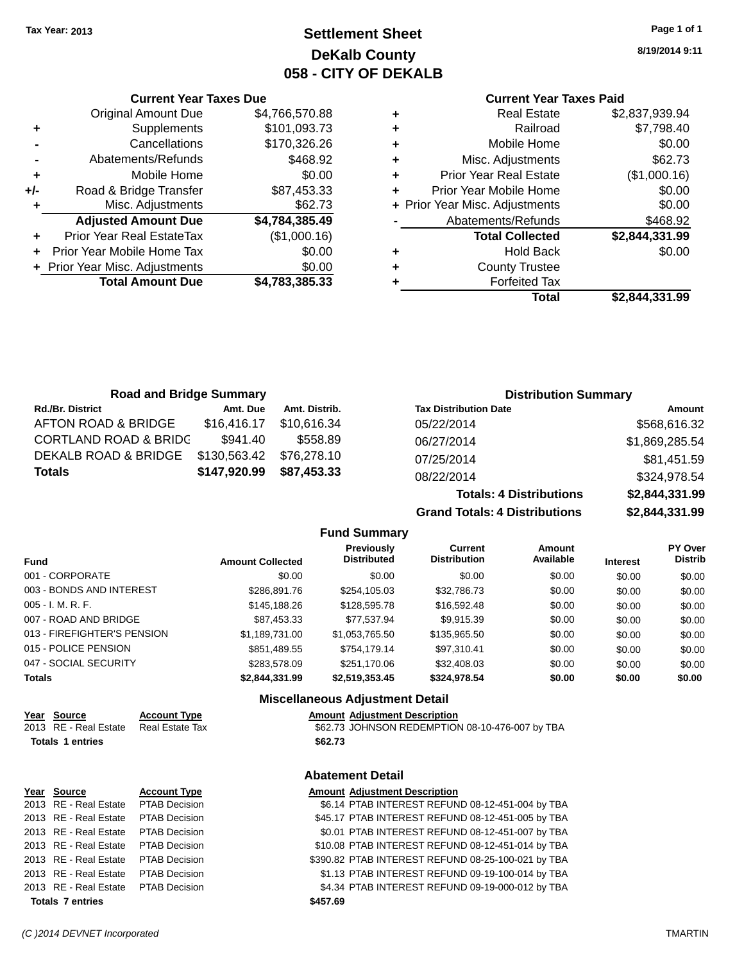**Current Year Taxes Due** Original Amount Due \$4,766,570.88

**Adjusted Amount Due \$4,784,385.49**

**Total Amount Due \$4,783,385.33**

**+** Supplements \$101,093.73 **-** Cancellations \$170,326.26 **-** Abatements/Refunds \$468.92 **+** Mobile Home \$0.00 **+/-** Road & Bridge Transfer \$87,453.33 **+** Misc. Adjustments \$62.73

**+** Prior Year Real EstateTax (\$1,000.16) **+** Prior Year Mobile Home Tax \$0.00 **+** Prior Year Misc. Adjustments  $$0.00$ 

### **Settlement Sheet Tax Year: 2013 Page 1 of 1 DeKalb County 058 - CITY OF DEKALB**

**8/19/2014 9:11**

### **Current Year Taxes Paid**

| ٠ | <b>Real Estate</b>             | \$2,837,939.94 |
|---|--------------------------------|----------------|
| ٠ | Railroad                       | \$7,798.40     |
| ٠ | Mobile Home                    | \$0.00         |
| ٠ | Misc. Adjustments              | \$62.73        |
| ٠ | <b>Prior Year Real Estate</b>  | (\$1,000.16)   |
| ٠ | Prior Year Mobile Home         | \$0.00         |
|   | + Prior Year Misc. Adjustments | \$0.00         |
|   | Abatements/Refunds             | \$468.92       |
|   | <b>Total Collected</b>         | \$2,844,331.99 |
| ٠ | <b>Hold Back</b>               | \$0.00         |
| ٠ | <b>County Trustee</b>          |                |
| ٠ | <b>Forfeited Tax</b>           |                |
|   | Total                          | \$2,844,331.99 |
|   |                                |                |

| <b>Road and Bridge Summary</b>   |              |               |                              | <b>Distribution Summary</b> |
|----------------------------------|--------------|---------------|------------------------------|-----------------------------|
| <b>Rd./Br. District</b>          | Amt. Due     | Amt. Distrib. | <b>Tax Distribution Date</b> | Amount                      |
| AFTON ROAD & BRIDGE              | \$16,416.17  | \$10.616.34   | 05/22/2014                   | \$568,616.32                |
| <b>CORTLAND ROAD &amp; BRIDG</b> | \$941.40     | \$558.89      | 06/27/2014                   | \$1,869,285.54              |
| DEKALB ROAD & BRIDGE             | \$130,563.42 | \$76.278.10   | 07/25/2014                   | \$81,451.59                 |
| <b>Totals</b>                    | \$147,920.99 | \$87,453.33   | 08/22/2014                   | \$324,978.54                |

**Totals: 4 Distributions \$2,844,331.99 Grand Totals: 4 Distributions \$2,844,331.99 Fund Summary Amount Current Previously**

| <b>Fund</b>                 | <b>Amount Collected</b> | <b>Previously</b><br><b>Distributed</b> | <b>Current</b><br><b>Distribution</b> | Amount<br>Available | <b>Interest</b> | <b>PY Over</b><br><b>Distrib</b> |
|-----------------------------|-------------------------|-----------------------------------------|---------------------------------------|---------------------|-----------------|----------------------------------|
| 001 - CORPORATE             | \$0.00                  | \$0.00                                  | \$0.00                                | \$0.00              | \$0.00          | \$0.00                           |
| 003 - BONDS AND INTEREST    | \$286,891.76            | \$254,105.03                            | \$32,786.73                           | \$0.00              | \$0.00          | \$0.00                           |
| 005 - I. M. R. F.           | \$145,188.26            | \$128,595.78                            | \$16,592.48                           | \$0.00              | \$0.00          | \$0.00                           |
| 007 - ROAD AND BRIDGE       | \$87,453.33             | \$77,537.94                             | \$9,915.39                            | \$0.00              | \$0.00          | \$0.00                           |
| 013 - FIREFIGHTER'S PENSION | \$1,189,731.00          | \$1,053,765.50                          | \$135,965.50                          | \$0.00              | \$0.00          | \$0.00                           |
| 015 - POLICE PENSION        | \$851,489.55            | \$754.179.14                            | \$97,310.41                           | \$0.00              | \$0.00          | \$0.00                           |
| 047 - SOCIAL SECURITY       | \$283,578.09            | \$251,170.06                            | \$32,408.03                           | \$0.00              | \$0.00          | \$0.00                           |
| Totals                      | \$2,844,331.99          | \$2,519,353.45                          | \$324,978.54                          | \$0.00              | \$0.00          | \$0.00                           |

#### **Miscellaneous Adjustment Detail**

| Year Source             | <b>Account Type</b> | Amount  |
|-------------------------|---------------------|---------|
| 2013 RE - Real Estate   | Real Estate Tax     | \$62.73 |
| <b>Totals 1 entries</b> |                     | \$62.73 |

**Amount Adjustment Description** \$62.73 JOHNSON REDEMPTION 08-10-476-007 by TBA

# **Abatement Detail**

| Year Source             | <b>Account Type</b>  | <b>Amount Adjustment Description</b>               |
|-------------------------|----------------------|----------------------------------------------------|
| 2013 RE - Real Estate   | <b>PTAB Decision</b> | \$6.14 PTAB INTEREST REFUND 08-12-451-004 by TBA   |
| 2013 RE - Real Estate   | PTAB Decision        | \$45.17 PTAB INTEREST REFUND 08-12-451-005 by TBA  |
| 2013 RE - Real Estate   | <b>PTAB Decision</b> | \$0.01 PTAB INTEREST REFUND 08-12-451-007 by TBA   |
| 2013 RE - Real Estate   | <b>PTAB Decision</b> | \$10.08 PTAB INTEREST REFUND 08-12-451-014 by TBA  |
| 2013 RE - Real Estate   | <b>PTAB Decision</b> | \$390.82 PTAB INTEREST REFUND 08-25-100-021 by TBA |
| 2013 RE - Real Estate   | <b>PTAB Decision</b> | \$1.13 PTAB INTEREST REFUND 09-19-100-014 by TBA   |
| 2013 RE - Real Estate   | PTAB Decision        | \$4.34 PTAB INTEREST REFUND 09-19-000-012 by TBA   |
| <b>Totals 7 entries</b> |                      | \$457.69                                           |
|                         |                      |                                                    |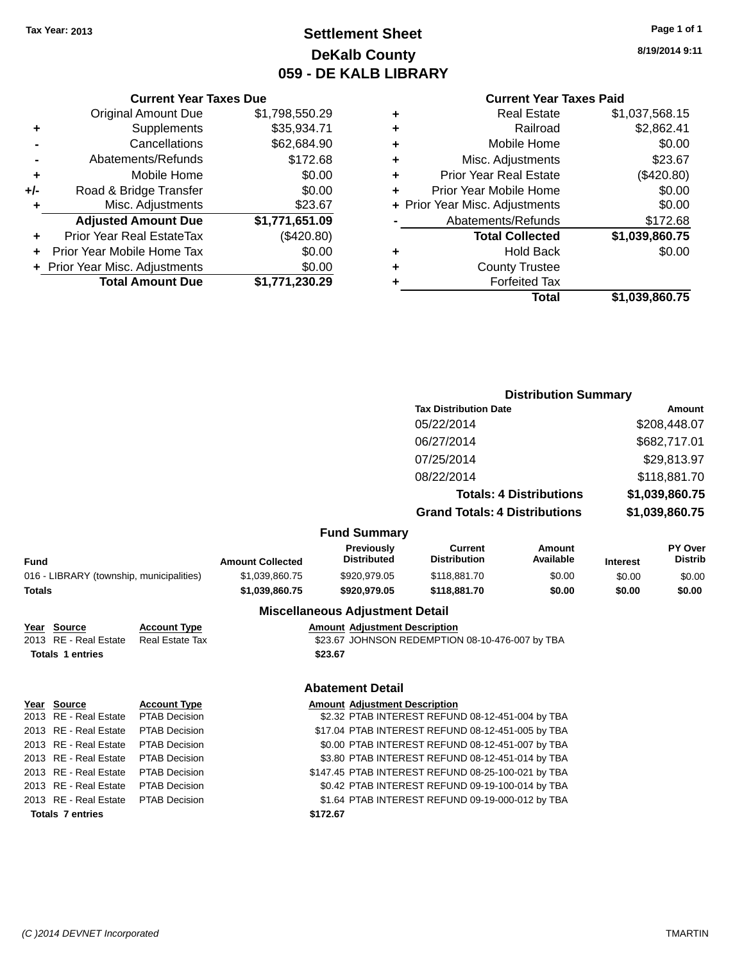### **Settlement Sheet Tax Year: 2013 Page 1 of 1 DeKalb County 059 - DE KALB LIBRARY**

#### **8/19/2014 9:11**

#### **Current Year Taxes Paid**

|     | <b>Current Year Taxes Due</b>  |                |  |  |  |  |
|-----|--------------------------------|----------------|--|--|--|--|
|     | <b>Original Amount Due</b>     | \$1,798,550.29 |  |  |  |  |
| ٠   | Supplements                    | \$35,934.71    |  |  |  |  |
|     | \$62,684.90<br>Cancellations   |                |  |  |  |  |
|     | Abatements/Refunds             | \$172.68       |  |  |  |  |
| ٠   | Mobile Home                    | \$0.00         |  |  |  |  |
| +/- | Road & Bridge Transfer         | \$0.00         |  |  |  |  |
| ٠   | Misc. Adjustments              | \$23.67        |  |  |  |  |
|     | <b>Adjusted Amount Due</b>     | \$1,771,651.09 |  |  |  |  |
| ٠   | Prior Year Real EstateTax      | (\$420.80)     |  |  |  |  |
| ÷   | Prior Year Mobile Home Tax     | \$0.00         |  |  |  |  |
|     | + Prior Year Misc. Adjustments | \$0.00         |  |  |  |  |
|     | <b>Total Amount Due</b>        | \$1,771,230.29 |  |  |  |  |

| ٠ | <b>Real Estate</b>             | \$1,037,568.15 |
|---|--------------------------------|----------------|
| ٠ | Railroad                       | \$2,862.41     |
| ٠ | Mobile Home                    | \$0.00         |
| ٠ | Misc. Adjustments              | \$23.67        |
| ٠ | <b>Prior Year Real Estate</b>  | (\$420.80)     |
| ÷ | Prior Year Mobile Home         | \$0.00         |
|   | + Prior Year Misc. Adjustments | \$0.00         |
|   | Abatements/Refunds             | \$172.68       |
|   | <b>Total Collected</b>         | \$1,039,860.75 |
| ٠ | <b>Hold Back</b>               | \$0.00         |
| ٠ | <b>County Trustee</b>          |                |
|   | <b>Forfeited Tax</b>           |                |
|   | Total                          | \$1,039,860.75 |
|   |                                |                |

|                                          |                         |                        |                         |                                        | <b>Distribution Summary</b>                        |                                |                              |                           |  |
|------------------------------------------|-------------------------|------------------------|-------------------------|----------------------------------------|----------------------------------------------------|--------------------------------|------------------------------|---------------------------|--|
|                                          |                         |                        |                         |                                        | <b>Tax Distribution Date</b>                       |                                | Amount                       |                           |  |
|                                          |                         |                        |                         |                                        | 05/22/2014                                         |                                | \$208,448.07<br>\$682,717.01 |                           |  |
|                                          |                         |                        |                         |                                        | 06/27/2014                                         |                                |                              |                           |  |
|                                          |                         |                        |                         |                                        | 07/25/2014                                         |                                |                              | \$29,813.97               |  |
|                                          |                         |                        |                         |                                        |                                                    |                                |                              |                           |  |
|                                          |                         |                        |                         |                                        | 08/22/2014                                         |                                |                              | \$118,881.70              |  |
|                                          |                         |                        |                         |                                        |                                                    | <b>Totals: 4 Distributions</b> |                              | \$1,039,860.75            |  |
|                                          |                         |                        |                         |                                        | <b>Grand Totals: 4 Distributions</b>               |                                | \$1,039,860.75               |                           |  |
|                                          |                         |                        |                         | <b>Fund Summary</b>                    |                                                    |                                |                              |                           |  |
| Fund                                     |                         |                        | <b>Amount Collected</b> | Previously<br><b>Distributed</b>       | <b>Current</b><br><b>Distribution</b>              | Amount<br>Available            | <b>Interest</b>              | PY Over<br><b>Distrib</b> |  |
| 016 - LIBRARY (township, municipalities) |                         | \$1,039,860.75         | \$920,979.05            | \$118,881.70                           | \$0.00                                             | \$0.00                         | \$0.00                       |                           |  |
| <b>Totals</b>                            |                         |                        | \$1,039,860.75          | \$920,979.05                           | \$118,881.70                                       | \$0.00                         | \$0.00                       | \$0.00                    |  |
|                                          |                         |                        |                         | <b>Miscellaneous Adjustment Detail</b> |                                                    |                                |                              |                           |  |
|                                          | Year Source             | <b>Account Type</b>    |                         | <b>Amount Adjustment Description</b>   |                                                    |                                |                              |                           |  |
|                                          | 2013 RE - Real Estate   | <b>Real Estate Tax</b> |                         |                                        | \$23.67 JOHNSON REDEMPTION 08-10-476-007 by TBA    |                                |                              |                           |  |
|                                          | <b>Totals 1 entries</b> |                        |                         | \$23.67                                |                                                    |                                |                              |                           |  |
|                                          |                         |                        |                         | <b>Abatement Detail</b>                |                                                    |                                |                              |                           |  |
|                                          | Year Source             | <b>Account Type</b>    |                         | <b>Amount Adjustment Description</b>   |                                                    |                                |                              |                           |  |
|                                          | 2013 RE - Real Estate   | PTAB Decision          |                         |                                        | \$2.32 PTAB INTEREST REFUND 08-12-451-004 by TBA   |                                |                              |                           |  |
|                                          | 2013 RE - Real Estate   | <b>PTAB Decision</b>   |                         |                                        | \$17.04 PTAB INTEREST REFUND 08-12-451-005 by TBA  |                                |                              |                           |  |
|                                          | 2013 RE - Real Estate   | <b>PTAB Decision</b>   |                         |                                        | \$0.00 PTAB INTEREST REFUND 08-12-451-007 by TBA   |                                |                              |                           |  |
|                                          | 2013 RE - Real Estate   | <b>PTAB Decision</b>   |                         |                                        | \$3.80 PTAB INTEREST REFUND 08-12-451-014 by TBA   |                                |                              |                           |  |
|                                          | 2013 RE - Real Estate   | <b>PTAB Decision</b>   |                         |                                        | \$147.45 PTAB INTEREST REFUND 08-25-100-021 by TBA |                                |                              |                           |  |
|                                          | 2013 RE - Real Estate   | <b>PTAB Decision</b>   |                         |                                        | \$0.42 PTAB INTEREST REFUND 09-19-100-014 by TBA   |                                |                              |                           |  |
|                                          | 2013 RE - Real Estate   | <b>PTAB Decision</b>   |                         |                                        | \$1.64 PTAB INTEREST REFUND 09-19-000-012 by TBA   |                                |                              |                           |  |
|                                          | <b>Totals 7 entries</b> |                        |                         | \$172.67                               |                                                    |                                |                              |                           |  |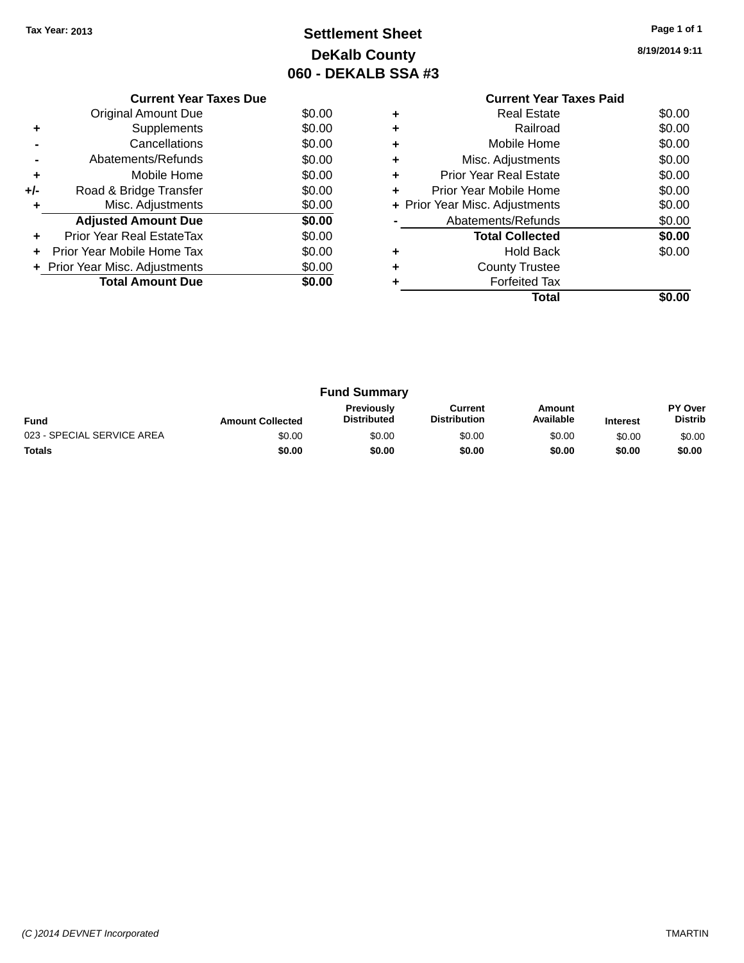## **Settlement Sheet Tax Year: 2013 Page 1 of 1 DeKalb County 060 - DEKALB SSA #3**

**8/19/2014 9:11**

|     | <b>Current Year Taxes Due</b>  |        |  |  |  |  |  |
|-----|--------------------------------|--------|--|--|--|--|--|
|     | Original Amount Due            | \$0.00 |  |  |  |  |  |
|     | Supplements                    | \$0.00 |  |  |  |  |  |
|     | Cancellations                  | \$0.00 |  |  |  |  |  |
|     | Abatements/Refunds             | \$0.00 |  |  |  |  |  |
| ٠   | Mobile Home                    | \$0.00 |  |  |  |  |  |
| +/- | Road & Bridge Transfer         | \$0.00 |  |  |  |  |  |
|     | Misc. Adjustments              | \$0.00 |  |  |  |  |  |
|     | <b>Adjusted Amount Due</b>     | \$0.00 |  |  |  |  |  |
| ٠   | Prior Year Real EstateTax      | \$0.00 |  |  |  |  |  |
|     | Prior Year Mobile Home Tax     | \$0.00 |  |  |  |  |  |
|     | + Prior Year Misc. Adjustments | \$0.00 |  |  |  |  |  |
|     | <b>Total Amount Due</b>        | \$0.00 |  |  |  |  |  |
|     |                                |        |  |  |  |  |  |

### **Current Year Taxes Paid +** Real Estate \$0.00 **+** Railroad \$0.00 **+** Mobile Home \$0.00 **+** Misc. Adjustments \$0.00 **+** Prior Year Real Estate \$0.00 **+** Prior Year Mobile Home \$0.00<br> **+** Prior Year Misc. Adjustments \$0.00 **+ Prior Year Misc. Adjustments -** Abatements/Refunds \$0.00 **Total Collected \$0.00 +** Hold Back \$0.00 **+** County Trustee **+** Forfeited Tax **Total \$0.00**

| <b>Fund Summary</b>                                                                                                                                           |        |        |        |        |        |                           |
|---------------------------------------------------------------------------------------------------------------------------------------------------------------|--------|--------|--------|--------|--------|---------------------------|
| <b>Previously</b><br>Current<br>Amount<br>Available<br><b>Distribution</b><br><b>Distributed</b><br><b>Fund</b><br><b>Amount Collected</b><br><b>Interest</b> |        |        |        |        |        | PY Over<br><b>Distrib</b> |
| 023 - SPECIAL SERVICE AREA                                                                                                                                    | \$0.00 | \$0.00 | \$0.00 | \$0.00 | \$0.00 | \$0.00                    |
| <b>Totals</b>                                                                                                                                                 | \$0.00 | \$0.00 | \$0.00 | \$0.00 | \$0.00 | \$0.00                    |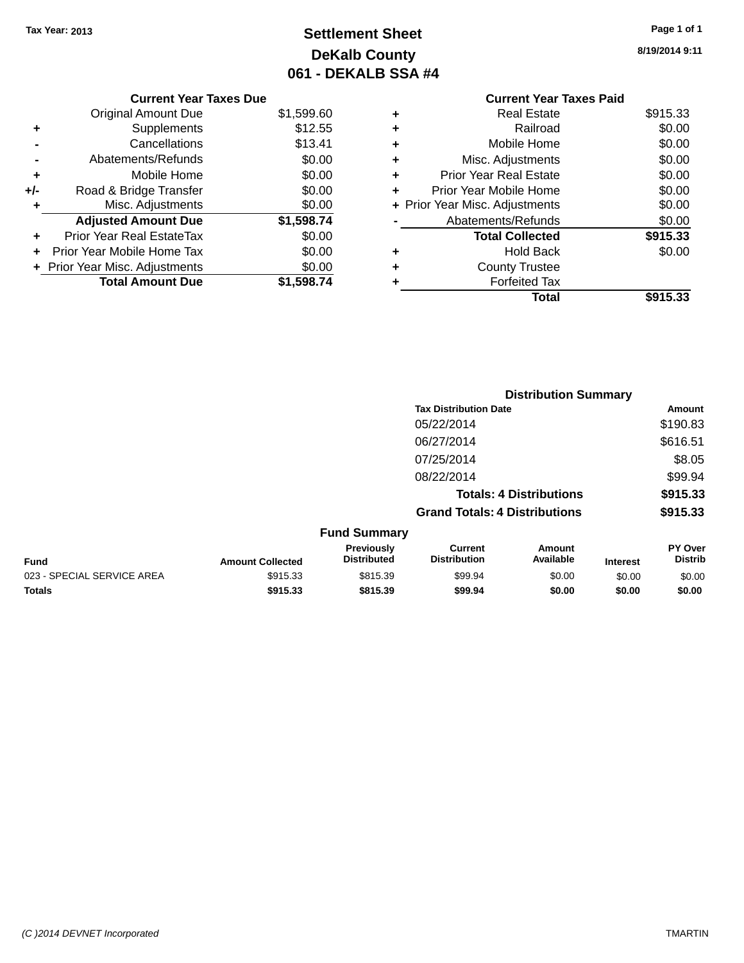## **Settlement Sheet Tax Year: 2013 Page 1 of 1 DeKalb County 061 - DEKALB SSA #4**

**8/19/2014 9:11**

| \$915.33<br><b>Real Estate</b><br>٠ |          |
|-------------------------------------|----------|
|                                     |          |
| Railroad<br>٠                       | \$0.00   |
| Mobile Home<br>٠                    | \$0.00   |
| Misc. Adjustments<br>٠              | \$0.00   |
| <b>Prior Year Real Estate</b><br>٠  | \$0.00   |
| Prior Year Mobile Home<br>÷         | \$0.00   |
| + Prior Year Misc. Adjustments      | \$0.00   |
| Abatements/Refunds                  | \$0.00   |
| <b>Total Collected</b>              | \$915.33 |
| Hold Back<br>٠                      | \$0.00   |
| <b>County Trustee</b>               |          |
| <b>Forfeited Tax</b><br>٠           |          |
| Total                               | \$915.33 |
|                                     |          |

|     | <b>Current Year Taxes Due</b>    |            |
|-----|----------------------------------|------------|
|     | <b>Original Amount Due</b>       | \$1,599.60 |
| ٠   | Supplements                      | \$12.55    |
|     | Cancellations                    | \$13.41    |
|     | Abatements/Refunds               | \$0.00     |
| ٠   | Mobile Home                      | \$0.00     |
| +/- | Road & Bridge Transfer           | \$0.00     |
| ٠   | Misc. Adjustments                | \$0.00     |
|     | <b>Adjusted Amount Due</b>       | \$1,598.74 |
|     | <b>Prior Year Real EstateTax</b> | \$0.00     |
|     | Prior Year Mobile Home Tax       | \$0.00     |
|     | + Prior Year Misc. Adjustments   | \$0.00     |
|     | <b>Total Amount Due</b>          | \$1,598.74 |
|     |                                  |            |

|                            |                         |                                  |                                       | <b>Distribution Summary</b>    |                 |                           |
|----------------------------|-------------------------|----------------------------------|---------------------------------------|--------------------------------|-----------------|---------------------------|
|                            |                         |                                  | <b>Tax Distribution Date</b>          |                                |                 | Amount                    |
|                            |                         |                                  | 05/22/2014                            |                                |                 | \$190.83                  |
|                            |                         |                                  | 06/27/2014                            |                                |                 | \$616.51                  |
|                            |                         |                                  | 07/25/2014                            |                                |                 | \$8.05                    |
|                            |                         |                                  | 08/22/2014                            |                                |                 | \$99.94                   |
|                            |                         |                                  |                                       | <b>Totals: 4 Distributions</b> |                 | \$915.33                  |
|                            |                         |                                  | <b>Grand Totals: 4 Distributions</b>  |                                |                 | \$915.33                  |
|                            |                         | <b>Fund Summary</b>              |                                       |                                |                 |                           |
| <b>Fund</b>                | <b>Amount Collected</b> | Previously<br><b>Distributed</b> | <b>Current</b><br><b>Distribution</b> | <b>Amount</b><br>Available     | <b>Interest</b> | PY Over<br><b>Distrib</b> |
| 023 - SPECIAL SERVICE AREA | \$915.33                | \$815.39                         | \$99.94                               | \$0.00                         | \$0.00          | \$0.00                    |
| <b>Totals</b>              | \$915.33                | \$815.39                         | \$99.94                               | \$0.00                         | \$0.00          | \$0.00                    |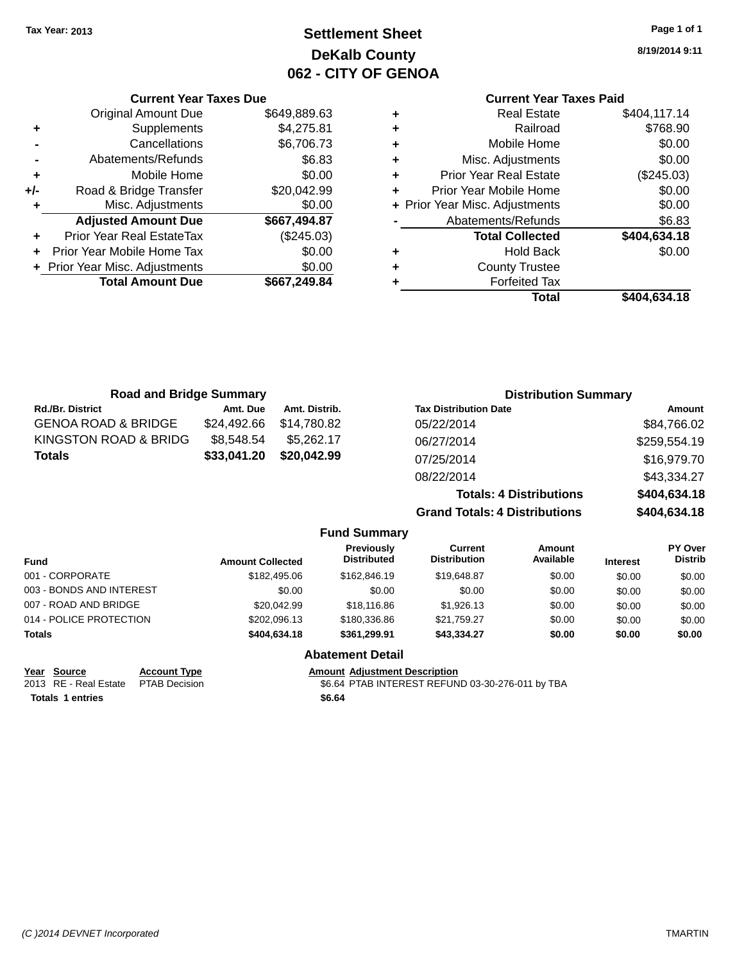## **Settlement Sheet Tax Year: 2013 Page 1 of 1 DeKalb County 062 - CITY OF GENOA**

**8/19/2014 9:11**

### **Current Year Taxes Paid**

| \$404,117.14 | <b>Real Estate</b>             | ٠ |
|--------------|--------------------------------|---|
| \$768.90     | Railroad                       | ٠ |
| \$0.00       | Mobile Home                    | ٠ |
| \$0.00       | Misc. Adjustments              | ٠ |
| (\$245.03)   | <b>Prior Year Real Estate</b>  | ٠ |
| \$0.00       | Prior Year Mobile Home         | ٠ |
| \$0.00       | + Prior Year Misc. Adjustments |   |
| \$6.83       | Abatements/Refunds             |   |
| \$404,634.18 | <b>Total Collected</b>         |   |
| \$0.00       | <b>Hold Back</b>               | ٠ |
|              | <b>County Trustee</b>          | ٠ |
|              | <b>Forfeited Tax</b>           | ٠ |
| \$404,634.18 | Total                          |   |
|              |                                |   |

| <b>Original Amount Due</b>       | \$649,889.63                  |
|----------------------------------|-------------------------------|
| Supplements                      | \$4,275.81                    |
| Cancellations                    | \$6,706.73                    |
| Abatements/Refunds               | \$6.83                        |
| Mobile Home                      | \$0.00                        |
| Road & Bridge Transfer           | \$20,042.99                   |
| Misc. Adjustments                | \$0.00                        |
| <b>Adjusted Amount Due</b>       | \$667,494.87                  |
| <b>Prior Year Real EstateTax</b> | (\$245.03)                    |
| Prior Year Mobile Home Tax       | \$0.00                        |
| + Prior Year Misc. Adjustments   | \$0.00                        |
| <b>Total Amount Due</b>          | \$667,249.84                  |
|                                  | <b>Current Year Taxes Due</b> |

| <b>Road and Bridge Summary</b> | <b>Distribution Summary</b> |                     |                                      |                                |               |
|--------------------------------|-----------------------------|---------------------|--------------------------------------|--------------------------------|---------------|
| <b>Rd./Br. District</b>        | Amt. Due                    | Amt. Distrib.       | <b>Tax Distribution Date</b>         |                                | <b>Amount</b> |
| <b>GENOA ROAD &amp; BRIDGE</b> | \$24,492.66                 | \$14,780.82         | 05/22/2014                           |                                | \$84,766.02   |
| KINGSTON ROAD & BRIDG          | \$8,548.54                  | \$5,262,17          | 06/27/2014                           |                                | \$259,554.19  |
| <b>Totals</b>                  | \$33,041.20                 | \$20,042.99         | 07/25/2014                           |                                | \$16,979.70   |
|                                |                             |                     | 08/22/2014                           |                                | \$43,334.27   |
|                                |                             |                     |                                      | <b>Totals: 4 Distributions</b> | \$404,634.18  |
|                                |                             |                     | <b>Grand Totals: 4 Distributions</b> |                                | \$404,634.18  |
|                                |                             | <b>Fund Summary</b> |                                      |                                |               |
|                                |                             | <b>Previously</b>   | Current                              | Amount                         | PY Over       |

| Fund                     | <b>Amount Collected</b> | <b>Previously</b><br><b>Distributed</b> | Current<br><b>Distribution</b> | Amount<br>Available | <b>Interest</b> | <b>PT OVER</b><br><b>Distrib</b> |
|--------------------------|-------------------------|-----------------------------------------|--------------------------------|---------------------|-----------------|----------------------------------|
| 001 - CORPORATE          | \$182,495.06            | \$162,846.19                            | \$19,648.87                    | \$0.00              | \$0.00          | \$0.00                           |
| 003 - BONDS AND INTEREST | \$0.00                  | \$0.00                                  | \$0.00                         | \$0.00              | \$0.00          | \$0.00                           |
| 007 - ROAD AND BRIDGE    | \$20,042.99             | \$18,116.86                             | \$1,926.13                     | \$0.00              | \$0.00          | \$0.00                           |
| 014 - POLICE PROTECTION  | \$202.096.13            | \$180,336,86                            | \$21,759.27                    | \$0.00              | \$0.00          | \$0.00                           |
| Totals                   | \$404.634.18            | \$361.299.91                            | \$43,334,27                    | \$0.00              | \$0.00          | \$0.00                           |
|                          |                         |                                         |                                |                     |                 |                                  |

### **Abatement Detail**

**Year Source Account Type Amount Adjustment Description**<br>2013 RE - Real Estate PTAB Decision **Amount Adjustment Description** \$6.64 PTAB INTEREST REFUND 03-30-276-011 by TBA **Totals 1 entries \$6.64**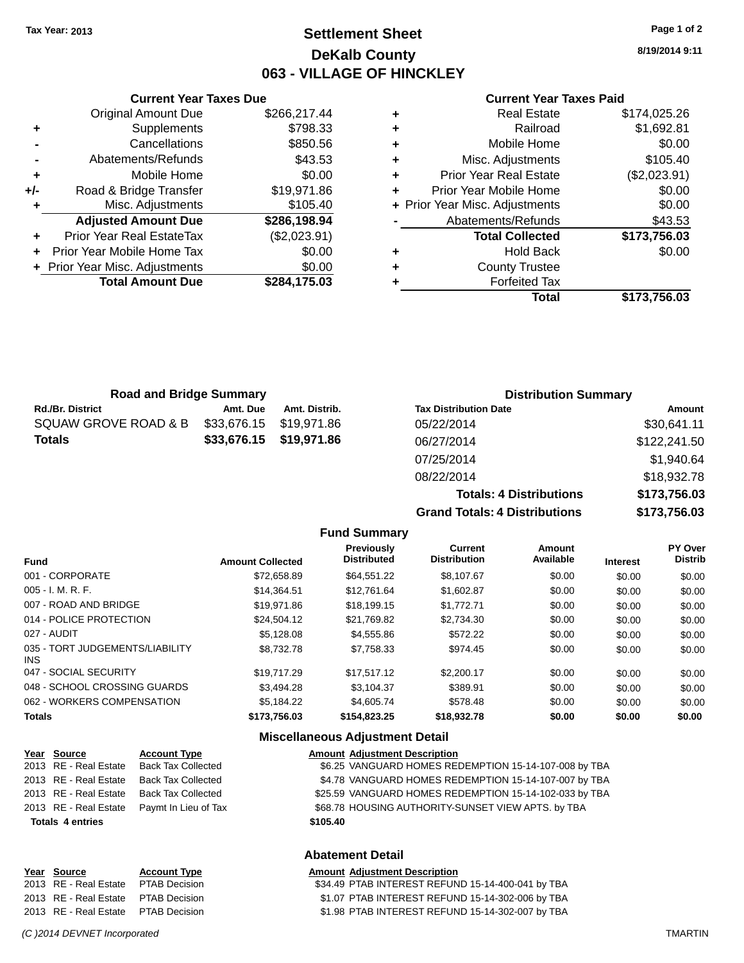### **Settlement Sheet Tax Year: 2013 Page 1 of 2 DeKalb County 063 - VILLAGE OF HINCKLEY**

**8/19/2014 9:11**

#### **Current Year Taxes Paid**

| ٠ | <b>Real Estate</b>             | \$174,025.26 |
|---|--------------------------------|--------------|
| ٠ | Railroad                       | \$1,692.81   |
| ٠ | Mobile Home                    | \$0.00       |
| ٠ | Misc. Adjustments              | \$105.40     |
| ٠ | <b>Prior Year Real Estate</b>  | (\$2,023.91) |
| ٠ | Prior Year Mobile Home         | \$0.00       |
|   | + Prior Year Misc. Adjustments | \$0.00       |
|   | Abatements/Refunds             | \$43.53      |
|   | <b>Total Collected</b>         | \$173,756.03 |
| ٠ | <b>Hold Back</b>               | \$0.00       |
| ٠ | <b>County Trustee</b>          |              |
|   | <b>Forfeited Tax</b>           |              |
|   | Total                          | \$173,756.03 |
|   |                                |              |

|                | Cancellations                    | \$850.56     |
|----------------|----------------------------------|--------------|
| $\blacksquare$ | Abatements/Refunds               | \$43.53      |
| ÷              | Mobile Home                      | \$0.00       |
| $+/-$          | Road & Bridge Transfer           | \$19,971.86  |
| ÷              | Misc. Adjustments                | \$105.40     |
|                | <b>Adjusted Amount Due</b>       | \$286,198.94 |
|                | <b>Prior Year Real EstateTax</b> | (\$2,023.91) |
|                | Prior Year Mobile Home Tax       | \$0.00       |
|                | + Prior Year Misc. Adjustments   | \$0.00       |
|                | <b>Total Amount Due</b>          | \$284,175.03 |

**Current Year Taxes Due** Original Amount Due \$266,217.44

**+** Supplements \$798.33

| <b>Road and Bridge Summary</b> |             |                         | <b>Distribution Summary</b>  |              |  |
|--------------------------------|-------------|-------------------------|------------------------------|--------------|--|
| <b>Rd./Br. District</b>        | Amt. Due    | Amt. Distrib.           | <b>Tax Distribution Date</b> | Amount       |  |
| SQUAW GROVE ROAD & B           | \$33,676.15 | \$19.971.86             | 05/22/2014                   | \$30,641.11  |  |
| Totals                         |             | \$33,676.15 \$19,971.86 | 06/27/2014                   | \$122,241.50 |  |
|                                |             |                         | 07/25/2014                   | \$1,940.64   |  |
|                                |             |                         | 08/22/2014                   | \$18,932.78  |  |

**Totals: 4 Dis Grand Totals: 4 Dis** 

| stributions | \$173,756.03 |
|-------------|--------------|
| stributions | \$173,756.03 |
|             | 0.0002.10    |

|  | <b>Fund Summary</b> |  |
|--|---------------------|--|
|  |                     |  |

| <b>Fund</b>                             | <b>Amount Collected</b> | Previously<br><b>Distributed</b> | Current<br><b>Distribution</b> | Amount<br>Available | <b>Interest</b> | <b>PY Over</b><br><b>Distrib</b> |
|-----------------------------------------|-------------------------|----------------------------------|--------------------------------|---------------------|-----------------|----------------------------------|
| 001 - CORPORATE                         | \$72,658.89             | \$64,551.22                      | \$8,107.67                     | \$0.00              | \$0.00          | \$0.00                           |
| 005 - I. M. R. F.                       | \$14.364.51             | \$12.761.64                      | \$1,602.87                     | \$0.00              | \$0.00          | \$0.00                           |
| 007 - ROAD AND BRIDGE                   | \$19.971.86             | \$18.199.15                      | \$1.772.71                     | \$0.00              | \$0.00          | \$0.00                           |
| 014 - POLICE PROTECTION                 | \$24.504.12             | \$21,769.82                      | \$2,734,30                     | \$0.00              | \$0.00          | \$0.00                           |
| 027 - AUDIT                             | \$5.128.08              | \$4,555.86                       | \$572.22                       | \$0.00              | \$0.00          | \$0.00                           |
| 035 - TORT JUDGEMENTS/LIABILITY<br>INS. | \$8,732,78              | \$7,758.33                       | \$974.45                       | \$0.00              | \$0.00          | \$0.00                           |
| 047 - SOCIAL SECURITY                   | \$19.717.29             | \$17.517.12                      | \$2,200.17                     | \$0.00              | \$0.00          | \$0.00                           |
| 048 - SCHOOL CROSSING GUARDS            | \$3.494.28              | \$3.104.37                       | \$389.91                       | \$0.00              | \$0.00          | \$0.00                           |
| 062 - WORKERS COMPENSATION              | \$5.184.22              | \$4,605.74                       | \$578.48                       | \$0.00              | \$0.00          | \$0.00                           |
| Totals                                  | \$173,756.03            | \$154,823.25                     | \$18,932.78                    | \$0.00              | \$0.00          | \$0.00                           |
|                                         |                         |                                  |                                |                     |                 |                                  |

### **Miscellaneous Adjustment Detail**

| Year Source             | <b>Account Type</b>       |          | <b>Amount Adjustment Description</b>                   |
|-------------------------|---------------------------|----------|--------------------------------------------------------|
| 2013 RE - Real Estate   | <b>Back Tax Collected</b> |          | \$6.25 VANGUARD HOMES REDEMPTION 15-14-107-008 by TBA  |
| 2013 RE - Real Estate   | <b>Back Tax Collected</b> |          | \$4.78 VANGUARD HOMES REDEMPTION 15-14-107-007 by TBA  |
| 2013 RE - Real Estate   | Back Tax Collected        |          | \$25.59 VANGUARD HOMES REDEMPTION 15-14-102-033 by TBA |
| 2013 RE - Real Estate   | Paymt In Lieu of Tax      |          | \$68.78 HOUSING AUTHORITY-SUNSET VIEW APTS. by TBA     |
| <b>Totals 4 entries</b> |                           | \$105.40 |                                                        |
|                         |                           |          |                                                        |

### **Abatement Detail**

| Year Source                         | <b>Account Type</b> | <b>Amount Adjustment Description</b>              |
|-------------------------------------|---------------------|---------------------------------------------------|
| 2013 RE - Real Estate PTAB Decision |                     | \$34.49 PTAB INTEREST REFUND 15-14-400-041 by TBA |
| 2013 RE - Real Estate PTAB Decision |                     | \$1.07 PTAB INTEREST REFUND 15-14-302-006 by TBA  |
| 2013 RE - Real Estate PTAB Decision |                     | \$1.98 PTAB INTEREST REFUND 15-14-302-007 by TBA  |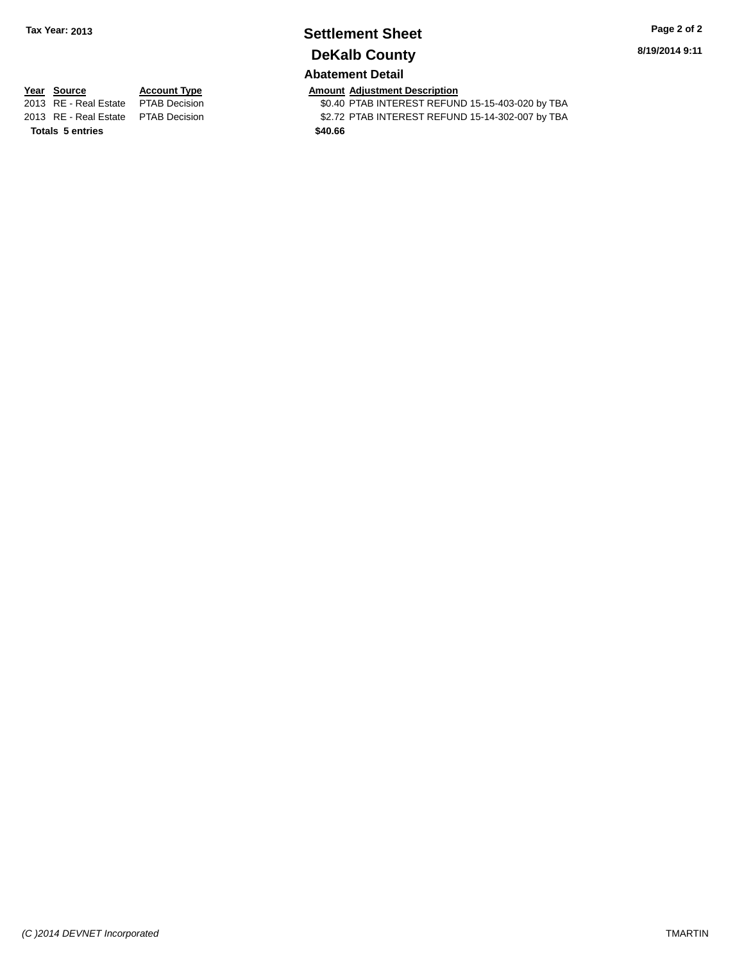# **Settlement Sheet Tax Year: 2013 Page 2 of 2 DeKalb County**

**8/19/2014 9:11**

### **Abatement Detail**

**Totals 5 entries \$40.66**

**Year Source Account Type Amount Adjustment Description**<br>2013 RE - Real Estate PTAB Decision **Amount Adjustment Description** \$0.40 PTAB INTEREST REFUND 15-15-403-020 by TBA 2013 RE - Real Estate PTAB Decision \$2.72 PTAB INTEREST REFUND 15-14-302-007 by TBA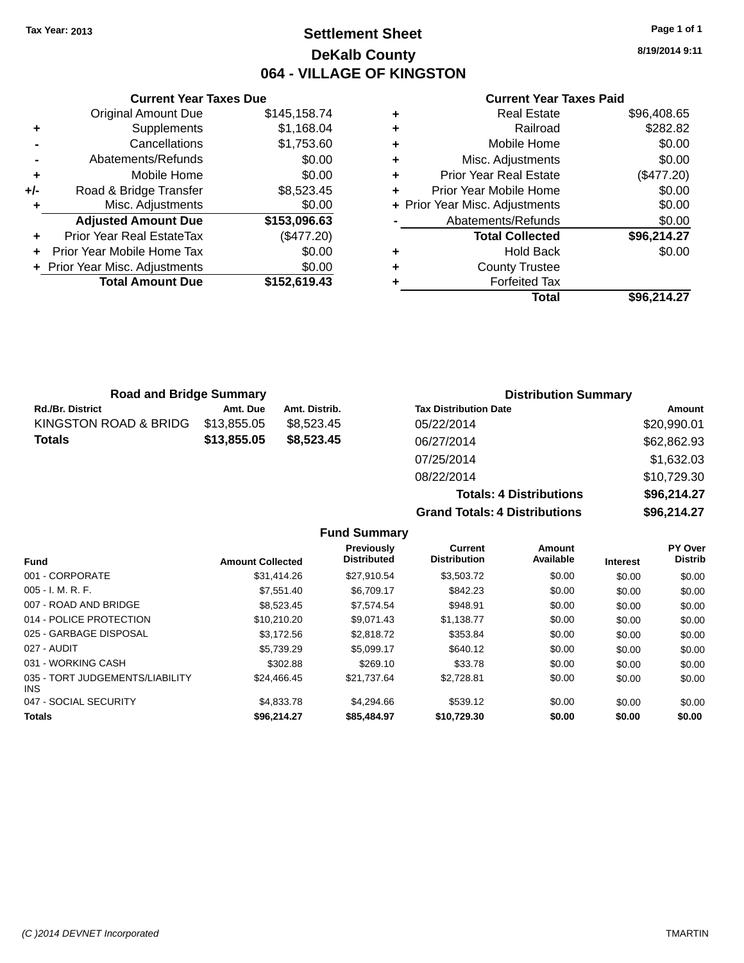### **Settlement Sheet Tax Year: 2013 Page 1 of 1 DeKalb County 064 - VILLAGE OF KINGSTON**

**8/19/2014 9:11**

#### **Current Year Taxes Paid**

|     | <b>Current Year Taxes Due</b>  |              |
|-----|--------------------------------|--------------|
|     | <b>Original Amount Due</b>     | \$145,158.74 |
| ٠   | Supplements                    | \$1,168.04   |
|     | Cancellations                  | \$1,753.60   |
|     | Abatements/Refunds             | \$0.00       |
| ٠   | Mobile Home                    | \$0.00       |
| +/- | Road & Bridge Transfer         | \$8,523.45   |
|     | Misc. Adjustments              | \$0.00       |
|     | <b>Adjusted Amount Due</b>     | \$153,096.63 |
| ٠   | Prior Year Real EstateTax      | (\$477.20)   |
|     | Prior Year Mobile Home Tax     | \$0.00       |
|     | + Prior Year Misc. Adjustments | \$0.00       |
|     | <b>Total Amount Due</b>        | \$152,619.43 |
|     |                                |              |

| ٠ | <b>Real Estate</b>             | \$96,408.65 |
|---|--------------------------------|-------------|
| ٠ | Railroad                       | \$282.82    |
| ٠ | Mobile Home                    | \$0.00      |
| ٠ | Misc. Adjustments              | \$0.00      |
| ٠ | <b>Prior Year Real Estate</b>  | (\$477.20)  |
| ÷ | Prior Year Mobile Home         | \$0.00      |
|   | + Prior Year Misc. Adjustments | \$0.00      |
|   | Abatements/Refunds             | \$0.00      |
|   | <b>Total Collected</b>         | \$96,214.27 |
| ٠ | <b>Hold Back</b>               | \$0.00      |
| ٠ | <b>County Trustee</b>          |             |
| ٠ | <b>Forfeited Tax</b>           |             |
|   | Total                          | \$96.214.27 |
|   |                                |             |

| <b>Road and Bridge Summary</b> |             |               | <b>Distribution Summary</b>  |             |  |
|--------------------------------|-------------|---------------|------------------------------|-------------|--|
| <b>Rd./Br. District</b>        | Amt. Due    | Amt. Distrib. | <b>Tax Distribution Date</b> | Amount      |  |
| KINGSTON ROAD & BRIDG          | \$13,855.05 | \$8.523.45    | 05/22/2014                   | \$20,990.01 |  |
| Totals                         | \$13,855.05 | \$8,523,45    | 06/27/2014                   | \$62,862.93 |  |
|                                |             |               | 07/25/2014                   | \$1,632.03  |  |

08/22/2014 \$10,729.30 **Totals: 4 Distributions \$96,214.27 Grand Totals: 4 Distributions \$96,214.27**

|                                               |                         | <b>Fund Summary</b>              |                                       |                            |                 |                           |
|-----------------------------------------------|-------------------------|----------------------------------|---------------------------------------|----------------------------|-----------------|---------------------------|
| <b>Fund</b>                                   | <b>Amount Collected</b> | Previously<br><b>Distributed</b> | <b>Current</b><br><b>Distribution</b> | <b>Amount</b><br>Available | <b>Interest</b> | PY Over<br><b>Distrib</b> |
| 001 - CORPORATE                               | \$31.414.26             | \$27,910.54                      | \$3,503.72                            | \$0.00                     | \$0.00          | \$0.00                    |
| $005 - I. M. R. F.$                           | \$7.551.40              | \$6.709.17                       | \$842.23                              | \$0.00                     | \$0.00          | \$0.00                    |
| 007 - ROAD AND BRIDGE                         | \$8,523.45              | \$7,574.54                       | \$948.91                              | \$0.00                     | \$0.00          | \$0.00                    |
| 014 - POLICE PROTECTION                       | \$10,210.20             | \$9.071.43                       | \$1,138.77                            | \$0.00                     | \$0.00          | \$0.00                    |
| 025 - GARBAGE DISPOSAL                        | \$3.172.56              | \$2,818.72                       | \$353.84                              | \$0.00                     | \$0.00          | \$0.00                    |
| 027 - AUDIT                                   | \$5,739.29              | \$5.099.17                       | \$640.12                              | \$0.00                     | \$0.00          | \$0.00                    |
| 031 - WORKING CASH                            | \$302.88                | \$269.10                         | \$33.78                               | \$0.00                     | \$0.00          | \$0.00                    |
| 035 - TORT JUDGEMENTS/LIABILITY<br><b>INS</b> | \$24.466.45             | \$21.737.64                      | \$2.728.81                            | \$0.00                     | \$0.00          | \$0.00                    |
| 047 - SOCIAL SECURITY                         | \$4,833.78              | \$4,294.66                       | \$539.12                              | \$0.00                     | \$0.00          | \$0.00                    |
| <b>Totals</b>                                 | \$96,214.27             | \$85,484.97                      | \$10,729.30                           | \$0.00                     | \$0.00          | \$0.00                    |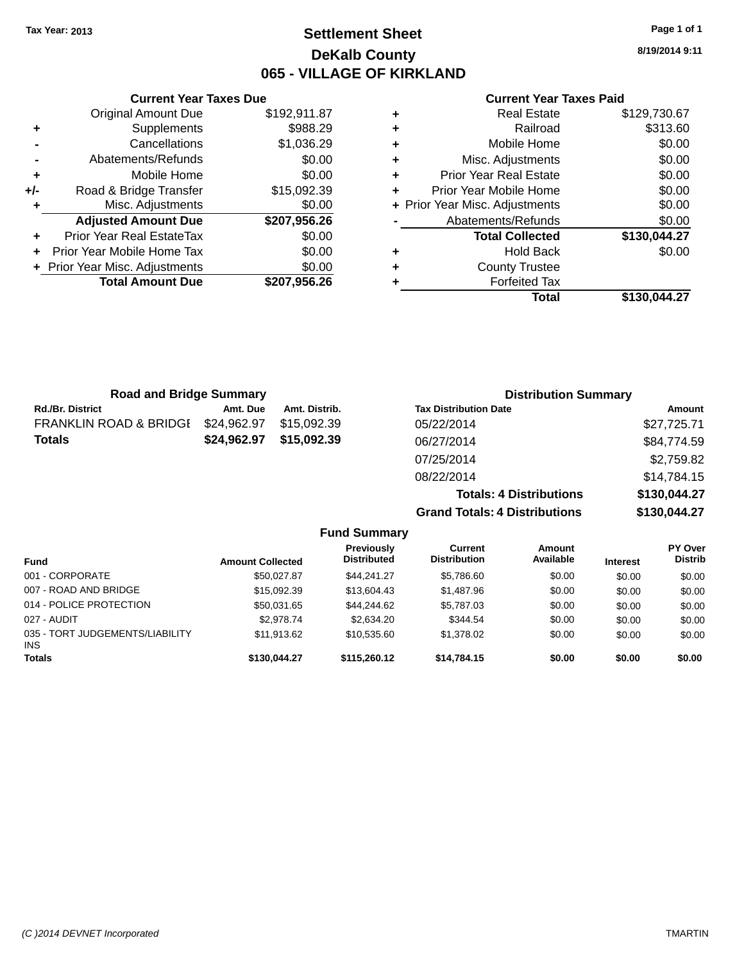### **Settlement Sheet Tax Year: 2013 Page 1 of 1 DeKalb County 065 - VILLAGE OF KIRKLAND**

**8/19/2014 9:11**

#### **Current Year Taxes Paid**

|     | Original Amount Due            | \$192,911.87 |
|-----|--------------------------------|--------------|
| ٠   | Supplements                    | \$988.29     |
|     | Cancellations                  | \$1,036.29   |
|     | Abatements/Refunds             | \$0.00       |
| ٠   | Mobile Home                    | \$0.00       |
| +/- | Road & Bridge Transfer         | \$15,092.39  |
| ٠   | Misc. Adjustments              | \$0.00       |
|     | <b>Adjusted Amount Due</b>     | \$207,956.26 |
|     | Prior Year Real EstateTax      | \$0.00       |
|     | Prior Year Mobile Home Tax     | \$0.00       |
|     | + Prior Year Misc. Adjustments | \$0.00       |
|     | <b>Total Amount Due</b>        | \$207,956.26 |
|     |                                |              |

**Current Year Taxes Due**

|   | <b>Real Estate</b>             | \$129,730.67 |
|---|--------------------------------|--------------|
| ٠ | Railroad                       | \$313.60     |
| ٠ | Mobile Home                    | \$0.00       |
| ٠ | Misc. Adjustments              | \$0.00       |
| ٠ | <b>Prior Year Real Estate</b>  | \$0.00       |
| ٠ | Prior Year Mobile Home         | \$0.00       |
|   | + Prior Year Misc. Adjustments | \$0.00       |
|   | Abatements/Refunds             | \$0.00       |
|   | <b>Total Collected</b>         | \$130,044.27 |
| ٠ | Hold Back                      | \$0.00       |
| ٠ | <b>County Trustee</b>          |              |
|   | <b>Forfeited Tax</b>           |              |
|   | Total                          | \$130.044.27 |

**Totals: 4 Distributions \$130,044.27**

**Grand Totals: 4 Distributions \$130,044.27**

| <b>Road and Bridge Summary</b>    |             |               | <b>Distribution Summary</b>  |             |  |
|-----------------------------------|-------------|---------------|------------------------------|-------------|--|
| <b>Rd./Br. District</b>           | Amt. Due    | Amt. Distrib. | <b>Tax Distribution Date</b> | Amount      |  |
| <b>FRANKLIN ROAD &amp; BRIDGI</b> | \$24,962.97 | \$15.092.39   | 05/22/2014                   | \$27,725.71 |  |
| <b>Totals</b>                     | \$24,962.97 | \$15,092.39   | 06/27/2014                   | \$84,774.59 |  |
|                                   |             |               | 07/25/2014                   | \$2,759.82  |  |
|                                   |             |               | 08/22/2014                   | \$14,784.15 |  |

**Fund Summary Fund Interest Amount Collected Distributed PY Over Distrib Amount Available Current Distribution Previously** 001 - CORPORATE \$50,027.87 \$44,241.27 \$5,786.60 \$0.00 \$0.00 \$0.00 007 - ROAD AND BRIDGE 60.00 \$15,092.39 \$13,604.43 \$1,487.96 \$0.00 \$0.00 \$0.00 \$0.00 014 - POLICE PROTECTION \$50,031.65 \$44,244.62 \$5,787.03 \$0.00 \$0.00 \$0.00 \$0.00 027 - AUDIT \$2,978.74 \$2,634.20 \$344.54 \$0.00 \$0.00 \$0.00 035 - TORT JUDGEMENTS/LIABILITY INS \$11,913.62 \$10,535.60 \$1,378.02 \$0.00 \$0.00 \$0.00 **Totals \$130,044.27 \$115,260.12 \$14,784.15 \$0.00 \$0.00 \$0.00**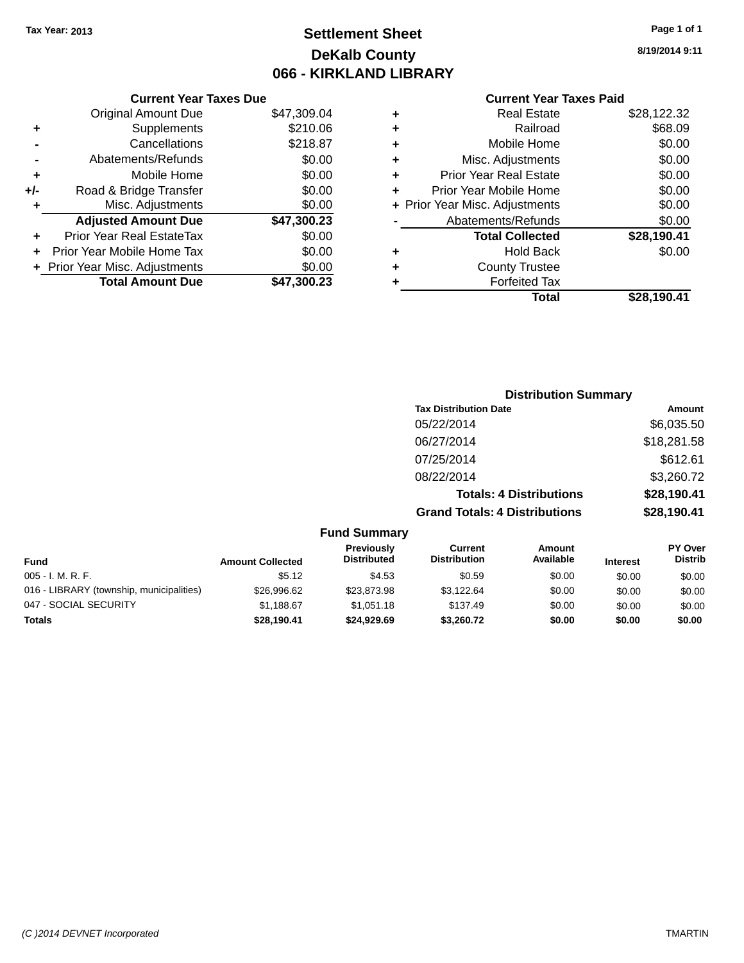## **Settlement Sheet Tax Year: 2013 Page 1 of 1 DeKalb County 066 - KIRKLAND LIBRARY**

### **Current Year Taxes Due** Original Amount Due \$47,309.04 **+** Supplements \$210.06 **-** Cancellations \$218.87 **-** Abatements/Refunds \$0.00 **+** Mobile Home \$0.00 **+/-** Road & Bridge Transfer \$0.00 **+** Misc. Adjustments \$0.00 **Adjusted Amount Due \$47,300.23 +** Prior Year Real EstateTax \$0.00 **+** Prior Year Mobile Home Tax \$0.00 **+** Prior Year Misc. Adjustments  $$0.00$

**Total Amount Due \$47,300.23**

### **Current Year Taxes Paid**

|   | <b>Real Estate</b>             | \$28,122.32 |
|---|--------------------------------|-------------|
| ٠ | Railroad                       | \$68.09     |
| ٠ | Mobile Home                    | \$0.00      |
| ٠ | Misc. Adjustments              | \$0.00      |
| ٠ | <b>Prior Year Real Estate</b>  | \$0.00      |
| ÷ | Prior Year Mobile Home         | \$0.00      |
|   | + Prior Year Misc. Adjustments | \$0.00      |
|   | Abatements/Refunds             | \$0.00      |
|   | <b>Total Collected</b>         | \$28,190.41 |
| ٠ | <b>Hold Back</b>               | \$0.00      |
| ٠ | <b>County Trustee</b>          |             |
| ٠ | <b>Forfeited Tax</b>           |             |
|   | Total                          | \$28,190.41 |
|   |                                |             |

### **Distribution Summary Tax Distribution Date Amount** 05/22/2014 \$6.035.50 06/27/2014 \$18,281.58 07/25/2014 \$612.61 08/22/2014 \$3,260.72 **Totals: 4 Distributions \$28,190.41 Grand Totals: 4 Distributions \$28,190.41**

#### **Fund Summary Fund Interest Amount Collected Distributed PY Over Distrib Amount Available Current Distribution Previously** 005 - I. M. R. F. Channel Communication (St. 12 to the St.12 \$4.53 \$0.59 \$0.00 \$0.00 \$0.00 \$0.00 \$0.00 016 - LIBRARY (township, municipalities)  $$26,996.62$   $$23,873.98$   $$3,122.64$  \$0.00 \$0.00 \$0.00 \$0.00 047 - SOCIAL SECURITY \$1,188.67 \$1,051.18 \$137.49 \$0.00 \$0.00 \$0.00 **Totals \$28,190.41 \$24,929.69 \$3,260.72 \$0.00 \$0.00 \$0.00**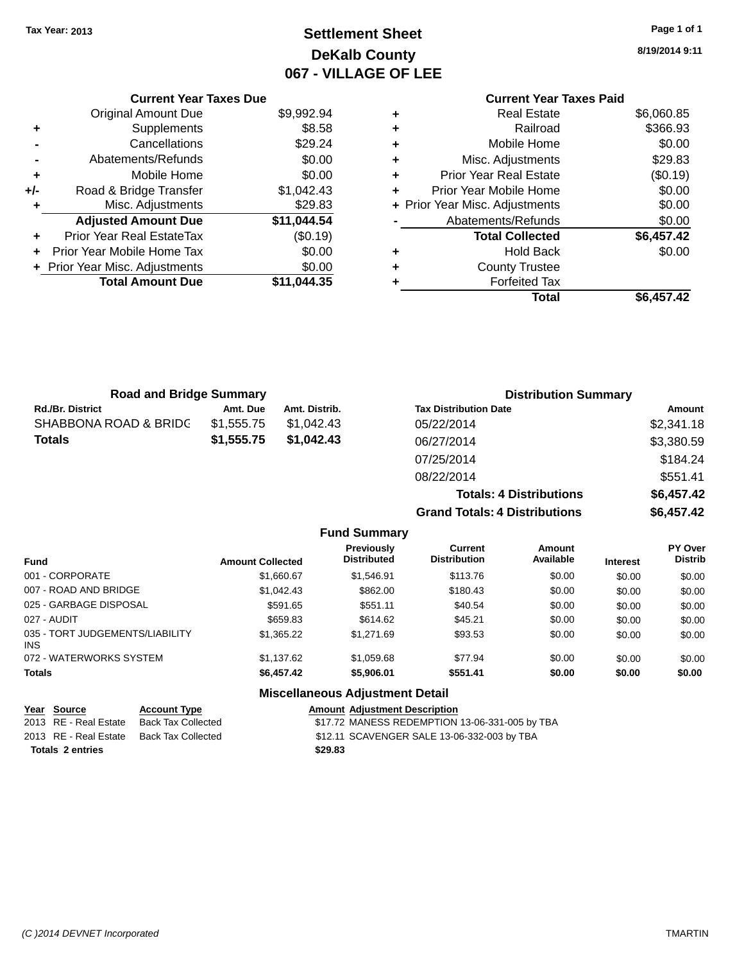## **Settlement Sheet Tax Year: 2013 Page 1 of 1 DeKalb County 067 - VILLAGE OF LEE**

**8/19/2014 9:11**

|   | <b>Current Year Taxes Paid</b> |            |
|---|--------------------------------|------------|
| ٠ | Real Estate                    | \$6,060.85 |
| ٠ | Railroad                       | \$366.93   |
| ٠ | Mobile Home                    | \$0.00     |
| ٠ | Misc. Adjustments              | \$29.83    |
| ٠ | <b>Prior Year Real Estate</b>  | (\$0.19)   |
| ٠ | Prior Year Mobile Home         | \$0.00     |
|   | + Prior Year Misc. Adjustments | \$0.00     |
|   | Abatements/Refunds             | \$0.00     |
|   | <b>Total Collected</b>         | \$6,457.42 |
| ٠ | Hold Back                      | \$0.00     |
| ٠ | <b>County Trustee</b>          |            |
| ٠ | <b>Forfeited Tax</b>           |            |
|   | Total                          | \$6.457.42 |
|   |                                |            |

|     | <b>Current Year Taxes Due</b>  |             |
|-----|--------------------------------|-------------|
|     | <b>Original Amount Due</b>     | \$9,992.94  |
| ٠   | Supplements                    | \$8.58      |
|     | Cancellations                  | \$29.24     |
|     | Abatements/Refunds             | \$0.00      |
| ٠   | Mobile Home                    | \$0.00      |
| +/- | Road & Bridge Transfer         | \$1,042.43  |
| ٠   | Misc. Adjustments              | \$29.83     |
|     | <b>Adjusted Amount Due</b>     | \$11,044.54 |
| ٠   | Prior Year Real EstateTax      | (\$0.19)    |
|     | Prior Year Mobile Home Tax     | \$0.00      |
|     | + Prior Year Misc. Adjustments | \$0.00      |
|     | <b>Total Amount Due</b>        | \$11.044.35 |
|     |                                |             |

| <b>Road and Bridge Summary</b> |            |               | <b>Distribution Summary</b>    |            |  |
|--------------------------------|------------|---------------|--------------------------------|------------|--|
| <b>Rd./Br. District</b>        | Amt. Due   | Amt. Distrib. | <b>Tax Distribution Date</b>   | Amount     |  |
| SHABBONA ROAD & BRIDC          | \$1,555.75 | \$1,042.43    | 05/22/2014                     | \$2,341.18 |  |
| <b>Totals</b>                  | \$1,555.75 | \$1,042.43    | 06/27/2014                     | \$3,380.59 |  |
|                                |            |               | 07/25/2014                     | \$184.24   |  |
|                                |            |               | 08/22/2014                     | \$551.41   |  |
|                                |            |               | <b>Totals: 4 Distributions</b> | \$6,457.42 |  |

**Grand Totals: 4 Distributions \$6,457.42**

|                                         |                         | <b>Fund Summary</b>                     |                                       |                     |                 |                                  |
|-----------------------------------------|-------------------------|-----------------------------------------|---------------------------------------|---------------------|-----------------|----------------------------------|
| <b>Fund</b>                             | <b>Amount Collected</b> | <b>Previously</b><br><b>Distributed</b> | <b>Current</b><br><b>Distribution</b> | Amount<br>Available | <b>Interest</b> | <b>PY Over</b><br><b>Distrib</b> |
| 001 - CORPORATE                         | \$1,660.67              | \$1.546.91                              | \$113.76                              | \$0.00              | \$0.00          | \$0.00                           |
| 007 - ROAD AND BRIDGE                   | \$1.042.43              | \$862.00                                | \$180.43                              | \$0.00              | \$0.00          | \$0.00                           |
| 025 - GARBAGE DISPOSAL                  | \$591.65                | \$551.11                                | \$40.54                               | \$0.00              | \$0.00          | \$0.00                           |
| 027 - AUDIT                             | \$659.83                | \$614.62                                | \$45.21                               | \$0.00              | \$0.00          | \$0.00                           |
| 035 - TORT JUDGEMENTS/LIABILITY<br>INS. | \$1,365,22              | \$1.271.69                              | \$93.53                               | \$0.00              | \$0.00          | \$0.00                           |
| 072 - WATERWORKS SYSTEM                 | \$1.137.62              | \$1,059.68                              | \$77.94                               | \$0.00              | \$0.00          | \$0.00                           |
| <b>Totals</b>                           | \$6,457.42              | \$5,906.01                              | \$551.41                              | \$0.00              | \$0.00          | \$0.00                           |
|                                         |                         | <b>Miscellaneous Adjustment Detail</b>  |                                       |                     |                 |                                  |

| Year Source             | <b>Account Type</b>                      |         | <b>Amount Adiustment Description</b>           |
|-------------------------|------------------------------------------|---------|------------------------------------------------|
| 2013 RE - Real Estate   | Back Tax Collected                       |         | \$17.72 MANESS REDEMPTION 13-06-331-005 by TBA |
|                         | 2013 RE - Real Estate Back Tax Collected |         | \$12.11 SCAVENGER SALE 13-06-332-003 by TBA    |
| <b>Totals 2 entries</b> |                                          | \$29.83 |                                                |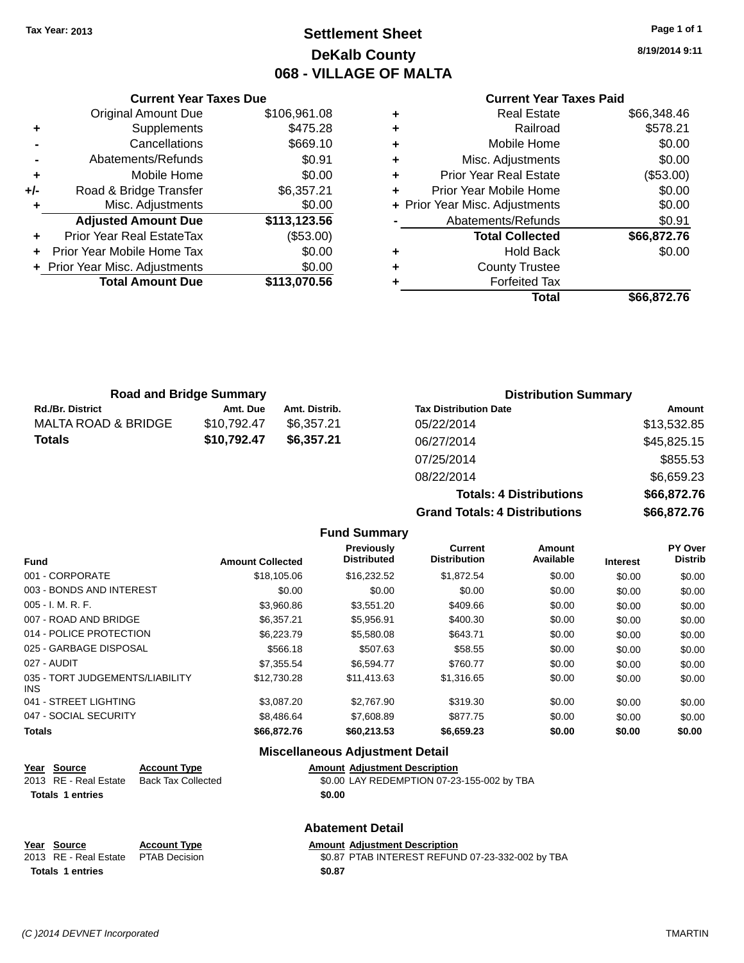## **Settlement Sheet Tax Year: 2013 Page 1 of 1 DeKalb County 068 - VILLAGE OF MALTA**

**8/19/2014 9:11**

### **Current Year Taxes Paid**

|     | <b>Total Amount Due</b>        | \$113,070.56 |
|-----|--------------------------------|--------------|
|     | + Prior Year Misc. Adjustments | \$0.00       |
|     | Prior Year Mobile Home Tax     | \$0.00       |
| ٠   | Prior Year Real EstateTax      | (\$53.00)    |
|     | <b>Adjusted Amount Due</b>     | \$113,123.56 |
|     | Misc. Adjustments              | \$0.00       |
| +/- | Road & Bridge Transfer         | \$6,357.21   |
| ٠   | Mobile Home                    | \$0.00       |
|     | Abatements/Refunds             | \$0.91       |
|     | Cancellations                  | \$669.10     |
| ٠   | Supplements                    | \$475.28     |
|     | <b>Original Amount Due</b>     | \$106,961.08 |
|     |                                |              |

**Current Year Taxes Due**

| ٠ | <b>Real Estate</b>             | \$66,348.46 |
|---|--------------------------------|-------------|
| ٠ | Railroad                       | \$578.21    |
| ٠ | Mobile Home                    | \$0.00      |
| ٠ | Misc. Adjustments              | \$0.00      |
| ٠ | <b>Prior Year Real Estate</b>  | (\$53.00)   |
| ÷ | Prior Year Mobile Home         | \$0.00      |
|   | + Prior Year Misc. Adjustments | \$0.00      |
|   | Abatements/Refunds             | \$0.91      |
|   | <b>Total Collected</b>         | \$66,872.76 |
| ٠ | <b>Hold Back</b>               | \$0.00      |
| ٠ | <b>County Trustee</b>          |             |
| ٠ | <b>Forfeited Tax</b>           |             |
|   | Total                          | \$66,872.76 |
|   |                                |             |

**Totals: 4 Distributions \$66,872.76**

| <b>Road and Bridge Summary</b> |             | <b>Distribution Summary</b> |                              |             |
|--------------------------------|-------------|-----------------------------|------------------------------|-------------|
| <b>Rd./Br. District</b>        | Amt. Due    | Amt. Distrib.               | <b>Tax Distribution Date</b> | Amount      |
| MALTA ROAD & BRIDGE            | \$10,792.47 | \$6.357.21                  | 05/22/2014                   | \$13,532.85 |
| <b>Totals</b>                  | \$10,792.47 | \$6,357.21                  | 06/27/2014                   | \$45,825.15 |
|                                |             |                             | 07/25/2014                   | \$855.53    |
|                                |             |                             | 08/22/2014                   | \$6,659.23  |

**Grand Totals: 4 Distributions \$66,872.76 Fund Summary Fund Interest Amount Collected Distributed PY Over Distrib Amount Available Current Distribution Previously** 001 - CORPORATE \$18,105.06 \$16,232.52 \$1,872.54 \$0.00 \$0.00 \$0.00 003 - BONDS AND INTEREST  $$0.00$   $$0.00$   $$0.00$   $$0.00$   $$0.00$   $$0.00$   $$0.00$ 005 - I. M. R. F. \$3,960.86 \$3,551.20 \$409.66 \$0.00 \$0.00 \$0.00 007 - ROAD AND BRIDGE \$6,357.21 \$5,956.91 \$400.30 \$0.00 \$0.00 \$0.00 \$0.00 014 - POLICE PROTECTION \$6,223.79 \$5,580.08 \$643.71 \$0.00 \$0.00 \$0.00 \$0.00 025 - GARBAGE DISPOSAL \$566.18 \$507.63 \$58.55 \$0.00 \$0.00 \$0.00 027 - AUDIT \$7,355.54 \$6,594.77 \$760.77 \$0.00 \$0.00 \$0.00 035 - TORT JUDGEMENTS/LIABILITY \$12,730.28 \$11,413.63 \$1,316.65 \$0.00 \$0.00 \$0.00 041 - STREET LIGHTING \$3,087.20 \$2,767.90 \$319.30 \$0.00 \$0.00 \$0.00 \$0.00 047 - SOCIAL SECURITY \$8,486.64 \$7,608.89 \$877.75 \$0.00 \$0.00 \$0.00 **Totals \$66,872.76 \$60,213.53 \$6,659.23 \$0.00 \$0.00 \$0.00**

| <b>Miscellaneous Adjustment Detail</b> |                         |                           |                                            |  |
|----------------------------------------|-------------------------|---------------------------|--------------------------------------------|--|
|                                        | Year Source             | <b>Account Type</b>       | <b>Amount Adjustment Description</b>       |  |
|                                        | 2013 RE - Real Estate   | <b>Back Tax Collected</b> | \$0.00 LAY REDEMPTION 07-23-155-002 by TBA |  |
|                                        | <b>Totals 1 entries</b> |                           | \$0.00                                     |  |
|                                        |                         |                           |                                            |  |

**Abatement Detail**

#### **Year Source Account Type Amount Adjustment Description** 2013 RE - Real Estate PTAB Decision \$0.87 PTAB INTEREST REFUND 07-23-332-002 by TBA **Totals 1 entries \$0.87**

INS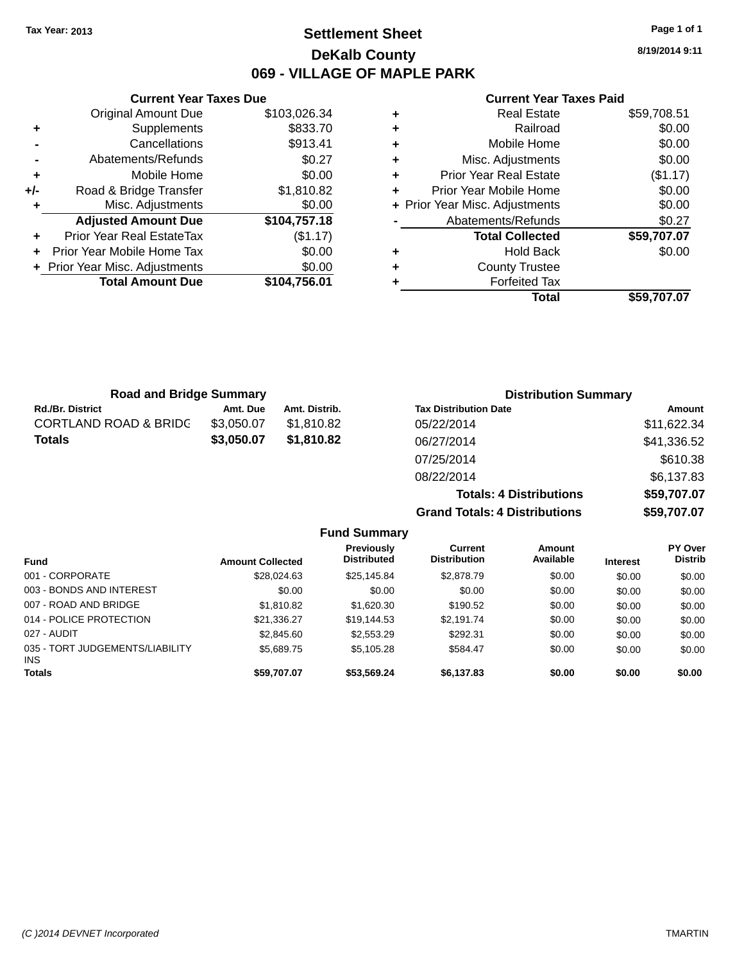### **Settlement Sheet Tax Year: 2013 Page 1 of 1 DeKalb County 069 - VILLAGE OF MAPLE PARK**

**8/19/2014 9:11**

#### **Current Year Taxes Paid**

|     | <b>Original Amount Due</b>     | \$103,026.34 |
|-----|--------------------------------|--------------|
| ٠   | Supplements                    | \$833.70     |
|     | Cancellations                  | \$913.41     |
|     | Abatements/Refunds             | \$0.27       |
| ٠   | Mobile Home                    | \$0.00       |
| +/- | Road & Bridge Transfer         | \$1,810.82   |
|     | Misc. Adjustments              | \$0.00       |
|     | <b>Adjusted Amount Due</b>     | \$104,757.18 |
| ٠   | Prior Year Real EstateTax      | (\$1.17)     |
| ÷   | Prior Year Mobile Home Tax     | \$0.00       |
|     |                                |              |
|     | + Prior Year Misc. Adjustments | \$0.00       |
|     | <b>Total Amount Due</b>        | \$104,756.01 |

**Current Year Taxes Due**

| <b>Real Estate</b>             | \$59,708.51 |
|--------------------------------|-------------|
| Railroad                       | \$0.00      |
| Mobile Home                    | \$0.00      |
| Misc. Adjustments              | \$0.00      |
| <b>Prior Year Real Estate</b>  | (\$1.17)    |
| Prior Year Mobile Home         | \$0.00      |
| + Prior Year Misc. Adjustments | \$0.00      |
| Abatements/Refunds             | \$0.27      |
| <b>Total Collected</b>         | \$59,707.07 |
| <b>Hold Back</b>               | \$0.00      |
| <b>County Trustee</b>          |             |
| <b>Forfeited Tax</b>           |             |
| Total                          | \$59,707.07 |
|                                |             |

**Grand Totals: 4 Distributions \$59,707.07**

| <b>Road and Bridge Summary</b>   |            | <b>Distribution Summary</b> |                                |             |
|----------------------------------|------------|-----------------------------|--------------------------------|-------------|
| <b>Rd./Br. District</b>          | Amt. Due   | Amt. Distrib.               | <b>Tax Distribution Date</b>   | Amount      |
| <b>CORTLAND ROAD &amp; BRIDC</b> | \$3,050.07 | \$1,810.82                  | 05/22/2014                     | \$11,622.34 |
| <b>Totals</b>                    | \$3,050.07 | \$1,810.82                  | 06/27/2014                     | \$41,336.52 |
|                                  |            |                             | 07/25/2014                     | \$610.38    |
|                                  |            |                             | 08/22/2014                     | \$6,137.83  |
|                                  |            |                             | <b>Totals: 4 Distributions</b> | \$59,707.07 |

**Fund Summary Fund Interest Amount Collected Distributed PY Over Distrib Amount Available Current Distribution Previously** 001 - CORPORATE \$28,024.63 \$25,145.84 \$2,878.79 \$0.00 \$0.00 \$0.00 003 - BONDS AND INTEREST  $$0.00$   $$0.00$   $$0.00$   $$0.00$   $$0.00$   $$0.00$   $$0.00$   $$0.00$ 007 - ROAD AND BRIDGE \$1,810.82 \$1,620.30 \$190.52 \$0.00 \$0.00 \$0.00 \$0.00 014 - POLICE PROTECTION \$21,336.27 \$19,144.53 \$2,191.74 \$0.00 \$0.00 \$0.00 \$0.00 027 - AUDIT \$2,845.60 \$2,553.29 \$292.31 \$0.00 \$0.00 \$0.00 035 - TORT JUDGEMENTS/LIABILITY INS \$5,689.75 \$5,105.28 \$584.47 \$0.00 \$0.00 \$0.00 **Totals \$59,707.07 \$53,569.24 \$6,137.83 \$0.00 \$0.00 \$0.00**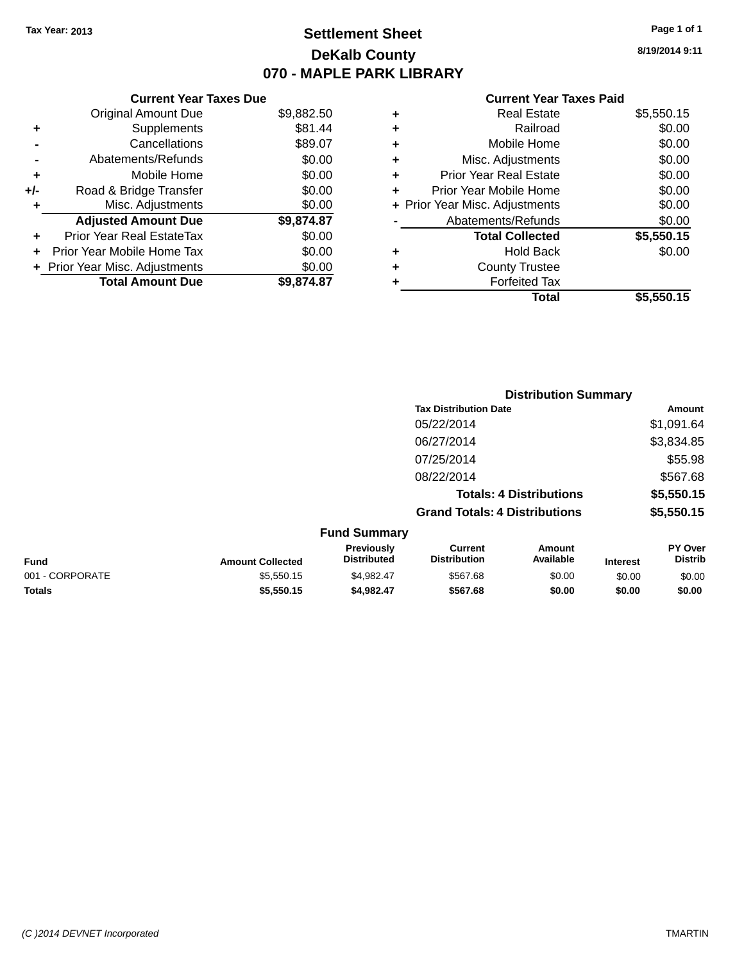### **Settlement Sheet Tax Year: 2013 Page 1 of 1 DeKalb County 070 - MAPLE PARK LIBRARY**

**8/19/2014 9:11**

#### **Current Year Taxes Paid**

|     | <b>Current Year Taxes Due</b>  |            |  |
|-----|--------------------------------|------------|--|
|     | <b>Original Amount Due</b>     | \$9,882.50 |  |
|     | Supplements                    | \$81.44    |  |
|     | Cancellations                  | \$89.07    |  |
|     | Abatements/Refunds             | \$0.00     |  |
|     | Mobile Home                    | \$0.00     |  |
| +/- | Road & Bridge Transfer         | \$0.00     |  |
| ٠   | Misc. Adjustments              | \$0.00     |  |
|     | <b>Adjusted Amount Due</b>     | \$9,874.87 |  |
|     | Prior Year Real EstateTax      | \$0.00     |  |
|     | Prior Year Mobile Home Tax     | \$0.00     |  |
|     | + Prior Year Misc. Adjustments | \$0.00     |  |
|     | <b>Total Amount Due</b>        | \$9,874.87 |  |
|     |                                |            |  |

|   | Real Estate                    | \$5,550.15 |
|---|--------------------------------|------------|
| ٠ | Railroad                       | \$0.00     |
| ٠ | Mobile Home                    | \$0.00     |
| ٠ | Misc. Adjustments              | \$0.00     |
| ٠ | <b>Prior Year Real Estate</b>  | \$0.00     |
| ÷ | Prior Year Mobile Home         | \$0.00     |
|   | + Prior Year Misc. Adjustments | \$0.00     |
|   | Abatements/Refunds             | \$0.00     |
|   | <b>Total Collected</b>         | \$5,550.15 |
| ٠ | <b>Hold Back</b>               | \$0.00     |
| ٠ | <b>County Trustee</b>          |            |
| ٠ | <b>Forfeited Tax</b>           |            |
|   | Total                          | \$5,550.15 |
|   |                                |            |

|                 |                         |                                  | <b>Distribution Summary</b>           |                                |                 |                           |
|-----------------|-------------------------|----------------------------------|---------------------------------------|--------------------------------|-----------------|---------------------------|
|                 |                         |                                  | <b>Tax Distribution Date</b>          |                                |                 | Amount                    |
|                 |                         |                                  | 05/22/2014                            |                                |                 | \$1,091.64                |
|                 |                         |                                  | 06/27/2014                            |                                |                 | \$3,834.85                |
|                 |                         |                                  | 07/25/2014                            |                                |                 | \$55.98                   |
|                 |                         |                                  | 08/22/2014                            |                                |                 | \$567.68                  |
|                 |                         |                                  |                                       | <b>Totals: 4 Distributions</b> |                 | \$5,550.15                |
|                 |                         |                                  | <b>Grand Totals: 4 Distributions</b>  |                                |                 | \$5,550.15                |
|                 |                         | <b>Fund Summary</b>              |                                       |                                |                 |                           |
| <b>Fund</b>     | <b>Amount Collected</b> | Previously<br><b>Distributed</b> | <b>Current</b><br><b>Distribution</b> | Amount<br>Available            | <b>Interest</b> | PY Over<br><b>Distrib</b> |
| 001 - CORPORATE | \$5,550.15              | \$4,982.47                       | \$567.68                              | \$0.00                         | \$0.00          | \$0.00                    |
| <b>Totals</b>   | \$5,550.15              | \$4,982.47                       | \$567.68                              | \$0.00                         | \$0.00          | \$0.00                    |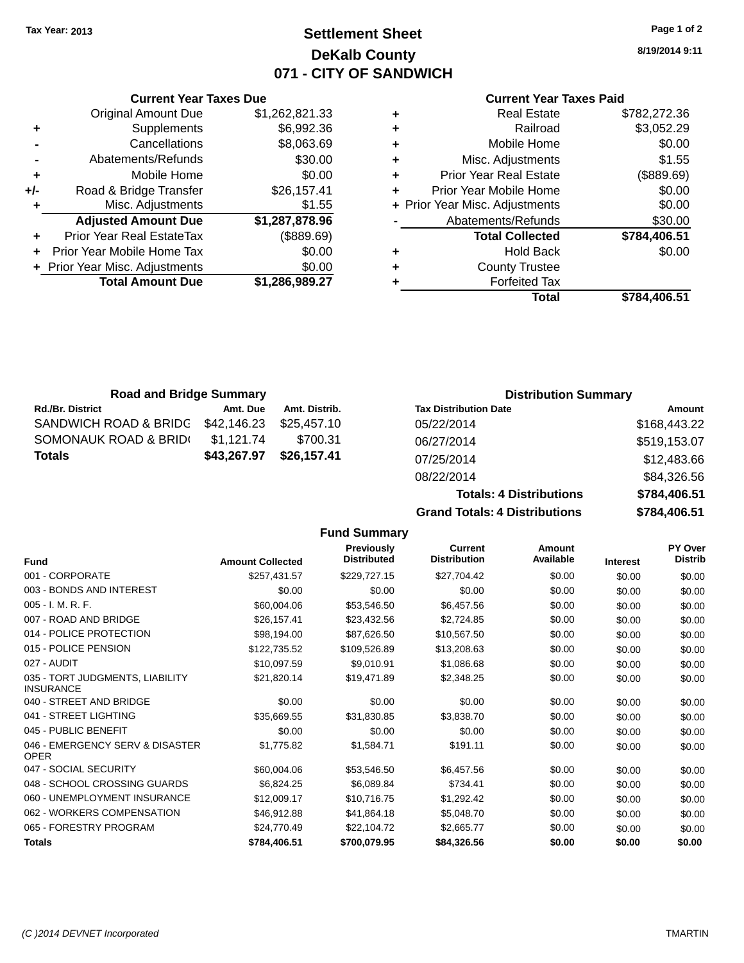### **Settlement Sheet Tax Year: 2013 Page 1 of 2 DeKalb County 071 - CITY OF SANDWICH**

**8/19/2014 9:11**

#### **Current Year Taxes Paid**

| ٠ | <b>Real Estate</b>             | \$782,272.36 |
|---|--------------------------------|--------------|
| ٠ | Railroad                       | \$3,052.29   |
| ٠ | Mobile Home                    | \$0.00       |
| ٠ | Misc. Adjustments              | \$1.55       |
| ٠ | <b>Prior Year Real Estate</b>  | (\$889.69)   |
| ٠ | Prior Year Mobile Home         | \$0.00       |
|   | + Prior Year Misc. Adjustments | \$0.00       |
|   | Abatements/Refunds             | \$30.00      |
|   | <b>Total Collected</b>         | \$784,406.51 |
| ÷ | <b>Hold Back</b>               | \$0.00       |
| ٠ | <b>County Trustee</b>          |              |
|   | <b>Forfeited Tax</b>           |              |
|   | Total                          | \$784.406.51 |

|     | <b>Current Year Taxes Due</b>    |                |
|-----|----------------------------------|----------------|
|     | <b>Original Amount Due</b>       | \$1,262,821.33 |
| ٠   | Supplements                      | \$6,992.36     |
|     | Cancellations                    | \$8,063.69     |
|     | Abatements/Refunds               | \$30.00        |
| ٠   | Mobile Home                      | \$0.00         |
| +/- | Road & Bridge Transfer           | \$26,157.41    |
| ٠   | Misc. Adjustments                | \$1.55         |
|     | <b>Adjusted Amount Due</b>       | \$1,287,878.96 |
| ÷   | <b>Prior Year Real EstateTax</b> | (\$889.69)     |
|     | Prior Year Mobile Home Tax       | \$0.00         |
|     | + Prior Year Misc. Adjustments   | \$0.00         |
|     | <b>Total Amount Due</b>          | \$1,286,989.27 |
|     |                                  |                |

| <b>Road and Bridge Summary</b>    |             |               | <b>Distribution Summary</b>  |              |
|-----------------------------------|-------------|---------------|------------------------------|--------------|
| <b>Rd./Br. District</b>           | Amt. Due    | Amt. Distrib. | <b>Tax Distribution Date</b> | Amount       |
| SANDWICH ROAD & BRIDG \$42,146.23 |             | \$25.457.10   | 05/22/2014                   | \$168,443.22 |
| SOMONAUK ROAD & BRIDI             | \$1.121.74  | \$700.31      | 06/27/2014                   | \$519,153.07 |
| Totals                            | \$43,267.97 | \$26,157.41   | 07/25/2014                   | \$12,483.66  |
|                                   |             |               | 0.00000004                   | $0.4225$ FC  |

**Fund Summary**

| <b>Grand Totals: 4 Distributions</b> | \$784,406.51 |
|--------------------------------------|--------------|
| <b>Totals: 4 Distributions</b>       | \$784,406.51 |
| 08/22/2014                           | \$84,326.56  |
| 07/25/2014                           | \$12,483.66  |
| 06/27/2014                           | \$519,153.07 |
| 05/22/2014                           | \$168,443.22 |

|                                                     |                         | . www.community.com                     |                                       |                     |                 |                           |
|-----------------------------------------------------|-------------------------|-----------------------------------------|---------------------------------------|---------------------|-----------------|---------------------------|
| <b>Fund</b>                                         | <b>Amount Collected</b> | <b>Previously</b><br><b>Distributed</b> | <b>Current</b><br><b>Distribution</b> | Amount<br>Available | <b>Interest</b> | PY Over<br><b>Distrib</b> |
| 001 - CORPORATE                                     | \$257,431.57            | \$229,727.15                            | \$27,704.42                           | \$0.00              | \$0.00          | \$0.00                    |
| 003 - BONDS AND INTEREST                            | \$0.00                  | \$0.00                                  | \$0.00                                | \$0.00              | \$0.00          | \$0.00                    |
| 005 - I. M. R. F.                                   | \$60,004.06             | \$53,546.50                             | \$6,457.56                            | \$0.00              | \$0.00          | \$0.00                    |
| 007 - ROAD AND BRIDGE                               | \$26,157.41             | \$23,432.56                             | \$2,724.85                            | \$0.00              | \$0.00          | \$0.00                    |
| 014 - POLICE PROTECTION                             | \$98,194.00             | \$87,626.50                             | \$10,567.50                           | \$0.00              | \$0.00          | \$0.00                    |
| 015 - POLICE PENSION                                | \$122,735.52            | \$109,526.89                            | \$13,208.63                           | \$0.00              | \$0.00          | \$0.00                    |
| 027 - AUDIT                                         | \$10,097.59             | \$9,010.91                              | \$1,086.68                            | \$0.00              | \$0.00          | \$0.00                    |
| 035 - TORT JUDGMENTS, LIABILITY<br><b>INSURANCE</b> | \$21,820.14             | \$19,471.89                             | \$2,348.25                            | \$0.00              | \$0.00          | \$0.00                    |
| 040 - STREET AND BRIDGE                             | \$0.00                  | \$0.00                                  | \$0.00                                | \$0.00              | \$0.00          | \$0.00                    |
| 041 - STREET LIGHTING                               | \$35,669.55             | \$31,830.85                             | \$3,838.70                            | \$0.00              | \$0.00          | \$0.00                    |
| 045 - PUBLIC BENEFIT                                | \$0.00                  | \$0.00                                  | \$0.00                                | \$0.00              | \$0.00          | \$0.00                    |
| 046 - EMERGENCY SERV & DISASTER<br><b>OPER</b>      | \$1,775.82              | \$1,584.71                              | \$191.11                              | \$0.00              | \$0.00          | \$0.00                    |
| 047 - SOCIAL SECURITY                               | \$60,004.06             | \$53,546.50                             | \$6,457.56                            | \$0.00              | \$0.00          | \$0.00                    |
| 048 - SCHOOL CROSSING GUARDS                        | \$6,824.25              | \$6,089.84                              | \$734.41                              | \$0.00              | \$0.00          | \$0.00                    |
| 060 - UNEMPLOYMENT INSURANCE                        | \$12,009.17             | \$10,716.75                             | \$1,292.42                            | \$0.00              | \$0.00          | \$0.00                    |
| 062 - WORKERS COMPENSATION                          | \$46,912.88             | \$41,864.18                             | \$5,048.70                            | \$0.00              | \$0.00          | \$0.00                    |
| 065 - FORESTRY PROGRAM                              | \$24,770.49             | \$22,104.72                             | \$2,665.77                            | \$0.00              | \$0.00          | \$0.00                    |
| <b>Totals</b>                                       | \$784,406.51            | \$700,079.95                            | \$84,326.56                           | \$0.00              | \$0.00          | \$0.00                    |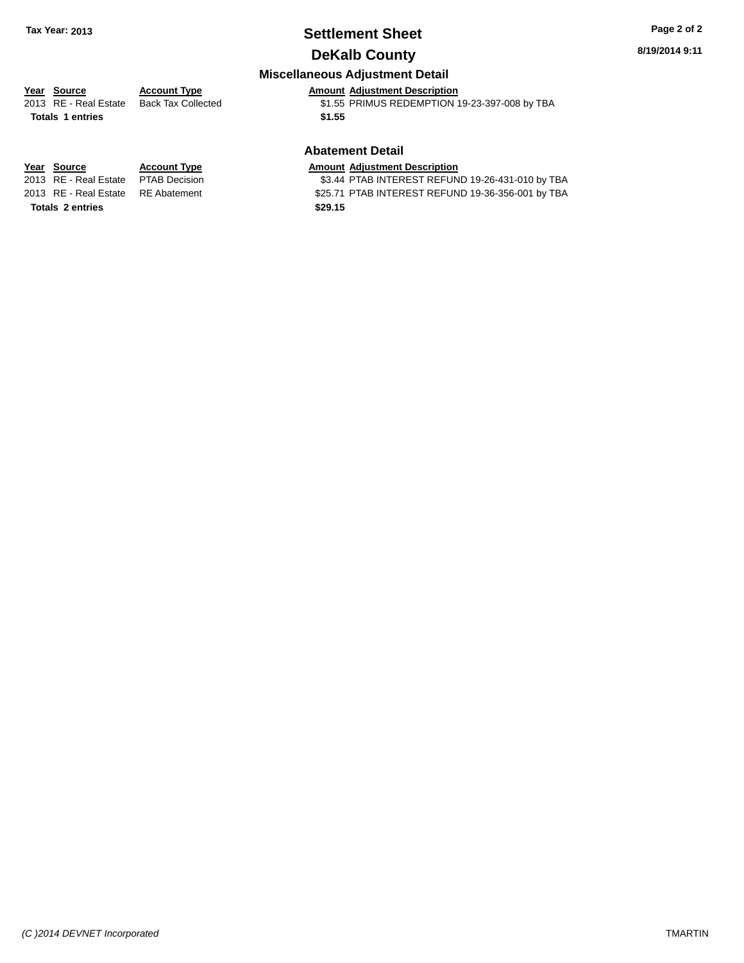# **Settlement Sheet Tax Year: 2013 Page 2 of 2**

### **DeKalb County**

**8/19/2014 9:11**

### **Miscellaneous Adjustment Detail**

### **Year** Source **Account Type Account Adjustment Description**

**Totals 1 entries \$1.55**

2013 RE - Real Estate Back Tax Collected \$1.55 PRIMUS REDEMPTION 19-23-397-008 by TBA

#### **Abatement Detail**

\$3.44 PTAB INTEREST REFUND 19-26-431-010 by TBA 2013 RE - Real Estate RE Abatement \$25.71 PTAB INTEREST REFUND 19-36-356-001 by TBA

**Year Source Account Type Amount Adjustment Description**<br>2013 RE - Real Estate PTAB Decision **\$3.44 PTAB INTEREST REFUN Totals 2 entries \$29.15**

*(C )2014 DEVNET Incorporated* TMARTIN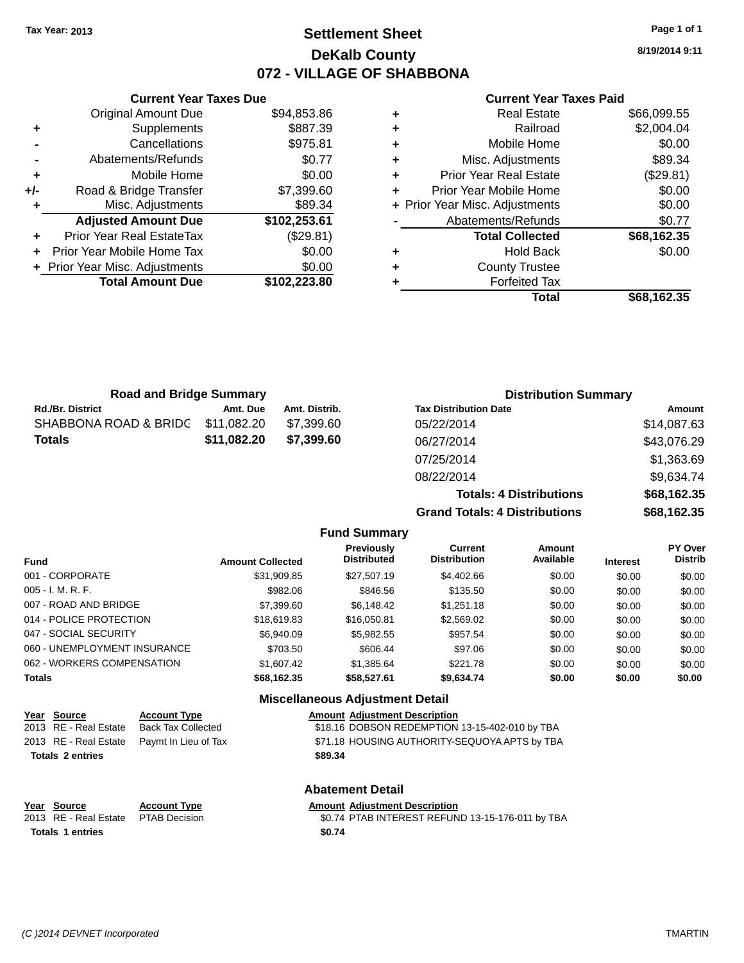### **Settlement Sheet Tax Year: 2013 Page 1 of 1 DeKalb County 072 - VILLAGE OF SHABBONA**

|     | <b>Current Year Taxes Due</b>    |              |
|-----|----------------------------------|--------------|
|     | <b>Original Amount Due</b>       | \$94,853.86  |
| ٠   | Supplements                      | \$887.39     |
|     | Cancellations                    | \$975.81     |
|     | Abatements/Refunds               | \$0.77       |
| ÷   | Mobile Home                      | \$0.00       |
| +/- | Road & Bridge Transfer           | \$7,399.60   |
| ٠   | Misc. Adjustments                | \$89.34      |
|     | <b>Adjusted Amount Due</b>       | \$102,253.61 |
|     | <b>Prior Year Real EstateTax</b> | (\$29.81)    |
|     | Prior Year Mobile Home Tax       | \$0.00       |
|     | + Prior Year Misc. Adjustments   | \$0.00       |
|     | <b>Total Amount Due</b>          | \$102,223.80 |
|     |                                  |              |

#### **Current Year Taxes Paid**

|   | Real Estate                    | \$66,099.55 |
|---|--------------------------------|-------------|
| ٠ | Railroad                       | \$2,004.04  |
| ٠ | Mobile Home                    | \$0.00      |
| ٠ | Misc. Adjustments              | \$89.34     |
| ٠ | <b>Prior Year Real Estate</b>  | (\$29.81)   |
| ÷ | Prior Year Mobile Home         | \$0.00      |
|   | + Prior Year Misc. Adjustments | \$0.00      |
|   | Abatements/Refunds             | \$0.77      |
|   | <b>Total Collected</b>         | \$68,162.35 |
| ٠ | Hold Back                      | \$0.00      |
| ٠ | <b>County Trustee</b>          |             |
|   | <b>Forfeited Tax</b>           |             |
|   | Total                          | \$68,162.35 |
|   |                                |             |

| <b>Road and Bridge Summary</b> |             |               | <b>Distribution Summary</b>  |             |  |
|--------------------------------|-------------|---------------|------------------------------|-------------|--|
| <b>Rd./Br. District</b>        | Amt. Due    | Amt. Distrib. | <b>Tax Distribution Date</b> | Amount      |  |
| SHABBONA ROAD & BRIDG          | \$11,082.20 | \$7.399.60    | 05/22/2014                   | \$14,087.63 |  |
| <b>Totals</b>                  | \$11,082.20 | \$7,399.60    | 06/27/2014                   | \$43,076.29 |  |
|                                |             |               | 07/25/2014                   | \$1,363.69  |  |
|                                |             |               | 08/22/2014                   | \$963474    |  |

|                     | . . <i>. .</i>                       | <b>PIIVVIVV</b> |
|---------------------|--------------------------------------|-----------------|
|                     | 08/22/2014                           | \$9,634.74      |
|                     | <b>Totals: 4 Distributions</b>       | \$68,162.35     |
|                     | <b>Grand Totals: 4 Distributions</b> | \$68,162.35     |
| <b>Fund Summary</b> |                                      |                 |

| <b>Fund</b>                  | <b>Amount Collected</b> | <b>Previously</b><br><b>Distributed</b> | Current<br><b>Distribution</b> | Amount<br>Available | <b>Interest</b> | <b>PY Over</b><br><b>Distrib</b> |
|------------------------------|-------------------------|-----------------------------------------|--------------------------------|---------------------|-----------------|----------------------------------|
| 001 - CORPORATE              | \$31,909.85             | \$27,507.19                             | \$4,402.66                     | \$0.00              | \$0.00          | \$0.00                           |
| $005 - I. M. R. F.$          | \$982.06                | \$846.56                                | \$135.50                       | \$0.00              | \$0.00          | \$0.00                           |
| 007 - ROAD AND BRIDGE        | \$7,399.60              | \$6,148.42                              | \$1,251.18                     | \$0.00              | \$0.00          | \$0.00                           |
| 014 - POLICE PROTECTION      | \$18,619.83             | \$16,050.81                             | \$2,569.02                     | \$0.00              | \$0.00          | \$0.00                           |
| 047 - SOCIAL SECURITY        | \$6,940.09              | \$5,982.55                              | \$957.54                       | \$0.00              | \$0.00          | \$0.00                           |
| 060 - UNEMPLOYMENT INSURANCE | \$703.50                | \$606.44                                | \$97.06                        | \$0.00              | \$0.00          | \$0.00                           |
| 062 - WORKERS COMPENSATION   | \$1,607.42              | \$1,385.64                              | \$221.78                       | \$0.00              | \$0.00          | \$0.00                           |
| <b>Totals</b>                | \$68,162,35             | \$58,527.61                             | \$9,634.74                     | \$0.00              | \$0.00          | \$0.00                           |
|                              |                         | <b>Miscellaneous Adiustment Detail</b>  |                                |                     |                 |                                  |

**Abatement Detail**

| <u>Year Source</u>      | <b>Account Type</b>                        | <b>Amount Adjustment Description</b>           |
|-------------------------|--------------------------------------------|------------------------------------------------|
| 2013 RE - Real Estate   | Back Tax Collected                         | \$18.16 DOBSON REDEMPTION 13-15-402-010 by TBA |
|                         | 2013 RE - Real Estate Paymt In Lieu of Tax | \$71.18 HOUSING AUTHORITY-SEQUOYA APTS by TBA  |
| <b>Totals 2 entries</b> |                                            | \$89.34                                        |
|                         |                                            |                                                |

| Year Source                         | <b>Account Type</b> | <b>Amount Adiustment Description</b>             |
|-------------------------------------|---------------------|--------------------------------------------------|
| 2013 RE - Real Estate PTAB Decision |                     | \$0.74 PTAB INTEREST REFUND 13-15-176-011 by TBA |
| <b>Totals 1 entries</b>             |                     | \$0.74                                           |

**8/19/2014 9:11**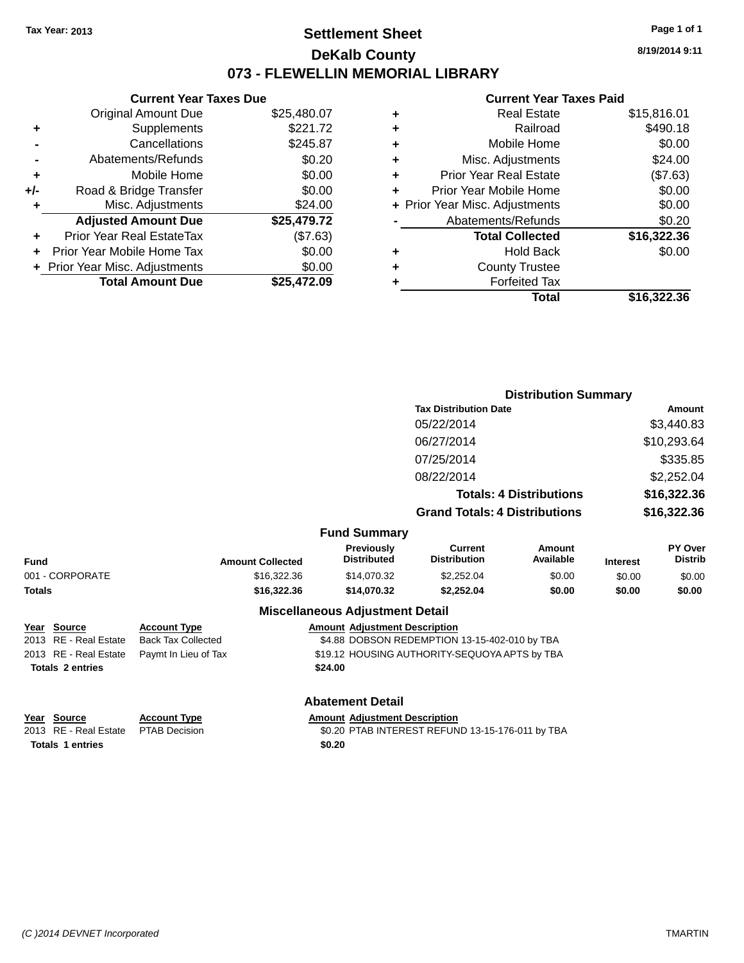### **Settlement Sheet Tax Year: 2013 Page 1 of 1 DeKalb County 073 - FLEWELLIN MEMORIAL LIBRARY**

**8/19/2014 9:11**

#### **Current Year Taxes Paid**

|       | <b>Current Year Taxes Due</b>  |             |  |  |
|-------|--------------------------------|-------------|--|--|
|       | <b>Original Amount Due</b>     | \$25,480.07 |  |  |
| ٠     | Supplements                    | \$221.72    |  |  |
|       | Cancellations                  | \$245.87    |  |  |
|       | Abatements/Refunds             | \$0.20      |  |  |
| ٠     | Mobile Home                    | \$0.00      |  |  |
| $+/-$ | Road & Bridge Transfer         | \$0.00      |  |  |
|       | Misc. Adjustments              | \$24.00     |  |  |
|       | <b>Adjusted Amount Due</b>     | \$25,479.72 |  |  |
| ٠     | Prior Year Real EstateTax      | (\$7.63)    |  |  |
|       | Prior Year Mobile Home Tax     | \$0.00      |  |  |
|       | + Prior Year Misc. Adjustments | \$0.00      |  |  |
|       | <b>Total Amount Due</b>        | \$25,472.09 |  |  |
|       |                                |             |  |  |

| ٠ | <b>Real Estate</b>             | \$15,816.01 |
|---|--------------------------------|-------------|
| ٠ | Railroad                       | \$490.18    |
| ٠ | Mobile Home                    | \$0.00      |
| ٠ | Misc. Adjustments              | \$24.00     |
| ٠ | <b>Prior Year Real Estate</b>  | (\$7.63)    |
| ÷ | Prior Year Mobile Home         | \$0.00      |
|   | + Prior Year Misc. Adjustments | \$0.00      |
|   | Abatements/Refunds             | \$0.20      |
|   | <b>Total Collected</b>         | \$16,322.36 |
| ٠ | <b>Hold Back</b>               | \$0.00      |
| ٠ | <b>County Trustee</b>          |             |
| ٠ | <b>Forfeited Tax</b>           |             |
|   | Total                          | \$16,322,36 |
|   |                                |             |

|                         |                           |                         |                                                                                                                                                                                                                                | <b>Distribution Summary</b>                   |                                |                 |                           |
|-------------------------|---------------------------|-------------------------|--------------------------------------------------------------------------------------------------------------------------------------------------------------------------------------------------------------------------------|-----------------------------------------------|--------------------------------|-----------------|---------------------------|
|                         |                           |                         |                                                                                                                                                                                                                                | <b>Tax Distribution Date</b>                  |                                |                 | <b>Amount</b>             |
|                         |                           |                         |                                                                                                                                                                                                                                | 05/22/2014                                    |                                |                 | \$3,440.83                |
|                         |                           |                         |                                                                                                                                                                                                                                | 06/27/2014                                    |                                |                 | \$10,293.64               |
|                         |                           |                         |                                                                                                                                                                                                                                | 07/25/2014                                    |                                |                 | \$335.85                  |
|                         |                           |                         |                                                                                                                                                                                                                                | 08/22/2014                                    |                                |                 | \$2,252.04                |
|                         |                           |                         |                                                                                                                                                                                                                                |                                               | <b>Totals: 4 Distributions</b> |                 | \$16,322.36               |
|                         |                           |                         |                                                                                                                                                                                                                                | <b>Grand Totals: 4 Distributions</b>          |                                | \$16,322.36     |                           |
|                         |                           |                         | <b>Fund Summary</b>                                                                                                                                                                                                            |                                               |                                |                 |                           |
| Fund                    |                           | <b>Amount Collected</b> | Previously<br><b>Distributed</b>                                                                                                                                                                                               | <b>Current</b><br><b>Distribution</b>         | Amount<br>Available            | <b>Interest</b> | PY Over<br><b>Distrib</b> |
| 001 - CORPORATE         |                           | \$16,322.36             | \$14,070.32                                                                                                                                                                                                                    | \$2,252.04                                    | \$0.00                         | \$0.00          | \$0.00                    |
| <b>Totals</b>           |                           | \$16,322.36             | \$14,070.32                                                                                                                                                                                                                    | \$2,252.04                                    | \$0.00                         | \$0.00          | \$0.00                    |
|                         |                           |                         | <b>Miscellaneous Adjustment Detail</b>                                                                                                                                                                                         |                                               |                                |                 |                           |
| Year Source             | <b>Account Type</b>       |                         | <b>Amount Adjustment Description</b>                                                                                                                                                                                           |                                               |                                |                 |                           |
| 2013 RE - Real Estate   | <b>Back Tax Collected</b> |                         |                                                                                                                                                                                                                                | \$4.88 DOBSON REDEMPTION 13-15-402-010 by TBA |                                |                 |                           |
| 2013 RE - Real Estate   | Paymt In Lieu of Tax      |                         |                                                                                                                                                                                                                                | \$19.12 HOUSING AUTHORITY-SEQUOYA APTS by TBA |                                |                 |                           |
| <b>Totals 2 entries</b> |                           |                         | \$24.00                                                                                                                                                                                                                        |                                               |                                |                 |                           |
|                         |                           |                         | <b>Abatement Detail</b>                                                                                                                                                                                                        |                                               |                                |                 |                           |
| $M = 100$ $M = 100$     |                           |                         | and a compatibility of the company of the compatibility of the company of the company of the company of the company of the company of the company of the company of the company of the company of the company of the company o |                                               |                                |                 |                           |

**Year Source Account Type Account Type Amount Adjustment Description**<br>2013 RE - Real Estate PTAB Decision **Amount Adjustment Description** \$0.20 PTAB INTEREST REFUND 13-15-176-011 by TBA **Totals 1 entries \$0.20**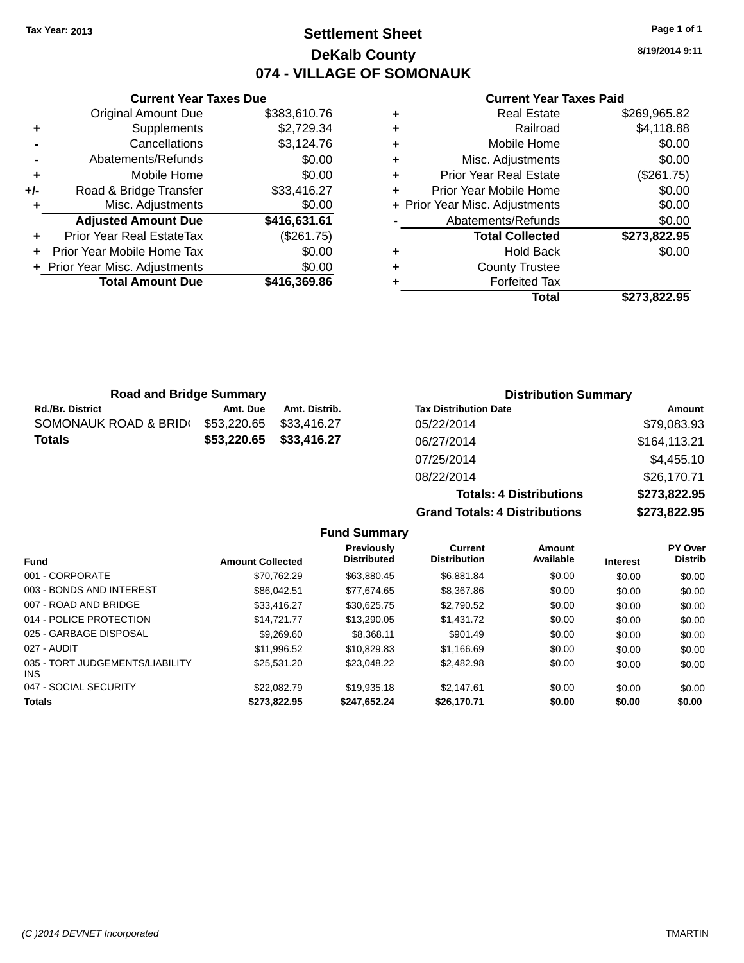**Current Year Taxes Due**

### **Settlement Sheet Tax Year: 2013 Page 1 of 1 DeKalb County 074 - VILLAGE OF SOMONAUK**

**8/19/2014 9:11**

#### **Current Year Taxes Paid**

|     |                                  |              |   | Total                          | \$273,822.95 |
|-----|----------------------------------|--------------|---|--------------------------------|--------------|
|     | <b>Total Amount Due</b>          | \$416,369.86 |   | <b>Forfeited Tax</b>           |              |
|     | + Prior Year Misc. Adjustments   | \$0.00       | ٠ | <b>County Trustee</b>          |              |
|     | Prior Year Mobile Home Tax       | \$0.00       | ٠ | <b>Hold Back</b>               | \$0.00       |
| ÷.  | <b>Prior Year Real EstateTax</b> | (\$261.75)   |   | <b>Total Collected</b>         | \$273,822.95 |
|     | <b>Adjusted Amount Due</b>       | \$416,631.61 |   | Abatements/Refunds             | \$0.00       |
|     | Misc. Adjustments                | \$0.00       |   | + Prior Year Misc. Adjustments | \$0.00       |
| +/- | Road & Bridge Transfer           | \$33,416.27  |   | Prior Year Mobile Home         | \$0.00       |
| ٠   | Mobile Home                      | \$0.00       | ٠ | <b>Prior Year Real Estate</b>  | (\$261.75)   |
|     | Abatements/Refunds               | \$0.00       | ÷ | Misc. Adjustments              | \$0.00       |
|     | Cancellations                    | \$3,124.76   | ٠ | Mobile Home                    | \$0.00       |
| ٠   | Supplements                      | \$2,729.34   | ٠ | Railroad                       | \$4,118.88   |
|     | Original Amount Due              | \$383,610.76 | ٠ | <b>Real Estate</b>             | \$269,965.82 |

| <b>Road and Bridge Summary</b> |             |               | <b>Distribution Summary</b>  |              |  |
|--------------------------------|-------------|---------------|------------------------------|--------------|--|
| <b>Rd./Br. District</b>        | Amt. Due    | Amt. Distrib. | <b>Tax Distribution Date</b> | Amount       |  |
| SOMONAUK ROAD & BRID(          | \$53,220.65 | \$33.416.27   | 05/22/2014                   | \$79,083.93  |  |
| <b>Totals</b>                  | \$53,220.65 | \$33,416.27   | 06/27/2014                   | \$164,113.21 |  |
|                                |             |               | 07/25/2014                   | \$4,455.10   |  |

| 08/22/2014                           | \$26,170.71  |  |  |
|--------------------------------------|--------------|--|--|
| <b>Totals: 4 Distributions</b>       | \$273,822.95 |  |  |
| <b>Grand Totals: 4 Distributions</b> | \$273,822.95 |  |  |

|                     | $\overline{\phantom{a}}$ |
|---------------------|--------------------------|
|                     |                          |
| <b>Eund Summary</b> |                          |

| I UIIU VUIIIIIIII Y                     |                         |                                  |                                       |                     |                 |                                  |  |  |  |  |  |
|-----------------------------------------|-------------------------|----------------------------------|---------------------------------------|---------------------|-----------------|----------------------------------|--|--|--|--|--|
| <b>Fund</b>                             | <b>Amount Collected</b> | Previously<br><b>Distributed</b> | <b>Current</b><br><b>Distribution</b> | Amount<br>Available | <b>Interest</b> | <b>PY Over</b><br><b>Distrib</b> |  |  |  |  |  |
| 001 - CORPORATE                         | \$70.762.29             | \$63,880.45                      | \$6,881.84                            | \$0.00              | \$0.00          | \$0.00                           |  |  |  |  |  |
| 003 - BONDS AND INTEREST                | \$86,042.51             | \$77.674.65                      | \$8,367.86                            | \$0.00              | \$0.00          | \$0.00                           |  |  |  |  |  |
| 007 - ROAD AND BRIDGE                   | \$33,416.27             | \$30.625.75                      | \$2,790.52                            | \$0.00              | \$0.00          | \$0.00                           |  |  |  |  |  |
| 014 - POLICE PROTECTION                 | \$14.721.77             | \$13,290.05                      | \$1,431.72                            | \$0.00              | \$0.00          | \$0.00                           |  |  |  |  |  |
| 025 - GARBAGE DISPOSAL                  | \$9,269.60              | \$8.368.11                       | \$901.49                              | \$0.00              | \$0.00          | \$0.00                           |  |  |  |  |  |
| 027 - AUDIT                             | \$11.996.52             | \$10.829.83                      | \$1.166.69                            | \$0.00              | \$0.00          | \$0.00                           |  |  |  |  |  |
| 035 - TORT JUDGEMENTS/LIABILITY<br>INS. | \$25,531.20             | \$23,048.22                      | \$2,482.98                            | \$0.00              | \$0.00          | \$0.00                           |  |  |  |  |  |
| 047 - SOCIAL SECURITY                   | \$22,082.79             | \$19,935.18                      | \$2.147.61                            | \$0.00              | \$0.00          | \$0.00                           |  |  |  |  |  |
| <b>Totals</b>                           | \$273.822.95            | \$247.652.24                     | \$26,170.71                           | \$0.00              | \$0.00          | \$0.00                           |  |  |  |  |  |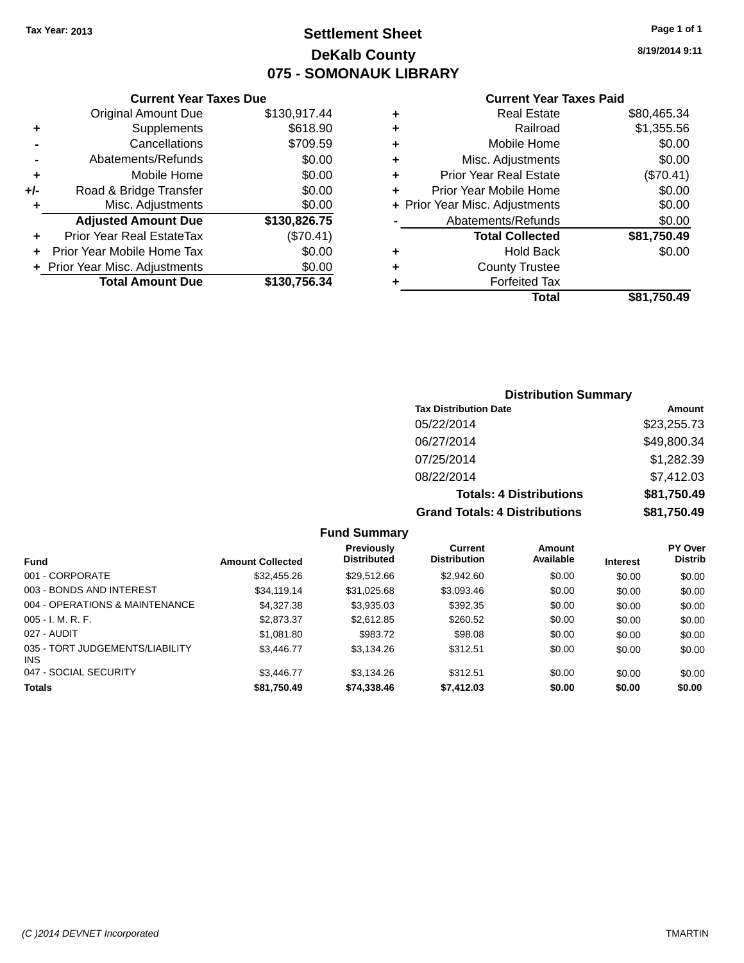### **Settlement Sheet Tax Year: 2013 Page 1 of 1 DeKalb County 075 - SOMONAUK LIBRARY**

**8/19/2014 9:11**

#### **Current Year Taxes Paid**

|     | <b>Current Year Taxes Due</b>  |              |
|-----|--------------------------------|--------------|
|     | <b>Original Amount Due</b>     | \$130,917.44 |
| ٠   | Supplements                    | \$618.90     |
|     | Cancellations                  | \$709.59     |
|     | Abatements/Refunds             | \$0.00       |
| ٠   | Mobile Home                    | \$0.00       |
| +/- | Road & Bridge Transfer         | \$0.00       |
| ٠   | Misc. Adjustments              | \$0.00       |
|     | <b>Adjusted Amount Due</b>     | \$130,826.75 |
| ٠   | Prior Year Real EstateTax      | (\$70.41)    |
|     | Prior Year Mobile Home Tax     | \$0.00       |
|     | + Prior Year Misc. Adjustments | \$0.00       |
|     | <b>Total Amount Due</b>        | \$130,756.34 |
|     |                                |              |

| ٠ | <b>Real Estate</b>             | \$80,465.34 |
|---|--------------------------------|-------------|
| ٠ | Railroad                       | \$1,355.56  |
| ٠ | Mobile Home                    | \$0.00      |
| ٠ | Misc. Adjustments              | \$0.00      |
| ٠ | <b>Prior Year Real Estate</b>  | (\$70.41)   |
| ٠ | Prior Year Mobile Home         | \$0.00      |
|   | + Prior Year Misc. Adjustments | \$0.00      |
|   | Abatements/Refunds             | \$0.00      |
|   | <b>Total Collected</b>         | \$81,750.49 |
| ٠ | <b>Hold Back</b>               | \$0.00      |
| ٠ | <b>County Trustee</b>          |             |
| ٠ | <b>Forfeited Tax</b>           |             |
|   | Total                          | \$81,750.49 |
|   |                                |             |

#### **Distribution Summary Tax Distribution Date Amount** 05/22/2014 \$23,255.73 06/27/2014 \$49,800.34 07/25/2014 \$1,282.39 08/22/2014 \$7,412.03 **Totals: 4 Distributions \$81,750.49 Grand Totals: 4 Distributions \$81,750.49**

| <b>Fund</b>                             | <b>Amount Collected</b> | <b>Previously</b><br><b>Distributed</b> | Current<br><b>Distribution</b> | Amount<br>Available | <b>Interest</b> | PY Over<br><b>Distrib</b> |
|-----------------------------------------|-------------------------|-----------------------------------------|--------------------------------|---------------------|-----------------|---------------------------|
| 001 - CORPORATE                         | \$32,455.26             | \$29.512.66                             | \$2,942.60                     | \$0.00              | \$0.00          | \$0.00                    |
| 003 - BONDS AND INTEREST                | \$34,119,14             | \$31,025.68                             | \$3,093.46                     | \$0.00              | \$0.00          | \$0.00                    |
| 004 - OPERATIONS & MAINTENANCE          | \$4,327,38              | \$3,935.03                              | \$392.35                       | \$0.00              | \$0.00          | \$0.00                    |
| $005 - I. M. R. F.$                     | \$2,873.37              | \$2,612.85                              | \$260.52                       | \$0.00              | \$0.00          | \$0.00                    |
| 027 - AUDIT                             | \$1,081.80              | \$983.72                                | \$98.08                        | \$0.00              | \$0.00          | \$0.00                    |
| 035 - TORT JUDGEMENTS/LIABILITY<br>INS. | \$3,446.77              | \$3.134.26                              | \$312.51                       | \$0.00              | \$0.00          | \$0.00                    |
| 047 - SOCIAL SECURITY                   | \$3.446.77              | \$3.134.26                              | \$312.51                       | \$0.00              | \$0.00          | \$0.00                    |
| <b>Totals</b>                           | \$81,750.49             | \$74,338.46                             | \$7,412.03                     | \$0.00              | \$0.00          | \$0.00                    |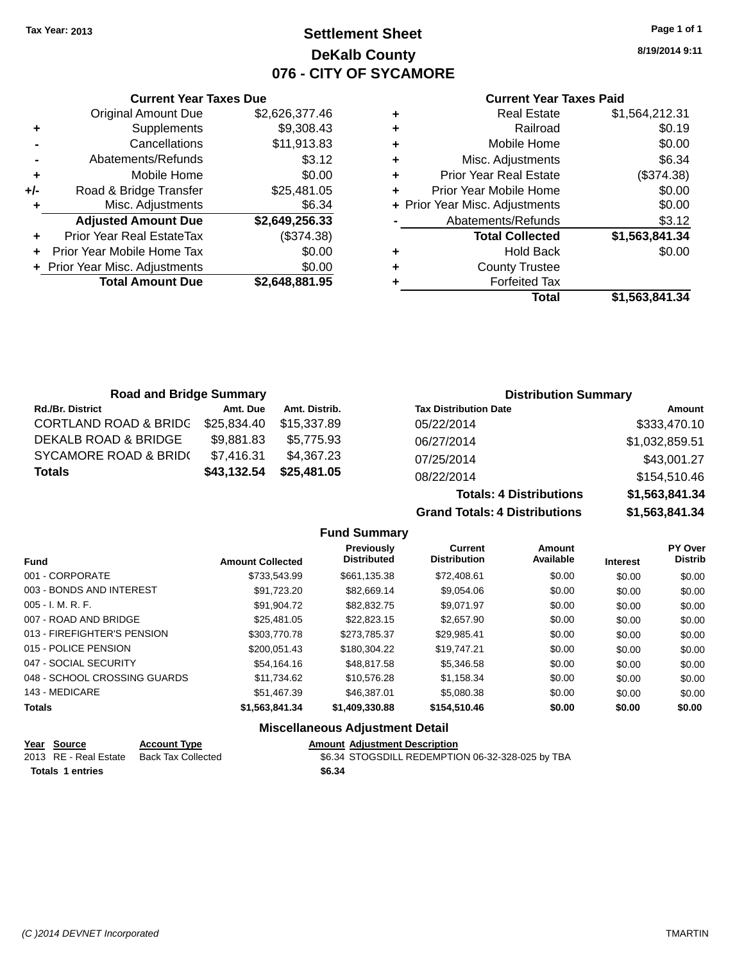### **Settlement Sheet Tax Year: 2013 Page 1 of 1 DeKalb County 076 - CITY OF SYCAMORE**

**8/19/2014 9:11**

#### **Current Year Taxes Paid**

|       | <b>Current Year Taxes Due</b>  |                |  |  |  |
|-------|--------------------------------|----------------|--|--|--|
|       | <b>Original Amount Due</b>     | \$2,626,377.46 |  |  |  |
| ٠     | Supplements                    | \$9,308.43     |  |  |  |
|       | Cancellations                  | \$11,913.83    |  |  |  |
|       | Abatements/Refunds             | \$3.12         |  |  |  |
| ٠     | Mobile Home                    | \$0.00         |  |  |  |
| $+/-$ | Road & Bridge Transfer         | \$25,481.05    |  |  |  |
| ٠     | Misc. Adjustments              | \$6.34         |  |  |  |
|       | <b>Adjusted Amount Due</b>     | \$2,649,256.33 |  |  |  |
|       | Prior Year Real EstateTax      | (\$374.38)     |  |  |  |
|       | Prior Year Mobile Home Tax     | \$0.00         |  |  |  |
|       | + Prior Year Misc. Adjustments | \$0.00         |  |  |  |
|       | <b>Total Amount Due</b>        | \$2,648,881.95 |  |  |  |
|       |                                |                |  |  |  |

|   | <b>Real Estate</b>             | \$1,564,212.31 |
|---|--------------------------------|----------------|
| ٠ | Railroad                       | \$0.19         |
| ٠ | Mobile Home                    | \$0.00         |
| ٠ | Misc. Adjustments              | \$6.34         |
| ٠ | <b>Prior Year Real Estate</b>  | (\$374.38)     |
| ٠ | Prior Year Mobile Home         | \$0.00         |
|   | + Prior Year Misc. Adjustments | \$0.00         |
|   | Abatements/Refunds             | \$3.12         |
|   | <b>Total Collected</b>         | \$1,563,841.34 |
| ٠ | Hold Back                      | \$0.00         |
| ٠ | <b>County Trustee</b>          |                |
| ٠ | <b>Forfeited Tax</b>           |                |
|   | Total                          | \$1,563,841.34 |
|   |                                |                |

| <b>Road and Bridge Summary</b>   |             |               |                              | <b>Distribution Summary</b> |  |
|----------------------------------|-------------|---------------|------------------------------|-----------------------------|--|
| <b>Rd./Br. District</b>          | Amt. Due    | Amt. Distrib. | <b>Tax Distribution Date</b> | Amount                      |  |
| <b>CORTLAND ROAD &amp; BRIDC</b> | \$25,834.40 | \$15.337.89   | 05/22/2014                   | \$333,470.10                |  |
| DEKALB ROAD & BRIDGE             | \$9,881.83  | \$5.775.93    | 06/27/2014                   | \$1,032,859.51              |  |
| <b>SYCAMORE ROAD &amp; BRID(</b> | \$7,416.31  | \$4,367.23    | 07/25/2014                   | \$43,001.27                 |  |
| <b>Totals</b>                    | \$43,132.54 | \$25,481.05   | 08/22/2014                   | \$154,510.46                |  |

| 08/22/2014                           | \$154.510.40   |  |  |
|--------------------------------------|----------------|--|--|
| <b>Totals: 4 Distributions</b>       | \$1,563,841.34 |  |  |
| <b>Grand Totals: 4 Distributions</b> | \$1.563.841.34 |  |  |
|                                      |                |  |  |

|                              |                         | <b>Fund Summary</b>                     |                                       |                            |                 |                           |
|------------------------------|-------------------------|-----------------------------------------|---------------------------------------|----------------------------|-----------------|---------------------------|
| <b>Fund</b>                  | <b>Amount Collected</b> | <b>Previously</b><br><b>Distributed</b> | <b>Current</b><br><b>Distribution</b> | <b>Amount</b><br>Available | <b>Interest</b> | PY Over<br><b>Distrib</b> |
| 001 - CORPORATE              | \$733,543.99            | \$661,135.38                            | \$72,408.61                           | \$0.00                     | \$0.00          | \$0.00                    |
| 003 - BONDS AND INTEREST     | \$91,723.20             | \$82.669.14                             | \$9,054.06                            | \$0.00                     | \$0.00          | \$0.00                    |
| $005 - I. M. R. F.$          | \$91,904.72             | \$82,832.75                             | \$9,071.97                            | \$0.00                     | \$0.00          | \$0.00                    |
| 007 - ROAD AND BRIDGE        | \$25.481.05             | \$22.823.15                             | \$2,657.90                            | \$0.00                     | \$0.00          | \$0.00                    |
| 013 - FIREFIGHTER'S PENSION  | \$303,770.78            | \$273.785.37                            | \$29,985.41                           | \$0.00                     | \$0.00          | \$0.00                    |
| 015 - POLICE PENSION         | \$200.051.43            | \$180,304.22                            | \$19,747.21                           | \$0.00                     | \$0.00          | \$0.00                    |
| 047 - SOCIAL SECURITY        | \$54,164.16             | \$48,817.58                             | \$5,346.58                            | \$0.00                     | \$0.00          | \$0.00                    |
| 048 - SCHOOL CROSSING GUARDS | \$11.734.62             | \$10.576.28                             | \$1.158.34                            | \$0.00                     | \$0.00          | \$0.00                    |
| 143 - MEDICARE               | \$51,467.39             | \$46,387.01                             | \$5,080.38                            | \$0.00                     | \$0.00          | \$0.00                    |
| <b>Totals</b>                | \$1,563,841.34          | \$1,409,330.88                          | \$154,510.46                          | \$0.00                     | \$0.00          | \$0.00                    |
|                              |                         |                                         |                                       |                            |                 |                           |

#### **Miscellaneous Adjustment Detail**

|                         | Year Source           | <b>Account Type</b> | <b>Amount Adjustment Description</b>             |  |
|-------------------------|-----------------------|---------------------|--------------------------------------------------|--|
|                         | 2013 RE - Real Estate | Back Tax Collected  | \$6.34 STOGSDILL REDEMPTION 06-32-328-025 by TBA |  |
| <b>Totals 1 entries</b> |                       |                     | \$6.34                                           |  |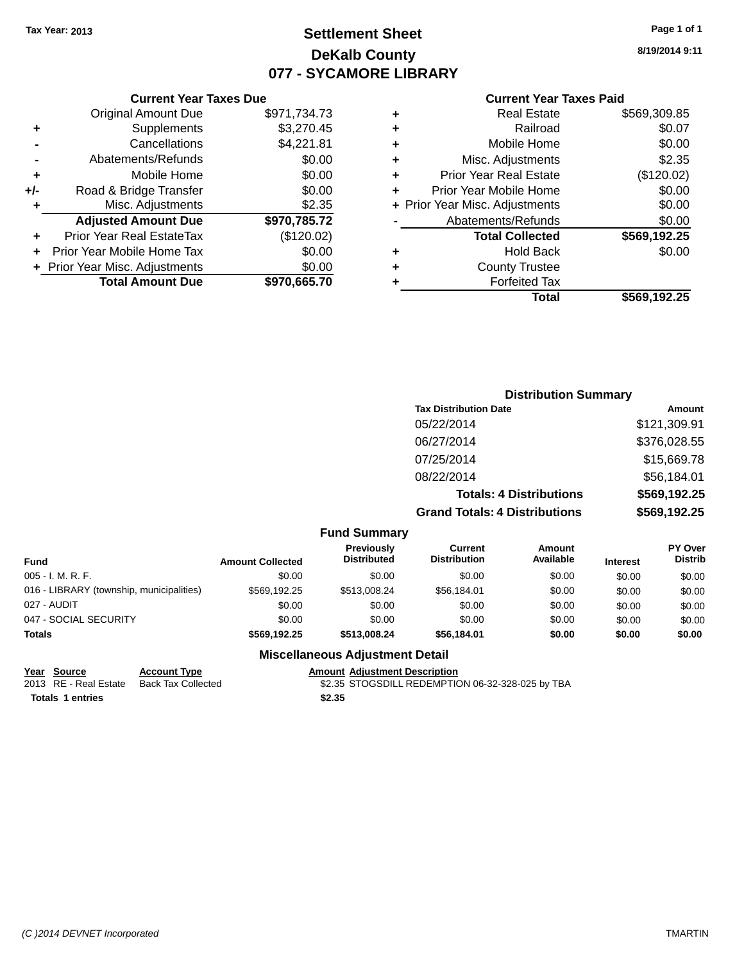### **Settlement Sheet Tax Year: 2013 Page 1 of 1 DeKalb County 077 - SYCAMORE LIBRARY**

**8/19/2014 9:11**

#### **Current Year Taxes Paid**

|                | <b>Original Amount Due</b>       | \$971,734.73 |
|----------------|----------------------------------|--------------|
| ٠              | Supplements                      | \$3,270.45   |
|                | Cancellations                    | \$4,221.81   |
| $\blacksquare$ | Abatements/Refunds               | \$0.00       |
| ÷              | Mobile Home                      | \$0.00       |
| +/-            | Road & Bridge Transfer           | \$0.00       |
| ٠              | Misc. Adjustments                | \$2.35       |
|                | <b>Adjusted Amount Due</b>       | \$970,785.72 |
| ٠              | <b>Prior Year Real EstateTax</b> | (\$120.02)   |
| ÷              | Prior Year Mobile Home Tax       | \$0.00       |
|                | + Prior Year Misc. Adjustments   | \$0.00       |
|                | <b>Total Amount Due</b>          | \$970,665.70 |
|                |                                  |              |

**Current Year Taxes Due**

| ٠ | <b>Real Estate</b>             | \$569,309.85 |
|---|--------------------------------|--------------|
| ٠ | Railroad                       | \$0.07       |
| ٠ | Mobile Home                    | \$0.00       |
| ٠ | Misc. Adjustments              | \$2.35       |
| ٠ | <b>Prior Year Real Estate</b>  | (\$120.02)   |
| ٠ | Prior Year Mobile Home         | \$0.00       |
|   | + Prior Year Misc. Adjustments | \$0.00       |
|   | Abatements/Refunds             | \$0.00       |
|   | <b>Total Collected</b>         | \$569,192.25 |
| ٠ | <b>Hold Back</b>               | \$0.00       |
| ٠ | <b>County Trustee</b>          |              |
| ٠ | <b>Forfeited Tax</b>           |              |
|   | Total                          | \$569,192.25 |
|   |                                |              |

### **Distribution Summary Tax Distribution Date Amount** 05/22/2014 \$121,309.91 06/27/2014 \$376,028.55 07/25/2014 \$15,669.78 08/22/2014 \$56,184.01 **Totals: 4 Distributions \$569,192.25 Grand Totals: 4 Distributions \$569,192.25**

| <b>Fund Summary</b> |  |
|---------------------|--|
|                     |  |

| <b>Fund</b>                              | <b>Amount Collected</b> | Previously<br><b>Distributed</b> | Current<br><b>Distribution</b> | Amount<br>Available | <b>Interest</b> | <b>PY Over</b><br><b>Distrib</b> |
|------------------------------------------|-------------------------|----------------------------------|--------------------------------|---------------------|-----------------|----------------------------------|
| 005 - I. M. R. F.                        | \$0.00                  | \$0.00                           | \$0.00                         | \$0.00              | \$0.00          | \$0.00                           |
| 016 - LIBRARY (township, municipalities) | \$569.192.25            | \$513,008.24                     | \$56,184.01                    | \$0.00              | \$0.00          | \$0.00                           |
| 027 - AUDIT                              | \$0.00                  | \$0.00                           | \$0.00                         | \$0.00              | \$0.00          | \$0.00                           |
| 047 - SOCIAL SECURITY                    | \$0.00                  | \$0.00                           | \$0.00                         | \$0.00              | \$0.00          | \$0.00                           |
| <b>Totals</b>                            | \$569.192.25            | \$513,008.24                     | \$56,184.01                    | \$0.00              | \$0.00          | \$0.00                           |

#### **Miscellaneous Adjustment Detail**

| Year Source      | <b>Account Type</b>                      | <b>Amount Adiustment Description</b>             |  |
|------------------|------------------------------------------|--------------------------------------------------|--|
|                  | 2013 RE - Real Estate Back Tax Collected | \$2.35 STOGSDILL REDEMPTION 06-32-328-025 by TBA |  |
| Totals 1 entries |                                          | \$2.35                                           |  |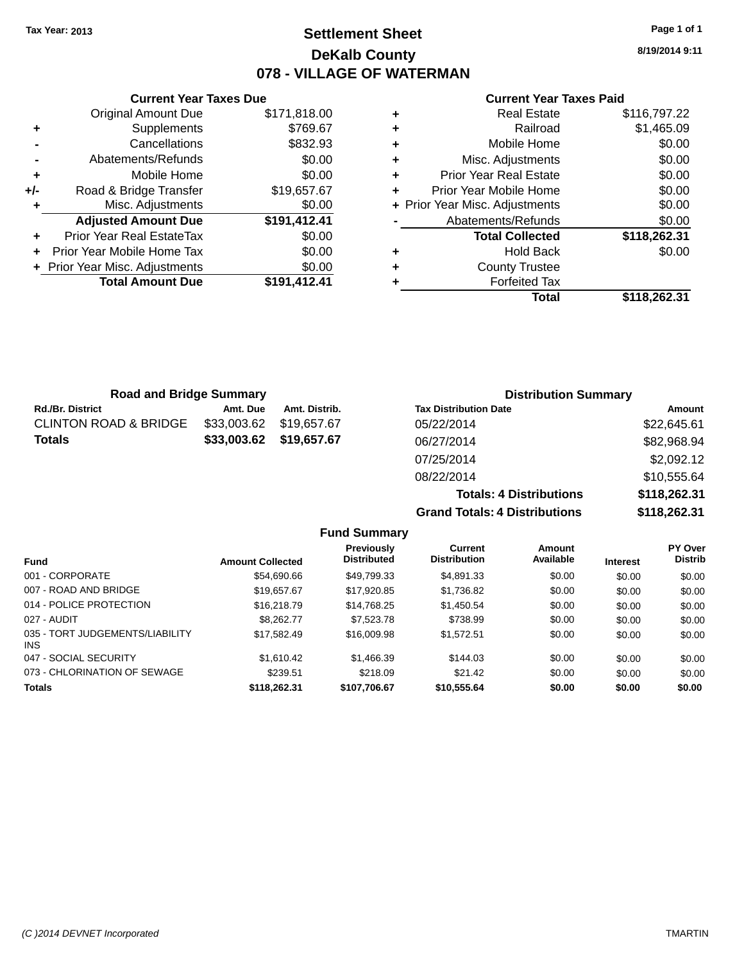### **Settlement Sheet Tax Year: 2013 Page 1 of 1 DeKalb County 078 - VILLAGE OF WATERMAN**

**8/19/2014 9:11**

#### **Current Year Taxes Paid**

|       | <b>Current Year Taxes Due</b>    |              |  |  |  |  |
|-------|----------------------------------|--------------|--|--|--|--|
|       | <b>Original Amount Due</b>       | \$171,818.00 |  |  |  |  |
| ٠     | Supplements                      | \$769.67     |  |  |  |  |
|       | Cancellations                    | \$832.93     |  |  |  |  |
|       | Abatements/Refunds               | \$0.00       |  |  |  |  |
| ٠     | Mobile Home                      | \$0.00       |  |  |  |  |
| $+/-$ | Road & Bridge Transfer           | \$19,657.67  |  |  |  |  |
|       | Misc. Adjustments                | \$0.00       |  |  |  |  |
|       | <b>Adjusted Amount Due</b>       | \$191,412.41 |  |  |  |  |
|       | <b>Prior Year Real EstateTax</b> | \$0.00       |  |  |  |  |
|       | Prior Year Mobile Home Tax       | \$0.00       |  |  |  |  |
|       | + Prior Year Misc. Adjustments   | \$0.00       |  |  |  |  |
|       | <b>Total Amount Due</b>          | \$191.412.41 |  |  |  |  |
|       |                                  |              |  |  |  |  |

| ٠ | <b>Real Estate</b>             | \$116,797.22 |
|---|--------------------------------|--------------|
| ٠ | Railroad                       | \$1,465.09   |
| ٠ | Mobile Home                    | \$0.00       |
| ٠ | Misc. Adjustments              | \$0.00       |
| ٠ | <b>Prior Year Real Estate</b>  | \$0.00       |
| ٠ | Prior Year Mobile Home         | \$0.00       |
|   | + Prior Year Misc. Adjustments | \$0.00       |
|   | Abatements/Refunds             | \$0.00       |
|   | <b>Total Collected</b>         | \$118,262.31 |
| ٠ | <b>Hold Back</b>               | \$0.00       |
| ٠ | <b>County Trustee</b>          |              |
| ٠ | <b>Forfeited Tax</b>           |              |
|   | Total                          | \$118,262.31 |

| <b>Road and Bridge Summary</b>   |             |               | <b>Distribution Summary</b>  |                            |  |
|----------------------------------|-------------|---------------|------------------------------|----------------------------|--|
| <b>Rd./Br. District</b>          | Amt. Due    | Amt. Distrib. | <b>Tax Distribution Date</b> | Amount                     |  |
| <b>CLINTON ROAD &amp; BRIDGE</b> | \$33,003.62 | \$19.657.67   | 05/22/2014                   | \$22,645.61                |  |
| <b>Totals</b>                    | \$33,003.62 | \$19,657.67   | 06/27/2014                   | \$82,968.94                |  |
|                                  |             |               | 07/25/2014                   | \$2,092.12                 |  |
|                                  |             |               | 0.9000014                    | $Q$ <sub>10</sub> $ER$ $A$ |  |

08/22/2014 \$10,555.64 **Totals: 4 Distributions \$118,262.31 Grand Totals: 4 Distributions \$118,262.31 Fund Summary**

| <b>Amount Collected</b> | Previously<br><b>Distributed</b> | <b>Current</b><br><b>Distribution</b> | <b>Amount</b><br>Available | <b>Interest</b> | <b>PY Over</b><br><b>Distrib</b> |
|-------------------------|----------------------------------|---------------------------------------|----------------------------|-----------------|----------------------------------|
| \$54,690.66             | \$49,799.33                      | \$4,891.33                            | \$0.00                     | \$0.00          | \$0.00                           |
| \$19,657.67             | \$17,920.85                      | \$1,736.82                            | \$0.00                     | \$0.00          | \$0.00                           |
| \$16,218.79             | \$14,768.25                      | \$1,450.54                            | \$0.00                     | \$0.00          | \$0.00                           |
| \$8,262,77              | \$7,523,78                       | \$738.99                              | \$0.00                     | \$0.00          | \$0.00                           |
| \$17.582.49             | \$16,009.98                      | \$1.572.51                            | \$0.00                     | \$0.00          | \$0.00                           |
| \$1,610.42              | \$1,466.39                       | \$144.03                              | \$0.00                     | \$0.00          | \$0.00                           |
| \$239.51                | \$218.09                         | \$21.42                               | \$0.00                     | \$0.00          | \$0.00                           |
| \$118,262.31            | \$107,706.67                     | \$10,555.64                           | \$0.00                     | \$0.00          | \$0.00                           |
|                         |                                  |                                       |                            |                 |                                  |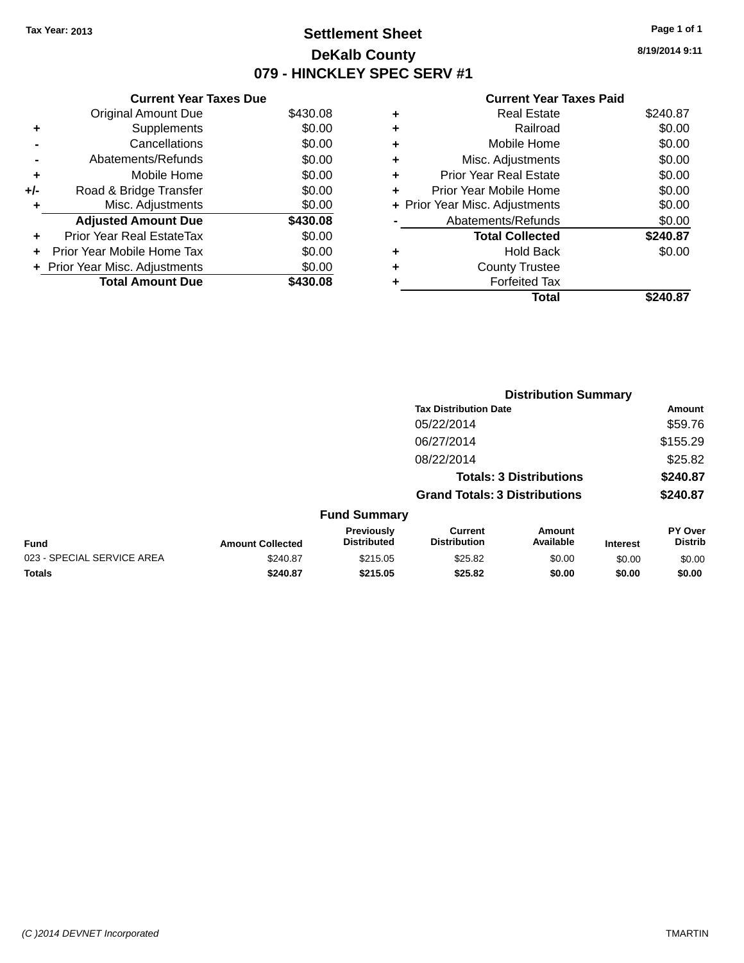### **Settlement Sheet Tax Year: 2013 Page 1 of 1 DeKalb County 079 - HINCKLEY SPEC SERV #1**

**8/19/2014 9:11**

#### **Current Year Taxes Paid**

|     | <b>Current Year Taxes Due</b>    |          |
|-----|----------------------------------|----------|
|     | <b>Original Amount Due</b>       | \$430.08 |
| ٠   | Supplements                      | \$0.00   |
|     | Cancellations                    | \$0.00   |
|     | Abatements/Refunds               | \$0.00   |
| ٠   | Mobile Home                      | \$0.00   |
| +/- | Road & Bridge Transfer           | \$0.00   |
| ٠   | Misc. Adjustments                | \$0.00   |
|     | <b>Adjusted Amount Due</b>       | \$430.08 |
| ٠   | <b>Prior Year Real EstateTax</b> | \$0.00   |
| ÷   | Prior Year Mobile Home Tax       | \$0.00   |
|     | + Prior Year Misc. Adjustments   | \$0.00   |
|     | <b>Total Amount Due</b>          | \$430.08 |

| ٠ | <b>Real Estate</b>             | \$240.87 |
|---|--------------------------------|----------|
| ٠ | Railroad                       | \$0.00   |
| ٠ | Mobile Home                    | \$0.00   |
| ٠ | Misc. Adjustments              | \$0.00   |
| ٠ | Prior Year Real Estate         | \$0.00   |
|   | Prior Year Mobile Home         | \$0.00   |
|   | + Prior Year Misc. Adjustments | \$0.00   |
|   | Abatements/Refunds             | \$0.00   |
|   | <b>Total Collected</b>         | \$240.87 |
| ٠ | <b>Hold Back</b>               | \$0.00   |
|   | <b>County Trustee</b>          |          |
| ٠ | <b>Forfeited Tax</b>           |          |
|   | Total                          | \$240.87 |
|   |                                |          |

|                            |                         |                                  | <b>Distribution Summary</b>           |                                |                 |                           |
|----------------------------|-------------------------|----------------------------------|---------------------------------------|--------------------------------|-----------------|---------------------------|
|                            |                         |                                  | <b>Tax Distribution Date</b>          |                                |                 | <b>Amount</b>             |
|                            |                         |                                  | 05/22/2014                            |                                |                 | \$59.76                   |
|                            |                         |                                  | 06/27/2014                            |                                |                 | \$155.29                  |
|                            |                         |                                  | 08/22/2014                            |                                |                 | \$25.82                   |
|                            |                         |                                  |                                       | <b>Totals: 3 Distributions</b> |                 | \$240.87                  |
|                            |                         |                                  | <b>Grand Totals: 3 Distributions</b>  |                                |                 | \$240.87                  |
|                            |                         | <b>Fund Summary</b>              |                                       |                                |                 |                           |
| <b>Fund</b>                | <b>Amount Collected</b> | Previously<br><b>Distributed</b> | <b>Current</b><br><b>Distribution</b> | Amount<br>Available            | <b>Interest</b> | PY Over<br><b>Distrib</b> |
| 023 - SPECIAL SERVICE AREA | \$240.87                | \$215.05                         | \$25.82                               | \$0.00                         | \$0.00          | \$0.00                    |
| <b>Totals</b>              | \$240.87                | \$215.05                         | \$25.82                               | \$0.00                         | \$0.00          | \$0.00                    |
|                            |                         |                                  |                                       |                                |                 |                           |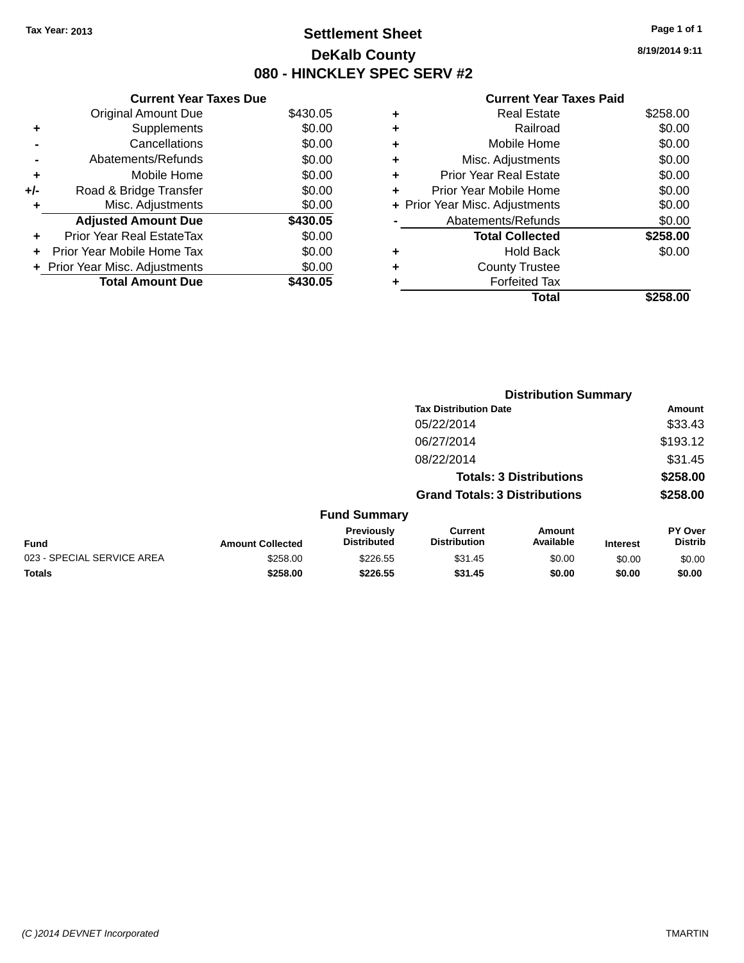### **Settlement Sheet Tax Year: 2013 Page 1 of 1 DeKalb County 080 - HINCKLEY SPEC SERV #2**

**8/19/2014 9:11**

| <b>Current Year Taxes Paid</b> |  |  |
|--------------------------------|--|--|
|                                |  |  |

| <b>Current Year Taxes Due</b> |                                |          |  |  |  |
|-------------------------------|--------------------------------|----------|--|--|--|
|                               | <b>Original Amount Due</b>     | \$430.05 |  |  |  |
| ٠                             | Supplements                    | \$0.00   |  |  |  |
|                               | Cancellations                  | \$0.00   |  |  |  |
|                               | Abatements/Refunds             | \$0.00   |  |  |  |
| ٠                             | Mobile Home                    | \$0.00   |  |  |  |
| +/-                           | Road & Bridge Transfer         | \$0.00   |  |  |  |
| ٠                             | Misc. Adjustments              | \$0.00   |  |  |  |
|                               | <b>Adjusted Amount Due</b>     | \$430.05 |  |  |  |
|                               | Prior Year Real EstateTax      | \$0.00   |  |  |  |
| ÷                             | Prior Year Mobile Home Tax     | \$0.00   |  |  |  |
|                               | + Prior Year Misc. Adjustments | \$0.00   |  |  |  |
|                               | <b>Total Amount Due</b>        | \$430.05 |  |  |  |

|   | <b>Real Estate</b>             | \$258.00 |
|---|--------------------------------|----------|
| ٠ | Railroad                       | \$0.00   |
| ٠ | Mobile Home                    | \$0.00   |
| ٠ | Misc. Adjustments              | \$0.00   |
| ٠ | <b>Prior Year Real Estate</b>  | \$0.00   |
| ÷ | Prior Year Mobile Home         | \$0.00   |
|   | + Prior Year Misc. Adjustments | \$0.00   |
|   | Abatements/Refunds             | \$0.00   |
|   | <b>Total Collected</b>         | \$258.00 |
| ٠ | Hold Back                      | \$0.00   |
| ٠ | <b>County Trustee</b>          |          |
| ٠ | <b>Forfeited Tax</b>           |          |
|   | Total                          | \$258.00 |
|   |                                |          |

|                            |                         |                                  | <b>Distribution Summary</b>           |                     |                 |                           |  |
|----------------------------|-------------------------|----------------------------------|---------------------------------------|---------------------|-----------------|---------------------------|--|
|                            |                         |                                  | <b>Tax Distribution Date</b>          |                     |                 | <b>Amount</b>             |  |
|                            |                         |                                  | 05/22/2014                            |                     |                 | \$33.43                   |  |
|                            |                         |                                  | 06/27/2014                            |                     |                 | \$193.12                  |  |
|                            |                         |                                  | 08/22/2014                            |                     |                 | \$31.45                   |  |
|                            |                         |                                  | <b>Totals: 3 Distributions</b>        |                     |                 | \$258.00                  |  |
|                            |                         |                                  | <b>Grand Totals: 3 Distributions</b>  |                     |                 | \$258.00                  |  |
|                            |                         | <b>Fund Summary</b>              |                                       |                     |                 |                           |  |
| <b>Fund</b>                | <b>Amount Collected</b> | Previously<br><b>Distributed</b> | <b>Current</b><br><b>Distribution</b> | Amount<br>Available | <b>Interest</b> | PY Over<br><b>Distrib</b> |  |
| 023 - SPECIAL SERVICE AREA | \$258.00                | \$226.55                         | \$31.45                               | \$0.00              | \$0.00          | \$0.00                    |  |
| <b>Totals</b>              | \$258.00                | \$226.55                         | \$31.45                               | \$0.00              | \$0.00          | \$0.00                    |  |
|                            |                         |                                  |                                       |                     |                 |                           |  |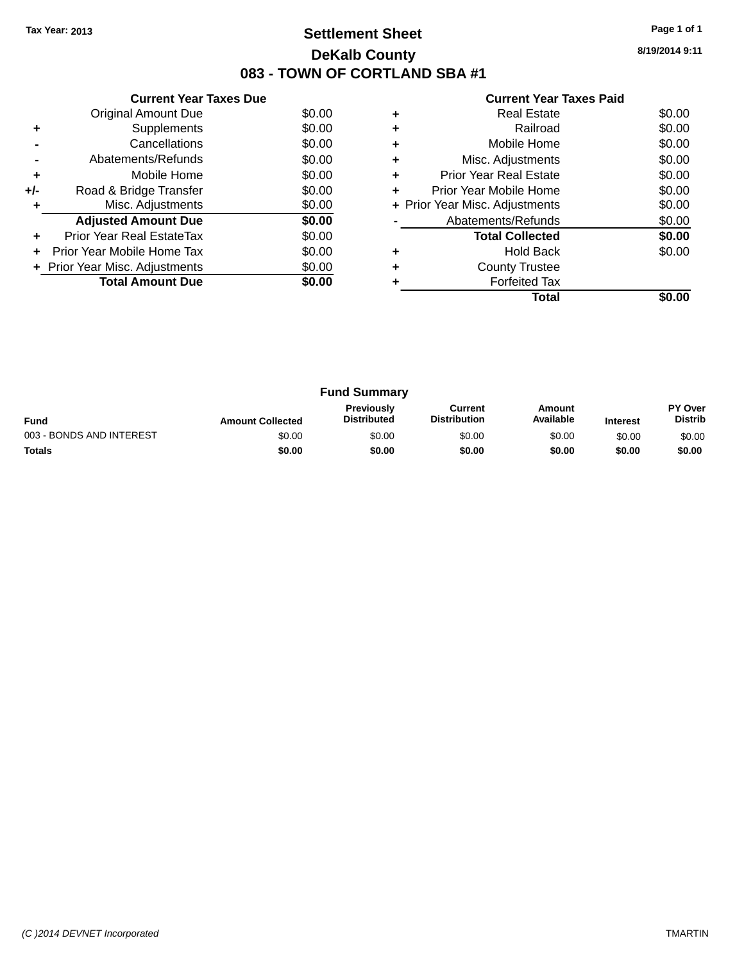### **Settlement Sheet Tax Year: 2013 Page 1 of 1 DeKalb County 083 - TOWN OF CORTLAND SBA #1**

**8/19/2014 9:11**

|     | <b>Current Year Taxes Due</b>  |        |
|-----|--------------------------------|--------|
|     | Original Amount Due            | \$0.00 |
| ٠   | Supplements                    | \$0.00 |
|     | Cancellations                  | \$0.00 |
|     | Abatements/Refunds             | \$0.00 |
| ٠   | Mobile Home                    | \$0.00 |
| +/- | Road & Bridge Transfer         | \$0.00 |
| ٠   | Misc. Adjustments              | \$0.00 |
|     | <b>Adjusted Amount Due</b>     | \$0.00 |
| ÷   | Prior Year Real EstateTax      | \$0.00 |
|     | Prior Year Mobile Home Tax     | \$0.00 |
|     | + Prior Year Misc. Adjustments | \$0.00 |
|     | <b>Total Amount Due</b>        | \$0.00 |
|     |                                |        |

|   | Real Estate                    | \$0.00 |
|---|--------------------------------|--------|
| ٠ | Railroad                       | \$0.00 |
| ٠ | Mobile Home                    | \$0.00 |
| ٠ | Misc. Adjustments              | \$0.00 |
| ٠ | <b>Prior Year Real Estate</b>  | \$0.00 |
| ÷ | Prior Year Mobile Home         | \$0.00 |
|   | + Prior Year Misc. Adjustments | \$0.00 |
|   | Abatements/Refunds             | \$0.00 |
|   | <b>Total Collected</b>         | \$0.00 |
|   | Hold Back                      | \$0.00 |
| ÷ | <b>County Trustee</b>          |        |
|   | <b>Forfeited Tax</b>           |        |
|   | Total                          |        |

|                          |                         | <b>Fund Summary</b>                     |                                |                     |                 |                                  |
|--------------------------|-------------------------|-----------------------------------------|--------------------------------|---------------------|-----------------|----------------------------------|
| <b>Fund</b>              | <b>Amount Collected</b> | <b>Previously</b><br><b>Distributed</b> | Current<br><b>Distribution</b> | Amount<br>Available | <b>Interest</b> | <b>PY Over</b><br><b>Distrib</b> |
| 003 - BONDS AND INTEREST | \$0.00                  | \$0.00                                  | \$0.00                         | \$0.00              | \$0.00          | \$0.00                           |
| <b>Totals</b>            | \$0.00                  | \$0.00                                  | \$0.00                         | \$0.00              | \$0.00          | \$0.00                           |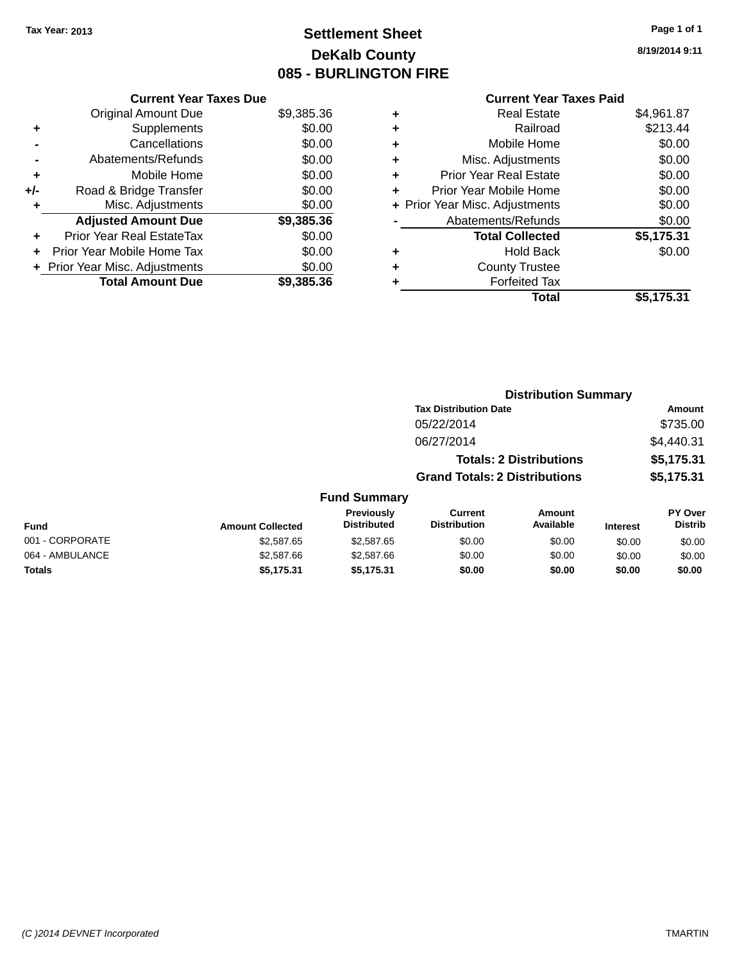### **Settlement Sheet Tax Year: 2013 Page 1 of 1 DeKalb County 085 - BURLINGTON FIRE**

**8/19/2014 9:11**

| <b>Current Year Taxes Due</b>  |            |
|--------------------------------|------------|
| <b>Original Amount Due</b>     | \$9,385.36 |
| Supplements                    | \$0.00     |
| Cancellations                  | \$0.00     |
| Abatements/Refunds             | \$0.00     |
| Mobile Home                    | \$0.00     |
| Road & Bridge Transfer         | \$0.00     |
| Misc. Adjustments              | \$0.00     |
| <b>Adjusted Amount Due</b>     | \$9,385.36 |
| Prior Year Real EstateTax      | \$0.00     |
| Prior Year Mobile Home Tax     | \$0.00     |
| + Prior Year Misc. Adjustments | \$0.00     |
| <b>Total Amount Due</b>        | \$9,385,36 |
|                                |            |

# **Current Year Taxes Paid**

|   | <b>Real Estate</b>             | \$4,961.87 |
|---|--------------------------------|------------|
| ٠ | Railroad                       | \$213.44   |
| ٠ | Mobile Home                    | \$0.00     |
| ٠ | Misc. Adjustments              | \$0.00     |
| ÷ | <b>Prior Year Real Estate</b>  | \$0.00     |
| ٠ | Prior Year Mobile Home         | \$0.00     |
|   | + Prior Year Misc. Adjustments | \$0.00     |
|   | Abatements/Refunds             | \$0.00     |
|   | <b>Total Collected</b>         | \$5,175.31 |
| ٠ | Hold Back                      | \$0.00     |
| ٠ | <b>County Trustee</b>          |            |
|   | <b>Forfeited Tax</b>           |            |
|   | Total                          | \$5,175.31 |
|   |                                |            |

|                 |                         |                                  | <b>Distribution Summary</b>           |                                |                 |                           |  |
|-----------------|-------------------------|----------------------------------|---------------------------------------|--------------------------------|-----------------|---------------------------|--|
|                 |                         |                                  | <b>Tax Distribution Date</b>          |                                |                 | Amount                    |  |
|                 |                         |                                  | 05/22/2014                            |                                |                 | \$735.00                  |  |
|                 |                         |                                  | 06/27/2014                            |                                |                 | \$4,440.31                |  |
|                 |                         |                                  |                                       | <b>Totals: 2 Distributions</b> |                 | \$5,175.31                |  |
|                 |                         |                                  | <b>Grand Totals: 2 Distributions</b>  |                                |                 | \$5,175.31                |  |
|                 |                         | <b>Fund Summary</b>              |                                       |                                |                 |                           |  |
| <b>Fund</b>     | <b>Amount Collected</b> | Previously<br><b>Distributed</b> | <b>Current</b><br><b>Distribution</b> | Amount<br>Available            | <b>Interest</b> | PY Over<br><b>Distrib</b> |  |
| 001 - CORPORATE | \$2,587.65              | \$2,587.65                       | \$0.00                                | \$0.00                         | \$0.00          | \$0.00                    |  |
| 064 - AMBULANCE | \$2,587.66              | \$2,587.66                       | \$0.00                                | \$0.00                         | \$0.00          | \$0.00                    |  |
| <b>Totals</b>   | \$5,175.31              | \$5,175.31                       | \$0.00                                | \$0.00                         | \$0.00          | \$0.00                    |  |
|                 |                         |                                  |                                       |                                |                 |                           |  |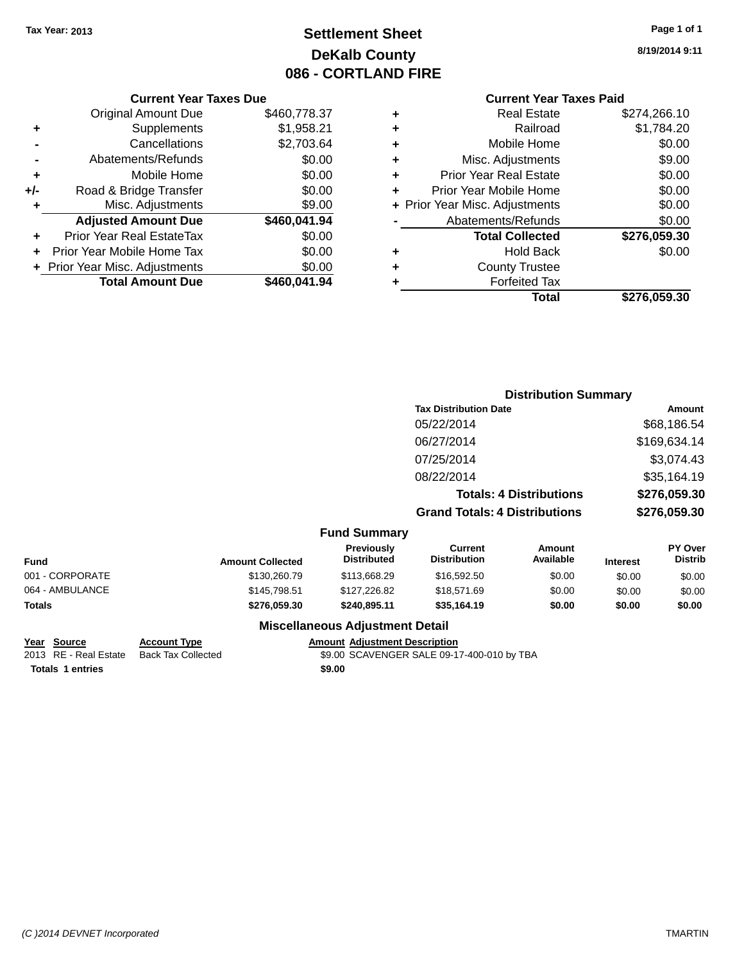### **Settlement Sheet Tax Year: 2013 Page 1 of 1 DeKalb County 086 - CORTLAND FIRE**

**8/19/2014 9:11**

#### **Current Year Taxes Paid**

|            |   | <b>UUITUILIUAI TAAUS LAIU</b>  |              |
|------------|---|--------------------------------|--------------|
| 60,778.37  | ٠ | <b>Real Estate</b>             | \$274,266.10 |
| \$1,958.21 | ÷ | Railroad                       | \$1,784.20   |
| 62,703.64  | ÷ | Mobile Home                    | \$0.00       |
| \$0.00     | ÷ | Misc. Adjustments              | \$9.00       |
| \$0.00     | ÷ | <b>Prior Year Real Estate</b>  | \$0.00       |
| \$0.00     | ÷ | Prior Year Mobile Home         | \$0.00       |
| \$9.00     |   | + Prior Year Misc. Adjustments | \$0.00       |
| 60,041.94  |   | Abatements/Refunds             | \$0.00       |
| \$0.00     |   | <b>Total Collected</b>         | \$276,059.30 |
| \$0.00     | ٠ | <b>Hold Back</b>               | \$0.00       |
| \$0.00     | ٠ | <b>County Trustee</b>          |              |
| 60.041.94  | ٠ | <b>Forfeited Tax</b>           |              |
|            |   | Total                          | \$276,059.30 |

**Distribution Summary**

|     | <b>Current Year Taxes Due</b>    |              |
|-----|----------------------------------|--------------|
|     | <b>Original Amount Due</b>       | \$460,778.37 |
| ٠   | Supplements                      | \$1,958.21   |
|     | Cancellations                    | \$2,703.64   |
|     | Abatements/Refunds               | \$0.00       |
| ٠   | Mobile Home                      | \$0.00       |
| +/- | Road & Bridge Transfer           | \$0.00       |
| ٠   | Misc. Adjustments                | \$9.00       |
|     | <b>Adjusted Amount Due</b>       | \$460,041.94 |
|     | <b>Prior Year Real EstateTax</b> | \$0.00       |
| ٠   | Prior Year Mobile Home Tax       | \$0.00       |
|     | + Prior Year Misc. Adjustments   | \$0.00       |
|     | <b>Total Amount Due</b>          | \$460,041.94 |

|                 |                         |                                         | <b>Tax Distribution Date</b>          |                                |                 | <b>Amount</b>                    |  |
|-----------------|-------------------------|-----------------------------------------|---------------------------------------|--------------------------------|-----------------|----------------------------------|--|
|                 |                         |                                         | 05/22/2014                            |                                |                 | \$68,186.54                      |  |
|                 |                         |                                         | 06/27/2014                            |                                | \$169,634.14    |                                  |  |
|                 |                         |                                         | 07/25/2014                            |                                |                 | \$3,074.43                       |  |
|                 |                         |                                         | 08/22/2014                            |                                |                 | \$35,164.19                      |  |
|                 |                         |                                         |                                       | <b>Totals: 4 Distributions</b> |                 | \$276,059.30                     |  |
|                 |                         |                                         | <b>Grand Totals: 4 Distributions</b>  |                                |                 | \$276,059.30                     |  |
|                 |                         | <b>Fund Summary</b>                     |                                       |                                |                 |                                  |  |
| Fund            | <b>Amount Collected</b> | <b>Previously</b><br><b>Distributed</b> | <b>Current</b><br><b>Distribution</b> | Amount<br>Available            | <b>Interest</b> | <b>PY Over</b><br><b>Distrib</b> |  |
| 001 - CORPORATE | \$130,260.79            | \$113,668.29                            | \$16,592.50                           | \$0.00                         | \$0.00          | \$0.00                           |  |
| 064 - AMBULANCE | \$145,798.51            | \$127,226.82                            | \$18.571.69                           | \$0.00                         | \$0.00          | \$0.00                           |  |
|                 |                         |                                         |                                       |                                |                 |                                  |  |

**Totals \$276,059.30 \$240,895.11 \$35,164.19 \$0.00 \$0.00 \$0.00**

#### **Miscellaneous Adjustment Detail**

**Totals 1 entries \$9.00**

**Year Source Account Type Amount Adjustment Description**<br>2013 RE - Real Estate Back Tax Collected \$9.00 SCAVENGER SALE 09-1 \$9.00 SCAVENGER SALE 09-17-400-010 by TBA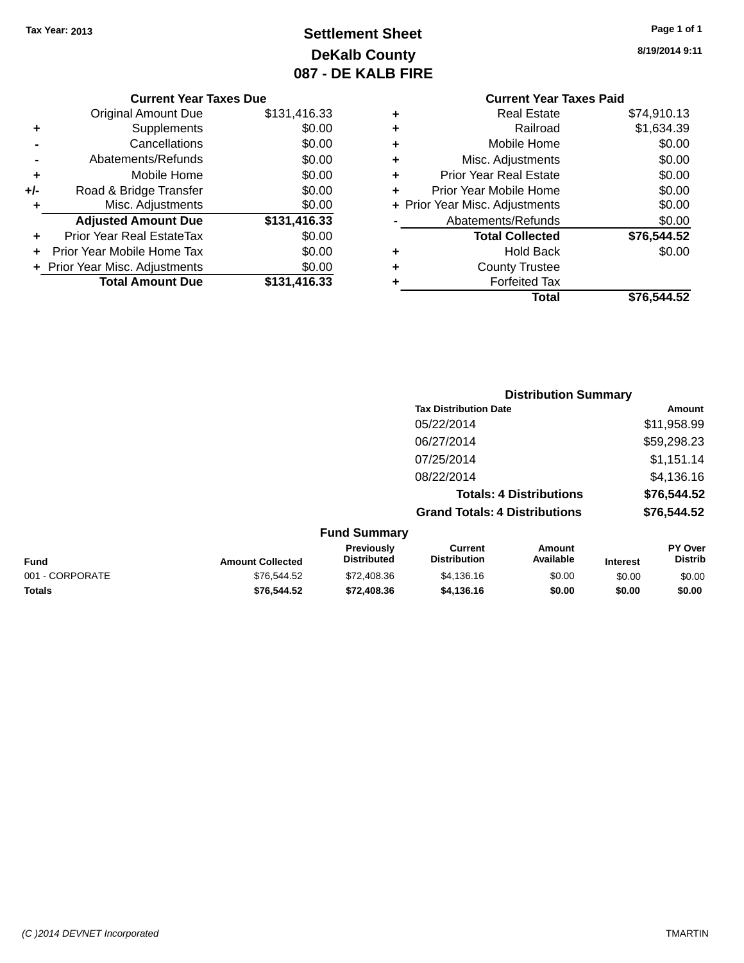## **Settlement Sheet Tax Year: 2013 Page 1 of 1 DeKalb County 087 - DE KALB FIRE**

**8/19/2014 9:11**

|                | <b>Current Year Taxes Due</b>    |              |  |  |  |  |  |
|----------------|----------------------------------|--------------|--|--|--|--|--|
|                | <b>Original Amount Due</b>       | \$131,416.33 |  |  |  |  |  |
| ٠              | Supplements                      | \$0.00       |  |  |  |  |  |
|                | Cancellations                    | \$0.00       |  |  |  |  |  |
| $\blacksquare$ | Abatements/Refunds               | \$0.00       |  |  |  |  |  |
| ٠              | Mobile Home                      | \$0.00       |  |  |  |  |  |
| +/-            | Road & Bridge Transfer           | \$0.00       |  |  |  |  |  |
| ٠              | Misc. Adjustments                | \$0.00       |  |  |  |  |  |
|                | <b>Adjusted Amount Due</b>       | \$131,416.33 |  |  |  |  |  |
| ٠              | <b>Prior Year Real EstateTax</b> | \$0.00       |  |  |  |  |  |
| ٠              | Prior Year Mobile Home Tax       | \$0.00       |  |  |  |  |  |
|                | + Prior Year Misc. Adjustments   | \$0.00       |  |  |  |  |  |
|                | <b>Total Amount Due</b>          | \$131,416.33 |  |  |  |  |  |

# **Current Year Taxes Paid**

| ٠ | <b>Real Estate</b>             | \$74,910.13 |
|---|--------------------------------|-------------|
| ٠ | Railroad                       | \$1,634.39  |
| ٠ | Mobile Home                    | \$0.00      |
| ٠ | Misc. Adjustments              | \$0.00      |
| ٠ | <b>Prior Year Real Estate</b>  | \$0.00      |
| ٠ | Prior Year Mobile Home         | \$0.00      |
|   | + Prior Year Misc. Adjustments | \$0.00      |
|   | Abatements/Refunds             | \$0.00      |
|   | <b>Total Collected</b>         | \$76,544.52 |
| ٠ | <b>Hold Back</b>               | \$0.00      |
| ٠ | <b>County Trustee</b>          |             |
| ٠ | <b>Forfeited Tax</b>           |             |
|   | Total                          | \$76.544.52 |
|   |                                |             |

|                 |                         |                                  | <b>Distribution Summary</b>           |                                |                 |                           |
|-----------------|-------------------------|----------------------------------|---------------------------------------|--------------------------------|-----------------|---------------------------|
|                 |                         |                                  | <b>Tax Distribution Date</b>          |                                |                 | <b>Amount</b>             |
|                 |                         |                                  | 05/22/2014                            |                                |                 | \$11,958.99               |
|                 |                         |                                  | 06/27/2014                            |                                |                 | \$59,298.23               |
|                 |                         |                                  | 07/25/2014                            |                                |                 | \$1,151.14                |
|                 |                         |                                  | 08/22/2014                            |                                |                 | \$4,136.16                |
|                 |                         |                                  |                                       | <b>Totals: 4 Distributions</b> |                 | \$76,544.52               |
|                 |                         |                                  | <b>Grand Totals: 4 Distributions</b>  |                                |                 | \$76,544.52               |
|                 |                         | <b>Fund Summary</b>              |                                       |                                |                 |                           |
| <b>Fund</b>     | <b>Amount Collected</b> | Previously<br><b>Distributed</b> | <b>Current</b><br><b>Distribution</b> | Amount<br>Available            | <b>Interest</b> | PY Over<br><b>Distrib</b> |
| 001 - CORPORATE | \$76,544.52             | \$72,408.36                      | \$4,136.16                            | \$0.00                         | \$0.00          | \$0.00                    |
| <b>Totals</b>   | \$76,544.52             | \$72,408.36                      | \$4,136.16                            | \$0.00                         | \$0.00          | \$0.00                    |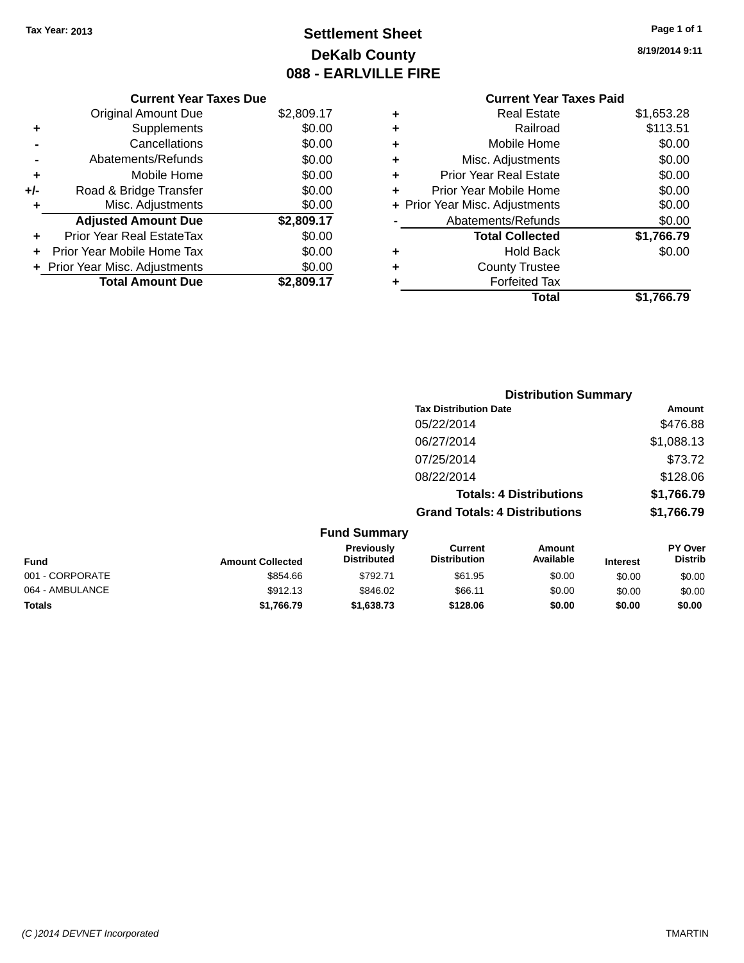## **Settlement Sheet Tax Year: 2013 Page 1 of 1 DeKalb County 088 - EARLVILLE FIRE**

**8/19/2014 9:11**

|     | <b>Current Year Taxes Due</b>  |            |
|-----|--------------------------------|------------|
|     | <b>Original Amount Due</b>     | \$2,809.17 |
| ٠   | Supplements                    | \$0.00     |
|     | Cancellations                  | \$0.00     |
|     | Abatements/Refunds             | \$0.00     |
| ٠   | Mobile Home                    | \$0.00     |
| +/- | Road & Bridge Transfer         | \$0.00     |
|     | Misc. Adjustments              | \$0.00     |
|     | <b>Adjusted Amount Due</b>     | \$2,809.17 |
| ÷   | Prior Year Real EstateTax      | \$0.00     |
|     | Prior Year Mobile Home Tax     | \$0.00     |
|     | + Prior Year Misc. Adjustments | \$0.00     |
|     | <b>Total Amount Due</b>        | \$2,809.17 |
|     |                                |            |

#### **Current Year Taxes Paid +** Real Estate \$1,653.28 **+** Railroad \$113.51 **+** Mobile Home \$0.00 **+** Misc. Adjustments \$0.00 **+** Prior Year Real Estate \$0.00 **+** Prior Year Mobile Home \$0.00 **+ Prior Year Misc. Adjustments**  $$0.00$ **-** Abatements/Refunds \$0.00 **Total Collected \$1,766.79 +** Hold Back \$0.00 **+** County Trustee **+** Forfeited Tax

**Total \$1,766.79**

|           | <b>Distribution Summary</b>          |            |
|-----------|--------------------------------------|------------|
|           | <b>Tax Distribution Date</b>         | Amount     |
|           | 05/22/2014                           | \$476.88   |
|           | 06/27/2014                           | \$1,088.13 |
|           | 07/25/2014                           | \$73.72    |
|           | 08/22/2014                           | \$128.06   |
|           | <b>Totals: 4 Distributions</b>       | \$1,766.79 |
|           | <b>Grand Totals: 4 Distributions</b> | \$1,766.79 |
| d Summary |                                      |            |

| <b>Fund Summary</b> |                         |                                  |                                       |                     |                 |                                  |  |
|---------------------|-------------------------|----------------------------------|---------------------------------------|---------------------|-----------------|----------------------------------|--|
| Fund                | <b>Amount Collected</b> | Previously<br><b>Distributed</b> | <b>Current</b><br><b>Distribution</b> | Amount<br>Available | <b>Interest</b> | <b>PY Over</b><br><b>Distrib</b> |  |
| 001 - CORPORATE     | \$854.66                | \$792.71                         | \$61.95                               | \$0.00              | \$0.00          | \$0.00                           |  |
| 064 - AMBULANCE     | \$912.13                | \$846.02                         | \$66.11                               | \$0.00              | \$0.00          | \$0.00                           |  |
| <b>Totals</b>       | \$1,766.79              | \$1,638.73                       | \$128.06                              | \$0.00              | \$0.00          | \$0.00                           |  |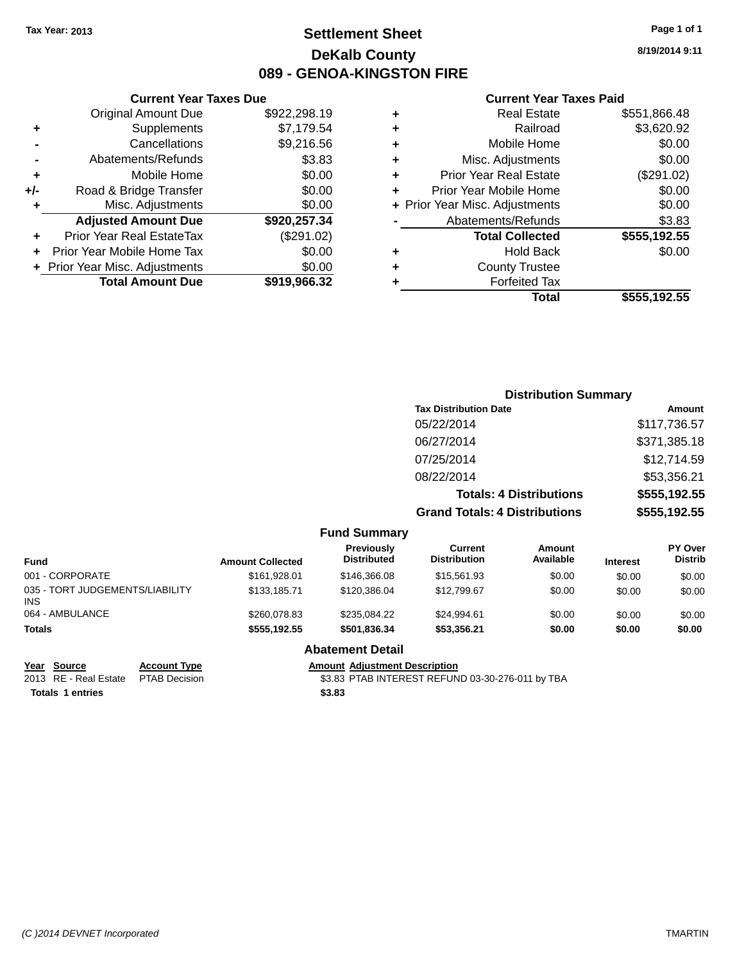### **Settlement Sheet Tax Year: 2013 Page 1 of 1 DeKalb County 089 - GENOA-KINGSTON FIRE**

**8/19/2014 9:11**

#### **Current Year Taxes Paid**

|     | OGNON, I GAL TANGO DAG           |              |      |
|-----|----------------------------------|--------------|------|
|     | <b>Original Amount Due</b>       | \$922,298.19 | ٠    |
|     | Supplements                      | \$7,179.54   | ٠    |
|     | Cancellations                    | \$9,216.56   | ٠    |
|     | Abatements/Refunds               | \$3.83       | ٠    |
|     | Mobile Home                      | \$0.00       |      |
| +/- | Road & Bridge Transfer           | \$0.00       | ٠    |
|     | Misc. Adjustments                | \$0.00       | + Pr |
|     | <b>Adjusted Amount Due</b>       | \$920,257.34 |      |
|     | <b>Prior Year Real EstateTax</b> | (\$291.02)   |      |
|     | Prior Year Mobile Home Tax       | \$0.00       |      |
|     | + Prior Year Misc. Adjustments   | \$0.00       | ٠    |
|     | <b>Total Amount Due</b>          | \$919,966.32 |      |
|     |                                  |              |      |

**Current Year Taxes Due**

|   | <b>Real Estate</b>             | \$551,866.48 |
|---|--------------------------------|--------------|
| ٠ | Railroad                       | \$3,620.92   |
| ٠ | Mobile Home                    | \$0.00       |
| ٠ | Misc. Adjustments              | \$0.00       |
| ٠ | <b>Prior Year Real Estate</b>  | (\$291.02)   |
| ٠ | Prior Year Mobile Home         | \$0.00       |
|   | + Prior Year Misc. Adjustments | \$0.00       |
|   | Abatements/Refunds             | \$3.83       |
|   | <b>Total Collected</b>         | \$555,192.55 |
| ٠ | <b>Hold Back</b>               | \$0.00       |
| ٠ | <b>County Trustee</b>          |              |
| ٠ | <b>Forfeited Tax</b>           |              |
|   | Total                          | \$555,192.55 |
|   |                                |              |

#### **Distribution Summary Tax Distribution Date Amount** 05/22/2014 \$117,736.57 06/27/2014 \$371,385.18 07/25/2014 \$12,714.59 08/22/2014 \$53,356.21 **Totals: 4 Distributions \$555,192.55 Grand Totals: 4 Distributions \$555,192.55 Fund Summary PY Over Distrib Amount Available Current Distribution Previously Amount Collected Distributed**

| <b>Amount Collected</b> | ι ι σνιυμειγ<br><b>Distributed</b> | uuru<br><b>Distribution</b> | <u>AIIIvuin</u><br>Available | <b>Interest</b> | וסיטו<br><b>Distrib</b> |
|-------------------------|------------------------------------|-----------------------------|------------------------------|-----------------|-------------------------|
| \$161.928.01            | \$146,366,08                       | \$15,561.93                 | \$0.00                       | \$0.00          | \$0.00                  |
| \$133.185.71            | \$120,386,04                       | \$12,799.67                 | \$0.00                       | \$0.00          | \$0.00                  |
| \$260.078.83            | \$235,084.22                       | \$24.994.61                 | \$0.00                       | \$0.00          | \$0.00                  |
| \$555,192.55            | \$501,836.34                       | \$53,356.21                 | \$0.00                       | \$0.00          | \$0.00                  |
|                         |                                    |                             |                              |                 |                         |

#### **Abatement Detail**

**<u>Year Source</u> <b>Account Type Amount Adjustment Description**<br>
2013 RE - Real Estate PTAB Decision **63.83 PTAB INTEREST REFUN** 

**Totals 1 entries \$3.83**

\$3.83 PTAB INTEREST REFUND 03-30-276-011 by TBA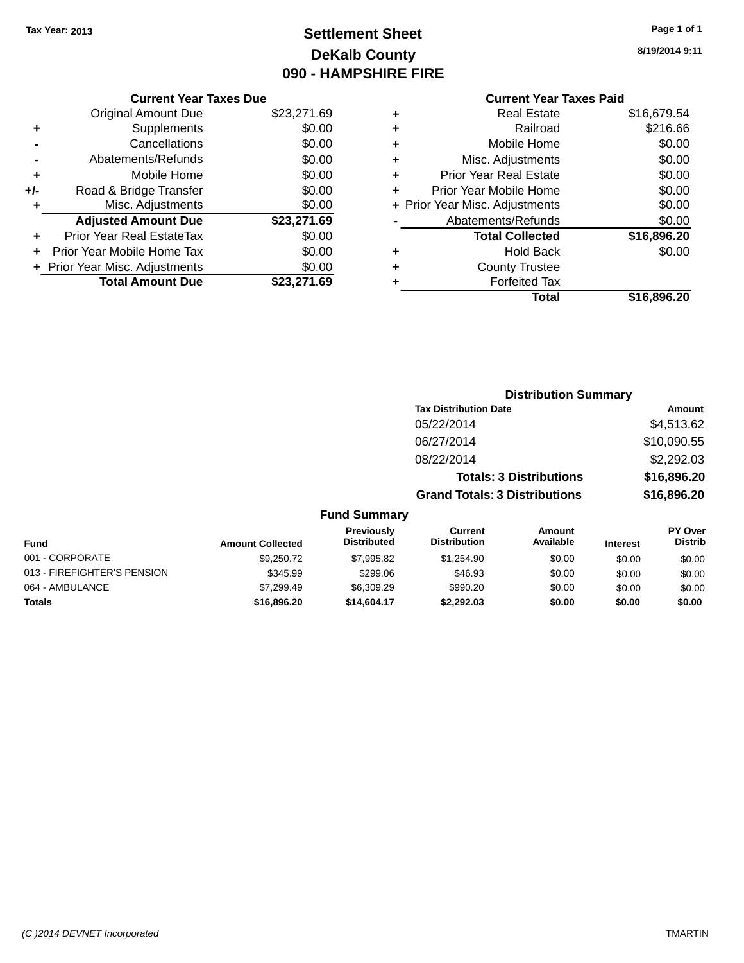### **Settlement Sheet Tax Year: 2013 Page 1 of 1 DeKalb County 090 - HAMPSHIRE FIRE**

|  |  |  | 8/19/2014 9:11 |
|--|--|--|----------------|
|--|--|--|----------------|

## **Current Year Taxes Paid**

|       | <b>Current Year Taxes Due</b>  |             |
|-------|--------------------------------|-------------|
|       | <b>Original Amount Due</b>     | \$23,271.69 |
| ÷     | Supplements                    | \$0.00      |
|       | Cancellations                  | \$0.00      |
|       | Abatements/Refunds             | \$0.00      |
| ٠     | Mobile Home                    | \$0.00      |
| $+/-$ | Road & Bridge Transfer         | \$0.00      |
| ٠     | Misc. Adjustments              | \$0.00      |
|       | <b>Adjusted Amount Due</b>     | \$23,271.69 |
| ٠     | Prior Year Real EstateTax      | \$0.00      |
| ٠     | Prior Year Mobile Home Tax     | \$0.00      |
|       | + Prior Year Misc. Adjustments | \$0.00      |
|       | <b>Total Amount Due</b>        | \$23,271.69 |
|       |                                |             |

| ٠ | <b>Real Estate</b>             | \$16,679.54 |
|---|--------------------------------|-------------|
| ٠ | Railroad                       | \$216.66    |
| ٠ | Mobile Home                    | \$0.00      |
| ٠ | Misc. Adjustments              | \$0.00      |
| ٠ | <b>Prior Year Real Estate</b>  | \$0.00      |
| ÷ | Prior Year Mobile Home         | \$0.00      |
|   | + Prior Year Misc. Adjustments | \$0.00      |
|   | Abatements/Refunds             | \$0.00      |
|   | <b>Total Collected</b>         | \$16,896.20 |
| ٠ | Hold Back                      | \$0.00      |
|   | <b>County Trustee</b>          |             |
| ٠ | <b>Forfeited Tax</b>           |             |
|   | Total                          | \$16,896.20 |
|   |                                |             |

|              |                                  |                                      | <b>Distribution Summary</b>    |                 |                           |  |
|--------------|----------------------------------|--------------------------------------|--------------------------------|-----------------|---------------------------|--|
|              |                                  | <b>Tax Distribution Date</b>         |                                |                 | Amount                    |  |
|              |                                  | 05/22/2014                           |                                |                 | \$4,513.62                |  |
|              |                                  | 06/27/2014                           |                                |                 | \$10,090.55               |  |
|              | 08/22/2014                       |                                      |                                | \$2,292.03      |                           |  |
|              |                                  |                                      | <b>Totals: 3 Distributions</b> |                 | \$16,896.20               |  |
|              |                                  | <b>Grand Totals: 3 Distributions</b> |                                |                 | \$16,896.20               |  |
|              | <b>Fund Summary</b>              |                                      |                                |                 |                           |  |
| nt Collected | Previously<br><b>Distributed</b> | Current<br><b>Distribution</b>       | Amount<br>Available            | <b>Interest</b> | PY Over<br><b>Distrib</b> |  |
|              |                                  |                                      |                                |                 |                           |  |

| <b>Fund</b>                 | <b>Amount Collected</b> | <b>Distributed</b> | <b>Distribution</b> | Available | <b>Interest</b> | <b>Distrib</b> |
|-----------------------------|-------------------------|--------------------|---------------------|-----------|-----------------|----------------|
| 001 - CORPORATE             | \$9,250,72              | \$7.995.82         | \$1.254.90          | \$0.00    | \$0.00          | \$0.00         |
| 013 - FIREFIGHTER'S PENSION | \$345.99                | \$299.06           | \$46.93             | \$0.00    | \$0.00          | \$0.00         |
| 064 - AMBULANCE             | \$7.299.49              | \$6.309.29         | \$990.20            | \$0.00    | \$0.00          | \$0.00         |
| <b>Totals</b>               | \$16,896,20             | \$14,604.17        | \$2.292.03          | \$0.00    | \$0.00          | \$0.00         |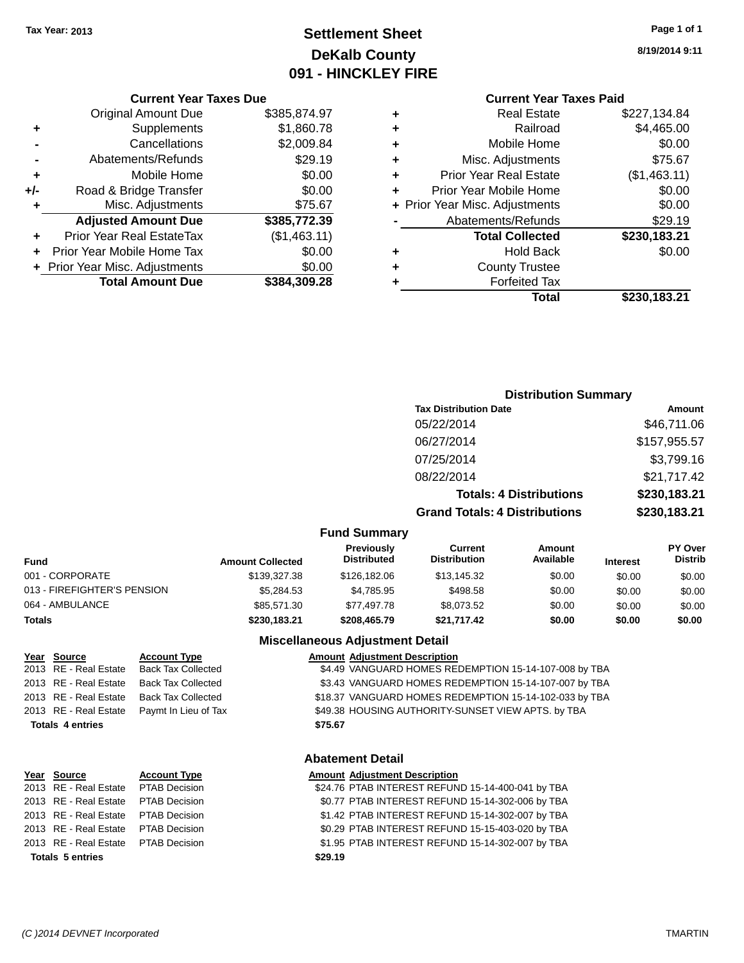## **Settlement Sheet Tax Year: 2013 Page 1 of 1 DeKalb County 091 - HINCKLEY FIRE**

**8/19/2014 9:11**

#### **Current Year Taxes Paid**

|       | <b>Current Year Taxes Due</b>  |              |
|-------|--------------------------------|--------------|
|       | <b>Original Amount Due</b>     | \$385,874.97 |
| ٠     | Supplements                    | \$1,860.78   |
|       | Cancellations                  | \$2,009.84   |
|       | Abatements/Refunds             | \$29.19      |
| ٠     | Mobile Home                    | \$0.00       |
| $+/-$ | Road & Bridge Transfer         | \$0.00       |
| ٠     | Misc. Adjustments              | \$75.67      |
|       | <b>Adjusted Amount Due</b>     | \$385,772.39 |
| ٠     | Prior Year Real EstateTax      | (\$1,463.11) |
|       | Prior Year Mobile Home Tax     | \$0.00       |
|       | + Prior Year Misc. Adjustments | \$0.00       |
|       | <b>Total Amount Due</b>        | \$384.309.28 |
|       |                                |              |

| ٠ | <b>Real Estate</b>             | \$227,134.84 |
|---|--------------------------------|--------------|
| ٠ | Railroad                       | \$4,465.00   |
| ٠ | Mobile Home                    | \$0.00       |
| ٠ | Misc. Adjustments              | \$75.67      |
| ٠ | <b>Prior Year Real Estate</b>  | (\$1,463.11) |
| ٠ | Prior Year Mobile Home         | \$0.00       |
|   | + Prior Year Misc. Adjustments | \$0.00       |
|   | Abatements/Refunds             | \$29.19      |
|   | <b>Total Collected</b>         | \$230,183.21 |
| ٠ | <b>Hold Back</b>               | \$0.00       |
|   | <b>County Trustee</b>          |              |
| ٠ | <b>Forfeited Tax</b>           |              |
|   | Total                          | \$230,183.21 |
|   |                                |              |

### **Distribution Summary Tax Distribution Date Amount** 05/22/2014 \$46,711.06 06/27/2014 \$157,955.57 07/25/2014 \$3,799.16 08/22/2014 \$21,717.42 **Totals: 4 Distributions \$230,183.21 Grand Totals: 4 Distributions \$230,183.21 Fund Summary**

| <b>Fund</b>                 | <b>Amount Collected</b> | <b>Previously</b><br><b>Distributed</b> | Current<br><b>Distribution</b> | Amount<br>Available | <b>Interest</b> | <b>PY Over</b><br><b>Distrib</b> |
|-----------------------------|-------------------------|-----------------------------------------|--------------------------------|---------------------|-----------------|----------------------------------|
| 001 - CORPORATE             | \$139,327,38            | \$126,182,06                            | \$13,145.32                    | \$0.00              | \$0.00          | \$0.00                           |
| 013 - FIREFIGHTER'S PENSION | \$5.284.53              | \$4.785.95                              | \$498.58                       | \$0.00              | \$0.00          | \$0.00                           |
| 064 - AMBULANCE             | \$85,571,30             | \$77.497.78                             | \$8.073.52                     | \$0.00              | \$0.00          | \$0.00                           |
| <b>Totals</b>               | \$230,183.21            | \$208,465.79                            | \$21,717.42                    | \$0.00              | \$0.00          | \$0.00                           |

#### **Miscellaneous Adjustment Detail**

| Year Source             | <b>Account Type</b>       | <b>Amount Adjustment Description</b>                   |
|-------------------------|---------------------------|--------------------------------------------------------|
| 2013 RE - Real Estate   | <b>Back Tax Collected</b> | \$4.49 VANGUARD HOMES REDEMPTION 15-14-107-008 by TBA  |
| 2013 RE - Real Estate   | <b>Back Tax Collected</b> | \$3.43 VANGUARD HOMES REDEMPTION 15-14-107-007 by TBA  |
| 2013 RE - Real Estate   | <b>Back Tax Collected</b> | \$18.37 VANGUARD HOMES REDEMPTION 15-14-102-033 by TBA |
| 2013 RE - Real Estate   | Paymt In Lieu of Tax      | \$49.38 HOUSING AUTHORITY-SUNSET VIEW APTS. by TBA     |
| <b>Totals 4 entries</b> |                           | \$75.67                                                |
|                         |                           |                                                        |
|                         |                           |                                                        |

#### **Abatement Detail**

### **Year** Source **Account Type Account Type Amount Adjustment Description**

| 2013 RE - Real Estate PTAB Decision<br><b>Totals 5 entries</b> | \$1.95 PTAB INTEREST REFUND 15-14-302-007 by TBA<br>\$29.19 |
|----------------------------------------------------------------|-------------------------------------------------------------|
| 2013 RE - Real Estate PTAB Decision                            | \$0.29 PTAB INTEREST REFUND 15-15-403-020 by TBA            |
| 2013 RE - Real Estate PTAB Decision                            | \$1.42 PTAB INTEREST REFUND 15-14-302-007 by TBA            |
| 2013 RE - Real Estate PTAB Decision                            | \$0.77 PTAB INTEREST REFUND 15-14-302-006 by TBA            |
| 2013 RE - Real Estate PTAB Decision                            | \$24.76 PTAB INTEREST REFUND 15-14-400-041 by TBA           |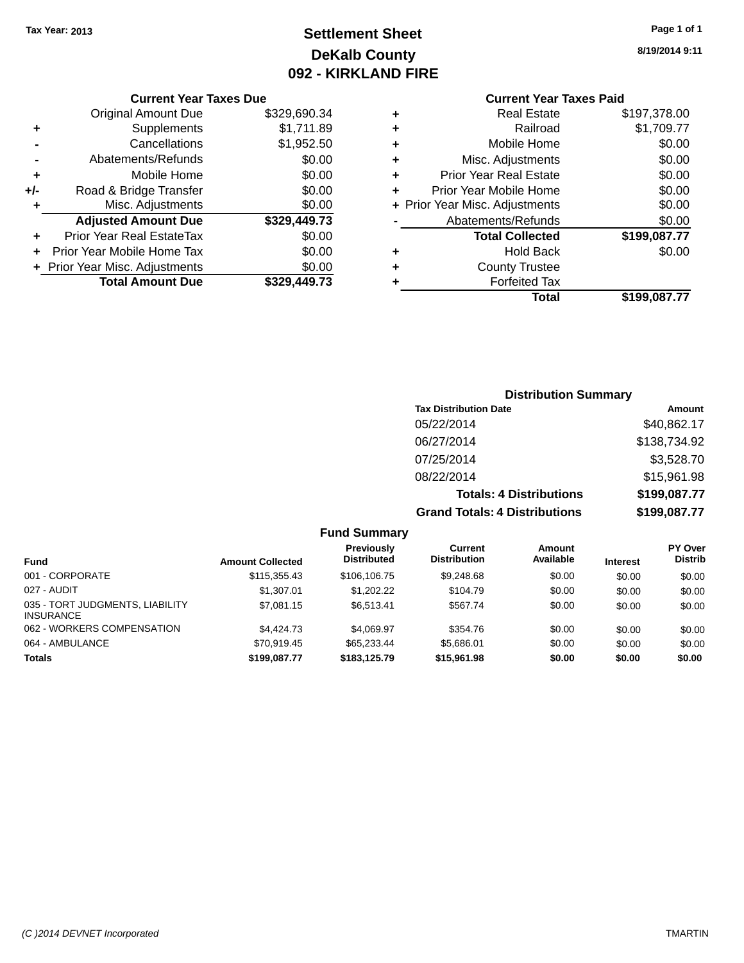### **Settlement Sheet Tax Year: 2013 Page 1 of 1 DeKalb County 092 - KIRKLAND FIRE**

**8/19/2014 9:11**

|     | Prior Year Mobile Home Tax | \$0.00<br>\$0.00 |
|-----|----------------------------|------------------|
|     | Prior Year Real EstateTax  |                  |
|     | <b>Adjusted Amount Due</b> | \$329,449.73     |
| ٠   | Misc. Adjustments          | \$0.00           |
| +/- | Road & Bridge Transfer     | \$0.00           |
| ٠   | Mobile Home                | \$0.00           |
|     | Abatements/Refunds         | \$0.00           |
|     | Cancellations              | \$1,952.50       |
| ٠   | Supplements                | \$1,711.89       |
|     | <b>Original Amount Due</b> | \$329,690.34     |

#### **Current Year Taxes Paid +** Real Estate \$197,378.00 **+** Railroad \$1,709.77 **+** Mobile Home \$0.00 **+** Misc. Adjustments \$0.00 **+** Prior Year Real Estate \$0.00 **+** Prior Year Mobile Home

|   | Total                          | \$199,087.77 |
|---|--------------------------------|--------------|
| ÷ | <b>Forfeited Tax</b>           |              |
| ÷ | <b>County Trustee</b>          |              |
|   | <b>Hold Back</b>               | \$0.00       |
|   | <b>Total Collected</b>         | \$199,087.77 |
|   | Abatements/Refunds             | \$0.00       |
|   | + Prior Year Misc. Adjustments | \$0.00       |
|   | טווטו דטוועטויו וטטר וטוו      | 90.UU        |

#### **Distribution Summary Tax Distribution Date Amount** 05/22/2014 \$40,862.17 06/27/2014 \$138,734.92 07/25/2014 \$3,528.70 08/22/2014 \$15,961.98 **Totals: 4 Distributions \$199,087.77 Grand Totals: 4 Distributions \$199,087.77**

|                                                     |                         | <b>Fund Summary</b>              |                                |                            |                 |                                  |
|-----------------------------------------------------|-------------------------|----------------------------------|--------------------------------|----------------------------|-----------------|----------------------------------|
| <b>Fund</b>                                         | <b>Amount Collected</b> | Previously<br><b>Distributed</b> | Current<br><b>Distribution</b> | <b>Amount</b><br>Available | <b>Interest</b> | <b>PY Over</b><br><b>Distrib</b> |
| 001 - CORPORATE                                     | \$115,355.43            | \$106,106.75                     | \$9,248.68                     | \$0.00                     | \$0.00          | \$0.00                           |
| 027 - AUDIT                                         | \$1,307.01              | \$1,202.22                       | \$104.79                       | \$0.00                     | \$0.00          | \$0.00                           |
| 035 - TORT JUDGMENTS, LIABILITY<br><b>INSURANCE</b> | \$7,081.15              | \$6,513.41                       | \$567.74                       | \$0.00                     | \$0.00          | \$0.00                           |
| 062 - WORKERS COMPENSATION                          | \$4,424,73              | \$4.069.97                       | \$354.76                       | \$0.00                     | \$0.00          | \$0.00                           |
| 064 - AMBULANCE                                     | \$70.919.45             | \$65,233,44                      | \$5,686.01                     | \$0.00                     | \$0.00          | \$0.00                           |
| <b>Totals</b>                                       | \$199.087.77            | \$183,125,79                     | \$15,961.98                    | \$0.00                     | \$0.00          | \$0.00                           |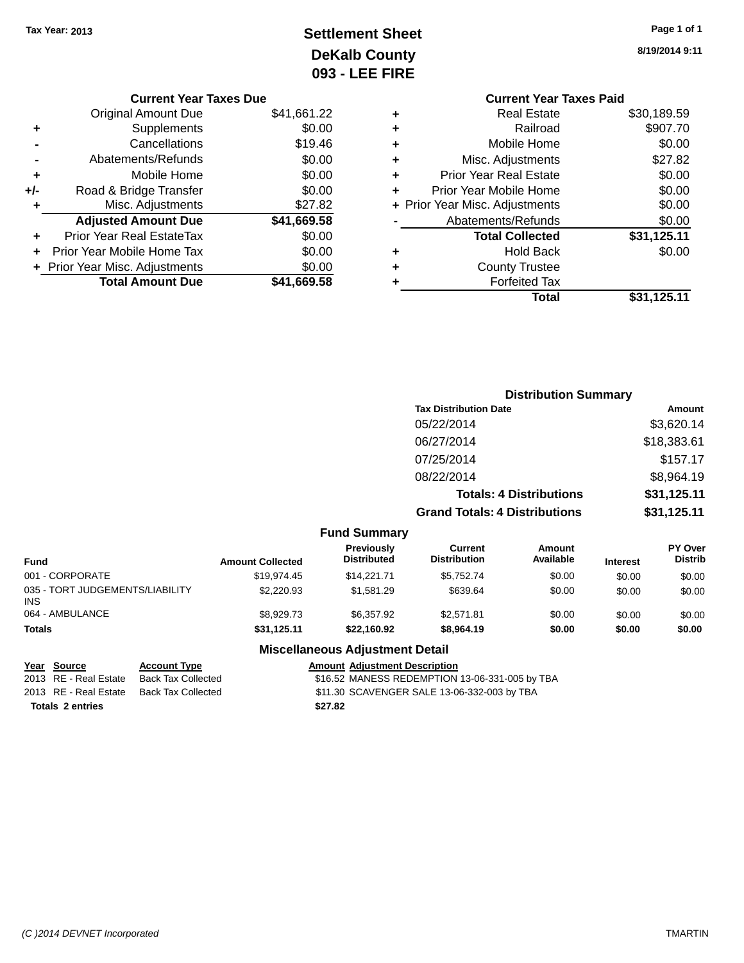## **Settlement Sheet Tax Year: 2013 Page 1 of 1 DeKalb County 093 - LEE FIRE**

| Page 1 of 1 |  |  |  |
|-------------|--|--|--|
|-------------|--|--|--|

**8/19/2014 9:11**

|   | <b>Current Year Taxes Paid</b> |             |
|---|--------------------------------|-------------|
| ٠ | Real Estate                    | \$30,189.59 |
| ٠ | Railroad                       | \$907.70    |
| ٠ | Mobile Home                    | \$0.00      |
| ٠ | Misc. Adjustments              | \$27.82     |
| ٠ | <b>Prior Year Real Estate</b>  | \$0.00      |
| ÷ | Prior Year Mobile Home         | \$0.00      |
|   | + Prior Year Misc. Adjustments | \$0.00      |
|   | Abatements/Refunds             | \$0.00      |
|   | <b>Total Collected</b>         | \$31,125.11 |
| ٠ | <b>Hold Back</b>               | \$0.00      |
|   | <b>County Trustee</b>          |             |
|   | <b>Forfeited Tax</b>           |             |
|   | Total                          | \$31,125.11 |
|   |                                |             |

|     | <b>Current Year Taxes Due</b>    |             |
|-----|----------------------------------|-------------|
|     | Original Amount Due              | \$41,661.22 |
| ٠   | Supplements                      | \$0.00      |
|     | Cancellations                    | \$19.46     |
|     | Abatements/Refunds               | \$0.00      |
| ٠   | Mobile Home                      | \$0.00      |
| +/- | Road & Bridge Transfer           | \$0.00      |
| ٠   | Misc. Adjustments                | \$27.82     |
|     | <b>Adjusted Amount Due</b>       | \$41,669.58 |
|     | <b>Prior Year Real EstateTax</b> | \$0.00      |
| ÷   | Prior Year Mobile Home Tax       | \$0.00      |
|     | + Prior Year Misc. Adjustments   | \$0.00      |
|     | <b>Total Amount Due</b>          | \$41,669.58 |
|     |                                  |             |

|                                   |                                      | <b>Distribution Summary</b>    |                                  |
|-----------------------------------|--------------------------------------|--------------------------------|----------------------------------|
|                                   | <b>Tax Distribution Date</b>         |                                | Amount                           |
|                                   | 05/22/2014                           |                                | \$3,620.14                       |
|                                   | 06/27/2014                           |                                | \$18,383.61                      |
|                                   | 07/25/2014                           |                                | \$157.17                         |
|                                   | 08/22/2014                           |                                | \$8,964.19                       |
|                                   |                                      | <b>Totals: 4 Distributions</b> | \$31,125.11                      |
|                                   | <b>Grand Totals: 4 Distributions</b> |                                | \$31,125.11                      |
| <b>Fund Summary</b>               |                                      |                                |                                  |
| <b>Previously</b><br>Diatrik da d | Current<br>Distribution              | Amount<br>$A \cdot A$          | <b>PY Over</b><br><b>Diatrik</b> |

| 001 - CORPORATE<br>\$19.974.45<br>\$14.221.71<br>\$5.752.74<br>\$0.00<br>\$0.00<br>035 - TORT JUDGEMENTS/LIABILITY<br>\$2,220.93<br>\$1.581.29<br>\$639.64<br>\$0.00<br>\$0.00<br>INS<br>064 - AMBULANCE<br>\$8,929.73<br>\$6,357.92<br>\$0.00<br>\$2.571.81<br>\$0.00<br>\$22,160.92<br>\$0.00<br>Totals<br>\$31.125.11<br>\$0.00<br>\$8,964.19 | Fund | <b>Amount Collected</b> | <b>Previousiv</b><br><b>Distributed</b> | Current<br><b>Distribution</b> | Amount<br>Available | <b>Interest</b> | <b>PY Over</b><br><b>Distrib</b> |
|--------------------------------------------------------------------------------------------------------------------------------------------------------------------------------------------------------------------------------------------------------------------------------------------------------------------------------------------------|------|-------------------------|-----------------------------------------|--------------------------------|---------------------|-----------------|----------------------------------|
|                                                                                                                                                                                                                                                                                                                                                  |      |                         |                                         |                                |                     |                 | \$0.00                           |
|                                                                                                                                                                                                                                                                                                                                                  |      |                         |                                         |                                |                     |                 | \$0.00                           |
|                                                                                                                                                                                                                                                                                                                                                  |      |                         |                                         |                                |                     |                 | \$0.00                           |
|                                                                                                                                                                                                                                                                                                                                                  |      |                         |                                         |                                |                     |                 | \$0.00                           |

#### **Miscellaneous Adjustment Detail**

| Year Source             | <b>Account Type</b> | Amount  |
|-------------------------|---------------------|---------|
| 2013 RE - Real Estate   | Back Tax Collected  | \$16.52 |
| 2013 RE - Real Estate   | Back Tax Collected  | \$11.30 |
| <b>Totals 2 entries</b> |                     | \$27.82 |

**<u>Ruide Account Type</u><br>Mack Tax Collected Face Controller State State Collected State State State State State State State State State S**  $$16.52$  MANESS REDEMPTION 13-06-331-005 by TBA ack Tax Collected **\$11.30 SCAVENGER SALE 13-06-332-003 by TBA**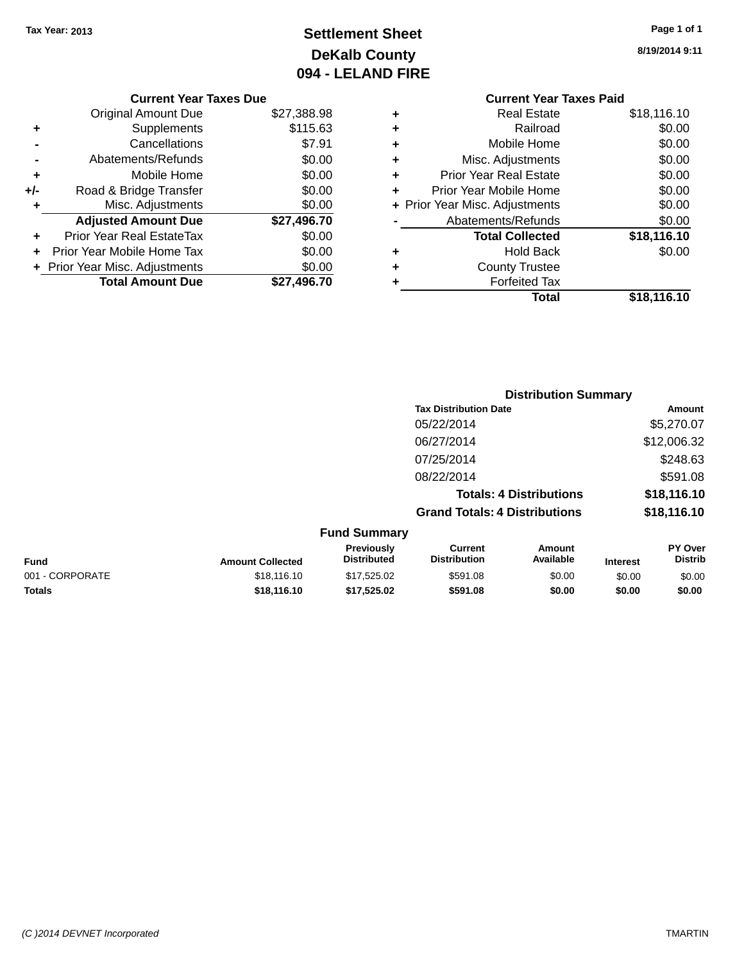## **Settlement Sheet Tax Year: 2013 Page 1 of 1 DeKalb County 094 - LELAND FIRE**

**8/19/2014 9:11**

#### **Current Year Taxes Paid +** Real Estate \$18,116.10 **+** Railroad \$0.00 **+** Mobile Home \$0.00 **+** Misc. Adjustments \$0.00 **+** Prior Year Real Estate \$0.00 **+** Prior Year Mobile Home \$0.00 **+ Prior Year Misc. Adjustments**  $$0.00$ Abatements/Refunds \$0.00 **Total Collected \$18,116.10 +** Hold Back \$0.00 **+** County Trustee **+** Forfeited Tax **Total \$18,116.10**

**Distribution Summary**

**Tax Distribution Date Amount** 05/22/2014 \$5.270.07 06/27/2014 \$12,006.32 07/25/2014 \$248.63 08/22/2014 \$591.08 **Totals: 4 Distributions \$18,116.10 Grand Totals: 4 Distributions \$18,116.10 Fund Summary Fund Interest Amount Collected Distributed PY Over Distrib Amount Available Current Distribution Previously** 001 - CORPORATE \$18,116.10 \$17,525.02 \$591.08 \$0.00 \$0.00 \$0.00 **Totals \$18,116.10 \$17,525.02 \$591.08 \$0.00 \$0.00 \$0.00**

|       | <b>Current Year Taxes Due</b>    |             |  |
|-------|----------------------------------|-------------|--|
|       | <b>Original Amount Due</b>       | \$27,388.98 |  |
| ٠     | Supplements                      | \$115.63    |  |
|       | Cancellations                    | \$7.91      |  |
|       | Abatements/Refunds               | \$0.00      |  |
| ٠     | Mobile Home                      | \$0.00      |  |
| $+/-$ | Road & Bridge Transfer           | \$0.00      |  |
| ٠     | Misc. Adjustments                | \$0.00      |  |
|       | <b>Adjusted Amount Due</b>       | \$27,496.70 |  |
|       | <b>Prior Year Real EstateTax</b> | \$0.00      |  |
|       | Prior Year Mobile Home Tax       | \$0.00      |  |
|       | + Prior Year Misc. Adjustments   | \$0.00      |  |
|       | <b>Total Amount Due</b>          | \$27,496.70 |  |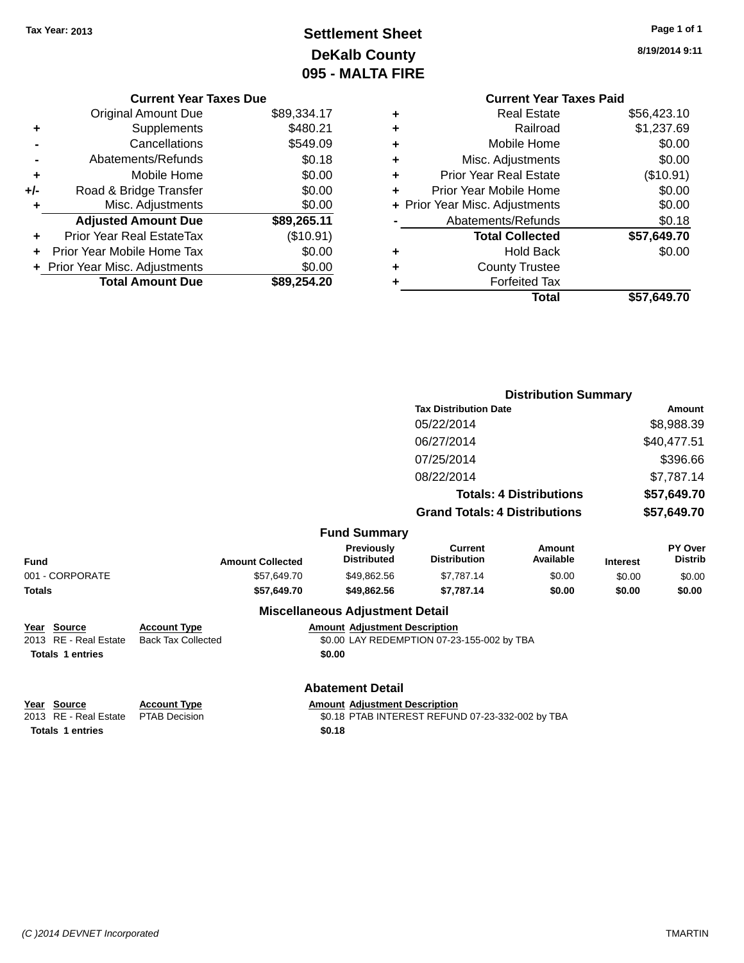## **Settlement Sheet Tax Year: 2013 Page 1 of 1 DeKalb County 095 - MALTA FIRE**

**8/19/2014 9:11**

|   | <b>Current Year Taxes Paid</b> |             |  |  |
|---|--------------------------------|-------------|--|--|
| ٠ | Real Estate                    | \$56,423.10 |  |  |
| ٠ | Railroad                       | \$1,237.69  |  |  |
| ٠ | Mobile Home                    | \$0.00      |  |  |
| ٠ | Misc. Adjustments              | \$0.00      |  |  |
| ٠ | <b>Prior Year Real Estate</b>  | (\$10.91)   |  |  |
| ÷ | Prior Year Mobile Home         | \$0.00      |  |  |
|   | + Prior Year Misc. Adjustments | \$0.00      |  |  |
|   | Abatements/Refunds             | \$0.18      |  |  |
|   | <b>Total Collected</b>         | \$57,649.70 |  |  |
| ٠ | <b>Hold Back</b>               | \$0.00      |  |  |
| ٠ | <b>County Trustee</b>          |             |  |  |
| ٠ | <b>Forfeited Tax</b>           |             |  |  |
|   | Total                          | \$57,649.70 |  |  |
|   |                                |             |  |  |

|     | <b>Current Year Taxes Due</b>  |             |
|-----|--------------------------------|-------------|
|     | Original Amount Due            | \$89,334.17 |
| ٠   | Supplements                    | \$480.21    |
|     | Cancellations                  | \$549.09    |
|     | Abatements/Refunds             | \$0.18      |
| ٠   | Mobile Home                    | \$0.00      |
| +/- | Road & Bridge Transfer         | \$0.00      |
| ٠   | Misc. Adjustments              | \$0.00      |
|     | <b>Adjusted Amount Due</b>     | \$89,265.11 |
| ٠   | Prior Year Real EstateTax      | (\$10.91)   |
|     | Prior Year Mobile Home Tax     | \$0.00      |
|     | + Prior Year Misc. Adjustments | \$0.00      |
|     | <b>Total Amount Due</b>        | \$89,254.20 |

|                         | <b>Distribution Summary</b> |                                         |                                            |                                |                 |                                  |
|-------------------------|-----------------------------|-----------------------------------------|--------------------------------------------|--------------------------------|-----------------|----------------------------------|
|                         |                             |                                         | <b>Tax Distribution Date</b>               |                                |                 | <b>Amount</b>                    |
|                         |                             |                                         | 05/22/2014                                 |                                |                 | \$8,988.39                       |
| 06/27/2014              |                             |                                         | \$40,477.51                                |                                |                 |                                  |
|                         |                             |                                         | 07/25/2014                                 |                                |                 | \$396.66                         |
|                         |                             |                                         | 08/22/2014                                 |                                |                 | \$7,787.14                       |
|                         |                             |                                         |                                            | <b>Totals: 4 Distributions</b> |                 | \$57,649.70                      |
|                         |                             |                                         | <b>Grand Totals: 4 Distributions</b>       |                                |                 | \$57,649.70                      |
|                         |                             | <b>Fund Summary</b>                     |                                            |                                |                 |                                  |
| Fund                    | <b>Amount Collected</b>     | <b>Previously</b><br><b>Distributed</b> | Current<br><b>Distribution</b>             | Amount<br>Available            | <b>Interest</b> | <b>PY Over</b><br><b>Distrib</b> |
| 001 - CORPORATE         | \$57,649.70                 | \$49,862.56                             | \$7,787.14                                 | \$0.00                         | \$0.00          | \$0.00                           |
| Totals                  | \$57,649.70                 | \$49,862.56                             | \$7,787.14                                 | \$0.00                         | \$0.00          | \$0.00                           |
|                         |                             | <b>Miscellaneous Adjustment Detail</b>  |                                            |                                |                 |                                  |
| Year Source             | <b>Account Type</b>         | <b>Amount Adjustment Description</b>    |                                            |                                |                 |                                  |
| 2013 RE - Real Estate   | <b>Back Tax Collected</b>   |                                         | \$0.00 LAY REDEMPTION 07-23-155-002 by TBA |                                |                 |                                  |
| <b>Totals 1 entries</b> |                             | \$0.00                                  |                                            |                                |                 |                                  |
|                         |                             | <b>Abatement Detail</b>                 |                                            |                                |                 |                                  |

| rear source                                                                                                     |  |  |  |
|-----------------------------------------------------------------------------------------------------------------|--|--|--|
| 2013 RE - Real Estate                                                                                           |  |  |  |
| where the contract and contract the contract of the contract of the contract of the contract of the contract of |  |  |  |

**Totals 1 entries \$0.18**

**Year Source Account Type**<br>
2013 RE - Real Estate PTAB Decision **Amount Adjustment Description**<br>
\$0.18 PTAB INTEREST REFUN \$0.18 PTAB INTEREST REFUND 07-23-332-002 by TBA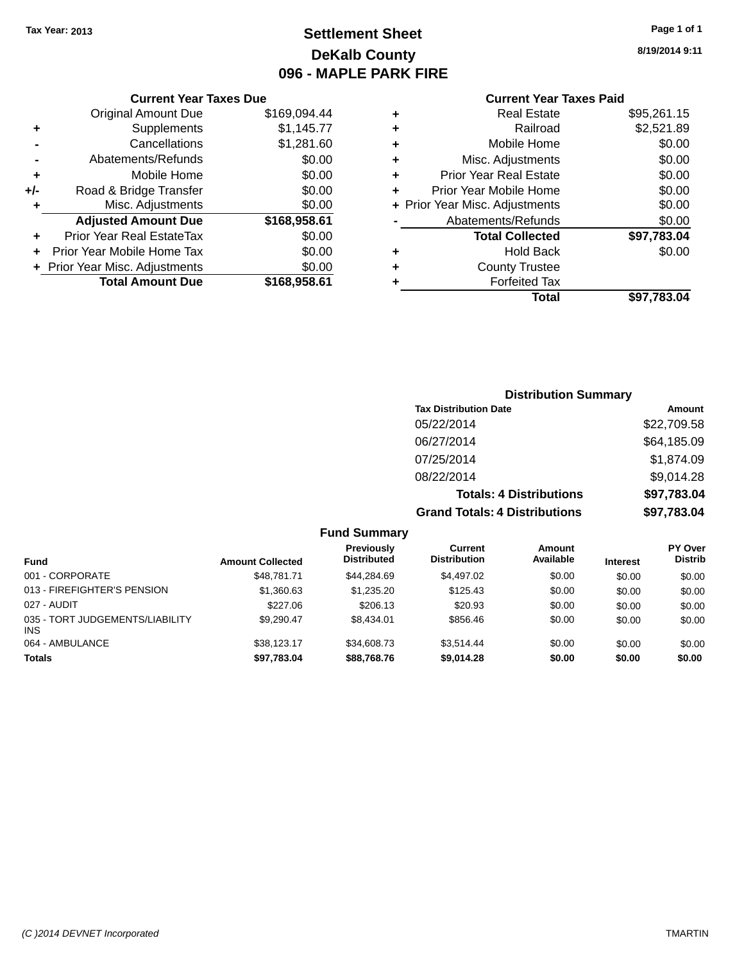### **Settlement Sheet Tax Year: 2013 Page 1 of 1 DeKalb County 096 - MAPLE PARK FIRE**

**8/19/2014 9:11**

| <b>Current Year Taxes Paid</b> |  |
|--------------------------------|--|
|--------------------------------|--|

|     | <b>Current Year Taxes Due</b>  |              |  |
|-----|--------------------------------|--------------|--|
|     | <b>Original Amount Due</b>     | \$169,094.44 |  |
| ٠   | Supplements                    | \$1,145.77   |  |
|     | Cancellations                  | \$1,281.60   |  |
|     | Abatements/Refunds             | \$0.00       |  |
| ٠   | Mobile Home                    | \$0.00       |  |
| +/- | Road & Bridge Transfer         | \$0.00       |  |
|     | Misc. Adjustments              | \$0.00       |  |
|     | <b>Adjusted Amount Due</b>     | \$168,958.61 |  |
| ٠   | Prior Year Real EstateTax      | \$0.00       |  |
|     | Prior Year Mobile Home Tax     | \$0.00       |  |
|     | + Prior Year Misc. Adjustments | \$0.00       |  |
|     | <b>Total Amount Due</b>        | \$168,958.61 |  |
|     |                                |              |  |

|   | <b>Real Estate</b>             | \$95,261.15 |
|---|--------------------------------|-------------|
| ٠ | Railroad                       | \$2,521.89  |
| ٠ | Mobile Home                    | \$0.00      |
| ٠ | Misc. Adjustments              | \$0.00      |
| ٠ | <b>Prior Year Real Estate</b>  | \$0.00      |
| ٠ | Prior Year Mobile Home         | \$0.00      |
|   | + Prior Year Misc. Adjustments | \$0.00      |
|   | Abatements/Refunds             | \$0.00      |
|   | <b>Total Collected</b>         | \$97,783.04 |
| ٠ | <b>Hold Back</b>               | \$0.00      |
| ٠ | <b>County Trustee</b>          |             |
| ٠ | <b>Forfeited Tax</b>           |             |
|   | Total                          | \$97,783.04 |
|   |                                |             |

| <b>Distribution Summary</b>          |             |
|--------------------------------------|-------------|
| <b>Tax Distribution Date</b>         | Amount      |
| 05/22/2014                           | \$22,709.58 |
| 06/27/2014                           | \$64,185.09 |
| 07/25/2014                           | \$1,874.09  |
| 08/22/2014                           | \$9,014.28  |
| <b>Totals: 4 Distributions</b>       | \$97,783.04 |
| <b>Grand Totals: 4 Distributions</b> | \$97,783.04 |

| .                                             |                         |                                         |                                       |                     |                 |                                  |
|-----------------------------------------------|-------------------------|-----------------------------------------|---------------------------------------|---------------------|-----------------|----------------------------------|
| Fund                                          | <b>Amount Collected</b> | <b>Previously</b><br><b>Distributed</b> | <b>Current</b><br><b>Distribution</b> | Amount<br>Available | <b>Interest</b> | <b>PY Over</b><br><b>Distrib</b> |
| 001 - CORPORATE                               | \$48.781.71             | \$44.284.69                             | \$4,497.02                            | \$0.00              | \$0.00          | \$0.00                           |
| 013 - FIREFIGHTER'S PENSION                   | \$1,360.63              | \$1,235,20                              | \$125.43                              | \$0.00              | \$0.00          | \$0.00                           |
| 027 - AUDIT                                   | \$227.06                | \$206.13                                | \$20.93                               | \$0.00              | \$0.00          | \$0.00                           |
| 035 - TORT JUDGEMENTS/LIABILITY<br><b>INS</b> | \$9.290.47              | \$8,434.01                              | \$856.46                              | \$0.00              | \$0.00          | \$0.00                           |
| 064 - AMBULANCE                               | \$38.123.17             | \$34,608.73                             | \$3.514.44                            | \$0.00              | \$0.00          | \$0.00                           |
| <b>Totals</b>                                 | \$97,783.04             | \$88,768.76                             | \$9,014.28                            | \$0.00              | \$0.00          | \$0.00                           |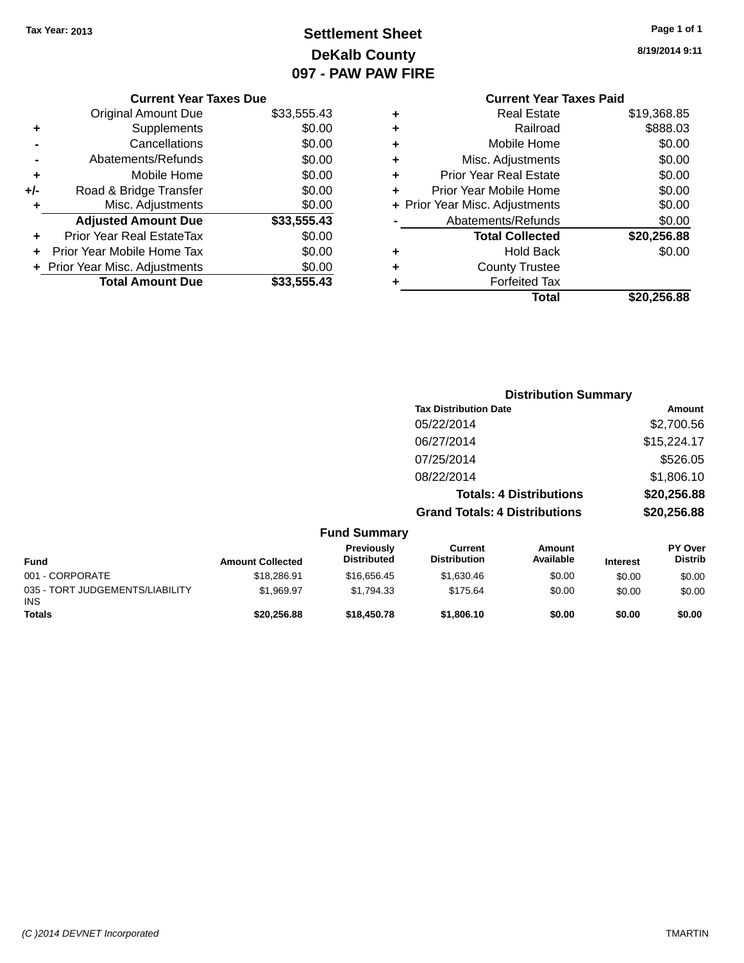### **Settlement Sheet Tax Year: 2013 Page 1 of 1 DeKalb County 097 - PAW PAW FIRE**

**8/19/2014 9:11**

|   | <b>Current Year Taxes Paid</b> |             |
|---|--------------------------------|-------------|
| ٠ | <b>Real Estate</b>             | \$19,368.85 |
| ٠ | Railroad                       | \$888.03    |
| ٠ | Mobile Home                    | \$0.00      |
| ٠ | Misc. Adjustments              | \$0.00      |
| ٠ | <b>Prior Year Real Estate</b>  | \$0.00      |
| ٠ | Prior Year Mobile Home         | \$0.00      |
|   | + Prior Year Misc. Adjustments | \$0.00      |
|   | Abatements/Refunds             | \$0.00      |
|   | <b>Total Collected</b>         | \$20,256.88 |
| ٠ | <b>Hold Back</b>               | \$0.00      |
| ٠ | <b>County Trustee</b>          |             |
| ٠ | <b>Forfeited Tax</b>           |             |
|   | Total                          | \$20,256.88 |

|     | <b>Current Year Taxes Due</b>  |             |
|-----|--------------------------------|-------------|
|     | Original Amount Due            | \$33,555.43 |
| ٠   | Supplements                    | \$0.00      |
|     | Cancellations                  | \$0.00      |
|     | Abatements/Refunds             | \$0.00      |
| ٠   | Mobile Home                    | \$0.00      |
| +/- | Road & Bridge Transfer         | \$0.00      |
| ٠   | Misc. Adjustments              | \$0.00      |
|     | <b>Adjusted Amount Due</b>     | \$33,555.43 |
| ÷   | Prior Year Real EstateTax      | \$0.00      |
|     | Prior Year Mobile Home Tax     | \$0.00      |
|     | + Prior Year Misc. Adjustments | \$0.00      |
|     | <b>Total Amount Due</b>        | \$33,555,43 |
|     |                                |             |

|                                                | <b>Distribution Summary</b> |                                         |                                       |                                |                 |                                  |
|------------------------------------------------|-----------------------------|-----------------------------------------|---------------------------------------|--------------------------------|-----------------|----------------------------------|
|                                                |                             |                                         | <b>Tax Distribution Date</b>          |                                |                 | Amount                           |
|                                                |                             |                                         | 05/22/2014                            |                                |                 | \$2,700.56                       |
|                                                |                             |                                         | 06/27/2014                            |                                |                 | \$15,224.17                      |
|                                                |                             |                                         | 07/25/2014                            |                                |                 | \$526.05                         |
|                                                |                             |                                         | 08/22/2014                            |                                |                 | \$1,806.10                       |
|                                                |                             |                                         |                                       | <b>Totals: 4 Distributions</b> |                 | \$20,256.88                      |
|                                                |                             |                                         | <b>Grand Totals: 4 Distributions</b>  |                                |                 | \$20,256.88                      |
|                                                |                             | <b>Fund Summary</b>                     |                                       |                                |                 |                                  |
| <b>Fund</b>                                    | <b>Amount Collected</b>     | <b>Previously</b><br><b>Distributed</b> | <b>Current</b><br><b>Distribution</b> | <b>Amount</b><br>Available     | <b>Interest</b> | <b>PY Over</b><br><b>Distrib</b> |
| 001 - CORPORATE                                | \$18,286.91                 | \$16,656.45                             | \$1,630.46                            | \$0.00                         | \$0.00          | \$0.00                           |
| 035 - TORT JUDGEMENTS/LIABILITY<br><b>INIC</b> | \$1,969.97                  | \$1,794.33                              | \$175.64                              | \$0.00                         | \$0.00          | \$0.00                           |

**Totals \$20,256.88 \$18,450.78 \$1,806.10 \$0.00 \$0.00 \$0.00**

INS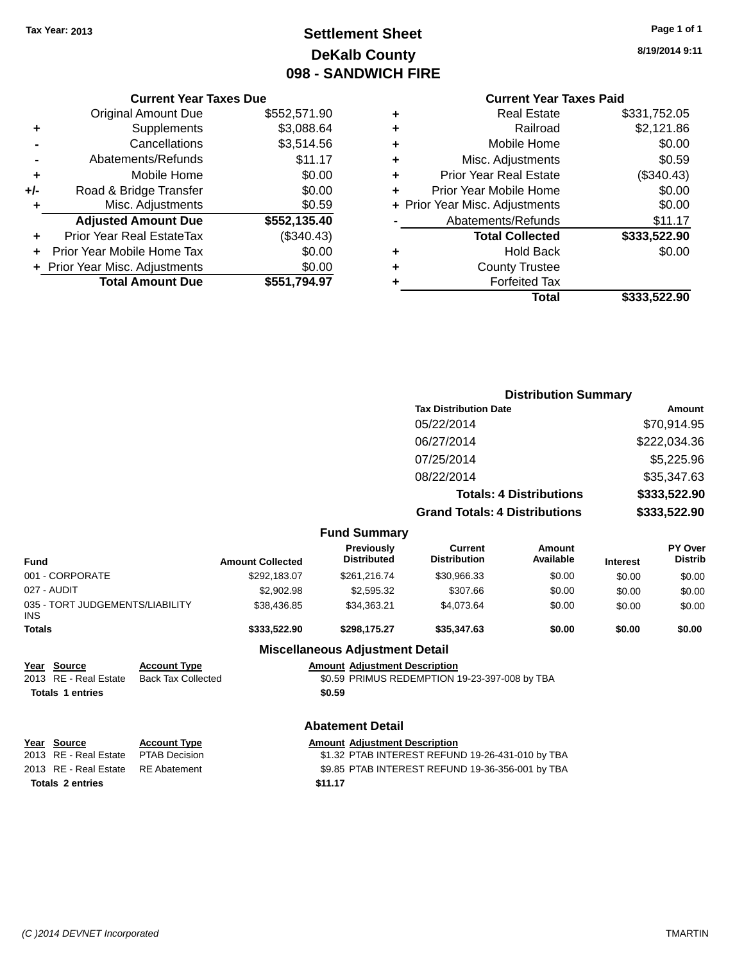### **Settlement Sheet Tax Year: 2013 Page 1 of 1 DeKalb County 098 - SANDWICH FIRE**

**8/19/2014 9:11**

|  | C <sub>1</sub> |
|--|----------------|
|  |                |
|  |                |

| <b>Original Amount Due</b>   | \$552,571.90 |                                                                          |
|------------------------------|--------------|--------------------------------------------------------------------------|
| Supplements                  | \$3,088.64   |                                                                          |
| Cancellations                | \$3,514.56   |                                                                          |
| Abatements/Refunds           | \$11.17      |                                                                          |
| Mobile Home                  | \$0.00       |                                                                          |
| Road & Bridge Transfer       | \$0.00       |                                                                          |
| Misc. Adjustments            | \$0.59       |                                                                          |
| <b>Adjusted Amount Due</b>   | \$552,135.40 |                                                                          |
| Prior Year Real EstateTax    | (\$340.43)   |                                                                          |
| Prior Year Mobile Home Tax   | \$0.00       |                                                                          |
| Prior Year Misc. Adjustments | \$0.00       |                                                                          |
|                              |              |                                                                          |
|                              |              | <b>Current Year Taxes Due</b><br><b>Total Amount Due</b><br>\$551,794.97 |

| <b>Real Estate</b>             | \$331,752.05                   |
|--------------------------------|--------------------------------|
| Railroad                       | \$2,121.86                     |
| Mobile Home                    | \$0.00                         |
| Misc. Adjustments              | \$0.59                         |
| <b>Prior Year Real Estate</b>  | (\$340.43)                     |
| Prior Year Mobile Home         | \$0.00                         |
| + Prior Year Misc. Adjustments | \$0.00                         |
| Abatements/Refunds             | \$11.17                        |
| <b>Total Collected</b>         | \$333,522.90                   |
| <b>Hold Back</b>               | \$0.00                         |
| <b>County Trustee</b>          |                                |
| <b>Forfeited Tax</b>           |                                |
| Total                          | \$333,522.90                   |
|                                | <b>Current Year Taxes Paid</b> |

|                                                                              |                                                  |                                                                                          |                                                | <b>Distribution Summary</b>                      |                                |                 |                           |  |
|------------------------------------------------------------------------------|--------------------------------------------------|------------------------------------------------------------------------------------------|------------------------------------------------|--------------------------------------------------|--------------------------------|-----------------|---------------------------|--|
|                                                                              |                                                  |                                                                                          |                                                | <b>Tax Distribution Date</b>                     | Amount                         |                 |                           |  |
|                                                                              |                                                  |                                                                                          |                                                | 05/22/2014                                       |                                | \$70,914.95     |                           |  |
|                                                                              |                                                  |                                                                                          |                                                | 06/27/2014                                       |                                |                 | \$222,034.36              |  |
|                                                                              |                                                  |                                                                                          |                                                | 07/25/2014                                       |                                |                 | \$5,225.96                |  |
|                                                                              |                                                  |                                                                                          |                                                | 08/22/2014                                       |                                | \$35,347.63     |                           |  |
|                                                                              |                                                  |                                                                                          |                                                |                                                  |                                |                 |                           |  |
|                                                                              |                                                  |                                                                                          |                                                |                                                  | <b>Totals: 4 Distributions</b> |                 | \$333,522.90              |  |
|                                                                              |                                                  |                                                                                          |                                                | <b>Grand Totals: 4 Distributions</b>             |                                |                 | \$333,522.90              |  |
|                                                                              |                                                  |                                                                                          | <b>Fund Summary</b>                            |                                                  |                                |                 |                           |  |
| <b>Fund</b>                                                                  |                                                  | <b>Amount Collected</b>                                                                  | Previously<br><b>Distributed</b>               | <b>Current</b><br><b>Distribution</b>            | Amount<br>Available            | <b>Interest</b> | PY Over<br><b>Distrib</b> |  |
| 001 - CORPORATE                                                              |                                                  | \$292,183.07                                                                             | \$261,216.74                                   | \$30,966.33                                      | \$0.00                         | \$0.00          | \$0.00                    |  |
| 027 - AUDIT                                                                  |                                                  | \$2,902.98                                                                               | \$2,595.32                                     | \$307.66                                         | \$0.00                         | \$0.00          | \$0.00                    |  |
| 035 - TORT JUDGEMENTS/LIABILITY<br><b>INS</b>                                |                                                  | \$38,436.85                                                                              | \$34,363.21                                    | \$4,073.64                                       | \$0.00                         | \$0.00          | \$0.00                    |  |
| <b>Totals</b>                                                                |                                                  | \$333,522.90                                                                             | \$298,175.27                                   | \$35,347.63                                      | \$0.00                         | \$0.00          | \$0.00                    |  |
|                                                                              |                                                  |                                                                                          | <b>Miscellaneous Adjustment Detail</b>         |                                                  |                                |                 |                           |  |
| <b>Source</b><br>Year<br>RE - Real Estate<br>2013<br><b>Totals 1 entries</b> | <b>Account Type</b><br><b>Back Tax Collected</b> |                                                                                          | <b>Amount Adjustment Description</b><br>\$0.59 | \$0.59 PRIMUS REDEMPTION 19-23-397-008 by TBA    |                                |                 |                           |  |
|                                                                              |                                                  |                                                                                          | <b>Abatement Detail</b>                        |                                                  |                                |                 |                           |  |
| Source<br>Year<br>RE - Real Estate<br>2013                                   | <b>Account Type</b><br><b>PTAB Decision</b>      | <b>Amount Adjustment Description</b><br>\$1.32 PTAB INTEREST REFUND 19-26-431-010 by TBA |                                                |                                                  |                                |                 |                           |  |
| <b>RE</b> - Real Estate<br>2013<br><b>Totals 2 entries</b>                   | <b>RE</b> Abatement                              |                                                                                          | \$11.17                                        | \$9.85 PTAB INTEREST REFUND 19-36-356-001 by TBA |                                |                 |                           |  |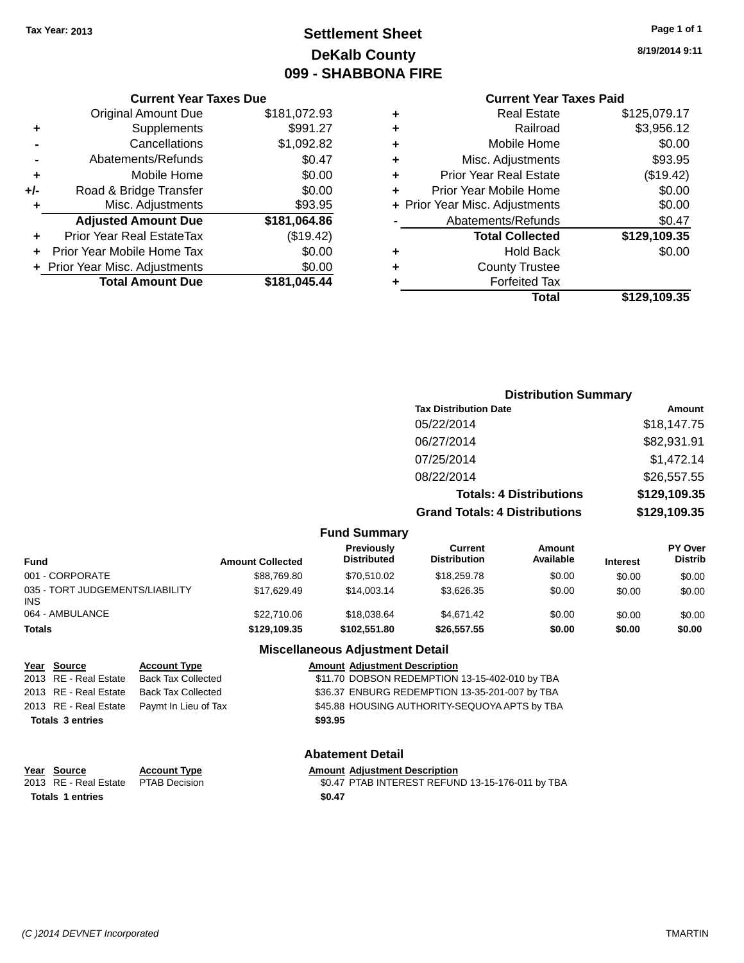### **Settlement Sheet Tax Year: 2013 Page 1 of 1 DeKalb County 099 - SHABBONA FIRE**

#### **Current Year Taxes Due**

|     | <b>Original Amount Due</b>     | \$181,072.93 |
|-----|--------------------------------|--------------|
| ٠   | Supplements                    | \$991.27     |
|     | Cancellations                  | \$1,092.82   |
|     | Abatements/Refunds             | \$0.47       |
| ٠   | Mobile Home                    | \$0.00       |
| +/- | Road & Bridge Transfer         | \$0.00       |
| ٠   | Misc. Adjustments              | \$93.95      |
|     | <b>Adjusted Amount Due</b>     | \$181,064.86 |
| ٠   | Prior Year Real EstateTax      | (\$19.42)    |
|     | Prior Year Mobile Home Tax     | \$0.00       |
|     | + Prior Year Misc. Adjustments | \$0.00       |
|     | <b>Total Amount Due</b>        | \$181,045.44 |

**8/19/2014 9:11**

### **Current Year Taxes Paid**

|   | <b>Real Estate</b>             | \$125,079.17 |
|---|--------------------------------|--------------|
| ٠ | Railroad                       | \$3,956.12   |
| ٠ | Mobile Home                    | \$0.00       |
| ٠ | Misc. Adjustments              | \$93.95      |
| ٠ | <b>Prior Year Real Estate</b>  | (\$19.42)    |
| ٠ | Prior Year Mobile Home         | \$0.00       |
|   | + Prior Year Misc. Adjustments | \$0.00       |
|   | Abatements/Refunds             | \$0.47       |
|   | <b>Total Collected</b>         | \$129,109.35 |
| ٠ | <b>Hold Back</b>               | \$0.00       |
| ٠ | <b>County Trustee</b>          |              |
| ٠ | <b>Forfeited Tax</b>           |              |
|   | Total                          | \$129,109.35 |
|   |                                |              |

### **Distribution Summary Tax Distribution Date Amount** 05/22/2014 \$18,147.75 06/27/2014 \$82,931.91 07/25/2014 \$1,472.14 08/22/2014 \$26,557.55 **Totals: 4 Distributions \$129,109.35 Grand Totals: 4 Distributions \$129,109.35 Fund Summary**

| Fund                                   | <b>Amount Collected</b> | <b>Previously</b><br><b>Distributed</b> | Current<br><b>Distribution</b> | Amount<br>Available | <b>Interest</b> | <b>PY Over</b><br><b>Distrib</b> |
|----------------------------------------|-------------------------|-----------------------------------------|--------------------------------|---------------------|-----------------|----------------------------------|
| 001 - CORPORATE                        | \$88,769.80             | \$70.510.02                             | \$18,259.78                    | \$0.00              | \$0.00          | \$0.00                           |
| 035 - TORT JUDGEMENTS/LIABILITY<br>INS | \$17.629.49             | \$14,003.14                             | \$3.626.35                     | \$0.00              | \$0.00          | \$0.00                           |
| 064 - AMBULANCE                        | \$22,710.06             | \$18,038.64                             | \$4.671.42                     | \$0.00              | \$0.00          | \$0.00                           |
| Totals                                 | \$129,109.35            | \$102.551.80                            | \$26,557.55                    | \$0.00              | \$0.00          | \$0.00                           |

#### **Miscellaneous Adjustment Detail**

| Year Source             | <b>Account Type</b>                        |         | <b>Amount Adjustment Description</b>           |
|-------------------------|--------------------------------------------|---------|------------------------------------------------|
| 2013 RE - Real Estate   | <b>Back Tax Collected</b>                  |         | \$11.70 DOBSON REDEMPTION 13-15-402-010 by TBA |
| 2013 RE - Real Estate   | Back Tax Collected                         |         | \$36.37 ENBURG REDEMPTION 13-35-201-007 by TBA |
|                         | 2013 RE - Real Estate Paymt In Lieu of Tax |         | \$45.88 HOUSING AUTHORITY-SEQUOYA APTS by TBA  |
| <b>Totals 3 entries</b> |                                            | \$93.95 |                                                |
|                         |                                            |         |                                                |

#### **Abatement Detail**

# **Year Source Account Type Amount Adjustment Description**

2013 RE - Real Estate PTAB Decision \$0.47 PTAB INTEREST REFUND 13-15-176-011 by TBA **Totals 1 entries \$0.47**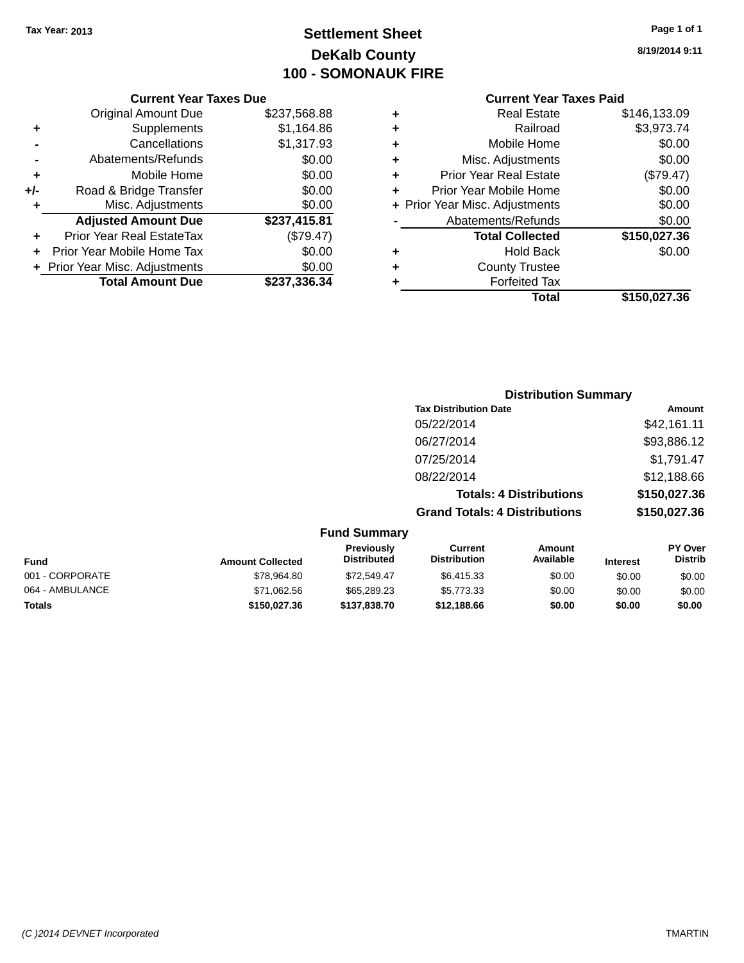### **Settlement Sheet Tax Year: 2013 Page 1 of 1 DeKalb County 100 - SOMONAUK FIRE**

**8/19/2014 9:11**

#### **Current Year Taxes Paid**

|     | <b>Current Year Taxes Due</b>  |              |
|-----|--------------------------------|--------------|
|     | <b>Original Amount Due</b>     | \$237,568.88 |
| ٠   | Supplements                    | \$1,164.86   |
|     | Cancellations                  | \$1,317.93   |
|     | Abatements/Refunds             | \$0.00       |
| ٠   | Mobile Home                    | \$0.00       |
| +/- | Road & Bridge Transfer         | \$0.00       |
| ٠   | Misc. Adjustments              | \$0.00       |
|     | <b>Adjusted Amount Due</b>     | \$237,415.81 |
| ٠   | Prior Year Real EstateTax      | (\$79.47)    |
|     | Prior Year Mobile Home Tax     | \$0.00       |
|     | + Prior Year Misc. Adjustments | \$0.00       |
|     | <b>Total Amount Due</b>        | \$237,336.34 |
|     |                                |              |

| ٠ | <b>Real Estate</b>             | \$146,133.09 |
|---|--------------------------------|--------------|
| ٠ | Railroad                       | \$3,973.74   |
| ٠ | Mobile Home                    | \$0.00       |
| ٠ | Misc. Adjustments              | \$0.00       |
| ٠ | <b>Prior Year Real Estate</b>  | (\$79.47)    |
| ÷ | Prior Year Mobile Home         | \$0.00       |
|   | + Prior Year Misc. Adjustments | \$0.00       |
|   | Abatements/Refunds             | \$0.00       |
|   | <b>Total Collected</b>         | \$150,027.36 |
| ÷ | <b>Hold Back</b>               | \$0.00       |
| ٠ | <b>County Trustee</b>          |              |
| ٠ | <b>Forfeited Tax</b>           |              |
|   | Total                          | \$150,027.36 |
|   |                                |              |

|                     | <b>Distribution Summary</b>          |              |
|---------------------|--------------------------------------|--------------|
|                     | <b>Tax Distribution Date</b>         | Amount       |
|                     | 05/22/2014                           | \$42,161.11  |
|                     | 06/27/2014                           | \$93,886.12  |
|                     | 07/25/2014                           | \$1,791.47   |
|                     | 08/22/2014                           | \$12,188.66  |
|                     | <b>Totals: 4 Distributions</b>       | \$150,027.36 |
|                     | <b>Grand Totals: 4 Distributions</b> | \$150,027.36 |
| <b>Fund Summary</b> |                                      |              |

| <b>Fund</b>     | <b>Amount Collected</b> | <b>Previously</b><br><b>Distributed</b> | Current<br><b>Distribution</b> | Amount<br>Available | <b>Interest</b> | <b>PY Over</b><br><b>Distrib</b> |
|-----------------|-------------------------|-----------------------------------------|--------------------------------|---------------------|-----------------|----------------------------------|
| 001 - CORPORATE | \$78.964.80             | \$72,549.47                             | \$6.415.33                     | \$0.00              | \$0.00          | \$0.00                           |
| 064 - AMBULANCE | \$71,062.56             | \$65,289.23                             | \$5,773.33                     | \$0.00              | \$0.00          | \$0.00                           |
| <b>Totals</b>   | \$150,027.36            | \$137,838,70                            | \$12,188.66                    | \$0.00              | \$0.00          | \$0.00                           |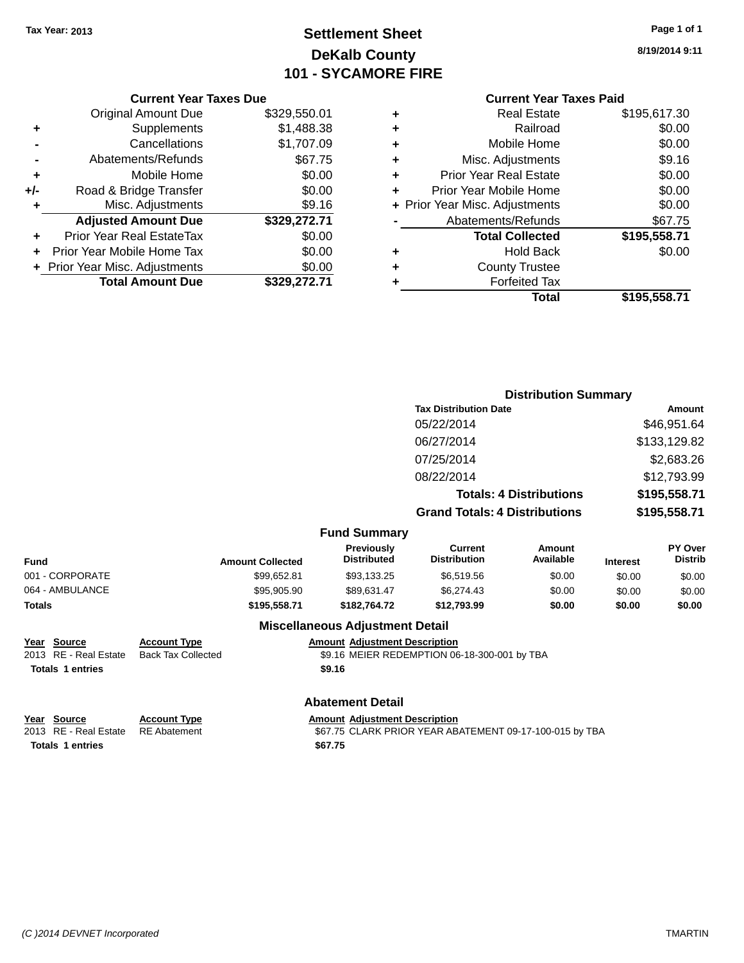### **Settlement Sheet Tax Year: 2013 Page 1 of 1 DeKalb County 101 - SYCAMORE FIRE**

**8/19/2014 9:11**

| :EN 01 |  |
|--------|--|

|     | <b>Current Year Taxes Due</b>  |              |
|-----|--------------------------------|--------------|
|     | <b>Original Amount Due</b>     | \$329,550.01 |
| ٠   | Supplements                    | \$1,488.38   |
|     | Cancellations                  | \$1,707.09   |
|     | Abatements/Refunds             | \$67.75      |
| ٠   | Mobile Home                    | \$0.00       |
| +/- | Road & Bridge Transfer         | \$0.00       |
| ٠   | Misc. Adjustments              | \$9.16       |
|     | <b>Adjusted Amount Due</b>     | \$329,272.71 |
| ٠   | Prior Year Real EstateTax      | \$0.00       |
|     | Prior Year Mobile Home Tax     | \$0.00       |
|     | + Prior Year Misc. Adjustments | \$0.00       |
|     | <b>Total Amount Due</b>        | \$329.272.71 |

| <b>Current Year Taxes Paid</b>           |
|------------------------------------------|
| \$195,617.30<br>Real Estate              |
| \$0.00<br>Railroad                       |
| \$0.00<br>Mobile Home                    |
| \$9.16<br>Misc. Adjustments              |
| \$0.00<br><b>Prior Year Real Estate</b>  |
| \$0.00<br>Prior Year Mobile Home         |
| \$0.00<br>+ Prior Year Misc. Adjustments |
| \$67.75<br>Abatements/Refunds            |
| <b>Total Collected</b><br>\$195,558.71   |
| \$0.00<br>Hold Back                      |
| <b>County Trustee</b>                    |
| <b>Forfeited Tax</b>                     |
| \$195,558.71<br>Total                    |
|                                          |
|                                          |

|                                                                           |                                                  |                                                |                                              | <b>Distribution Summary</b>    |                 |                                  |
|---------------------------------------------------------------------------|--------------------------------------------------|------------------------------------------------|----------------------------------------------|--------------------------------|-----------------|----------------------------------|
|                                                                           |                                                  |                                                | <b>Tax Distribution Date</b>                 |                                |                 | Amount                           |
|                                                                           |                                                  |                                                | 05/22/2014                                   |                                |                 | \$46,951.64                      |
|                                                                           |                                                  |                                                | 06/27/2014                                   |                                |                 | \$133,129.82                     |
|                                                                           |                                                  |                                                | 07/25/2014                                   |                                |                 | \$2,683.26                       |
|                                                                           |                                                  |                                                | 08/22/2014                                   |                                |                 | \$12,793.99                      |
|                                                                           |                                                  |                                                |                                              | <b>Totals: 4 Distributions</b> |                 | \$195,558.71                     |
|                                                                           |                                                  |                                                | <b>Grand Totals: 4 Distributions</b>         |                                |                 | \$195,558.71                     |
|                                                                           |                                                  | <b>Fund Summary</b>                            |                                              |                                |                 |                                  |
| <b>Fund</b>                                                               | <b>Amount Collected</b>                          | <b>Previously</b><br><b>Distributed</b>        | <b>Current</b><br><b>Distribution</b>        | <b>Amount</b><br>Available     | <b>Interest</b> | <b>PY Over</b><br><b>Distrib</b> |
| 001 - CORPORATE                                                           | \$99,652.81                                      | \$93,133.25                                    | \$6,519.56                                   | \$0.00                         | \$0.00          | \$0.00                           |
| 064 - AMBULANCE                                                           | \$95,905.90                                      | \$89,631.47                                    | \$6,274.43                                   | \$0.00                         | \$0.00          | \$0.00                           |
| Totals                                                                    | \$195,558.71                                     | \$182,764.72                                   | \$12,793.99                                  | \$0.00                         | \$0.00          | \$0.00                           |
|                                                                           |                                                  | <b>Miscellaneous Adjustment Detail</b>         |                                              |                                |                 |                                  |
| Year<br><b>Source</b><br>2013 RE - Real Estate<br><b>Totals 1 entries</b> | <b>Account Type</b><br><b>Back Tax Collected</b> | <b>Amount Adjustment Description</b><br>\$9.16 | \$9.16 MEIER REDEMPTION 06-18-300-001 by TBA |                                |                 |                                  |

### **Abatement Detail**

**Year Source Account Type Account Type Amount Adjustment Description**<br>2013 RE - Real Estate RE Abatement **Account 1991 Amount Adjustment** PEAR AB \$67.75 CLARK PRIOR YEAR ABATEMENT 09-17-100-015 by TBA **Totals 1 entries \$67.75**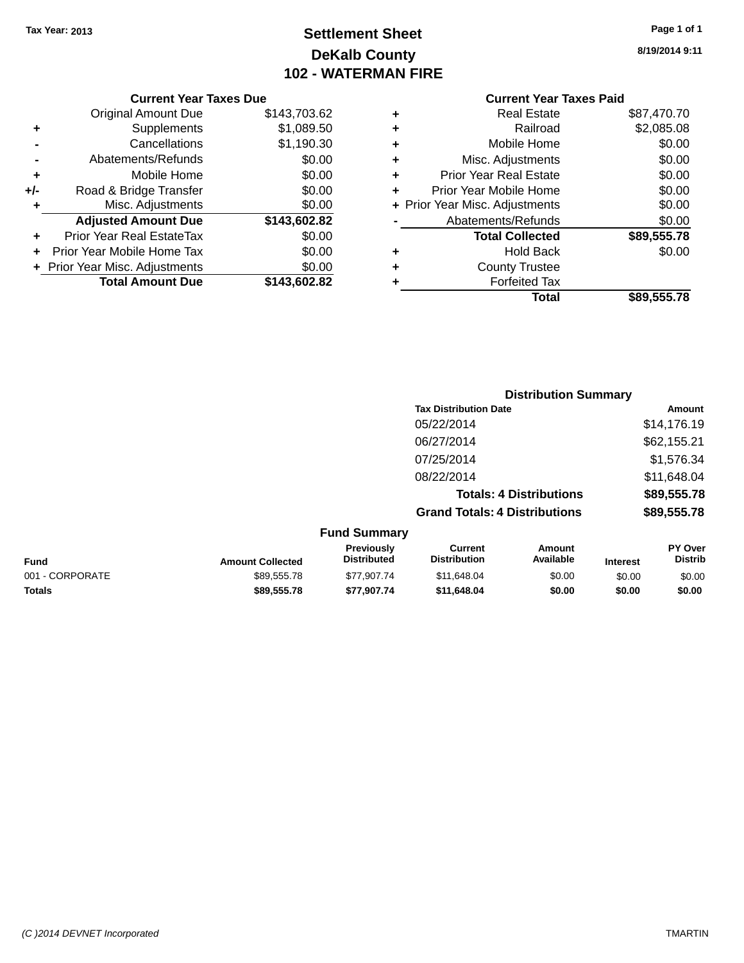**Current Year Taxes Due** Original Amount Due \$143,703.62

**Adjusted Amount Due \$143,602.82**

**Total Amount Due \$143,602.82**

**+** Supplements \$1,089.50 **-** Cancellations \$1,190.30 **-** Abatements/Refunds \$0.00 **+** Mobile Home \$0.00 **+/-** Road & Bridge Transfer \$0.00<br> **+** Misc. Adjustments \$0.00

**+** Prior Year Real EstateTax \$0.00 **+** Prior Year Mobile Home Tax \$0.00 **+ Prior Year Misc. Adjustments**  $$0.00$ 

**+** Misc. Adjustments

## **Settlement Sheet Tax Year: 2013 Page 1 of 1 DeKalb County 102 - WATERMAN FIRE**

**8/19/2014 9:11**

**Total \$89,555.78**

|   | <b>Current Year Taxes Paid</b> |             |
|---|--------------------------------|-------------|
| ٠ | <b>Real Estate</b>             | \$87,470.70 |
| ٠ | Railroad                       | \$2,085.08  |
| ٠ | Mobile Home                    | \$0.00      |
| ٠ | Misc. Adjustments              | \$0.00      |
| ٠ | <b>Prior Year Real Estate</b>  | \$0.00      |
|   | Prior Year Mobile Home         | \$0.00      |
|   | + Prior Year Misc. Adjustments | \$0.00      |
|   | Abatements/Refunds             | \$0.00      |
|   | <b>Total Collected</b>         | \$89,555.78 |
| ٠ | Hold Back                      | \$0.00      |
| ٠ | <b>County Trustee</b>          |             |
|   | <b>Forfeited Tax</b>           |             |

| i rustee  |  |
|-----------|--|
| eited Tax |  |
| エヘチヘー     |  |

| ישו שטו |  |
|---------|--|
| Total   |  |
|         |  |

|                     | <b>Distribution Summary</b>          |               |
|---------------------|--------------------------------------|---------------|
|                     | <b>Tax Distribution Date</b>         | <b>Amount</b> |
|                     | 05/22/2014                           | \$14,176.19   |
|                     | 06/27/2014                           | \$62,155.21   |
|                     | 07/25/2014                           | \$1,576.34    |
|                     | 08/22/2014                           | \$11,648.04   |
|                     | <b>Totals: 4 Distributions</b>       | \$89,555.78   |
|                     | <b>Grand Totals: 4 Distributions</b> | \$89,555.78   |
| <b>Fund Summary</b> |                                      |               |

| .               |                         |                                         |                                |                     |                 |                                  |
|-----------------|-------------------------|-----------------------------------------|--------------------------------|---------------------|-----------------|----------------------------------|
| <b>Fund</b>     | <b>Amount Collected</b> | <b>Previously</b><br><b>Distributed</b> | Current<br><b>Distribution</b> | Amount<br>Available | <b>Interest</b> | <b>PY Over</b><br><b>Distrib</b> |
| 001 - CORPORATE | \$89.555.78             | \$77.907.74                             | \$11.648.04                    | \$0.00              | \$0.00          | \$0.00                           |
| <b>Totals</b>   | \$89.555.78             | \$77.907.74                             | \$11,648,04                    | \$0.00              | \$0.00          | \$0.00                           |

*(C )2014 DEVNET Incorporated* TMARTIN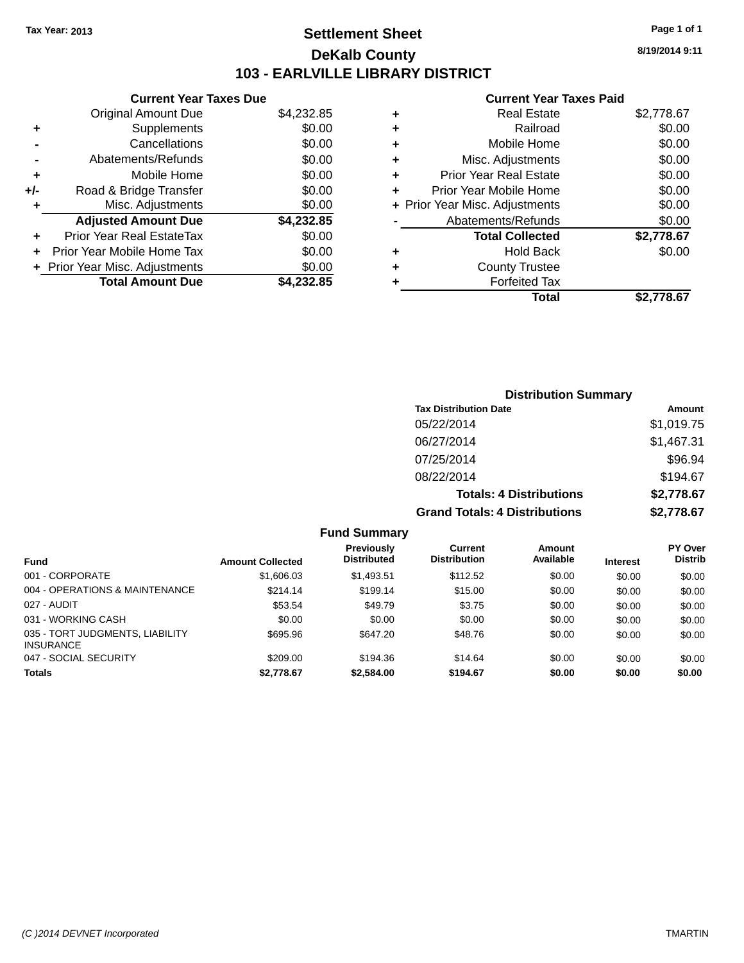### **Settlement Sheet Tax Year: 2013 Page 1 of 1 DeKalb County 103 - EARLVILLE LIBRARY DISTRICT**

**8/19/2014 9:11**

#### **Current Year Taxes Paid**

|     | <b>Current Year Taxes Due</b> |            |
|-----|-------------------------------|------------|
|     | <b>Original Amount Due</b>    | \$4,232.85 |
| ÷   | Supplements                   | \$0.00     |
|     | Cancellations                 | \$0.00     |
|     | Abatements/Refunds            | \$0.00     |
| ٠   | Mobile Home                   | \$0.00     |
| +/- | Road & Bridge Transfer        | \$0.00     |
| ٠   | Misc. Adjustments             | \$0.00     |
|     | <b>Adjusted Amount Due</b>    | \$4,232.85 |
| ÷   | Prior Year Real EstateTax     | \$0.00     |
|     | Prior Year Mobile Home Tax    | \$0.00     |
|     | Prior Year Misc. Adjustments  | \$0.00     |
|     | <b>Total Amount Due</b>       | \$4,232.85 |

|   | <b>Real Estate</b>             | \$2,778.67 |
|---|--------------------------------|------------|
| ٠ | Railroad                       | \$0.00     |
| ٠ | Mobile Home                    | \$0.00     |
| ٠ | Misc. Adjustments              | \$0.00     |
| ٠ | <b>Prior Year Real Estate</b>  | \$0.00     |
| ٠ | Prior Year Mobile Home         | \$0.00     |
|   | + Prior Year Misc. Adjustments | \$0.00     |
|   | Abatements/Refunds             | \$0.00     |
|   | <b>Total Collected</b>         | \$2,778.67 |
| ٠ | Hold Back                      | \$0.00     |
|   | <b>County Trustee</b>          |            |
| ٠ | <b>Forfeited Tax</b>           |            |
|   | Total                          | \$2,778.67 |
|   |                                |            |

| <b>Distribution Summary</b>          |            |
|--------------------------------------|------------|
| <b>Tax Distribution Date</b>         | Amount     |
| 05/22/2014                           | \$1,019.75 |
| 06/27/2014                           | \$1,467.31 |
| 07/25/2014                           | \$96.94    |
| 08/22/2014                           | \$194.67   |
| <b>Totals: 4 Distributions</b>       | \$2,778.67 |
| <b>Grand Totals: 4 Distributions</b> | \$2,778.67 |

|                                                     |                         | <b>Fund Summary</b>              |                                       |                     |                 |                                  |
|-----------------------------------------------------|-------------------------|----------------------------------|---------------------------------------|---------------------|-----------------|----------------------------------|
| <b>Fund</b>                                         | <b>Amount Collected</b> | Previously<br><b>Distributed</b> | <b>Current</b><br><b>Distribution</b> | Amount<br>Available | <b>Interest</b> | <b>PY Over</b><br><b>Distrib</b> |
| 001 - CORPORATE                                     | \$1,606.03              | \$1.493.51                       | \$112.52                              | \$0.00              | \$0.00          | \$0.00                           |
| 004 - OPERATIONS & MAINTENANCE                      | \$214.14                | \$199.14                         | \$15.00                               | \$0.00              | \$0.00          | \$0.00                           |
| 027 - AUDIT                                         | \$53.54                 | \$49.79                          | \$3.75                                | \$0.00              | \$0.00          | \$0.00                           |
| 031 - WORKING CASH                                  | \$0.00                  | \$0.00                           | \$0.00                                | \$0.00              | \$0.00          | \$0.00                           |
| 035 - TORT JUDGMENTS, LIABILITY<br><b>INSURANCE</b> | \$695.96                | \$647.20                         | \$48.76                               | \$0.00              | \$0.00          | \$0.00                           |
| 047 - SOCIAL SECURITY                               | \$209.00                | \$194.36                         | \$14.64                               | \$0.00              | \$0.00          | \$0.00                           |
| <b>Totals</b>                                       | \$2,778.67              | \$2,584.00                       | \$194.67                              | \$0.00              | \$0.00          | \$0.00                           |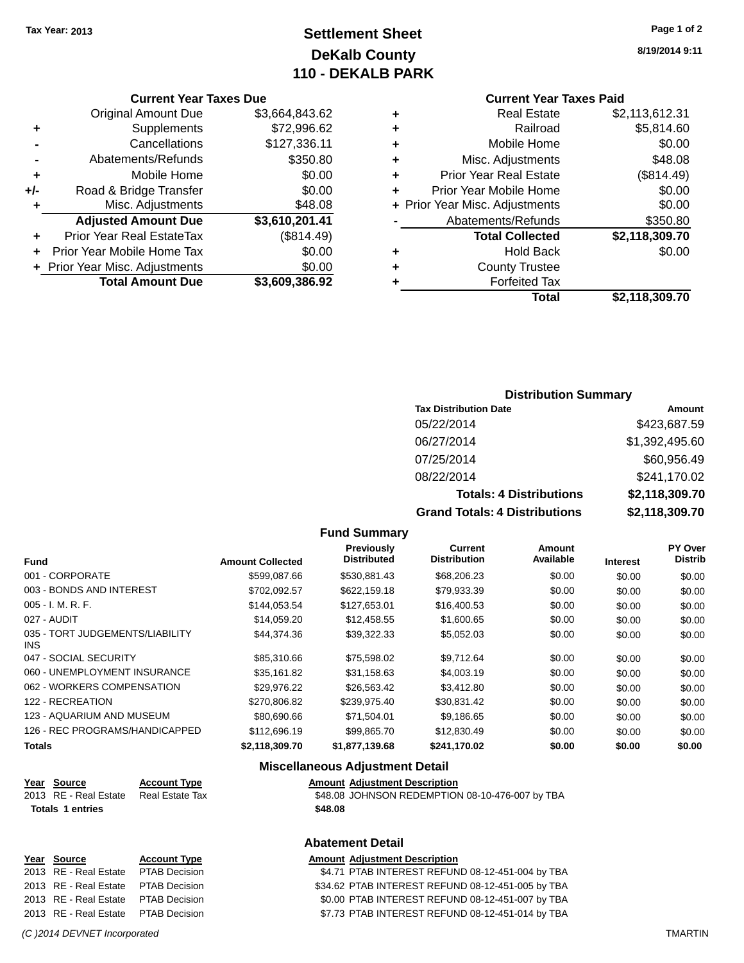### **Settlement Sheet Tax Year: 2013 Page 1 of 2 DeKalb County 110 - DEKALB PARK**

#### **Current Year Taxes Due**

|     | <b>Original Amount Due</b>       | \$3,664,843.62 |
|-----|----------------------------------|----------------|
|     | Supplements                      | \$72,996.62    |
|     | Cancellations                    | \$127,336.11   |
|     | Abatements/Refunds               | \$350.80       |
| ٠   | Mobile Home                      | \$0.00         |
| +/- | Road & Bridge Transfer           | \$0.00         |
| ٠   | Misc. Adjustments                | \$48.08        |
|     | <b>Adjusted Amount Due</b>       | \$3,610,201.41 |
| ÷   | <b>Prior Year Real EstateTax</b> | (\$814.49)     |
|     | Prior Year Mobile Home Tax       | \$0.00         |
|     | + Prior Year Misc. Adjustments   | \$0.00         |
|     | <b>Total Amount Due</b>          | \$3,609,386.92 |

**8/19/2014 9:11**

### **Current Year Taxes Paid**

| ٠ | <b>Real Estate</b>             | \$2,113,612.31 |
|---|--------------------------------|----------------|
| ٠ | Railroad                       | \$5,814.60     |
| ٠ | Mobile Home                    | \$0.00         |
| ٠ | Misc. Adjustments              | \$48.08        |
| ٠ | <b>Prior Year Real Estate</b>  | (\$814.49)     |
| ٠ | Prior Year Mobile Home         | \$0.00         |
|   | + Prior Year Misc. Adjustments | \$0.00         |
|   | Abatements/Refunds             | \$350.80       |
|   | <b>Total Collected</b>         | \$2,118,309.70 |
| ٠ | <b>Hold Back</b>               | \$0.00         |
| ٠ | <b>County Trustee</b>          |                |
| ٠ | <b>Forfeited Tax</b>           |                |
|   | <b>Total</b>                   | \$2,118,309.70 |
|   |                                |                |

#### **Distribution Summary**

| <b>Tax Distribution Date</b>         | Amount         |
|--------------------------------------|----------------|
| 05/22/2014                           | \$423,687.59   |
| 06/27/2014                           | \$1,392,495.60 |
| 07/25/2014                           | \$60,956.49    |
| 08/22/2014                           | \$241,170.02   |
| <b>Totals: 4 Distributions</b>       | \$2,118,309.70 |
| <b>Grand Totals: 4 Distributions</b> | \$2,118,309.70 |

#### **Fund Summary**

| <b>Fund</b>                             | <b>Amount Collected</b> | <b>Previously</b><br><b>Distributed</b> | Current<br><b>Distribution</b> | Amount<br>Available | <b>Interest</b> | PY Over<br><b>Distrib</b> |
|-----------------------------------------|-------------------------|-----------------------------------------|--------------------------------|---------------------|-----------------|---------------------------|
| 001 - CORPORATE                         | \$599,087,66            | \$530,881.43                            | \$68,206.23                    | \$0.00              | \$0.00          | \$0.00                    |
| 003 - BONDS AND INTEREST                | \$702.092.57            | \$622,159.18                            | \$79,933.39                    | \$0.00              | \$0.00          | \$0.00                    |
| $005 - I. M. R. F.$                     | \$144.053.54            | \$127,653.01                            | \$16,400.53                    | \$0.00              | \$0.00          | \$0.00                    |
| 027 - AUDIT                             | \$14,059.20             | \$12,458.55                             | \$1,600.65                     | \$0.00              | \$0.00          | \$0.00                    |
| 035 - TORT JUDGEMENTS/LIABILITY<br>INS. | \$44,374.36             | \$39.322.33                             | \$5,052.03                     | \$0.00              | \$0.00          | \$0.00                    |
| 047 - SOCIAL SECURITY                   | \$85,310.66             | \$75,598.02                             | \$9,712.64                     | \$0.00              | \$0.00          | \$0.00                    |
| 060 - UNEMPLOYMENT INSURANCE            | \$35.161.82             | \$31,158.63                             | \$4,003.19                     | \$0.00              | \$0.00          | \$0.00                    |
| 062 - WORKERS COMPENSATION              | \$29.976.22             | \$26.563.42                             | \$3,412.80                     | \$0.00              | \$0.00          | \$0.00                    |
| 122 - RECREATION                        | \$270,806.82            | \$239.975.40                            | \$30,831.42                    | \$0.00              | \$0.00          | \$0.00                    |
| 123 - AQUARIUM AND MUSEUM               | \$80,690.66             | \$71,504.01                             | \$9,186.65                     | \$0.00              | \$0.00          | \$0.00                    |
| 126 - REC PROGRAMS/HANDICAPPED          | \$112,696.19            | \$99.865.70                             | \$12,830.49                    | \$0.00              | \$0.00          | \$0.00                    |
| <b>Totals</b>                           | \$2,118,309.70          | \$1,877,139.68                          | \$241,170.02                   | \$0.00              | \$0.00          | \$0.00                    |

#### **Miscellaneous Adjustment Detail**

| Year Source             | <b>Account Type</b> | <b>Amount Adjustment Description</b>            |
|-------------------------|---------------------|-------------------------------------------------|
| 2013 RE - Real Estate   | Real Estate Tax     | \$48.08 JOHNSON REDEMPTION 08-10-476-007 by TBA |
| <b>Totals 1 entries</b> |                     | \$48.08                                         |
|                         |                     | Ahatement Detail                                |

# **Year Source Account Type Amount Adjustment Description**<br>2013 RE - Real Estate PTAB Decision **AMOUNT SA 2019 AMPION SA 271 PTAB INTEREST REFUN** 2013 RE - Real Estate PTAB Decision \$7.73 PTAB INTEREST REFUND 08-12-451-014 by TBA

### **Abatement Detail**

\$4.71 PTAB INTEREST REFUND 08-12-451-004 by TBA 2013 RE - Real Estate PTAB Decision \$34.62 PTAB INTEREST REFUND 08-12-451-005 by TBA 2013 RE - Real Estate PTAB Decision \$0.00 PTAB INTEREST REFUND 08-12-451-007 by TBA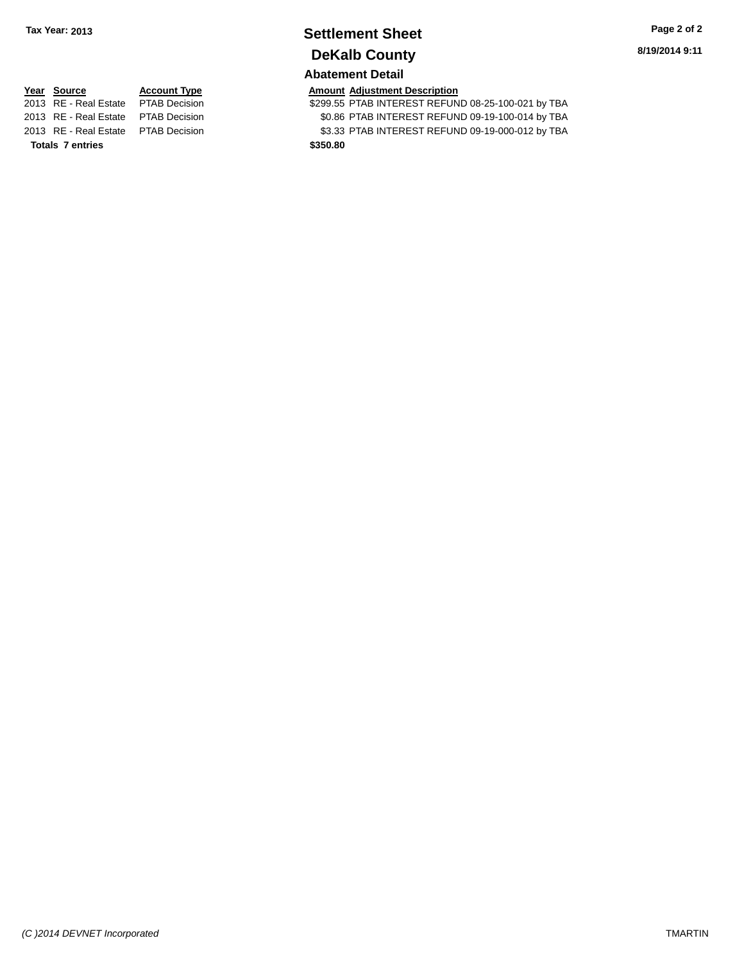## **Settlement Sheet Tax Year: 2013 Page 2 of 2 DeKalb County**

## **Abatement Detail**

\$299.55 PTAB INTEREST REFUND 08-25-100-021 by TBA 2013 RE - Real Estate PTAB Decision \$0.86 PTAB INTEREST REFUND 09-19-100-014 by TBA 2013 RE - Real Estate PTAB Decision \$3.33 PTAB INTEREST REFUND 09-19-000-012 by TBA

**Year Source Account Type Amount Adjustment Description**<br>2013 RE - Real Estate PTAB Decision **Amount S299.55 PTAB INTEREST REFUN** 

**Totals 7 entries \$350.80**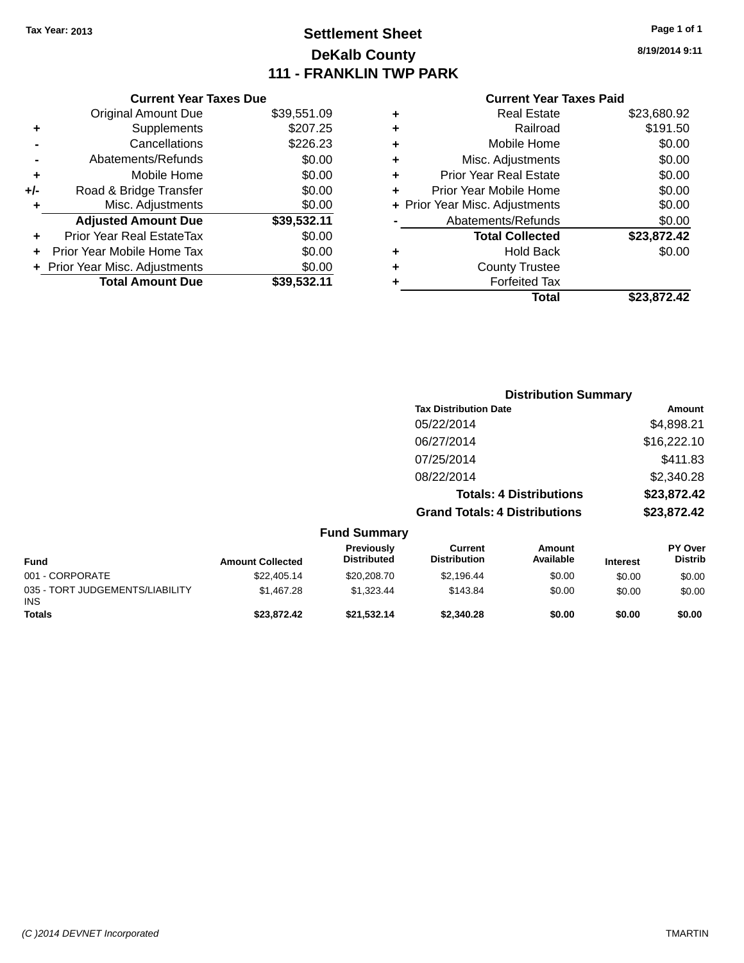### **Settlement Sheet Tax Year: 2013 Page 1 of 1 DeKalb County 111 - FRANKLIN TWP PARK**

**8/19/2014 9:11**

| <b>Current Year Taxes Paid</b> |  |  |
|--------------------------------|--|--|
|                                |  |  |

|       | <b>Current Year Taxes Due</b>  |             |
|-------|--------------------------------|-------------|
|       | <b>Original Amount Due</b>     | \$39,551.09 |
| ٠     | Supplements                    | \$207.25    |
|       | Cancellations                  | \$226.23    |
|       | Abatements/Refunds             | \$0.00      |
| ٠     | Mobile Home                    | \$0.00      |
| $+/-$ | Road & Bridge Transfer         | \$0.00      |
| ٠     | Misc. Adjustments              | \$0.00      |
|       | <b>Adjusted Amount Due</b>     | \$39,532.11 |
| ٠     | Prior Year Real EstateTax      | \$0.00      |
|       | Prior Year Mobile Home Tax     | \$0.00      |
|       | + Prior Year Misc. Adjustments | \$0.00      |
|       | <b>Total Amount Due</b>        | \$39,532.11 |
|       |                                |             |

|   | <b>Real Estate</b>             | \$23,680.92 |
|---|--------------------------------|-------------|
| ٠ | Railroad                       | \$191.50    |
| ٠ | Mobile Home                    | \$0.00      |
| ٠ | Misc. Adjustments              | \$0.00      |
| ٠ | <b>Prior Year Real Estate</b>  | \$0.00      |
| ÷ | Prior Year Mobile Home         | \$0.00      |
|   | + Prior Year Misc. Adjustments | \$0.00      |
|   | Abatements/Refunds             | \$0.00      |
|   | <b>Total Collected</b>         | \$23,872.42 |
| ٠ | Hold Back                      | \$0.00      |
| ٠ | <b>County Trustee</b>          |             |
| ٠ | <b>Forfeited Tax</b>           |             |
|   | Total                          | \$23,872.42 |
|   |                                |             |

|                                        |                         |                                  |                                       | <b>Distribution Summary</b>    |                 |                           |
|----------------------------------------|-------------------------|----------------------------------|---------------------------------------|--------------------------------|-----------------|---------------------------|
|                                        |                         |                                  | <b>Tax Distribution Date</b>          |                                |                 | Amount                    |
|                                        |                         |                                  | 05/22/2014                            |                                |                 | \$4,898.21                |
|                                        |                         |                                  | 06/27/2014                            |                                |                 | \$16,222.10               |
|                                        |                         |                                  | 07/25/2014                            |                                |                 | \$411.83                  |
|                                        |                         |                                  | 08/22/2014                            |                                |                 | \$2,340.28                |
|                                        |                         |                                  |                                       | <b>Totals: 4 Distributions</b> |                 | \$23,872.42               |
|                                        |                         |                                  | <b>Grand Totals: 4 Distributions</b>  |                                |                 | \$23,872.42               |
|                                        |                         | <b>Fund Summary</b>              |                                       |                                |                 |                           |
| <b>Fund</b>                            | <b>Amount Collected</b> | Previously<br><b>Distributed</b> | <b>Current</b><br><b>Distribution</b> | Amount<br>Available            | <b>Interest</b> | PY Over<br><b>Distrib</b> |
| 001 - CORPORATE                        | \$22,405.14             | \$20,208.70                      | \$2,196.44                            | \$0.00                         | \$0.00          | \$0.00                    |
| 035 - TORT JUDGEMENTS/LIABILITY<br>INS | \$1,467.28              | \$1,323.44                       | \$143.84                              | \$0.00                         | \$0.00          | \$0.00                    |

**Totals \$23,872.42 \$21,532.14 \$2,340.28 \$0.00 \$0.00 \$0.00**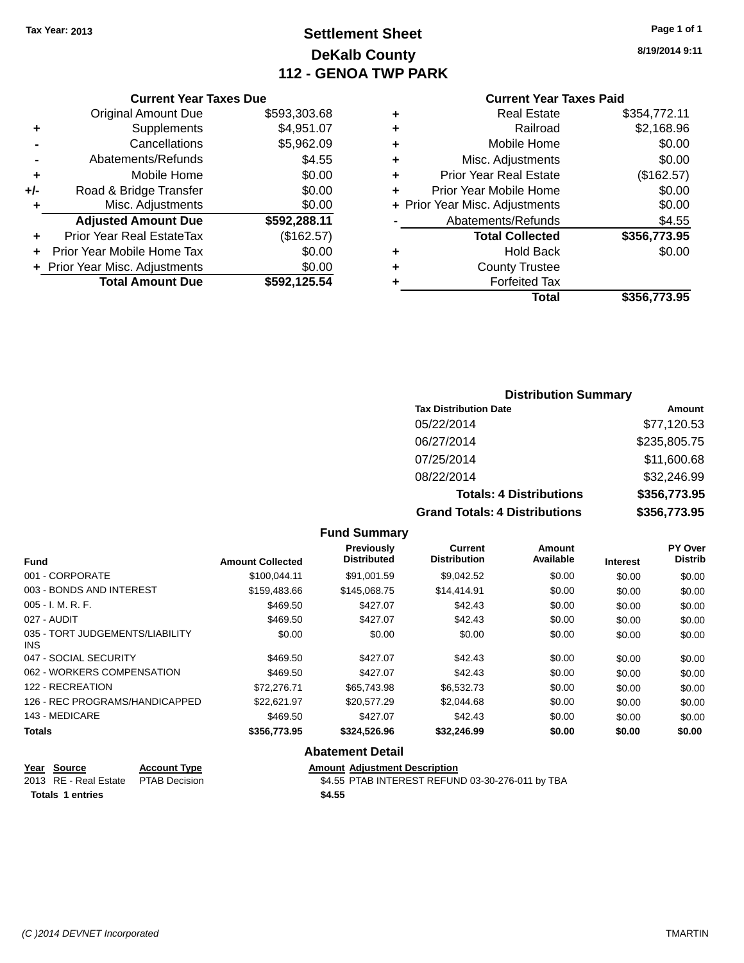### **Settlement Sheet Tax Year: 2013 Page 1 of 1 DeKalb County 112 - GENOA TWP PARK**

**8/19/2014 9:11**

| <b>Current Year Taxes Paid</b> |  |  |
|--------------------------------|--|--|
|                                |  |  |

|     | <b>Current Year Taxes Due</b>  |              |
|-----|--------------------------------|--------------|
|     | <b>Original Amount Due</b>     | \$593,303.68 |
| ٠   | Supplements                    | \$4,951.07   |
|     | Cancellations                  | \$5,962.09   |
|     | Abatements/Refunds             | \$4.55       |
| ٠   | Mobile Home                    | \$0.00       |
| +/- | Road & Bridge Transfer         | \$0.00       |
| ٠   | Misc. Adjustments              | \$0.00       |
|     | <b>Adjusted Amount Due</b>     | \$592,288.11 |
| ÷   | Prior Year Real EstateTax      | (\$162.57)   |
| ÷   | Prior Year Mobile Home Tax     | \$0.00       |
|     | + Prior Year Misc. Adjustments | \$0.00       |
|     | <b>Total Amount Due</b>        | \$592,125.54 |

| ٠ | <b>Real Estate</b>             | \$354,772.11 |
|---|--------------------------------|--------------|
| ٠ | Railroad                       | \$2,168.96   |
| ٠ | Mobile Home                    | \$0.00       |
| ٠ | Misc. Adjustments              | \$0.00       |
| ٠ | <b>Prior Year Real Estate</b>  | (\$162.57)   |
| ÷ | Prior Year Mobile Home         | \$0.00       |
|   | + Prior Year Misc. Adjustments | \$0.00       |
|   | Abatements/Refunds             | \$4.55       |
|   | <b>Total Collected</b>         | \$356,773.95 |
| ٠ | Hold Back                      | \$0.00       |
| ٠ | <b>County Trustee</b>          |              |
| ٠ | <b>Forfeited Tax</b>           |              |
|   | Total                          | \$356,773.95 |
|   |                                |              |

#### **Distribution Summary**

| <b>Tax Distribution Date</b>         | Amount       |
|--------------------------------------|--------------|
| 05/22/2014                           | \$77,120.53  |
| 06/27/2014                           | \$235,805.75 |
| 07/25/2014                           | \$11,600.68  |
| 08/22/2014                           | \$32,246.99  |
| <b>Totals: 4 Distributions</b>       | \$356,773.95 |
| <b>Grand Totals: 4 Distributions</b> | \$356,773.95 |

#### **Fund Summary Fund Interest Amount Collected Distributed PY Over Distrib Amount Available Current Distribution Previously** 001 - CORPORATE \$100,044.11 \$91,001.59 \$9,042.52 \$0.00 \$0.00 \$0.00 003 - BONDS AND INTEREST \$159,483.66 \$145,068.75 \$14,414.91 \$0.00 \$0.00 \$0.00 005 - I. M. R. F. \$469.50 \$427.07 \$42.43 \$0.00 \$0.00 \$0.00 027 - AUDIT \$469.50 \$427.07 \$42.43 \$0.00 \$0.00 \$0.00 035 - TORT JUDGEMENTS/LIABILITY INS \$0.00 \$0.00 \$0.00 \$0.00 \$0.00 \$0.00 047 - SOCIAL SECURITY \$469.50 \$427.07 \$22.43 \$0.00 \$0.00 \$0.00 \$0.00 \$0.00 \$0.00 \$0.00 \$0.00 \$0.00 \$0.00 062 - WORKERS COMPENSATION \$469.50 \$469.50 \$427.07 \$42.43 \$0.00 \$0.00 \$0.00 \$0.00 122 - RECREATION \$72,276.71 \$65,743.98 \$6,532.73 \$0.00 \$0.00 \$0.00 126 - REC PROGRAMS/HANDICAPPED \$22,621.97 \$20,577.29 \$2,044.68 \$0.00 \$0.00 \$0.00 \$0.00 143 - MEDICARE \$469.50 \$427.07 \$42.43 \$0.00 \$0.00 \$0.00 **Totals \$356,773.95 \$324,526.96 \$32,246.99 \$0.00 \$0.00 \$0.00**

#### **Abatement Detail**

| Year Source                          | <b>Account Type</b> | <b>Amount Adiustment Description</b>             |
|--------------------------------------|---------------------|--------------------------------------------------|
| 2013 RE - Real Estate  PTAB Decision |                     | \$4.55 PTAB INTEREST REFUND 03-30-276-011 by TBA |
| <b>Totals 1 entries</b>              |                     | \$4.55                                           |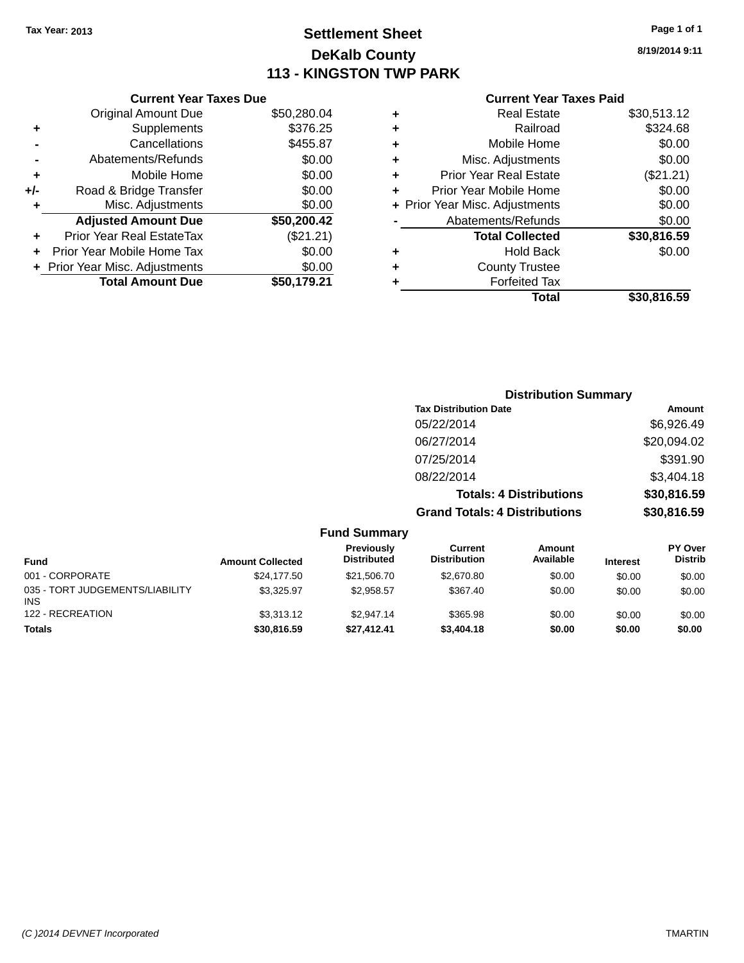### **Settlement Sheet Tax Year: 2013 Page 1 of 1 DeKalb County 113 - KINGSTON TWP PARK**

**8/19/2014 9:11**

| <b>Current Year Taxes Paid</b> |  |  |  |
|--------------------------------|--|--|--|
|--------------------------------|--|--|--|

|     | <b>Current Year Taxes Due</b>  |             |
|-----|--------------------------------|-------------|
|     | <b>Original Amount Due</b>     | \$50,280.04 |
| ٠   | Supplements                    | \$376.25    |
|     | Cancellations                  | \$455.87    |
|     | Abatements/Refunds             | \$0.00      |
| ٠   | Mobile Home                    | \$0.00      |
| +/- | Road & Bridge Transfer         | \$0.00      |
| ٠   | Misc. Adjustments              | \$0.00      |
|     | <b>Adjusted Amount Due</b>     | \$50,200.42 |
| ٠   | Prior Year Real EstateTax      | (\$21.21)   |
|     | Prior Year Mobile Home Tax     | \$0.00      |
|     | + Prior Year Misc. Adjustments | \$0.00      |
|     | <b>Total Amount Due</b>        | \$50.179.21 |
|     |                                |             |

| ٠ | <b>Real Estate</b>             | \$30,513.12 |
|---|--------------------------------|-------------|
| ٠ | Railroad                       | \$324.68    |
| ٠ | Mobile Home                    | \$0.00      |
| ٠ | Misc. Adjustments              | \$0.00      |
| ٠ | <b>Prior Year Real Estate</b>  | (\$21.21)   |
| ÷ | Prior Year Mobile Home         | \$0.00      |
|   | + Prior Year Misc. Adjustments | \$0.00      |
|   | Abatements/Refunds             | \$0.00      |
|   | <b>Total Collected</b>         | \$30,816.59 |
| ٠ | <b>Hold Back</b>               | \$0.00      |
| ٠ | <b>County Trustee</b>          |             |
| ٠ | <b>Forfeited Tax</b>           |             |
|   | <b>Total</b>                   | \$30,816.59 |
|   |                                |             |

| <b>Distribution Summary</b>          |             |
|--------------------------------------|-------------|
| <b>Tax Distribution Date</b>         | Amount      |
| 05/22/2014                           | \$6,926.49  |
| 06/27/2014                           | \$20,094.02 |
| 07/25/2014                           | \$391.90    |
| 08/22/2014                           | \$3,404.18  |
| <b>Totals: 4 Distributions</b>       | \$30,816.59 |
| <b>Grand Totals: 4 Distributions</b> | \$30,816.59 |

|                                               |                         | <b>Fund Summary</b>              |                                |                     |                 |                                  |
|-----------------------------------------------|-------------------------|----------------------------------|--------------------------------|---------------------|-----------------|----------------------------------|
| <b>Fund</b>                                   | <b>Amount Collected</b> | Previously<br><b>Distributed</b> | Current<br><b>Distribution</b> | Amount<br>Available | <b>Interest</b> | <b>PY Over</b><br><b>Distrib</b> |
| 001 - CORPORATE                               | \$24,177.50             | \$21,506.70                      | \$2,670.80                     | \$0.00              | \$0.00          | \$0.00                           |
| 035 - TORT JUDGEMENTS/LIABILITY<br><b>INS</b> | \$3.325.97              | \$2.958.57                       | \$367.40                       | \$0.00              | \$0.00          | \$0.00                           |
| 122 - RECREATION                              | \$3,313,12              | \$2.947.14                       | \$365.98                       | \$0.00              | \$0.00          | \$0.00                           |
| <b>Totals</b>                                 | \$30,816.59             | \$27.412.41                      | \$3,404.18                     | \$0.00              | \$0.00          | \$0.00                           |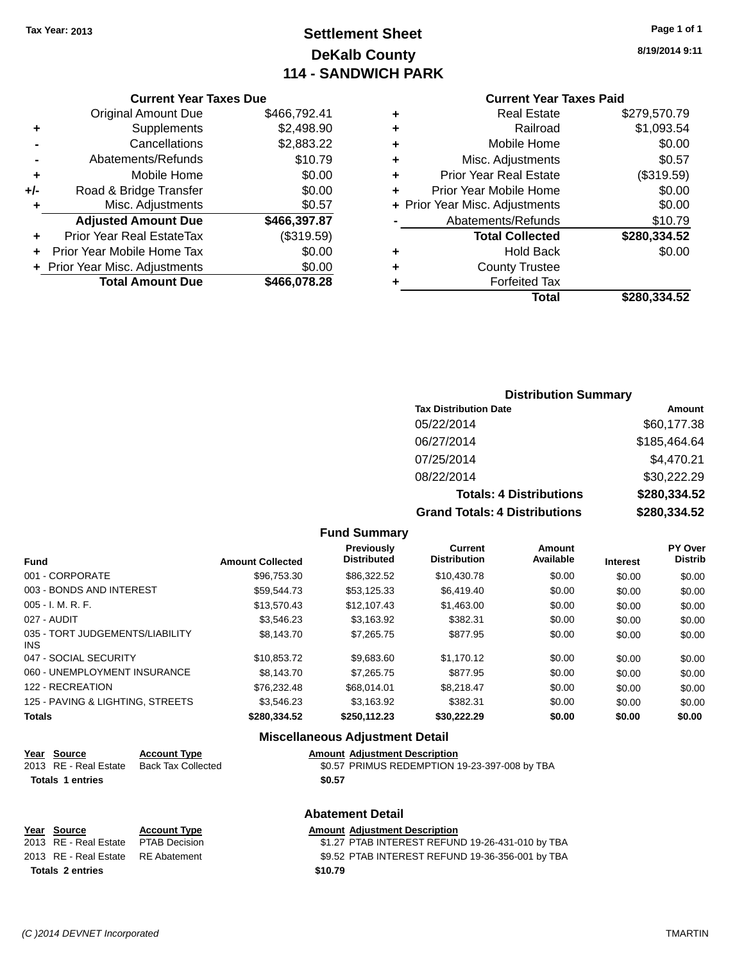### **Settlement Sheet Tax Year: 2013 Page 1 of 1 DeKalb County 114 - SANDWICH PARK**

**8/19/2014 9:11**

#### **Current Year Taxes Paid**

|     | <b>Current Year Taxes Due</b>  |              |           |
|-----|--------------------------------|--------------|-----------|
|     | <b>Original Amount Due</b>     | \$466,792.41 | ٠         |
|     | Supplements                    | \$2,498.90   | ٠         |
|     | Cancellations                  | \$2,883.22   | ٠         |
|     | Abatements/Refunds             | \$10.79      | ٠         |
|     | Mobile Home                    | \$0.00       | ٠         |
| +/- | Road & Bridge Transfer         | \$0.00       | P         |
|     | Misc. Adjustments              | \$0.57       | + Prior Y |
|     | <b>Adjusted Amount Due</b>     | \$466,397.87 |           |
|     | Prior Year Real EstateTax      | (\$319.59)   |           |
|     | Prior Year Mobile Home Tax     | \$0.00       | ٠         |
|     | + Prior Year Misc. Adjustments | \$0.00       | ٠         |
|     | <b>Total Amount Due</b>        | \$466,078.28 |           |
|     |                                |              |           |

|   | <b>Real Estate</b>             | \$279,570.79 |
|---|--------------------------------|--------------|
| ٠ | Railroad                       | \$1,093.54   |
| ٠ | Mobile Home                    | \$0.00       |
| ٠ | Misc. Adjustments              | \$0.57       |
| ٠ | <b>Prior Year Real Estate</b>  | (\$319.59)   |
| ٠ | Prior Year Mobile Home         | \$0.00       |
|   | + Prior Year Misc. Adjustments | \$0.00       |
|   | Abatements/Refunds             | \$10.79      |
|   | <b>Total Collected</b>         | \$280,334.52 |
| ٠ | <b>Hold Back</b>               | \$0.00       |
| ٠ | <b>County Trustee</b>          |              |
|   | <b>Forfeited Tax</b>           |              |
|   | <b>Total</b>                   | \$280,334.52 |
|   |                                |              |

### **Distribution Summary**

| <b>Tax Distribution Date</b>         | Amount       |
|--------------------------------------|--------------|
| 05/22/2014                           | \$60,177.38  |
| 06/27/2014                           | \$185,464.64 |
| 07/25/2014                           | \$4,470.21   |
| 08/22/2014                           | \$30,222.29  |
| <b>Totals: 4 Distributions</b>       | \$280,334.52 |
| <b>Grand Totals: 4 Distributions</b> | \$280,334.52 |

#### **Fund Summary**

| <b>Fund</b>                             | <b>Amount Collected</b> | <b>Previously</b><br><b>Distributed</b> | Current<br><b>Distribution</b> | Amount<br>Available | <b>Interest</b> | PY Over<br><b>Distrib</b> |
|-----------------------------------------|-------------------------|-----------------------------------------|--------------------------------|---------------------|-----------------|---------------------------|
| 001 - CORPORATE                         | \$96,753.30             | \$86,322.52                             | \$10,430.78                    | \$0.00              | \$0.00          | \$0.00                    |
| 003 - BONDS AND INTEREST                | \$59.544.73             | \$53,125.33                             | \$6,419.40                     | \$0.00              | \$0.00          | \$0.00                    |
| 005 - I. M. R. F.                       | \$13.570.43             | \$12,107.43                             | \$1,463.00                     | \$0.00              | \$0.00          | \$0.00                    |
| 027 - AUDIT                             | \$3.546.23              | \$3.163.92                              | \$382.31                       | \$0.00              | \$0.00          | \$0.00                    |
| 035 - TORT JUDGEMENTS/LIABILITY<br>INS. | \$8,143,70              | \$7,265.75                              | \$877.95                       | \$0.00              | \$0.00          | \$0.00                    |
| 047 - SOCIAL SECURITY                   | \$10.853.72             | \$9.683.60                              | \$1.170.12                     | \$0.00              | \$0.00          | \$0.00                    |
| 060 - UNEMPLOYMENT INSURANCE            | \$8,143,70              | \$7.265.75                              | \$877.95                       | \$0.00              | \$0.00          | \$0.00                    |
| 122 - RECREATION                        | \$76.232.48             | \$68,014.01                             | \$8.218.47                     | \$0.00              | \$0.00          | \$0.00                    |
| 125 - PAVING & LIGHTING, STREETS        | \$3.546.23              | \$3,163.92                              | \$382.31                       | \$0.00              | \$0.00          | \$0.00                    |
| Totals                                  | \$280,334.52            | \$250,112.23                            | \$30,222.29                    | \$0.00              | \$0.00          | \$0.00                    |

#### **Miscellaneous Adjustment Detail**

| ear Source            | <b>Account Type</b> | <b>Amount Adiustment Description</b>          |
|-----------------------|---------------------|-----------------------------------------------|
| 2013 RE - Real Estate | Back Tax Collected  | \$0.57 PRIMUS REDEMPTION 19-23-397-008 by TBA |
| Totals 1 entries      |                     | \$0.57                                        |

|                                    |                     | <b>Abatement Detail</b>                          |
|------------------------------------|---------------------|--------------------------------------------------|
| Year Source                        | <b>Account Type</b> | <b>Amount Adjustment Description</b>             |
| 2013 RE - Real Estate              | PTAB Decision       | \$1.27 PTAB INTEREST REFUND 19-26-431-010 by TBA |
| 2013 RE - Real Estate RE Abatement |                     | \$9.52 PTAB INTEREST REFUND 19-36-356-001 by TBA |
| <b>Totals 2 entries</b>            |                     | \$10.79                                          |

**Year Source**<br> **2013** RE - Real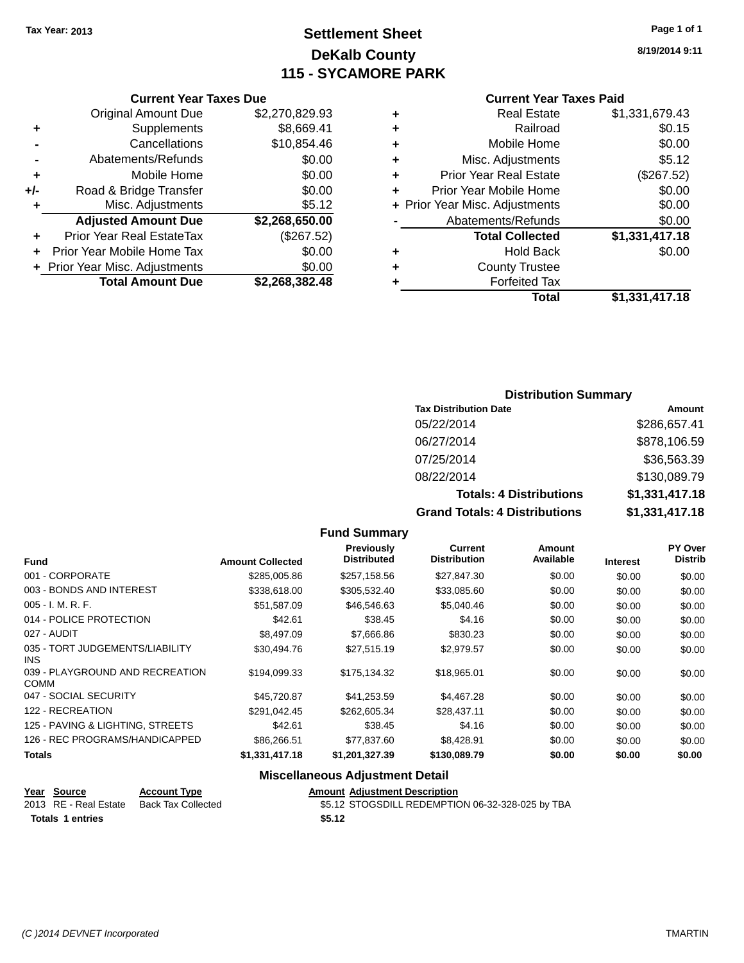### **Settlement Sheet Tax Year: 2013 Page 1 of 1 DeKalb County 115 - SYCAMORE PARK**

**8/19/2014 9:11**

#### **Current Year Taxes Paid**

| ٠ | <b>Real Estate</b>             | \$1,331,679.43 |
|---|--------------------------------|----------------|
| ٠ | Railroad                       | \$0.15         |
| ÷ | Mobile Home                    | \$0.00         |
| ٠ | Misc. Adjustments              | \$5.12         |
| ٠ | <b>Prior Year Real Estate</b>  | (\$267.52)     |
| ٠ | Prior Year Mobile Home         | \$0.00         |
|   | + Prior Year Misc. Adjustments | \$0.00         |
|   | Abatements/Refunds             | \$0.00         |
|   | <b>Total Collected</b>         | \$1,331,417.18 |
| ٠ | <b>Hold Back</b>               | \$0.00         |
| ٠ | <b>County Trustee</b>          |                |
|   | <b>Forfeited Tax</b>           |                |
|   | Total                          | \$1,331,417.18 |

#### **Current Year Taxes Due** Original Amount Due \$2,270,829.93 **+** Supplements \$8,669.41 **-** Cancellations \$10,854.46 **-** Abatements/Refunds **\$0.00 +** Mobile Home \$0.00 **+/-** Road & Bridge Transfer \$0.00 **+** Misc. Adjustments \$5.12 **Adjusted Amount Due \$2,268,650.00 +** Prior Year Real EstateTax (\$267.52) **+** Prior Year Mobile Home Tax \$0.00 **+** Prior Year Misc. Adjustments  $$0.00$ **Total Amount Due \$2,268,382.48**

#### **Distribution Summary**

| <b>Tax Distribution Date</b>         | Amount         |
|--------------------------------------|----------------|
| 05/22/2014                           | \$286,657.41   |
| 06/27/2014                           | \$878,106.59   |
| 07/25/2014                           | \$36,563.39    |
| 08/22/2014                           | \$130,089.79   |
| <b>Totals: 4 Distributions</b>       | \$1,331,417.18 |
| <b>Grand Totals: 4 Distributions</b> | \$1,331,417.18 |

#### **Fund Interest Amount Collected Distributed PY Over Distrib Amount Available Current Distribution Previously** 001 - CORPORATE \$285,005.86 \$257,158.56 \$27,847.30 \$0.00 \$0.00 \$0.00 003 - BONDS AND INTEREST  $$338,618.00$   $$305,532.40$   $$33,085.60$   $$0.00$   $$0.00$   $$0.00$ 005 - I. M. R. F. \$51,587.09 \$46,546.63 \$5,040.46 \$0.00 \$0.00 \$0.00 014 - POLICE PROTECTION 60.00 \$42.61 \$38.45 \$4.16 \$0.00 \$0.00 \$0.00 \$0.00 027 - AUDIT \$8,497.09 \$7,666.86 \$830.23 \$0.00 \$0.00 \$0.00 035 - TORT JUDGEMENTS/LIABILITY INS \$30,494.76 \$27,515.19 \$2,979.57 \$0.00 \$0.00 \$0.00 039 - PLAYGROUND AND RECREATION COMM \$194,099.33 \$175,134.32 \$18,965.01 \$0.00 \$0.00 \$0.00 047 - SOCIAL SECURITY \$45,720.87 \$41,253.59 \$4,467.28 \$0.00 \$0.00 \$0.00 122 - RECREATION \$291,042.45 \$262,605.34 \$28,437.11 \$0.00 \$0.00 \$0.00 125 - PAVING & LIGHTING, STREETS \$42.61 \$38.45 \$4.16 \$0.00 \$0.00 \$0.00 \$0.00 126 - REC PROGRAMS/HANDICAPPED \$86,266.51 \$77,837.60 \$8,428.91 \$0.00 \$0.00 \$0.00 \$0.00 **Totals \$1,331,417.18 \$1,201,327.39 \$130,089.79 \$0.00 \$0.00 \$0.00**

**Fund Summary**

#### **Miscellaneous Adjustment Detail**

| Year Source             | <b>Account Type</b> | <b>Amount Adiustment Description</b>             |
|-------------------------|---------------------|--------------------------------------------------|
| 2013 RE - Real Estate   | Back Tax Collected  | \$5.12 STOGSDILL REDEMPTION 06-32-328-025 by TBA |
| <b>Totals 1 entries</b> |                     | \$5.12                                           |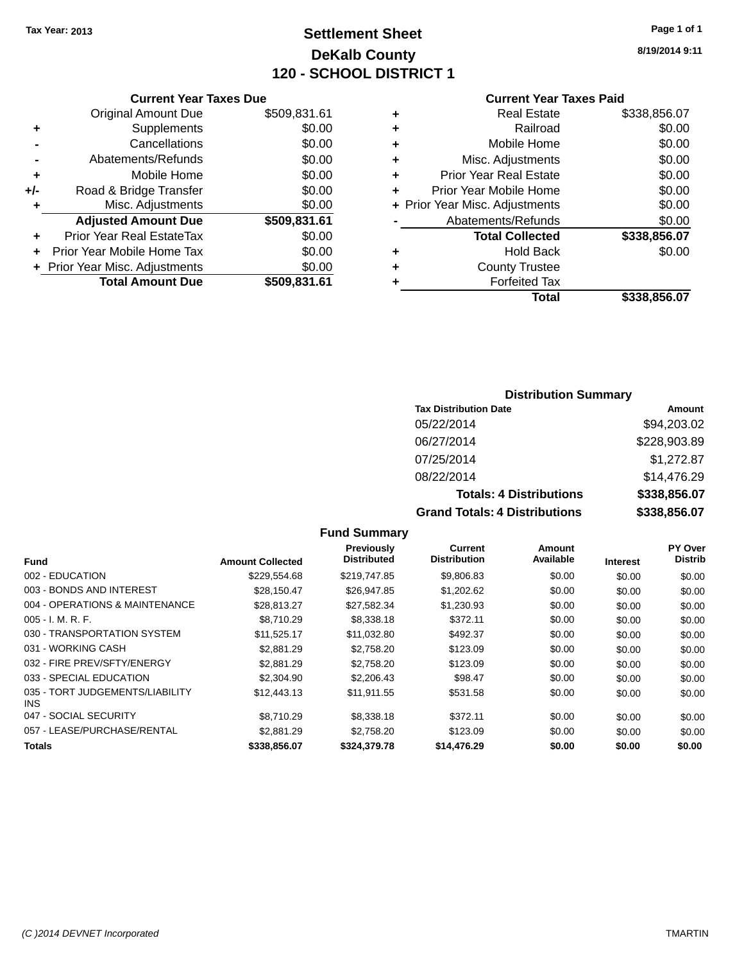### **Settlement Sheet Tax Year: 2013 Page 1 of 1 DeKalb County 120 - SCHOOL DISTRICT 1**

**8/19/2014 9:11**

#### **Current Year Taxes Paid**

|     | <b>Current Year Taxes Due</b>    |              |
|-----|----------------------------------|--------------|
|     | <b>Original Amount Due</b>       | \$509,831.61 |
| ٠   | Supplements                      | \$0.00       |
|     | Cancellations                    | \$0.00       |
|     | Abatements/Refunds               | \$0.00       |
| ٠   | Mobile Home                      | \$0.00       |
| +/- | Road & Bridge Transfer           | \$0.00       |
| ٠   | Misc. Adjustments                | \$0.00       |
|     | <b>Adjusted Amount Due</b>       | \$509,831.61 |
| ٠   | <b>Prior Year Real EstateTax</b> | \$0.00       |
|     | Prior Year Mobile Home Tax       | \$0.00       |
|     | + Prior Year Misc. Adjustments   | \$0.00       |
|     | <b>Total Amount Due</b>          | \$509,831.61 |
|     |                                  |              |

| ٠ | Real Estate                    | \$338,856.07 |
|---|--------------------------------|--------------|
| ٠ | Railroad                       | \$0.00       |
| ٠ | Mobile Home                    | \$0.00       |
| ٠ | Misc. Adjustments              | \$0.00       |
| ٠ | <b>Prior Year Real Estate</b>  | \$0.00       |
|   | Prior Year Mobile Home         | \$0.00       |
|   | + Prior Year Misc. Adjustments | \$0.00       |
|   | Abatements/Refunds             | \$0.00       |
|   | <b>Total Collected</b>         | \$338,856.07 |
| ٠ | <b>Hold Back</b>               | \$0.00       |
| ٠ | <b>County Trustee</b>          |              |
| ٠ | <b>Forfeited Tax</b>           |              |
|   | Total                          | \$338,856.07 |
|   |                                |              |

### **Distribution Summary**

| <b>Tax Distribution Date</b>         | Amount       |
|--------------------------------------|--------------|
| 05/22/2014                           | \$94,203.02  |
| 06/27/2014                           | \$228,903.89 |
| 07/25/2014                           | \$1,272.87   |
| 08/22/2014                           | \$14,476.29  |
| <b>Totals: 4 Distributions</b>       | \$338,856.07 |
| <b>Grand Totals: 4 Distributions</b> | \$338,856.07 |

| <b>Fund</b>                             | <b>Amount Collected</b> | Previously<br><b>Distributed</b> | <b>Current</b><br><b>Distribution</b> | Amount<br>Available | <b>Interest</b> | PY Over<br><b>Distrib</b> |
|-----------------------------------------|-------------------------|----------------------------------|---------------------------------------|---------------------|-----------------|---------------------------|
| 002 - EDUCATION                         | \$229,554.68            | \$219,747.85                     | \$9,806.83                            | \$0.00              | \$0.00          | \$0.00                    |
| 003 - BONDS AND INTEREST                | \$28.150.47             | \$26,947.85                      | \$1,202.62                            | \$0.00              | \$0.00          | \$0.00                    |
| 004 - OPERATIONS & MAINTENANCE          | \$28.813.27             | \$27,582.34                      | \$1,230.93                            | \$0.00              | \$0.00          | \$0.00                    |
| $005 - I. M. R. F.$                     | \$8.710.29              | \$8,338.18                       | \$372.11                              | \$0.00              | \$0.00          | \$0.00                    |
| 030 - TRANSPORTATION SYSTEM             | \$11,525.17             | \$11,032.80                      | \$492.37                              | \$0.00              | \$0.00          | \$0.00                    |
| 031 - WORKING CASH                      | \$2.881.29              | \$2.758.20                       | \$123.09                              | \$0.00              | \$0.00          | \$0.00                    |
| 032 - FIRE PREV/SFTY/ENERGY             | \$2.881.29              | \$2.758.20                       | \$123.09                              | \$0.00              | \$0.00          | \$0.00                    |
| 033 - SPECIAL EDUCATION                 | \$2,304.90              | \$2,206.43                       | \$98.47                               | \$0.00              | \$0.00          | \$0.00                    |
| 035 - TORT JUDGEMENTS/LIABILITY<br>INS. | \$12,443.13             | \$11,911.55                      | \$531.58                              | \$0.00              | \$0.00          | \$0.00                    |
| 047 - SOCIAL SECURITY                   | \$8.710.29              | \$8.338.18                       | \$372.11                              | \$0.00              | \$0.00          | \$0.00                    |
| 057 - LEASE/PURCHASE/RENTAL             | \$2,881.29              | \$2.758.20                       | \$123.09                              | \$0.00              | \$0.00          | \$0.00                    |
| <b>Totals</b>                           | \$338,856.07            | \$324.379.78                     | \$14,476.29                           | \$0.00              | \$0.00          | \$0.00                    |
|                                         |                         |                                  |                                       |                     |                 |                           |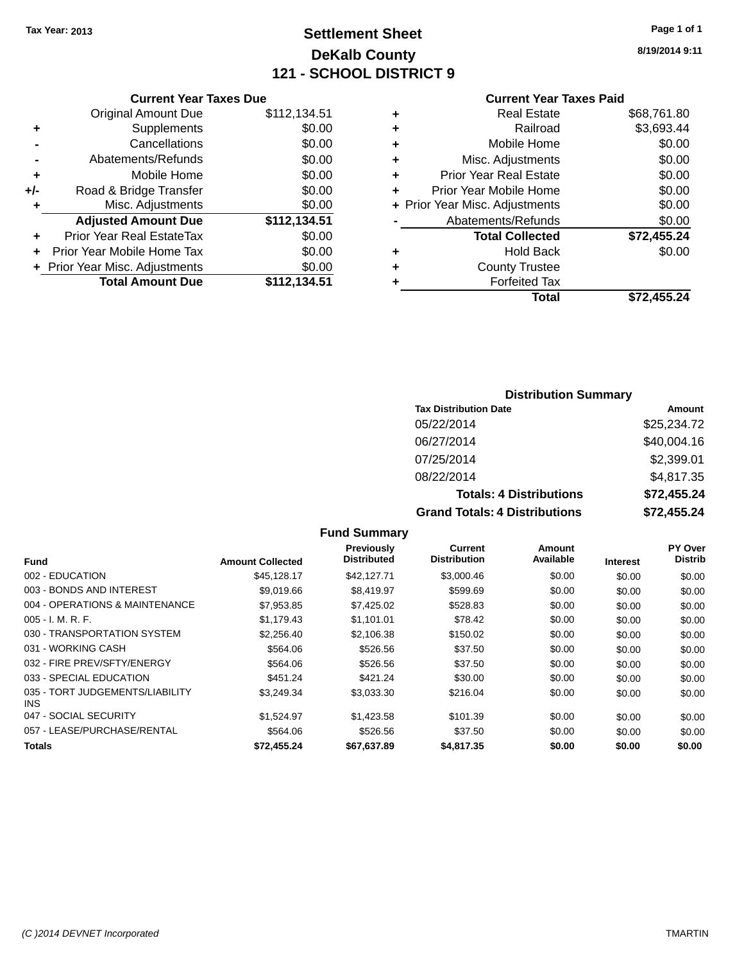### **Settlement Sheet Tax Year: 2013 Page 1 of 1 DeKalb County 121 - SCHOOL DISTRICT 9**

**8/19/2014 9:11**

### **Current Year Taxes Paid**

|     | <b>Original Amount Due</b>       | \$112,134.51 |
|-----|----------------------------------|--------------|
| ٠   | Supplements                      | \$0.00       |
|     | Cancellations                    | \$0.00       |
|     | Abatements/Refunds               | \$0.00       |
| ÷   | Mobile Home                      | \$0.00       |
| +/- | Road & Bridge Transfer           | \$0.00       |
| ٠   | Misc. Adjustments                | \$0.00       |
|     | <b>Adjusted Amount Due</b>       | \$112,134.51 |
| ٠   | <b>Prior Year Real EstateTax</b> | \$0.00       |
| ÷   | Prior Year Mobile Home Tax       | \$0.00       |
|     | + Prior Year Misc. Adjustments   | \$0.00       |
|     | <b>Total Amount Due</b>          | \$112,134.51 |
|     |                                  |              |

**Current Year Taxes Due**

| \$68,761.80 |
|-------------|
| \$3,693.44  |
| \$0.00      |
| \$0.00      |
| \$0.00      |
| \$0.00      |
| \$0.00      |
| \$0.00      |
| \$72,455.24 |
| \$0.00      |
|             |
|             |
| \$72,455.24 |
|             |

#### **Distribution Summary**

| <b>Tax Distribution Date</b>         | Amount      |
|--------------------------------------|-------------|
| 05/22/2014                           | \$25,234.72 |
| 06/27/2014                           | \$40,004.16 |
| 07/25/2014                           | \$2,399.01  |
| 08/22/2014                           | \$4,817.35  |
| <b>Totals: 4 Distributions</b>       | \$72,455.24 |
| <b>Grand Totals: 4 Distributions</b> | \$72,455.24 |

#### **Fund Interest Amount Collected Distributed PY Over Distrib Amount Available Current Distribution Previously** 002 - EDUCATION \$45,128.17 \$42,127.71 \$3,000.46 \$0.00 \$0.00 \$0.00 003 - BONDS AND INTEREST 69,019.66 \$8,419.97 \$599.69 \$0.00 \$0.00 \$0.00 \$0.00 004 - OPERATIONS & MAINTENANCE  $$7,953.85$   $$7,425.02$   $$528.83$   $$0.00$   $$0.00$   $$0.00$ 005 - I. M. R. F. \$1,179.43 \$1,101.01 \$78.42 \$0.00 \$0.00 \$0.00 030 - TRANSPORTATION SYSTEM  $$2,256.40$   $$2,106.38$   $$150.02$  \$0.00 \$0.00 \$0.00 \$0.00 031 - WORKING CASH \$564.06 \$526.56 \$37.50 \$0.00 \$0.00 \$0.00 032 - FIRE PREV/SFTY/ENERGY \$564.06 \$526.56 \$0.00 \$0.00 \$0.00 \$0.00 033 - SPECIAL EDUCATION 6451.24 \$451.24 \$421.24 \$30.00 \$0.00 \$0.00 \$0.00 \$0.00 035 - TORT JUDGEMENTS/LIABILITY INS \$3,249.34 \$3,033.30 \$216.04 \$0.00 \$0.00 \$0.00 047 - SOCIAL SECURITY \$1,524.97 \$1,423.58 \$101.39 \$0.00 \$0.00 \$0.00 057 - LEASE/PURCHASE/RENTAL  $$564.06$   $$526.56$   $$37.50$  \$0.00  $$0.00$  \$0.00  $$0.00$ **Totals \$72,455.24 \$67,637.89 \$4,817.35 \$0.00 \$0.00 \$0.00**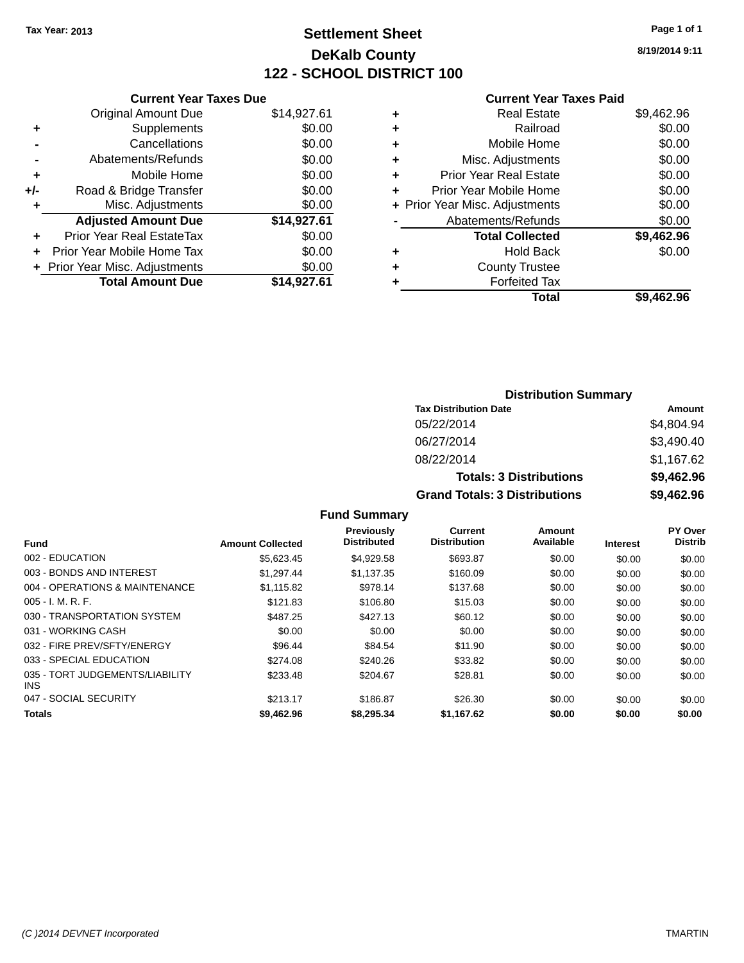### **Settlement Sheet Tax Year: 2013 Page 1 of 1 DeKalb County 122 - SCHOOL DISTRICT 100**

|       | <b>Current Year Taxes Due</b>  |             |
|-------|--------------------------------|-------------|
|       | <b>Original Amount Due</b>     | \$14,927.61 |
| ٠     | Supplements                    | \$0.00      |
|       | Cancellations                  | \$0.00      |
|       | Abatements/Refunds             | \$0.00      |
| ٠     | Mobile Home                    | \$0.00      |
| $+/-$ | Road & Bridge Transfer         | \$0.00      |
| ٠     | Misc. Adjustments              | \$0.00      |
|       | <b>Adjusted Amount Due</b>     | \$14,927.61 |
| ÷     | Prior Year Real EstateTax      | \$0.00      |
|       | Prior Year Mobile Home Tax     | \$0.00      |
|       | + Prior Year Misc. Adjustments | \$0.00      |
|       | <b>Total Amount Due</b>        | \$14,927.61 |
|       |                                |             |

#### **Current Year Taxes Paid**

| ٠ | <b>Real Estate</b>             | \$9,462.96 |
|---|--------------------------------|------------|
| ٠ | Railroad                       | \$0.00     |
| ٠ | Mobile Home                    | \$0.00     |
| ٠ | Misc. Adjustments              | \$0.00     |
| ٠ | <b>Prior Year Real Estate</b>  | \$0.00     |
| ٠ | Prior Year Mobile Home         | \$0.00     |
|   | + Prior Year Misc. Adjustments | \$0.00     |
|   | Abatements/Refunds             | \$0.00     |
|   | <b>Total Collected</b>         | \$9,462.96 |
| ٠ | <b>Hold Back</b>               | \$0.00     |
| ٠ | <b>County Trustee</b>          |            |
|   | <b>Forfeited Tax</b>           |            |
|   | Total                          | \$9,462.96 |
|   |                                |            |

#### **Distribution Summary Tax Distribution Date Amount** 05/22/2014 \$4,804.94 06/27/2014 \$3,490.40 08/22/2014 \$1,167.62 **Totals: 3 Distributions \$9,462.96 Grand Totals: 3 Distributions \$9,462.96**

| <b>Fund</b>                             | <b>Amount Collected</b> | Previously<br><b>Distributed</b> | Current<br><b>Distribution</b> | Amount<br>Available | <b>Interest</b> | <b>PY Over</b><br><b>Distrib</b> |
|-----------------------------------------|-------------------------|----------------------------------|--------------------------------|---------------------|-----------------|----------------------------------|
|                                         |                         |                                  |                                |                     |                 |                                  |
| 002 - EDUCATION                         | \$5.623.45              | \$4.929.58                       | \$693.87                       | \$0.00              | \$0.00          | \$0.00                           |
| 003 - BONDS AND INTEREST                | \$1.297.44              | \$1.137.35                       | \$160.09                       | \$0.00              | \$0.00          | \$0.00                           |
| 004 - OPERATIONS & MAINTENANCE          | \$1,115.82              | \$978.14                         | \$137.68                       | \$0.00              | \$0.00          | \$0.00                           |
| $005 - I. M. R. F.$                     | \$121.83                | \$106.80                         | \$15.03                        | \$0.00              | \$0.00          | \$0.00                           |
| 030 - TRANSPORTATION SYSTEM             | \$487.25                | \$427.13                         | \$60.12                        | \$0.00              | \$0.00          | \$0.00                           |
| 031 - WORKING CASH                      | \$0.00                  | \$0.00                           | \$0.00                         | \$0.00              | \$0.00          | \$0.00                           |
| 032 - FIRE PREV/SFTY/ENERGY             | \$96.44                 | \$84.54                          | \$11.90                        | \$0.00              | \$0.00          | \$0.00                           |
| 033 - SPECIAL EDUCATION                 | \$274.08                | \$240.26                         | \$33.82                        | \$0.00              | \$0.00          | \$0.00                           |
| 035 - TORT JUDGEMENTS/LIABILITY<br>INS. | \$233.48                | \$204.67                         | \$28.81                        | \$0.00              | \$0.00          | \$0.00                           |
| 047 - SOCIAL SECURITY                   | \$213.17                | \$186.87                         | \$26.30                        | \$0.00              | \$0.00          | \$0.00                           |
| <b>Totals</b>                           | \$9,462.96              | \$8,295,34                       | \$1.167.62                     | \$0.00              | \$0.00          | \$0.00                           |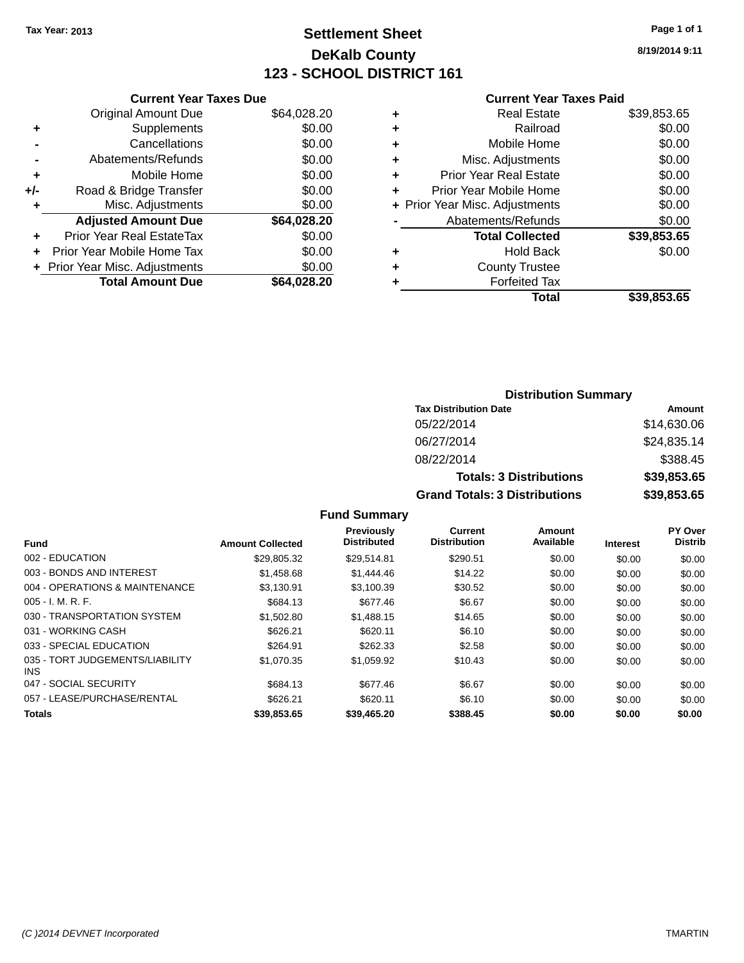## **Settlement Sheet Tax Year: 2013 Page 1 of 1 DeKalb County 123 - SCHOOL DISTRICT 161**

**8/19/2014 9:11**

#### **Current Year Taxes Paid**

|       | <b>Current Year Taxes Due</b>  |             |
|-------|--------------------------------|-------------|
|       | <b>Original Amount Due</b>     | \$64,028.20 |
| ÷     | Supplements                    | \$0.00      |
|       | Cancellations                  | \$0.00      |
|       | Abatements/Refunds             | \$0.00      |
| ٠     | Mobile Home                    | \$0.00      |
| $+/-$ | Road & Bridge Transfer         | \$0.00      |
| ٠     | Misc. Adjustments              | \$0.00      |
|       | <b>Adjusted Amount Due</b>     | \$64,028.20 |
| ÷     | Prior Year Real EstateTax      | \$0.00      |
|       | Prior Year Mobile Home Tax     | \$0.00      |
|       | + Prior Year Misc. Adjustments | \$0.00      |
|       | <b>Total Amount Due</b>        | \$64,028.20 |
|       |                                |             |

|   | <b>Real Estate</b>             | \$39,853.65 |
|---|--------------------------------|-------------|
| ٠ | Railroad                       | \$0.00      |
| ٠ | Mobile Home                    | \$0.00      |
| ٠ | Misc. Adjustments              | \$0.00      |
| ٠ | <b>Prior Year Real Estate</b>  | \$0.00      |
|   | Prior Year Mobile Home         | \$0.00      |
|   | + Prior Year Misc. Adjustments | \$0.00      |
|   | Abatements/Refunds             | \$0.00      |
|   | <b>Total Collected</b>         | \$39,853.65 |
| ٠ | Hold Back                      | \$0.00      |
|   | <b>County Trustee</b>          |             |
| ٠ | <b>Forfeited Tax</b>           |             |
|   | Total                          | \$39,853.65 |
|   |                                |             |

## **Distribution Summary Tax Distribution Date Amount** 05/22/2014 \$14,630.06 06/27/2014 \$24,835.14 08/22/2014 \$388.45 **Totals: 3 Distributions \$39,853.65 Grand Totals: 3 Distributions \$39,853.65**

| <b>Fund</b>                             | <b>Amount Collected</b> | Previously<br><b>Distributed</b> | <b>Current</b><br><b>Distribution</b> | Amount<br>Available | <b>Interest</b> | PY Over<br><b>Distrib</b> |
|-----------------------------------------|-------------------------|----------------------------------|---------------------------------------|---------------------|-----------------|---------------------------|
| 002 - EDUCATION                         | \$29,805.32             | \$29.514.81                      | \$290.51                              | \$0.00              | \$0.00          | \$0.00                    |
| 003 - BONDS AND INTEREST                | \$1,458.68              | \$1,444.46                       | \$14.22                               | \$0.00              | \$0.00          | \$0.00                    |
| 004 - OPERATIONS & MAINTENANCE          | \$3,130.91              | \$3,100.39                       | \$30.52                               | \$0.00              | \$0.00          | \$0.00                    |
| $005 - I. M. R. F.$                     | \$684.13                | \$677.46                         | \$6.67                                | \$0.00              | \$0.00          | \$0.00                    |
| 030 - TRANSPORTATION SYSTEM             | \$1,502.80              | \$1,488.15                       | \$14.65                               | \$0.00              | \$0.00          | \$0.00                    |
| 031 - WORKING CASH                      | \$626.21                | \$620.11                         | \$6.10                                | \$0.00              | \$0.00          | \$0.00                    |
| 033 - SPECIAL EDUCATION                 | \$264.91                | \$262.33                         | \$2.58                                | \$0.00              | \$0.00          | \$0.00                    |
| 035 - TORT JUDGEMENTS/LIABILITY<br>INS. | \$1.070.35              | \$1.059.92                       | \$10.43                               | \$0.00              | \$0.00          | \$0.00                    |
| 047 - SOCIAL SECURITY                   | \$684.13                | \$677.46                         | \$6.67                                | \$0.00              | \$0.00          | \$0.00                    |
| 057 - LEASE/PURCHASE/RENTAL             | \$626.21                | \$620.11                         | \$6.10                                | \$0.00              | \$0.00          | \$0.00                    |
| <b>Totals</b>                           | \$39,853,65             | \$39,465.20                      | \$388.45                              | \$0.00              | \$0.00          | \$0.00                    |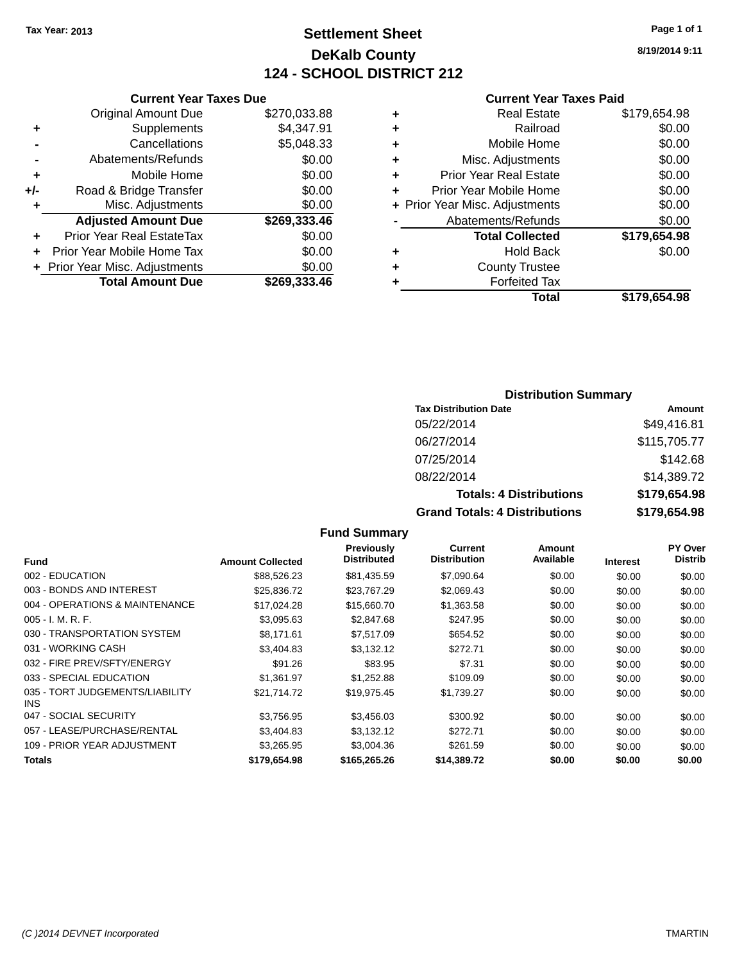## **Settlement Sheet Tax Year: 2013 Page 1 of 1 DeKalb County 124 - SCHOOL DISTRICT 212**

**8/19/2014 9:11**

#### **Current Year Taxes Paid**

|     | <b>Original Amount Due</b>       | \$270,033.88 | ٠    |
|-----|----------------------------------|--------------|------|
|     | Supplements                      | \$4,347.91   | ٠    |
|     | Cancellations                    | \$5,048.33   | ٠    |
|     | Abatements/Refunds               | \$0.00       | ٠    |
|     | Mobile Home                      | \$0.00       | ٠    |
| +/- | Road & Bridge Transfer           | \$0.00       | ٠    |
|     | Misc. Adjustments                | \$0.00       | + Pr |
|     | <b>Adjusted Amount Due</b>       | \$269,333.46 |      |
|     | <b>Prior Year Real EstateTax</b> | \$0.00       |      |
|     | Prior Year Mobile Home Tax       | \$0.00       |      |
|     | + Prior Year Misc. Adjustments   | \$0.00       | ٠    |
|     | <b>Total Amount Due</b>          | \$269,333.46 |      |
|     |                                  |              |      |

**Current Year Taxes Due**

|   | <b>Real Estate</b>             | \$179,654.98 |
|---|--------------------------------|--------------|
| ٠ | Railroad                       | \$0.00       |
| ٠ | Mobile Home                    | \$0.00       |
| ٠ | Misc. Adjustments              | \$0.00       |
| ٠ | <b>Prior Year Real Estate</b>  | \$0.00       |
| ÷ | Prior Year Mobile Home         | \$0.00       |
|   | + Prior Year Misc. Adjustments | \$0.00       |
|   | Abatements/Refunds             | \$0.00       |
|   | <b>Total Collected</b>         | \$179,654.98 |
| ٠ | <b>Hold Back</b>               | \$0.00       |
| ٠ | <b>County Trustee</b>          |              |
| ٠ | <b>Forfeited Tax</b>           |              |
|   | Total                          | \$179,654.98 |
|   |                                |              |

## **Distribution Summary**

| <b>Tax Distribution Date</b>         | Amount       |
|--------------------------------------|--------------|
| 05/22/2014                           | \$49,416.81  |
| 06/27/2014                           | \$115,705.77 |
| 07/25/2014                           | \$142.68     |
| 08/22/2014                           | \$14,389.72  |
| <b>Totals: 4 Distributions</b>       | \$179,654.98 |
| <b>Grand Totals: 4 Distributions</b> | \$179,654.98 |

#### **Fund Summary Fund Interest Amount Collected Distributed PY Over Distrib Amount Available Current Distribution Previously** 002 - EDUCATION \$88,526.23 \$81,435.59 \$7,090.64 \$0.00 \$0.00 \$0.00 003 - BONDS AND INTEREST 60.00 \$25,836.72 \$23,767.29 \$2,069.43 \$0.00 \$0.00 \$0.00 004 - OPERATIONS & MAINTENANCE \$17,024.28 \$15,660.70 \$1,363.58 \$0.00 \$0.00 \$0.00 005 - I. M. R. F. \$3,095.63 \$2,847.68 \$247.95 \$0.00 \$0.00 \$0.00 030 - TRANSPORTATION SYSTEM  $$8,171.61$  \$7,517.09 \$654.52 \$0.00 \$0.00 \$0.00 031 - WORKING CASH \$3,404.83 \$3,132.12 \$272.71 \$0.00 \$0.00 \$0.00 032 - FIRE PREV/SFTY/ENERGY \$91.26 \$83.95 \$7.31 \$0.00 \$0.00 \$0.00 \$0.00 033 - SPECIAL EDUCATION \$1,361.97 \$1,252.88 \$109.09 \$0.00 \$0.00 \$0.00 \$0.00 035 - TORT JUDGEMENTS/LIABILITY INS \$21,714.72 \$19,975.45 \$1,739.27 \$0.00 \$0.00 \$0.00 047 - SOCIAL SECURITY \$3,756.95 \$3,456.03 \$300.92 \$0.00 \$0.00 \$0.00 057 - LEASE/PURCHASE/RENTAL  $$3,404.83$   $$3,132.12$   $$272.71$   $$0.00$   $$0.00$   $$0.00$ 109 - PRIOR YEAR ADJUSTMENT  $$3,265.95$   $$3,004.36$   $$261.59$   $$0.00$   $$0.00$   $$0.00$ **Totals \$179,654.98 \$165,265.26 \$14,389.72 \$0.00 \$0.00 \$0.00**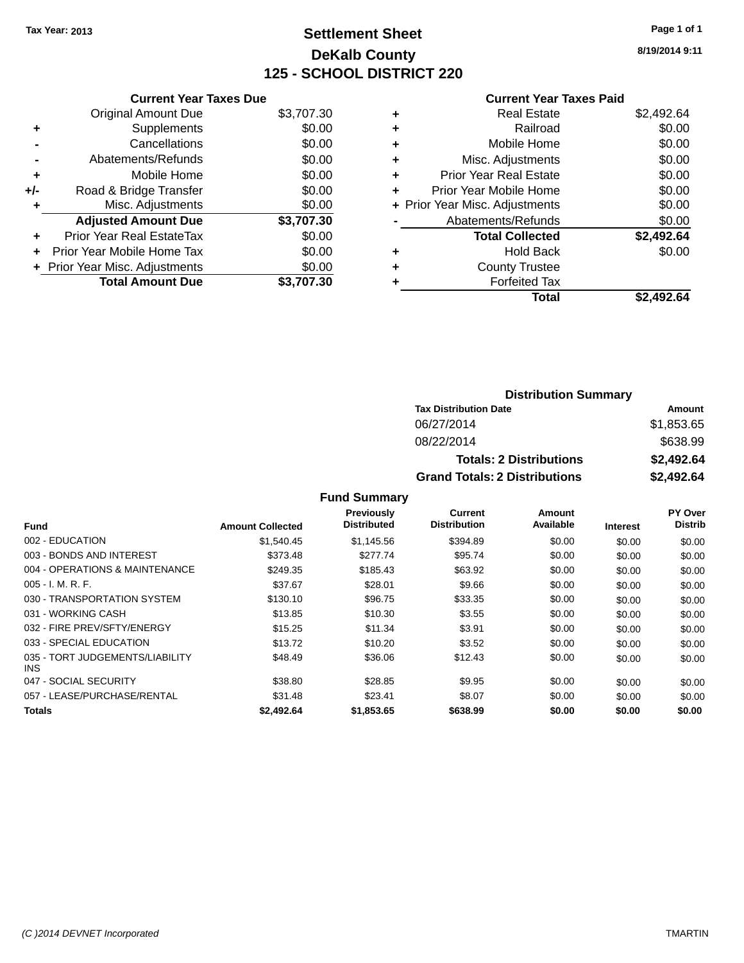## **Settlement Sheet Tax Year: 2013 Page 1 of 1 DeKalb County 125 - SCHOOL DISTRICT 220**

**8/19/2014 9:11**

## **Current Year Taxes Paid**

|     | <b>Current Year Taxes Due</b>  |            |
|-----|--------------------------------|------------|
|     | <b>Original Amount Due</b>     | \$3,707.30 |
| ٠   | Supplements                    | \$0.00     |
|     | Cancellations                  | \$0.00     |
|     | Abatements/Refunds             | \$0.00     |
| ٠   | Mobile Home                    | \$0.00     |
| +/- | Road & Bridge Transfer         | \$0.00     |
| ٠   | Misc. Adjustments              | \$0.00     |
|     | <b>Adjusted Amount Due</b>     | \$3,707.30 |
| ÷   | Prior Year Real EstateTax      | \$0.00     |
|     | Prior Year Mobile Home Tax     | \$0.00     |
|     | + Prior Year Misc. Adjustments | \$0.00     |
|     | <b>Total Amount Due</b>        | \$3,707.30 |

|   | <b>Real Estate</b>             | \$2,492.64 |
|---|--------------------------------|------------|
| ٠ | Railroad                       | \$0.00     |
| ٠ | Mobile Home                    | \$0.00     |
| ٠ | Misc. Adjustments              | \$0.00     |
| ٠ | <b>Prior Year Real Estate</b>  | \$0.00     |
|   | Prior Year Mobile Home         | \$0.00     |
|   | + Prior Year Misc. Adjustments | \$0.00     |
|   | Abatements/Refunds             | \$0.00     |
|   | <b>Total Collected</b>         | \$2,492.64 |
| ٠ | Hold Back                      | \$0.00     |
| ٠ | <b>County Trustee</b>          |            |
|   | <b>Forfeited Tax</b>           |            |
|   | Total                          | \$2.492.64 |
|   |                                |            |

| <b>Distribution Summary</b>          |            |
|--------------------------------------|------------|
| <b>Tax Distribution Date</b>         | Amount     |
| 06/27/2014                           | \$1,853.65 |
| 08/22/2014                           | \$638.99   |
| <b>Totals: 2 Distributions</b>       | \$2,492.64 |
| <b>Grand Totals: 2 Distributions</b> | \$2,492.64 |

|                                         |                         | <b>Previously</b>  | Current             | <b>Amount</b> |                 | PY Over        |
|-----------------------------------------|-------------------------|--------------------|---------------------|---------------|-----------------|----------------|
| <b>Fund</b>                             | <b>Amount Collected</b> | <b>Distributed</b> | <b>Distribution</b> | Available     | <b>Interest</b> | <b>Distrib</b> |
| 002 - EDUCATION                         | \$1,540.45              | \$1,145.56         | \$394.89            | \$0.00        | \$0.00          | \$0.00         |
| 003 - BONDS AND INTEREST                | \$373.48                | \$277.74           | \$95.74             | \$0.00        | \$0.00          | \$0.00         |
| 004 - OPERATIONS & MAINTENANCE          | \$249.35                | \$185.43           | \$63.92             | \$0.00        | \$0.00          | \$0.00         |
| $005 - I. M. R. F.$                     | \$37.67                 | \$28.01            | \$9.66              | \$0.00        | \$0.00          | \$0.00         |
| 030 - TRANSPORTATION SYSTEM             | \$130.10                | \$96.75            | \$33.35             | \$0.00        | \$0.00          | \$0.00         |
| 031 - WORKING CASH                      | \$13.85                 | \$10.30            | \$3.55              | \$0.00        | \$0.00          | \$0.00         |
| 032 - FIRE PREV/SFTY/ENERGY             | \$15.25                 | \$11.34            | \$3.91              | \$0.00        | \$0.00          | \$0.00         |
| 033 - SPECIAL EDUCATION                 | \$13.72                 | \$10.20            | \$3.52              | \$0.00        | \$0.00          | \$0.00         |
| 035 - TORT JUDGEMENTS/LIABILITY<br>INS. | \$48.49                 | \$36.06            | \$12.43             | \$0.00        | \$0.00          | \$0.00         |
| 047 - SOCIAL SECURITY                   | \$38.80                 | \$28.85            | \$9.95              | \$0.00        | \$0.00          | \$0.00         |
| 057 - LEASE/PURCHASE/RENTAL             | \$31.48                 | \$23.41            | \$8.07              | \$0.00        | \$0.00          | \$0.00         |
| <b>Totals</b>                           | \$2,492.64              | \$1,853,65         | \$638.99            | \$0.00        | \$0.00          | \$0.00         |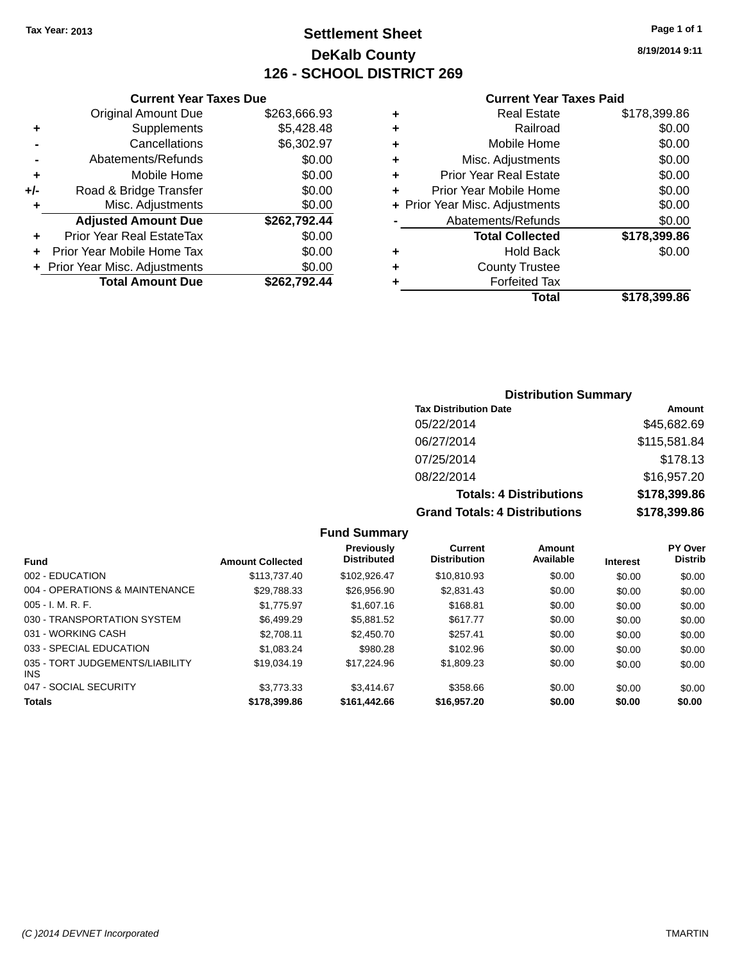## **Settlement Sheet Tax Year: 2013 Page 1 of 1 DeKalb County 126 - SCHOOL DISTRICT 269**

**8/19/2014 9:11**

#### **Current Year Taxes Paid**

|     | <b>Original Amount Due</b>       | \$263,666.93 |
|-----|----------------------------------|--------------|
| ٠   | Supplements                      | \$5,428.48   |
|     | Cancellations                    | \$6,302.97   |
| -   | Abatements/Refunds               | \$0.00       |
| ÷   | Mobile Home                      | \$0.00       |
| +/- | Road & Bridge Transfer           | \$0.00       |
| ٠   | Misc. Adjustments                | \$0.00       |
|     | <b>Adjusted Amount Due</b>       | \$262,792.44 |
| ٠   | <b>Prior Year Real EstateTax</b> | \$0.00       |
| ÷   | Prior Year Mobile Home Tax       | \$0.00       |
|     | + Prior Year Misc. Adjustments   | \$0.00       |
|     | <b>Total Amount Due</b>          | \$262,792.44 |
|     |                                  |              |

**Current Year Taxes Due**

|   | <b>Real Estate</b>             | \$178,399.86 |
|---|--------------------------------|--------------|
| ٠ | Railroad                       | \$0.00       |
| ٠ | Mobile Home                    | \$0.00       |
| ٠ | Misc. Adjustments              | \$0.00       |
| ٠ | <b>Prior Year Real Estate</b>  | \$0.00       |
| ÷ | Prior Year Mobile Home         | \$0.00       |
|   | + Prior Year Misc. Adjustments | \$0.00       |
|   | Abatements/Refunds             | \$0.00       |
|   | <b>Total Collected</b>         | \$178,399.86 |
| ٠ | Hold Back                      | \$0.00       |
| ٠ | <b>County Trustee</b>          |              |
| ٠ | <b>Forfeited Tax</b>           |              |
|   | Total                          | \$178,399.86 |
|   |                                |              |

## **Distribution Summary Tax Distribution Date Amount** 05/22/2014 \$45,682.69 06/27/2014 \$115,581.84 07/25/2014 \$178.13 08/22/2014 \$16,957.20 **Totals: 4 Distributions \$178,399.86 Grand Totals: 4 Distributions \$178,399.86**

|                                         |                         | <b>Fund Summary</b>                     |                                       |                     |                 |                                  |
|-----------------------------------------|-------------------------|-----------------------------------------|---------------------------------------|---------------------|-----------------|----------------------------------|
| <b>Fund</b>                             | <b>Amount Collected</b> | <b>Previously</b><br><b>Distributed</b> | <b>Current</b><br><b>Distribution</b> | Amount<br>Available | <b>Interest</b> | <b>PY Over</b><br><b>Distrib</b> |
| 002 - EDUCATION                         | \$113,737.40            | \$102.926.47                            | \$10,810.93                           | \$0.00              | \$0.00          | \$0.00                           |
| 004 - OPERATIONS & MAINTENANCE          | \$29,788.33             | \$26,956.90                             | \$2,831.43                            | \$0.00              | \$0.00          | \$0.00                           |
| $005 - I. M. R. F.$                     | \$1.775.97              | \$1,607.16                              | \$168.81                              | \$0.00              | \$0.00          | \$0.00                           |
| 030 - TRANSPORTATION SYSTEM             | \$6.499.29              | \$5,881.52                              | \$617.77                              | \$0.00              | \$0.00          | \$0.00                           |
| 031 - WORKING CASH                      | \$2,708.11              | \$2,450.70                              | \$257.41                              | \$0.00              | \$0.00          | \$0.00                           |
| 033 - SPECIAL EDUCATION                 | \$1.083.24              | \$980.28                                | \$102.96                              | \$0.00              | \$0.00          | \$0.00                           |
| 035 - TORT JUDGEMENTS/LIABILITY<br>INS. | \$19,034.19             | \$17.224.96                             | \$1,809.23                            | \$0.00              | \$0.00          | \$0.00                           |
| 047 - SOCIAL SECURITY                   | \$3,773,33              | \$3.414.67                              | \$358.66                              | \$0.00              | \$0.00          | \$0.00                           |
| <b>Totals</b>                           | \$178,399.86            | \$161,442.66                            | \$16,957.20                           | \$0.00              | \$0.00          | \$0.00                           |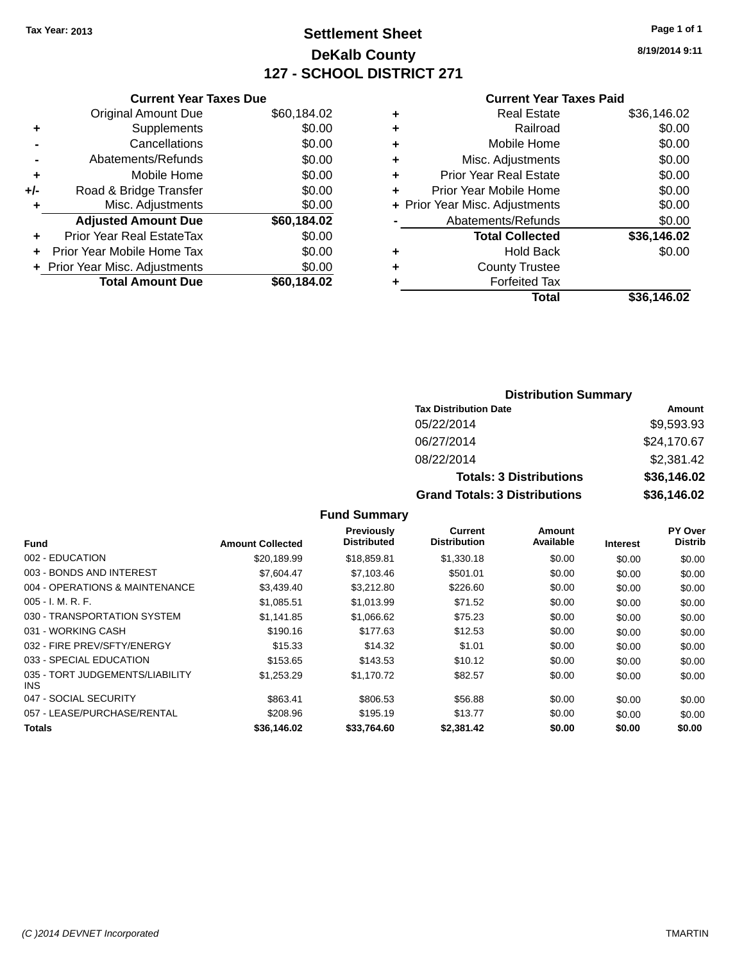## **Settlement Sheet Tax Year: 2013 Page 1 of 1 DeKalb County 127 - SCHOOL DISTRICT 271**

**8/19/2014 9:11**

### **Current Year Taxes Paid**

|     | <b>Current Year Taxes Due</b>  |             |
|-----|--------------------------------|-------------|
|     | <b>Original Amount Due</b>     | \$60,184.02 |
| ÷   | Supplements                    | \$0.00      |
|     | Cancellations                  | \$0.00      |
|     | Abatements/Refunds             | \$0.00      |
| ٠   | Mobile Home                    | \$0.00      |
| +/- | Road & Bridge Transfer         | \$0.00      |
|     | Misc. Adjustments              | \$0.00      |
|     | <b>Adjusted Amount Due</b>     | \$60.184.02 |
| ÷   | Prior Year Real EstateTax      | \$0.00      |
|     | Prior Year Mobile Home Tax     | \$0.00      |
|     | + Prior Year Misc. Adjustments | \$0.00      |
|     | <b>Total Amount Due</b>        | \$60,184.02 |
|     |                                |             |

| ٠ | <b>Real Estate</b>             | \$36,146.02 |
|---|--------------------------------|-------------|
| ٠ | Railroad                       | \$0.00      |
| ٠ | Mobile Home                    | \$0.00      |
| ٠ | Misc. Adjustments              | \$0.00      |
| ٠ | <b>Prior Year Real Estate</b>  | \$0.00      |
| ٠ | Prior Year Mobile Home         | \$0.00      |
|   | + Prior Year Misc. Adjustments | \$0.00      |
|   | Abatements/Refunds             | \$0.00      |
|   | <b>Total Collected</b>         | \$36,146.02 |
| ٠ | Hold Back                      | \$0.00      |
| ٠ | <b>County Trustee</b>          |             |
| ٠ | <b>Forfeited Tax</b>           |             |
|   | Total                          | \$36,146.02 |
|   |                                |             |

## **Distribution Summary Tax Distribution Date Amount** 05/22/2014 \$9,593.93 06/27/2014 \$24,170.67 08/22/2014 \$2,381.42 **Totals: 3 Distributions \$36,146.02 Grand Totals: 3 Distributions \$36,146.02**

| <b>Fund</b>                             | <b>Amount Collected</b> | <b>Previously</b><br><b>Distributed</b> | Current<br><b>Distribution</b> | Amount<br>Available | <b>Interest</b> | <b>PY Over</b><br><b>Distrib</b> |
|-----------------------------------------|-------------------------|-----------------------------------------|--------------------------------|---------------------|-----------------|----------------------------------|
| 002 - EDUCATION                         | \$20.189.99             | \$18,859.81                             | \$1,330.18                     | \$0.00              | \$0.00          | \$0.00                           |
| 003 - BONDS AND INTEREST                | \$7,604.47              | \$7,103.46                              | \$501.01                       | \$0.00              | \$0.00          | \$0.00                           |
| 004 - OPERATIONS & MAINTENANCE          | \$3,439.40              | \$3,212.80                              | \$226.60                       | \$0.00              | \$0.00          | \$0.00                           |
| $005 - I. M. R. F.$                     | \$1,085.51              | \$1,013.99                              | \$71.52                        | \$0.00              | \$0.00          | \$0.00                           |
| 030 - TRANSPORTATION SYSTEM             | \$1.141.85              | \$1,066.62                              | \$75.23                        | \$0.00              | \$0.00          | \$0.00                           |
| 031 - WORKING CASH                      | \$190.16                | \$177.63                                | \$12.53                        | \$0.00              | \$0.00          | \$0.00                           |
| 032 - FIRE PREV/SFTY/ENERGY             | \$15.33                 | \$14.32                                 | \$1.01                         | \$0.00              | \$0.00          | \$0.00                           |
| 033 - SPECIAL EDUCATION                 | \$153.65                | \$143.53                                | \$10.12                        | \$0.00              | \$0.00          | \$0.00                           |
| 035 - TORT JUDGEMENTS/LIABILITY<br>INS. | \$1,253.29              | \$1,170.72                              | \$82.57                        | \$0.00              | \$0.00          | \$0.00                           |
| 047 - SOCIAL SECURITY                   | \$863.41                | \$806.53                                | \$56.88                        | \$0.00              | \$0.00          | \$0.00                           |
| 057 - LEASE/PURCHASE/RENTAL             | \$208.96                | \$195.19                                | \$13.77                        | \$0.00              | \$0.00          | \$0.00                           |
| <b>Totals</b>                           | \$36,146.02             | \$33,764.60                             | \$2,381.42                     | \$0.00              | \$0.00          | \$0.00                           |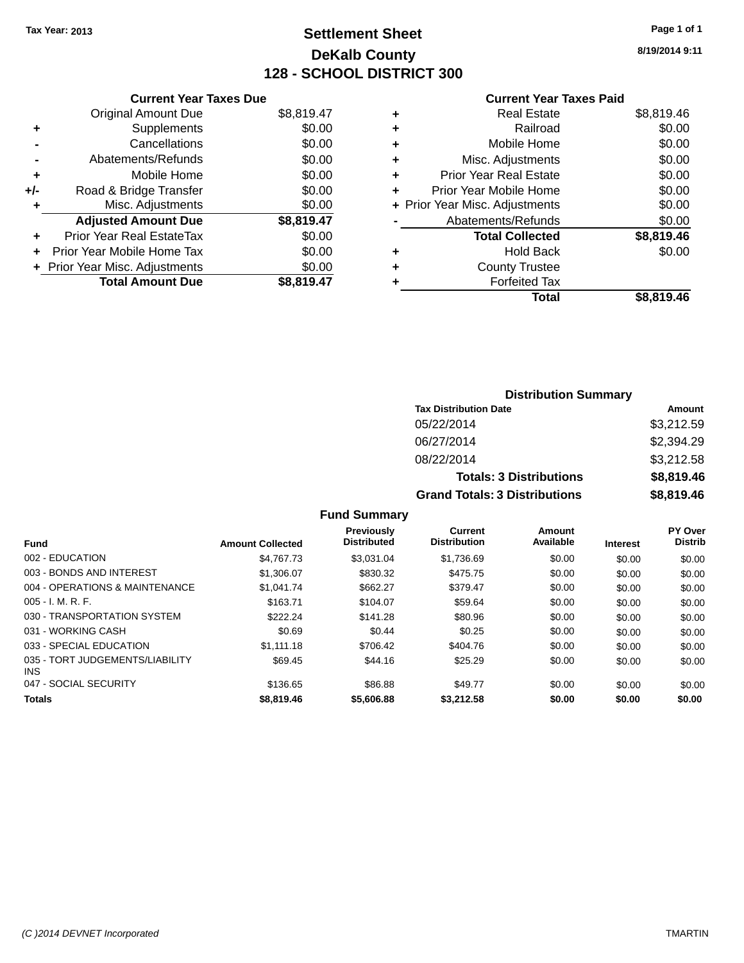## **Settlement Sheet Tax Year: 2013 Page 1 of 1 DeKalb County 128 - SCHOOL DISTRICT 300**

**8/19/2014 9:11**

## **Current Year Taxes Paid**

|     | <b>Current Year Taxes Due</b>  |            |
|-----|--------------------------------|------------|
|     | <b>Original Amount Due</b>     | \$8,819.47 |
| ٠   | Supplements                    | \$0.00     |
|     | Cancellations                  | \$0.00     |
|     | Abatements/Refunds             | \$0.00     |
| ٠   | Mobile Home                    | \$0.00     |
| +/- | Road & Bridge Transfer         | \$0.00     |
| ٠   | Misc. Adjustments              | \$0.00     |
|     | <b>Adjusted Amount Due</b>     | \$8,819.47 |
| ٠   | Prior Year Real EstateTax      | \$0.00     |
| ÷   | Prior Year Mobile Home Tax     | \$0.00     |
|     | + Prior Year Misc. Adjustments | \$0.00     |
|     | <b>Total Amount Due</b>        | \$8.819.47 |

| ٠ | <b>Real Estate</b>             | \$8,819.46 |
|---|--------------------------------|------------|
| ٠ | Railroad                       | \$0.00     |
| ٠ | Mobile Home                    | \$0.00     |
| ٠ | Misc. Adjustments              | \$0.00     |
| ٠ | <b>Prior Year Real Estate</b>  | \$0.00     |
| ٠ | Prior Year Mobile Home         | \$0.00     |
|   | + Prior Year Misc. Adjustments | \$0.00     |
|   | Abatements/Refunds             | \$0.00     |
|   | <b>Total Collected</b>         | \$8,819.46 |
| ٠ | Hold Back                      | \$0.00     |
| ٠ | <b>County Trustee</b>          |            |
| ٠ | <b>Forfeited Tax</b>           |            |
|   | Total                          | \$8.819.46 |
|   |                                |            |

| <b>Distribution Summary</b>          |            |  |  |  |  |
|--------------------------------------|------------|--|--|--|--|
| <b>Tax Distribution Date</b>         | Amount     |  |  |  |  |
| 05/22/2014                           | \$3,212.59 |  |  |  |  |
| 06/27/2014                           | \$2,394.29 |  |  |  |  |
| 08/22/2014                           | \$3,212.58 |  |  |  |  |
| <b>Totals: 3 Distributions</b>       | \$8,819.46 |  |  |  |  |
| <b>Grand Totals: 3 Distributions</b> | \$8,819.46 |  |  |  |  |

| <b>Amount Collected</b> | <b>Previously</b><br><b>Distributed</b> | <b>Current</b><br><b>Distribution</b> | <b>Amount</b><br>Available | <b>Interest</b> | <b>PY Over</b><br><b>Distrib</b> |
|-------------------------|-----------------------------------------|---------------------------------------|----------------------------|-----------------|----------------------------------|
| \$4.767.73              | \$3.031.04                              | \$1,736.69                            | \$0.00                     | \$0.00          | \$0.00                           |
| \$1,306.07              | \$830.32                                | \$475.75                              | \$0.00                     | \$0.00          | \$0.00                           |
| \$1.041.74              | \$662.27                                | \$379.47                              | \$0.00                     | \$0.00          | \$0.00                           |
| \$163.71                | \$104.07                                | \$59.64                               | \$0.00                     | \$0.00          | \$0.00                           |
| \$222.24                | \$141.28                                | \$80.96                               | \$0.00                     | \$0.00          | \$0.00                           |
| \$0.69                  | \$0.44                                  | \$0.25                                | \$0.00                     | \$0.00          | \$0.00                           |
| \$1.111.18              | \$706.42                                | \$404.76                              | \$0.00                     | \$0.00          | \$0.00                           |
| \$69.45                 | \$44.16                                 | \$25.29                               | \$0.00                     | \$0.00          | \$0.00                           |
| \$136.65                | \$86.88                                 | \$49.77                               | \$0.00                     | \$0.00          | \$0.00                           |
| \$8,819.46              | \$5,606.88                              | \$3,212.58                            | \$0.00                     | \$0.00          | \$0.00                           |
|                         |                                         |                                       |                            |                 |                                  |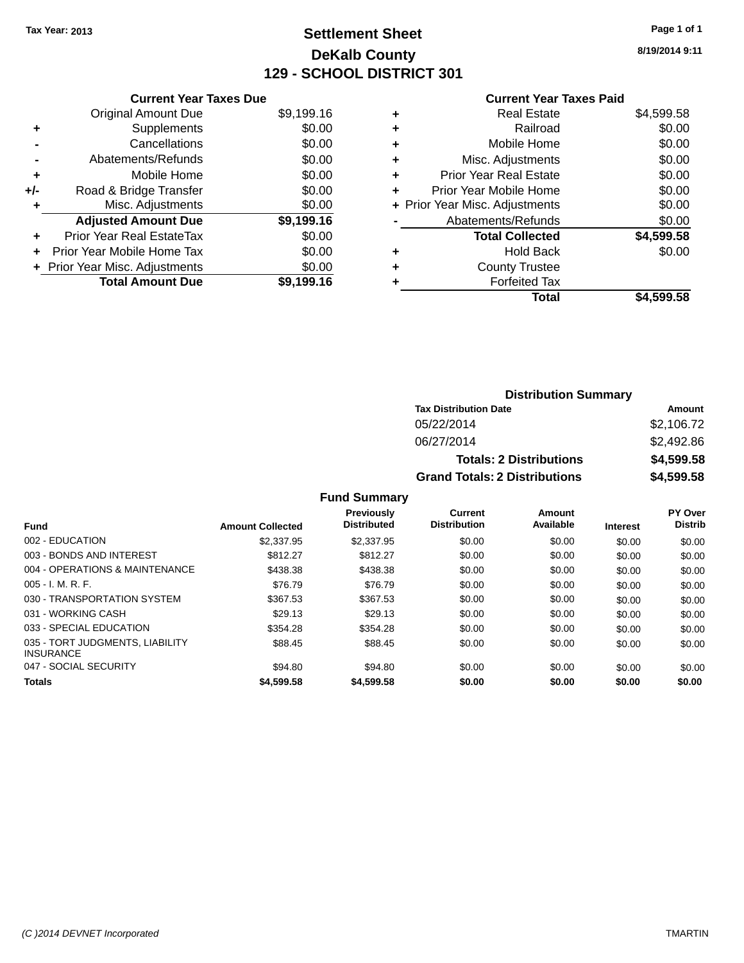## **Settlement Sheet Tax Year: 2013 Page 1 of 1 DeKalb County 129 - SCHOOL DISTRICT 301**

**8/19/2014 9:11**

## **Current Year Taxes Paid**

|     | <b>Current Year Taxes Due</b> |            |
|-----|-------------------------------|------------|
|     | <b>Original Amount Due</b>    | \$9,199.16 |
| ٠   | Supplements                   | \$0.00     |
|     | Cancellations                 | \$0.00     |
|     | Abatements/Refunds            | \$0.00     |
| ٠   | Mobile Home                   | \$0.00     |
| +/- | Road & Bridge Transfer        | \$0.00     |
| ٠   | Misc. Adjustments             | \$0.00     |
|     | <b>Adjusted Amount Due</b>    | \$9,199.16 |
| ÷   | Prior Year Real EstateTax     | \$0.00     |
|     | Prior Year Mobile Home Tax    | \$0.00     |
|     | Prior Year Misc. Adjustments  | \$0.00     |
|     | <b>Total Amount Due</b>       | \$9.199.16 |

|   | Total                          | \$4,599.58 |
|---|--------------------------------|------------|
|   | <b>Forfeited Tax</b>           |            |
| ٠ | <b>County Trustee</b>          |            |
| ٠ | Hold Back                      | \$0.00     |
|   | <b>Total Collected</b>         | \$4,599.58 |
|   | Abatements/Refunds             | \$0.00     |
|   | + Prior Year Misc. Adjustments | \$0.00     |
| ٠ | Prior Year Mobile Home         | \$0.00     |
| ÷ | <b>Prior Year Real Estate</b>  | \$0.00     |
| ٠ | Misc. Adjustments              | \$0.00     |
| ٠ | Mobile Home                    | \$0.00     |
| ٠ | Railroad                       | \$0.00     |
| ٠ | <b>Real Estate</b>             | \$4,599.58 |
|   |                                |            |

| <b>Distribution Summary</b>          |            |  |  |  |  |
|--------------------------------------|------------|--|--|--|--|
| <b>Tax Distribution Date</b>         | Amount     |  |  |  |  |
| 05/22/2014                           | \$2,106.72 |  |  |  |  |
| 06/27/2014                           | \$2,492.86 |  |  |  |  |
| <b>Totals: 2 Distributions</b>       | \$4,599.58 |  |  |  |  |
| <b>Grand Totals: 2 Distributions</b> | \$4,599.58 |  |  |  |  |

|                                                     |                         | <b>Previously</b><br><b>Distributed</b> | Current<br><b>Distribution</b> | Amount<br>Available |                 | PY Over<br><b>Distrib</b> |
|-----------------------------------------------------|-------------------------|-----------------------------------------|--------------------------------|---------------------|-----------------|---------------------------|
| <b>Fund</b>                                         | <b>Amount Collected</b> |                                         |                                |                     | <b>Interest</b> |                           |
| 002 - EDUCATION                                     | \$2,337.95              | \$2,337.95                              | \$0.00                         | \$0.00              | \$0.00          | \$0.00                    |
| 003 - BONDS AND INTEREST                            | \$812.27                | \$812.27                                | \$0.00                         | \$0.00              | \$0.00          | \$0.00                    |
| 004 - OPERATIONS & MAINTENANCE                      | \$438.38                | \$438.38                                | \$0.00                         | \$0.00              | \$0.00          | \$0.00                    |
| $005 - I. M. R. F.$                                 | \$76.79                 | \$76.79                                 | \$0.00                         | \$0.00              | \$0.00          | \$0.00                    |
| 030 - TRANSPORTATION SYSTEM                         | \$367.53                | \$367.53                                | \$0.00                         | \$0.00              | \$0.00          | \$0.00                    |
| 031 - WORKING CASH                                  | \$29.13                 | \$29.13                                 | \$0.00                         | \$0.00              | \$0.00          | \$0.00                    |
| 033 - SPECIAL EDUCATION                             | \$354.28                | \$354.28                                | \$0.00                         | \$0.00              | \$0.00          | \$0.00                    |
| 035 - TORT JUDGMENTS, LIABILITY<br><b>INSURANCE</b> | \$88.45                 | \$88.45                                 | \$0.00                         | \$0.00              | \$0.00          | \$0.00                    |
| 047 - SOCIAL SECURITY                               | \$94.80                 | \$94.80                                 | \$0.00                         | \$0.00              | \$0.00          | \$0.00                    |
| <b>Totals</b>                                       | \$4,599.58              | \$4,599.58                              | \$0.00                         | \$0.00              | \$0.00          | \$0.00                    |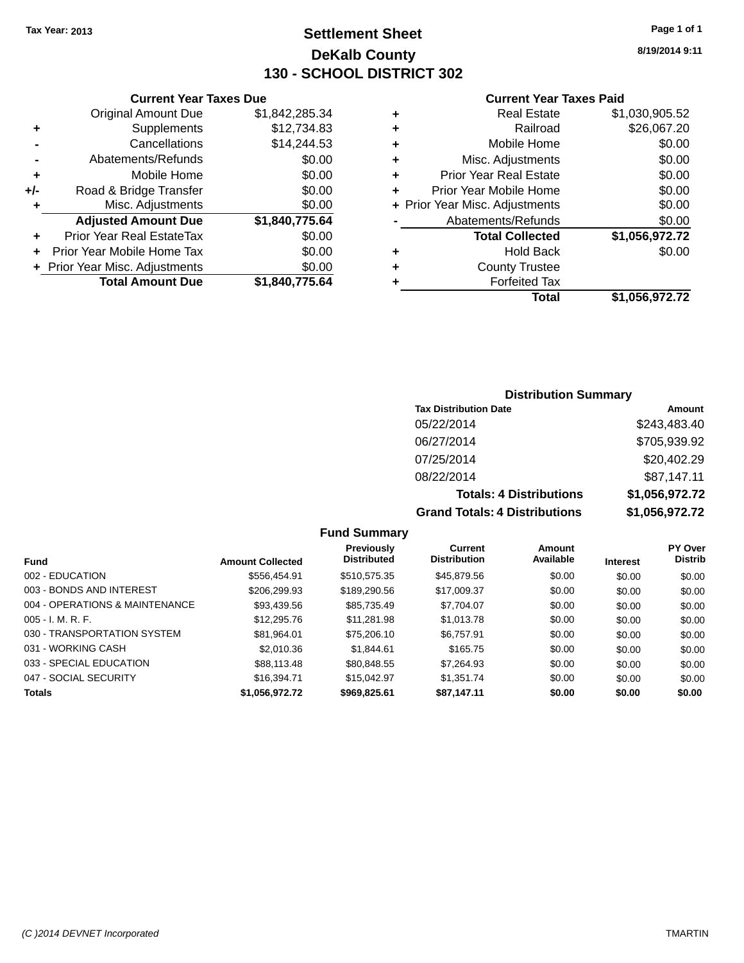## **Settlement Sheet Tax Year: 2013 Page 1 of 1 DeKalb County 130 - SCHOOL DISTRICT 302**

**8/19/2014 9:11**

### **Current Year Taxes Paid**

|     | <b>Current Year Taxes Due</b>  |                |  |  |  |  |
|-----|--------------------------------|----------------|--|--|--|--|
|     | <b>Original Amount Due</b>     | \$1,842,285.34 |  |  |  |  |
| ٠   | Supplements                    | \$12,734.83    |  |  |  |  |
|     | Cancellations                  | \$14,244.53    |  |  |  |  |
|     | Abatements/Refunds             | \$0.00         |  |  |  |  |
| ٠   | Mobile Home                    | \$0.00         |  |  |  |  |
| +/- | Road & Bridge Transfer         | \$0.00         |  |  |  |  |
| ٠   | Misc. Adjustments              | \$0.00         |  |  |  |  |
|     | <b>Adjusted Amount Due</b>     | \$1,840,775.64 |  |  |  |  |
| ÷   | Prior Year Real EstateTax      | \$0.00         |  |  |  |  |
| ÷   | Prior Year Mobile Home Tax     | \$0.00         |  |  |  |  |
|     | + Prior Year Misc. Adjustments | \$0.00         |  |  |  |  |
|     | <b>Total Amount Due</b>        | \$1,840,775.64 |  |  |  |  |
|     |                                |                |  |  |  |  |

|   | <b>Real Estate</b>             | \$1,030,905.52 |
|---|--------------------------------|----------------|
| ٠ | Railroad                       | \$26,067.20    |
| ٠ | Mobile Home                    | \$0.00         |
| ٠ | Misc. Adjustments              | \$0.00         |
| ٠ | <b>Prior Year Real Estate</b>  | \$0.00         |
| ٠ | Prior Year Mobile Home         | \$0.00         |
|   | + Prior Year Misc. Adjustments | \$0.00         |
|   | Abatements/Refunds             | \$0.00         |
|   | <b>Total Collected</b>         | \$1,056,972.72 |
| ٠ | <b>Hold Back</b>               | \$0.00         |
| ٠ | <b>County Trustee</b>          |                |
| ٠ | <b>Forfeited Tax</b>           |                |
|   | Total                          | \$1,056,972.72 |
|   |                                |                |

## **Distribution Summary**

| <b>Tax Distribution Date</b>         | Amount         |
|--------------------------------------|----------------|
| 05/22/2014                           | \$243,483.40   |
| 06/27/2014                           | \$705,939.92   |
| 07/25/2014                           | \$20,402.29    |
| 08/22/2014                           | \$87,147.11    |
| <b>Totals: 4 Distributions</b>       | \$1,056,972.72 |
| <b>Grand Totals: 4 Distributions</b> | \$1,056,972.72 |

| <b>Fund</b>                    | <b>Amount Collected</b> | Previously<br><b>Distributed</b> | Current<br><b>Distribution</b> | Amount<br>Available | <b>Interest</b> | <b>PY Over</b><br><b>Distrib</b> |
|--------------------------------|-------------------------|----------------------------------|--------------------------------|---------------------|-----------------|----------------------------------|
| 002 - EDUCATION                | \$556.454.91            | \$510,575.35                     | \$45,879.56                    | \$0.00              | \$0.00          | \$0.00                           |
| 003 - BONDS AND INTEREST       | \$206,299.93            | \$189,290.56                     | \$17,009.37                    | \$0.00              | \$0.00          | \$0.00                           |
| 004 - OPERATIONS & MAINTENANCE | \$93,439.56             | \$85,735.49                      | \$7,704.07                     | \$0.00              | \$0.00          | \$0.00                           |
| $005 - I. M. R. F.$            | \$12,295,76             | \$11.281.98                      | \$1,013.78                     | \$0.00              | \$0.00          | \$0.00                           |
| 030 - TRANSPORTATION SYSTEM    | \$81,964.01             | \$75,206.10                      | \$6,757.91                     | \$0.00              | \$0.00          | \$0.00                           |
| 031 - WORKING CASH             | \$2,010.36              | \$1.844.61                       | \$165.75                       | \$0.00              | \$0.00          | \$0.00                           |
| 033 - SPECIAL EDUCATION        | \$88,113.48             | \$80,848.55                      | \$7.264.93                     | \$0.00              | \$0.00          | \$0.00                           |
| 047 - SOCIAL SECURITY          | \$16,394.71             | \$15.042.97                      | \$1.351.74                     | \$0.00              | \$0.00          | \$0.00                           |
| <b>Totals</b>                  | \$1,056,972.72          | \$969,825.61                     | \$87,147.11                    | \$0.00              | \$0.00          | \$0.00                           |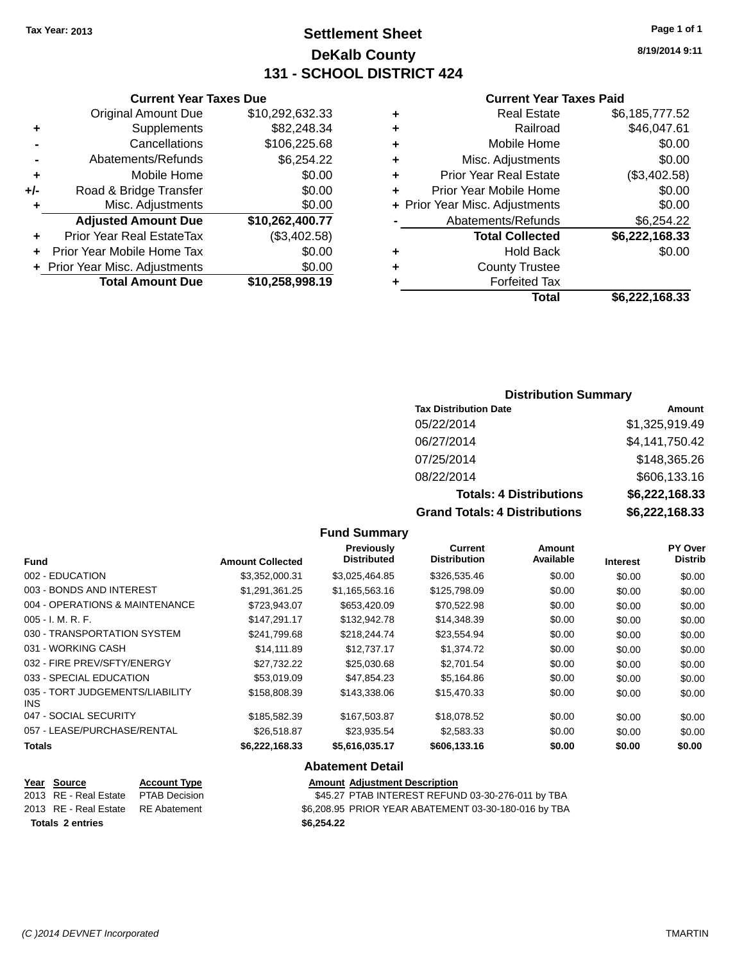## **Settlement Sheet Tax Year: 2013 Page 1 of 1 DeKalb County 131 - SCHOOL DISTRICT 424**

**8/19/2014 9:11**

| <b>Current Year Taxes Paid</b> |  |  |  |
|--------------------------------|--|--|--|
|--------------------------------|--|--|--|

| ٠ | <b>Forfeited Tax</b>           |                |
|---|--------------------------------|----------------|
| ٠ | <b>County Trustee</b>          |                |
| ٠ | <b>Hold Back</b>               | \$0.00         |
|   | <b>Total Collected</b>         | \$6,222,168.33 |
|   | Abatements/Refunds             | \$6,254.22     |
|   | + Prior Year Misc. Adjustments | \$0.00         |
| ٠ | Prior Year Mobile Home         | \$0.00         |
| ٠ | <b>Prior Year Real Estate</b>  | (\$3,402.58)   |
| ٠ | Misc. Adjustments              | \$0.00         |
| ٠ | Mobile Home                    | \$0.00         |
| ٠ | Railroad                       | \$46,047.61    |
| ٠ | <b>Real Estate</b>             | \$6,185,777.52 |
|   |                                |                |

|     | <b>Current Year Taxes Due</b>  |                 |  |  |  |  |
|-----|--------------------------------|-----------------|--|--|--|--|
|     | <b>Original Amount Due</b>     | \$10,292,632.33 |  |  |  |  |
| ÷   | Supplements                    | \$82,248.34     |  |  |  |  |
|     | Cancellations                  | \$106,225.68    |  |  |  |  |
|     | Abatements/Refunds             | \$6,254.22      |  |  |  |  |
| ٠   | Mobile Home                    | \$0.00          |  |  |  |  |
| +/- | Road & Bridge Transfer         | \$0.00          |  |  |  |  |
| ٠   | Misc. Adjustments              | \$0.00          |  |  |  |  |
|     | <b>Adjusted Amount Due</b>     | \$10,262,400.77 |  |  |  |  |
|     | Prior Year Real EstateTax      | (\$3,402.58)    |  |  |  |  |
|     | Prior Year Mobile Home Tax     | \$0.00          |  |  |  |  |
|     | + Prior Year Misc. Adjustments | \$0.00          |  |  |  |  |
|     | <b>Total Amount Due</b>        | \$10,258,998.19 |  |  |  |  |
|     |                                |                 |  |  |  |  |

## **Distribution Summary**

| <b>Tax Distribution Date</b>         | Amount         |
|--------------------------------------|----------------|
| 05/22/2014                           | \$1,325,919.49 |
| 06/27/2014                           | \$4,141,750.42 |
| 07/25/2014                           | \$148,365.26   |
| 08/22/2014                           | \$606,133.16   |
| <b>Totals: 4 Distributions</b>       | \$6,222,168.33 |
| <b>Grand Totals: 4 Distributions</b> | \$6,222,168.33 |

## **Fund Summary**

|                                         |                         | <b>Previously</b>  | Current             | <b>Amount</b> |                 | PY Over        |
|-----------------------------------------|-------------------------|--------------------|---------------------|---------------|-----------------|----------------|
| Fund                                    | <b>Amount Collected</b> | <b>Distributed</b> | <b>Distribution</b> | Available     | <b>Interest</b> | <b>Distrib</b> |
| 002 - EDUCATION                         | \$3,352,000.31          | \$3,025,464.85     | \$326,535.46        | \$0.00        | \$0.00          | \$0.00         |
| 003 - BONDS AND INTEREST                | \$1,291,361.25          | \$1,165,563.16     | \$125,798.09        | \$0.00        | \$0.00          | \$0.00         |
| 004 - OPERATIONS & MAINTENANCE          | \$723,943.07            | \$653,420.09       | \$70,522.98         | \$0.00        | \$0.00          | \$0.00         |
| $005 - I. M. R. F.$                     | \$147,291.17            | \$132,942.78       | \$14,348.39         | \$0.00        | \$0.00          | \$0.00         |
| 030 - TRANSPORTATION SYSTEM             | \$241,799.68            | \$218,244.74       | \$23,554.94         | \$0.00        | \$0.00          | \$0.00         |
| 031 - WORKING CASH                      | \$14.111.89             | \$12,737.17        | \$1,374.72          | \$0.00        | \$0.00          | \$0.00         |
| 032 - FIRE PREV/SFTY/ENERGY             | \$27.732.22             | \$25,030.68        | \$2,701.54          | \$0.00        | \$0.00          | \$0.00         |
| 033 - SPECIAL EDUCATION                 | \$53,019.09             | \$47,854.23        | \$5,164.86          | \$0.00        | \$0.00          | \$0.00         |
| 035 - TORT JUDGEMENTS/LIABILITY<br>INS. | \$158,808.39            | \$143,338,06       | \$15,470.33         | \$0.00        | \$0.00          | \$0.00         |
| 047 - SOCIAL SECURITY                   | \$185,582.39            | \$167,503.87       | \$18,078.52         | \$0.00        | \$0.00          | \$0.00         |
| 057 - LEASE/PURCHASE/RENTAL             | \$26,518.87             | \$23.935.54        | \$2,583,33          | \$0.00        | \$0.00          | \$0.00         |
| Totals                                  | \$6,222,168.33          | \$5,616,035.17     | \$606,133.16        | \$0.00        | \$0.00          | \$0.00         |

## **Abatement Detail**

| Year Source                         | <b>Account Type</b> | <b>Amount Adjustment Description</b>                 |
|-------------------------------------|---------------------|------------------------------------------------------|
| 2013 RE - Real Estate PTAB Decision |                     | \$45.27 PTAB INTEREST REFUND 03-30-276-011 by TBA    |
| 2013 RE - Real Estate RE Abatement  |                     | \$6,208.95 PRIOR YEAR ABATEMENT 03-30-180-016 by TBA |
| <b>Totals 2 entries</b>             |                     | \$6,254,22                                           |
|                                     |                     |                                                      |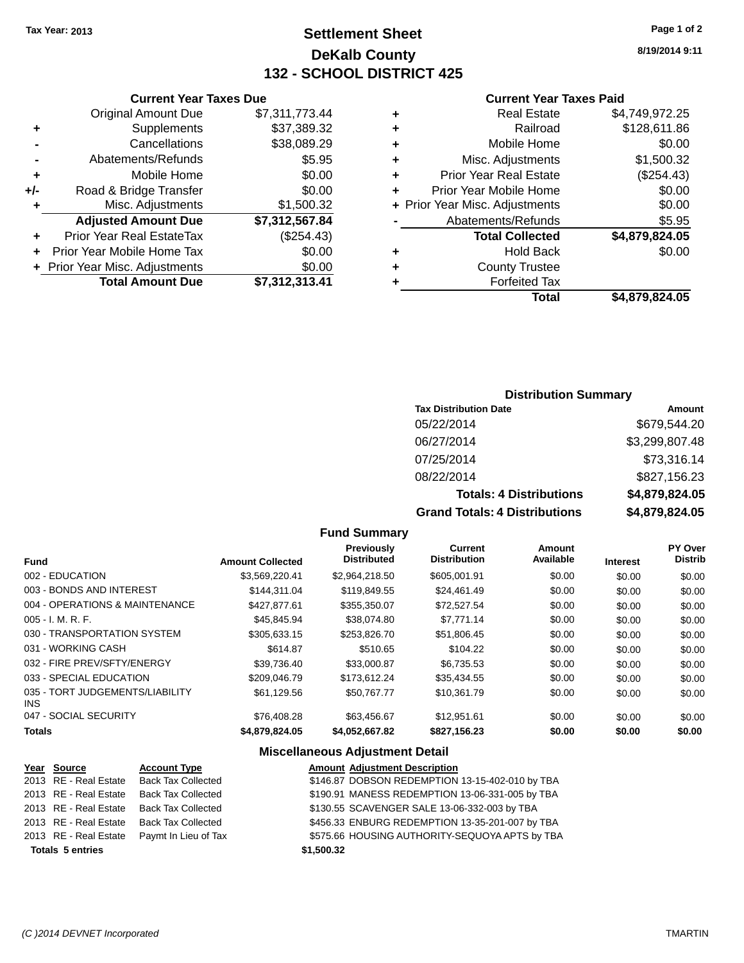**Current Year Taxes Due** Original Amount Due \$7,311,773.44

**Adjusted Amount Due \$7,312,567.84**

**Total Amount Due \$7,312,313.41**

**+** Supplements \$37,389.32 **-** Cancellations \$38,089.29 **-** Abatements/Refunds **\$5.95 +** Mobile Home \$0.00 **+/-** Road & Bridge Transfer \$0.00 **+** Misc. Adjustments \$1,500.32

**+** Prior Year Real EstateTax (\$254.43) **+** Prior Year Mobile Home Tax \$0.00 **+ Prior Year Misc. Adjustments**  $$0.00$ 

## **Settlement Sheet Tax Year: 2013 Page 1 of 2 DeKalb County 132 - SCHOOL DISTRICT 425**

**8/19/2014 9:11**

#### **Current Year Taxes Paid**

## **Distribution Summary**

| <b>Tax Distribution Date</b>         | Amount         |
|--------------------------------------|----------------|
| 05/22/2014                           | \$679,544.20   |
| 06/27/2014                           | \$3,299,807.48 |
| 07/25/2014                           | \$73,316.14    |
| 08/22/2014                           | \$827,156.23   |
| <b>Totals: 4 Distributions</b>       | \$4,879,824.05 |
| <b>Grand Totals: 4 Distributions</b> | \$4,879,824.05 |

#### **Fund Summary**

| <b>Fund</b>                             | <b>Amount Collected</b> | <b>Previously</b><br><b>Distributed</b> | <b>Current</b><br><b>Distribution</b> | Amount<br>Available | <b>Interest</b> | PY Over<br><b>Distrib</b> |
|-----------------------------------------|-------------------------|-----------------------------------------|---------------------------------------|---------------------|-----------------|---------------------------|
| 002 - EDUCATION                         |                         |                                         | \$605.001.91                          |                     |                 |                           |
|                                         | \$3,569,220.41          | \$2,964,218.50                          |                                       | \$0.00              | \$0.00          | \$0.00                    |
| 003 - BONDS AND INTEREST                | \$144.311.04            | \$119,849.55                            | \$24.461.49                           | \$0.00              | \$0.00          | \$0.00                    |
| 004 - OPERATIONS & MAINTENANCE          | \$427.877.61            | \$355,350.07                            | \$72.527.54                           | \$0.00              | \$0.00          | \$0.00                    |
| $005 - I. M. R. F.$                     | \$45,845.94             | \$38,074.80                             | \$7.771.14                            | \$0.00              | \$0.00          | \$0.00                    |
| 030 - TRANSPORTATION SYSTEM             | \$305.633.15            | \$253,826.70                            | \$51,806.45                           | \$0.00              | \$0.00          | \$0.00                    |
| 031 - WORKING CASH                      | \$614.87                | \$510.65                                | \$104.22                              | \$0.00              | \$0.00          | \$0.00                    |
| 032 - FIRE PREV/SFTY/ENERGY             | \$39.736.40             | \$33,000.87                             | \$6,735.53                            | \$0.00              | \$0.00          | \$0.00                    |
| 033 - SPECIAL EDUCATION                 | \$209,046.79            | \$173.612.24                            | \$35.434.55                           | \$0.00              | \$0.00          | \$0.00                    |
| 035 - TORT JUDGEMENTS/LIABILITY<br>INS. | \$61,129.56             | \$50,767.77                             | \$10,361.79                           | \$0.00              | \$0.00          | \$0.00                    |
| 047 - SOCIAL SECURITY                   | \$76,408.28             | \$63.456.67                             | \$12.951.61                           | \$0.00              | \$0.00          | \$0.00                    |
| <b>Totals</b>                           | \$4,879,824,05          | \$4.052.667.82                          | \$827.156.23                          | \$0.00              | \$0.00          | \$0.00                    |

#### **Miscellaneous Adjustment Detail**

| Year Source             | <b>Amount Adjustment Description</b>                                                                                                                                                                                                              |
|-------------------------|---------------------------------------------------------------------------------------------------------------------------------------------------------------------------------------------------------------------------------------------------|
|                         | \$146.87 DOBSON REDEMPTION 13-15-402-010 by TBA                                                                                                                                                                                                   |
|                         | \$190.91 MANESS REDEMPTION 13-06-331-005 by TBA                                                                                                                                                                                                   |
|                         | \$130.55 SCAVENGER SALE 13-06-332-003 by TBA                                                                                                                                                                                                      |
|                         | \$456.33 ENBURG REDEMPTION 13-35-201-007 by TBA                                                                                                                                                                                                   |
|                         | \$575.66 HOUSING AUTHORITY-SEQUOYA APTS by TBA                                                                                                                                                                                                    |
| <b>Totals 5 entries</b> | \$1,500.32                                                                                                                                                                                                                                        |
|                         | <b>Account Type</b><br>2013 RE - Real Estate Back Tax Collected<br>2013 RE - Real Estate Back Tax Collected<br>2013 RE - Real Estate Back Tax Collected<br>2013 RE - Real Estate Back Tax Collected<br>2013 RE - Real Estate Paymt In Lieu of Tax |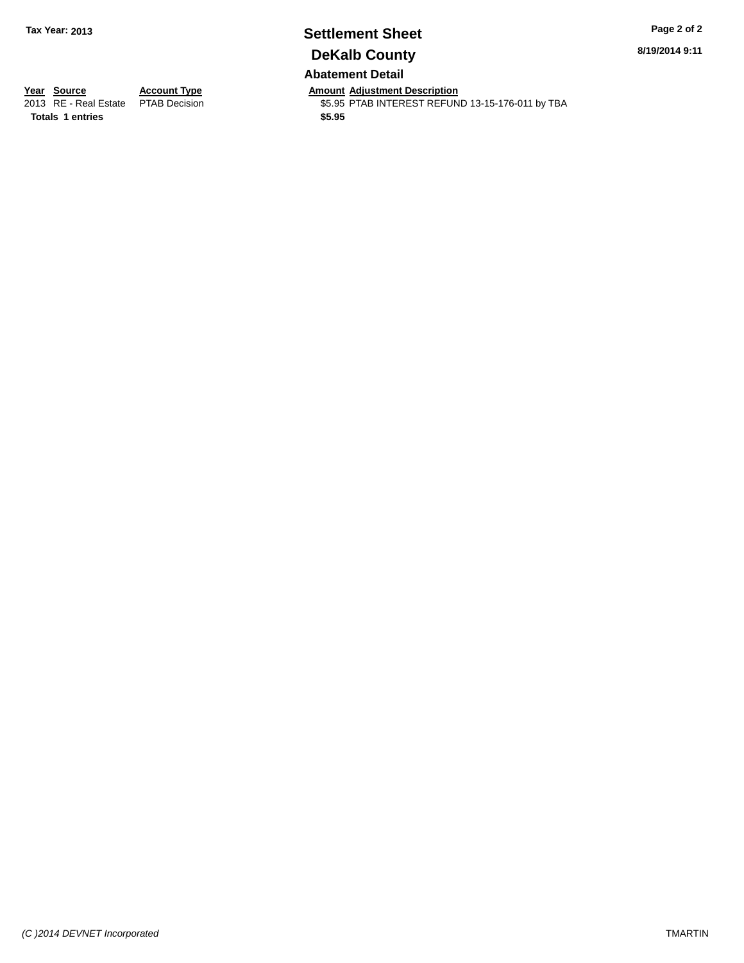# **Settlement Sheet Tax Year: 2013 Page 2 of 2 DeKalb County**

**8/19/2014 9:11**

## **Abatement Detail**

**Totals 1 entries \$5.95**

**Year Source Account Type Anneurs Amount Adjustment Description**<br>
2013 RE - Real Estate PTAB Decision **Amount Adjustment Description** \$5.95 PTAB INTEREST REFUND 13-15-176-011 by TBA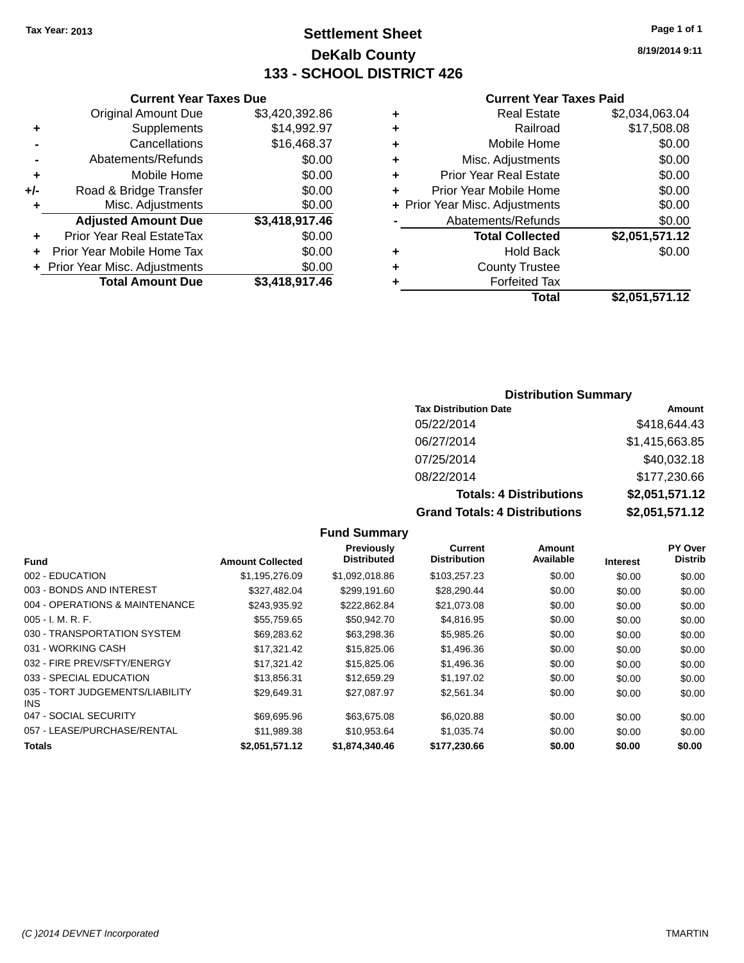## **Settlement Sheet Tax Year: 2013 Page 1 of 1 DeKalb County 133 - SCHOOL DISTRICT 426**

**8/19/2014 9:11**

#### **Current Year Taxes Paid**

|       | <b>Current Year Taxes Due</b>  |                |  |  |  |
|-------|--------------------------------|----------------|--|--|--|
|       | <b>Original Amount Due</b>     | \$3,420,392.86 |  |  |  |
| ٠     | Supplements                    | \$14,992.97    |  |  |  |
|       | Cancellations                  | \$16,468.37    |  |  |  |
|       | Abatements/Refunds             | \$0.00         |  |  |  |
| ٠     | Mobile Home                    | \$0.00         |  |  |  |
| $+/-$ | Road & Bridge Transfer         | \$0.00         |  |  |  |
|       | Misc. Adjustments              | \$0.00         |  |  |  |
|       | <b>Adjusted Amount Due</b>     | \$3,418,917.46 |  |  |  |
| ÷     | Prior Year Real EstateTax      | \$0.00         |  |  |  |
|       | Prior Year Mobile Home Tax     | \$0.00         |  |  |  |
|       | + Prior Year Misc. Adjustments | \$0.00         |  |  |  |
|       | <b>Total Amount Due</b>        | \$3,418,917.46 |  |  |  |
|       |                                |                |  |  |  |

|   | <b>Real Estate</b>             | \$2,034,063.04 |
|---|--------------------------------|----------------|
| ٠ | Railroad                       | \$17,508.08    |
| ٠ | Mobile Home                    | \$0.00         |
| ٠ | Misc. Adjustments              | \$0.00         |
| ٠ | <b>Prior Year Real Estate</b>  | \$0.00         |
| ٠ | Prior Year Mobile Home         | \$0.00         |
|   | + Prior Year Misc. Adjustments | \$0.00         |
|   | Abatements/Refunds             | \$0.00         |
|   | <b>Total Collected</b>         | \$2,051,571.12 |
| ٠ | <b>Hold Back</b>               | \$0.00         |
| ٠ | <b>County Trustee</b>          |                |
|   | <b>Forfeited Tax</b>           |                |
|   | Total                          | \$2,051,571.12 |
|   |                                |                |

## **Distribution Summary**

| <b>Tax Distribution Date</b>         | Amount         |
|--------------------------------------|----------------|
| 05/22/2014                           | \$418,644.43   |
| 06/27/2014                           | \$1,415,663.85 |
| 07/25/2014                           | \$40,032.18    |
| 08/22/2014                           | \$177,230.66   |
| <b>Totals: 4 Distributions</b>       | \$2,051,571.12 |
| <b>Grand Totals: 4 Distributions</b> | \$2,051,571.12 |

|                                         |                         | Previously         | Current             | Amount    |                 | <b>PY Over</b> |
|-----------------------------------------|-------------------------|--------------------|---------------------|-----------|-----------------|----------------|
| <b>Fund</b>                             | <b>Amount Collected</b> | <b>Distributed</b> | <b>Distribution</b> | Available | <b>Interest</b> | <b>Distrib</b> |
| 002 - EDUCATION                         | \$1.195.276.09          | \$1,092,018.86     | \$103,257.23        | \$0.00    | \$0.00          | \$0.00         |
| 003 - BONDS AND INTEREST                | \$327.482.04            | \$299.191.60       | \$28,290.44         | \$0.00    | \$0.00          | \$0.00         |
| 004 - OPERATIONS & MAINTENANCE          | \$243.935.92            | \$222.862.84       | \$21,073.08         | \$0.00    | \$0.00          | \$0.00         |
| $005 - I. M. R. F.$                     | \$55.759.65             | \$50.942.70        | \$4,816.95          | \$0.00    | \$0.00          | \$0.00         |
| 030 - TRANSPORTATION SYSTEM             | \$69,283.62             | \$63,298.36        | \$5,985.26          | \$0.00    | \$0.00          | \$0.00         |
| 031 - WORKING CASH                      | \$17.321.42             | \$15,825,06        | \$1,496.36          | \$0.00    | \$0.00          | \$0.00         |
| 032 - FIRE PREV/SFTY/ENERGY             | \$17,321.42             | \$15,825.06        | \$1,496.36          | \$0.00    | \$0.00          | \$0.00         |
| 033 - SPECIAL EDUCATION                 | \$13.856.31             | \$12,659.29        | \$1,197.02          | \$0.00    | \$0.00          | \$0.00         |
| 035 - TORT JUDGEMENTS/LIABILITY<br>INS. | \$29,649.31             | \$27,087.97        | \$2,561.34          | \$0.00    | \$0.00          | \$0.00         |
| 047 - SOCIAL SECURITY                   | \$69.695.96             | \$63,675,08        | \$6,020.88          | \$0.00    | \$0.00          | \$0.00         |
| 057 - LEASE/PURCHASE/RENTAL             | \$11.989.38             | \$10.953.64        | \$1,035.74          | \$0.00    | \$0.00          | \$0.00         |
| Totals                                  | \$2,051,571.12          | \$1,874,340.46     | \$177,230.66        | \$0.00    | \$0.00          | \$0.00         |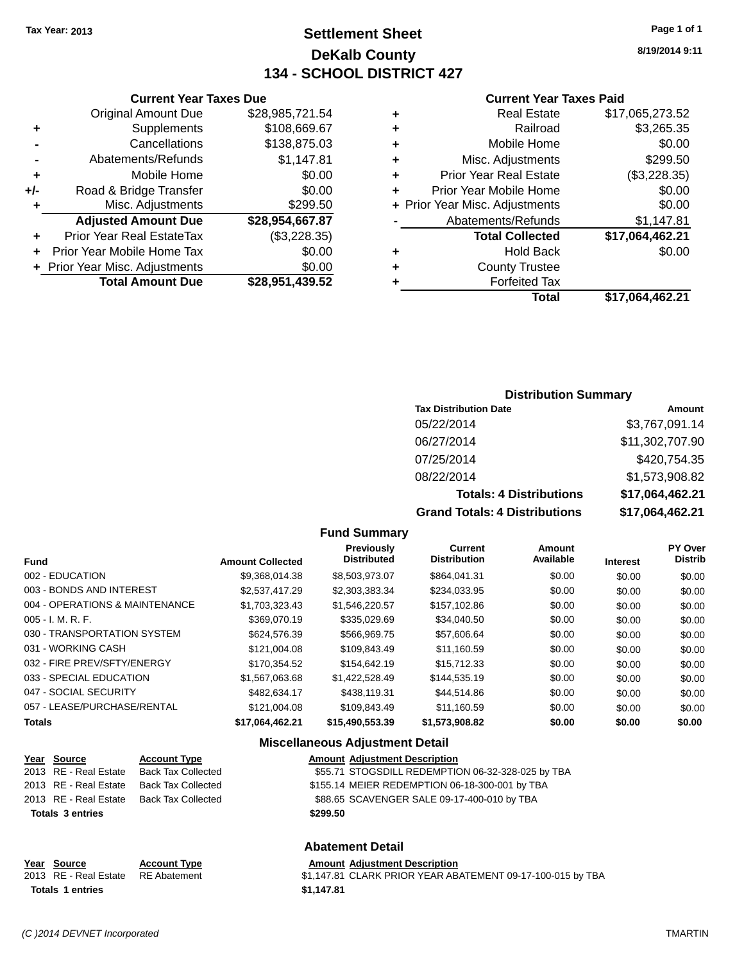## **Settlement Sheet Tax Year: 2013 Page 1 of 1 DeKalb County 134 - SCHOOL DISTRICT 427**

**8/19/2014 9:11**

#### **Current Year Taxes Paid**

## **Current Year Taxes Due** Original Amount Due \$28,985,721.54 **+** Supplements \$108,669.67 **-** Cancellations \$138,875.03 **-** Abatements/Refunds \$1,147.81 **+** Mobile Home \$0.00 **+/-** Road & Bridge Transfer \$0.00

| ٠ | Misc. Adjustments              | \$299.50        |
|---|--------------------------------|-----------------|
|   | <b>Adjusted Amount Due</b>     | \$28,954,667.87 |
|   | Prior Year Real EstateTax      | (\$3,228.35)    |
|   | + Prior Year Mobile Home Tax   | \$0.00          |
|   | + Prior Year Misc. Adjustments | \$0.00          |
|   | <b>Total Amount Due</b>        | \$28,951,439.52 |

## **Distribution Summary**

| <b>Tax Distribution Date</b>         | Amount          |
|--------------------------------------|-----------------|
| 05/22/2014                           | \$3,767,091.14  |
| 06/27/2014                           | \$11,302,707.90 |
| 07/25/2014                           | \$420,754.35    |
| 08/22/2014                           | \$1,573,908.82  |
| <b>Totals: 4 Distributions</b>       | \$17,064,462.21 |
| <b>Grand Totals: 4 Distributions</b> | \$17,064,462.21 |

### **Fund Summary**

| Fund                           | <b>Amount Collected</b> | <b>Previously</b><br><b>Distributed</b> | Current<br><b>Distribution</b> | Amount<br>Available | <b>Interest</b> | PY Over<br><b>Distrib</b> |
|--------------------------------|-------------------------|-----------------------------------------|--------------------------------|---------------------|-----------------|---------------------------|
| 002 - EDUCATION                | \$9.368.014.38          | \$8,503,973.07                          | \$864.041.31                   | \$0.00              | \$0.00          | \$0.00                    |
| 003 - BONDS AND INTEREST       | \$2,537,417.29          | \$2,303,383.34                          | \$234,033.95                   | \$0.00              | \$0.00          | \$0.00                    |
| 004 - OPERATIONS & MAINTENANCE | \$1.703.323.43          | \$1,546,220.57                          | \$157,102.86                   | \$0.00              | \$0.00          | \$0.00                    |
| $005 - I. M. R. F.$            | \$369,070.19            | \$335.029.69                            | \$34.040.50                    | \$0.00              | \$0.00          | \$0.00                    |
| 030 - TRANSPORTATION SYSTEM    | \$624,576.39            | \$566.969.75                            | \$57.606.64                    | \$0.00              | \$0.00          | \$0.00                    |
| 031 - WORKING CASH             | \$121.004.08            | \$109.843.49                            | \$11.160.59                    | \$0.00              | \$0.00          | \$0.00                    |
| 032 - FIRE PREV/SFTY/ENERGY    | \$170.354.52            | \$154,642.19                            | \$15,712.33                    | \$0.00              | \$0.00          | \$0.00                    |
| 033 - SPECIAL EDUCATION        | \$1,567,063,68          | \$1.422,528.49                          | \$144,535.19                   | \$0.00              | \$0.00          | \$0.00                    |
| 047 - SOCIAL SECURITY          | \$482.634.17            | \$438,119.31                            | \$44.514.86                    | \$0.00              | \$0.00          | \$0.00                    |
| 057 - LEASE/PURCHASE/RENTAL    | \$121.004.08            | \$109,843.49                            | \$11.160.59                    | \$0.00              | \$0.00          | \$0.00                    |
| <b>Totals</b>                  | \$17,064,462.21         | \$15,490,553.39                         | \$1,573,908,82                 | \$0.00              | \$0.00          | \$0.00                    |

## **Miscellaneous Adjustment Detail**

| <u>Year Source</u>      | <b>Account Type</b> | <b>Amount Adjustment Description</b>              |
|-------------------------|---------------------|---------------------------------------------------|
| 2013 RE - Real Estate   | Back Tax Collected  | \$55.71 STOGSDILL REDEMPTION 06-32-328-025 by TBA |
| 2013 RE - Real Estate   | Back Tax Collected  | \$155.14 MEIER REDEMPTION 06-18-300-001 by TBA    |
| 2013 RE - Real Estate   | Back Tax Collected  | \$88.65 SCAVENGER SALE 09-17-400-010 by TBA       |
| <b>Totals 3 entries</b> |                     | \$299.50                                          |
|                         |                     |                                                   |

## **Abatement Detail**

#### **Year Source Account Type Amount Adjustment Description**<br>2013 RE - Real Estate RE Abatement \$1,147.81 CLARK PRIOR YEAR AB 2013 RE - Real Estate RE Abatement \$1,147.81 CLARK PRIOR YEAR ABATEMENT 09-17-100-015 by TBA **Totals 1 entries \$1,147.81**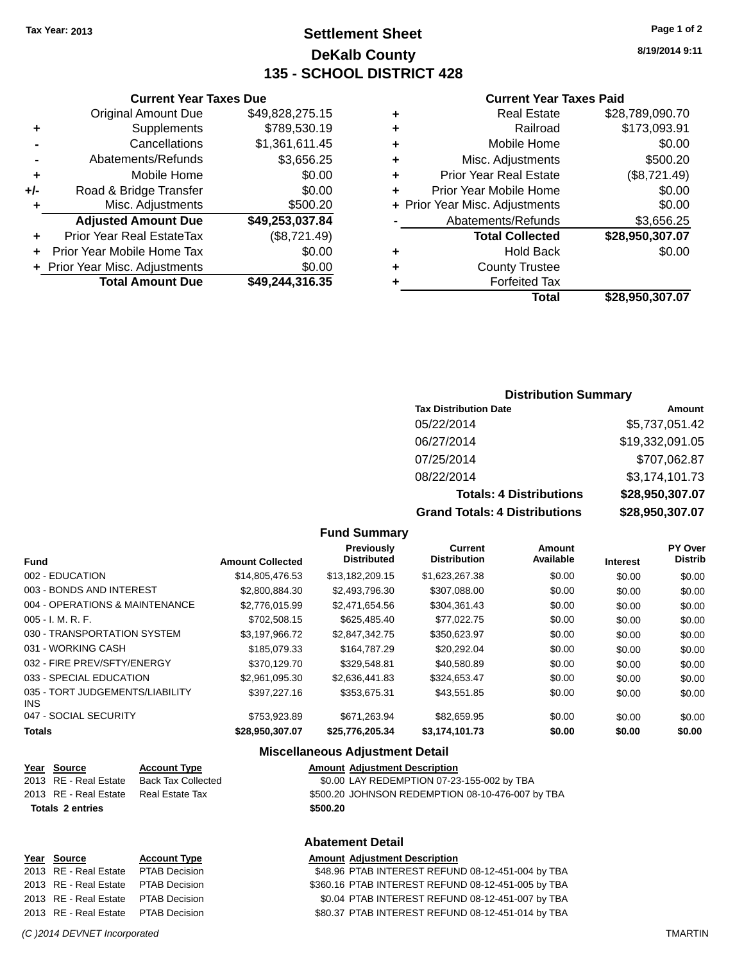## **Settlement Sheet Tax Year: 2013 Page 1 of 2 DeKalb County 135 - SCHOOL DISTRICT 428**

**8/19/2014 9:11**

#### **Current Year Taxes Paid**

| ٠ | <b>Real Estate</b>             | \$28,789,090.70 |
|---|--------------------------------|-----------------|
| ٠ | Railroad                       | \$173,093.91    |
| ٠ | Mobile Home                    | \$0.00          |
| ٠ | Misc. Adjustments              | \$500.20        |
| ٠ | <b>Prior Year Real Estate</b>  | (\$8,721.49)    |
| ÷ | Prior Year Mobile Home         | \$0.00          |
|   | + Prior Year Misc. Adjustments | \$0.00          |
|   | Abatements/Refunds             | \$3,656.25      |
|   | <b>Total Collected</b>         | \$28,950,307.07 |
| ٠ | <b>Hold Back</b>               | \$0.00          |
| ٠ | <b>County Trustee</b>          |                 |
|   | <b>Forfeited Tax</b>           |                 |
|   | Total                          | \$28,950,307.07 |

## **Current Year Taxes Due** Original Amount Due \$49,828,275.15 **+** Supplements \$789,530.19 **-** Cancellations \$1,361,611.45 **-** Abatements/Refunds \$3,656.25 **+** Mobile Home \$0.00 **+/-** Road & Bridge Transfer \$0.00 **+** Misc. Adjustments \$500.20 **Adjusted Amount Due \$49,253,037.84 +** Prior Year Real EstateTax (\$8,721.49) **+** Prior Year Mobile Home Tax \$0.00

**+ Prior Year Misc. Adjustments**  $$0.00$ 

**Total Amount Due \$49,244,316.35**

#### **Distribution Summary**

| <b>Tax Distribution Date</b>         | Amount          |
|--------------------------------------|-----------------|
| 05/22/2014                           | \$5,737,051.42  |
| 06/27/2014                           | \$19,332,091.05 |
| 07/25/2014                           | \$707,062.87    |
| 08/22/2014                           | \$3,174,101.73  |
| <b>Totals: 4 Distributions</b>       | \$28,950,307.07 |
| <b>Grand Totals: 4 Distributions</b> | \$28,950,307.07 |

#### **Fund Summary**

|                                               |                         | Previously         | Current             | Amount    |                 | PY Over        |
|-----------------------------------------------|-------------------------|--------------------|---------------------|-----------|-----------------|----------------|
| <b>Fund</b>                                   | <b>Amount Collected</b> | <b>Distributed</b> | <b>Distribution</b> | Available | <b>Interest</b> | <b>Distrib</b> |
| 002 - EDUCATION                               | \$14,805,476.53         | \$13.182.209.15    | \$1,623,267.38      | \$0.00    | \$0.00          | \$0.00         |
| 003 - BONDS AND INTEREST                      | \$2,800,884,30          | \$2.493.796.30     | \$307,088.00        | \$0.00    | \$0.00          | \$0.00         |
| 004 - OPERATIONS & MAINTENANCE                | \$2,776,015,99          | \$2,471,654.56     | \$304,361.43        | \$0.00    | \$0.00          | \$0.00         |
| $005 - I. M. R. F.$                           | \$702,508.15            | \$625.485.40       | \$77.022.75         | \$0.00    | \$0.00          | \$0.00         |
| 030 - TRANSPORTATION SYSTEM                   | \$3.197.966.72          | \$2.847.342.75     | \$350.623.97        | \$0.00    | \$0.00          | \$0.00         |
| 031 - WORKING CASH                            | \$185,079.33            | \$164,787.29       | \$20.292.04         | \$0.00    | \$0.00          | \$0.00         |
| 032 - FIRE PREV/SFTY/ENERGY                   | \$370.129.70            | \$329.548.81       | \$40,580.89         | \$0.00    | \$0.00          | \$0.00         |
| 033 - SPECIAL EDUCATION                       | \$2.961.095.30          | \$2.636.441.83     | \$324.653.47        | \$0.00    | \$0.00          | \$0.00         |
| 035 - TORT JUDGEMENTS/LIABILITY<br><b>INS</b> | \$397.227.16            | \$353.675.31       | \$43,551.85         | \$0.00    | \$0.00          | \$0.00         |
| 047 - SOCIAL SECURITY                         | \$753,923.89            | \$671.263.94       | \$82,659.95         | \$0.00    | \$0.00          | \$0.00         |
| <b>Totals</b>                                 | \$28,950,307.07         | \$25.776.205.34    | \$3,174,101.73      | \$0.00    | \$0.00          | \$0.00         |

#### **Miscellaneous Adjustment Detail**

| <u>Year Source</u>      | <b>Account Type</b> | <b>Amount Adjustment Description</b>             |
|-------------------------|---------------------|--------------------------------------------------|
| 2013 RE - Real Estate   | Back Tax Collected  | \$0.00 LAY REDEMPTION 07-23-155-002 by TBA       |
| 2013 RE - Real Estate   | Real Estate Tax     | \$500.20 JOHNSON REDEMPTION 08-10-476-007 by TBA |
| <b>Totals 2 entries</b> |                     | \$500.20                                         |
|                         |                     |                                                  |

#### **Abatement Detail**

#### **Year Source Account Type Amount Adjustment Description**

2013 RE - Real Estate PTAB Decision \$48.96 PTAB INTEREST REFUND 08-12-451-004 by TBA 2013 RE - Real Estate PTAB Decision \$360.16 PTAB INTEREST REFUND 08-12-451-005 by TBA 2013 RE - Real Estate PTAB Decision \$0.04 PTAB INTEREST REFUND 08-12-451-007 by TBA 2013 RE - Real Estate PTAB Decision \$80.37 PTAB INTEREST REFUND 08-12-451-014 by TBA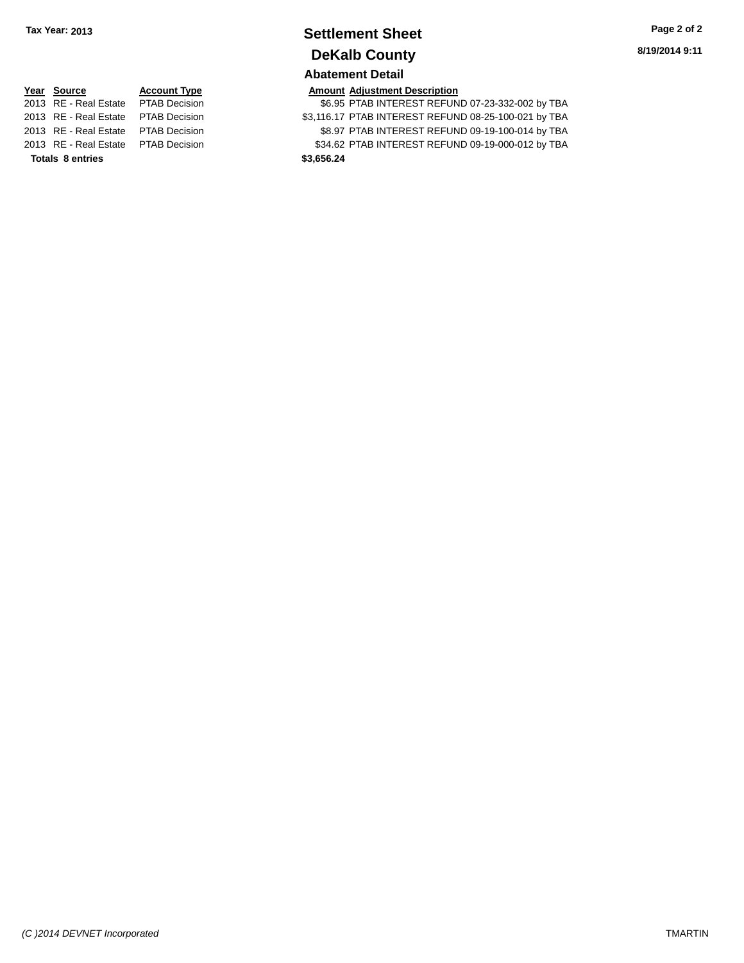# **Settlement Sheet Tax Year: 2013 Page 2 of 2 DeKalb County**

# **Year Source Account Type Amount Adjustment Description**<br>2013 RE - Real Estate PTAB Decision **Amount Adjustment Description**

**Totals 8 entries \$3,656.24**

**Abatement Detail**

\$6.95 PTAB INTEREST REFUND 07-23-332-002 by TBA 2013 RE - Real Estate PTAB Decision \$3,116.17 PTAB INTEREST REFUND 08-25-100-021 by TBA 2013 RE - Real Estate PTAB Decision \$8.97 PTAB INTEREST REFUND 09-19-100-014 by TBA 2013 RE - Real Estate PTAB Decision \$34.62 PTAB INTEREST REFUND 09-19-000-012 by TBA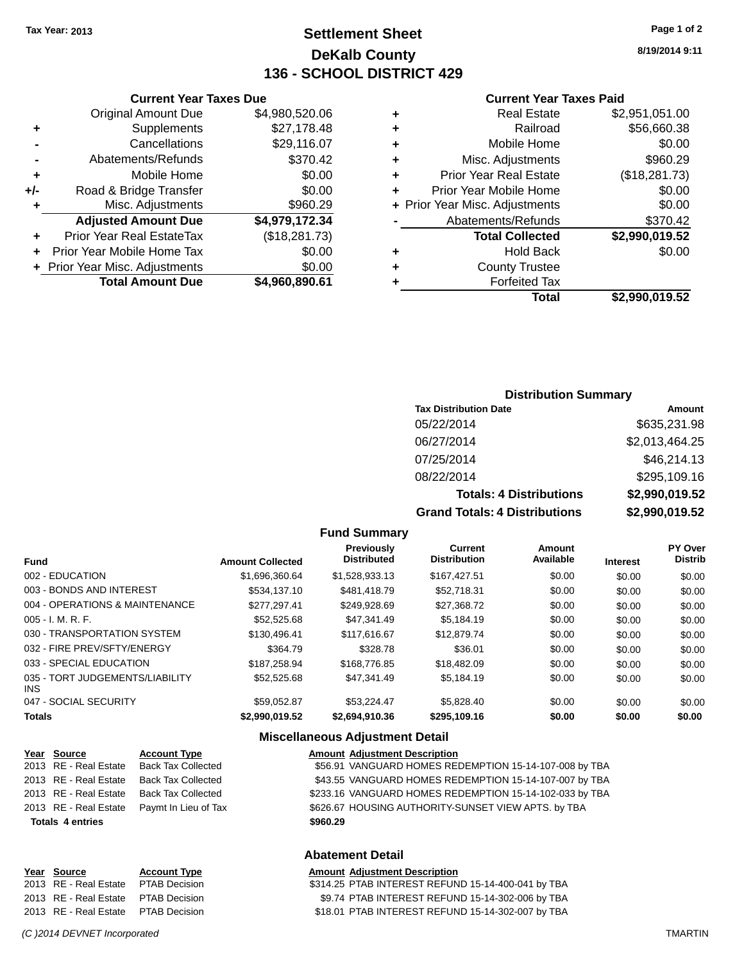## **Settlement Sheet Tax Year: 2013 Page 1 of 2 DeKalb County 136 - SCHOOL DISTRICT 429**

**8/19/2014 9:11**

#### **Current Year Taxes Paid**

|        | \$2,990,019.52 | Total                              |
|--------|----------------|------------------------------------|
|        |                | <b>Forfeited Tax</b>               |
|        |                | <b>County Trustee</b><br>٠         |
| \$0.00 |                | Hold Back<br>٠                     |
|        | \$2,990,019.52 | <b>Total Collected</b>             |
|        | \$370.42       | Abatements/Refunds                 |
| \$0.00 |                | + Prior Year Misc. Adjustments     |
| \$0.00 |                | Prior Year Mobile Home<br>٠        |
|        | (\$18,281.73)  | <b>Prior Year Real Estate</b><br>٠ |
|        | \$960.29       | Misc. Adjustments<br>٠             |
| \$0.00 |                | Mobile Home<br>٠                   |
|        | \$56,660.38    | Railroad<br>٠                      |
|        | \$2,951,051.00 | <b>Real Estate</b><br>٠            |
|        |                |                                    |

|     | <b>Current Year Taxes Due</b>    |                |
|-----|----------------------------------|----------------|
|     | <b>Original Amount Due</b>       | \$4,980,520.06 |
| ٠   | Supplements                      | \$27,178.48    |
|     | Cancellations                    | \$29,116.07    |
|     | Abatements/Refunds               | \$370.42       |
| ٠   | Mobile Home                      | \$0.00         |
| +/- | Road & Bridge Transfer           | \$0.00         |
| ٠   | Misc. Adjustments                | \$960.29       |
|     | <b>Adjusted Amount Due</b>       | \$4,979,172.34 |
| ٠   | <b>Prior Year Real EstateTax</b> | (\$18,281.73)  |
| ÷   | Prior Year Mobile Home Tax       | \$0.00         |
|     | + Prior Year Misc. Adjustments   | \$0.00         |
|     | <b>Total Amount Due</b>          | \$4,960,890.61 |
|     |                                  |                |

### **Distribution Summary**

| <b>Tax Distribution Date</b>         | Amount         |
|--------------------------------------|----------------|
| 05/22/2014                           | \$635,231.98   |
| 06/27/2014                           | \$2,013,464.25 |
| 07/25/2014                           | \$46,214.13    |
| 08/22/2014                           | \$295,109.16   |
| <b>Totals: 4 Distributions</b>       | \$2,990,019.52 |
| <b>Grand Totals: 4 Distributions</b> | \$2,990,019.52 |

#### **Fund Summary**

| <b>Fund</b>                             | <b>Amount Collected</b> | Previously<br><b>Distributed</b> | <b>Current</b><br><b>Distribution</b> | Amount<br>Available | <b>Interest</b> | PY Over<br><b>Distrib</b> |
|-----------------------------------------|-------------------------|----------------------------------|---------------------------------------|---------------------|-----------------|---------------------------|
| 002 - EDUCATION                         | \$1.696.360.64          | \$1,528,933.13                   | \$167.427.51                          | \$0.00              | \$0.00          | \$0.00                    |
| 003 - BONDS AND INTEREST                | \$534,137.10            | \$481,418.79                     | \$52.718.31                           | \$0.00              | \$0.00          | \$0.00                    |
| 004 - OPERATIONS & MAINTENANCE          | \$277.297.41            | \$249.928.69                     | \$27,368.72                           | \$0.00              | \$0.00          | \$0.00                    |
| $005 - I. M. R. F.$                     | \$52,525.68             | \$47.341.49                      | \$5,184.19                            | \$0.00              | \$0.00          | \$0.00                    |
| 030 - TRANSPORTATION SYSTEM             | \$130,496.41            | \$117,616,67                     | \$12,879.74                           | \$0.00              | \$0.00          | \$0.00                    |
| 032 - FIRE PREV/SFTY/ENERGY             | \$364.79                | \$328.78                         | \$36.01                               | \$0.00              | \$0.00          | \$0.00                    |
| 033 - SPECIAL EDUCATION                 | \$187.258.94            | \$168,776.85                     | \$18,482.09                           | \$0.00              | \$0.00          | \$0.00                    |
| 035 - TORT JUDGEMENTS/LIABILITY<br>INS. | \$52,525.68             | \$47,341.49                      | \$5,184.19                            | \$0.00              | \$0.00          | \$0.00                    |
| 047 - SOCIAL SECURITY                   | \$59.052.87             | \$53.224.47                      | \$5.828.40                            | \$0.00              | \$0.00          | \$0.00                    |
| <b>Totals</b>                           | \$2,990,019.52          | \$2,694,910.36                   | \$295,109.16                          | \$0.00              | \$0.00          | \$0.00                    |

## **Miscellaneous Adjustment Detail**

| Year Source             | <b>Account Type</b>       |          | <b>Amount Adjustment Description</b>                    |
|-------------------------|---------------------------|----------|---------------------------------------------------------|
| 2013 RE - Real Estate   | <b>Back Tax Collected</b> |          | \$56.91 VANGUARD HOMES REDEMPTION 15-14-107-008 by TBA  |
| 2013 RE - Real Estate   | Back Tax Collected        |          | \$43.55 VANGUARD HOMES REDEMPTION 15-14-107-007 by TBA  |
| 2013 RE - Real Estate   | Back Tax Collected        |          | \$233.16 VANGUARD HOMES REDEMPTION 15-14-102-033 by TBA |
| 2013 RE - Real Estate   | Paymt In Lieu of Tax      |          | \$626.67 HOUSING AUTHORITY-SUNSET VIEW APTS. by TBA     |
| <b>Totals 4 entries</b> |                           | \$960.29 |                                                         |
|                         |                           |          |                                                         |

## **Abatement Detail**

#### **Year Source Account Type Amount Adjustment Description** \$314.25 PTAB INTEREST REFUND 15-14-400-041 by TBA 2013 RE - Real Estate PTAB Decision \$9.74 PTAB INTEREST REFUND 15-14-302-006 by TBA 2013 RE - Real Estate PTAB Decision \$18.01 PTAB INTEREST REFUND 15-14-302-007 by TBA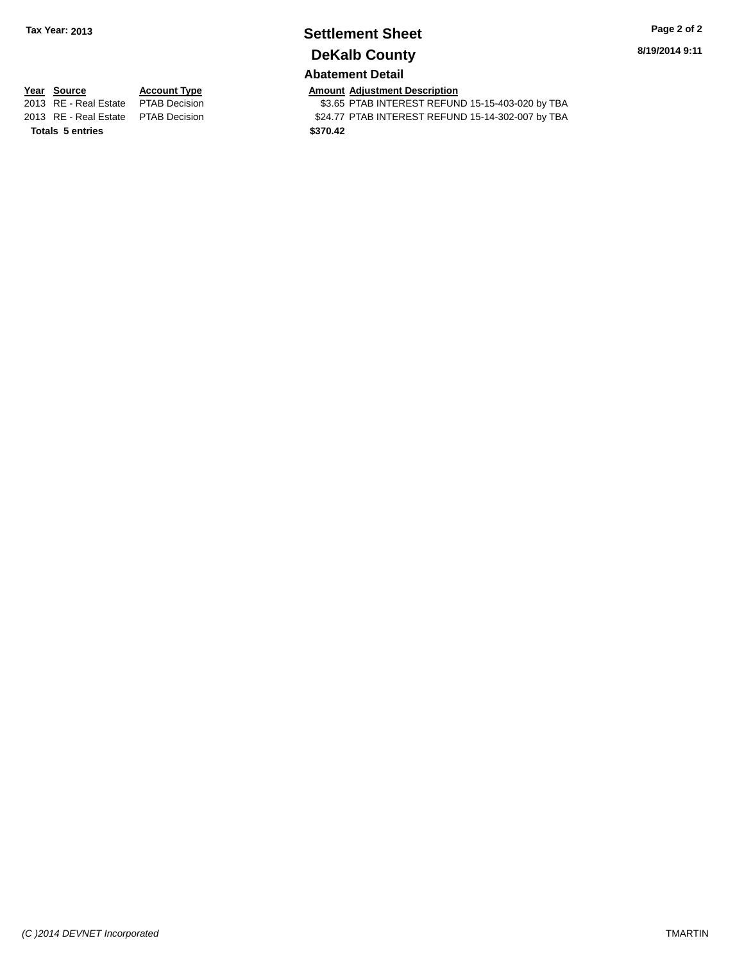## **Settlement Sheet Tax Year: 2013 Page 2 of 2 DeKalb County**

**8/19/2014 9:11**

## **Abatement Detail**

**Totals 5 entries \$370.42**

**Year Source Account Type Amount Adjustment Description**<br>2013 RE - Real Estate PTAB Decision **Amount Adjustment Description** \$3.65 PTAB INTEREST REFUND 15-15-403-020 by TBA 2013 RE - Real Estate PTAB Decision \$24.77 PTAB INTEREST REFUND 15-14-302-007 by TBA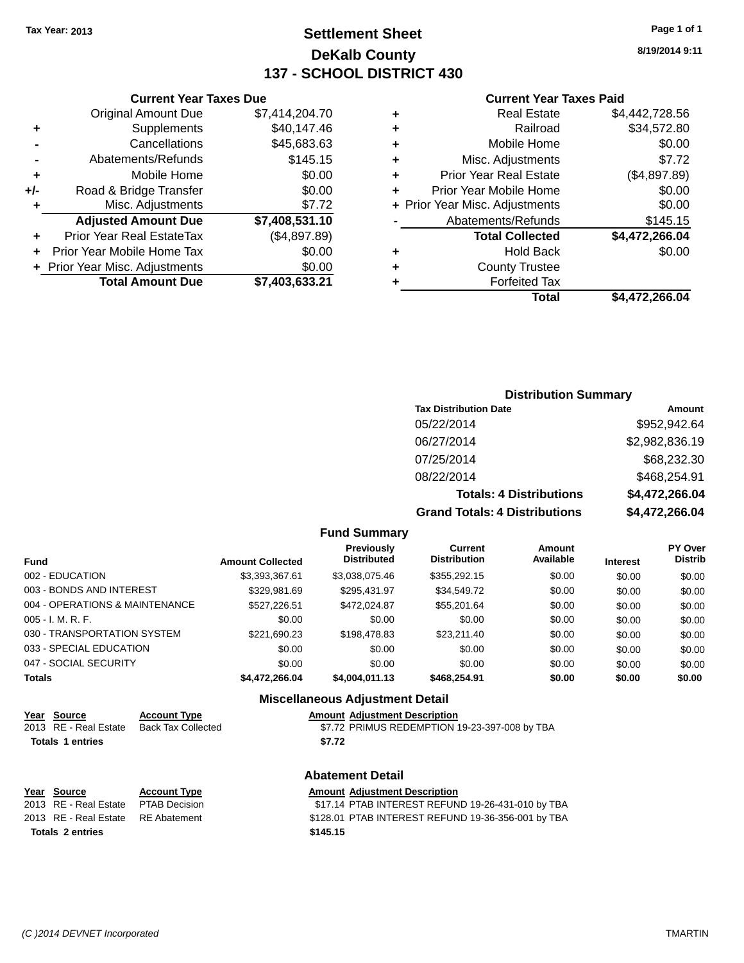## **Settlement Sheet Tax Year: 2013 Page 1 of 1 DeKalb County 137 - SCHOOL DISTRICT 430**

**8/19/2014 9:11**

#### **Current Year Taxes Paid**

|     | <b>Current Year Taxes Due</b>    |                |
|-----|----------------------------------|----------------|
|     | <b>Original Amount Due</b>       | \$7,414,204.70 |
| ٠   | Supplements                      | \$40,147.46    |
|     | Cancellations                    | \$45,683.63    |
|     | Abatements/Refunds               | \$145.15       |
| ٠   | Mobile Home                      | \$0.00         |
| +/- | Road & Bridge Transfer           | \$0.00         |
| ٠   | Misc. Adjustments                | \$7.72         |
|     | <b>Adjusted Amount Due</b>       | \$7,408,531.10 |
|     | <b>Prior Year Real EstateTax</b> | (\$4,897.89)   |
|     | Prior Year Mobile Home Tax       | \$0.00         |
|     | + Prior Year Misc. Adjustments   | \$0.00         |
|     | <b>Total Amount Due</b>          | \$7,403,633.21 |

| <b>Distribution Summary</b>  |                |  |  |  |
|------------------------------|----------------|--|--|--|
| <b>Tax Distribution Date</b> | Amount         |  |  |  |
| 05/22/2014                   | \$952,942.64   |  |  |  |
| 06/27/2014                   | \$2,982,836.19 |  |  |  |
| 07/25/2014                   | \$68,232.30    |  |  |  |

08/22/2014 \$468,254.91

**Totals: 4 Distributions \$4,472,266.04 Grand Totals: 4 Distributions \$4,472,266.04**

|  | <b>Fund Summary</b> |  |
|--|---------------------|--|
|--|---------------------|--|

| <b>Fund</b>                    | <b>Amount Collected</b> | Previously<br><b>Distributed</b> | Current<br><b>Distribution</b> | <b>Amount</b><br>Available | <b>Interest</b> | <b>PY Over</b><br><b>Distrib</b> |
|--------------------------------|-------------------------|----------------------------------|--------------------------------|----------------------------|-----------------|----------------------------------|
| 002 - EDUCATION                | \$3,393,367.61          | \$3,038,075.46                   | \$355,292.15                   | \$0.00                     | \$0.00          | \$0.00                           |
| 003 - BONDS AND INTEREST       | \$329,981.69            | \$295,431.97                     | \$34,549.72                    | \$0.00                     | \$0.00          | \$0.00                           |
| 004 - OPERATIONS & MAINTENANCE | \$527,226.51            | \$472.024.87                     | \$55,201.64                    | \$0.00                     | \$0.00          | \$0.00                           |
| 005 - I. M. R. F.              | \$0.00                  | \$0.00                           | \$0.00                         | \$0.00                     | \$0.00          | \$0.00                           |
| 030 - TRANSPORTATION SYSTEM    | \$221,690.23            | \$198,478.83                     | \$23,211,40                    | \$0.00                     | \$0.00          | \$0.00                           |
| 033 - SPECIAL EDUCATION        | \$0.00                  | \$0.00                           | \$0.00                         | \$0.00                     | \$0.00          | \$0.00                           |
| 047 - SOCIAL SECURITY          | \$0.00                  | \$0.00                           | \$0.00                         | \$0.00                     | \$0.00          | \$0.00                           |
| <b>Totals</b>                  | \$4,472,266.04          | \$4,004,011.13                   | \$468,254.91                   | \$0.00                     | \$0.00          | \$0.00                           |

## **Miscellaneous Adjustment Detail**

| Year Source           | <b>Account Type</b> | <b>Amount Adiustment Description</b>          |
|-----------------------|---------------------|-----------------------------------------------|
| 2013 RE - Real Estate | Back Tax Collected  | \$7.72 PRIMUS REDEMPTION 19-23-397-008 by TBA |
| Totals 1 entries      |                     | \$7.72                                        |

## **Abatement Detail**

| Year Source                         | <b>Account Type</b> | <b>Amount Adiustment Description</b>               |
|-------------------------------------|---------------------|----------------------------------------------------|
| 2013 RE - Real Estate PTAB Decision |                     | \$17.14 PTAB INTEREST REFUND 19-26-431-010 by TBA  |
| 2013 RE - Real Estate RE Abatement  |                     | \$128.01 PTAB INTEREST REFUND 19-36-356-001 by TBA |
| <b>Totals 2 entries</b>             |                     | \$145.15                                           |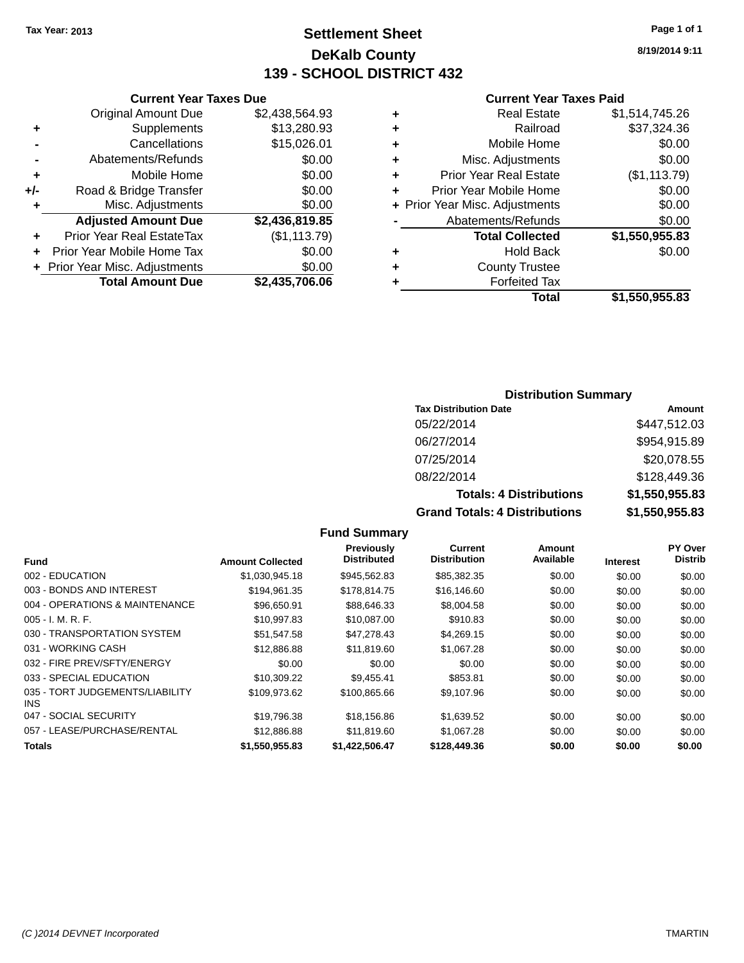## **Settlement Sheet Tax Year: 2013 Page 1 of 1 DeKalb County 139 - SCHOOL DISTRICT 432**

**8/19/2014 9:11**

#### **Current Year Taxes Paid**

|     | <b>Current Year Taxes Due</b>  |                |         |
|-----|--------------------------------|----------------|---------|
|     | <b>Original Amount Due</b>     | \$2,438,564.93 | ٠       |
|     | Supplements                    | \$13,280.93    | ٠       |
|     | Cancellations                  | \$15,026.01    |         |
|     | Abatements/Refunds             | \$0.00         | ٠       |
|     | Mobile Home                    | \$0.00         |         |
| +/- | Road & Bridge Transfer         | \$0.00         | ٠       |
|     | Misc. Adjustments              | \$0.00         | + Prior |
|     | <b>Adjusted Amount Due</b>     | \$2,436,819.85 |         |
|     | Prior Year Real EstateTax      | (\$1,113.79)   |         |
|     | Prior Year Mobile Home Tax     | \$0.00         | ٠       |
|     | + Prior Year Misc. Adjustments | \$0.00         |         |
|     | <b>Total Amount Due</b>        | \$2,435,706.06 |         |
|     |                                |                |         |

| ٠ | <b>Real Estate</b>             | \$1,514,745.26 |
|---|--------------------------------|----------------|
| ٠ | Railroad                       | \$37,324.36    |
| ٠ | Mobile Home                    | \$0.00         |
| ٠ | Misc. Adjustments              | \$0.00         |
| ٠ | <b>Prior Year Real Estate</b>  | (\$1,113.79)   |
| ÷ | Prior Year Mobile Home         | \$0.00         |
|   | + Prior Year Misc. Adjustments | \$0.00         |
|   | Abatements/Refunds             | \$0.00         |
|   | <b>Total Collected</b>         | \$1,550,955.83 |
| ٠ | <b>Hold Back</b>               | \$0.00         |
| ٠ | <b>County Trustee</b>          |                |
| ٠ | <b>Forfeited Tax</b>           |                |
|   | Total                          | \$1,550,955.83 |
|   |                                |                |

### **Distribution Summary**

| <b>Tax Distribution Date</b>         | Amount         |
|--------------------------------------|----------------|
| 05/22/2014                           | \$447,512.03   |
| 06/27/2014                           | \$954,915.89   |
| 07/25/2014                           | \$20,078.55    |
| 08/22/2014                           | \$128,449.36   |
| <b>Totals: 4 Distributions</b>       | \$1,550,955.83 |
| <b>Grand Totals: 4 Distributions</b> | \$1,550,955.83 |

#### **Fund Interest Amount Collected Distributed PY Over Distrib Amount Available Current Distribution Previously** 002 - EDUCATION \$1,030,945.18 \$945,562.83 \$85,382.35 \$0.00 \$0.00 \$0.00 003 - BONDS AND INTEREST 6194,961.35 \$178,814.75 \$16,146.60 \$0.00 \$0.00 \$0.00 \$0.00 004 - OPERATIONS & MAINTENANCE \$96,650.91 \$88,646.33 \$8,004.58 \$0.00 \$0.00 \$0.00 \$0.00 005 - I. M. R. F. \$10,997.83 \$10,087.00 \$910.83 \$0.00 \$0.00 \$0.00 030 - TRANSPORTATION SYSTEM  $$51,547.58$   $$47,278.43$   $$4,269.15$  \$0.00 \$0.00 \$0.00 031 - WORKING CASH \$12,886.88 \$11,819.60 \$1,067.28 \$0.00 \$0.00 \$0.00 \$0.00 \$0.00 \$0.00 \$0.00 \$0.00 032 - FIRE PREV/SFTY/ENERGY  $$0.00$   $$0.00$   $$0.00$   $$0.00$   $$0.00$   $$0.00$   $$0.00$   $$0.00$ 033 - SPECIAL EDUCATION \$10,309.22 \$9,455.41 \$853.81 \$0.00 \$0.00 \$0.00 \$0.00 035 - TORT JUDGEMENTS/LIABILITY INS  $$109,973.62$   $$100,865.66$   $$9,107.96$   $$0.00$   $$0.00$   $$0.00$ 047 - SOCIAL SECURITY \$19,796.38 \$18,156.86 \$1,639.52 \$0.00 \$0.00 \$0.00 057 - LEASE/PURCHASE/RENTAL \$12,886.88 \$11,819.60 \$1,067.28 \$0.00 \$0.00 \$0.00 **Totals \$1,550,955.83 \$1,422,506.47 \$128,449.36 \$0.00 \$0.00 \$0.00**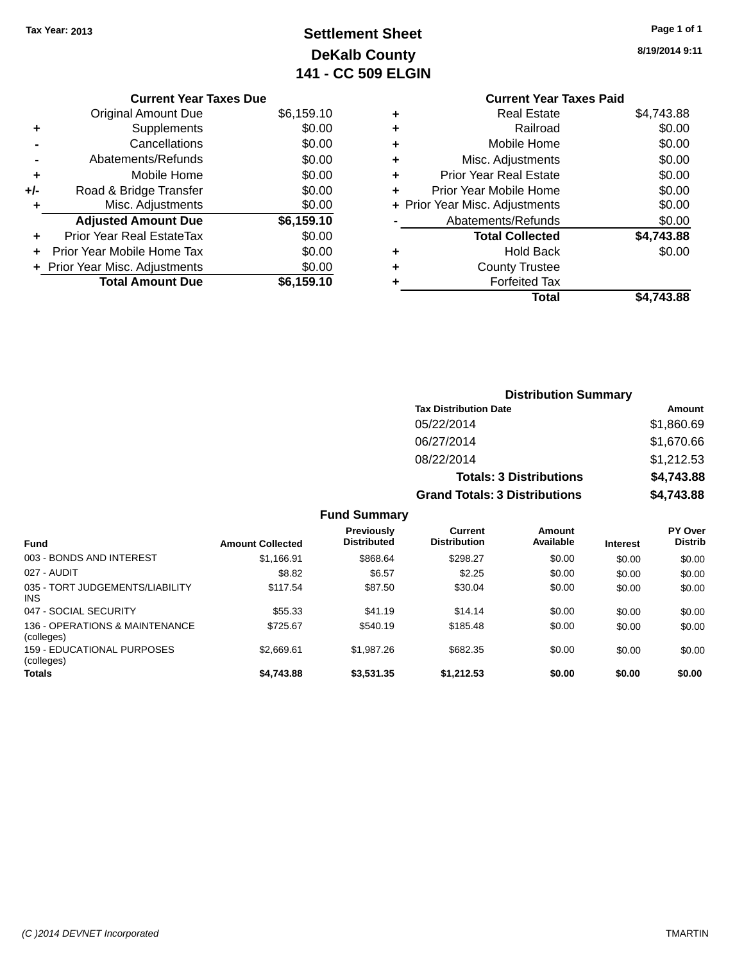## **Settlement Sheet Tax Year: 2013 Page 1 of 1 DeKalb County 141 - CC 509 ELGIN**

|     | <b>Current Year Taxes Due</b>  |            |
|-----|--------------------------------|------------|
|     | <b>Original Amount Due</b>     | \$6,159.10 |
| ٠   | Supplements                    | \$0.00     |
|     | Cancellations                  | \$0.00     |
|     | Abatements/Refunds             | \$0.00     |
| ٠   | Mobile Home                    | \$0.00     |
| +/- | Road & Bridge Transfer         | \$0.00     |
| ٠   | Misc. Adjustments              | \$0.00     |
|     | <b>Adjusted Amount Due</b>     | \$6,159.10 |
|     | Prior Year Real EstateTax      | \$0.00     |
|     | Prior Year Mobile Home Tax     | \$0.00     |
|     | + Prior Year Misc. Adjustments | \$0.00     |
|     | <b>Total Amount Due</b>        | \$6,159.10 |

**8/19/2014 9:11**

|   | <b>Current Year Taxes Paid</b> |            |
|---|--------------------------------|------------|
| ٠ | <b>Real Estate</b>             | \$4,743.88 |
| ٠ | Railroad                       | \$0.00     |
| ٠ | Mobile Home                    | \$0.00     |
| ٠ | Misc. Adjustments              | \$0.00     |
| ٠ | <b>Prior Year Real Estate</b>  | \$0.00     |
| ٠ | Prior Year Mobile Home         | \$0.00     |
|   | + Prior Year Misc. Adjustments | \$0.00     |
|   | Abatements/Refunds             | \$0.00     |
|   | <b>Total Collected</b>         | \$4,743.88 |
| ٠ | <b>Hold Back</b>               | \$0.00     |
|   | <b>County Trustee</b>          |            |
|   | <b>Forfeited Tax</b>           |            |
|   | Total                          | \$4,743.88 |

| <b>Distribution Summary</b>          |            |
|--------------------------------------|------------|
| <b>Tax Distribution Date</b>         | Amount     |
| 05/22/2014                           | \$1,860.69 |
| 06/27/2014                           | \$1,670.66 |
| 08/22/2014                           | \$1,212.53 |
| <b>Totals: 3 Distributions</b>       | \$4,743.88 |
| <b>Grand Totals: 3 Distributions</b> | \$4,743.88 |

| <b>Fund</b>                                   | <b>Amount Collected</b> | Previously<br><b>Distributed</b> | Current<br><b>Distribution</b> | Amount<br>Available | <b>Interest</b> | <b>PY Over</b><br><b>Distrib</b> |
|-----------------------------------------------|-------------------------|----------------------------------|--------------------------------|---------------------|-----------------|----------------------------------|
| 003 - BONDS AND INTEREST                      | \$1,166.91              | \$868.64                         | \$298.27                       | \$0.00              | \$0.00          | \$0.00                           |
| 027 - AUDIT                                   | \$8.82                  | \$6.57                           | \$2.25                         | \$0.00              | \$0.00          | \$0.00                           |
| 035 - TORT JUDGEMENTS/LIABILITY<br><b>INS</b> | \$117.54                | \$87.50                          | \$30.04                        | \$0.00              | \$0.00          | \$0.00                           |
| 047 - SOCIAL SECURITY                         | \$55.33                 | \$41.19                          | \$14.14                        | \$0.00              | \$0.00          | \$0.00                           |
| 136 - OPERATIONS & MAINTENANCE<br>(colleges)  | \$725.67                | \$540.19                         | \$185.48                       | \$0.00              | \$0.00          | \$0.00                           |
| 159 - EDUCATIONAL PURPOSES<br>(colleges)      | \$2,669.61              | \$1,987.26                       | \$682.35                       | \$0.00              | \$0.00          | \$0.00                           |
| Totals                                        | \$4,743.88              | \$3,531,35                       | \$1,212.53                     | \$0.00              | \$0.00          | \$0.00                           |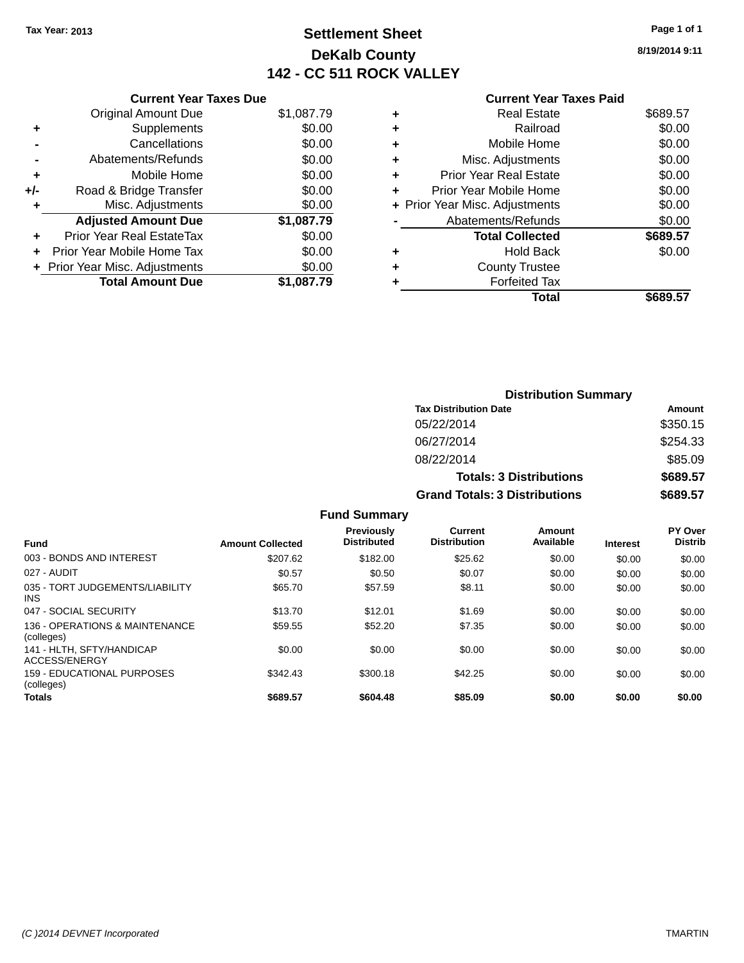**Current Year Taxes Due** Original Amount Due \$1,087.79

**Adjusted Amount Due \$1,087.79**

**Total Amount Due \$1,087.79**

**+** Supplements \$0.00 **-** Cancellations \$0.00 **-** Abatements/Refunds \$0.00 **+** Mobile Home \$0.00 **+/-** Road & Bridge Transfer \$0.00 **+** Misc. Adjustments \$0.00

**+** Prior Year Real EstateTax \$0.00 **+** Prior Year Mobile Home Tax \$0.00 **+ Prior Year Misc. Adjustments**  $$0.00$ 

## **Settlement Sheet Tax Year: 2013 Page 1 of 1 DeKalb County 142 - CC 511 ROCK VALLEY**

**8/19/2014 9:11**

## **Current Year Taxes Paid +** Real Estate \$689.57 **+** Railroad \$0.00 **+** Mobile Home \$0.00 **+** Misc. Adjustments \$0.00 **+** Prior Year Real Estate \$0.00 **+** Prior Year Mobile Home \$0.00 **+** Prior Year Misc. Adjustments  $$0.00$

| $\overline{\phantom{0}}$ | Abatements/Refunds     | \$0.00   |
|--------------------------|------------------------|----------|
|                          | <b>Total Collected</b> | \$689.57 |
|                          | Hold Back              | \$0.00   |
|                          | <b>County Trustee</b>  |          |
|                          | <b>Forfeited Tax</b>   |          |
|                          | Total                  | \$689.57 |

|                     | <b>Distribution Summary</b>          |          |  |
|---------------------|--------------------------------------|----------|--|
|                     | <b>Tax Distribution Date</b>         | Amount   |  |
|                     | 05/22/2014                           | \$350.15 |  |
|                     | 06/27/2014                           | \$254.33 |  |
|                     | 08/22/2014                           | \$85.09  |  |
|                     | <b>Totals: 3 Distributions</b>       | \$689.57 |  |
|                     | <b>Grand Totals: 3 Distributions</b> | \$689.57 |  |
| <b>Fund Summary</b> |                                      |          |  |

| <b>Fund</b>                                   | <b>Amount Collected</b> | Previously<br><b>Distributed</b> | Current<br><b>Distribution</b> | Amount<br>Available | <b>Interest</b> | PY Over<br><b>Distrib</b> |
|-----------------------------------------------|-------------------------|----------------------------------|--------------------------------|---------------------|-----------------|---------------------------|
| 003 - BONDS AND INTEREST                      | \$207.62                | \$182.00                         | \$25.62                        | \$0.00              | \$0.00          | \$0.00                    |
| 027 - AUDIT                                   | \$0.57                  | \$0.50                           | \$0.07                         | \$0.00              | \$0.00          | \$0.00                    |
| 035 - TORT JUDGEMENTS/LIABILITY<br><b>INS</b> | \$65.70                 | \$57.59                          | \$8.11                         | \$0.00              | \$0.00          | \$0.00                    |
| 047 - SOCIAL SECURITY                         | \$13.70                 | \$12.01                          | \$1.69                         | \$0.00              | \$0.00          | \$0.00                    |
| 136 - OPERATIONS & MAINTENANCE<br>(colleges)  | \$59.55                 | \$52.20                          | \$7.35                         | \$0.00              | \$0.00          | \$0.00                    |
| 141 - HLTH, SFTY/HANDICAP<br>ACCESS/ENERGY    | \$0.00                  | \$0.00                           | \$0.00                         | \$0.00              | \$0.00          | \$0.00                    |
| 159 - EDUCATIONAL PURPOSES<br>(colleges)      | \$342.43                | \$300.18                         | \$42.25                        | \$0.00              | \$0.00          | \$0.00                    |
| <b>Totals</b>                                 | \$689.57                | \$604.48                         | \$85.09                        | \$0.00              | \$0.00          | \$0.00                    |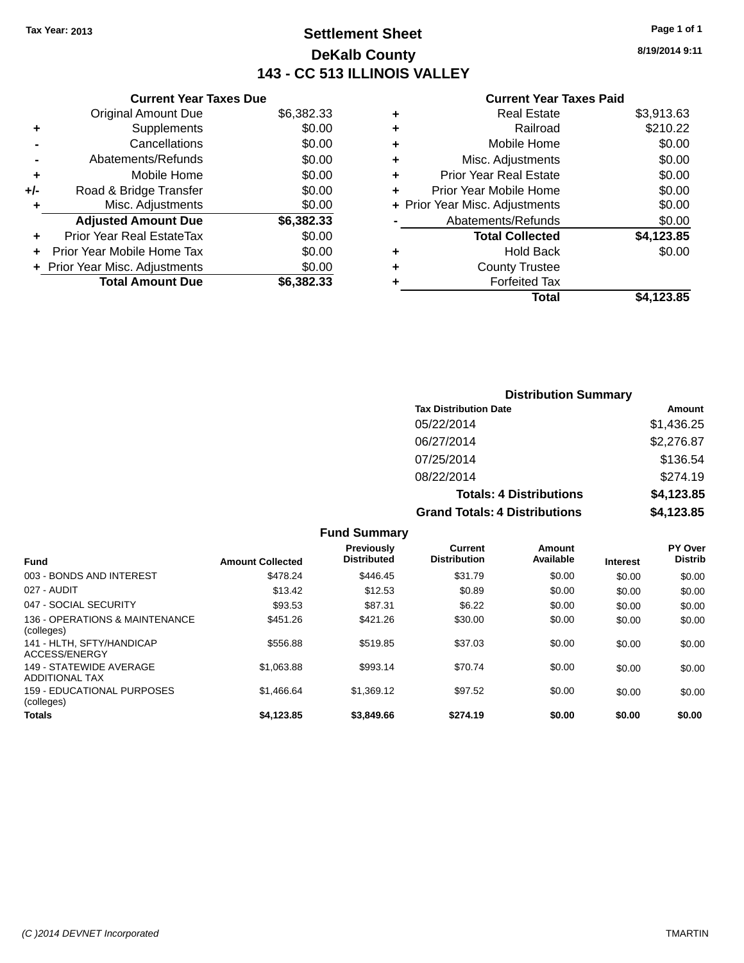## **Settlement Sheet Tax Year: 2013 Page 1 of 1 DeKalb County 143 - CC 513 ILLINOIS VALLEY**

**8/19/2014 9:11**

### **Current Year Taxes Paid**

|     | <b>Current Year Taxes Due</b>  |            |
|-----|--------------------------------|------------|
|     | <b>Original Amount Due</b>     | \$6,382.33 |
| ٠   | Supplements                    | \$0.00     |
|     | Cancellations                  | \$0.00     |
|     | Abatements/Refunds             | \$0.00     |
| ٠   | Mobile Home                    | \$0.00     |
| +/- | Road & Bridge Transfer         | \$0.00     |
| ٠   | Misc. Adjustments              | \$0.00     |
|     | <b>Adjusted Amount Due</b>     | \$6,382.33 |
| ٠   | Prior Year Real EstateTax      | \$0.00     |
|     | Prior Year Mobile Home Tax     | \$0.00     |
|     | + Prior Year Misc. Adjustments | \$0.00     |
|     | <b>Total Amount Due</b>        | \$6,382,33 |
|     |                                |            |

|   | Total                          | \$4,123.85 |
|---|--------------------------------|------------|
| ٠ | <b>Forfeited Tax</b>           |            |
| ÷ | <b>County Trustee</b>          |            |
| ٠ | <b>Hold Back</b>               | \$0.00     |
|   | <b>Total Collected</b>         | \$4,123.85 |
|   | Abatements/Refunds             | \$0.00     |
|   | + Prior Year Misc. Adjustments | \$0.00     |
| ٠ | Prior Year Mobile Home         | \$0.00     |
| ÷ | <b>Prior Year Real Estate</b>  | \$0.00     |
| ٠ | Misc. Adjustments              | \$0.00     |
| ٠ | Mobile Home                    | \$0.00     |
| ٠ | Railroad                       | \$210.22   |
| ٠ | <b>Real Estate</b>             | \$3,913.63 |
|   |                                |            |

| <b>Distribution Summary</b>          |            |
|--------------------------------------|------------|
| <b>Tax Distribution Date</b>         | Amount     |
| 05/22/2014                           | \$1,436.25 |
| 06/27/2014                           | \$2,276.87 |
| 07/25/2014                           | \$136.54   |
| 08/22/2014                           | \$274.19   |
| <b>Totals: 4 Distributions</b>       | \$4,123.85 |
| <b>Grand Totals: 4 Distributions</b> | \$4,123.85 |

|                                                  |                         | <b>Fund Summary</b>                     |                                |                     |                 |                                  |
|--------------------------------------------------|-------------------------|-----------------------------------------|--------------------------------|---------------------|-----------------|----------------------------------|
| <b>Fund</b>                                      | <b>Amount Collected</b> | <b>Previously</b><br><b>Distributed</b> | Current<br><b>Distribution</b> | Amount<br>Available | <b>Interest</b> | <b>PY Over</b><br><b>Distrib</b> |
| 003 - BONDS AND INTEREST                         | \$478.24                | \$446.45                                | \$31.79                        | \$0.00              | \$0.00          | \$0.00                           |
| 027 - AUDIT                                      | \$13.42                 | \$12.53                                 | \$0.89                         | \$0.00              | \$0.00          | \$0.00                           |
| 047 - SOCIAL SECURITY                            | \$93.53                 | \$87.31                                 | \$6.22                         | \$0.00              | \$0.00          | \$0.00                           |
| 136 - OPERATIONS & MAINTENANCE<br>(colleges)     | \$451.26                | \$421.26                                | \$30.00                        | \$0.00              | \$0.00          | \$0.00                           |
| 141 - HLTH, SFTY/HANDICAP<br>ACCESS/ENERGY       | \$556.88                | \$519.85                                | \$37.03                        | \$0.00              | \$0.00          | \$0.00                           |
| 149 - STATEWIDE AVERAGE<br><b>ADDITIONAL TAX</b> | \$1.063.88              | \$993.14                                | \$70.74                        | \$0.00              | \$0.00          | \$0.00                           |
| 159 - EDUCATIONAL PURPOSES<br>(colleges)         | \$1,466.64              | \$1,369.12                              | \$97.52                        | \$0.00              | \$0.00          | \$0.00                           |
| Totals                                           | \$4.123.85              | \$3,849.66                              | \$274.19                       | \$0.00              | \$0.00          | \$0.00                           |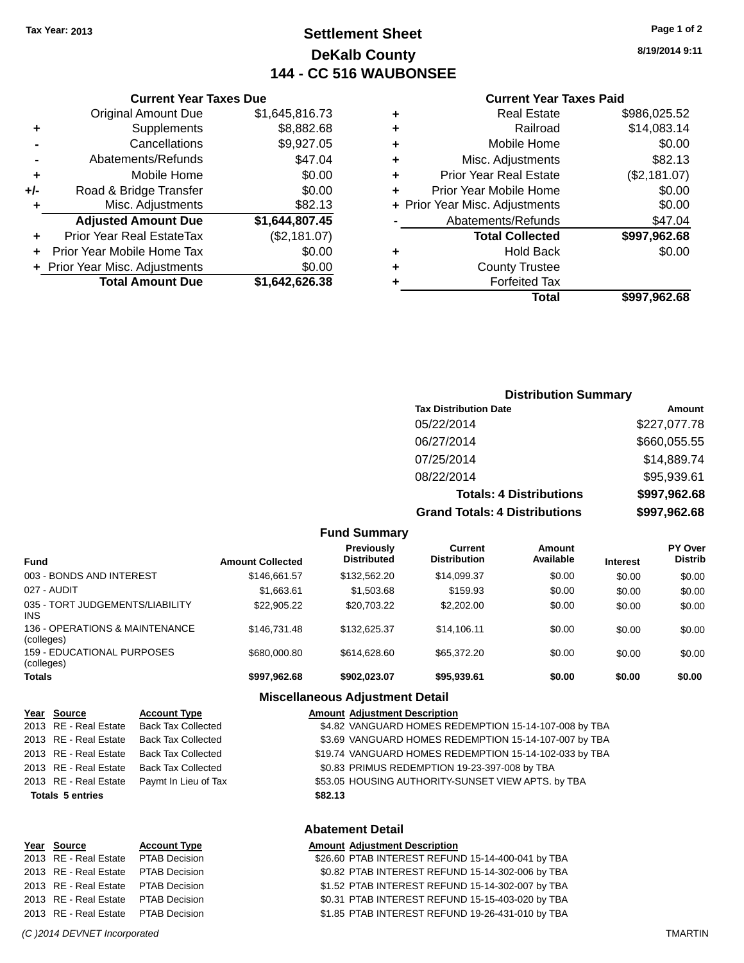## **Settlement Sheet Tax Year: 2013 Page 1 of 2 DeKalb County 144 - CC 516 WAUBONSEE**

**8/19/2014 9:11**

#### **Current Year Taxes Paid**

| ٠ | <b>Real Estate</b>             | \$986,025.52 |
|---|--------------------------------|--------------|
| ٠ | Railroad                       | \$14,083.14  |
| ٠ | Mobile Home                    | \$0.00       |
| ٠ | Misc. Adjustments              | \$82.13      |
| ٠ | <b>Prior Year Real Estate</b>  | (\$2,181.07) |
| ٠ | Prior Year Mobile Home         | \$0.00       |
|   | + Prior Year Misc. Adjustments | \$0.00       |
|   | Abatements/Refunds             | \$47.04      |
|   | <b>Total Collected</b>         | \$997,962.68 |
| ٠ | <b>Hold Back</b>               | \$0.00       |
| ٠ | <b>County Trustee</b>          |              |
|   | <b>Forfeited Tax</b>           |              |
|   | Total                          | \$997.962.68 |
|   |                                |              |

|     | <b>Current Year Taxes Due</b>    |                |
|-----|----------------------------------|----------------|
|     | <b>Original Amount Due</b>       | \$1,645,816.73 |
| ٠   | Supplements                      | \$8,882.68     |
|     | Cancellations                    | \$9,927.05     |
|     | Abatements/Refunds               | \$47.04        |
| ٠   | Mobile Home                      | \$0.00         |
| +/- | Road & Bridge Transfer           | \$0.00         |
| ٠   | Misc. Adjustments                | \$82.13        |
|     | <b>Adjusted Amount Due</b>       | \$1,644,807.45 |
|     | <b>Prior Year Real EstateTax</b> | (\$2,181.07)   |
|     | Prior Year Mobile Home Tax       | \$0.00         |
|     | + Prior Year Misc. Adjustments   | \$0.00         |
|     | <b>Total Amount Due</b>          | \$1,642,626.38 |

## **Distribution Summary**

| <b>Tax Distribution Date</b>         | Amount       |
|--------------------------------------|--------------|
| 05/22/2014                           | \$227,077.78 |
| 06/27/2014                           | \$660,055.55 |
| 07/25/2014                           | \$14,889.74  |
| 08/22/2014                           | \$95,939.61  |
| <b>Totals: 4 Distributions</b>       | \$997,962.68 |
| <b>Grand Totals: 4 Distributions</b> | \$997,962.68 |

|                                               |                         | <b>Fund Summary</b>                     |                                |                     |                 |                                  |
|-----------------------------------------------|-------------------------|-----------------------------------------|--------------------------------|---------------------|-----------------|----------------------------------|
| <b>Fund</b>                                   | <b>Amount Collected</b> | <b>Previously</b><br><b>Distributed</b> | Current<br><b>Distribution</b> | Amount<br>Available | <b>Interest</b> | <b>PY Over</b><br><b>Distrib</b> |
| 003 - BONDS AND INTEREST                      | \$146.661.57            | \$132,562.20                            | \$14.099.37                    | \$0.00              | \$0.00          | \$0.00                           |
| 027 - AUDIT                                   | \$1.663.61              | \$1,503.68                              | \$159.93                       | \$0.00              | \$0.00          | \$0.00                           |
| 035 - TORT JUDGEMENTS/LIABILITY<br><b>INS</b> | \$22,905.22             | \$20.703.22                             | \$2,202.00                     | \$0.00              | \$0.00          | \$0.00                           |
| 136 - OPERATIONS & MAINTENANCE<br>(colleges)  | \$146.731.48            | \$132,625.37                            | \$14.106.11                    | \$0.00              | \$0.00          | \$0.00                           |
| 159 - EDUCATIONAL PURPOSES<br>(colleges)      | \$680,000.80            | \$614,628,60                            | \$65,372.20                    | \$0.00              | \$0.00          | \$0.00                           |
| <b>Totals</b>                                 | \$997,962.68            | \$902.023.07                            | \$95,939.61                    | \$0.00              | \$0.00          | \$0.00                           |
|                                               | ---                     |                                         |                                |                     |                 |                                  |

#### **Miscellaneous Adjustment Detail**

|      | Year Source                                      | <b>Account Type</b>       | <b>Amount Adiustment Description</b>                   |
|------|--------------------------------------------------|---------------------------|--------------------------------------------------------|
|      | 2013 RE - Real Estate                            | <b>Back Tax Collected</b> | \$4.82 VANGUARD HOMES REDEMPTION 15-14-107-008 by TBA  |
|      | 2013 RE - Real Estate                            | <b>Back Tax Collected</b> | \$3.69 VANGUARD HOMES REDEMPTION 15-14-107-007 by TBA  |
|      | 2013 RE - Real Estate                            | <b>Back Tax Collected</b> | \$19.74 VANGUARD HOMES REDEMPTION 15-14-102-033 by TBA |
|      | 2013 RE - Real Estate                            | <b>Back Tax Collected</b> | \$0.83 PRIMUS REDEMPTION 19-23-397-008 by TBA          |
|      | 2013 RE - Real Estate                            | Paymt In Lieu of Tax      | \$53.05 HOUSING AUTHORITY-SUNSET VIEW APTS. by TBA     |
|      | <b>Totals 5 entries</b>                          |                           | \$82.13                                                |
|      |                                                  |                           | <b>Abatement Detail</b>                                |
| Year | Source                                           | <b>Account Type</b>       | <b>Amount Adjustment Description</b>                   |
|      | $\sim$ $\sim$ $\sim$ $\sim$ $\sim$ $\sim$ $\sim$ |                           | ^^^ ^^ ^T'^^ !!!TE^E^T ^FF!!!!^ 'F '' '^^ ^''' T^^     |

| 2013 RE - Real Estate PTAB Decision | \$26.60 PTAB INTEREST REFUND 15-14-400-041 by TBA |
|-------------------------------------|---------------------------------------------------|
| 2013 RE - Real Estate PTAB Decision | \$0.82 PTAB INTEREST REFUND 15-14-302-006 by TBA  |
| 2013 RE - Real Estate PTAB Decision | \$1.52 PTAB INTEREST REFUND 15-14-302-007 by TBA  |
| 2013 RE - Real Estate PTAB Decision | \$0.31 PTAB INTEREST REFUND 15-15-403-020 by TBA  |
| 2013 RE - Real Estate PTAB Decision | \$1.85 PTAB INTEREST REFUND 19-26-431-010 by TBA  |
|                                     |                                                   |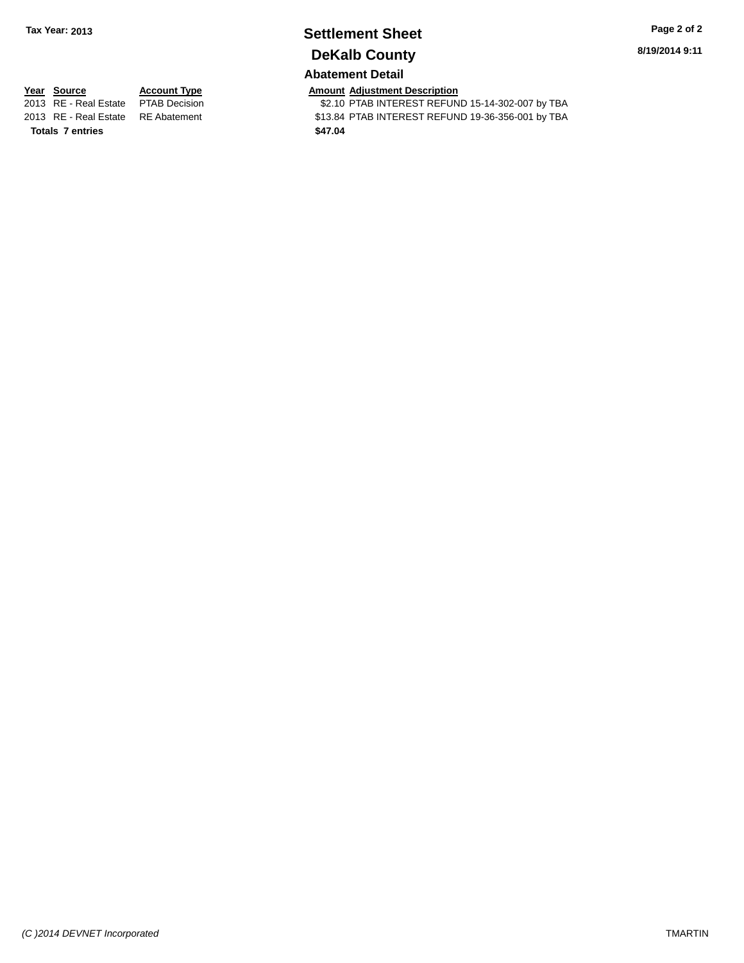## **Settlement Sheet Tax Year: 2013 Page 2 of 2 DeKalb County**

**8/19/2014 9:11**

## **Abatement Detail**

**Totals 7 entries \$47.04**

**Year Source Account Type Amount Adjustment Description**<br>2013 RE - Real Estate PTAB Decision **Amount Adjustment Description** \$2.10 PTAB INTEREST REFUND 15-14-302-007 by TBA 2013 RE - Real Estate RE Abatement \$13.84 PTAB INTEREST REFUND 19-36-356-001 by TBA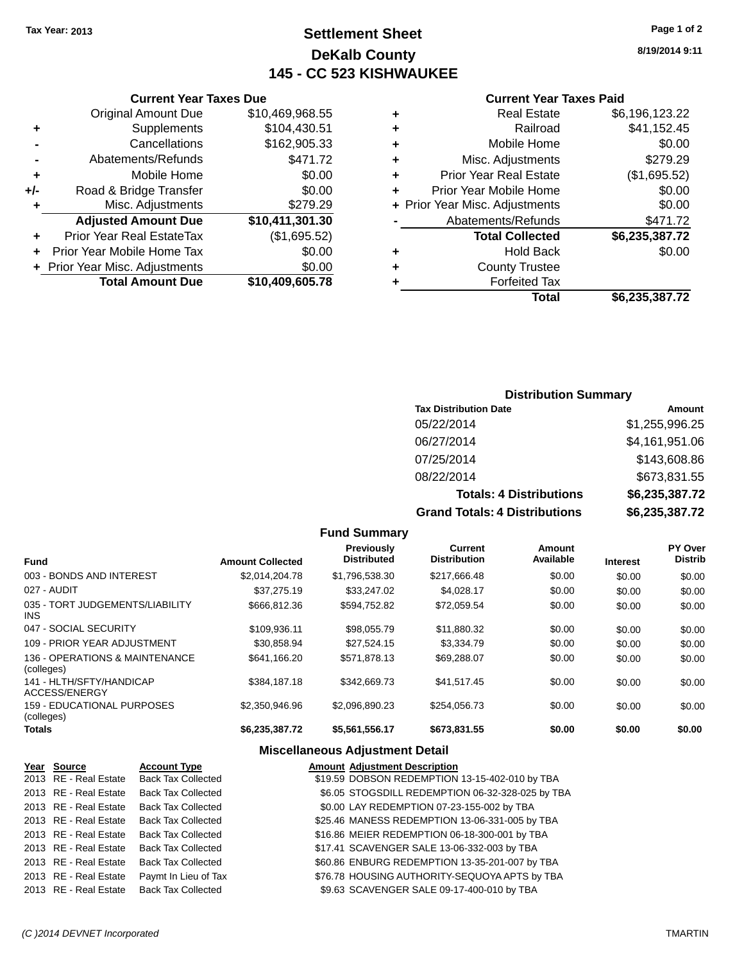## **Settlement Sheet Tax Year: 2013 Page 1 of 2 DeKalb County 145 - CC 523 KISHWAUKEE**

**8/19/2014 9:11**

| <b>Current Year Taxes Paid</b> |  |  |  |
|--------------------------------|--|--|--|
|--------------------------------|--|--|--|

|     | <b>Original Amount Due</b>       | \$10,469,968.55             |
|-----|----------------------------------|-----------------------------|
| ٠   | Supplements                      | \$104,430.51                |
|     | Cancellations                    | \$162,905.33                |
|     | Abatements/Refunds               | \$471.72                    |
| ٠   | Mobile Home                      | \$0.00                      |
| +/- | Road & Bridge Transfer           | \$0.00                      |
| ٠   | Misc. Adjustments                | \$279.29                    |
|     | <b>Adjusted Amount Due</b>       | $\overline{$10,411,301.30}$ |
| ٠   | <b>Prior Year Real EstateTax</b> | (\$1,695.52)                |
| ٠   | Prior Year Mobile Home Tax       | \$0.00                      |
|     | + Prior Year Misc. Adjustments   | \$0.00                      |
|     | <b>Total Amount Due</b>          | \$10,409,605.78             |
|     |                                  |                             |

**Current Year Taxes Due**

| ٠ | Real Estate                    | \$6,196,123.22 |
|---|--------------------------------|----------------|
| ٠ | Railroad                       | \$41,152.45    |
| ٠ | Mobile Home                    | \$0.00         |
| ٠ | Misc. Adjustments              | \$279.29       |
| ٠ | <b>Prior Year Real Estate</b>  | (\$1,695.52)   |
| ٠ | Prior Year Mobile Home         | \$0.00         |
|   | + Prior Year Misc. Adjustments | \$0.00         |
|   | Abatements/Refunds             | \$471.72       |
|   | <b>Total Collected</b>         | \$6,235,387.72 |
| ٠ | <b>Hold Back</b>               | \$0.00         |
| ٠ | <b>County Trustee</b>          |                |
| ٠ | <b>Forfeited Tax</b>           |                |
|   | Total                          | \$6,235,387.72 |

## **Distribution Summary**

| <b>Tax Distribution Date</b>         | Amount         |
|--------------------------------------|----------------|
| 05/22/2014                           | \$1,255,996.25 |
| 06/27/2014                           | \$4,161,951.06 |
| 07/25/2014                           | \$143,608.86   |
| 08/22/2014                           | \$673,831.55   |
| <b>Totals: 4 Distributions</b>       | \$6,235,387.72 |
| <b>Grand Totals: 4 Distributions</b> | \$6,235,387.72 |

#### **Fund Summary Fund Interest Amount Collected Distributed PY Over Distrib Amount Available Current Distribution Previously** 003 - BONDS AND INTEREST \$2,014,204.78 \$1,796,538.30 \$217,666.48 \$0.00 \$0.00 \$0.00 \$0.00 027 - AUDIT \$37,275.19 \$33,247.02 \$4,028.17 \$0.00 \$0.00 \$0.00 035 - TORT JUDGEMENTS/LIABILITY INS \$666,812.36 \$594,752.82 \$72,059.54 \$0.00 \$0.00 \$0.00 047 - SOCIAL SECURITY 6109,936.11 \$98,055.79 \$11,880.32 \$0.00 \$0.00 \$0.00 \$0.00 109 - PRIOR YEAR ADJUSTMENT  $$30,858.94$   $$27,524.15$   $$3,334.79$   $$0.00$   $$0.00$   $$0.00$ 136 - OPERATIONS & MAINTENANCE (colleges) \$641,166.20 \$571,878.13 \$69,288.07 \$0.00 \$0.00 \$0.00 141 - HLTH/SFTY/HANDICAP ACCESS/ENERGY \$384,187.18 \$342,669.73 \$41,517.45 \$0.00 \$0.00 \$0.00 159 - EDUCATIONAL PURPOSES (colleges)  $$2,350,946.96$  \$2,096,890.23 \$254,056.73 \$0.00 \$0.00 \$0.00 \$0.00 **Totals \$6,235,387.72 \$5,561,556.17 \$673,831.55 \$0.00 \$0.00 \$0.00**

### **Miscellaneous Adjustment Detail**

| <u>Year Source</u>    | <b>Account Type</b>       | <b>Amount Adjustment Description</b>             |
|-----------------------|---------------------------|--------------------------------------------------|
| 2013 RE - Real Estate | <b>Back Tax Collected</b> | \$19.59 DOBSON REDEMPTION 13-15-402-010 by TBA   |
| 2013 RE - Real Estate | <b>Back Tax Collected</b> | \$6.05 STOGSDILL REDEMPTION 06-32-328-025 by TBA |
| 2013 RE - Real Estate | <b>Back Tax Collected</b> | \$0.00 LAY REDEMPTION 07-23-155-002 by TBA       |
| 2013 RE - Real Estate | <b>Back Tax Collected</b> | \$25.46 MANESS REDEMPTION 13-06-331-005 by TBA   |
| 2013 RE - Real Estate | <b>Back Tax Collected</b> | \$16.86 MEIER REDEMPTION 06-18-300-001 by TBA    |
| 2013 RE - Real Estate | <b>Back Tax Collected</b> | \$17.41 SCAVENGER SALE 13-06-332-003 by TBA      |
| 2013 RE - Real Estate | <b>Back Tax Collected</b> | \$60.86 ENBURG REDEMPTION 13-35-201-007 by TBA   |
| 2013 RE - Real Estate | Paymt In Lieu of Tax      | \$76.78 HOUSING AUTHORITY-SEQUOYA APTS by TBA    |
| 2013 RE - Real Estate | <b>Back Tax Collected</b> | \$9.63 SCAVENGER SALE 09-17-400-010 by TBA       |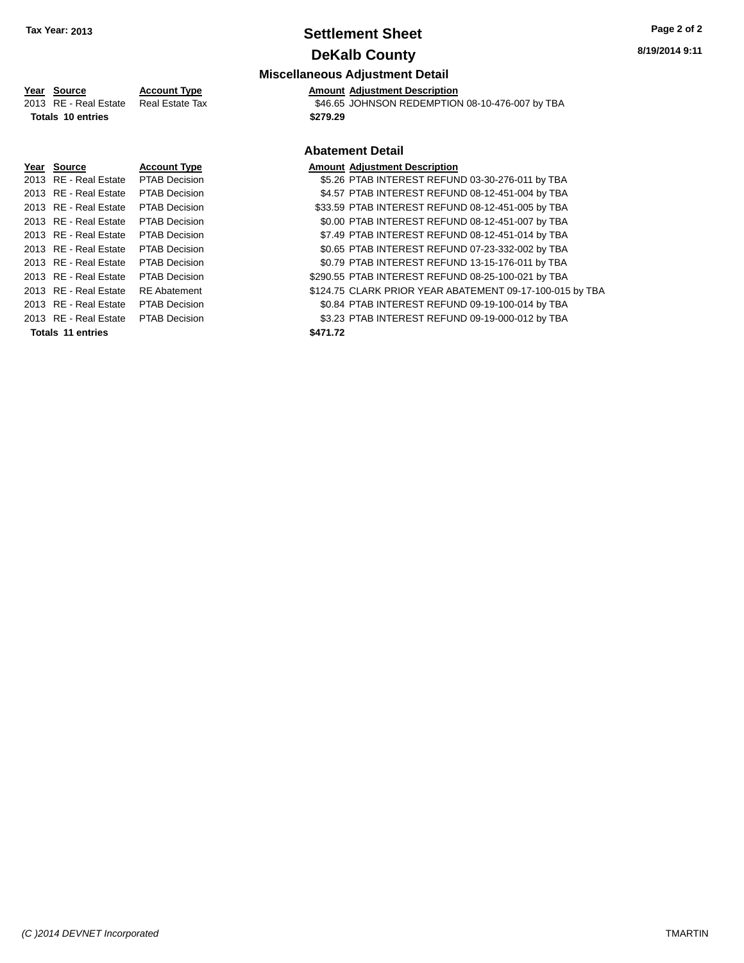## **Settlement Sheet Tax Year: 2013 Page 2 of 2 DeKalb County**

## **Miscellaneous Adjustment Detail Year** Source **Account Type A**ccount **A**pperter **Amount** Adjustment Description 2013 RE - Real Estate Real Estate Tax \$46.65 JOHNSON REDEMPTION 08-10-476-007 by TBA **Totals 10 entries \$279.29 Abatement Detail Year Source Account Type Amount Adjustment Description** 2013 RE - Real Estate PTAB Decision \$5.26 PTAB INTEREST REFUND 03-30-276-011 by TBA 2013 RE - Real Estate PTAB Decision \$4.57 PTAB INTEREST REFUND 08-12-451-004 by TBA 2013 RE - Real Estate PTAB Decision \$33.59 PTAB INTEREST REFUND 08-12-451-005 by TBA 2013 RE - Real Estate PTAB Decision \$0.00 PTAB INTEREST REFUND 08-12-451-007 by TBA

## 2013 RE - Real Estate PTAB Decision \$7.49 PTAB INTEREST REFUND 08-12-451-014 by TBA 2013 RE - Real Estate PTAB Decision \$0.65 PTAB INTEREST REFUND 07-23-332-002 by TBA 2013 RE - Real Estate PTAB Decision \$0.79 PTAB INTEREST REFUND 13-15-176-011 by TBA 2013 RE - Real Estate PTAB Decision \$290.55 PTAB INTEREST REFUND 08-25-100-021 by TBA 2013 RE - Real Estate RE Abatement \$124.75 CLARK PRIOR YEAR ABATEMENT 09-17-100-015 by TBA 2013 RE - Real Estate PTAB Decision \$0.84 PTAB INTEREST REFUND 09-19-100-014 by TBA 2013 RE - Real Estate PTAB Decision \$3.23 PTAB INTEREST REFUND 09-19-000-012 by TBA **Totals 11 entries \$471.72**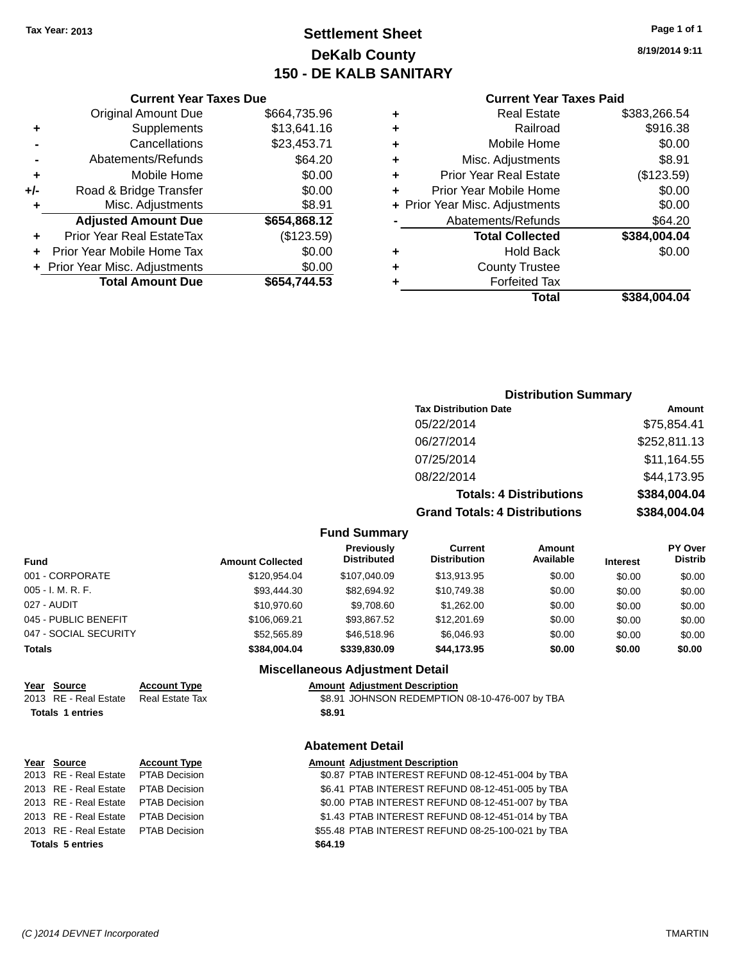## **Settlement Sheet Tax Year: 2013 Page 1 of 1 DeKalb County 150 - DE KALB SANITARY**

**8/19/2014 9:11**

| <b>Current Year Taxes Paid</b> |  |  |
|--------------------------------|--|--|
|                                |  |  |

| \$664,735.96<br><b>Original Amount Due</b> |                                            |
|--------------------------------------------|--------------------------------------------|
| \$13,641.16<br>Supplements                 |                                            |
| Cancellations<br>\$23,453.71               |                                            |
| \$64.20<br>Abatements/Refunds              |                                            |
| \$0.00<br>Mobile Home                      |                                            |
| \$0.00<br>Road & Bridge Transfer           |                                            |
| \$8.91<br>Misc. Adjustments                |                                            |
|                                            |                                            |
|                                            |                                            |
| (\$123.59)<br>Prior Year Real EstateTax    |                                            |
| \$0.00<br>Prior Year Mobile Home Tax       |                                            |
| \$0.00<br>+ Prior Year Misc. Adjustments   |                                            |
|                                            | <b>Adjusted Amount Due</b><br>\$654,868.12 |

| ٠ | <b>Real Estate</b>             | \$383,266.54 |
|---|--------------------------------|--------------|
| ٠ | Railroad                       | \$916.38     |
| ٠ | Mobile Home                    | \$0.00       |
| ٠ | Misc. Adjustments              | \$8.91       |
| ٠ | <b>Prior Year Real Estate</b>  | (\$123.59)   |
| ٠ | Prior Year Mobile Home         | \$0.00       |
|   | + Prior Year Misc. Adjustments | \$0.00       |
|   | Abatements/Refunds             | \$64.20      |
|   | <b>Total Collected</b>         | \$384,004.04 |
| ٠ | <b>Hold Back</b>               | \$0.00       |
| ٠ | <b>County Trustee</b>          |              |
| ٠ | <b>Forfeited Tax</b>           |              |
|   | Total                          | \$384,004.04 |
|   |                                |              |

| <b>Distribution Summary</b>    |               |
|--------------------------------|---------------|
| <b>Tax Distribution Date</b>   | <b>Amount</b> |
| 05/22/2014                     | \$75,854.41   |
| 06/27/2014                     | \$252,811.13  |
| 07/25/2014                     | \$11,164.55   |
| 08/22/2014                     | \$44,173.95   |
| <b>Totals: 4 Distributions</b> | \$384,004.04  |

**Grand Totals: 4 Distributions \$384,004.04**

#### **Fund Summary**

| Fund                  | <b>Amount Collected</b> | <b>Previously</b><br><b>Distributed</b> | <b>Current</b><br><b>Distribution</b> | Amount<br>Available | <b>Interest</b> | <b>PY Over</b><br><b>Distrib</b> |
|-----------------------|-------------------------|-----------------------------------------|---------------------------------------|---------------------|-----------------|----------------------------------|
| 001 - CORPORATE       | \$120.954.04            | \$107.040.09                            | \$13,913.95                           | \$0.00              | \$0.00          | \$0.00                           |
| 005 - I. M. R. F.     | \$93.444.30             | \$82.694.92                             | \$10.749.38                           | \$0.00              | \$0.00          | \$0.00                           |
| 027 - AUDIT           | \$10,970.60             | \$9,708.60                              | \$1,262,00                            | \$0.00              | \$0.00          | \$0.00                           |
| 045 - PUBLIC BENEFIT  | \$106.069.21            | \$93.867.52                             | \$12,201.69                           | \$0.00              | \$0.00          | \$0.00                           |
| 047 - SOCIAL SECURITY | \$52,565.89             | \$46,518.96                             | \$6.046.93                            | \$0.00              | \$0.00          | \$0.00                           |
| Totals                | \$384.004.04            | \$339,830.09                            | \$44,173,95                           | \$0.00              | \$0.00          | \$0.00                           |

### **Miscellaneous Adjustment Detail**

**Year Source Account Type Account Type Amount Adjustment Description**<br>2013 RE - Real Estate Real Estate Tax **\$8.91 JOHNSON REDEMPTION** \$8.91 JOHNSON REDEMPTION 08-10-476-007 by TBA **Totals 1 entries \$8.91**

## **Abatement Detail**

| Year Source                         | <b>Account Type</b> | <b>Amount Adjustment Description</b>              |
|-------------------------------------|---------------------|---------------------------------------------------|
| 2013 RE - Real Estate PTAB Decision |                     | \$0.87 PTAB INTEREST REFUND 08-12-451-004 by TBA  |
| 2013 RE - Real Estate PTAB Decision |                     | \$6.41 PTAB INTEREST REFUND 08-12-451-005 by TBA  |
| 2013 RE - Real Estate PTAB Decision |                     | \$0.00 PTAB INTEREST REFUND 08-12-451-007 by TBA  |
| 2013 RE - Real Estate PTAB Decision |                     | \$1.43 PTAB INTEREST REFUND 08-12-451-014 by TBA  |
| 2013 RE - Real Estate PTAB Decision |                     | \$55.48 PTAB INTEREST REFUND 08-25-100-021 by TBA |
| <b>Totals 5 entries</b>             |                     | \$64.19                                           |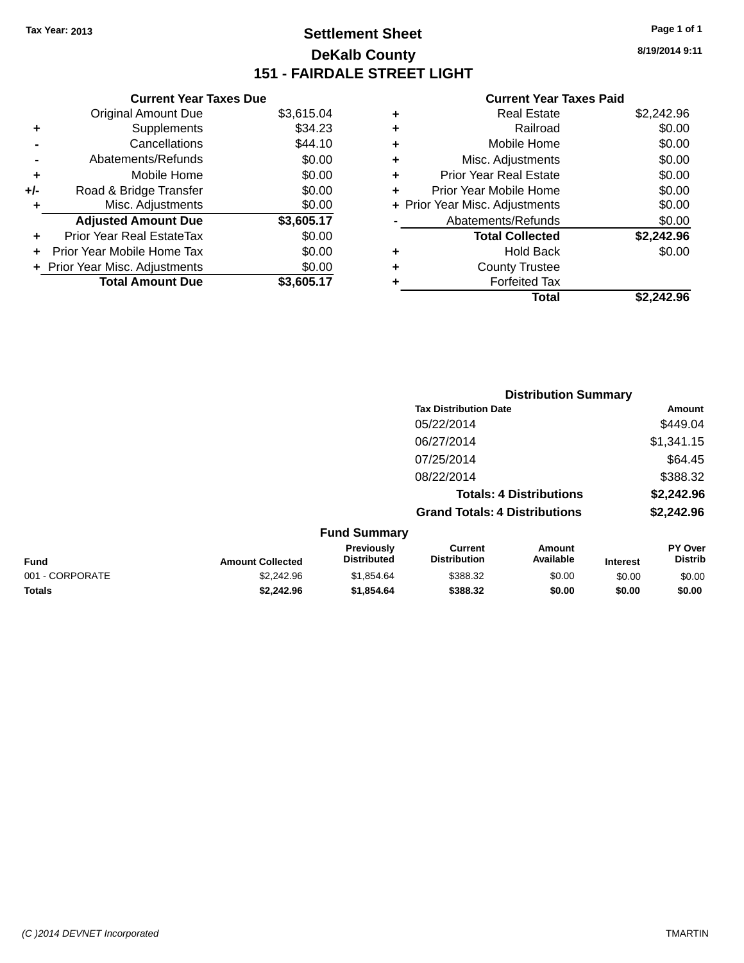## **Settlement Sheet Tax Year: 2013 Page 1 of 1 DeKalb County 151 - FAIRDALE STREET LIGHT**

**8/19/2014 9:11**

| <b>Current Year Taxes Paid</b> |  |  |  |
|--------------------------------|--|--|--|
|--------------------------------|--|--|--|

|       | <b>Current Year Taxes Due</b>  |            |
|-------|--------------------------------|------------|
|       | <b>Original Amount Due</b>     | \$3,615.04 |
| ٠     | Supplements                    | \$34.23    |
|       | Cancellations                  | \$44.10    |
|       | Abatements/Refunds             | \$0.00     |
| ٠     | Mobile Home                    | \$0.00     |
| $+/-$ | Road & Bridge Transfer         | \$0.00     |
| ٠     | Misc. Adjustments              | \$0.00     |
|       | <b>Adjusted Amount Due</b>     | \$3,605.17 |
| ÷     | Prior Year Real EstateTax      | \$0.00     |
|       | Prior Year Mobile Home Tax     | \$0.00     |
|       | + Prior Year Misc. Adjustments | \$0.00     |
|       | <b>Total Amount Due</b>        | \$3,605.17 |
|       |                                |            |

|   | <b>Real Estate</b>             | \$2,242.96 |
|---|--------------------------------|------------|
| ٠ | Railroad                       | \$0.00     |
| ٠ | Mobile Home                    | \$0.00     |
| ٠ | Misc. Adjustments              | \$0.00     |
| ٠ | <b>Prior Year Real Estate</b>  | \$0.00     |
| ÷ | Prior Year Mobile Home         | \$0.00     |
|   | + Prior Year Misc. Adjustments | \$0.00     |
|   | Abatements/Refunds             | \$0.00     |
|   | <b>Total Collected</b>         | \$2,242.96 |
| ÷ | Hold Back                      | \$0.00     |
|   | <b>County Trustee</b>          |            |
| ٠ | <b>Forfeited Tax</b>           |            |
|   | Total                          | \$2.242.96 |
|   |                                |            |

|                 |                         |                                  |                                       | <b>Distribution Summary</b>    |                 |                           |
|-----------------|-------------------------|----------------------------------|---------------------------------------|--------------------------------|-----------------|---------------------------|
|                 |                         |                                  | <b>Tax Distribution Date</b>          |                                |                 | Amount                    |
|                 |                         |                                  | 05/22/2014                            |                                |                 | \$449.04                  |
|                 |                         |                                  | 06/27/2014                            |                                |                 | \$1,341.15                |
|                 |                         |                                  | 07/25/2014                            |                                |                 | \$64.45                   |
|                 |                         |                                  | 08/22/2014                            |                                |                 | \$388.32                  |
|                 |                         |                                  |                                       | <b>Totals: 4 Distributions</b> |                 | \$2,242.96                |
|                 |                         |                                  | <b>Grand Totals: 4 Distributions</b>  |                                |                 | \$2,242.96                |
|                 |                         | <b>Fund Summary</b>              |                                       |                                |                 |                           |
| <b>Fund</b>     | <b>Amount Collected</b> | Previously<br><b>Distributed</b> | <b>Current</b><br><b>Distribution</b> | Amount<br>Available            | <b>Interest</b> | PY Over<br><b>Distrib</b> |
| 001 - CORPORATE | \$2,242.96              | \$1,854.64                       | \$388.32                              | \$0.00                         | \$0.00          | \$0.00                    |
|                 |                         |                                  |                                       |                                |                 |                           |

**Totals \$2,242.96 \$1,854.64 \$388.32 \$0.00 \$0.00 \$0.00**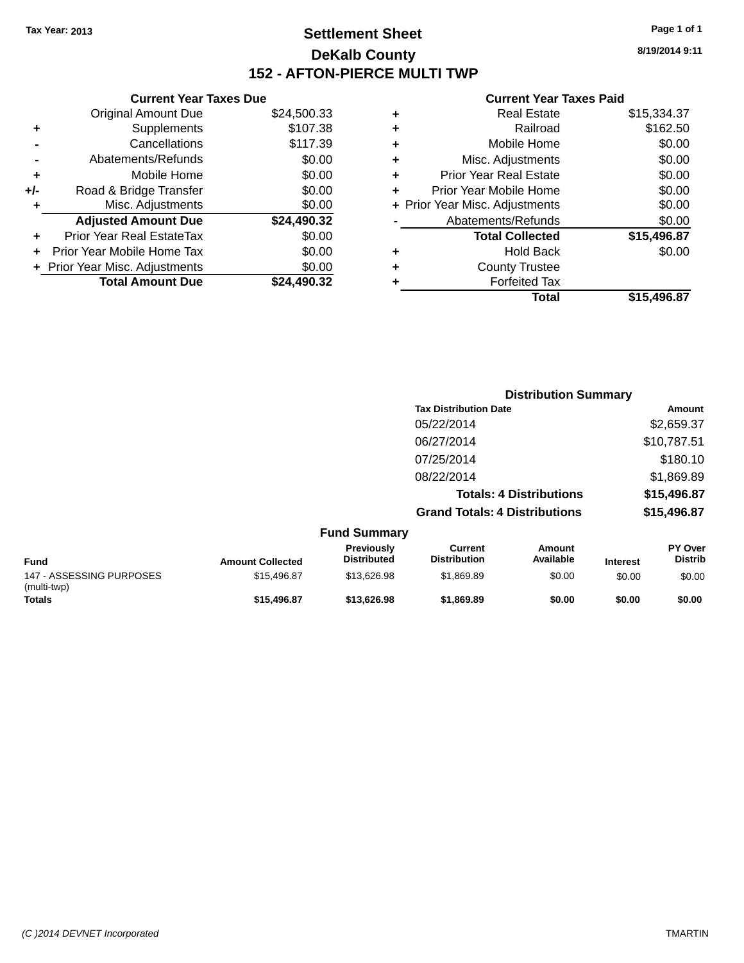## **Settlement Sheet Tax Year: 2013 Page 1 of 1 DeKalb County 152 - AFTON-PIERCE MULTI TWP**

**8/19/2014 9:11**

#### **Current Year Taxes Paid**

| ٠ | Real Estate                    | \$15,334.37 |
|---|--------------------------------|-------------|
| ٠ | Railroad                       | \$162.50    |
| ٠ | Mobile Home                    | \$0.00      |
| ٠ | Misc. Adjustments              | \$0.00      |
| ٠ | <b>Prior Year Real Estate</b>  | \$0.00      |
| ٠ | Prior Year Mobile Home         | \$0.00      |
|   | + Prior Year Misc. Adjustments | \$0.00      |
|   | Abatements/Refunds             | \$0.00      |
|   | <b>Total Collected</b>         | \$15,496.87 |
| ٠ | <b>Hold Back</b>               | \$0.00      |
| ٠ | <b>County Trustee</b>          |             |
|   | <b>Forfeited Tax</b>           |             |
|   | Total                          | \$15.496.87 |
|   |                                |             |

|     | <b>Current Year Taxes Due</b>  |             |
|-----|--------------------------------|-------------|
|     | <b>Original Amount Due</b>     | \$24,500.33 |
| ٠   | Supplements                    | \$107.38    |
|     | Cancellations                  | \$117.39    |
|     | Abatements/Refunds             | \$0.00      |
| ÷   | Mobile Home                    | \$0.00      |
| +/- | Road & Bridge Transfer         | \$0.00      |
| ٠   | Misc. Adjustments              | \$0.00      |
|     | <b>Adjusted Amount Due</b>     | \$24,490.32 |
|     | Prior Year Real EstateTax      | \$0.00      |
|     | Prior Year Mobile Home Tax     | \$0.00      |
|     | + Prior Year Misc. Adjustments | \$0.00      |
|     | <b>Total Amount Due</b>        | \$24.490.32 |
|     |                                |             |

|                          |                         |                                  | <b>Distribution Summary</b>           |                                |                 |                           |
|--------------------------|-------------------------|----------------------------------|---------------------------------------|--------------------------------|-----------------|---------------------------|
|                          |                         |                                  | <b>Tax Distribution Date</b>          |                                |                 | Amount                    |
|                          |                         |                                  | 05/22/2014                            |                                |                 | \$2,659.37                |
|                          |                         |                                  | 06/27/2014                            |                                |                 | \$10,787.51               |
|                          |                         |                                  | 07/25/2014                            |                                |                 | \$180.10                  |
|                          |                         |                                  | 08/22/2014                            |                                |                 | \$1,869.89                |
|                          |                         |                                  |                                       | <b>Totals: 4 Distributions</b> |                 | \$15,496.87               |
|                          |                         |                                  | <b>Grand Totals: 4 Distributions</b>  |                                |                 | \$15,496.87               |
|                          |                         | <b>Fund Summary</b>              |                                       |                                |                 |                           |
| <b>Fund</b>              | <b>Amount Collected</b> | Previously<br><b>Distributed</b> | <b>Current</b><br><b>Distribution</b> | Amount<br>Available            | <b>Interest</b> | PY Over<br><b>Distrib</b> |
| 147 - ASSESSING PURPOSES | \$15,496.87             | \$13,626.98                      | \$1,869.89                            | \$0.00                         | \$0.00          | \$0.00                    |

**Totals \$15,496.87 \$13,626.98 \$1,869.89 \$0.00 \$0.00 \$0.00**

(multi-twp)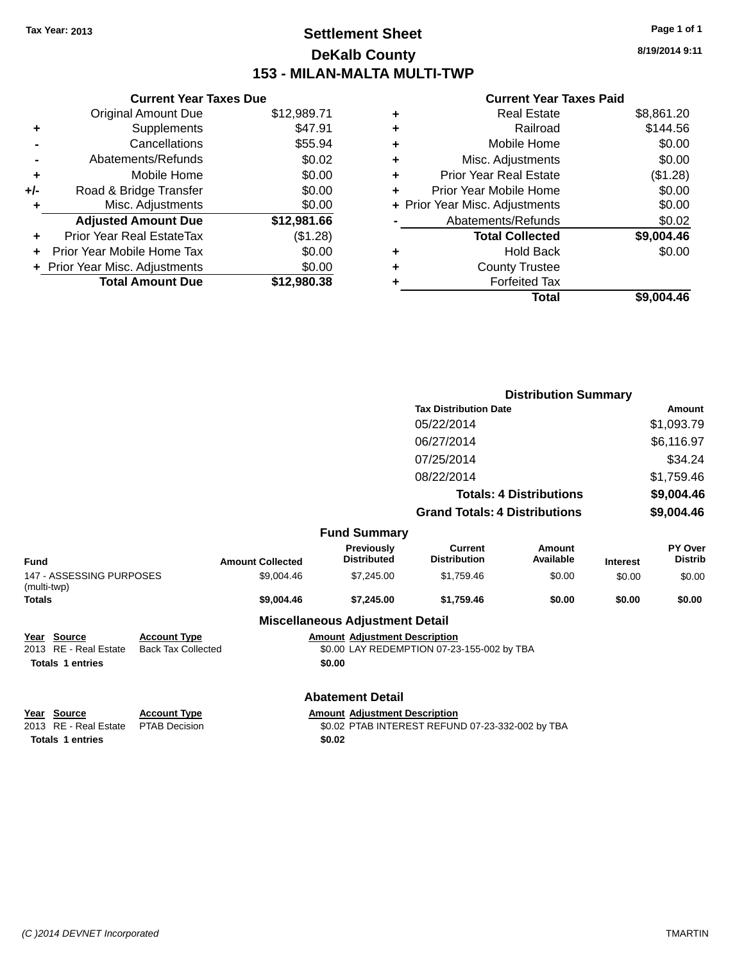## **Settlement Sheet Tax Year: 2013 Page 1 of 1 DeKalb County 153 - MILAN-MALTA MULTI-TWP**

**8/19/2014 9:11**

## **Current Year Taxes Paid**

|     | <b>Current Year Taxes Due</b>  |             |
|-----|--------------------------------|-------------|
|     | <b>Original Amount Due</b>     | \$12,989.71 |
| ٠   | Supplements                    | \$47.91     |
|     | Cancellations                  | \$55.94     |
|     | Abatements/Refunds             | \$0.02      |
| ٠   | Mobile Home                    | \$0.00      |
| +/- | Road & Bridge Transfer         | \$0.00      |
| ٠   | Misc. Adjustments              | \$0.00      |
|     | <b>Adjusted Amount Due</b>     | \$12,981.66 |
|     | Prior Year Real EstateTax      | (\$1.28)    |
|     | Prior Year Mobile Home Tax     | \$0.00      |
|     | + Prior Year Misc. Adjustments | \$0.00      |
|     | <b>Total Amount Due</b>        | \$12,980,38 |
|     |                                |             |

|   | <b>Real Estate</b>             | \$8,861.20 |
|---|--------------------------------|------------|
| ٠ | Railroad                       | \$144.56   |
| ٠ | Mobile Home                    | \$0.00     |
| ٠ | Misc. Adjustments              | \$0.00     |
| ٠ | Prior Year Real Estate         | (\$1.28)   |
| ٠ | Prior Year Mobile Home         | \$0.00     |
|   | + Prior Year Misc. Adjustments | \$0.00     |
|   | Abatements/Refunds             | \$0.02     |
|   | <b>Total Collected</b>         | \$9,004.46 |
| ٠ | Hold Back                      | \$0.00     |
| ٠ | <b>County Trustee</b>          |            |
| ٠ | <b>Forfeited Tax</b>           |            |
|   | Total                          | \$9,004.46 |
|   |                                |            |

|                                         |                           |                         |                                        |                                                  | <b>Distribution Summary</b>    |                 |                           |
|-----------------------------------------|---------------------------|-------------------------|----------------------------------------|--------------------------------------------------|--------------------------------|-----------------|---------------------------|
|                                         |                           |                         |                                        | <b>Tax Distribution Date</b>                     |                                |                 | <b>Amount</b>             |
|                                         |                           |                         |                                        | 05/22/2014                                       |                                |                 | \$1,093.79                |
|                                         |                           |                         |                                        | 06/27/2014                                       |                                |                 | \$6,116.97                |
|                                         |                           |                         |                                        | 07/25/2014                                       |                                |                 | \$34.24                   |
|                                         |                           |                         |                                        | 08/22/2014                                       |                                |                 | \$1,759.46                |
|                                         |                           |                         |                                        |                                                  | <b>Totals: 4 Distributions</b> |                 | \$9,004.46                |
|                                         |                           |                         |                                        | <b>Grand Totals: 4 Distributions</b>             |                                |                 | \$9,004.46                |
|                                         |                           |                         | <b>Fund Summary</b>                    |                                                  |                                |                 |                           |
| <b>Fund</b>                             |                           | <b>Amount Collected</b> | Previously<br><b>Distributed</b>       | <b>Current</b><br><b>Distribution</b>            | Amount<br>Available            | <b>Interest</b> | PY Over<br><b>Distrib</b> |
| 147 - ASSESSING PURPOSES<br>(multi-twp) |                           | \$9,004.46              | \$7,245.00                             | \$1,759.46                                       | \$0.00                         | \$0.00          | \$0.00                    |
| <b>Totals</b>                           |                           | \$9,004.46              | \$7,245.00                             | \$1,759.46                                       | \$0.00                         | \$0.00          | \$0.00                    |
|                                         |                           |                         | <b>Miscellaneous Adjustment Detail</b> |                                                  |                                |                 |                           |
| Year Source                             | <b>Account Type</b>       |                         | <b>Amount Adjustment Description</b>   |                                                  |                                |                 |                           |
| 2013 RE - Real Estate                   | <b>Back Tax Collected</b> |                         |                                        | \$0.00 LAY REDEMPTION 07-23-155-002 by TBA       |                                |                 |                           |
| <b>Totals 1 entries</b>                 |                           |                         | \$0.00                                 |                                                  |                                |                 |                           |
|                                         |                           |                         | <b>Abatement Detail</b>                |                                                  |                                |                 |                           |
| Year Source                             | <b>Account Type</b>       |                         | <b>Amount Adjustment Description</b>   |                                                  |                                |                 |                           |
| 2013 RE - Real Estate                   | <b>PTAB Decision</b>      |                         |                                        | \$0.02 PTAB INTEREST REFUND 07-23-332-002 by TBA |                                |                 |                           |
| <b>Totals 1 entries</b>                 |                           |                         | \$0.02                                 |                                                  |                                |                 |                           |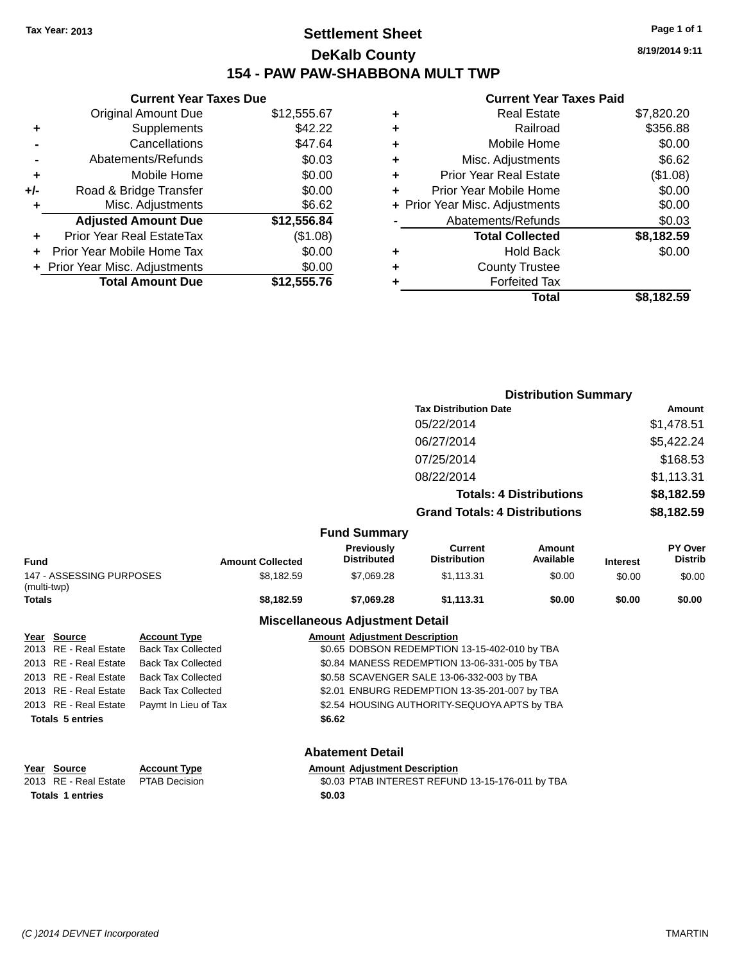## **Settlement Sheet Tax Year: 2013 Page 1 of 1 DeKalb County 154 - PAW PAW-SHABBONA MULT TWP**

|     | <b>Current Year Taxes Due</b> |             |
|-----|-------------------------------|-------------|
|     | <b>Original Amount Due</b>    | \$12,555.67 |
| ÷   | Supplements                   | \$42.22     |
|     | Cancellations                 | \$47.64     |
|     | Abatements/Refunds            | \$0.03      |
| ٠   | Mobile Home                   | \$0.00      |
| +/- | Road & Bridge Transfer        | \$0.00      |
| ٠   | Misc. Adjustments             | \$6.62      |
|     | <b>Adjusted Amount Due</b>    | \$12,556.84 |
|     | Prior Year Real EstateTax     | (\$1.08)    |
|     | Prior Year Mobile Home Tax    | \$0.00      |
|     | Prior Year Misc. Adjustments  | \$0.00      |
|     | <b>Total Amount Due</b>       | \$12,555.76 |

## **Current Year Taxes Paid**

|   | Real Estate                    | \$7,820.20 |
|---|--------------------------------|------------|
| ٠ | Railroad                       | \$356.88   |
| ٠ | Mobile Home                    | \$0.00     |
| ٠ | Misc. Adjustments              | \$6.62     |
| ٠ | <b>Prior Year Real Estate</b>  | (\$1.08)   |
| ÷ | Prior Year Mobile Home         | \$0.00     |
|   | + Prior Year Misc. Adjustments | \$0.00     |
|   | Abatements/Refunds             | \$0.03     |
|   | <b>Total Collected</b>         | \$8,182.59 |
| ٠ | Hold Back                      | \$0.00     |
| ٠ | <b>County Trustee</b>          |            |
|   | <b>Forfeited Tax</b>           |            |
|   | Total                          | \$8.182.59 |
|   |                                |            |

|                                                 |                  |                                             |                         |        |                                         | <b>Distribution Summary</b>                      |                                |                 |                           |
|-------------------------------------------------|------------------|---------------------------------------------|-------------------------|--------|-----------------------------------------|--------------------------------------------------|--------------------------------|-----------------|---------------------------|
|                                                 |                  |                                             |                         |        |                                         | <b>Tax Distribution Date</b>                     |                                |                 | Amount                    |
|                                                 |                  |                                             |                         |        |                                         | 05/22/2014                                       |                                |                 | \$1,478.51                |
|                                                 |                  |                                             |                         |        |                                         | 06/27/2014                                       |                                |                 | \$5,422.24                |
|                                                 |                  |                                             |                         |        |                                         | 07/25/2014                                       |                                |                 | \$168.53                  |
|                                                 |                  |                                             |                         |        |                                         | 08/22/2014                                       |                                |                 | \$1,113.31                |
|                                                 |                  |                                             |                         |        |                                         |                                                  | <b>Totals: 4 Distributions</b> |                 | \$8,182.59                |
|                                                 |                  |                                             |                         |        |                                         | <b>Grand Totals: 4 Distributions</b>             |                                |                 | \$8,182.59                |
|                                                 |                  |                                             |                         |        | <b>Fund Summary</b>                     |                                                  |                                |                 |                           |
| <b>Fund</b>                                     |                  |                                             | <b>Amount Collected</b> |        | <b>Previously</b><br><b>Distributed</b> | <b>Current</b><br><b>Distribution</b>            | Amount<br>Available            | <b>Interest</b> | PY Over<br><b>Distrib</b> |
| 147 - ASSESSING PURPOSES<br>(multi-twp)         |                  |                                             | \$8,182.59              |        | \$7,069.28                              | \$1,113.31                                       | \$0.00                         | \$0.00          | \$0.00                    |
| <b>Totals</b>                                   |                  |                                             | \$8,182.59              |        | \$7,069.28                              | \$1,113.31                                       | \$0.00                         | \$0.00          | \$0.00                    |
|                                                 |                  |                                             |                         |        | <b>Miscellaneous Adjustment Detail</b>  |                                                  |                                |                 |                           |
| Year Source                                     |                  | <b>Account Type</b>                         |                         |        | <b>Amount Adjustment Description</b>    |                                                  |                                |                 |                           |
| 2013                                            | RE - Real Estate | <b>Back Tax Collected</b>                   |                         |        |                                         | \$0.65 DOBSON REDEMPTION 13-15-402-010 by TBA    |                                |                 |                           |
| 2013 RE - Real Estate                           |                  | <b>Back Tax Collected</b>                   |                         |        |                                         | \$0.84 MANESS REDEMPTION 13-06-331-005 by TBA    |                                |                 |                           |
| 2013 RE - Real Estate                           |                  | <b>Back Tax Collected</b>                   |                         |        |                                         | \$0.58 SCAVENGER SALE 13-06-332-003 by TBA       |                                |                 |                           |
| 2013 RE - Real Estate                           |                  | <b>Back Tax Collected</b>                   |                         |        |                                         | \$2.01 ENBURG REDEMPTION 13-35-201-007 by TBA    |                                |                 |                           |
| 2013 RE - Real Estate                           |                  | Paymt In Lieu of Tax                        |                         |        |                                         | \$2.54 HOUSING AUTHORITY-SEQUOYA APTS by TBA     |                                |                 |                           |
| <b>Totals 5 entries</b>                         |                  |                                             |                         | \$6.62 |                                         |                                                  |                                |                 |                           |
|                                                 |                  |                                             |                         |        | <b>Abatement Detail</b>                 |                                                  |                                |                 |                           |
| Year Source<br>2013.<br><b>Totals 1 entries</b> | RE - Real Estate | <b>Account Type</b><br><b>PTAB Decision</b> |                         | \$0.03 | <b>Amount Adjustment Description</b>    | \$0.03 PTAB INTEREST REFUND 13-15-176-011 by TBA |                                |                 |                           |
|                                                 |                  |                                             |                         |        |                                         |                                                  |                                |                 |                           |

**8/19/2014 9:11**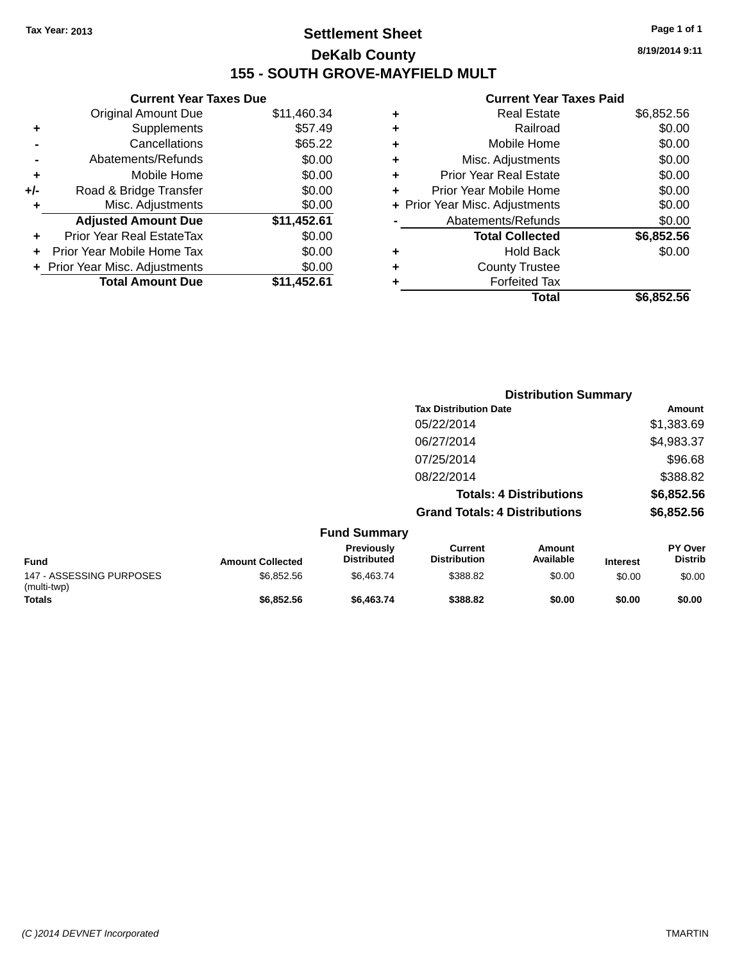## **Settlement Sheet Tax Year: 2013 Page 1 of 1 DeKalb County 155 - SOUTH GROVE-MAYFIELD MULT**

**8/19/2014 9:11**

#### **Current Year Taxes Paid**

|     | <b>Current Year Taxes Due</b>  |             |
|-----|--------------------------------|-------------|
|     | <b>Original Amount Due</b>     | \$11,460.34 |
| ÷   | Supplements                    | \$57.49     |
|     | Cancellations                  | \$65.22     |
|     | Abatements/Refunds             | \$0.00      |
| ٠   | Mobile Home                    | \$0.00      |
| +/- | Road & Bridge Transfer         | \$0.00      |
|     | Misc. Adjustments              | \$0.00      |
|     | <b>Adjusted Amount Due</b>     | \$11,452.61 |
| ÷   | Prior Year Real EstateTax      | \$0.00      |
|     | Prior Year Mobile Home Tax     | \$0.00      |
|     | + Prior Year Misc. Adjustments | \$0.00      |
|     | <b>Total Amount Due</b>        | \$11,452.61 |
|     |                                |             |

|   | <b>Real Estate</b>             | \$6,852.56 |
|---|--------------------------------|------------|
| ٠ | Railroad                       | \$0.00     |
| ٠ | Mobile Home                    | \$0.00     |
| ٠ | Misc. Adjustments              | \$0.00     |
| ÷ | <b>Prior Year Real Estate</b>  | \$0.00     |
| ÷ | Prior Year Mobile Home         | \$0.00     |
|   | + Prior Year Misc. Adjustments | \$0.00     |
|   | Abatements/Refunds             | \$0.00     |
|   | <b>Total Collected</b>         | \$6,852.56 |
| ٠ | Hold Back                      | \$0.00     |
| ٠ | <b>County Trustee</b>          |            |
| ٠ | <b>Forfeited Tax</b>           |            |
|   | Total                          | \$6,852.56 |
|   |                                |            |

|                                         |                         |                                  | <b>Distribution Summary</b>           |                                |                 |                                  |  |
|-----------------------------------------|-------------------------|----------------------------------|---------------------------------------|--------------------------------|-----------------|----------------------------------|--|
|                                         |                         |                                  | <b>Tax Distribution Date</b>          |                                |                 | Amount                           |  |
|                                         |                         |                                  | 05/22/2014                            |                                |                 | \$1,383.69                       |  |
|                                         |                         |                                  | 06/27/2014                            |                                |                 | \$4,983.37                       |  |
|                                         |                         |                                  | 07/25/2014                            |                                |                 | \$96.68                          |  |
|                                         |                         |                                  | 08/22/2014                            |                                |                 | \$388.82                         |  |
|                                         |                         |                                  |                                       | <b>Totals: 4 Distributions</b> |                 | \$6,852.56                       |  |
|                                         |                         |                                  | <b>Grand Totals: 4 Distributions</b>  |                                |                 | \$6,852.56                       |  |
|                                         |                         | <b>Fund Summary</b>              |                                       |                                |                 |                                  |  |
| <b>Fund</b>                             | <b>Amount Collected</b> | Previously<br><b>Distributed</b> | <b>Current</b><br><b>Distribution</b> | Amount<br>Available            | <b>Interest</b> | <b>PY Over</b><br><b>Distrib</b> |  |
| 147 - ASSESSING PURPOSES<br>(multi-twp) | \$6,852.56              | \$6,463.74                       | \$388.82                              | \$0.00                         | \$0.00          | \$0.00                           |  |
| Totals                                  | \$6,852.56              | \$6,463.74                       | \$388.82                              | \$0.00                         | \$0.00          | \$0.00                           |  |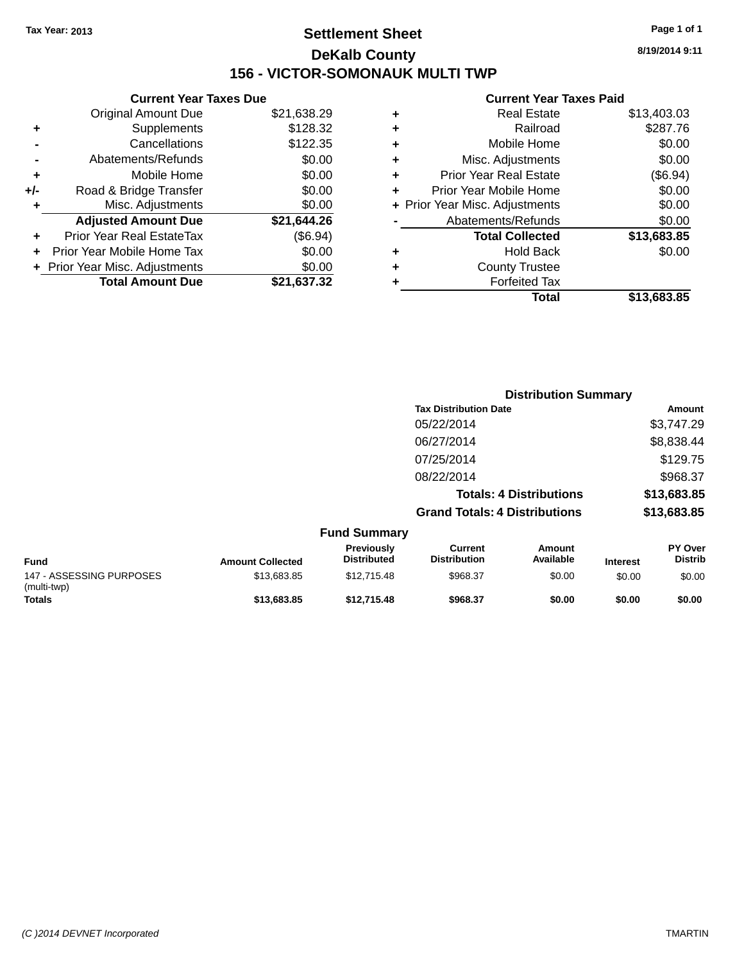## **Settlement Sheet Tax Year: 2013 Page 1 of 1 DeKalb County 156 - VICTOR-SOMONAUK MULTI TWP**

**8/19/2014 9:11**

#### **Current Year Taxes Paid**

|     | <b>Current Year Taxes Due</b>  |             |  |  |  |  |
|-----|--------------------------------|-------------|--|--|--|--|
|     | <b>Original Amount Due</b>     | \$21,638.29 |  |  |  |  |
| ÷   | Supplements                    | \$128.32    |  |  |  |  |
|     | Cancellations                  | \$122.35    |  |  |  |  |
|     | Abatements/Refunds             | \$0.00      |  |  |  |  |
| ٠   | Mobile Home                    | \$0.00      |  |  |  |  |
| +/- | Road & Bridge Transfer         | \$0.00      |  |  |  |  |
|     | Misc. Adjustments              | \$0.00      |  |  |  |  |
|     | <b>Adjusted Amount Due</b>     | \$21,644.26 |  |  |  |  |
| ÷   | Prior Year Real EstateTax      | (\$6.94)    |  |  |  |  |
|     | Prior Year Mobile Home Tax     | \$0.00      |  |  |  |  |
|     | + Prior Year Misc. Adjustments | \$0.00      |  |  |  |  |
|     | <b>Total Amount Due</b>        | \$21.637.32 |  |  |  |  |
|     |                                |             |  |  |  |  |

| ٠ | <b>Real Estate</b>             | \$13,403.03 |
|---|--------------------------------|-------------|
| ٠ | Railroad                       | \$287.76    |
| ٠ | Mobile Home                    | \$0.00      |
| ٠ | Misc. Adjustments              | \$0.00      |
| ٠ | <b>Prior Year Real Estate</b>  | (\$6.94)    |
| ÷ | Prior Year Mobile Home         | \$0.00      |
|   | + Prior Year Misc. Adjustments | \$0.00      |
|   | Abatements/Refunds             | \$0.00      |
|   | <b>Total Collected</b>         | \$13,683.85 |
| ٠ | Hold Back                      | \$0.00      |
| ÷ | <b>County Trustee</b>          |             |
| ٠ | <b>Forfeited Tax</b>           |             |
|   | Total                          | \$13,683.85 |
|   |                                |             |

|                                         |                         |                                  | <b>Distribution Summary</b>          |                                |                 |                                  |
|-----------------------------------------|-------------------------|----------------------------------|--------------------------------------|--------------------------------|-----------------|----------------------------------|
|                                         |                         |                                  | <b>Tax Distribution Date</b>         |                                |                 | Amount                           |
|                                         |                         |                                  | 05/22/2014                           |                                |                 | \$3,747.29                       |
|                                         |                         |                                  | 06/27/2014                           |                                |                 | \$8,838.44                       |
|                                         |                         |                                  | 07/25/2014                           |                                |                 | \$129.75                         |
|                                         |                         |                                  | 08/22/2014                           |                                |                 | \$968.37                         |
|                                         |                         |                                  |                                      | <b>Totals: 4 Distributions</b> |                 | \$13,683.85                      |
|                                         |                         |                                  | <b>Grand Totals: 4 Distributions</b> |                                |                 | \$13,683.85                      |
|                                         |                         | <b>Fund Summary</b>              |                                      |                                |                 |                                  |
| <b>Fund</b>                             | <b>Amount Collected</b> | Previously<br><b>Distributed</b> | Current<br><b>Distribution</b>       | <b>Amount</b><br>Available     | <b>Interest</b> | <b>PY Over</b><br><b>Distrib</b> |
| 147 - ASSESSING PURPOSES<br>(multi-twp) | \$13,683.85             | \$12,715.48                      | \$968.37                             | \$0.00                         | \$0.00          | \$0.00                           |
| Totals                                  | \$13,683.85             | \$12,715.48                      | \$968.37                             | \$0.00                         | \$0.00          | \$0.00                           |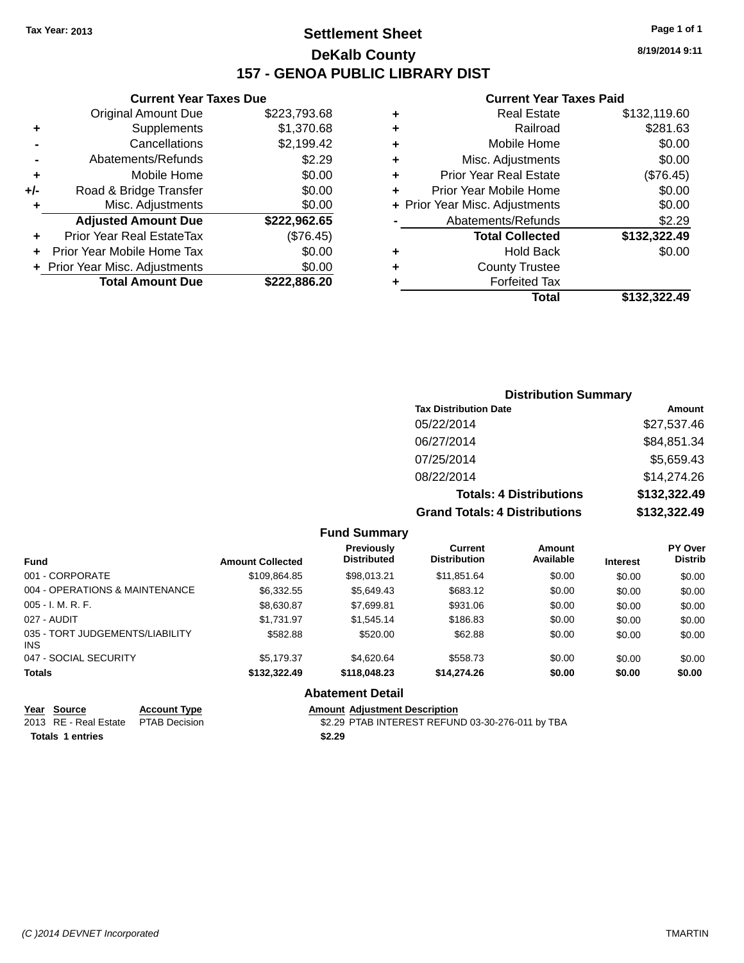## **Settlement Sheet Tax Year: 2013 Page 1 of 1 DeKalb County 157 - GENOA PUBLIC LIBRARY DIST**

**Current Year Taxes Due**

| \$223,793.68 |
|--------------|
| \$1,370.68   |
| \$2,199.42   |
| \$2.29       |
| \$0.00       |
| \$0.00       |
| \$0.00       |
| \$222,962.65 |
| (\$76.45)    |
| \$0.00       |
| \$0.00       |
| \$222,886.20 |
|              |

#### **Current Year Taxes Paid**

| ٠ | Real Estate                    | \$132,119.60 |
|---|--------------------------------|--------------|
| ٠ | Railroad                       | \$281.63     |
| ٠ | Mobile Home                    | \$0.00       |
| ٠ | Misc. Adjustments              | \$0.00       |
| ٠ | <b>Prior Year Real Estate</b>  | (\$76.45)    |
| ٠ | Prior Year Mobile Home         | \$0.00       |
|   | + Prior Year Misc. Adjustments | \$0.00       |
|   | Abatements/Refunds             | \$2.29       |
|   | <b>Total Collected</b>         | \$132,322.49 |
| ٠ | <b>Hold Back</b>               | \$0.00       |
|   | <b>County Trustee</b>          |              |
|   | <b>Forfeited Tax</b>           |              |
|   | Total                          | \$132,322.49 |
|   |                                |              |

## **Distribution Summary Tax Distribution Date Amount** 05/22/2014 \$27,537.46 06/27/2014 \$84,851.34 07/25/2014 \$5,659.43 08/22/2014 \$14,274.26 **Totals: 4 Distributions \$132,322.49 Grand Totals: 4 Distributions \$132,322.49**

#### **Fund Summary**

| <b>Fund</b>                             | <b>Amount Collected</b> | Previously<br><b>Distributed</b> | Current<br><b>Distribution</b> | Amount<br>Available | <b>Interest</b> | <b>PY Over</b><br><b>Distrib</b> |
|-----------------------------------------|-------------------------|----------------------------------|--------------------------------|---------------------|-----------------|----------------------------------|
| 001 - CORPORATE                         | \$109,864.85            | \$98.013.21                      | \$11,851.64                    | \$0.00              | \$0.00          | \$0.00                           |
| 004 - OPERATIONS & MAINTENANCE          | \$6.332.55              | \$5,649.43                       | \$683.12                       | \$0.00              | \$0.00          | \$0.00                           |
| 005 - I. M. R. F.                       | \$8,630.87              | \$7,699.81                       | \$931.06                       | \$0.00              | \$0.00          | \$0.00                           |
| 027 - AUDIT                             | \$1.731.97              | \$1,545.14                       | \$186.83                       | \$0.00              | \$0.00          | \$0.00                           |
| 035 - TORT JUDGEMENTS/LIABILITY<br>INS. | \$582.88                | \$520.00                         | \$62.88                        | \$0.00              | \$0.00          | \$0.00                           |
| 047 - SOCIAL SECURITY                   | \$5.179.37              | \$4,620.64                       | \$558.73                       | \$0.00              | \$0.00          | \$0.00                           |
| <b>Totals</b>                           | \$132,322,49            | \$118,048.23                     | \$14,274.26                    | \$0.00              | \$0.00          | \$0.00                           |

#### **Abatement Detail**

| Year Source                         | <b>Account Type</b> | <b>Amount Adiustment Description</b>             |
|-------------------------------------|---------------------|--------------------------------------------------|
| 2013 RE - Real Estate PTAB Decision |                     | \$2.29 PTAB INTEREST REFUND 03-30-276-011 by TBA |
| <b>Totals 1 entries</b>             |                     | \$2.29                                           |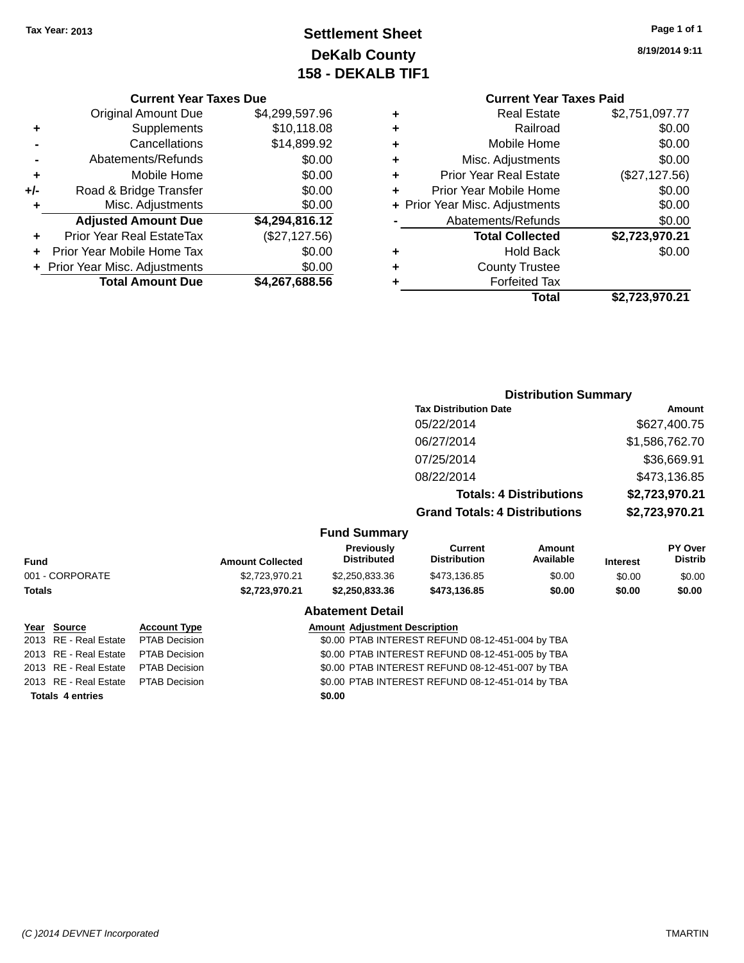## **Settlement Sheet Tax Year: 2013 Page 1 of 1 DeKalb County 158 - DEKALB TIF1**

**8/19/2014 9:11**

#### **Current Year Taxes Due**

|     | <b>Original Amount Due</b>     | \$4,299,597.96 |
|-----|--------------------------------|----------------|
| ٠   | Supplements                    | \$10,118.08    |
|     | Cancellations                  | \$14,899.92    |
|     | Abatements/Refunds             | \$0.00         |
| ٠   | Mobile Home                    | \$0.00         |
| +/- | Road & Bridge Transfer         | \$0.00         |
| ٠   | Misc. Adjustments              | \$0.00         |
|     | <b>Adjusted Amount Due</b>     | \$4,294,816.12 |
|     | Prior Year Real EstateTax      | (\$27,127.56)  |
|     | Prior Year Mobile Home Tax     | \$0.00         |
|     | + Prior Year Misc. Adjustments | \$0.00         |
|     | <b>Total Amount Due</b>        | \$4,267,688.56 |

## **Current Year Taxes Paid +** Real Estate \$2,751,097.77 **+** Railroad \$0.00 **+** Mobile Home \$0.00 **+** Misc. Adjustments \$0.00 **+** Prior Year Real Estate (\$27,127.56)

|   | Prior Year Mobile Home         | \$0.00         |
|---|--------------------------------|----------------|
|   | + Prior Year Misc. Adjustments | \$0.00         |
|   | Abatements/Refunds             | \$0.00         |
|   | <b>Total Collected</b>         | \$2,723,970.21 |
|   | <b>Hold Back</b>               | \$0.00         |
| ٠ | <b>County Trustee</b>          |                |
|   | <b>Forfeited Tax</b>           |                |
|   | Total                          | \$2,723,970.21 |

#### **Distribution Summary Tax Distribution Date Amount** 05/22/2014 \$627,400.75 06/27/2014 \$1,586,762.70 07/25/2014 \$36,669.91 08/22/2014 \$473,136.85 **Totals: 4 Distributions \$2,723,970.21 Grand Totals: 4 Distributions \$2,723,970.21 Fund Summary PY Over Distrib Amount Available Current Distribution Previously Amount Collected Distributed**

| Fund                    |                      | <b>Amount Collected</b> | <b>Distributed</b>                   | Distribution                                     | Available | <b>Interest</b> | <b>Distrib</b> |
|-------------------------|----------------------|-------------------------|--------------------------------------|--------------------------------------------------|-----------|-----------------|----------------|
| 001 - CORPORATE         |                      | \$2,723,970.21          | \$2,250,833.36                       | \$473,136.85                                     | \$0.00    | \$0.00          | \$0.00         |
| Totals                  |                      | \$2,723,970.21          | \$2,250,833.36                       | \$473,136.85                                     | \$0.00    | \$0.00          | \$0.00         |
|                         |                      |                         | <b>Abatement Detail</b>              |                                                  |           |                 |                |
| Year Source             | <b>Account Type</b>  |                         | <b>Amount Adjustment Description</b> |                                                  |           |                 |                |
| 2013 RE - Real Estate   | <b>PTAB Decision</b> |                         |                                      | \$0.00 PTAB INTEREST REFUND 08-12-451-004 by TBA |           |                 |                |
| 2013 RE - Real Estate   | <b>PTAB Decision</b> |                         |                                      | \$0.00 PTAB INTEREST REFUND 08-12-451-005 by TBA |           |                 |                |
| 2013 RE - Real Estate   | <b>PTAB Decision</b> |                         |                                      | \$0.00 PTAB INTEREST REFUND 08-12-451-007 by TBA |           |                 |                |
| 2013 RE - Real Estate   | <b>PTAB Decision</b> |                         |                                      | \$0.00 PTAB INTEREST REFUND 08-12-451-014 by TBA |           |                 |                |
| <b>Totals 4 entries</b> |                      |                         | \$0.00                               |                                                  |           |                 |                |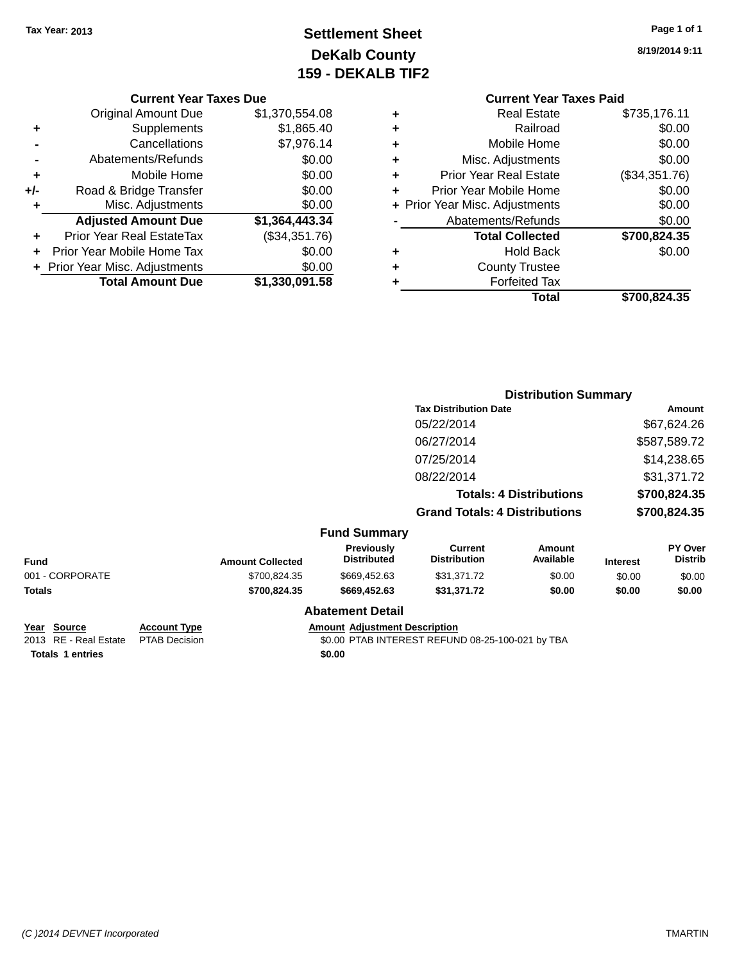## **Settlement Sheet Tax Year: 2013 Page 1 of 1 DeKalb County 159 - DEKALB TIF2**

**8/19/2014 9:11**

#### **Current Year Taxes Due**

|       | <b>Original Amount Due</b>     | \$1,370,554.08 |
|-------|--------------------------------|----------------|
| ٠     | Supplements                    | \$1,865.40     |
|       | Cancellations                  | \$7,976.14     |
|       | Abatements/Refunds             | \$0.00         |
| ÷     | Mobile Home                    | \$0.00         |
| $+/-$ | Road & Bridge Transfer         | \$0.00         |
| ٠     | Misc. Adjustments              | \$0.00         |
|       | <b>Adjusted Amount Due</b>     | \$1,364,443.34 |
|       | Prior Year Real EstateTax      | (\$34,351.76)  |
|       | Prior Year Mobile Home Tax     | \$0.00         |
|       | + Prior Year Misc. Adjustments | \$0.00         |
|       | <b>Total Amount Due</b>        | \$1,330,091.58 |

## **Current Year Taxes Paid**

|   | <b>Real Estate</b>             | \$735,176.11  |
|---|--------------------------------|---------------|
| ٠ | Railroad                       | \$0.00        |
| ٠ | Mobile Home                    | \$0.00        |
| ٠ | Misc. Adjustments              | \$0.00        |
| ÷ | <b>Prior Year Real Estate</b>  | (\$34,351.76) |
| ٠ | Prior Year Mobile Home         | \$0.00        |
|   | + Prior Year Misc. Adjustments | \$0.00        |
|   | Abatements/Refunds             | \$0.00        |
|   | <b>Total Collected</b>         | \$700,824.35  |
| ٠ | <b>Hold Back</b>               | \$0.00        |
| ٠ | <b>County Trustee</b>          |               |
|   | <b>Forfeited Tax</b>           |               |
|   | Total                          | \$700,824.35  |
|   |                                |               |

#### **Distribution Summary Tax Distribution Date Amount** 05/22/2014 \$67,624.26 06/27/2014 \$587,589.72 07/25/2014 \$14,238.65 08/22/2014 \$31,371.72 **Totals: 4 Distributions \$700,824.35 Grand Totals: 4 Distributions \$700,824.35 Fund Summary Fund Interest Amount Collected Distributed PY Over Distrib Amount Available Current Distribution Previously** 001 - CORPORATE \$700,824.35 \$669,452.63 \$31,371.72 \$0.00 \$0.00 \$0.00 \$0.00 **Totals \$700,824.35 \$669,452.63 \$31,371.72 \$0.00 \$0.00 \$0.00 Abatement Detail**

**Year Source Account Type Amount Adjustment Description**

**Totals 1 entries \$0.00**

2013 RE - Real Estate PTAB Decision \$0.00 PTAB INTEREST REFUND 08-25-100-021 by TBA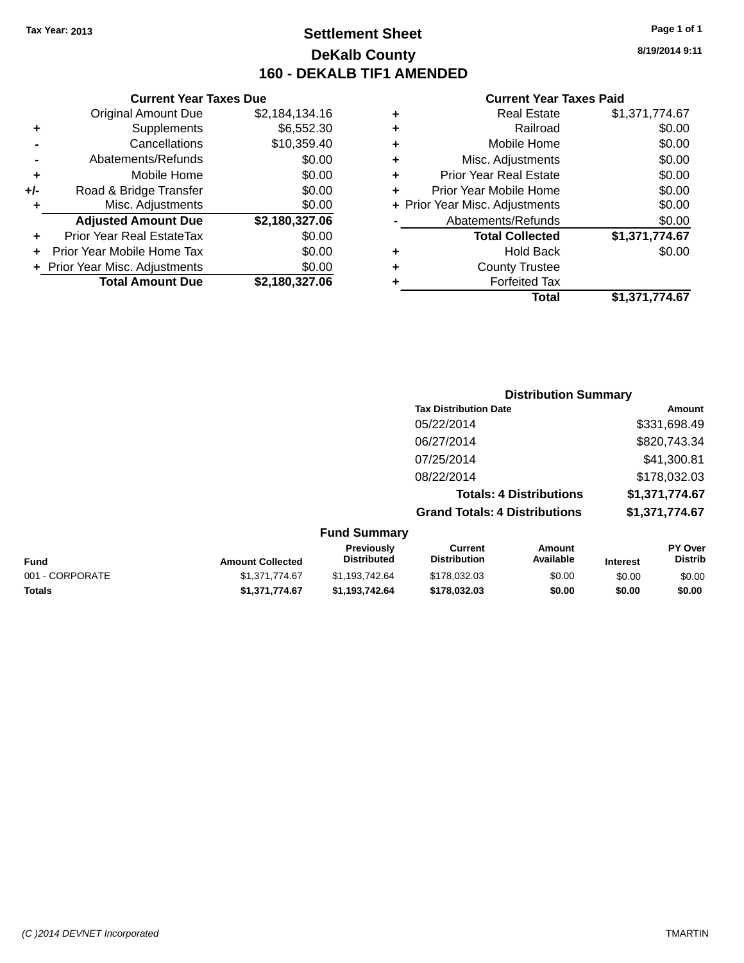### **Settlement Sheet Tax Year: 2013 Page 1 of 1 DeKalb County 160 - DEKALB TIF1 AMENDED**

**8/19/2014 9:11**

|     | <b>Current Year Taxes Due</b>  |                |  |  |  |
|-----|--------------------------------|----------------|--|--|--|
|     | <b>Original Amount Due</b>     | \$2,184,134.16 |  |  |  |
| ٠   | Supplements                    | \$6,552.30     |  |  |  |
|     | Cancellations                  | \$10,359.40    |  |  |  |
|     | Abatements/Refunds             | \$0.00         |  |  |  |
| ٠   | Mobile Home                    | \$0.00         |  |  |  |
| +/- | Road & Bridge Transfer         | \$0.00         |  |  |  |
| ٠   | Misc. Adjustments              | \$0.00         |  |  |  |
|     | <b>Adjusted Amount Due</b>     | \$2,180,327.06 |  |  |  |
| ÷   | Prior Year Real EstateTax      | \$0.00         |  |  |  |
| ÷   | Prior Year Mobile Home Tax     | \$0.00         |  |  |  |
|     | + Prior Year Misc. Adjustments | \$0.00         |  |  |  |
|     | <b>Total Amount Due</b>        | \$2,180,327.06 |  |  |  |

| ٠ | <b>Real Estate</b>             | \$1,371,774.67 |
|---|--------------------------------|----------------|
| ٠ | Railroad                       | \$0.00         |
| ٠ | Mobile Home                    | \$0.00         |
| ٠ | Misc. Adjustments              | \$0.00         |
| ٠ | <b>Prior Year Real Estate</b>  | \$0.00         |
|   | Prior Year Mobile Home         | \$0.00         |
|   | + Prior Year Misc. Adjustments | \$0.00         |
|   | Abatements/Refunds             | \$0.00         |
|   | <b>Total Collected</b>         | \$1,371,774.67 |
| ٠ | <b>Hold Back</b>               | \$0.00         |
| ٠ | <b>County Trustee</b>          |                |
| ٠ | <b>Forfeited Tax</b>           |                |
|   | Total                          | \$1,371,774.67 |
|   |                                |                |

|                     |                                      | <b>Distribution Summary</b>    |                |
|---------------------|--------------------------------------|--------------------------------|----------------|
|                     | <b>Tax Distribution Date</b>         |                                | Amount         |
|                     | 05/22/2014                           |                                | \$331,698.49   |
|                     | 06/27/2014                           |                                | \$820,743.34   |
|                     | 07/25/2014                           |                                | \$41,300.81    |
|                     | 08/22/2014                           |                                | \$178,032.03   |
|                     |                                      | <b>Totals: 4 Distributions</b> | \$1,371,774.67 |
|                     | <b>Grand Totals: 4 Distributions</b> |                                | \$1,371,774.67 |
| <b>Fund Summary</b> |                                      |                                |                |
| <b>Droviaught</b>   | $P$                                  | $A$ messat                     | DV Ough        |

| <b>Fund</b>     | <b>Amount Collected</b> | Previously<br><b>Distributed</b> | Current<br><b>Distribution</b> | Amount<br>Available | <b>Interest</b> | <b>PY Over</b><br><b>Distrib</b> |
|-----------------|-------------------------|----------------------------------|--------------------------------|---------------------|-----------------|----------------------------------|
| 001 - CORPORATE | \$1.371.774.67          | \$1.193.742.64                   | \$178,032,03                   | \$0.00              | \$0.00          | \$0.00                           |
| Totals          | \$1.371.774.67          | \$1.193.742.64                   | \$178,032,03                   | \$0.00              | \$0.00          | \$0.00                           |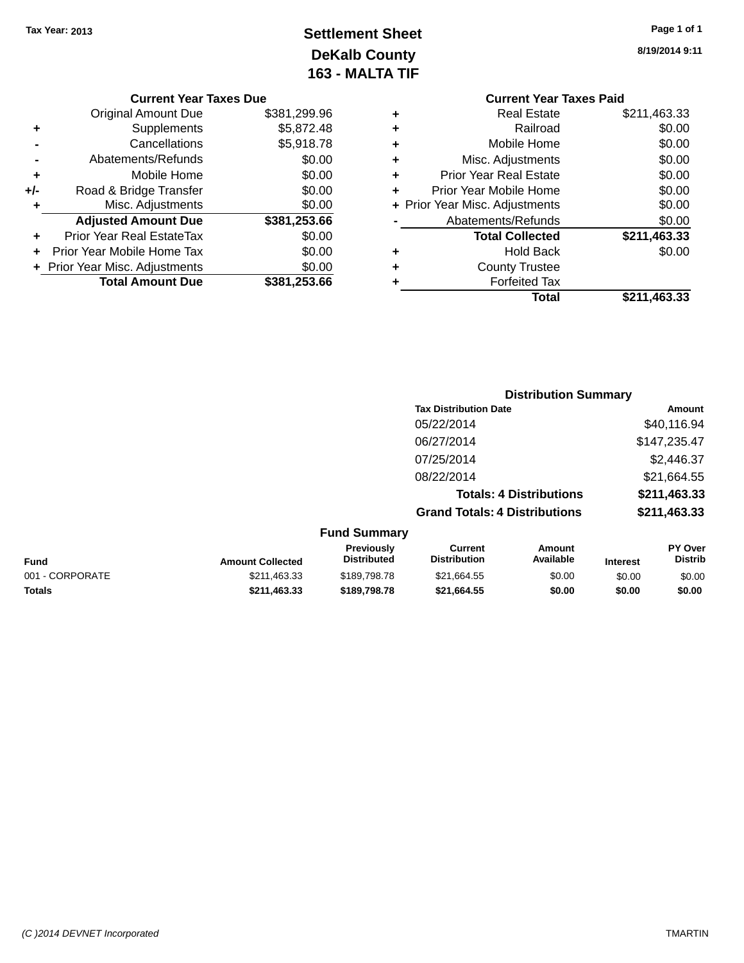# **Settlement Sheet Tax Year: 2013 Page 1 of 1 DeKalb County 163 - MALTA TIF**

|   | <b>Current Year Taxes Paid</b> |              |  |  |
|---|--------------------------------|--------------|--|--|
| ٠ | <b>Real Estate</b>             | \$211,463.33 |  |  |
| ٠ | Railroad                       | \$0.00       |  |  |
| ٠ | Mobile Home                    | \$0.00       |  |  |
| ٠ | Misc. Adjustments              | \$0.00       |  |  |
| ٠ | <b>Prior Year Real Estate</b>  | \$0.00       |  |  |
| ٠ | Prior Year Mobile Home         | \$0.00       |  |  |
|   | + Prior Year Misc. Adjustments | \$0.00       |  |  |
|   | Abatements/Refunds             | \$0.00       |  |  |
|   | <b>Total Collected</b>         | \$211,463.33 |  |  |
| ٠ | Hold Back                      | \$0.00       |  |  |
| ٠ | <b>County Trustee</b>          |              |  |  |
| ٠ | <b>Forfeited Tax</b>           |              |  |  |
|   | Total                          | \$211,463.33 |  |  |
|   |                                |              |  |  |

|     | <b>Current Year Taxes Due</b>          |              |  |  |  |
|-----|----------------------------------------|--------------|--|--|--|
|     | \$381,299.96<br>Original Amount Due    |              |  |  |  |
| ٠   | Supplements                            | \$5,872.48   |  |  |  |
|     | Cancellations                          | \$5,918.78   |  |  |  |
|     | Abatements/Refunds                     | \$0.00       |  |  |  |
| ٠   | Mobile Home                            | \$0.00       |  |  |  |
| +/- | Road & Bridge Transfer                 | \$0.00       |  |  |  |
|     | \$0.00<br>Misc. Adjustments            |              |  |  |  |
|     | <b>Adjusted Amount Due</b>             | \$381,253.66 |  |  |  |
|     | Prior Year Real EstateTax              | \$0.00       |  |  |  |
| ÷   | Prior Year Mobile Home Tax             | \$0.00       |  |  |  |
|     | \$0.00<br>Prior Year Misc. Adjustments |              |  |  |  |
|     | <b>Total Amount Due</b>                | \$381,253.66 |  |  |  |
|     |                                        |              |  |  |  |

| <b>Distribution Summary</b>          |              |
|--------------------------------------|--------------|
| <b>Tax Distribution Date</b>         | Amount       |
| 05/22/2014                           | \$40,116.94  |
| 06/27/2014                           | \$147,235.47 |
| 07/25/2014                           | \$2,446.37   |
| 08/22/2014                           | \$21,664.55  |
| <b>Totals: 4 Distributions</b>       | \$211,463.33 |
| <b>Grand Totals: 4 Distributions</b> | \$211,463.33 |
| <b>Fund Summary</b>                  |              |

| <b>Fund</b>     | <b>Amount Collected</b> | <b>Previously</b><br><b>Distributed</b> | Current<br><b>Distribution</b> | Amount<br>Available | <b>Interest</b> | <b>PY Over</b><br><b>Distrib</b> |
|-----------------|-------------------------|-----------------------------------------|--------------------------------|---------------------|-----------------|----------------------------------|
| 001 - CORPORATE | \$211,463.33            | \$189.798.78                            | \$21,664.55                    | \$0.00              | \$0.00          | \$0.00                           |
| <b>Totals</b>   | \$211,463,33            | \$189,798,78                            | \$21.664.55                    | \$0.00              | \$0.00          | \$0.00                           |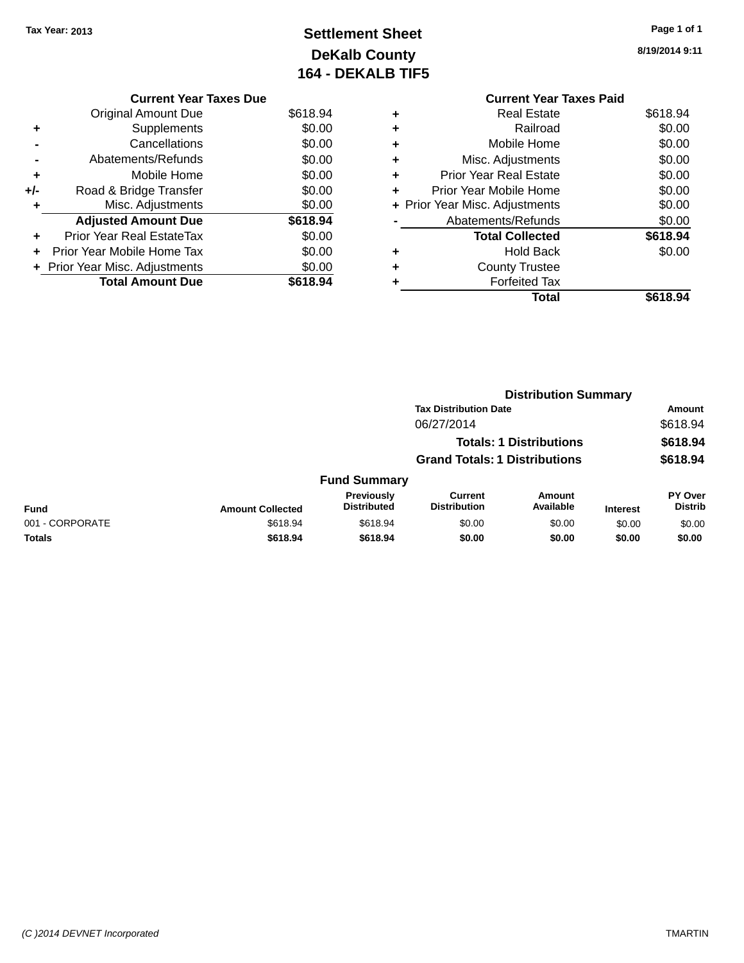**Current Year Taxes Due** Original Amount Due \$618.94

**Adjusted Amount Due \$618.94**

**Total Amount Due \$618.94**

**+** Supplements \$0.00 **-** Cancellations \$0.00 **-** Abatements/Refunds \$0.00 **+** Mobile Home \$0.00 **+/-** Road & Bridge Transfer \$0.00<br> **+** Misc. Adjustments \$0.00

**+** Prior Year Real EstateTax \$0.00 **+** Prior Year Mobile Home Tax \$0.00 **+ Prior Year Misc. Adjustments**  $$0.00$ 

**+** Misc. Adjustments

# **Settlement Sheet Tax Year: 2013 Page 1 of 1 DeKalb County 164 - DEKALB TIF5**

**8/19/2014 9:11**

|   | <b>Current Year Taxes Paid</b>   |          |  |  |  |
|---|----------------------------------|----------|--|--|--|
| ٠ | Real Estate                      | \$618.94 |  |  |  |
| ٠ | Railroad                         | \$0.00   |  |  |  |
| ٠ | Mobile Home                      | \$0.00   |  |  |  |
| ٠ | Misc. Adjustments                | \$0.00   |  |  |  |
| ٠ | Prior Year Real Estate           | \$0.00   |  |  |  |
| ٠ | \$0.00<br>Prior Year Mobile Home |          |  |  |  |
|   | + Prior Year Misc. Adjustments   | \$0.00   |  |  |  |
|   | \$0.00<br>Abatements/Refunds     |          |  |  |  |
|   | <b>Total Collected</b>           | \$618.94 |  |  |  |
|   | Hold Back                        | \$0.00   |  |  |  |
| ٠ | <b>County Trustee</b>            |          |  |  |  |
|   | <b>Forfeited Tax</b>             |          |  |  |  |
|   | Total                            | \$618.94 |  |  |  |

|                         |                                  |                                       |                     |                                                                                                        | Amount                      |
|-------------------------|----------------------------------|---------------------------------------|---------------------|--------------------------------------------------------------------------------------------------------|-----------------------------|
|                         |                                  | 06/27/2014                            |                     |                                                                                                        | \$618.94                    |
|                         |                                  |                                       |                     |                                                                                                        | \$618.94                    |
|                         |                                  |                                       |                     |                                                                                                        | \$618.94                    |
|                         |                                  |                                       |                     |                                                                                                        |                             |
| <b>Amount Collected</b> | Previously<br><b>Distributed</b> | <b>Current</b><br><b>Distribution</b> | Amount<br>Available | <b>Interest</b>                                                                                        | PY Over<br><b>Distrib</b>   |
| \$618.94                | \$618.94                         | \$0.00                                | \$0.00              | \$0.00                                                                                                 | \$0.00                      |
| \$618.94                | \$618.94                         | \$0.00                                | \$0.00              | \$0.00                                                                                                 | \$0.00                      |
|                         |                                  |                                       | <b>Fund Summary</b> | <b>Tax Distribution Date</b><br><b>Totals: 1 Distributions</b><br><b>Grand Totals: 1 Distributions</b> | <b>Distribution Summary</b> |

#### *(C )2014 DEVNET Incorporated* TMARTIN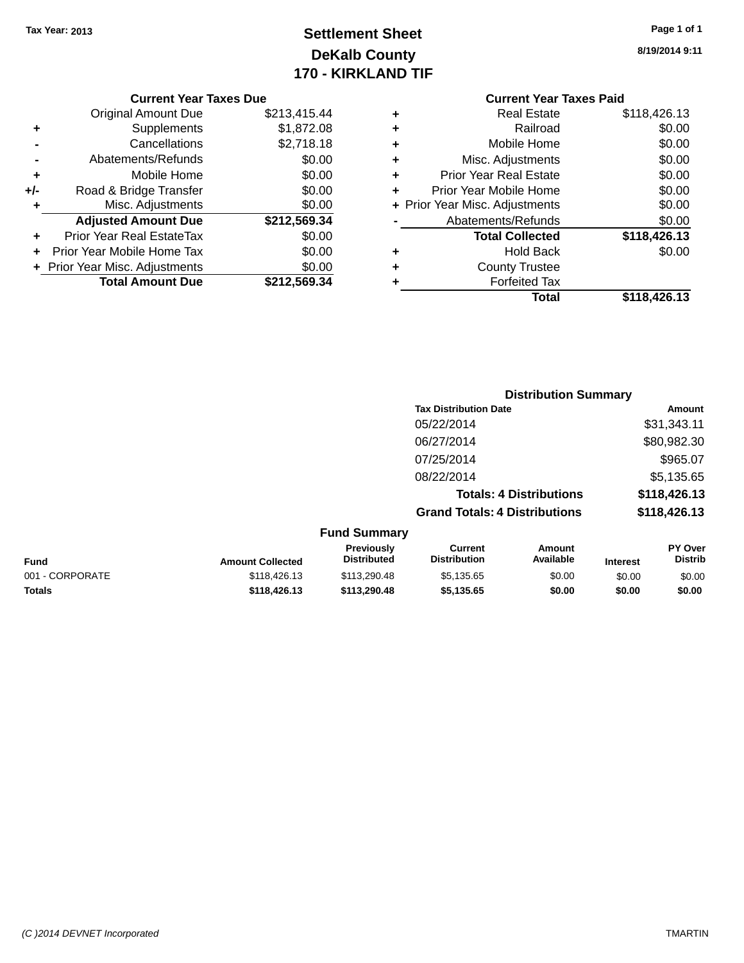# **Settlement Sheet Tax Year: 2013 Page 1 of 1 DeKalb County 170 - KIRKLAND TIF**

**8/19/2014 9:11**

|     | <b>Total Amount Due</b>          | \$212.569.34 |
|-----|----------------------------------|--------------|
|     | + Prior Year Misc. Adjustments   | \$0.00       |
|     | Prior Year Mobile Home Tax       | \$0.00       |
|     | <b>Prior Year Real EstateTax</b> | \$0.00       |
|     | <b>Adjusted Amount Due</b>       | \$212,569.34 |
| ٠   | Misc. Adjustments                | \$0.00       |
| +/- | Road & Bridge Transfer           | \$0.00       |
| ٠   | Mobile Home                      | \$0.00       |
|     | Abatements/Refunds               | \$0.00       |
|     | Cancellations                    | \$2,718.18   |
| ٠   | Supplements                      | \$1,872.08   |
|     | <b>Original Amount Due</b>       | \$213,415.44 |

### **Current Year Taxes Paid +** Real Estate \$118,426.13 **+** Railroad \$0.00 **+** Mobile Home \$0.00

|   | Total                          | \$118,426.13 |
|---|--------------------------------|--------------|
| ٠ | <b>Forfeited Tax</b>           |              |
| ٠ | <b>County Trustee</b>          |              |
| ٠ | <b>Hold Back</b>               | \$0.00       |
|   | <b>Total Collected</b>         | \$118,426.13 |
|   | Abatements/Refunds             | \$0.00       |
|   | + Prior Year Misc. Adjustments | \$0.00       |
| ÷ | Prior Year Mobile Home         | \$0.00       |
| ٠ | <b>Prior Year Real Estate</b>  | \$0.00       |
|   | Misc. Adjustments              | \$0.00       |

|                     | <b>Distribution Summary</b>          |              |
|---------------------|--------------------------------------|--------------|
|                     | <b>Tax Distribution Date</b>         | Amount       |
|                     | 05/22/2014                           | \$31,343.11  |
|                     | 06/27/2014                           | \$80,982.30  |
|                     | 07/25/2014                           | \$965.07     |
|                     | 08/22/2014                           | \$5,135.65   |
|                     | <b>Totals: 4 Distributions</b>       | \$118,426.13 |
|                     | <b>Grand Totals: 4 Distributions</b> | \$118,426.13 |
| <b>Fund Summary</b> |                                      |              |

| <b>Fund</b>     | <b>Amount Collected</b> | <b>Previously</b><br><b>Distributed</b> | Current<br><b>Distribution</b> | Amount<br>Available | <b>Interest</b> | <b>PY Over</b><br><b>Distrib</b> |
|-----------------|-------------------------|-----------------------------------------|--------------------------------|---------------------|-----------------|----------------------------------|
| 001 - CORPORATE | \$118,426.13            | \$113,290.48                            | \$5,135.65                     | \$0.00              | \$0.00          | \$0.00                           |
| <b>Totals</b>   | \$118,426.13            | \$113,290.48                            | \$5.135.65                     | \$0.00              | \$0.00          | \$0.00                           |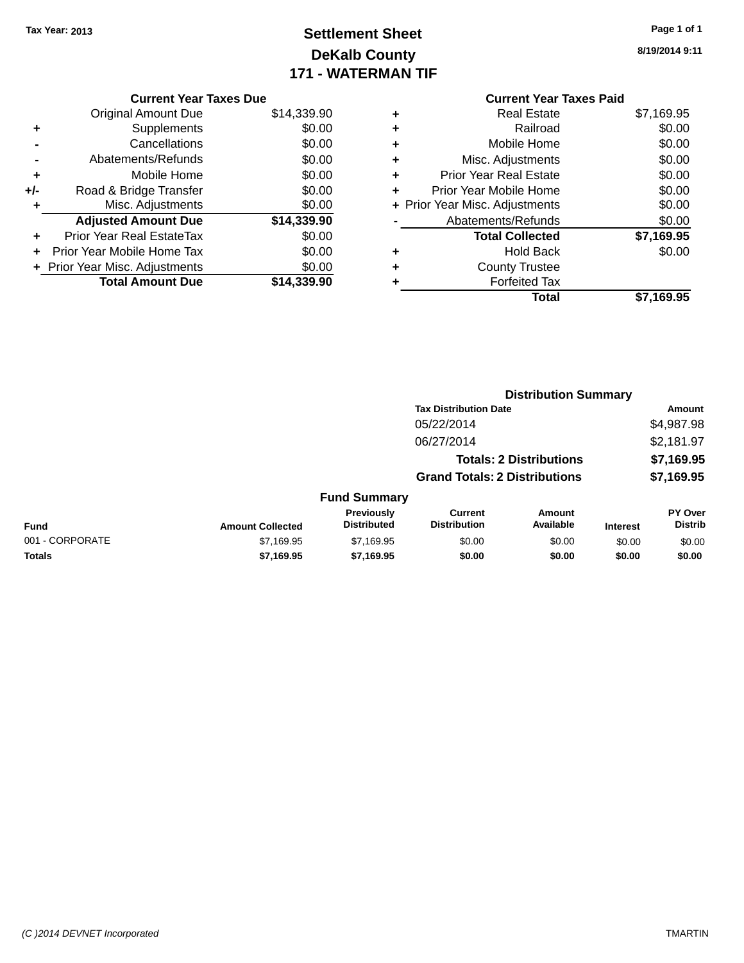# **Settlement Sheet Tax Year: 2013 Page 1 of 1 DeKalb County 171 - WATERMAN TIF**

|       | <b>Current Year Taxes Due</b>  |             |  |  |  |
|-------|--------------------------------|-------------|--|--|--|
|       | <b>Original Amount Due</b>     | \$14,339.90 |  |  |  |
| ٠     | Supplements                    | \$0.00      |  |  |  |
|       | Cancellations                  | \$0.00      |  |  |  |
|       | Abatements/Refunds             | \$0.00      |  |  |  |
| ٠     | Mobile Home                    | \$0.00      |  |  |  |
| $+/-$ | Road & Bridge Transfer         | \$0.00      |  |  |  |
| ٠     | Misc. Adjustments              | \$0.00      |  |  |  |
|       | <b>Adjusted Amount Due</b>     | \$14,339.90 |  |  |  |
| ÷     | Prior Year Real EstateTax      | \$0.00      |  |  |  |
|       | Prior Year Mobile Home Tax     | \$0.00      |  |  |  |
|       | + Prior Year Misc. Adjustments | \$0.00      |  |  |  |
|       | <b>Total Amount Due</b>        | \$14,339.90 |  |  |  |

**8/19/2014 9:11**

### **Current Year Taxes Paid +** Real Estate \$7,169.95 **+** Railroad \$0.00 **+** Mobile Home \$0.00 **+** Misc. Adjustments \$0.00 **+** Prior Year Real Estate \$0.00 **+** Prior Year Mobile Home \$0.00 **+ Prior Year Misc. Adjustments**  $$0.00$ **-** Abatements/Refunds \$0.00 **Total Collected \$7,169.95 +** Hold Back \$0.00 **+** County Trustee **+** Forfeited Tax **Total \$7,169.95**

|                         |                                  |                                       |                     |                                                                                                        | Amount                      |
|-------------------------|----------------------------------|---------------------------------------|---------------------|--------------------------------------------------------------------------------------------------------|-----------------------------|
|                         |                                  | 05/22/2014                            |                     |                                                                                                        | \$4,987.98                  |
|                         |                                  | 06/27/2014                            |                     |                                                                                                        | \$2,181.97                  |
|                         |                                  |                                       |                     |                                                                                                        | \$7,169.95                  |
|                         |                                  |                                       |                     |                                                                                                        | \$7,169.95                  |
|                         |                                  |                                       |                     |                                                                                                        |                             |
| <b>Amount Collected</b> | Previously<br><b>Distributed</b> | <b>Current</b><br><b>Distribution</b> | Amount<br>Available | <b>Interest</b>                                                                                        | PY Over<br><b>Distrib</b>   |
| \$7,169.95              | \$7.169.95                       | \$0.00                                | \$0.00              | \$0.00                                                                                                 | \$0.00                      |
| \$7,169.95              | \$7,169.95                       | \$0.00                                | \$0.00              | \$0.00                                                                                                 | \$0.00                      |
|                         |                                  |                                       | <b>Fund Summary</b> | <b>Tax Distribution Date</b><br><b>Totals: 2 Distributions</b><br><b>Grand Totals: 2 Distributions</b> | <b>Distribution Summary</b> |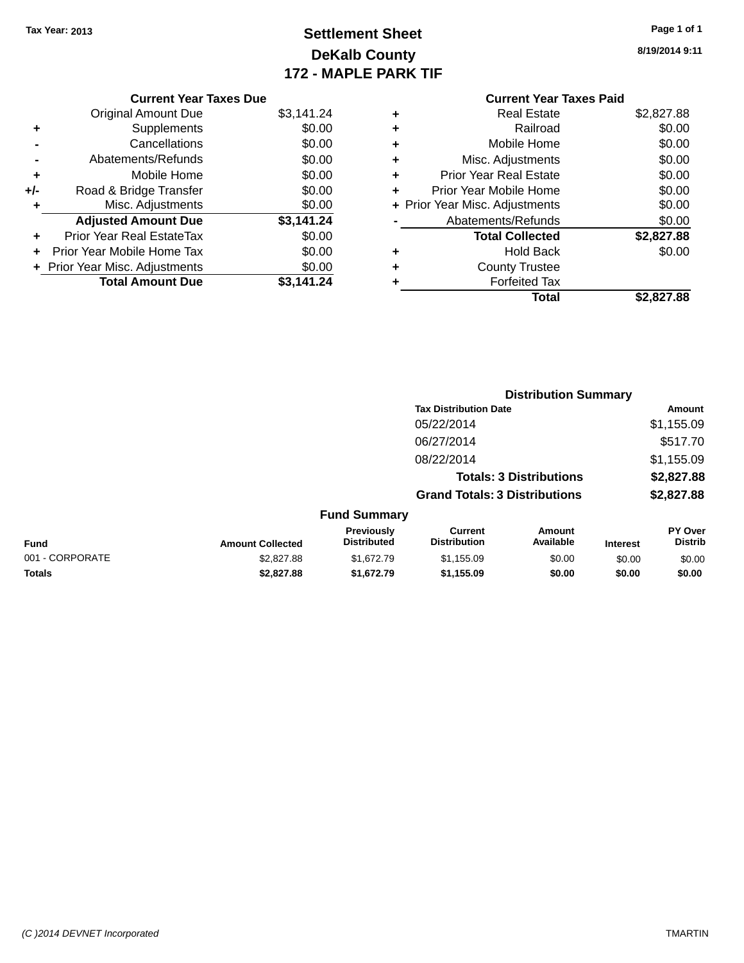# **Settlement Sheet Tax Year: 2013 Page 1 of 1 DeKalb County 172 - MAPLE PARK TIF**

**8/19/2014 9:11**

|   | <b>Current Year Taxes Paid</b> |            |
|---|--------------------------------|------------|
| ٠ | <b>Real Estate</b>             | \$2,827.88 |
| ٠ | Railroad                       | \$0.00     |
| ٠ | Mobile Home                    | \$0.00     |
| ٠ | Misc. Adjustments              | \$0.00     |
| ٠ | <b>Prior Year Real Estate</b>  | \$0.00     |
| ÷ | Prior Year Mobile Home         | \$0.00     |
|   | + Prior Year Misc. Adjustments | \$0.00     |
|   | Abatements/Refunds             | \$0.00     |
|   | <b>Total Collected</b>         | \$2,827.88 |
| ٠ | Hold Back                      | \$0.00     |
| ٠ | <b>County Trustee</b>          |            |
| ٠ | <b>Forfeited Tax</b>           |            |
|   | Total                          | \$2.827.88 |
|   |                                |            |

**Distribution Summary Tax Distribution Date Amount** 

|     | <b>Current Year Taxes Due</b>  |            |
|-----|--------------------------------|------------|
|     | Original Amount Due            | \$3,141.24 |
| ٠   | Supplements                    | \$0.00     |
|     | Cancellations                  | \$0.00     |
|     | Abatements/Refunds             | \$0.00     |
| ٠   | Mobile Home                    | \$0.00     |
| +/- | Road & Bridge Transfer         | \$0.00     |
| ٠   | Misc. Adjustments              | \$0.00     |
|     | <b>Adjusted Amount Due</b>     | \$3,141.24 |
|     | Prior Year Real EstateTax      | \$0.00     |
| ÷   | Prior Year Mobile Home Tax     | \$0.00     |
|     | + Prior Year Misc. Adjustments | \$0.00     |
|     | <b>Total Amount Due</b>        | \$3.141.24 |
|     |                                |            |

|                 |                         |                                  | 05/22/2014                            |                                |                 | \$1,155.09                |
|-----------------|-------------------------|----------------------------------|---------------------------------------|--------------------------------|-----------------|---------------------------|
|                 |                         |                                  | 06/27/2014                            |                                |                 | \$517.70                  |
|                 |                         |                                  | 08/22/2014                            |                                |                 | \$1,155.09                |
|                 |                         |                                  |                                       | <b>Totals: 3 Distributions</b> |                 | \$2,827.88                |
|                 |                         |                                  | <b>Grand Totals: 3 Distributions</b>  |                                |                 | \$2,827.88                |
|                 |                         | <b>Fund Summary</b>              |                                       |                                |                 |                           |
| <b>Fund</b>     | <b>Amount Collected</b> | Previously<br><b>Distributed</b> | <b>Current</b><br><b>Distribution</b> | Amount<br>Available            | <b>Interest</b> | PY Over<br><b>Distrib</b> |
| 001 - CORPORATE | \$2,827.88              | \$1,672.79                       | \$1,155.09                            | \$0.00                         | \$0.00          | \$0.00                    |
| <b>Totals</b>   | \$2,827.88              | \$1,672.79                       | \$1,155.09                            | \$0.00                         | \$0.00          | \$0.00                    |

#### *(C )2014 DEVNET Incorporated* TMARTIN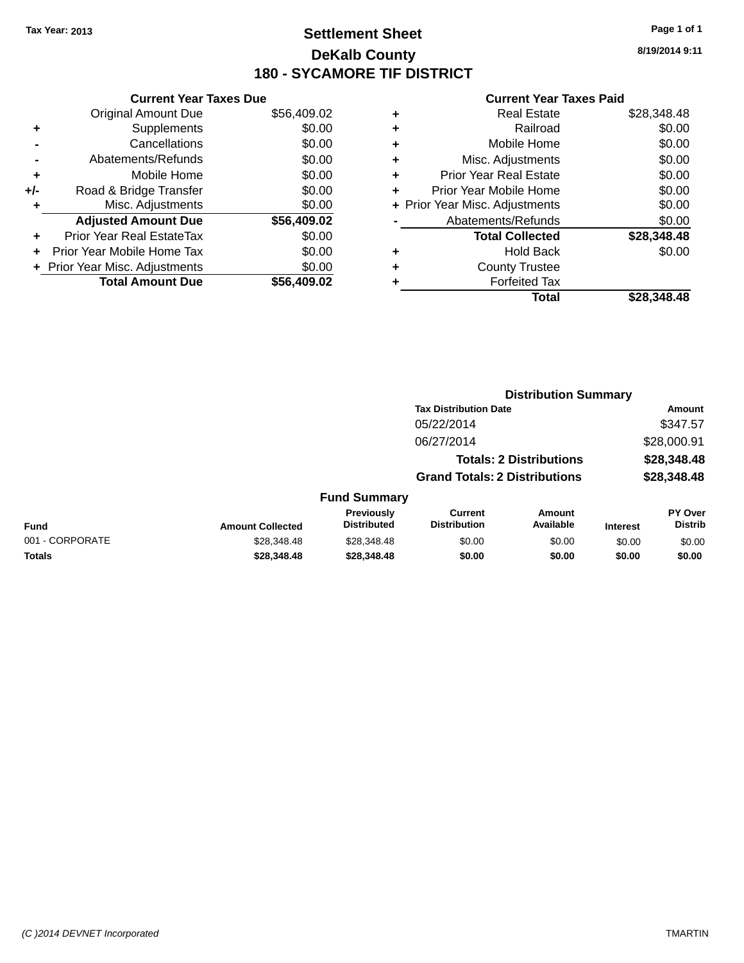### **Settlement Sheet Tax Year: 2013 Page 1 of 1 DeKalb County 180 - SYCAMORE TIF DISTRICT**

**8/19/2014 9:11**

|     | <b>Current Year Taxes Due</b>  |             |  |  |  |
|-----|--------------------------------|-------------|--|--|--|
|     | <b>Original Amount Due</b>     | \$56,409.02 |  |  |  |
| ٠   | Supplements                    | \$0.00      |  |  |  |
|     | Cancellations                  | \$0.00      |  |  |  |
|     | Abatements/Refunds             | \$0.00      |  |  |  |
| ٠   | Mobile Home                    | \$0.00      |  |  |  |
| +/- | Road & Bridge Transfer         | \$0.00      |  |  |  |
| ٠   | Misc. Adjustments              | \$0.00      |  |  |  |
|     | <b>Adjusted Amount Due</b>     | \$56,409.02 |  |  |  |
| ÷   | Prior Year Real EstateTax      | \$0.00      |  |  |  |
| ÷   | Prior Year Mobile Home Tax     | \$0.00      |  |  |  |
|     | + Prior Year Misc. Adjustments | \$0.00      |  |  |  |
|     | <b>Total Amount Due</b>        | \$56.409.02 |  |  |  |
|     |                                |             |  |  |  |

| ٠ | <b>Real Estate</b>             | \$28,348.48 |
|---|--------------------------------|-------------|
| ٠ | Railroad                       | \$0.00      |
| ٠ | Mobile Home                    | \$0.00      |
| ٠ | Misc. Adjustments              | \$0.00      |
| ٠ | <b>Prior Year Real Estate</b>  | \$0.00      |
| ٠ | Prior Year Mobile Home         | \$0.00      |
|   | + Prior Year Misc. Adjustments | \$0.00      |
|   | Abatements/Refunds             | \$0.00      |
|   | <b>Total Collected</b>         | \$28,348.48 |
| ٠ | Hold Back                      | \$0.00      |
| ٠ | <b>County Trustee</b>          |             |
| ٠ | <b>Forfeited Tax</b>           |             |
|   | Total                          | \$28.348.48 |
|   |                                |             |

|                 |                         |                                  |                                       | <b>Distribution Summary</b>    |                 |                                  |
|-----------------|-------------------------|----------------------------------|---------------------------------------|--------------------------------|-----------------|----------------------------------|
|                 |                         |                                  | <b>Tax Distribution Date</b>          |                                |                 | <b>Amount</b>                    |
|                 |                         |                                  | 05/22/2014                            |                                |                 | \$347.57                         |
|                 |                         |                                  | 06/27/2014                            |                                |                 | \$28,000.91                      |
|                 |                         |                                  |                                       | <b>Totals: 2 Distributions</b> |                 | \$28,348.48                      |
|                 |                         |                                  | <b>Grand Totals: 2 Distributions</b>  |                                |                 | \$28,348.48                      |
|                 |                         | <b>Fund Summary</b>              |                                       |                                |                 |                                  |
| <b>Fund</b>     | <b>Amount Collected</b> | Previously<br><b>Distributed</b> | <b>Current</b><br><b>Distribution</b> | <b>Amount</b><br>Available     | <b>Interest</b> | <b>PY Over</b><br><b>Distrib</b> |
| 001 - CORPORATE | \$28,348.48             | \$28,348.48                      | \$0.00                                | \$0.00                         | \$0.00          | \$0.00                           |
| <b>Totals</b>   | \$28,348,48             | \$28,348.48                      | \$0.00                                | \$0.00                         | \$0.00          | \$0.00                           |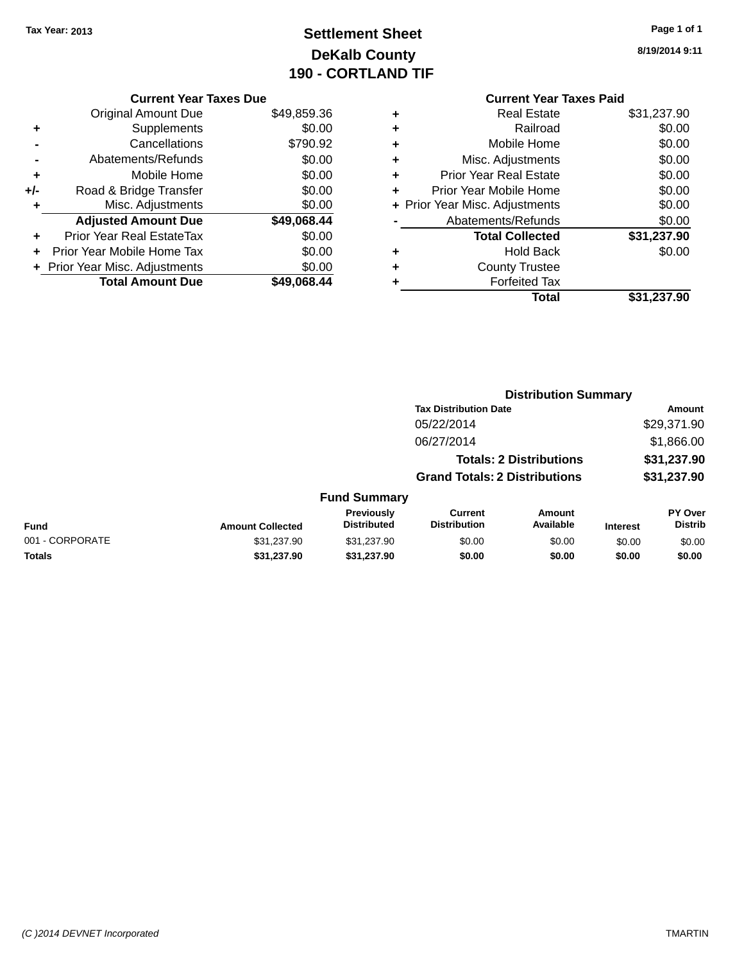# **Settlement Sheet Tax Year: 2013 Page 1 of 1 DeKalb County 190 - CORTLAND TIF**

| Page 1 of 1 |  |
|-------------|--|
|-------------|--|

**8/19/2014 9:11**

|       | <b>Current Year Taxes Due</b>  |             |
|-------|--------------------------------|-------------|
|       | <b>Original Amount Due</b>     | \$49,859.36 |
| ٠     | Supplements                    | \$0.00      |
|       | Cancellations                  | \$790.92    |
|       | Abatements/Refunds             | \$0.00      |
| ٠     | Mobile Home                    | \$0.00      |
| $+/-$ | Road & Bridge Transfer         | \$0.00      |
|       | Misc. Adjustments              | \$0.00      |
|       | <b>Adjusted Amount Due</b>     | \$49,068.44 |
| ٠     | Prior Year Real EstateTax      | \$0.00      |
|       | Prior Year Mobile Home Tax     | \$0.00      |
|       | + Prior Year Misc. Adjustments | \$0.00      |
|       | <b>Total Amount Due</b>        | \$49,068.44 |
|       |                                |             |

|   | <b>Current Year Taxes Paid</b> |             |
|---|--------------------------------|-------------|
| ÷ | Real Estate                    | \$31,237.90 |
| ÷ | Railroad                       | \$0.00      |
| ٠ | Mobile Home                    | \$0.00      |
| ٠ | Misc. Adjustments              | \$0.00      |
| ٠ | <b>Prior Year Real Estate</b>  | \$0.00      |
| ٠ | Prior Year Mobile Home         | \$0.00      |
|   | + Prior Year Misc. Adjustments | \$0.00      |
|   | Abatements/Refunds             | \$0.00      |
|   | <b>Total Collected</b>         | \$31,237.90 |
|   | Hold Back                      | \$0.00      |
|   | <b>County Trustee</b>          |             |
|   | <b>Forfeited Tax</b>           |             |
|   | Total                          | \$31,237.90 |

**Distribution Summary**

|                 |                         |                                         | <b>Tax Distribution Date</b>                                           |                            |                            | Amount                    |
|-----------------|-------------------------|-----------------------------------------|------------------------------------------------------------------------|----------------------------|----------------------------|---------------------------|
|                 |                         |                                         | 05/22/2014                                                             |                            |                            | \$29,371.90               |
|                 |                         |                                         | 06/27/2014                                                             |                            |                            | \$1,866.00                |
|                 |                         |                                         | <b>Totals: 2 Distributions</b><br><b>Grand Totals: 2 Distributions</b> |                            | \$31,237.90<br>\$31,237.90 |                           |
|                 |                         |                                         |                                                                        |                            |                            |                           |
|                 |                         | <b>Fund Summary</b>                     |                                                                        |                            |                            |                           |
| <b>Fund</b>     | <b>Amount Collected</b> | <b>Previously</b><br><b>Distributed</b> | <b>Current</b><br><b>Distribution</b>                                  | <b>Amount</b><br>Available | <b>Interest</b>            | PY Over<br><b>Distrib</b> |
| 001 - CORPORATE | \$31,237.90             | \$31,237.90                             | \$0.00                                                                 | \$0.00                     | \$0.00                     | \$0.00                    |
| <b>Totals</b>   | \$31,237.90             | \$31,237.90                             | \$0.00                                                                 | \$0.00                     | \$0.00                     | \$0.00                    |
|                 |                         |                                         |                                                                        |                            |                            |                           |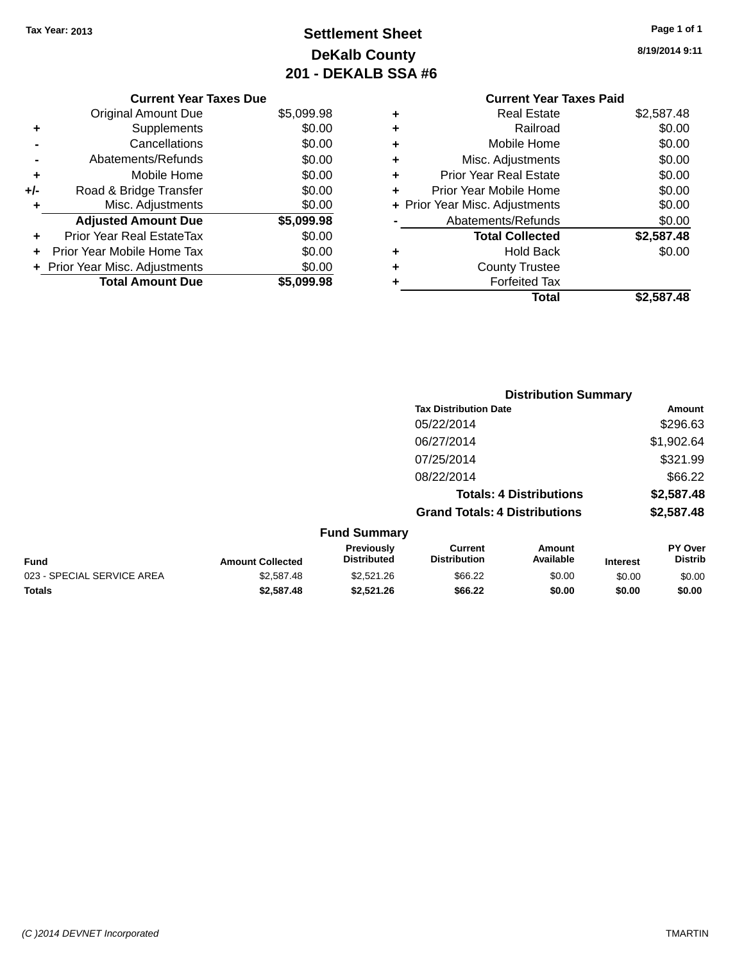# **Settlement Sheet Tax Year: 2013 Page 1 of 1 DeKalb County 201 - DEKALB SSA #6**

| <b>Current Year Taxes Paid</b> |
|--------------------------------|
| \$2,587.48                     |
| \$0.00                         |
| \$0.00                         |
| \$0.00                         |
| \$0.00                         |
| \$0.00                         |
| \$0.00                         |
| \$0.00                         |
| \$2,587.48                     |
| \$0.00                         |
|                                |
|                                |
| \$2.587.48                     |
|                                |

|     | <b>Current Year Taxes Due</b>    |            |
|-----|----------------------------------|------------|
|     | <b>Original Amount Due</b>       | \$5,099.98 |
| ٠   | Supplements                      | \$0.00     |
|     | Cancellations                    | \$0.00     |
|     | Abatements/Refunds               | \$0.00     |
| ٠   | Mobile Home                      | \$0.00     |
| +/- | Road & Bridge Transfer           | \$0.00     |
| ٠   | Misc. Adjustments                | \$0.00     |
|     | <b>Adjusted Amount Due</b>       | \$5,099.98 |
|     | <b>Prior Year Real EstateTax</b> | \$0.00     |
|     | Prior Year Mobile Home Tax       | \$0.00     |
|     | + Prior Year Misc. Adjustments   | \$0.00     |
|     | <b>Total Amount Due</b>          | \$5.099.98 |

|                                                                    |                                      | <b>Distribution Summary</b>    |                 |                                  |
|--------------------------------------------------------------------|--------------------------------------|--------------------------------|-----------------|----------------------------------|
|                                                                    | <b>Tax Distribution Date</b>         |                                |                 | Amount                           |
|                                                                    | 05/22/2014                           |                                |                 | \$296.63                         |
|                                                                    | 06/27/2014                           |                                |                 | \$1,902.64                       |
|                                                                    | 07/25/2014                           |                                |                 | \$321.99                         |
|                                                                    | 08/22/2014                           |                                |                 | \$66.22                          |
|                                                                    |                                      | <b>Totals: 4 Distributions</b> |                 | \$2,587.48                       |
|                                                                    | <b>Grand Totals: 4 Distributions</b> |                                |                 | \$2,587.48                       |
| <b>Fund Summary</b>                                                |                                      |                                |                 |                                  |
| <b>Previously</b><br><b>Distributed</b><br><b>Amount Collected</b> | Current<br><b>Distribution</b>       | Amount<br>Available            | <b>Interest</b> | <b>PY Over</b><br><b>Distrib</b> |

| Fund                       | <b>Amount Collected</b> | .<br><b>Distributed</b> | ------<br><b>Distribution</b> | , ,,,,,,,,,,<br>Available | <b>Interest</b> | .<br>Distrib |
|----------------------------|-------------------------|-------------------------|-------------------------------|---------------------------|-----------------|--------------|
| 023 - SPECIAL SERVICE AREA | \$2.587.48              | \$2,521.26              | \$66.22                       | \$0.00                    | \$0.00          | \$0.00       |
| Totals                     | \$2,587.48              | \$2.521.26              | \$66.22                       | \$0.00                    | \$0.00          | \$0.00       |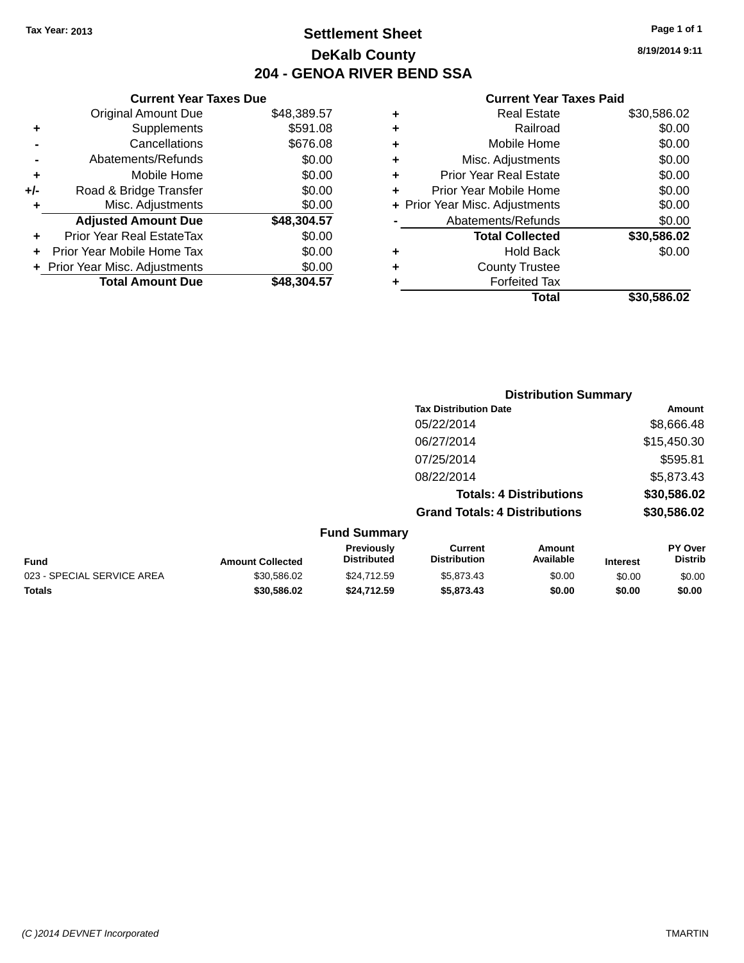### **Settlement Sheet Tax Year: 2013 Page 1 of 1 DeKalb County 204 - GENOA RIVER BEND SSA**

|     | <b>Current Year Taxes Due</b>    |             |
|-----|----------------------------------|-------------|
|     | <b>Original Amount Due</b>       | \$48,389.57 |
| ٠   | Supplements                      | \$591.08    |
|     | Cancellations                    | \$676.08    |
|     | Abatements/Refunds               | \$0.00      |
| ٠   | Mobile Home                      | \$0.00      |
| +/- | Road & Bridge Transfer           | \$0.00      |
|     | Misc. Adjustments                | \$0.00      |
|     | <b>Adjusted Amount Due</b>       | \$48,304.57 |
| ٠   | <b>Prior Year Real EstateTax</b> | \$0.00      |
|     | Prior Year Mobile Home Tax       | \$0.00      |
|     | + Prior Year Misc. Adjustments   | \$0.00      |
|     | <b>Total Amount Due</b>          | \$48,304.57 |

| ٠ | <b>Real Estate</b>             | \$30,586.02 |
|---|--------------------------------|-------------|
| ٠ | Railroad                       | \$0.00      |
| ٠ | Mobile Home                    | \$0.00      |
| ٠ | Misc. Adjustments              | \$0.00      |
| ٠ | <b>Prior Year Real Estate</b>  | \$0.00      |
| ÷ | Prior Year Mobile Home         | \$0.00      |
|   | + Prior Year Misc. Adjustments | \$0.00      |
|   | Abatements/Refunds             | \$0.00      |
|   | <b>Total Collected</b>         | \$30,586.02 |
| ٠ | <b>Hold Back</b>               | \$0.00      |
| ٠ | <b>County Trustee</b>          |             |
| ٠ | <b>Forfeited Tax</b>           |             |
|   | Total                          | \$30,586.02 |
|   |                                |             |

|                     | <b>Distribution Summary</b>          |             |
|---------------------|--------------------------------------|-------------|
|                     | <b>Tax Distribution Date</b>         | Amount      |
|                     | 05/22/2014                           | \$8,666.48  |
|                     | 06/27/2014                           | \$15,450.30 |
|                     | 07/25/2014                           | \$595.81    |
|                     | 08/22/2014                           | \$5,873.43  |
|                     | <b>Totals: 4 Distributions</b>       | \$30,586.02 |
|                     | <b>Grand Totals: 4 Distributions</b> | \$30,586.02 |
| <b>Fund Summary</b> |                                      |             |

| Fund                       | <b>Amount Collected</b> | Previously<br><b>Distributed</b> | Current<br><b>Distribution</b> | Amount<br>Available | <b>Interest</b> | <b>PY Over</b><br><b>Distrib</b> |
|----------------------------|-------------------------|----------------------------------|--------------------------------|---------------------|-----------------|----------------------------------|
| 023 - SPECIAL SERVICE AREA | \$30.586.02             | \$24.712.59                      | \$5,873.43                     | \$0.00              | \$0.00          | \$0.00                           |
| Totals                     | \$30,586.02             | \$24,712.59                      | \$5,873,43                     | \$0.00              | \$0.00          | \$0.00                           |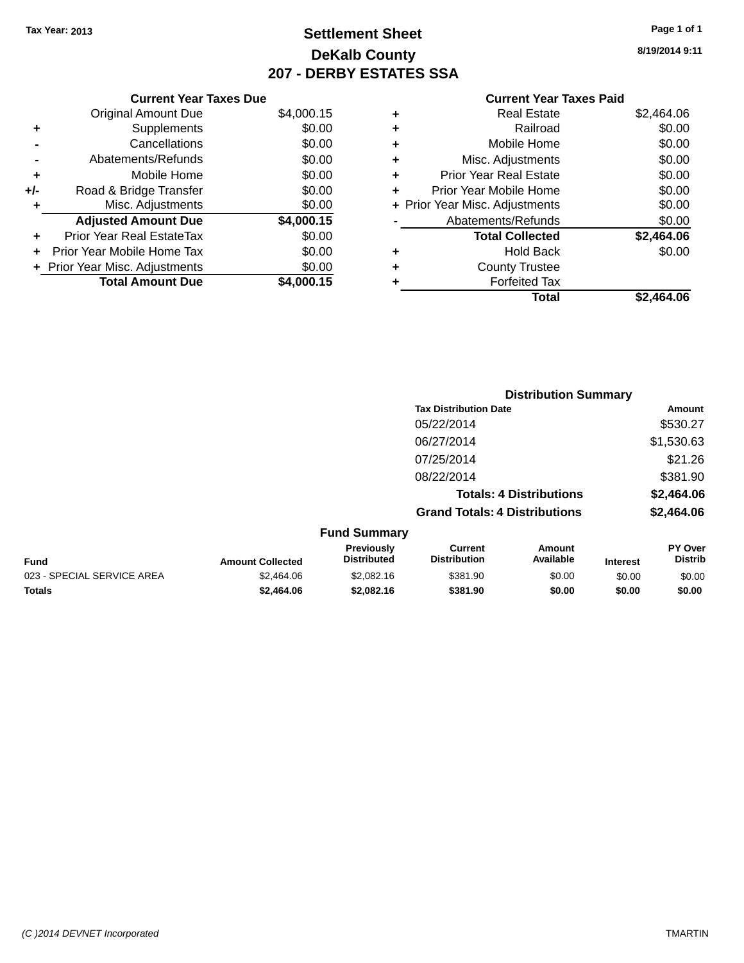# **Settlement Sheet Tax Year: 2013 Page 1 of 1 DeKalb County 207 - DERBY ESTATES SSA**

|     | <b>Current Year Taxes Due</b>  |            |  |  |  |  |
|-----|--------------------------------|------------|--|--|--|--|
|     | <b>Original Amount Due</b>     | \$4,000.15 |  |  |  |  |
| ٠   | Supplements                    | \$0.00     |  |  |  |  |
|     | Cancellations                  | \$0.00     |  |  |  |  |
|     | Abatements/Refunds             | \$0.00     |  |  |  |  |
| ٠   | Mobile Home                    | \$0.00     |  |  |  |  |
| +/- | Road & Bridge Transfer         | \$0.00     |  |  |  |  |
| ٠   | Misc. Adjustments              | \$0.00     |  |  |  |  |
|     | <b>Adjusted Amount Due</b>     | \$4,000.15 |  |  |  |  |
|     | Prior Year Real EstateTax      | \$0.00     |  |  |  |  |
|     | Prior Year Mobile Home Tax     | \$0.00     |  |  |  |  |
|     | + Prior Year Misc. Adjustments | \$0.00     |  |  |  |  |
|     | <b>Total Amount Due</b>        | \$4,000.15 |  |  |  |  |

#### **Current Year Taxes Paid**

| ٠ | <b>Real Estate</b>             | \$2,464.06 |
|---|--------------------------------|------------|
| ٠ | Railroad                       | \$0.00     |
| ٠ | Mobile Home                    | \$0.00     |
| ٠ | Misc. Adjustments              | \$0.00     |
| ٠ | <b>Prior Year Real Estate</b>  | \$0.00     |
| ÷ | Prior Year Mobile Home         | \$0.00     |
|   | + Prior Year Misc. Adjustments | \$0.00     |
|   | Abatements/Refunds             | \$0.00     |
|   | <b>Total Collected</b>         | \$2,464.06 |
| ٠ | <b>Hold Back</b>               | \$0.00     |
| ٠ | <b>County Trustee</b>          |            |
| ٠ | <b>Forfeited Tax</b>           |            |
|   | Total                          | \$2,464.06 |
|   |                                |            |

|                            |                         |                                  | <b>Distribution Summary</b>           |                                |                 |                           |
|----------------------------|-------------------------|----------------------------------|---------------------------------------|--------------------------------|-----------------|---------------------------|
|                            |                         |                                  | <b>Tax Distribution Date</b>          |                                |                 | Amount                    |
|                            |                         |                                  | 05/22/2014                            |                                |                 | \$530.27                  |
|                            |                         |                                  | 06/27/2014                            |                                |                 | \$1,530.63                |
|                            |                         |                                  | 07/25/2014                            |                                |                 | \$21.26                   |
|                            |                         |                                  | 08/22/2014                            |                                |                 | \$381.90                  |
|                            |                         |                                  |                                       | <b>Totals: 4 Distributions</b> |                 | \$2,464.06                |
|                            |                         |                                  | <b>Grand Totals: 4 Distributions</b>  |                                |                 | \$2,464.06                |
|                            |                         | <b>Fund Summary</b>              |                                       |                                |                 |                           |
| <b>Fund</b>                | <b>Amount Collected</b> | Previously<br><b>Distributed</b> | <b>Current</b><br><b>Distribution</b> | Amount<br>Available            | <b>Interest</b> | PY Over<br><b>Distrib</b> |
| 023 - SPECIAL SERVICE AREA | \$2,464.06              | \$2,082.16                       | \$381.90                              | \$0.00                         | \$0.00          | \$0.00                    |

**Totals \$2,464.06 \$2,082.16 \$381.90 \$0.00 \$0.00 \$0.00**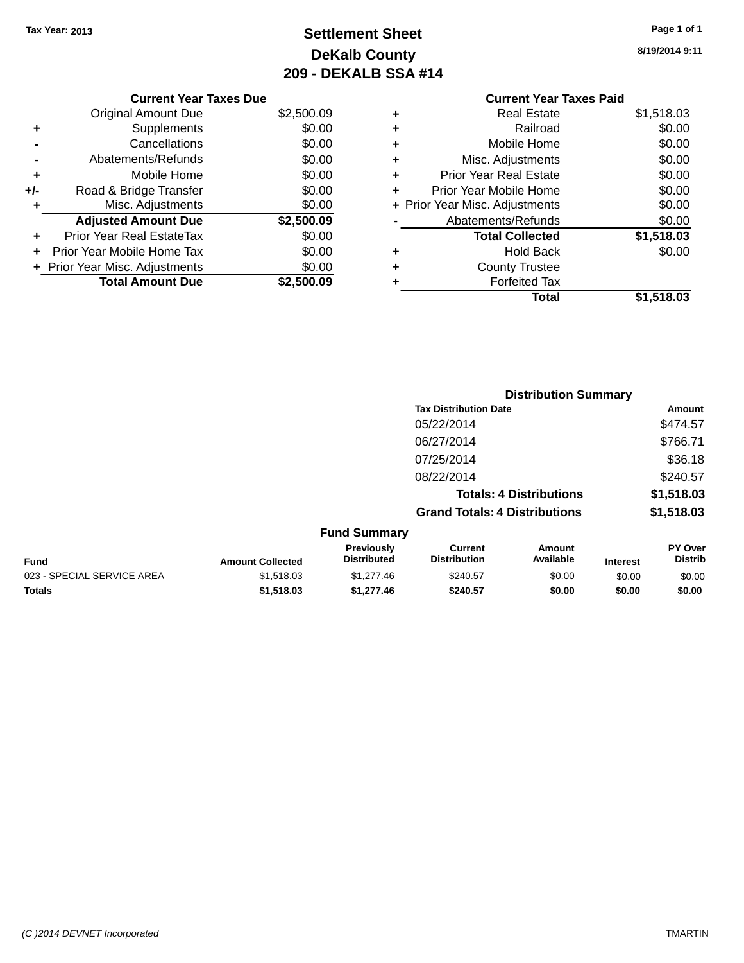# **Settlement Sheet Tax Year: 2013 Page 1 of 1 DeKalb County 209 - DEKALB SSA #14**

**8/19/2014 9:11**

### **Current Year Taxes Paid +** Real Estate \$1,518.03 **+** Railroad \$0.00 **+** Mobile Home \$0.00 **+** Misc. Adjustments \$0.00 **+** Prior Year Real Estate \$0.00 **+** Prior Year Mobile Home \$0.00 **+ Prior Year Misc. Adjustments**  $$0.00$ **-** Abatements/Refunds \$0.00 **Total Collected \$1,518.03 +** Hold Back \$0.00 **+** County Trustee **+** Forfeited Tax **Total \$1,518.03**

|     | <b>Current Year Taxes Due</b>  |            |
|-----|--------------------------------|------------|
|     | Original Amount Due            | \$2,500.09 |
| ٠   | Supplements                    | \$0.00     |
|     | Cancellations                  | \$0.00     |
|     | Abatements/Refunds             | \$0.00     |
| ٠   | Mobile Home                    | \$0.00     |
| +/- | Road & Bridge Transfer         | \$0.00     |
| ٠   | Misc. Adjustments              | \$0.00     |
|     | <b>Adjusted Amount Due</b>     | \$2,500.09 |
| ٠   | Prior Year Real EstateTax      | \$0.00     |
|     | Prior Year Mobile Home Tax     | \$0.00     |
|     | + Prior Year Misc. Adjustments | \$0.00     |
|     | <b>Total Amount Due</b>        | \$2,500.09 |
|     |                                |            |

|                            |                         |                                  | <b>Distribution Summary</b>           |                                |                 |                           |
|----------------------------|-------------------------|----------------------------------|---------------------------------------|--------------------------------|-----------------|---------------------------|
|                            |                         |                                  | <b>Tax Distribution Date</b>          |                                |                 | Amount                    |
|                            |                         |                                  | 05/22/2014                            |                                |                 | \$474.57                  |
|                            |                         |                                  | 06/27/2014                            |                                |                 | \$766.71                  |
|                            |                         |                                  | 07/25/2014                            |                                |                 | \$36.18                   |
|                            |                         |                                  | 08/22/2014                            |                                |                 | \$240.57                  |
|                            |                         |                                  |                                       | <b>Totals: 4 Distributions</b> |                 | \$1,518.03                |
|                            |                         |                                  | <b>Grand Totals: 4 Distributions</b>  |                                |                 | \$1,518.03                |
|                            |                         | <b>Fund Summary</b>              |                                       |                                |                 |                           |
| <b>Fund</b>                | <b>Amount Collected</b> | Previously<br><b>Distributed</b> | <b>Current</b><br><b>Distribution</b> | Amount<br>Available            | <b>Interest</b> | PY Over<br><b>Distrib</b> |
| 023 - SPECIAL SERVICE AREA | \$1,518.03              | \$1,277.46                       | \$240.57                              | \$0.00                         | \$0.00          | \$0.00                    |

**Totals \$1,518.03 \$1,277.46 \$240.57 \$0.00 \$0.00 \$0.00**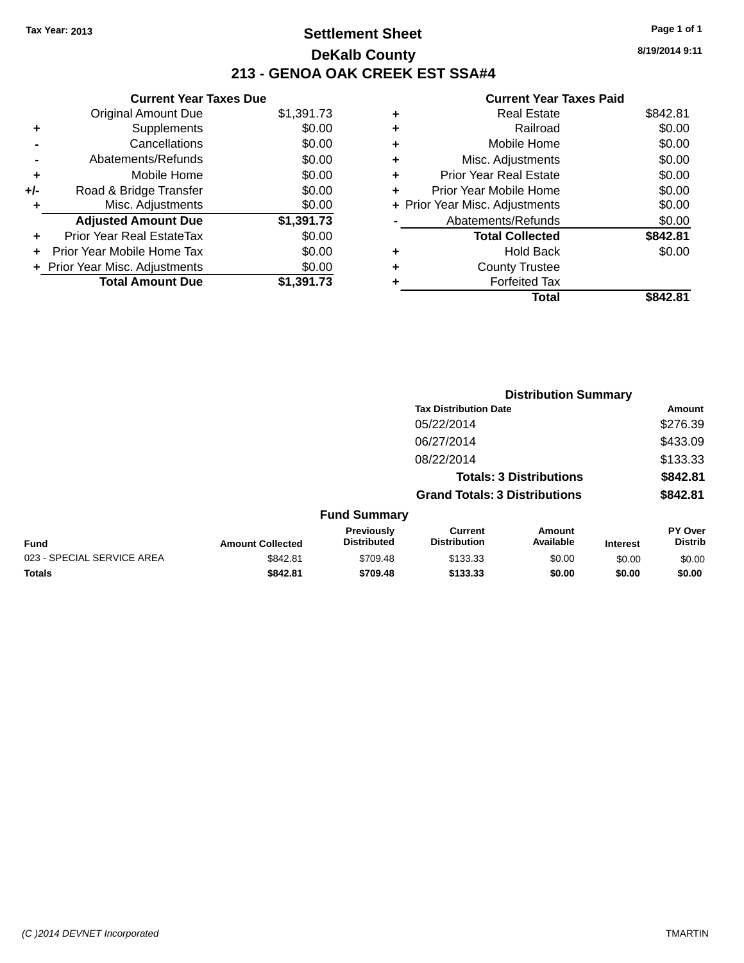### **Settlement Sheet Tax Year: 2013 Page 1 of 1 DeKalb County 213 - GENOA OAK CREEK EST SSA#4**

**Current Year Taxes Due** Original Amount Due \$1,391.73 **+** Supplements \$0.00 **-** Cancellations \$0.00 **-** Abatements/Refunds \$0.00 **+** Mobile Home \$0.00 **+/-** Road & Bridge Transfer \$0.00<br> **+** Misc. Adjustments \$0.00 **+** Misc. Adjustments **Adjusted Amount Due \$1,391.73 +** Prior Year Real EstateTax \$0.00 **+** Prior Year Mobile Home Tax \$0.00 **+ Prior Year Misc. Adjustments**  $$0.00$ **Total Amount Due \$1,391.73**

#### **Current Year Taxes Paid**

|   | Real Estate                    | \$842.81 |
|---|--------------------------------|----------|
| ٠ | Railroad                       | \$0.00   |
| ٠ | Mobile Home                    | \$0.00   |
| ٠ | Misc. Adjustments              | \$0.00   |
| ٠ | <b>Prior Year Real Estate</b>  | \$0.00   |
| ÷ | Prior Year Mobile Home         | \$0.00   |
|   | + Prior Year Misc. Adjustments | \$0.00   |
|   | Abatements/Refunds             | \$0.00   |
|   | <b>Total Collected</b>         | \$842.81 |
| ٠ | Hold Back                      | \$0.00   |
| ٠ | <b>County Trustee</b>          |          |
|   | <b>Forfeited Tax</b>           |          |
|   | Total                          | \$842.81 |
|   |                                |          |

|                            |                         |                                         | <b>Distribution Summary</b>           |                                |                 |                           |  |
|----------------------------|-------------------------|-----------------------------------------|---------------------------------------|--------------------------------|-----------------|---------------------------|--|
|                            |                         |                                         | <b>Tax Distribution Date</b>          |                                |                 | Amount                    |  |
|                            |                         |                                         | 05/22/2014                            |                                |                 | \$276.39                  |  |
|                            |                         |                                         | 06/27/2014                            |                                |                 | \$433.09                  |  |
|                            |                         |                                         | 08/22/2014                            |                                |                 | \$133.33                  |  |
|                            |                         |                                         |                                       | <b>Totals: 3 Distributions</b> |                 | \$842.81                  |  |
|                            |                         |                                         | <b>Grand Totals: 3 Distributions</b>  |                                |                 | \$842.81                  |  |
|                            |                         | <b>Fund Summary</b>                     |                                       |                                |                 |                           |  |
| <b>Fund</b>                | <b>Amount Collected</b> | <b>Previously</b><br><b>Distributed</b> | <b>Current</b><br><b>Distribution</b> | Amount<br>Available            | <b>Interest</b> | PY Over<br><b>Distrib</b> |  |
| 023 - SPECIAL SERVICE AREA | \$842.81                | \$709.48                                | \$133.33                              | \$0.00                         | \$0.00          | \$0.00                    |  |
| <b>Totals</b>              | \$842.81                | \$709.48                                | \$133.33                              | \$0.00                         | \$0.00          | \$0.00                    |  |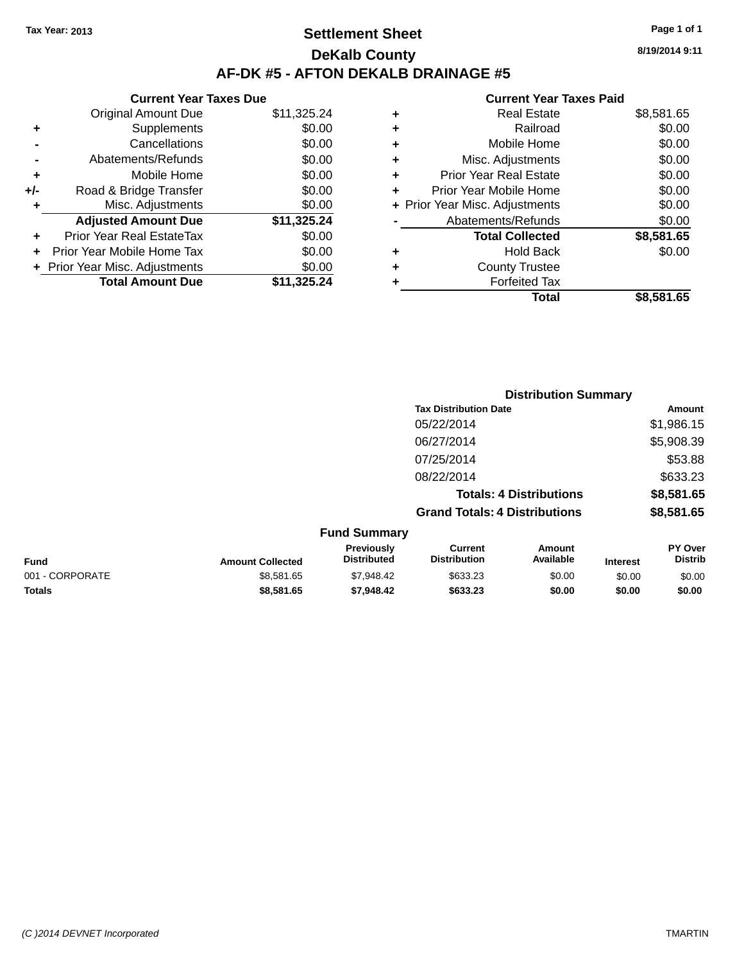### **Settlement Sheet Tax Year: 2013 Page 1 of 1 DeKalb County AF-DK #5 - AFTON DEKALB DRAINAGE #5**

| <b>Current Year Taxes Due</b>  |             |  |  |  |  |
|--------------------------------|-------------|--|--|--|--|
| <b>Original Amount Due</b>     | \$11,325.24 |  |  |  |  |
| Supplements                    | \$0.00      |  |  |  |  |
| Cancellations                  |             |  |  |  |  |
| Abatements/Refunds             | \$0.00      |  |  |  |  |
| Mobile Home                    | \$0.00      |  |  |  |  |
| Road & Bridge Transfer         | \$0.00      |  |  |  |  |
| Misc. Adjustments              | \$0.00      |  |  |  |  |
| <b>Adjusted Amount Due</b>     | \$11,325.24 |  |  |  |  |
| Prior Year Real EstateTax      | \$0.00      |  |  |  |  |
| Prior Year Mobile Home Tax     | \$0.00      |  |  |  |  |
| + Prior Year Misc. Adjustments | \$0.00      |  |  |  |  |
| <b>Total Amount Due</b>        | \$11,325.24 |  |  |  |  |
|                                |             |  |  |  |  |

#### **Current Year Taxes Paid**

|   | <b>Real Estate</b>             | \$8,581.65 |
|---|--------------------------------|------------|
| ٠ | Railroad                       | \$0.00     |
| ٠ | Mobile Home                    | \$0.00     |
| ٠ | Misc. Adjustments              | \$0.00     |
| ٠ | <b>Prior Year Real Estate</b>  | \$0.00     |
| ÷ | Prior Year Mobile Home         | \$0.00     |
|   | + Prior Year Misc. Adjustments | \$0.00     |
|   | Abatements/Refunds             | \$0.00     |
|   | <b>Total Collected</b>         | \$8,581.65 |
| ٠ | <b>Hold Back</b>               | \$0.00     |
| ٠ | <b>County Trustee</b>          |            |
| ٠ | <b>Forfeited Tax</b>           |            |
|   | Total                          | \$8,581.65 |
|   |                                |            |

|                 |                         |                                  | <b>Distribution Summary</b>           |                                |                 |                           |
|-----------------|-------------------------|----------------------------------|---------------------------------------|--------------------------------|-----------------|---------------------------|
|                 |                         |                                  | <b>Tax Distribution Date</b>          |                                |                 | Amount                    |
|                 |                         |                                  | 05/22/2014                            |                                |                 | \$1,986.15                |
|                 |                         |                                  | 06/27/2014                            |                                |                 | \$5,908.39                |
|                 |                         |                                  | 07/25/2014                            |                                |                 | \$53.88                   |
|                 |                         |                                  | 08/22/2014                            |                                |                 | \$633.23                  |
|                 |                         |                                  |                                       | <b>Totals: 4 Distributions</b> |                 | \$8,581.65                |
|                 |                         |                                  | <b>Grand Totals: 4 Distributions</b>  |                                |                 | \$8,581.65                |
|                 |                         | <b>Fund Summary</b>              |                                       |                                |                 |                           |
| <b>Fund</b>     | <b>Amount Collected</b> | Previously<br><b>Distributed</b> | <b>Current</b><br><b>Distribution</b> | <b>Amount</b><br>Available     | <b>Interest</b> | PY Over<br><b>Distrib</b> |
| 001 - CORPORATE | \$8,581.65              | \$7,948.42                       | \$633.23                              | \$0.00                         | \$0.00          | \$0.00                    |
| <b>Totals</b>   | \$8,581.65              | \$7,948.42                       | \$633.23                              | \$0.00                         | \$0.00          | \$0.00                    |

**8/19/2014 9:11**

*(C )2014 DEVNET Incorporated* TMARTIN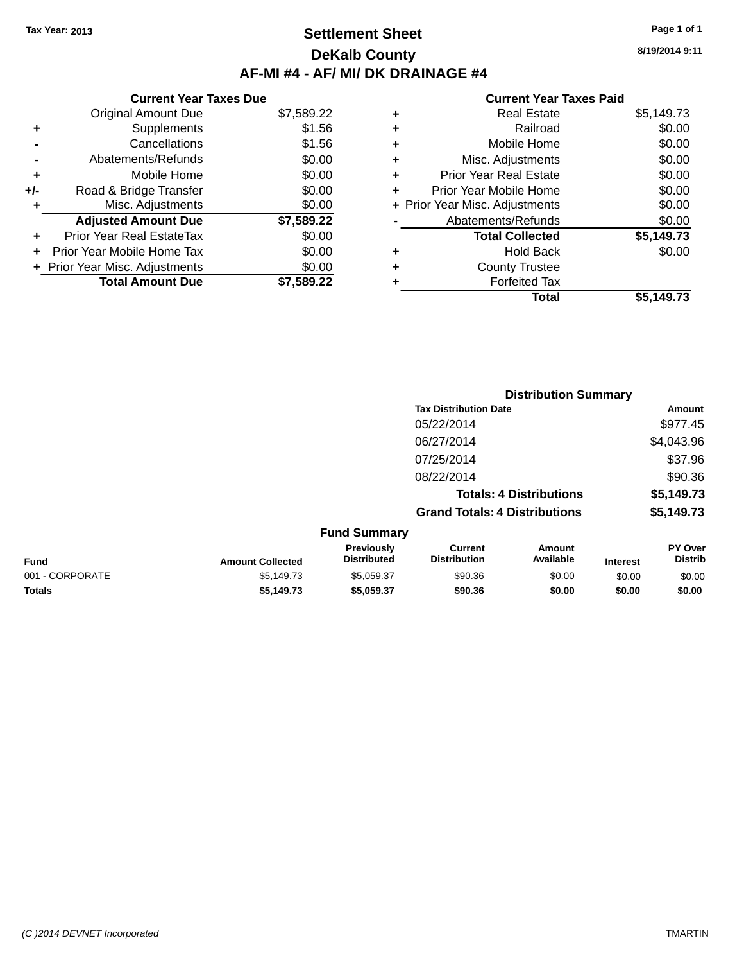### **Settlement Sheet Tax Year: 2013 Page 1 of 1 DeKalb County AF-MI #4 - AF/ MI/ DK DRAINAGE #4**

| <b>Current Year Taxes Paid</b> |  |  |
|--------------------------------|--|--|
|                                |  |  |

|     | <b>Current Year Taxes Due</b>  |            |
|-----|--------------------------------|------------|
|     | <b>Original Amount Due</b>     | \$7,589.22 |
| ٠   | Supplements                    | \$1.56     |
|     | Cancellations                  | \$1.56     |
|     | Abatements/Refunds             | \$0.00     |
| ٠   | Mobile Home                    | \$0.00     |
| +/- | Road & Bridge Transfer         | \$0.00     |
| ٠   | Misc. Adjustments              | \$0.00     |
|     | <b>Adjusted Amount Due</b>     | \$7,589.22 |
| ÷   | Prior Year Real EstateTax      | \$0.00     |
| ÷   | Prior Year Mobile Home Tax     | \$0.00     |
|     | + Prior Year Misc. Adjustments | \$0.00     |
|     | <b>Total Amount Due</b>        | \$7.589.22 |

| ٠ | <b>Real Estate</b>             | \$5,149.73 |
|---|--------------------------------|------------|
| ٠ | Railroad                       | \$0.00     |
| ٠ | Mobile Home                    | \$0.00     |
| ٠ | Misc. Adjustments              | \$0.00     |
| ٠ | <b>Prior Year Real Estate</b>  | \$0.00     |
| ٠ | Prior Year Mobile Home         | \$0.00     |
|   | + Prior Year Misc. Adjustments | \$0.00     |
|   | Abatements/Refunds             | \$0.00     |
|   | <b>Total Collected</b>         | \$5,149.73 |
| ٠ | Hold Back                      | \$0.00     |
| ٠ | <b>County Trustee</b>          |            |
| ٠ | <b>Forfeited Tax</b>           |            |
|   | Total                          | \$5,149.73 |
|   |                                |            |

|                 |                         |                                  |                                       | <b>Distribution Summary</b>    |                 |                                  |
|-----------------|-------------------------|----------------------------------|---------------------------------------|--------------------------------|-----------------|----------------------------------|
|                 |                         |                                  | <b>Tax Distribution Date</b>          |                                |                 | Amount                           |
|                 |                         |                                  | 05/22/2014                            |                                |                 | \$977.45                         |
|                 |                         |                                  | 06/27/2014                            |                                |                 | \$4,043.96                       |
|                 |                         |                                  | 07/25/2014                            |                                |                 | \$37.96                          |
|                 |                         |                                  | 08/22/2014                            |                                |                 | \$90.36                          |
|                 |                         |                                  |                                       | <b>Totals: 4 Distributions</b> |                 | \$5,149.73                       |
|                 |                         |                                  | <b>Grand Totals: 4 Distributions</b>  |                                |                 | \$5,149.73                       |
|                 |                         | <b>Fund Summary</b>              |                                       |                                |                 |                                  |
| <b>Fund</b>     | <b>Amount Collected</b> | Previously<br><b>Distributed</b> | <b>Current</b><br><b>Distribution</b> | Amount<br>Available            | <b>Interest</b> | <b>PY Over</b><br><b>Distrib</b> |
| 001 - CORPORATE | \$5,149.73              | \$5,059.37                       | \$90.36                               | \$0.00                         | \$0.00          | \$0.00                           |
| <b>Totals</b>   | \$5,149.73              | \$5,059.37                       | \$90.36                               | \$0.00                         | \$0.00          | \$0.00                           |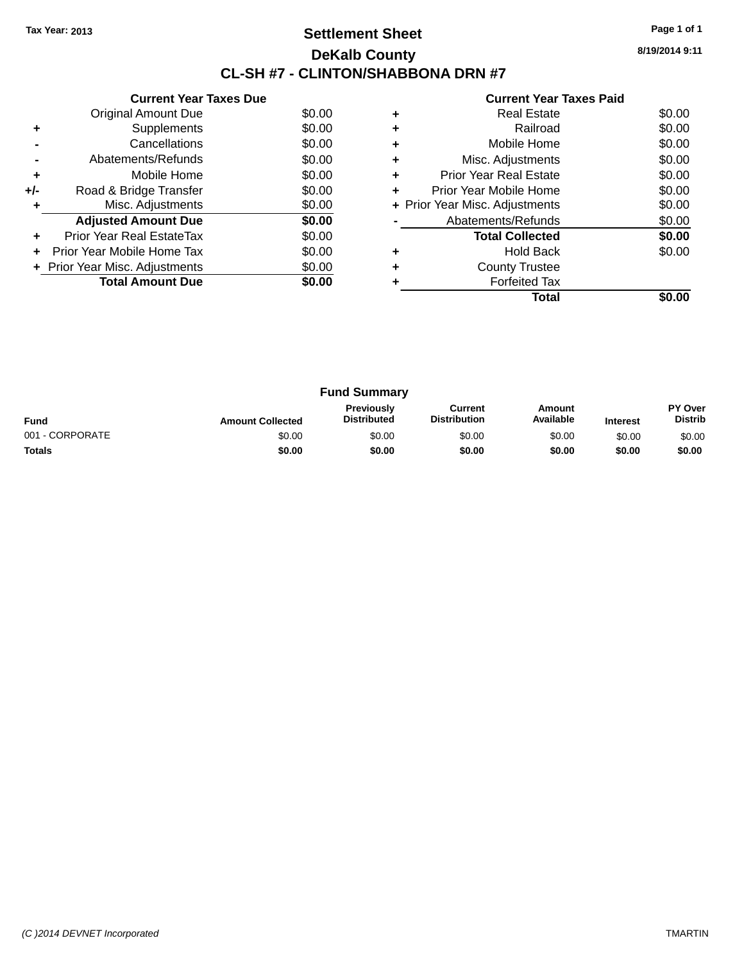### **Settlement Sheet Tax Year: 2013 Page 1 of 1 DeKalb County CL-SH #7 - CLINTON/SHABBONA DRN #7**

| <b>Current Year Taxes Paid</b> |  |  |
|--------------------------------|--|--|
|                                |  |  |

|     | <b>Current Year Taxes Due</b>  |        |
|-----|--------------------------------|--------|
|     | Original Amount Due            | \$0.00 |
| ٠   | Supplements                    | \$0.00 |
|     | Cancellations                  | \$0.00 |
|     | Abatements/Refunds             | \$0.00 |
| ٠   | Mobile Home                    | \$0.00 |
| +/- | Road & Bridge Transfer         | \$0.00 |
| ٠   | Misc. Adjustments              | \$0.00 |
|     | <b>Adjusted Amount Due</b>     | \$0.00 |
| ٠   | Prior Year Real EstateTax      | \$0.00 |
| ÷   | Prior Year Mobile Home Tax     | \$0.00 |
|     | + Prior Year Misc. Adjustments | \$0.00 |
|     | <b>Total Amount Due</b>        | \$0.00 |
|     |                                |        |

|   | Total                          |        |
|---|--------------------------------|--------|
|   | <b>Forfeited Tax</b>           |        |
| ٠ | <b>County Trustee</b>          |        |
| ٠ | <b>Hold Back</b>               | \$0.00 |
|   | <b>Total Collected</b>         | \$0.00 |
|   | Abatements/Refunds             | \$0.00 |
|   | + Prior Year Misc. Adjustments | \$0.00 |
| ٠ | Prior Year Mobile Home         | \$0.00 |
| ٠ | <b>Prior Year Real Estate</b>  | \$0.00 |
| ٠ | Misc. Adjustments              | \$0.00 |
| ٠ | Mobile Home                    | \$0.00 |
|   | Railroad                       | \$0.00 |
|   | <b>Real Estate</b>             | \$0.00 |
|   |                                |        |

| <b>Fund Summary</b> |                         |                                         |                                |                     |                 |                                  |
|---------------------|-------------------------|-----------------------------------------|--------------------------------|---------------------|-----------------|----------------------------------|
| <b>Fund</b>         | <b>Amount Collected</b> | <b>Previously</b><br><b>Distributed</b> | Current<br><b>Distribution</b> | Amount<br>Available | <b>Interest</b> | <b>PY Over</b><br><b>Distrib</b> |
| 001 - CORPORATE     | \$0.00                  | \$0.00                                  | \$0.00                         | \$0.00              | \$0.00          | \$0.00                           |
| <b>Totals</b>       | \$0.00                  | \$0.00                                  | \$0.00                         | \$0.00              | \$0.00          | \$0.00                           |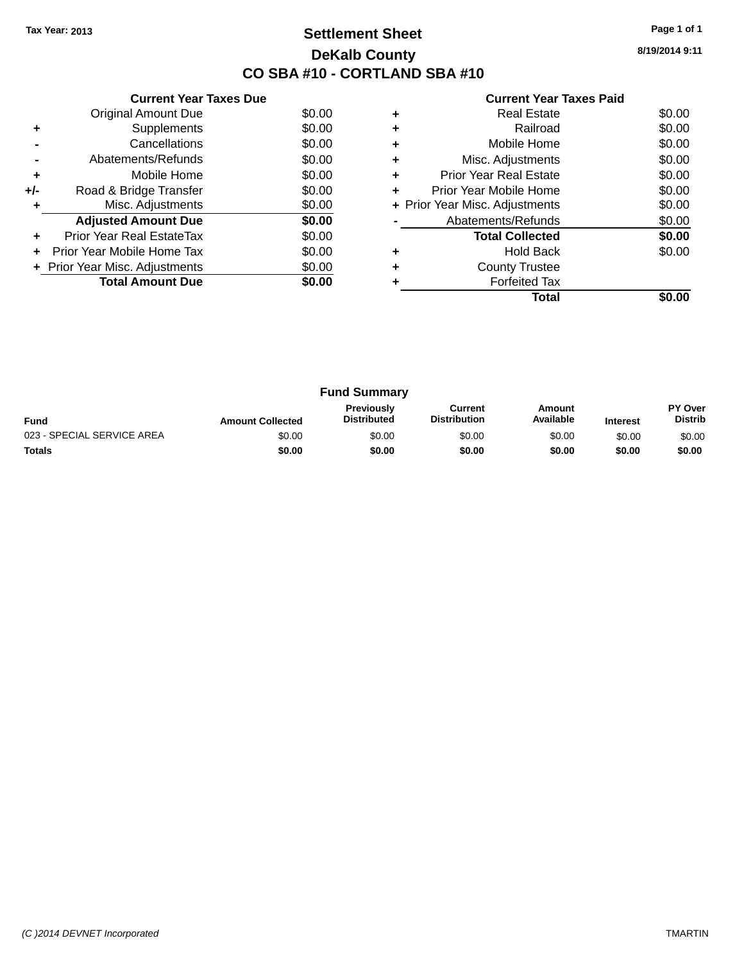### **Settlement Sheet Tax Year: 2013 Page 1 of 1 DeKalb County CO SBA #10 - CORTLAND SBA #10**

| <b>Current Year Taxes Paid</b> |  |  |  |
|--------------------------------|--|--|--|
|--------------------------------|--|--|--|

|     | <b>Current Year Taxes Due</b>  |        |
|-----|--------------------------------|--------|
|     | Original Amount Due            | \$0.00 |
| ٠   | Supplements                    | \$0.00 |
|     | Cancellations                  | \$0.00 |
|     | Abatements/Refunds             | \$0.00 |
| ٠   | Mobile Home                    | \$0.00 |
| +/- | Road & Bridge Transfer         | \$0.00 |
|     | Misc. Adjustments              | \$0.00 |
|     | <b>Adjusted Amount Due</b>     | \$0.00 |
|     | Prior Year Real EstateTax      | \$0.00 |
|     | Prior Year Mobile Home Tax     | \$0.00 |
|     | + Prior Year Misc. Adjustments | \$0.00 |
|     | <b>Total Amount Due</b>        | \$0.00 |
|     |                                |        |

|   | <b>Real Estate</b>             | \$0.00 |
|---|--------------------------------|--------|
|   | Railroad                       | \$0.00 |
|   | Mobile Home                    | \$0.00 |
| ٠ | Misc. Adjustments              | \$0.00 |
| ٠ | Prior Year Real Estate         | \$0.00 |
| ٠ | Prior Year Mobile Home         | \$0.00 |
|   | + Prior Year Misc. Adjustments | \$0.00 |
|   | Abatements/Refunds             | \$0.00 |
|   | <b>Total Collected</b>         | \$0.00 |
|   | <b>Hold Back</b>               | \$0.00 |
|   | <b>County Trustee</b>          |        |
|   | <b>Forfeited Tax</b>           |        |
|   | Total                          |        |

| <b>Fund Summary</b>        |                         |                                         |                                |                     |                 |                           |
|----------------------------|-------------------------|-----------------------------------------|--------------------------------|---------------------|-----------------|---------------------------|
| <b>Fund</b>                | <b>Amount Collected</b> | <b>Previously</b><br><b>Distributed</b> | Current<br><b>Distribution</b> | Amount<br>Available | <b>Interest</b> | PY Over<br><b>Distrib</b> |
| 023 - SPECIAL SERVICE AREA | \$0.00                  | \$0.00                                  | \$0.00                         | \$0.00              | \$0.00          | \$0.00                    |
| <b>Totals</b>              | \$0.00                  | \$0.00                                  | \$0.00                         | \$0.00              | \$0.00          | \$0.00                    |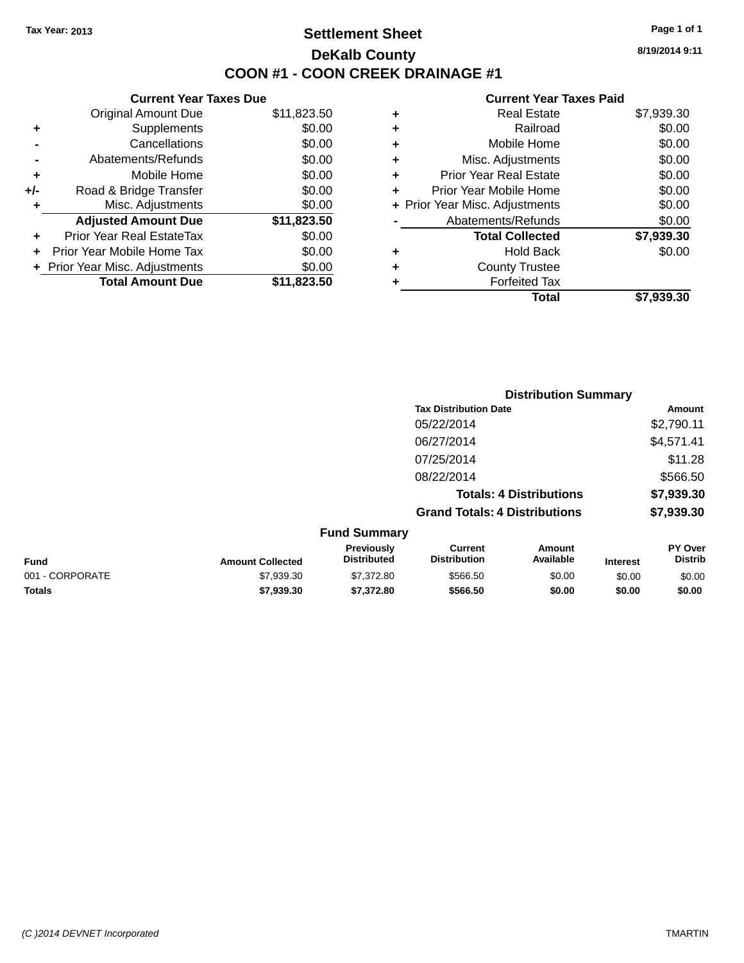### **Settlement Sheet Tax Year: 2013 Page 1 of 1 DeKalb County COON #1 - COON CREEK DRAINAGE #1**

**8/19/2014 9:11**

#### **Current Year Taxes Paid**

| <b>Current Year Taxes Due</b>  |             |
|--------------------------------|-------------|
| <b>Original Amount Due</b>     | \$11,823.50 |
| Supplements                    | \$0.00      |
| Cancellations                  | \$0.00      |
| Abatements/Refunds             | \$0.00      |
| Mobile Home                    | \$0.00      |
| Road & Bridge Transfer         | \$0.00      |
| Misc. Adjustments              | \$0.00      |
| <b>Adjusted Amount Due</b>     | \$11,823.50 |
| Prior Year Real EstateTax      | \$0.00      |
| Prior Year Mobile Home Tax     | \$0.00      |
| + Prior Year Misc. Adjustments | \$0.00      |
| <b>Total Amount Due</b>        | \$11,823.50 |
|                                |             |

| ٠ | <b>Real Estate</b>             | \$7.939.30 |
|---|--------------------------------|------------|
| ٠ | Railroad                       | \$0.00     |
| ٠ | Mobile Home                    | \$0.00     |
| ٠ | Misc. Adjustments              | \$0.00     |
| ٠ | <b>Prior Year Real Estate</b>  | \$0.00     |
|   | Prior Year Mobile Home         | \$0.00     |
|   | + Prior Year Misc. Adjustments | \$0.00     |
|   | Abatements/Refunds             | \$0.00     |
|   | <b>Total Collected</b>         | \$7,939.30 |
| ٠ | <b>Hold Back</b>               | \$0.00     |
| ٠ | <b>County Trustee</b>          |            |
| ٠ | <b>Forfeited Tax</b>           |            |
|   | Total                          | \$7,939.30 |
|   |                                |            |

|                 |                         | <b>Distribution Summary</b>      |                                       |                                |                 |                           |
|-----------------|-------------------------|----------------------------------|---------------------------------------|--------------------------------|-----------------|---------------------------|
|                 |                         |                                  | <b>Tax Distribution Date</b>          |                                |                 | Amount                    |
|                 |                         |                                  | 05/22/2014                            |                                |                 | \$2,790.11                |
|                 |                         |                                  | 06/27/2014                            |                                |                 | \$4,571.41                |
|                 |                         |                                  | 07/25/2014                            |                                |                 | \$11.28                   |
|                 |                         |                                  | 08/22/2014                            |                                |                 | \$566.50                  |
|                 |                         |                                  |                                       | <b>Totals: 4 Distributions</b> |                 | \$7,939.30                |
|                 |                         |                                  | <b>Grand Totals: 4 Distributions</b>  |                                |                 | \$7,939.30                |
|                 |                         | <b>Fund Summary</b>              |                                       |                                |                 |                           |
| <b>Fund</b>     | <b>Amount Collected</b> | Previously<br><b>Distributed</b> | <b>Current</b><br><b>Distribution</b> | <b>Amount</b><br>Available     | <b>Interest</b> | PY Over<br><b>Distrib</b> |
| 001 - CORPORATE | \$7,939.30              | \$7,372.80                       | \$566.50                              | \$0.00                         | \$0.00          | \$0.00                    |

**Totals \$7,939.30 \$7,372.80 \$566.50 \$0.00 \$0.00 \$0.00**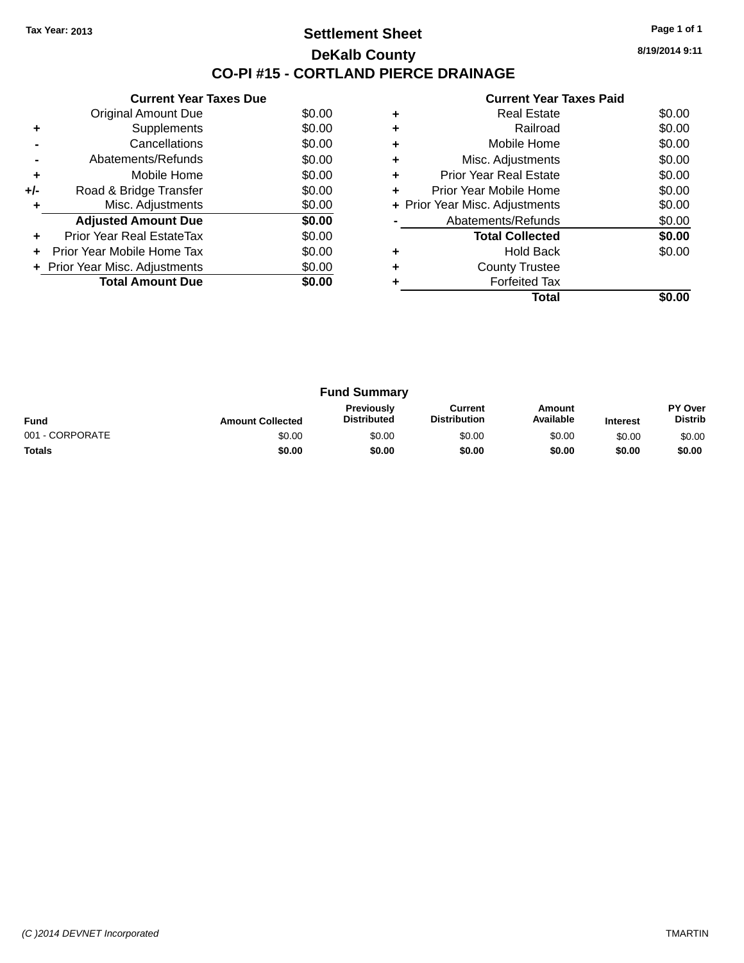### **Settlement Sheet Tax Year: 2013 Page 1 of 1 DeKalb County CO-PI #15 - CORTLAND PIERCE DRAINAGE**

**8/19/2014 9:11**

|     | <b>Current Year Taxes Due</b>  |        |
|-----|--------------------------------|--------|
|     | <b>Original Amount Due</b>     | \$0.00 |
| ٠   | Supplements                    | \$0.00 |
|     | Cancellations                  | \$0.00 |
|     | Abatements/Refunds             | \$0.00 |
| ٠   | Mobile Home                    | \$0.00 |
| +/- | Road & Bridge Transfer         | \$0.00 |
| ٠   | Misc. Adjustments              | \$0.00 |
|     | <b>Adjusted Amount Due</b>     | \$0.00 |
| ٠   | Prior Year Real EstateTax      | \$0.00 |
| ÷   | Prior Year Mobile Home Tax     | \$0.00 |
|     | + Prior Year Misc. Adjustments | \$0.00 |
|     | <b>Total Amount Due</b>        | \$0.00 |
|     |                                |        |

|   | <b>Real Estate</b>             | \$0.00 |
|---|--------------------------------|--------|
|   | Railroad                       | \$0.00 |
|   | Mobile Home                    | \$0.00 |
| ٠ | Misc. Adjustments              | \$0.00 |
| ٠ | Prior Year Real Estate         | \$0.00 |
| ٠ | Prior Year Mobile Home         | \$0.00 |
|   | + Prior Year Misc. Adjustments | \$0.00 |
|   | Abatements/Refunds             | \$0.00 |
|   | <b>Total Collected</b>         | \$0.00 |
|   | <b>Hold Back</b>               | \$0.00 |
|   | <b>County Trustee</b>          |        |
|   | <b>Forfeited Tax</b>           |        |
|   | Total                          |        |

| <b>Fund Summary</b> |                         |                                         |                                |                     |                 |                           |
|---------------------|-------------------------|-----------------------------------------|--------------------------------|---------------------|-----------------|---------------------------|
| <b>Fund</b>         | <b>Amount Collected</b> | <b>Previously</b><br><b>Distributed</b> | Current<br><b>Distribution</b> | Amount<br>Available | <b>Interest</b> | PY Over<br><b>Distrib</b> |
| 001 - CORPORATE     | \$0.00                  | \$0.00                                  | \$0.00                         | \$0.00              | \$0.00          | \$0.00                    |
| <b>Totals</b>       | \$0.00                  | \$0.00                                  | \$0.00                         | \$0.00              | \$0.00          | \$0.00                    |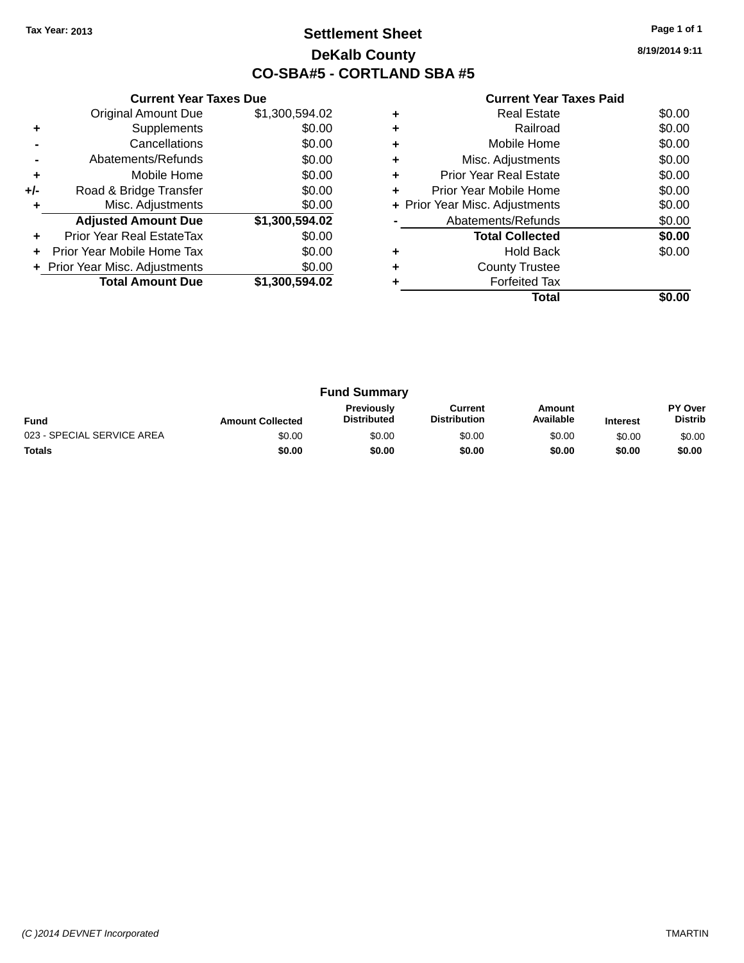### **Settlement Sheet Tax Year: 2013 Page 1 of 1 DeKalb County CO-SBA#5 - CORTLAND SBA #5**

| <b>Current Year Taxes Paid</b> |  |  |  |
|--------------------------------|--|--|--|
|--------------------------------|--|--|--|

|     | <b>Current Year Taxes Due</b>  |                |  |  |  |
|-----|--------------------------------|----------------|--|--|--|
|     | <b>Original Amount Due</b>     | \$1,300,594.02 |  |  |  |
| ٠   | Supplements                    | \$0.00         |  |  |  |
|     | Cancellations                  | \$0.00         |  |  |  |
|     | Abatements/Refunds             | \$0.00         |  |  |  |
| ٠   | Mobile Home                    | \$0.00         |  |  |  |
| +/- | Road & Bridge Transfer         | \$0.00         |  |  |  |
|     | Misc. Adjustments              | \$0.00         |  |  |  |
|     | <b>Adjusted Amount Due</b>     | \$1,300,594.02 |  |  |  |
| ٠   | Prior Year Real EstateTax      | \$0.00         |  |  |  |
|     | Prior Year Mobile Home Tax     | \$0.00         |  |  |  |
|     | + Prior Year Misc. Adjustments | \$0.00         |  |  |  |
|     | <b>Total Amount Due</b>        | \$1,300,594.02 |  |  |  |
|     |                                |                |  |  |  |

|   | <b>Real Estate</b>             | \$0.00 |
|---|--------------------------------|--------|
| ٠ | Railroad                       | \$0.00 |
|   | Mobile Home                    | \$0.00 |
| ٠ | Misc. Adjustments              | \$0.00 |
| ÷ | <b>Prior Year Real Estate</b>  | \$0.00 |
| ٠ | Prior Year Mobile Home         | \$0.00 |
|   | + Prior Year Misc. Adjustments | \$0.00 |
|   | Abatements/Refunds             | \$0.00 |
|   | <b>Total Collected</b>         | \$0.00 |
|   | <b>Hold Back</b>               | \$0.00 |
| ٠ | <b>County Trustee</b>          |        |
|   | <b>Forfeited Tax</b>           |        |
|   | Total                          |        |

| <b>Fund Summary</b>        |                         |                                         |                                |                     |                 |                           |
|----------------------------|-------------------------|-----------------------------------------|--------------------------------|---------------------|-----------------|---------------------------|
| <b>Fund</b>                | <b>Amount Collected</b> | <b>Previously</b><br><b>Distributed</b> | Current<br><b>Distribution</b> | Amount<br>Available | <b>Interest</b> | PY Over<br><b>Distrib</b> |
| 023 - SPECIAL SERVICE AREA | \$0.00                  | \$0.00                                  | \$0.00                         | \$0.00              | \$0.00          | \$0.00                    |
| <b>Totals</b>              | \$0.00                  | \$0.00                                  | \$0.00                         | \$0.00              | \$0.00          | \$0.00                    |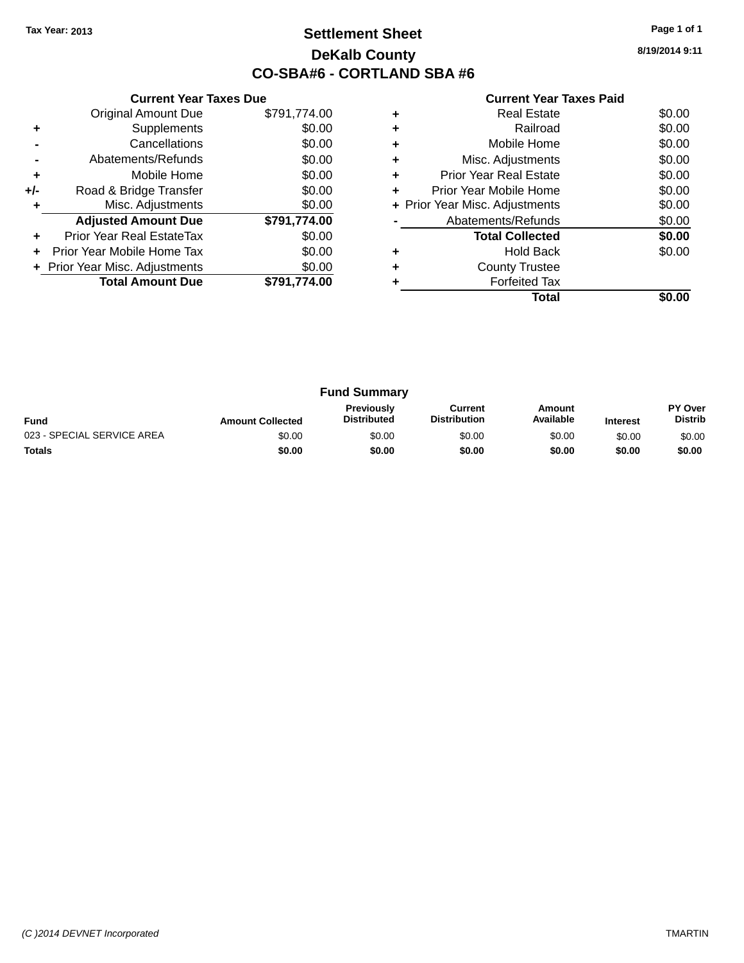### **Settlement Sheet Tax Year: 2013 Page 1 of 1 DeKalb County CO-SBA#6 - CORTLAND SBA #6**

**8/19/2014 9:11**

|     | <b>Current Year Taxes Due</b>  |              |  |  |  |
|-----|--------------------------------|--------------|--|--|--|
|     | <b>Original Amount Due</b>     | \$791,774.00 |  |  |  |
| ٠   | Supplements                    | \$0.00       |  |  |  |
|     | Cancellations                  | \$0.00       |  |  |  |
|     | Abatements/Refunds             | \$0.00       |  |  |  |
| ÷   | Mobile Home                    | \$0.00       |  |  |  |
| +/- | Road & Bridge Transfer         | \$0.00       |  |  |  |
| ٠   | Misc. Adjustments              | \$0.00       |  |  |  |
|     | <b>Adjusted Amount Due</b>     | \$791,774.00 |  |  |  |
| ٠   | Prior Year Real EstateTax      | \$0.00       |  |  |  |
| ÷   | Prior Year Mobile Home Tax     | \$0.00       |  |  |  |
|     | + Prior Year Misc. Adjustments | \$0.00       |  |  |  |
|     | <b>Total Amount Due</b>        | \$791.774.00 |  |  |  |
|     |                                |              |  |  |  |

|   | Total                          |        |
|---|--------------------------------|--------|
|   | <b>Forfeited Tax</b>           |        |
| ٠ | <b>County Trustee</b>          |        |
|   | <b>Hold Back</b>               | \$0.00 |
|   | <b>Total Collected</b>         | \$0.00 |
|   | Abatements/Refunds             | \$0.00 |
|   | + Prior Year Misc. Adjustments | \$0.00 |
| ٠ | Prior Year Mobile Home         | \$0.00 |
| ٠ | <b>Prior Year Real Estate</b>  | \$0.00 |
| ٠ | Misc. Adjustments              | \$0.00 |
|   | Mobile Home                    | \$0.00 |
| ٠ | Railroad                       | \$0.00 |
|   | <b>Real Estate</b>             | \$0.00 |

| <b>Fund Summary</b>        |                         |                                         |                                |                     |                 |                           |
|----------------------------|-------------------------|-----------------------------------------|--------------------------------|---------------------|-----------------|---------------------------|
| <b>Fund</b>                | <b>Amount Collected</b> | <b>Previously</b><br><b>Distributed</b> | Current<br><b>Distribution</b> | Amount<br>Available | <b>Interest</b> | PY Over<br><b>Distrib</b> |
| 023 - SPECIAL SERVICE AREA | \$0.00                  | \$0.00                                  | \$0.00                         | \$0.00              | \$0.00          | \$0.00                    |
| <b>Totals</b>              | \$0.00                  | \$0.00                                  | \$0.00                         | \$0.00              | \$0.00          | \$0.00                    |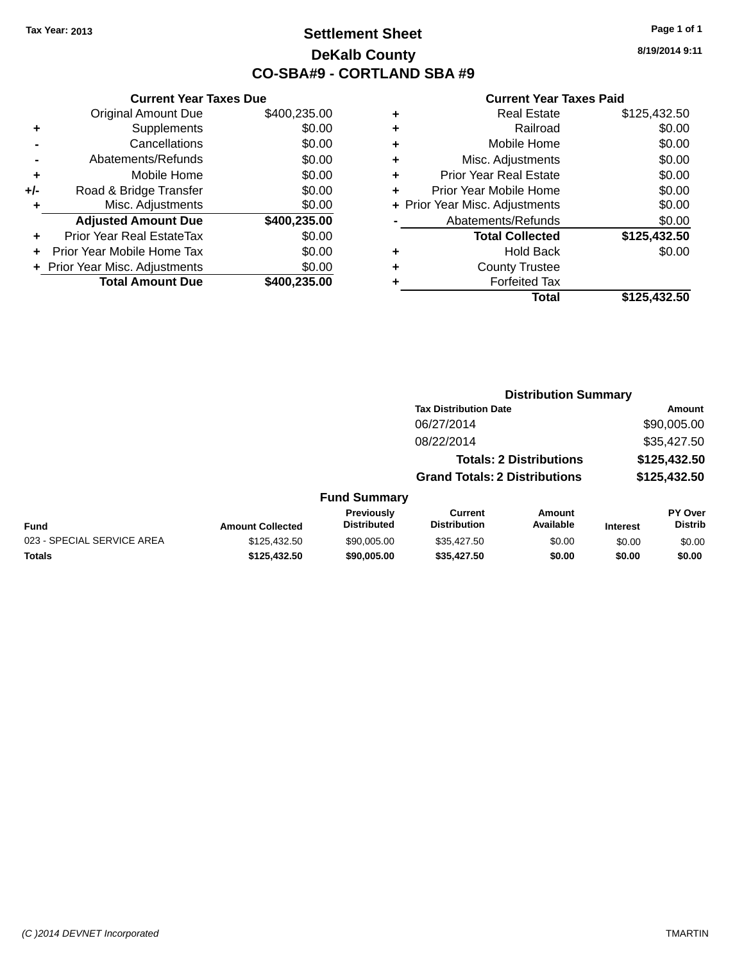### **Settlement Sheet Tax Year: 2013 Page 1 of 1 DeKalb County CO-SBA#9 - CORTLAND SBA #9**

**8/19/2014 9:11**

|     | <b>Current Year Taxes Due</b>  |              |  |  |  |
|-----|--------------------------------|--------------|--|--|--|
|     | <b>Original Amount Due</b>     | \$400,235.00 |  |  |  |
| ٠   | Supplements                    | \$0.00       |  |  |  |
|     | Cancellations                  | \$0.00       |  |  |  |
|     | Abatements/Refunds             | \$0.00       |  |  |  |
| ٠   | Mobile Home                    | \$0.00       |  |  |  |
| +/- | Road & Bridge Transfer         | \$0.00       |  |  |  |
| ٠   | Misc. Adjustments              | \$0.00       |  |  |  |
|     | <b>Adjusted Amount Due</b>     | \$400,235.00 |  |  |  |
| ٠   | Prior Year Real EstateTax      | \$0.00       |  |  |  |
|     | Prior Year Mobile Home Tax     | \$0.00       |  |  |  |
|     | + Prior Year Misc. Adjustments | \$0.00       |  |  |  |
|     | <b>Total Amount Due</b>        | \$400,235.00 |  |  |  |
|     |                                |              |  |  |  |

| ٠ | <b>Real Estate</b>             | \$125,432.50 |
|---|--------------------------------|--------------|
| ٠ | Railroad                       | \$0.00       |
| ٠ | Mobile Home                    | \$0.00       |
| ٠ | Misc. Adjustments              | \$0.00       |
| ٠ | <b>Prior Year Real Estate</b>  | \$0.00       |
| ÷ | Prior Year Mobile Home         | \$0.00       |
|   | + Prior Year Misc. Adjustments | \$0.00       |
|   | Abatements/Refunds             | \$0.00       |
|   | <b>Total Collected</b>         | \$125,432.50 |
| ٠ | <b>Hold Back</b>               | \$0.00       |
| ٠ | <b>County Trustee</b>          |              |
| ٠ | <b>Forfeited Tax</b>           |              |
|   | <b>Total</b>                   | \$125,432.50 |
|   |                                |              |

|                            |                         |                                  | <b>Distribution Summary</b>           |                                |                 |                           |
|----------------------------|-------------------------|----------------------------------|---------------------------------------|--------------------------------|-----------------|---------------------------|
|                            |                         |                                  | <b>Tax Distribution Date</b>          |                                |                 | Amount                    |
|                            |                         |                                  | 06/27/2014                            |                                |                 | \$90,005.00               |
|                            |                         |                                  | 08/22/2014                            |                                |                 | \$35,427.50               |
|                            |                         |                                  |                                       | <b>Totals: 2 Distributions</b> |                 | \$125,432.50              |
|                            |                         |                                  | <b>Grand Totals: 2 Distributions</b>  |                                |                 | \$125,432.50              |
|                            |                         | <b>Fund Summary</b>              |                                       |                                |                 |                           |
| Fund                       | <b>Amount Collected</b> | Previously<br><b>Distributed</b> | <b>Current</b><br><b>Distribution</b> | Amount<br>Available            | <b>Interest</b> | PY Over<br><b>Distrib</b> |
| 023 - SPECIAL SERVICE AREA | \$125,432.50            | \$90,005,00                      | \$35,427.50                           | \$0.00                         | \$0.00          | \$0.00                    |
| <b>Totals</b>              | \$125,432.50            | \$90,005.00                      | \$35,427.50                           | \$0.00                         | \$0.00          | \$0.00                    |
|                            |                         |                                  |                                       |                                |                 |                           |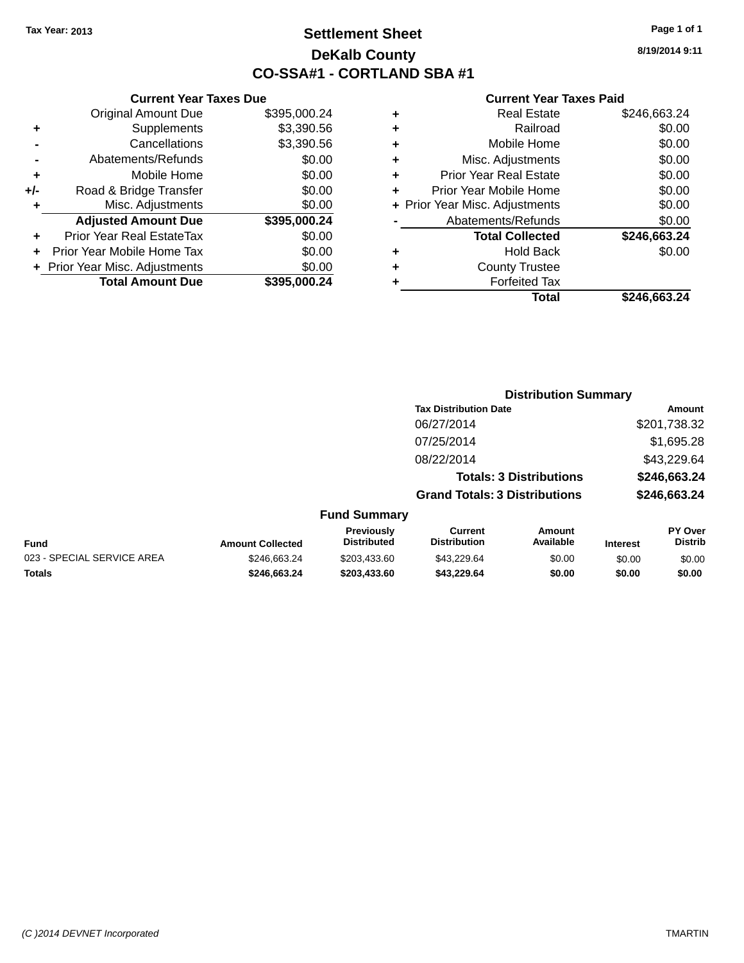### **Settlement Sheet Tax Year: 2013 Page 1 of 1 DeKalb County CO-SSA#1 - CORTLAND SBA #1**

**8/19/2014 9:11**

| ٠ | <b>Real Estate</b>             | \$246,663.24 |
|---|--------------------------------|--------------|
| ٠ | Railroad                       | \$0.00       |
| ٠ | Mobile Home                    | \$0.00       |
| ٠ | Misc. Adjustments              | \$0.00       |
| ٠ | <b>Prior Year Real Estate</b>  | \$0.00       |
| ٠ | Prior Year Mobile Home         | \$0.00       |
|   | + Prior Year Misc. Adjustments | \$0.00       |
|   | Abatements/Refunds             | \$0.00       |
|   | <b>Total Collected</b>         | \$246,663.24 |
| ٠ | <b>Hold Back</b>               | \$0.00       |
| ٠ | <b>County Trustee</b>          |              |
|   | <b>Forfeited Tax</b>           |              |
|   | Total                          | \$246.663.24 |
|   |                                |              |

|     | <b>Current Year Taxes Due</b>  |              |  |  |  |  |
|-----|--------------------------------|--------------|--|--|--|--|
|     | <b>Original Amount Due</b>     | \$395,000.24 |  |  |  |  |
| ٠   | Supplements                    | \$3,390.56   |  |  |  |  |
|     | \$3,390.56<br>Cancellations    |              |  |  |  |  |
|     | \$0.00<br>Abatements/Refunds   |              |  |  |  |  |
| ٠   | Mobile Home                    | \$0.00       |  |  |  |  |
| +/- | Road & Bridge Transfer         | \$0.00       |  |  |  |  |
| ٠   | Misc. Adjustments              | \$0.00       |  |  |  |  |
|     | <b>Adjusted Amount Due</b>     | \$395,000.24 |  |  |  |  |
|     | Prior Year Real EstateTax      | \$0.00       |  |  |  |  |
|     | Prior Year Mobile Home Tax     | \$0.00       |  |  |  |  |
|     | + Prior Year Misc. Adjustments | \$0.00       |  |  |  |  |
|     | <b>Total Amount Due</b>        | \$395,000.24 |  |  |  |  |
|     |                                |              |  |  |  |  |

|                         | <b>Distribution Summary</b>      |                                      |                                |                 |                                  |  |
|-------------------------|----------------------------------|--------------------------------------|--------------------------------|-----------------|----------------------------------|--|
|                         |                                  | <b>Tax Distribution Date</b>         |                                |                 | Amount                           |  |
|                         |                                  | 06/27/2014                           |                                |                 | \$201,738.32                     |  |
|                         |                                  | 07/25/2014                           |                                |                 | \$1,695.28                       |  |
|                         |                                  | 08/22/2014                           |                                |                 | \$43,229.64                      |  |
|                         |                                  |                                      | <b>Totals: 3 Distributions</b> |                 | \$246,663.24                     |  |
|                         |                                  | <b>Grand Totals: 3 Distributions</b> |                                |                 | \$246,663.24                     |  |
|                         | <b>Fund Summary</b>              |                                      |                                |                 |                                  |  |
| <b>Amount Collected</b> | Previously<br><b>Distributed</b> | Current<br><b>Distribution</b>       | Amount<br>Available            | <b>Interest</b> | <b>PY Over</b><br><b>Distrib</b> |  |

| <b>Fund</b>                | <b>Amount Collected</b> | <b>FIGVIOUSIV</b><br><b>Distributed</b> | uurent<br><b>Distribution</b> | AIIIvuil<br>Available | Interest | гічег<br>Distrib |
|----------------------------|-------------------------|-----------------------------------------|-------------------------------|-----------------------|----------|------------------|
| 023 - SPECIAL SERVICE AREA | \$246.663.24            | \$203.433.60                            | \$43.229.64                   | \$0.00                | \$0.00   | \$0.00           |
| <b>Totals</b>              | \$246.663.24            | \$203,433,60                            | \$43.229.64                   | \$0.00                | \$0.00   | \$0.00           |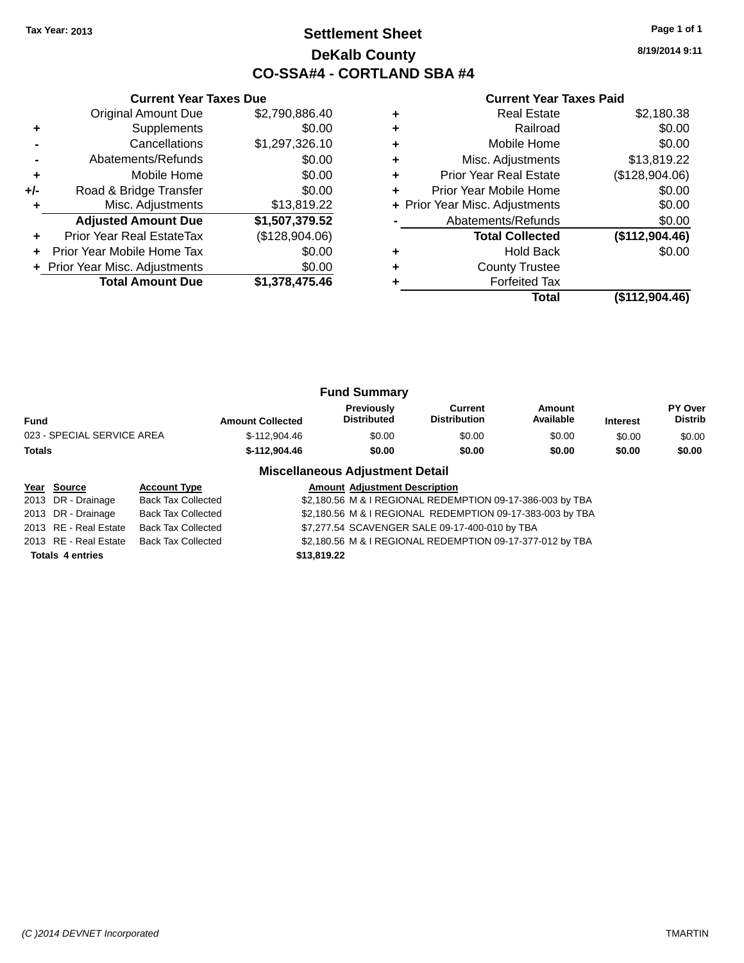### **Settlement Sheet Tax Year: 2013 Page 1 of 1 DeKalb County CO-SSA#4 - CORTLAND SBA #4**

|     | <b>Current Year Taxes Due</b>  |                |   | <b>Current Year Taxes Paid</b> |                |  |  |
|-----|--------------------------------|----------------|---|--------------------------------|----------------|--|--|
|     | Original Amount Due            | \$2,790,886.40 | ٠ | <b>Real Estate</b>             | \$2,180.38     |  |  |
| ٠   | Supplements                    | \$0.00         | ٠ | Railroad                       | \$0.00         |  |  |
|     | Cancellations                  | \$1,297,326.10 | ٠ | Mobile Home                    | \$0.00         |  |  |
|     | Abatements/Refunds             | \$0.00         | ٠ | Misc. Adjustments              | \$13,819.22    |  |  |
| ٠   | Mobile Home                    | \$0.00         | ٠ | <b>Prior Year Real Estate</b>  | (\$128,904.06) |  |  |
| +/- | Road & Bridge Transfer         | \$0.00         |   | Prior Year Mobile Home         | \$0.00         |  |  |
|     | Misc. Adjustments              | \$13,819.22    |   | + Prior Year Misc. Adjustments | \$0.00         |  |  |
|     | <b>Adjusted Amount Due</b>     | \$1,507,379.52 |   | Abatements/Refunds             | \$0.00         |  |  |
|     | Prior Year Real EstateTax      | (\$128,904.06) |   | <b>Total Collected</b>         | (\$112,904.46) |  |  |
|     | Prior Year Mobile Home Tax     | \$0.00         | ٠ | <b>Hold Back</b>               | \$0.00         |  |  |
|     | + Prior Year Misc. Adjustments | \$0.00         | ٠ | <b>County Trustee</b>          |                |  |  |
|     | <b>Total Amount Due</b>        | \$1,378,475.46 |   | <b>Forfeited Tax</b>           |                |  |  |
|     |                                |                |   | Total                          | (\$112,904.46) |  |  |

| <b>Fund Summary</b>        |                         |                                         |                                |                     |                 |                                  |
|----------------------------|-------------------------|-----------------------------------------|--------------------------------|---------------------|-----------------|----------------------------------|
| Fund                       | <b>Amount Collected</b> | <b>Previously</b><br><b>Distributed</b> | Current<br><b>Distribution</b> | Amount<br>Available | <b>Interest</b> | <b>PY Over</b><br><b>Distrib</b> |
| 023 - SPECIAL SERVICE AREA | \$-112.904.46           | \$0.00                                  | \$0.00                         | \$0.00              | \$0.00          | \$0.00                           |
| Totals                     | \$-112.904.46           | \$0.00                                  | \$0.00                         | \$0.00              | \$0.00          | \$0.00                           |

| Year Source             | <b>Account Type</b>       | <b>Amount Adjustment Description</b>                      |
|-------------------------|---------------------------|-----------------------------------------------------------|
| 2013 DR - Drainage      | <b>Back Tax Collected</b> | \$2,180.56 M & I REGIONAL REDEMPTION 09-17-386-003 by TBA |
| 2013 DR - Drainage      | <b>Back Tax Collected</b> | \$2,180.56 M & I REGIONAL REDEMPTION 09-17-383-003 by TBA |
| 2013 RE - Real Estate   | <b>Back Tax Collected</b> | \$7,277.54 SCAVENGER SALE 09-17-400-010 by TBA            |
| 2013 RE - Real Estate   | <b>Back Tax Collected</b> | \$2,180.56 M & I REGIONAL REDEMPTION 09-17-377-012 by TBA |
| <b>Totals 4 entries</b> |                           | \$13,819.22                                               |
|                         |                           |                                                           |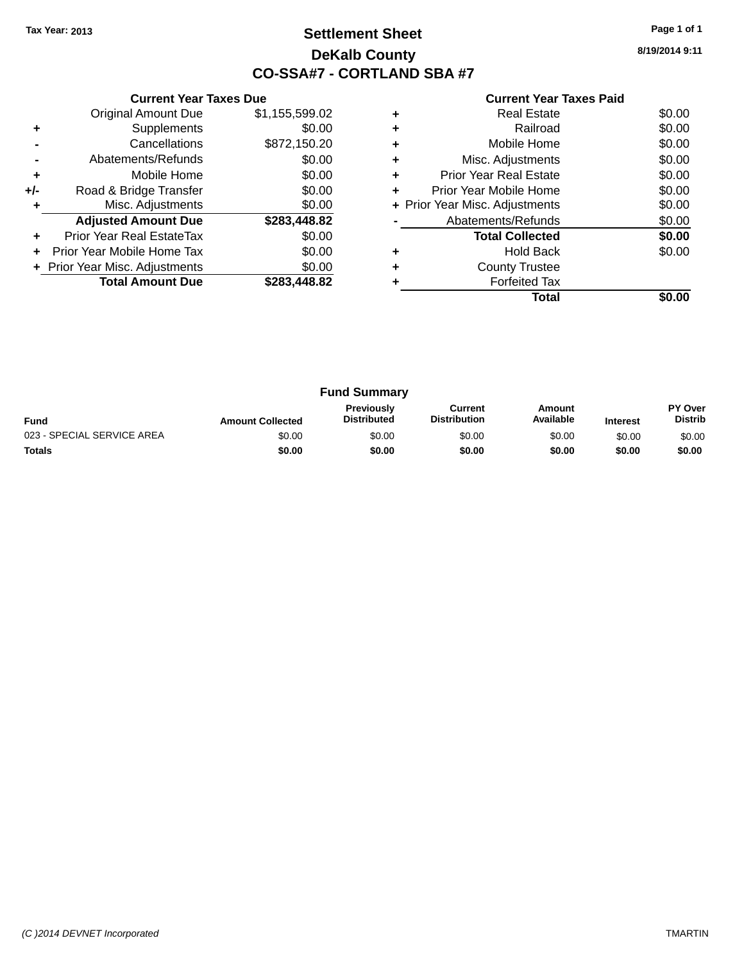### **Settlement Sheet Tax Year: 2013 Page 1 of 1 DeKalb County CO-SSA#7 - CORTLAND SBA #7**

**8/19/2014 9:11**

|     | <b>Current Year Taxes Due</b>  |                |  |  |  |  |
|-----|--------------------------------|----------------|--|--|--|--|
|     | <b>Original Amount Due</b>     | \$1,155,599.02 |  |  |  |  |
| ٠   | Supplements                    | \$0.00         |  |  |  |  |
|     | \$872,150.20<br>Cancellations  |                |  |  |  |  |
|     | Abatements/Refunds             | \$0.00         |  |  |  |  |
| ٠   | Mobile Home                    | \$0.00         |  |  |  |  |
| +/- | Road & Bridge Transfer         | \$0.00         |  |  |  |  |
| ٠   | Misc. Adjustments              | \$0.00         |  |  |  |  |
|     | <b>Adjusted Amount Due</b>     | \$283,448.82   |  |  |  |  |
| ٠   | Prior Year Real EstateTax      | \$0.00         |  |  |  |  |
| ÷   | Prior Year Mobile Home Tax     | \$0.00         |  |  |  |  |
|     | + Prior Year Misc. Adjustments | \$0.00         |  |  |  |  |
|     | <b>Total Amount Due</b>        | \$283,448.82   |  |  |  |  |
|     |                                |                |  |  |  |  |

|   | <b>Forfeited Tax</b><br>Total  |        |
|---|--------------------------------|--------|
| ٠ | <b>County Trustee</b>          |        |
|   | <b>Hold Back</b>               | \$0.00 |
|   | <b>Total Collected</b>         | \$0.00 |
|   | Abatements/Refunds             | \$0.00 |
|   | + Prior Year Misc. Adjustments | \$0.00 |
| ٠ | Prior Year Mobile Home         | \$0.00 |
| ٠ | <b>Prior Year Real Estate</b>  | \$0.00 |
| ٠ | Misc. Adjustments              | \$0.00 |
| ٠ | Mobile Home                    | \$0.00 |
| ٠ | Railroad                       | \$0.00 |
|   | Real Estate                    | \$0.00 |

| <b>Fund Summary</b>        |                         |                                         |                                |                     |                 |                           |
|----------------------------|-------------------------|-----------------------------------------|--------------------------------|---------------------|-----------------|---------------------------|
| <b>Fund</b>                | <b>Amount Collected</b> | <b>Previously</b><br><b>Distributed</b> | Current<br><b>Distribution</b> | Amount<br>Available | <b>Interest</b> | PY Over<br><b>Distrib</b> |
| 023 - SPECIAL SERVICE AREA | \$0.00                  | \$0.00                                  | \$0.00                         | \$0.00              | \$0.00          | \$0.00                    |
| <b>Totals</b>              | \$0.00                  | \$0.00                                  | \$0.00                         | \$0.00              | \$0.00          | \$0.00                    |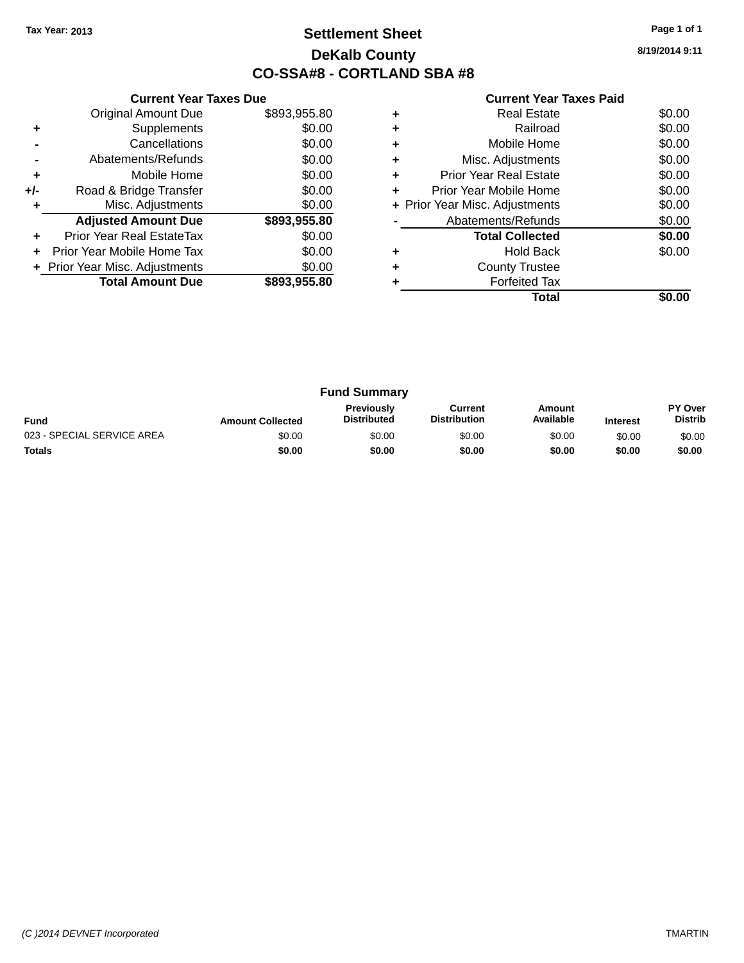### **Settlement Sheet Tax Year: 2013 Page 1 of 1 DeKalb County CO-SSA#8 - CORTLAND SBA #8**

**8/19/2014 9:11**

|     | <b>Current Year Taxes Due</b>  |              |  |  |  |
|-----|--------------------------------|--------------|--|--|--|
|     | <b>Original Amount Due</b>     | \$893,955.80 |  |  |  |
| ٠   | Supplements                    | \$0.00       |  |  |  |
|     | Cancellations                  | \$0.00       |  |  |  |
|     | Abatements/Refunds             | \$0.00       |  |  |  |
| ÷   | Mobile Home                    | \$0.00       |  |  |  |
| +/- | Road & Bridge Transfer         | \$0.00       |  |  |  |
|     | Misc. Adjustments              | \$0.00       |  |  |  |
|     | <b>Adjusted Amount Due</b>     | \$893,955.80 |  |  |  |
|     | Prior Year Real EstateTax      | \$0.00       |  |  |  |
|     | Prior Year Mobile Home Tax     | \$0.00       |  |  |  |
|     | + Prior Year Misc. Adjustments | \$0.00       |  |  |  |
|     | <b>Total Amount Due</b>        | \$893,955,80 |  |  |  |
|     |                                |              |  |  |  |

|   | <b>Real Estate</b>             | \$0.00 |
|---|--------------------------------|--------|
|   | Railroad                       | \$0.00 |
| ٠ | Mobile Home                    | \$0.00 |
| ٠ | Misc. Adjustments              | \$0.00 |
| ٠ | Prior Year Real Estate         | \$0.00 |
| ٠ | Prior Year Mobile Home         | \$0.00 |
|   | + Prior Year Misc. Adjustments | \$0.00 |
|   | Abatements/Refunds             | \$0.00 |
|   | <b>Total Collected</b>         | \$0.00 |
|   | <b>Hold Back</b>               | \$0.00 |
|   | <b>County Trustee</b>          |        |
|   | <b>Forfeited Tax</b>           |        |
|   | Total                          |        |

| <b>Fund Summary</b>        |                         |                                         |                                |                     |                 |                                  |
|----------------------------|-------------------------|-----------------------------------------|--------------------------------|---------------------|-----------------|----------------------------------|
| <b>Fund</b>                | <b>Amount Collected</b> | <b>Previously</b><br><b>Distributed</b> | Current<br><b>Distribution</b> | Amount<br>Available | <b>Interest</b> | <b>PY Over</b><br><b>Distrib</b> |
| 023 - SPECIAL SERVICE AREA | \$0.00                  | \$0.00                                  | \$0.00                         | \$0.00              | \$0.00          | \$0.00                           |
| <b>Totals</b>              | \$0.00                  | \$0.00                                  | \$0.00                         | \$0.00              | \$0.00          | \$0.00                           |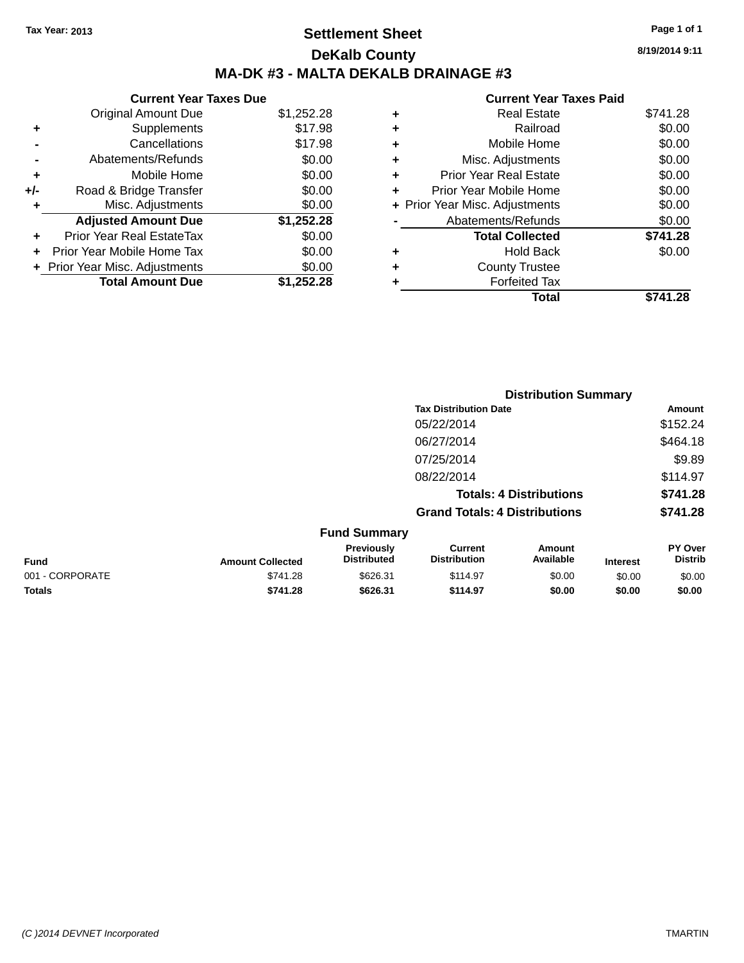### **Settlement Sheet Tax Year: 2013 Page 1 of 1 DeKalb County MA-DK #3 - MALTA DEKALB DRAINAGE #3**

### **Current Year Taxes Due** Original Amount Due \$1,252.28

| ٠     | Supplements                    | \$17.98    |
|-------|--------------------------------|------------|
|       | Cancellations                  | \$17.98    |
|       | Abatements/Refunds             | \$0.00     |
| ٠     | Mobile Home                    | \$0.00     |
| $+/-$ | Road & Bridge Transfer         | \$0.00     |
| ÷     | Misc. Adjustments              | \$0.00     |
|       | <b>Adjusted Amount Due</b>     | \$1,252.28 |
| ÷     | Prior Year Real EstateTax      | \$0.00     |
|       | Prior Year Mobile Home Tax     | \$0.00     |
|       | + Prior Year Misc. Adjustments | \$0.00     |
|       | <b>Total Amount Due</b>        | \$1,252.28 |

### **Current Year Taxes Paid +** Real Estate \$741.28 **+** Railroad \$0.00 **+** Mobile Home \$0.00 **+** Misc. Adjustments \$0.00 **+** Prior Year Real Estate \$0.00 **+** Prior Year Mobile Home \$0.00 **+ Prior Year Misc. Adjustments**  $$0.00$ **-** Abatements/Refunds \$0.00 **Total Collected \$741.28 +** Hold Back \$0.00 **+** County Trustee **+** Forfeited Tax **Total \$741.28**

|                 |                         |                                  |                                       | <b>Distribution Summary</b>    |                 |                                  |
|-----------------|-------------------------|----------------------------------|---------------------------------------|--------------------------------|-----------------|----------------------------------|
|                 |                         |                                  | <b>Tax Distribution Date</b>          |                                |                 | Amount                           |
|                 |                         |                                  | 05/22/2014                            |                                |                 | \$152.24                         |
|                 |                         |                                  | 06/27/2014                            |                                |                 | \$464.18                         |
|                 |                         |                                  | 07/25/2014                            |                                |                 | \$9.89                           |
|                 |                         |                                  | 08/22/2014                            |                                |                 | \$114.97                         |
|                 |                         |                                  |                                       | <b>Totals: 4 Distributions</b> |                 | \$741.28                         |
|                 |                         |                                  | <b>Grand Totals: 4 Distributions</b>  |                                |                 | \$741.28                         |
|                 |                         | <b>Fund Summary</b>              |                                       |                                |                 |                                  |
| <b>Fund</b>     | <b>Amount Collected</b> | Previously<br><b>Distributed</b> | <b>Current</b><br><b>Distribution</b> | <b>Amount</b><br>Available     | <b>Interest</b> | <b>PY Over</b><br><b>Distrib</b> |
| 001 - CORPORATE | \$741.28                | \$626.31                         | \$114.97                              | \$0.00                         | \$0.00          | \$0.00                           |
| <b>Totals</b>   | \$741.28                | \$626.31                         | \$114.97                              | \$0.00                         | \$0.00          | \$0.00                           |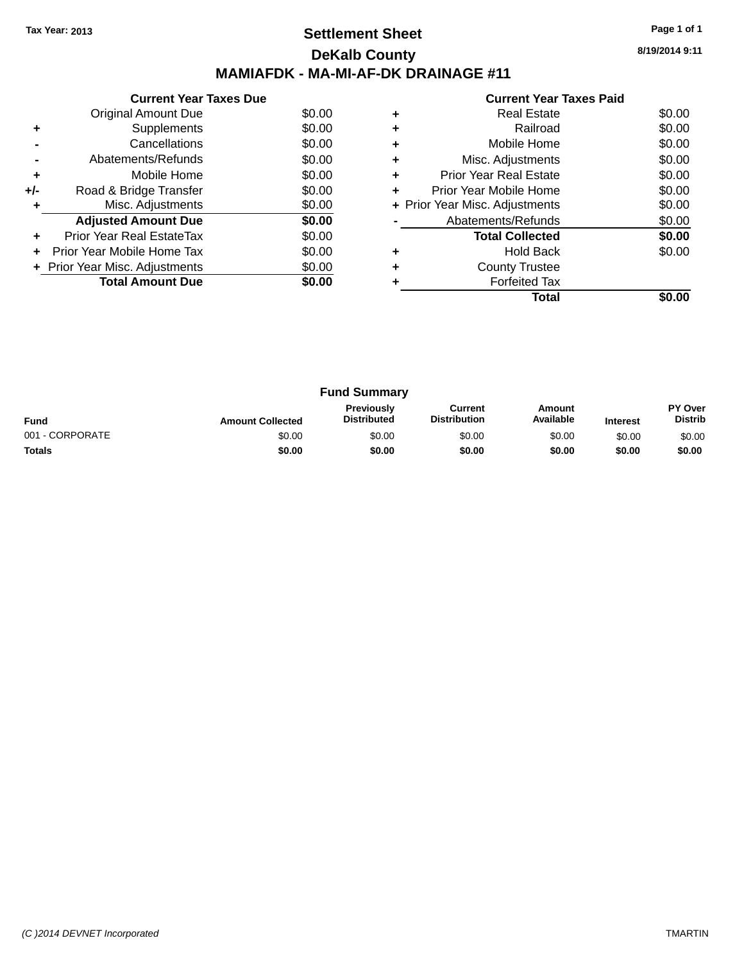### **Settlement Sheet Tax Year: 2013 Page 1 of 1 DeKalb County MAMIAFDK - MA-MI-AF-DK DRAINAGE #11**

**8/19/2014 9:11**

|     | <b>Current Year Taxes Due</b>  |        |  |  |  |
|-----|--------------------------------|--------|--|--|--|
|     | Original Amount Due            | \$0.00 |  |  |  |
| ٠   | Supplements                    | \$0.00 |  |  |  |
|     | Cancellations                  | \$0.00 |  |  |  |
|     | Abatements/Refunds             | \$0.00 |  |  |  |
| ٠   | Mobile Home                    | \$0.00 |  |  |  |
| +/- | Road & Bridge Transfer         | \$0.00 |  |  |  |
|     | Misc. Adjustments              | \$0.00 |  |  |  |
|     | <b>Adjusted Amount Due</b>     | \$0.00 |  |  |  |
|     | Prior Year Real EstateTax      | \$0.00 |  |  |  |
|     | Prior Year Mobile Home Tax     | \$0.00 |  |  |  |
|     | + Prior Year Misc. Adjustments | \$0.00 |  |  |  |
|     | <b>Total Amount Due</b>        | \$0.00 |  |  |  |
|     |                                |        |  |  |  |

|   | Total                          |        |
|---|--------------------------------|--------|
|   | <b>Forfeited Tax</b>           |        |
|   | <b>County Trustee</b>          |        |
| ٠ | <b>Hold Back</b>               | \$0.00 |
|   | <b>Total Collected</b>         | \$0.00 |
|   | Abatements/Refunds             | \$0.00 |
|   | + Prior Year Misc. Adjustments | \$0.00 |
| ٠ | Prior Year Mobile Home         | \$0.00 |
| ٠ | Prior Year Real Estate         | \$0.00 |
|   | Misc. Adjustments              | \$0.00 |
| ٠ | Mobile Home                    | \$0.00 |
|   | Railroad                       | \$0.00 |
|   | <b>Real Estate</b>             | \$0.00 |
|   |                                |        |

| <b>Fund Summary</b> |                         |                                         |                                |                     |                 |                                  |
|---------------------|-------------------------|-----------------------------------------|--------------------------------|---------------------|-----------------|----------------------------------|
| <b>Fund</b>         | <b>Amount Collected</b> | <b>Previously</b><br><b>Distributed</b> | Current<br><b>Distribution</b> | Amount<br>Available | <b>Interest</b> | <b>PY Over</b><br><b>Distrib</b> |
| 001 - CORPORATE     | \$0.00                  | \$0.00                                  | \$0.00                         | \$0.00              | \$0.00          | \$0.00                           |
| <b>Totals</b>       | \$0.00                  | \$0.00                                  | \$0.00                         | \$0.00              | \$0.00          | \$0.00                           |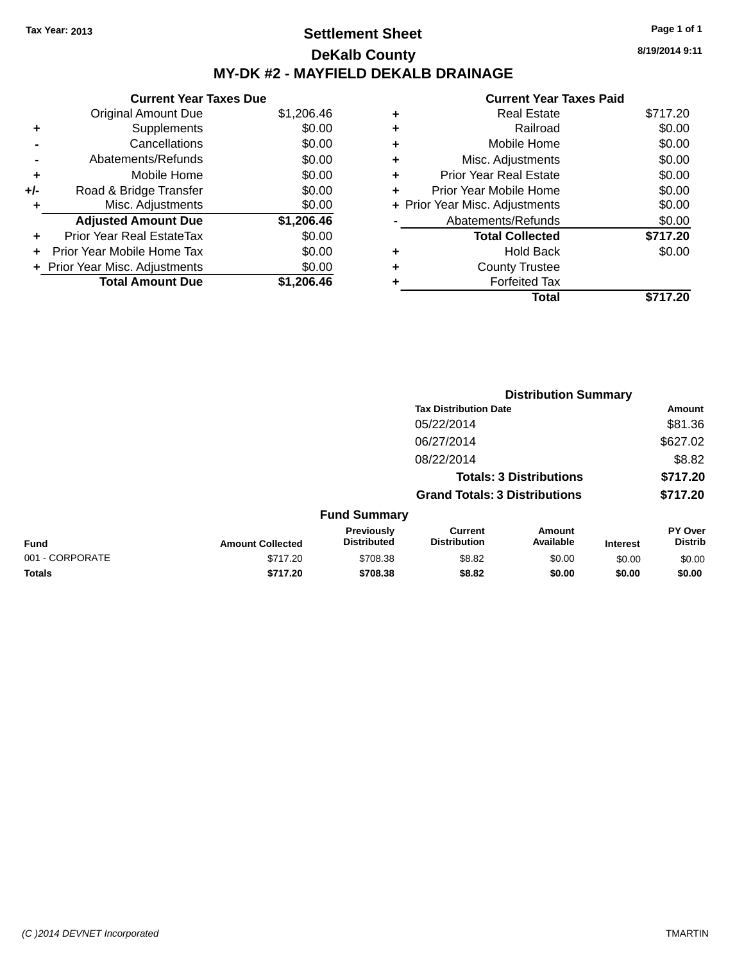### **Settlement Sheet Tax Year: 2013 Page 1 of 1 DeKalb County MY-DK #2 - MAYFIELD DEKALB DRAINAGE**

**Current Year Taxes Due** Original Amount Due \$1,206.46 **+** Supplements \$0.00 **-** Cancellations \$0.00 **-** Abatements/Refunds \$0.00 **+** Mobile Home \$0.00 **+/-** Road & Bridge Transfer \$0.00 **+** Misc. Adjustments \$0.00 **Adjusted Amount Due \$1,206.46 +** Prior Year Real EstateTax \$0.00 **+** Prior Year Mobile Home Tax \$0.00 **+** Prior Year Misc. Adjustments  $$0.00$ **Total Amount Due \$1,206.46**

### **Current Year Taxes Paid +** Real Estate \$717.20 **+** Railroad \$0.00 **+** Mobile Home \$0.00 **+** Misc. Adjustments \$0.00 **+** Prior Year Real Estate \$0.00 **+** Prior Year Mobile Home \$0.00 **+** Prior Year Misc. Adjustments  $$0.00$ Abatements/Refunds \$0.00 **Total Collected \$717.20 +** Hold Back \$0.00 **+** County Trustee **+** Forfeited Tax **Total \$717.20**

**Distribution Summary**

|                 |                         |                                  | <b>Tax Distribution Date</b>          |                                |                 | Amount                           |
|-----------------|-------------------------|----------------------------------|---------------------------------------|--------------------------------|-----------------|----------------------------------|
|                 |                         |                                  | 05/22/2014                            |                                |                 | \$81.36                          |
|                 |                         |                                  | 06/27/2014                            |                                |                 | \$627.02                         |
|                 |                         |                                  | 08/22/2014                            |                                |                 | \$8.82                           |
|                 |                         |                                  |                                       | <b>Totals: 3 Distributions</b> |                 | \$717.20                         |
|                 |                         |                                  | <b>Grand Totals: 3 Distributions</b>  |                                |                 | \$717.20                         |
|                 |                         | <b>Fund Summary</b>              |                                       |                                |                 |                                  |
| Fund            | <b>Amount Collected</b> | Previously<br><b>Distributed</b> | <b>Current</b><br><b>Distribution</b> | Amount<br>Available            | <b>Interest</b> | <b>PY Over</b><br><b>Distrib</b> |
| 001 - CORPORATE | \$717.20                | \$708.38                         | \$8.82                                | \$0.00                         | \$0.00          | \$0.00                           |
| <b>Totals</b>   | \$717.20                | \$708.38                         | \$8.82                                | \$0.00                         | \$0.00          | \$0.00                           |
|                 |                         |                                  |                                       |                                |                 |                                  |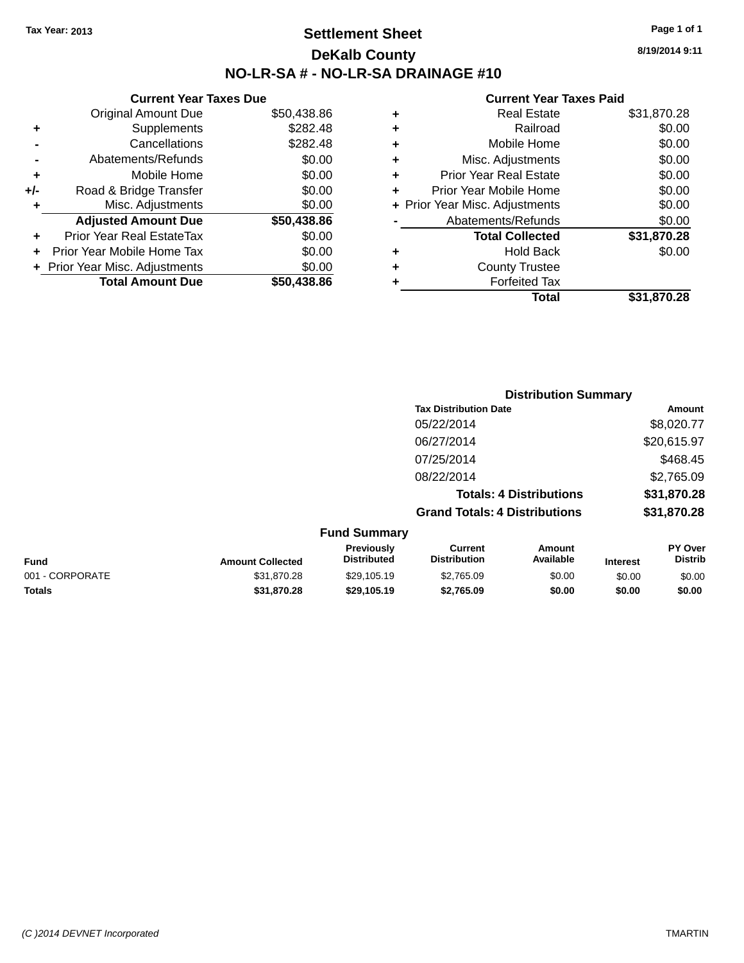### **Settlement Sheet Tax Year: 2013 Page 1 of 1 DeKalb County NO-LR-SA # - NO-LR-SA DRAINAGE #10**

**8/19/2014 9:11**

| Current                   |   |             | <b>Current Year Taxes Due</b>    |       |
|---------------------------|---|-------------|----------------------------------|-------|
| Real                      | ٠ | \$50,438.86 | Original Amount Due              |       |
| R٤                        | ÷ | \$282.48    | Supplements                      | ٠     |
| Mobile                    | ٠ | \$282.48    | Cancellations                    |       |
| Misc. Adjust              | ٠ | \$0.00      | Abatements/Refunds               |       |
| Prior Year Real           | ٠ | \$0.00      | Mobile Home                      | ٠     |
| <b>Prior Year Mobile</b>  |   | \$0.00      | Road & Bridge Transfer           | $+/-$ |
| + Prior Year Misc. Adjust |   | \$0.00      | Misc. Adjustments                | ٠     |
| Abatements/Re             |   | \$50,438.86 | <b>Adjusted Amount Due</b>       |       |
| <b>Total Coll</b>         |   | \$0.00      | <b>Prior Year Real EstateTax</b> | ٠     |
| Hold                      | ٠ | \$0.00      | Prior Year Mobile Home Tax       |       |
| County T                  | ٠ | \$0.00      | + Prior Year Misc. Adjustments   |       |
| Forfeit                   |   | \$50,438.86 | <b>Total Amount Due</b>          |       |
|                           |   |             |                                  |       |

|   | <b>Real Estate</b>             | \$31,870.28 |
|---|--------------------------------|-------------|
| ÷ | Railroad                       | \$0.00      |
| ٠ | Mobile Home                    | \$0.00      |
|   | Misc. Adjustments              | \$0.00      |
| ÷ | <b>Prior Year Real Estate</b>  | \$0.00      |
|   | Prior Year Mobile Home         | \$0.00      |
|   | + Prior Year Misc. Adjustments | \$0.00      |
|   | Abatements/Refunds             | \$0.00      |
|   | <b>Total Collected</b>         | \$31,870.28 |
|   | <b>Hold Back</b>               | \$0.00      |
| ٠ | <b>County Trustee</b>          |             |
|   | <b>Forfeited Tax</b>           |             |
|   | Total                          | \$31.870.28 |
|   |                                |             |

|                 |                         |                                  | <b>Distribution Summary</b>           |                                |                 |                           |  |
|-----------------|-------------------------|----------------------------------|---------------------------------------|--------------------------------|-----------------|---------------------------|--|
|                 |                         |                                  | <b>Tax Distribution Date</b>          |                                |                 | Amount                    |  |
|                 |                         |                                  | 05/22/2014                            |                                |                 | \$8,020.77                |  |
|                 |                         |                                  | 06/27/2014                            |                                |                 | \$20,615.97               |  |
|                 |                         |                                  | 07/25/2014                            |                                |                 | \$468.45                  |  |
|                 |                         |                                  | 08/22/2014                            |                                |                 | \$2,765.09                |  |
|                 |                         |                                  |                                       | <b>Totals: 4 Distributions</b> |                 | \$31,870.28               |  |
|                 |                         |                                  | <b>Grand Totals: 4 Distributions</b>  |                                |                 | \$31,870.28               |  |
|                 |                         | <b>Fund Summary</b>              |                                       |                                |                 |                           |  |
| <b>Fund</b>     | <b>Amount Collected</b> | Previously<br><b>Distributed</b> | <b>Current</b><br><b>Distribution</b> | <b>Amount</b><br>Available     | <b>Interest</b> | PY Over<br><b>Distrib</b> |  |
| 001 - CORPORATE | \$31,870.28             | \$29,105.19                      | \$2,765.09                            | \$0.00                         | \$0.00          | \$0.00                    |  |
| <b>Totals</b>   | \$31,870.28             | \$29,105.19                      | \$2,765.09                            | \$0.00                         | \$0.00          | \$0.00                    |  |
|                 |                         |                                  |                                       |                                |                 |                           |  |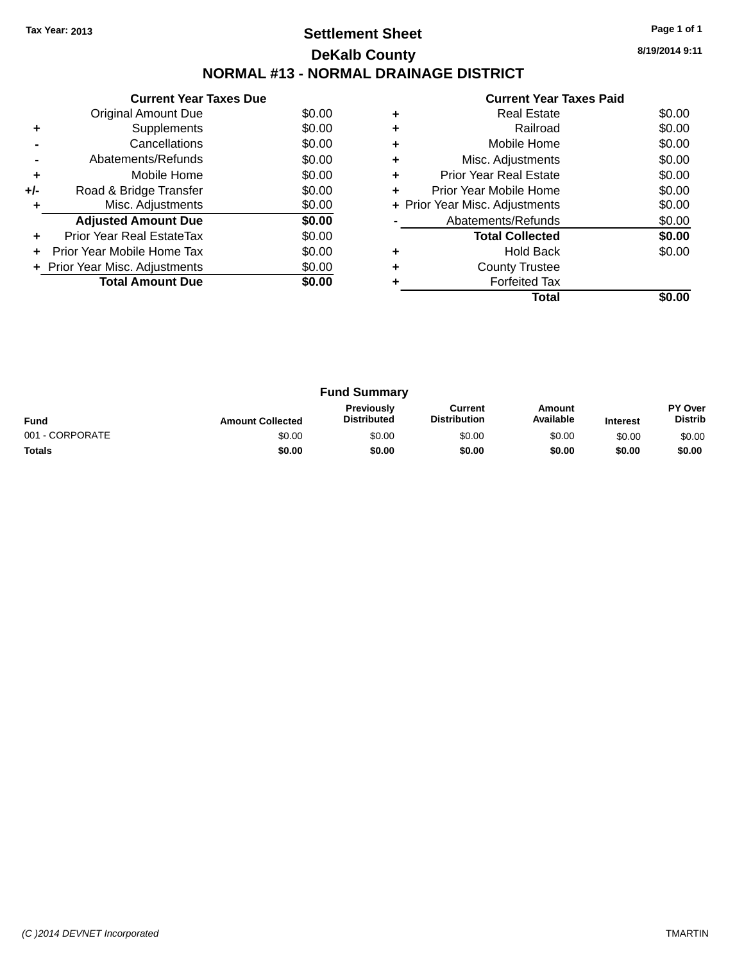### **Settlement Sheet Tax Year: 2013 Page 1 of 1 DeKalb County NORMAL #13 - NORMAL DRAINAGE DISTRICT**

**Current Year Taxes Due** Original Amount Due \$0.00<br>Supplements \$0.00 **+** Supplements **-** Cancellations \$0.00 **-** Abatements/Refunds \$0.00 **+** Mobile Home \$0.00 **+/-** Road & Bridge Transfer \$0.00<br> **+** Misc. Adjustments \$0.00 **+** Misc. Adjustments **Adjusted Amount Due \$0.00 +** Prior Year Real EstateTax \$0.00 **+** Prior Year Mobile Home Tax \$0.00 **+ Prior Year Misc. Adjustments**  $$0.00$ **Total Amount Due** \$0.00

|   | <b>Current Year Taxes Paid</b> |        |
|---|--------------------------------|--------|
|   | Real Estate                    | \$0.00 |
|   | Railroad                       | \$0.00 |
| ٠ | Mobile Home                    | \$0.00 |
|   | Misc. Adjustments              | \$0.00 |
|   | <b>Prior Year Real Estate</b>  | \$0.00 |
| ÷ | Prior Year Mobile Home         | \$0.00 |
|   | + Prior Year Misc. Adjustments | \$0.00 |
|   | Abatements/Refunds             | \$0.00 |
|   | <b>Total Collected</b>         | \$0.00 |
| ٠ | <b>Hold Back</b>               | \$0.00 |
|   | <b>County Trustee</b>          |        |
|   | <b>Forfeited Tax</b>           |        |
|   | Total                          |        |

| <b>Fund Summary</b> |                         |                                         |                                |                     |                 |                                  |
|---------------------|-------------------------|-----------------------------------------|--------------------------------|---------------------|-----------------|----------------------------------|
| <b>Fund</b>         | <b>Amount Collected</b> | <b>Previously</b><br><b>Distributed</b> | Current<br><b>Distribution</b> | Amount<br>Available | <b>Interest</b> | <b>PY Over</b><br><b>Distrib</b> |
| 001 - CORPORATE     | \$0.00                  | \$0.00                                  | \$0.00                         | \$0.00              | \$0.00          | \$0.00                           |
| <b>Totals</b>       | \$0.00                  | \$0.00                                  | \$0.00                         | \$0.00              | \$0.00          | \$0.00                           |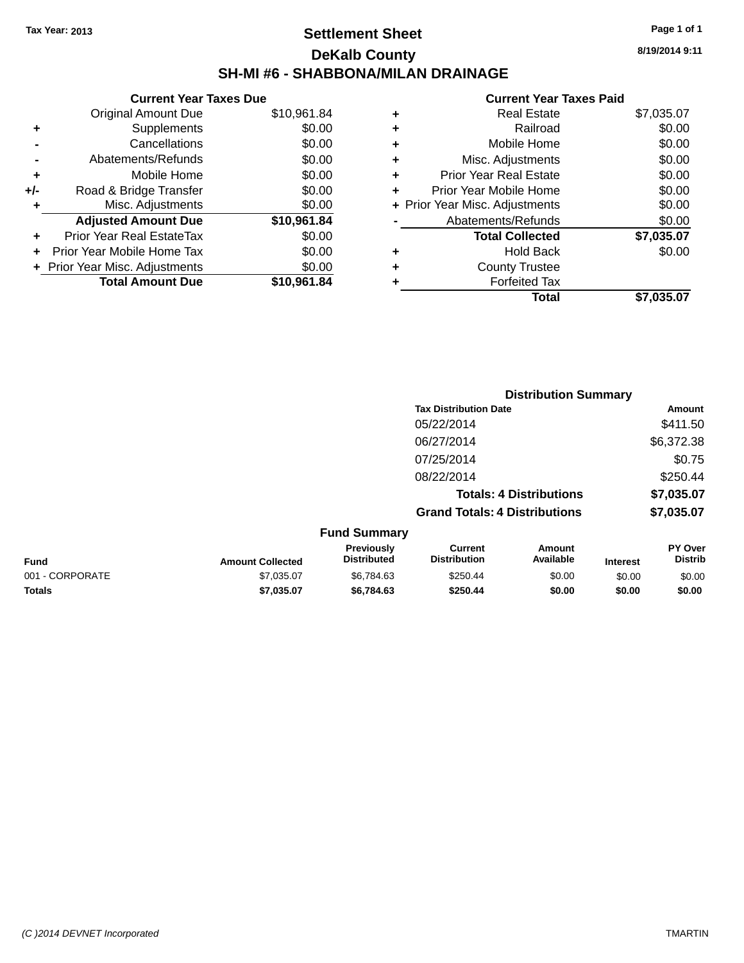### **Settlement Sheet Tax Year: 2013 Page 1 of 1 DeKalb County SH-MI #6 - SHABBONA/MILAN DRAINAGE**

**8/19/2014 9:11**

#### **Current Year Taxes Paid**

|     | <b>Current Year Taxes Due</b>  |             |
|-----|--------------------------------|-------------|
|     | <b>Original Amount Due</b>     | \$10,961.84 |
| ٠   | Supplements                    | \$0.00      |
|     | Cancellations                  | \$0.00      |
|     | Abatements/Refunds             | \$0.00      |
| ٠   | Mobile Home                    | \$0.00      |
| +/- | Road & Bridge Transfer         | \$0.00      |
| ٠   | Misc. Adjustments              | \$0.00      |
|     | <b>Adjusted Amount Due</b>     | \$10,961.84 |
| ٠   | Prior Year Real EstateTax      | \$0.00      |
|     | Prior Year Mobile Home Tax     | \$0.00      |
|     | + Prior Year Misc. Adjustments | \$0.00      |
|     | <b>Total Amount Due</b>        | \$10,961.84 |
|     |                                |             |

|   | <b>Real Estate</b>             | \$7,035.07 |
|---|--------------------------------|------------|
| ٠ | Railroad                       | \$0.00     |
| ٠ | Mobile Home                    | \$0.00     |
| ٠ | Misc. Adjustments              | \$0.00     |
| ٠ | <b>Prior Year Real Estate</b>  | \$0.00     |
|   | Prior Year Mobile Home         | \$0.00     |
|   | + Prior Year Misc. Adjustments | \$0.00     |
|   | Abatements/Refunds             | \$0.00     |
|   | <b>Total Collected</b>         | \$7,035.07 |
| ٠ | <b>Hold Back</b>               | \$0.00     |
|   | <b>County Trustee</b>          |            |
|   | <b>Forfeited Tax</b>           |            |
|   | Total                          | \$7,035.07 |
|   |                                |            |

|                 |                         | <b>Distribution Summary</b>      |                                       |                                |                 |                                  |
|-----------------|-------------------------|----------------------------------|---------------------------------------|--------------------------------|-----------------|----------------------------------|
|                 |                         |                                  | <b>Tax Distribution Date</b>          |                                |                 | Amount                           |
|                 |                         |                                  | 05/22/2014                            |                                |                 | \$411.50                         |
|                 |                         |                                  | 06/27/2014                            |                                |                 | \$6,372.38                       |
|                 |                         |                                  | 07/25/2014                            |                                |                 | \$0.75                           |
|                 |                         |                                  | 08/22/2014                            |                                |                 | \$250.44                         |
|                 |                         |                                  |                                       | <b>Totals: 4 Distributions</b> |                 | \$7,035.07                       |
|                 |                         |                                  | <b>Grand Totals: 4 Distributions</b>  |                                |                 | \$7,035.07                       |
|                 |                         | <b>Fund Summary</b>              |                                       |                                |                 |                                  |
| <b>Fund</b>     | <b>Amount Collected</b> | Previously<br><b>Distributed</b> | <b>Current</b><br><b>Distribution</b> | Amount<br>Available            | <b>Interest</b> | <b>PY Over</b><br><b>Distrib</b> |
| 001 - CORPORATE | \$7,035.07              | \$6.784.63                       | \$250.44                              | \$0.00                         | \$0.00          | \$0.00                           |
|                 |                         |                                  |                                       |                                |                 |                                  |

**Totals \$7,035.07 \$6,784.63 \$250.44 \$0.00 \$0.00 \$0.00**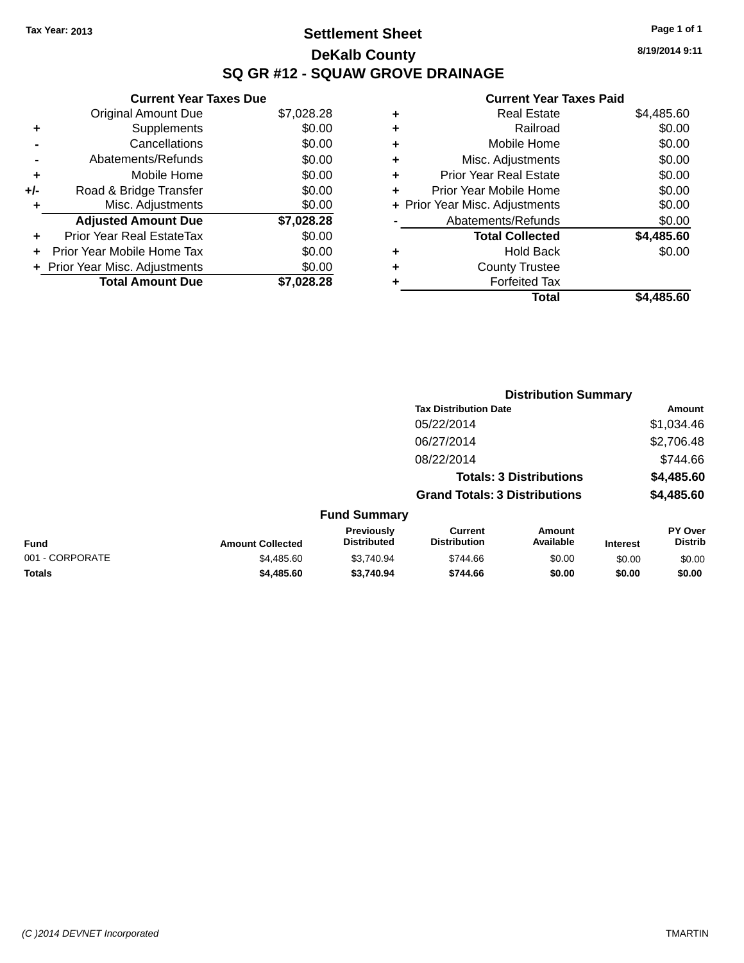### **Settlement Sheet Tax Year: 2013 Page 1 of 1 DeKalb County SQ GR #12 - SQUAW GROVE DRAINAGE**

**8/19/2014 9:11**

|     | <b>Current Year Taxes Due</b>  |            |
|-----|--------------------------------|------------|
|     | <b>Original Amount Due</b>     | \$7,028.28 |
| ÷   | Supplements                    | \$0.00     |
|     | Cancellations                  | \$0.00     |
|     | Abatements/Refunds             | \$0.00     |
| ٠   | Mobile Home                    | \$0.00     |
| +/- | Road & Bridge Transfer         | \$0.00     |
| ٠   | Misc. Adjustments              | \$0.00     |
|     | <b>Adjusted Amount Due</b>     | \$7,028.28 |
| ÷   | Prior Year Real EstateTax      | \$0.00     |
| ÷   | Prior Year Mobile Home Tax     | \$0.00     |
|     | + Prior Year Misc. Adjustments | \$0.00     |
|     | <b>Total Amount Due</b>        | \$7,028.28 |

|   | <b>Real Estate</b>             | \$4,485.60 |
|---|--------------------------------|------------|
| ٠ | Railroad                       | \$0.00     |
| ٠ | Mobile Home                    | \$0.00     |
| ٠ | Misc. Adjustments              | \$0.00     |
| ٠ | <b>Prior Year Real Estate</b>  | \$0.00     |
| ٠ | Prior Year Mobile Home         | \$0.00     |
|   | + Prior Year Misc. Adjustments | \$0.00     |
|   | Abatements/Refunds             | \$0.00     |
|   | <b>Total Collected</b>         | \$4,485.60 |
| ٠ | <b>Hold Back</b>               | \$0.00     |
|   | <b>County Trustee</b>          |            |
| ٠ | <b>Forfeited Tax</b>           |            |
|   | Total                          | \$4,485.60 |
|   |                                |            |

|                 |                         |                                  |                                       | <b>Distribution Summary</b> |                 |                           |
|-----------------|-------------------------|----------------------------------|---------------------------------------|-----------------------------|-----------------|---------------------------|
|                 |                         |                                  | <b>Tax Distribution Date</b>          |                             |                 | <b>Amount</b>             |
|                 |                         |                                  | 05/22/2014                            |                             |                 | \$1,034.46                |
|                 |                         |                                  | 06/27/2014                            |                             |                 | \$2,706.48                |
|                 |                         |                                  | 08/22/2014                            |                             |                 | \$744.66                  |
|                 |                         |                                  | <b>Totals: 3 Distributions</b>        |                             |                 | \$4,485.60                |
|                 |                         |                                  | <b>Grand Totals: 3 Distributions</b>  |                             |                 | \$4,485.60                |
|                 |                         | <b>Fund Summary</b>              |                                       |                             |                 |                           |
| Fund            | <b>Amount Collected</b> | Previously<br><b>Distributed</b> | <b>Current</b><br><b>Distribution</b> | Amount<br>Available         | <b>Interest</b> | PY Over<br><b>Distrib</b> |
| 001 - CORPORATE | \$4,485.60              | \$3.740.94                       | \$744.66                              | \$0.00                      | \$0.00          | \$0.00                    |
| <b>Totals</b>   | \$4,485.60              | \$3,740.94                       | \$744.66                              | \$0.00                      | \$0.00          | \$0.00                    |
|                 |                         |                                  |                                       |                             |                 |                           |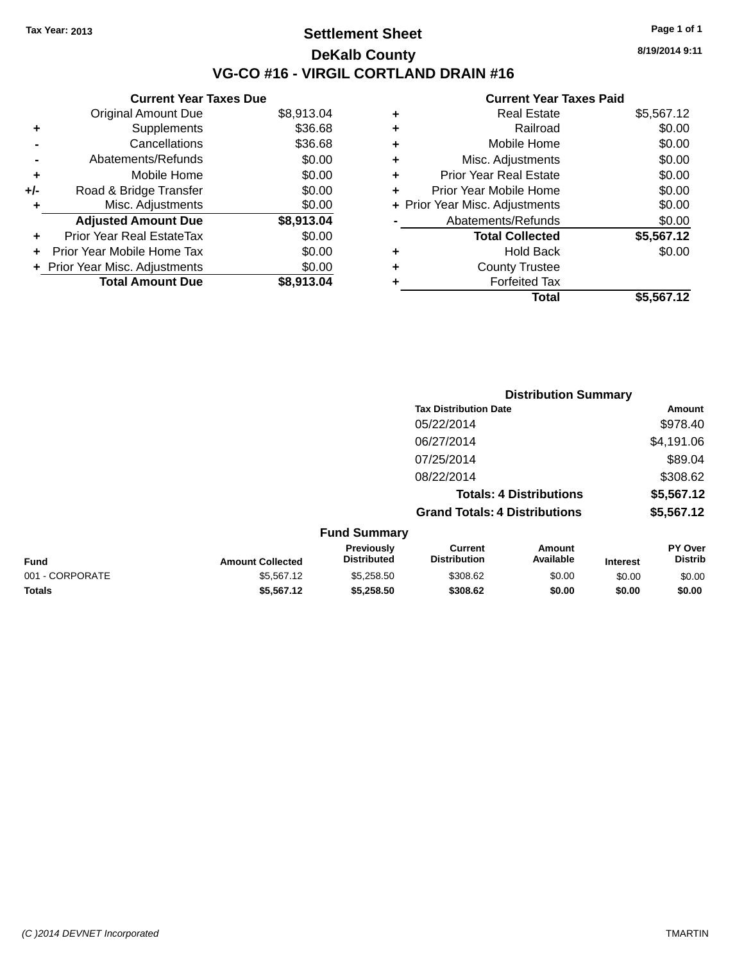### **Settlement Sheet Tax Year: 2013 Page 1 of 1 DeKalb County VG-CO #16 - VIRGIL CORTLAND DRAIN #16**

**Current Year Taxes Due**

|       | <b>Original Amount Due</b>       | \$8,913.04 |
|-------|----------------------------------|------------|
| ٠     | Supplements                      | \$36.68    |
|       | Cancellations                    | \$36.68    |
|       | Abatements/Refunds               | \$0.00     |
| ٠     | Mobile Home                      | \$0.00     |
| $+/-$ | Road & Bridge Transfer           | \$0.00     |
| ٠     | Misc. Adjustments                | \$0.00     |
|       | <b>Adjusted Amount Due</b>       | \$8,913.04 |
|       | <b>Prior Year Real EstateTax</b> | \$0.00     |
|       | Prior Year Mobile Home Tax       | \$0.00     |
|       | + Prior Year Misc. Adjustments   | \$0.00     |
|       | <b>Total Amount Due</b>          | \$8.913.04 |

#### **Current Year Taxes Paid**

| ٠ | Real Estate                    | \$5,567.12 |
|---|--------------------------------|------------|
| ٠ | Railroad                       | \$0.00     |
| ٠ | Mobile Home                    | \$0.00     |
| ٠ | Misc. Adjustments              | \$0.00     |
| ٠ | <b>Prior Year Real Estate</b>  | \$0.00     |
| ٠ | Prior Year Mobile Home         | \$0.00     |
|   | + Prior Year Misc. Adjustments | \$0.00     |
|   | Abatements/Refunds             | \$0.00     |
|   | <b>Total Collected</b>         | \$5,567.12 |
| ٠ | <b>Hold Back</b>               | \$0.00     |
| ٠ | <b>County Trustee</b>          |            |
| ٠ | <b>Forfeited Tax</b>           |            |
|   | Total                          | \$5,567.12 |
|   |                                |            |

|                     | <b>Distribution Summary</b>          |                                |                |  |
|---------------------|--------------------------------------|--------------------------------|----------------|--|
|                     | <b>Tax Distribution Date</b>         |                                | Amount         |  |
|                     | 05/22/2014                           |                                | \$978.40       |  |
|                     | 06/27/2014                           |                                | \$4,191.06     |  |
|                     | 07/25/2014                           |                                | \$89.04        |  |
|                     | 08/22/2014                           |                                | \$308.62       |  |
|                     |                                      | <b>Totals: 4 Distributions</b> | \$5,567.12     |  |
|                     | <b>Grand Totals: 4 Distributions</b> |                                | \$5,567.12     |  |
| <b>Fund Summary</b> |                                      |                                |                |  |
| <b>Provinuely</b>   | Currant                              | <b>Amount</b>                  | <b>PV Over</b> |  |

| <b>Fund</b>     | <b>Amount Collected</b> | Previously<br><b>Distributed</b> | Current<br><b>Distribution</b> | Amount<br>Available | <b>Interest</b> | PY Over<br>Distrib |
|-----------------|-------------------------|----------------------------------|--------------------------------|---------------------|-----------------|--------------------|
| 001 - CORPORATE | \$5.567.12              | \$5,258,50                       | \$308.62                       | \$0.00              | \$0.00          | \$0.00             |
| <b>Totals</b>   | \$5,567.12              | \$5,258,50                       | \$308.62                       | \$0.00              | \$0.00          | \$0.00             |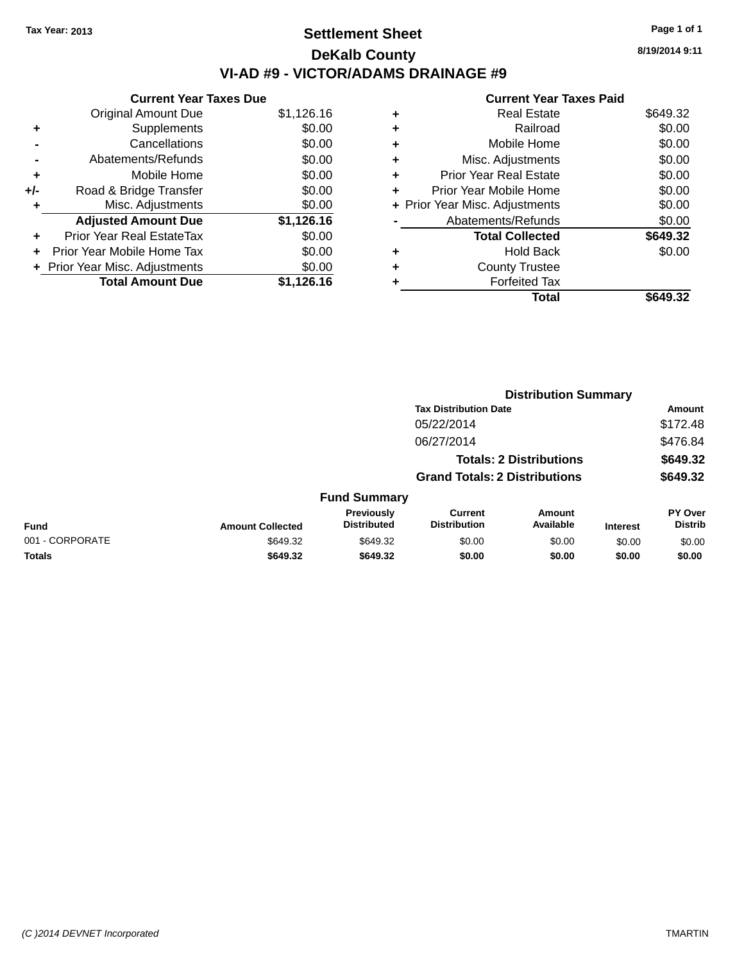### **Settlement Sheet Tax Year: 2013 Page 1 of 1 DeKalb County VI-AD #9 - VICTOR/ADAMS DRAINAGE #9**

|       | <b>Current Year Taxes Due</b>  |            |  |  |  |
|-------|--------------------------------|------------|--|--|--|
|       | <b>Original Amount Due</b>     | \$1,126.16 |  |  |  |
| ٠     | Supplements                    | \$0.00     |  |  |  |
|       | Cancellations                  | \$0.00     |  |  |  |
|       | Abatements/Refunds             | \$0.00     |  |  |  |
| ٠     | Mobile Home                    | \$0.00     |  |  |  |
| $+/-$ | Road & Bridge Transfer         | \$0.00     |  |  |  |
| ٠     | Misc. Adjustments              | \$0.00     |  |  |  |
|       | <b>Adjusted Amount Due</b>     | \$1,126.16 |  |  |  |
| ٠     | Prior Year Real EstateTax      | \$0.00     |  |  |  |
|       | Prior Year Mobile Home Tax     | \$0.00     |  |  |  |
|       | + Prior Year Misc. Adjustments | \$0.00     |  |  |  |
|       | <b>Total Amount Due</b>        | \$1,126.16 |  |  |  |

|   | <b>Current Year Taxes Paid</b> |          |
|---|--------------------------------|----------|
| ٠ | <b>Real Estate</b>             | \$649.32 |
|   | Railroad                       | \$0.00   |
| ٠ | Mobile Home                    | \$0.00   |
| ٠ | Misc. Adjustments              | \$0.00   |
| ٠ | <b>Prior Year Real Estate</b>  | \$0.00   |
| ٠ | Prior Year Mobile Home         | \$0.00   |
|   | + Prior Year Misc. Adjustments | \$0.00   |
|   | Abatements/Refunds             | \$0.00   |
|   | <b>Total Collected</b>         | \$649.32 |
| ٠ | <b>Hold Back</b>               | \$0.00   |
| ٠ | <b>County Trustee</b>          |          |
|   | <b>Forfeited Tax</b>           |          |
|   | Total                          | \$649.32 |

|                 |                         |                                  | <b>Distribution Summary</b>                                            |                     |                 |                                  |
|-----------------|-------------------------|----------------------------------|------------------------------------------------------------------------|---------------------|-----------------|----------------------------------|
|                 |                         |                                  | <b>Tax Distribution Date</b>                                           |                     |                 | <b>Amount</b>                    |
|                 |                         |                                  | 05/22/2014                                                             |                     |                 | \$172.48                         |
|                 |                         |                                  | 06/27/2014                                                             |                     |                 | \$476.84                         |
|                 |                         |                                  | <b>Totals: 2 Distributions</b><br><b>Grand Totals: 2 Distributions</b> |                     |                 | \$649.32<br>\$649.32             |
|                 |                         |                                  |                                                                        |                     |                 |                                  |
|                 |                         | <b>Fund Summary</b>              |                                                                        |                     |                 |                                  |
| <b>Fund</b>     | <b>Amount Collected</b> | Previously<br><b>Distributed</b> | <b>Current</b><br><b>Distribution</b>                                  | Amount<br>Available | <b>Interest</b> | <b>PY Over</b><br><b>Distrib</b> |
| 001 - CORPORATE | \$649.32                | \$649.32                         | \$0.00                                                                 | \$0.00              | \$0.00          | \$0.00                           |
| <b>Totals</b>   | \$649.32                | \$649.32                         | \$0.00                                                                 | \$0.00              | \$0.00          | \$0.00                           |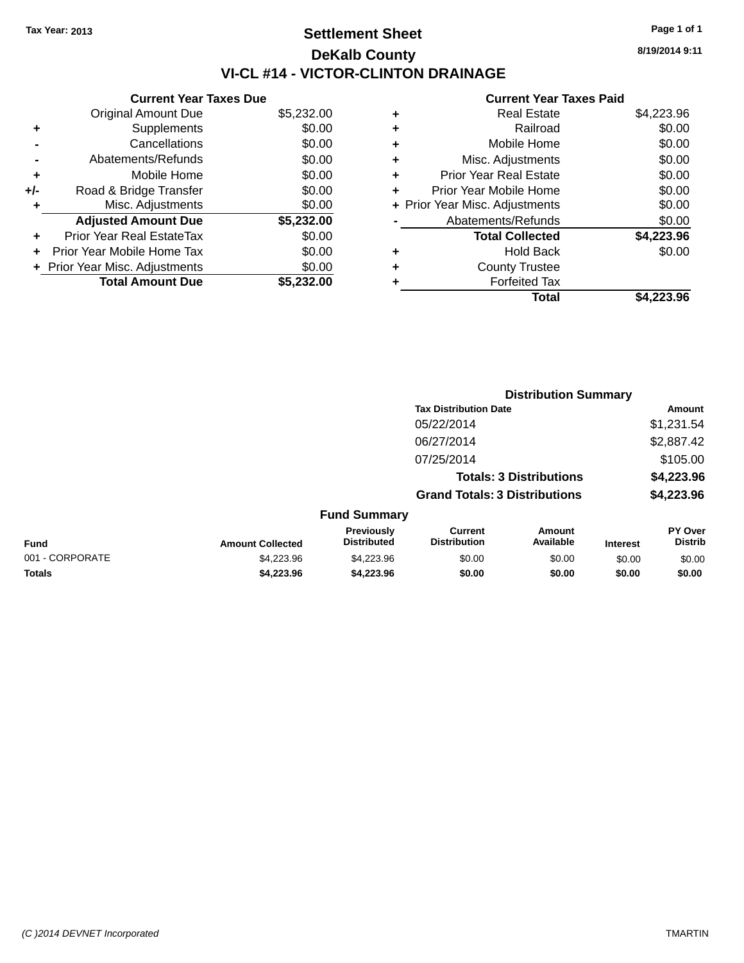### **Settlement Sheet Tax Year: 2013 Page 1 of 1 DeKalb County VI-CL #14 - VICTOR-CLINTON DRAINAGE**

**Current Year Taxes Due** Original Amount Due \$5,232.00 **+** Supplements \$0.00 **-** Cancellations \$0.00 **-** Abatements/Refunds \$0.00 **+** Mobile Home \$0.00 **+/-** Road & Bridge Transfer \$0.00 **+** Misc. Adjustments \$0.00 **Adjusted Amount Due \$5,232.00 +** Prior Year Real EstateTax \$0.00 **+** Prior Year Mobile Home Tax \$0.00 **+ Prior Year Misc. Adjustments**  $$0.00$ **Total Amount Due \$5,232.00**

#### **Current Year Taxes Paid**

| ٠ | <b>Real Estate</b>             | \$4,223.96 |
|---|--------------------------------|------------|
| ÷ | Railroad                       | \$0.00     |
| ٠ | Mobile Home                    | \$0.00     |
| ٠ | Misc. Adjustments              | \$0.00     |
| ٠ | <b>Prior Year Real Estate</b>  | \$0.00     |
| ٠ | Prior Year Mobile Home         | \$0.00     |
|   | + Prior Year Misc. Adjustments | \$0.00     |
|   | Abatements/Refunds             | \$0.00     |
|   | <b>Total Collected</b>         | \$4,223.96 |
| ٠ | <b>Hold Back</b>               | \$0.00     |
| ٠ | <b>County Trustee</b>          |            |
| ٠ | <b>Forfeited Tax</b>           |            |
|   | Total                          | \$4.223.96 |
|   |                                |            |

|                 |                         |                                  | <b>Distribution Summary</b>                                            |                     |                 |                           |  |
|-----------------|-------------------------|----------------------------------|------------------------------------------------------------------------|---------------------|-----------------|---------------------------|--|
|                 |                         |                                  | <b>Tax Distribution Date</b>                                           |                     |                 | Amount                    |  |
|                 |                         |                                  | 05/22/2014                                                             |                     |                 | \$1,231.54                |  |
|                 |                         |                                  | 06/27/2014                                                             |                     |                 | \$2,887.42                |  |
|                 |                         |                                  | 07/25/2014                                                             |                     |                 | \$105.00                  |  |
|                 |                         |                                  | <b>Totals: 3 Distributions</b><br><b>Grand Totals: 3 Distributions</b> |                     |                 | \$4,223.96                |  |
|                 |                         |                                  |                                                                        |                     |                 | \$4,223.96                |  |
|                 |                         | <b>Fund Summary</b>              |                                                                        |                     |                 |                           |  |
| <b>Fund</b>     | <b>Amount Collected</b> | Previously<br><b>Distributed</b> | <b>Current</b><br><b>Distribution</b>                                  | Amount<br>Available | <b>Interest</b> | PY Over<br><b>Distrib</b> |  |
| 001 - CORPORATE | \$4,223.96              | \$4,223.96                       | \$0.00                                                                 | \$0.00              | \$0.00          | \$0.00                    |  |
| <b>Totals</b>   | \$4,223,96              | \$4,223,96                       | \$0.00                                                                 | \$0.00              | \$0.00          | \$0.00                    |  |